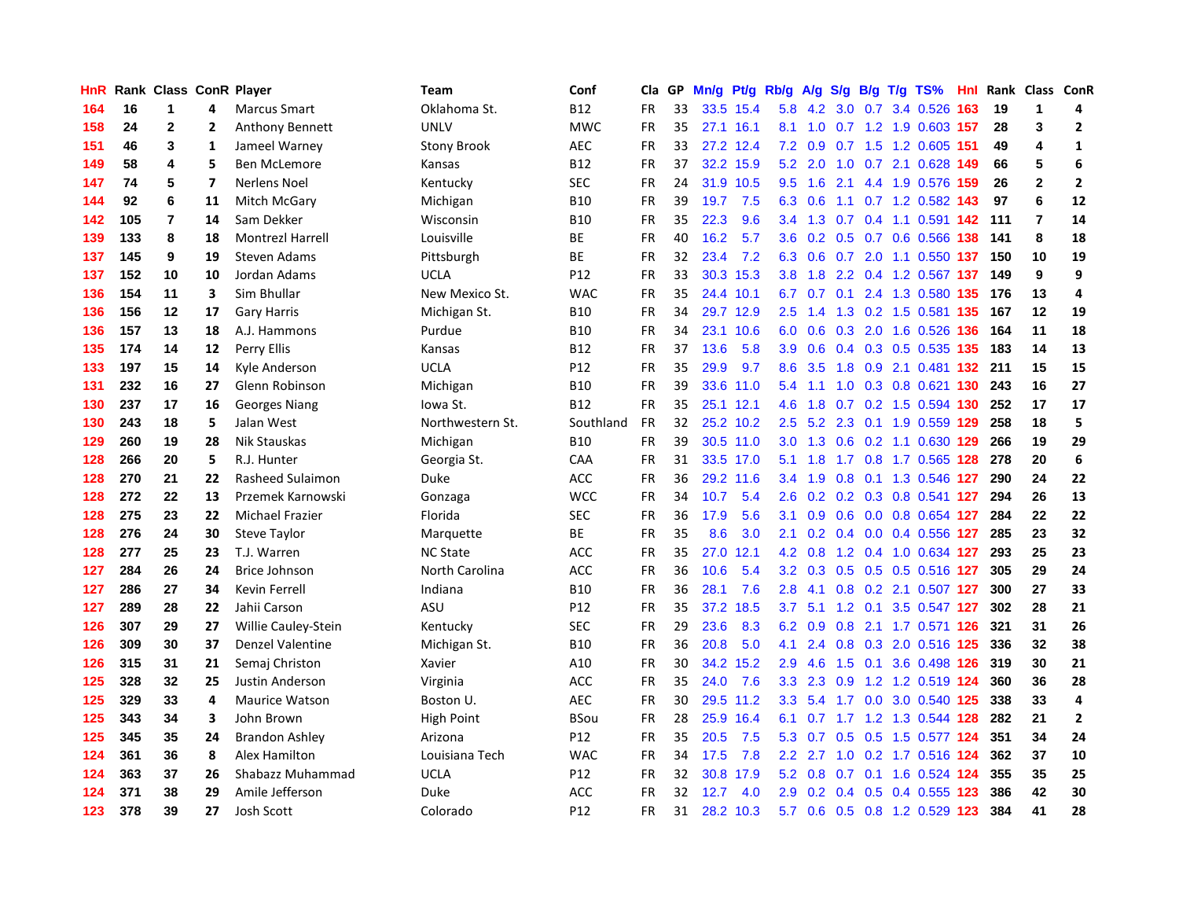| HnR |     | Rank Class ConR Player |                         |                         | <b>Team</b>        | Conf        | Cla       | GP | Mn/g |           | Pt/g Rb/g        | A/g |     |  | $S/g$ B/g T/g TS%                 |     | Hnl Rank Class ConR |                 |                         |
|-----|-----|------------------------|-------------------------|-------------------------|--------------------|-------------|-----------|----|------|-----------|------------------|-----|-----|--|-----------------------------------|-----|---------------------|-----------------|-------------------------|
| 164 | 16  | 1                      | 4                       | <b>Marcus Smart</b>     | Oklahoma St.       | <b>B12</b>  | <b>FR</b> | 33 | 33.5 | 15.4      | 5.8              | 4.2 | 3.0 |  | 0.7 3.4 0.526                     | 163 | 19                  | 1               | 4                       |
| 158 | 24  | 2                      | 2                       | <b>Anthony Bennett</b>  | <b>UNLV</b>        | <b>MWC</b>  | FR        | 35 |      | 27.1 16.1 | 8.1              | 1.0 |     |  | 0.7 1.2 1.9 0.603 157             |     | 28                  | 3               | $\overline{2}$          |
| 151 | 46  | 3                      | 1                       | Jameel Warney           | <b>Stony Brook</b> | AEC         | <b>FR</b> | 33 |      | 27.2 12.4 | 7.2              |     |     |  | 0.9 0.7 1.5 1.2 0.605 151         |     | 49                  | 4               | $\mathbf{1}$            |
| 149 | 58  | 4                      | 5                       | Ben McLemore            | Kansas             | <b>B12</b>  | FR        | 37 |      | 32.2 15.9 | 5.2              |     |     |  | 2.0 1.0 0.7 2.1 0.628 149         |     | 66                  | 5               | 6                       |
| 147 | 74  | 5                      | $\overline{\mathbf{z}}$ | <b>Nerlens Noel</b>     | Kentucky           | <b>SEC</b>  | FR        | 24 |      | 31.9 10.5 | 9.5              | 1.6 |     |  | 2.1 4.4 1.9 0.576 159             |     | 26                  | $\overline{2}$  | $\overline{2}$          |
| 144 | 92  | 6                      | 11                      | Mitch McGary            | Michigan           | <b>B10</b>  | <b>FR</b> | 39 | 19.7 | 7.5       | 6.3              | 0.6 |     |  | 1.1 0.7 1.2 0.582 143             |     | 97                  | $6\phantom{1}6$ | 12                      |
| 142 | 105 | $\overline{7}$         | 14                      | Sam Dekker              | Wisconsin          | <b>B10</b>  | FR        | 35 | 22.3 | 9.6       | 3.4              | 1.3 |     |  | 0.7 0.4 1.1 0.591 142             |     | 111                 | $\overline{7}$  | 14                      |
| 139 | 133 | 8                      | 18                      | <b>Montrezl Harrell</b> | Louisville         | <b>BE</b>   | <b>FR</b> | 40 | 16.2 | 5.7       | 3.6              | 0.2 |     |  | 0.5 0.7 0.6 0.566                 | 138 | 141                 | 8               | 18                      |
| 137 | 145 | 9                      | 19                      | Steven Adams            | Pittsburgh         | <b>BE</b>   | <b>FR</b> | 32 | 23.4 | 7.2       | 6.3              | 0.6 |     |  | 0.7 2.0 1.1 0.550 137             |     | 150                 | 10              | 19                      |
| 137 | 152 | 10                     | 10                      | Jordan Adams            | <b>UCLA</b>        | P12         | <b>FR</b> | 33 |      | 30.3 15.3 | 3.8              | 1.8 |     |  | 2.2 0.4 1.2 0.567 137             |     | 149                 | 9               | 9                       |
| 136 | 154 | 11                     | 3                       | Sim Bhullar             | New Mexico St.     | <b>WAC</b>  | <b>FR</b> | 35 |      | 24.4 10.1 |                  |     |     |  | 6.7 0.7 0.1 2.4 1.3 0.580 135 176 |     |                     | 13              | 4                       |
| 136 | 156 | 12                     | 17                      | <b>Gary Harris</b>      | Michigan St.       | <b>B10</b>  | FR        | 34 |      | 29.7 12.9 | $2.5^{\circ}$    |     |     |  | 1.4 1.3 0.2 1.5 0.581 135         |     | 167                 | 12              | 19                      |
| 136 | 157 | 13                     | 18                      | A.J. Hammons            | Purdue             | <b>B10</b>  | <b>FR</b> | 34 |      | 23.1 10.6 | 6.0              | 0.6 | 0.3 |  | 2.0 1.6 0.526 136                 |     | 164                 | 11              | 18                      |
| 135 | 174 | 14                     | 12                      | Perry Ellis             | Kansas             | <b>B12</b>  | FR        | 37 | 13.6 | 5.8       | 3.9              | 0.6 |     |  | 0.4 0.3 0.5 0.535 135             |     | 183                 | 14              | 13                      |
| 133 | 197 | 15                     | 14                      | Kyle Anderson           | <b>UCLA</b>        | P12         | <b>FR</b> | 35 | 29.9 | 9.7       | 8.6              | 3.5 |     |  | 1.8 0.9 2.1 0.481 132             |     | 211                 | 15              | 15                      |
| 131 | 232 | 16                     | 27                      | Glenn Robinson          | Michigan           | <b>B10</b>  | <b>FR</b> | 39 |      | 33.6 11.0 | 5.4              | 1.1 | 1.0 |  | 0.3 0.8 0.621 130                 |     | 243                 | 16              | 27                      |
| 130 | 237 | 17                     | 16                      | <b>Georges Niang</b>    | lowa St.           | <b>B12</b>  | FR        | 35 |      | 25.1 12.1 | 4.6              | 1.8 | 0.7 |  | 0.2 1.5 0.594 130                 |     | 252                 | 17              | 17                      |
| 130 | 243 | 18                     | 5                       | Jalan West              | Northwestern St.   | Southland   | <b>FR</b> | 32 |      | 25.2 10.2 | 2.5              | 5.2 | 2.3 |  | 0.1 1.9 0.559 129                 |     | 258                 | 18              | 5                       |
| 129 | 260 | 19                     | 28                      | Nik Stauskas            | Michigan           | <b>B10</b>  | <b>FR</b> | 39 |      | 30.5 11.0 |                  |     |     |  | 3.0 1.3 0.6 0.2 1.1 0.630 129     |     | 266                 | 19              | 29                      |
| 128 | 266 | 20                     | 5                       | R.J. Hunter             | Georgia St.        | CAA         | <b>FR</b> | 31 |      | 33.5 17.0 | 5.1              | 1.8 |     |  | 1.7 0.8 1.7 0.565 128 278         |     |                     | 20              | 6                       |
| 128 | 270 | 21                     | 22                      | Rasheed Sulaimon        | Duke               | ACC         | <b>FR</b> | 36 |      | 29.2 11.6 | $3.4^{\circ}$    | 1.9 |     |  | 0.8 0.1 1.3 0.546 127             |     | 290                 | 24              | 22                      |
| 128 | 272 | 22                     | 13                      | Przemek Karnowski       | Gonzaga            | <b>WCC</b>  | <b>FR</b> | 34 | 10.7 | 5.4       | 2.6              | 0.2 |     |  | 0.2 0.3 0.8 0.541 127             |     | 294                 | 26              | 13                      |
| 128 | 275 | 23                     | 22                      | <b>Michael Frazier</b>  | Florida            | <b>SEC</b>  | FR        | 36 | 17.9 | 5.6       | 3.1              | 0.9 |     |  | $0.6$ 0.0 0.8 0.654 127           |     | 284                 | 22              | 22                      |
| 128 | 276 | 24                     | 30                      | <b>Steve Taylor</b>     | Marquette          | <b>BE</b>   | <b>FR</b> | 35 | 8.6  | 3.0       | 2.1              | 0.2 | 0.4 |  | $0.0$ 0.4 0.556 127               |     | 285                 | 23              | 32                      |
| 128 | 277 | 25                     | 23                      | T.J. Warren             | <b>NC State</b>    | ACC         | <b>FR</b> | 35 | 27.0 | 12.1      | 4.2              | 0.8 |     |  | 1.2 0.4 1.0 0.634 127             |     | 293                 | 25              | 23                      |
| 127 | 284 | 26                     | 24                      | <b>Brice Johnson</b>    | North Carolina     | ACC         | <b>FR</b> | 36 | 10.6 | 5.4       | 3.2              | 0.3 |     |  | 0.5 0.5 0.5 0.516 127             |     | 305                 | 29              | 24                      |
| 127 | 286 | 27                     | 34                      | Kevin Ferrell           | Indiana            | <b>B10</b>  | <b>FR</b> | 36 | 28.1 | 7.6       | 2.8              | 4.1 |     |  | 0.8 0.2 2.1 0.507 127             |     | 300                 | 27              | 33                      |
| 127 | 289 | 28                     | 22                      | Jahii Carson            | ASU                | P12         | FR        | 35 | 37.2 | 18.5      | 3.7              |     |     |  | 5.1 1.2 0.1 3.5 0.547 127         |     | 302                 | 28              | 21                      |
| 126 | 307 | 29                     | 27                      | Willie Cauley-Stein     | Kentucky           | SEC         | FR        | 29 | 23.6 | 8.3       | 6.2              | 0.9 | 0.8 |  | 2.1 1.7 0.571 126                 |     | 321                 | 31              | 26                      |
| 126 | 309 | 30                     | 37                      | Denzel Valentine        | Michigan St.       | <b>B10</b>  | FR        | 36 | 20.8 | 5.0       | 4.1              | 2.4 | 0.8 |  | 0.3 2.0 0.516 125                 |     | 336                 | 32              | 38                      |
| 126 | 315 | 31                     | 21                      | Semaj Christon          | Xavier             | A10         | FR        | 30 | 34.2 | 15.2      | 2.9              | 4.6 | 1.5 |  | 0.1 3.6 0.498 126                 |     | 319                 | 30              | 21                      |
| 125 | 328 | 32                     | 25                      | Justin Anderson         | Virginia           | ACC         | <b>FR</b> | 35 | 24.0 | 7.6       | 3.3              | 2.3 | 0.9 |  | 1.2 1.2 0.519 124                 |     | 360                 | 36              | 28                      |
| 125 | 329 | 33                     | 4                       | <b>Maurice Watson</b>   | Boston U.          | <b>AEC</b>  | FR        | 30 | 29.5 | 11.2      | 3.3              | 5.4 | 1.7 |  | 0.0 3.0 0.540 125                 |     | 338                 | 33              | 4                       |
| 125 | 343 | 34                     | 3                       | John Brown              | High Point         | <b>BSou</b> | <b>FR</b> | 28 | 25.9 | 16.4      | 6.1              | 0.7 |     |  | 1.7 1.2 1.3 0.544 128             |     | 282                 | 21              | $\overline{\mathbf{2}}$ |
| 125 | 345 | 35                     | 24                      | <b>Brandon Ashley</b>   | Arizona            | P12         | FR        | 35 | 20.5 | 7.5       | 5.3              | 0.7 |     |  | 0.5 0.5 1.5 0.577 124             |     | 351                 | 34              | 24                      |
| 124 | 361 | 36                     | 8                       | Alex Hamilton           | Louisiana Tech     | <b>WAC</b>  | FR        | 34 | 17.5 | 7.8       | $2.2\phantom{0}$ |     |     |  | 2.7 1.0 0.2 1.7 0.516 124         |     | 362                 | 37              | 10                      |
| 124 | 363 | 37                     | 26                      | Shabazz Muhammad        | <b>UCLA</b>        | P12         | FR        | 32 | 30.8 | 17.9      | 5.2              | 0.8 |     |  | $0.7$ 0.1 1.6 0.524 124           |     | 355                 | 35              | 25                      |
| 124 | 371 | 38                     | 29                      | Amile Jefferson         | Duke               | ACC         | <b>FR</b> | 32 | 12.7 | 4.0       | 2.9              | 0.2 | 0.4 |  | 0.5 0.4 0.555 123                 |     | 386                 | 42              | 30                      |
| 123 | 378 | 39                     | 27                      | Josh Scott              | Colorado           | P12         | FR        | 31 | 28.2 | 10.3      | 5.7              |     |     |  | 0.6 0.5 0.8 1.2 0.529 123         |     | 384                 | 41              | 28                      |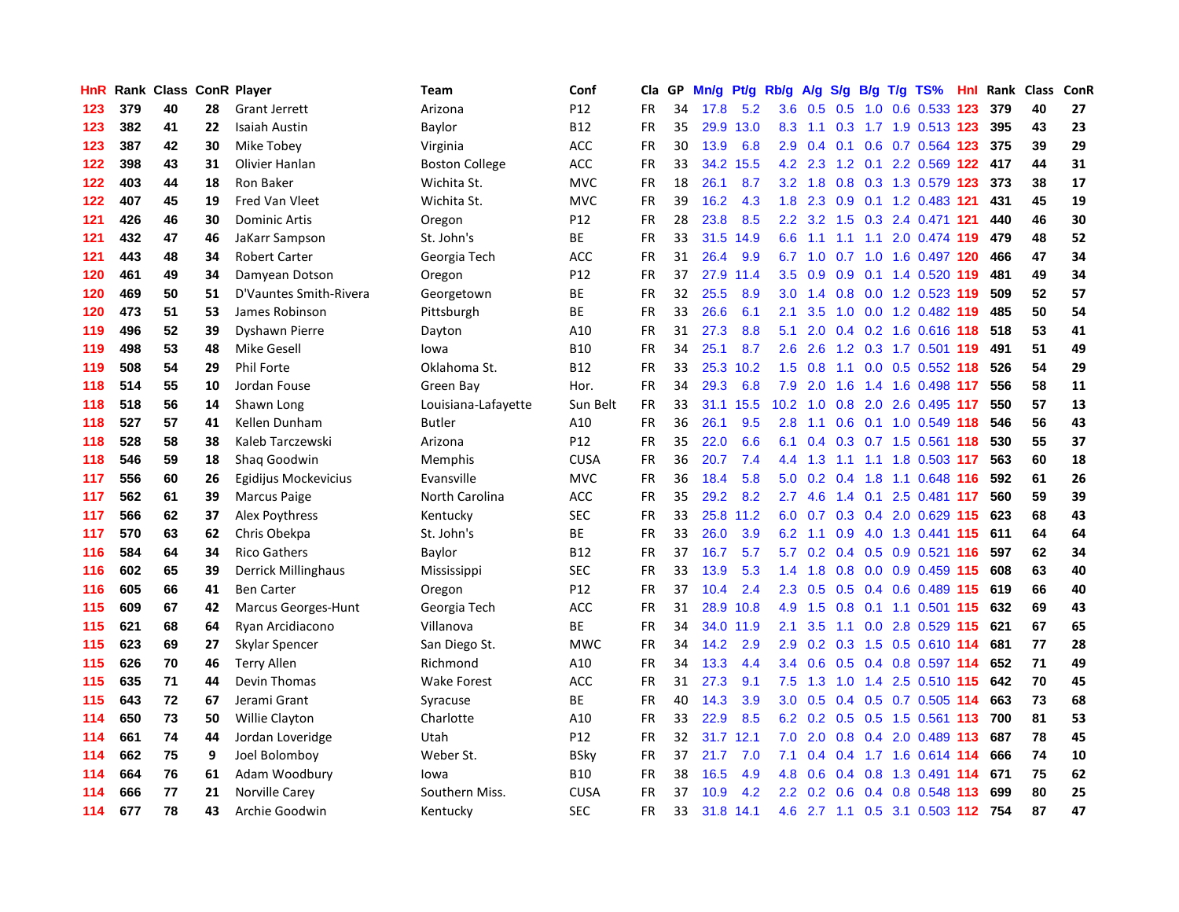| HnR |     | Rank Class ConR Player |    |                            | Team                  | Conf        | Cla       | <b>GP</b> | Mn/g | Pt/g Rb/g |                  | A/g    |     |                 | $S/g$ B/g T/g TS%         | <b>Hnl</b> | Rank | <b>Class</b> | ConR |
|-----|-----|------------------------|----|----------------------------|-----------------------|-------------|-----------|-----------|------|-----------|------------------|--------|-----|-----------------|---------------------------|------------|------|--------------|------|
| 123 | 379 | 40                     | 28 | <b>Grant Jerrett</b>       | Arizona               | P12         | <b>FR</b> | 34        | 17.8 | 5.2       | 3.6              | 0.5    | 0.5 | 1.0             | 0.6 0.533 123             |            | 379  | 40           | 27   |
| 123 | 382 | 41                     | 22 | <b>Isaiah Austin</b>       | Baylor                | <b>B12</b>  | FR        | 35        | 29.9 | 13.0      | 8.3              | $-1.1$ |     |                 | 0.3 1.7 1.9 0.513 123     |            | 395  | 43           | 23   |
| 123 | 387 | 42                     | 30 | Mike Tobey                 | Virginia              | ACC         | <b>FR</b> | 30        | 13.9 | 6.8       | 2.9              | 0.4    |     |                 | $0.1$ 0.6 0.7 0.564 123   |            | 375  | 39           | 29   |
| 122 | 398 | 43                     | 31 | Olivier Hanlan             | <b>Boston College</b> | ACC         | FR        | 33        | 34.2 | 15.5      | 4.2              | 2.3    |     |                 | 1.2 0.1 2.2 0.569 122     |            | 417  | 44           | 31   |
| 122 | 403 | 44                     | 18 | Ron Baker                  | Wichita St.           | <b>MVC</b>  | <b>FR</b> | 18        | 26.1 | 8.7       | 3.2              | 1.8    | 0.8 |                 | 0.3 1.3 0.579 123         |            | 373  | 38           | 17   |
| 122 | 407 | 45                     | 19 | Fred Van Vleet             | Wichita St.           | <b>MVC</b>  | FR        | 39        | 16.2 | 4.3       | 1.8              | 2.3    | 0.9 |                 | 0.1 1.2 0.483 121         |            | 431  | 45           | 19   |
| 121 | 426 | 46                     | 30 | <b>Dominic Artis</b>       | Oregon                | P12         | <b>FR</b> | 28        | 23.8 | 8.5       | 2.2              | 3.2    | 1.5 |                 | 0.3 2.4 0.471 121         |            | 440  | 46           | 30   |
| 121 | 432 | 47                     | 46 | JaKarr Sampson             | St. John's            | ВE          | FR        | 33        | 31.5 | 14.9      | 6.6              | 1.1    |     | $1.1 \quad 1.1$ | 2.0 0.474 119             |            | 479  | 48           | 52   |
| 121 | 443 | 48                     | 34 | <b>Robert Carter</b>       | Georgia Tech          | <b>ACC</b>  | <b>FR</b> | 31        | 26.4 | 9.9       | 6.7              | 1.0    | 0.7 |                 | 1.0 1.6 0.497 120         |            | 466  | 47           | 34   |
| 120 | 461 | 49                     | 34 | Damyean Dotson             | Oregon                | P12         | FR        | 37        | 27.9 | 11.4      | 3.5              | 0.9    |     |                 | $0.9$ 0.1 1.4 0.520 119   |            | 481  | 49           | 34   |
| 120 | 469 | 50                     | 51 | D'Vauntes Smith-Rivera     | Georgetown            | ВE          | FR        | 32        | 25.5 | 8.9       | 3.0              | 1.4    |     |                 | 0.8 0.0 1.2 0.523 119     |            | 509  | 52           | 57   |
| 120 | 473 | 51                     | 53 | James Robinson             | Pittsburgh            | ВE          | FR        | 33        | 26.6 | 6.1       | 2.1              | 3.5    |     |                 | 1.0 0.0 1.2 0.482 119     |            | 485  | 50           | 54   |
| 119 | 496 | 52                     | 39 | Dyshawn Pierre             | Dayton                | A10         | <b>FR</b> | 31        | 27.3 | 8.8       | 5.1              | 2.0    |     |                 | 0.4 0.2 1.6 0.616 118     |            | 518  | 53           | 41   |
| 119 | 498 | 53                     | 48 | <b>Mike Gesell</b>         | lowa                  | <b>B10</b>  | FR        | 34        | 25.1 | 8.7       | 2.6              | 2.6    |     |                 | 1.2 0.3 1.7 0.501 119     |            | 491  | 51           | 49   |
| 119 | 508 | 54                     | 29 | <b>Phil Forte</b>          | Oklahoma St.          | <b>B12</b>  | <b>FR</b> | 33        | 25.3 | 10.2      | 1.5              | 0.8    |     |                 | 1.1 0.0 0.5 0.552 118     |            | 526  | 54           | 29   |
| 118 | 514 | 55                     | 10 | Jordan Fouse               | Green Bay             | Hor.        | FR        | 34        | 29.3 | 6.8       | 7.9              | 2.0    | 1.6 |                 | 1.4 1.6 0.498 117         |            | 556  | 58           | 11   |
| 118 | 518 | 56                     | 14 | Shawn Long                 | Louisiana-Lafayette   | Sun Belt    | <b>FR</b> | 33        | 31.1 | 15.5      | 10.2             | 1.0    | 0.8 |                 | 2.0 2.6 0.495 117         |            | 550  | 57           | 13   |
| 118 | 527 | 57                     | 41 | Kellen Dunham              | <b>Butler</b>         | A10         | <b>FR</b> | 36        | 26.1 | 9.5       | 2.8              | 1.1    | 0.6 |                 | 0.1 1.0 0.549 118         |            | 546  | 56           | 43   |
| 118 | 528 | 58                     | 38 | Kaleb Tarczewski           | Arizona               | P12         | FR        | 35        | 22.0 | 6.6       | 6.1              | 0.4    |     |                 | 0.3 0.7 1.5 0.561 118     |            | 530  | 55           | 37   |
| 118 | 546 | 59                     | 18 | Shaq Goodwin               | Memphis               | <b>CUSA</b> | <b>FR</b> | 36        | 20.7 | 7.4       | 4.4              | 1.3    |     |                 | 1.1 1.1 1.8 0.503 117     |            | 563  | 60           | 18   |
| 117 | 556 | 60                     | 26 | Egidijus Mockevicius       | Evansville            | <b>MVC</b>  | <b>FR</b> | 36        | 18.4 | 5.8       | 5.0              | 0.2    | 0.4 |                 | 1.8 1.1 0.648 116         |            | 592  | 61           | 26   |
| 117 | 562 | 61                     | 39 | <b>Marcus Paige</b>        | North Carolina        | <b>ACC</b>  | FR        | 35        | 29.2 | 8.2       | 2.7              | 4.6    | 1.4 | 0.1             | 2.5 0.481 117             |            | 560  | 59           | 39   |
| 117 | 566 | 62                     | 37 | Alex Poythress             | Kentucky              | <b>SEC</b>  | FR        | 33        | 25.8 | 11.2      | 6.0              | 0.7    | 0.3 |                 | 0.4 2.0 0.629 115         |            | 623  | 68           | 43   |
| 117 | 570 | 63                     | 62 | Chris Obekpa               | St. John's            | <b>BE</b>   | <b>FR</b> | 33        | 26.0 | 3.9       | 6.2              | 1.1    | 0.9 |                 | 4.0 1.3 0.441 115         |            | 611  | 64           | 64   |
| 116 | 584 | 64                     | 34 | <b>Rico Gathers</b>        | Baylor                | <b>B12</b>  | FR        | 37        | 16.7 | 5.7       | 5.7              | 0.2    |     |                 | 0.4 0.5 0.9 0.521 116     |            | 597  | 62           | 34   |
| 116 | 602 | 65                     | 39 | Derrick Millinghaus        | Mississippi           | <b>SEC</b>  | <b>FR</b> | 33        | 13.9 | 5.3       | 1.4              | 1.8    |     |                 | $0.8$ 0.0 0.9 0.459 115   |            | 608  | 63           | 40   |
| 116 | 605 | 66                     | 41 | <b>Ben Carter</b>          | Oregon                | P12         | <b>FR</b> | 37        | 10.4 | 2.4       | 2.3              | 0.5    |     |                 | 0.5 0.4 0.6 0.489 115 619 |            |      | 66           | 40   |
| 115 | 609 | 67                     | 42 | <b>Marcus Georges-Hunt</b> | Georgia Tech          | <b>ACC</b>  | <b>FR</b> | 31        | 28.9 | 10.8      | 4.9              | 1.5    |     |                 | 0.8 0.1 1.1 0.501 115     |            | 632  | 69           | 43   |
| 115 | 621 | 68                     | 64 | Ryan Arcidiacono           | Villanova             | BE          | FR        | 34        | 34.0 | 11.9      | 2.1              | 3.5    |     |                 | 1.1 0.0 2.8 0.529 115     |            | 621  | 67           | 65   |
| 115 | 623 | 69                     | 27 | Skylar Spencer             | San Diego St.         | <b>MWC</b>  | <b>FR</b> | 34        | 14.2 | 2.9       | 2.9              | 0.2    | 0.3 |                 | 1.5 0.5 0.610 114         |            | 681  | 77           | 28   |
| 115 | 626 | 70                     | 46 | <b>Terry Allen</b>         | Richmond              | A10         | FR        | 34        | 13.3 | 4.4       | 3.4              | 0.6    | 0.5 |                 | 0.4 0.8 0.597 114         |            | 652  | 71           | 49   |
| 115 | 635 | 71                     | 44 | Devin Thomas               | <b>Wake Forest</b>    | ACC         | <b>FR</b> | 31        | 27.3 | 9.1       | 7.5              | 1.3    | 1.0 |                 | 1.4 2.5 0.510 115         |            | 642  | 70           | 45   |
| 115 | 643 | 72                     | 67 | Jerami Grant               | Syracuse              | BE          | FR        | 40        | 14.3 | 3.9       | 3.0 <sub>2</sub> | 0.5    | 0.4 |                 | 0.5 0.7 0.505 114         |            | 663  | 73           | 68   |
| 114 | 650 | 73                     | 50 | <b>Willie Clayton</b>      | Charlotte             | A10         | <b>FR</b> | 33        | 22.9 | 8.5       | 6.2              | 0.2    | 0.5 |                 | 0.5 1.5 0.561 113         |            | 700  | 81           | 53   |
| 114 | 661 | 74                     | 44 | Jordan Loveridge           | Utah                  | P12         | <b>FR</b> | 32        | 31.7 | 12.1      | 7.0              | 2.0    |     |                 | $0.8$ 0.4 2.0 0.489 113   |            | 687  | 78           | 45   |
| 114 | 662 | 75                     | 9  | Joel Bolomboy              | Weber St.             | <b>BSky</b> | FR        | 37        | 21.7 | 7.0       | 7.1              | 0.4    |     |                 | 0.4 1.7 1.6 0.614 114     |            | 666  | 74           | 10   |
| 114 | 664 | 76                     | 61 | Adam Woodbury              | lowa                  | <b>B10</b>  | FR        | 38        | 16.5 | 4.9       | 4.8              | 0.6    |     |                 | $0.4$ 0.8 1.3 0.491 114   |            | 671  | 75           | 62   |
| 114 | 666 | 77                     | 21 | Norville Carey             | Southern Miss.        | <b>CUSA</b> | <b>FR</b> | 37        | 10.9 | 4.2       | 2.2              | 0.2    | 0.6 | 0.4             | 0.8 0.548 113             |            | 699  | 80           | 25   |
| 114 | 677 | 78                     | 43 | Archie Goodwin             | Kentucky              | <b>SEC</b>  | <b>FR</b> | 33        | 31.8 | 14.1      | 4.6              |        |     |                 | 2.7 1.1 0.5 3.1 0.503 112 |            | 754  | 87           | 47   |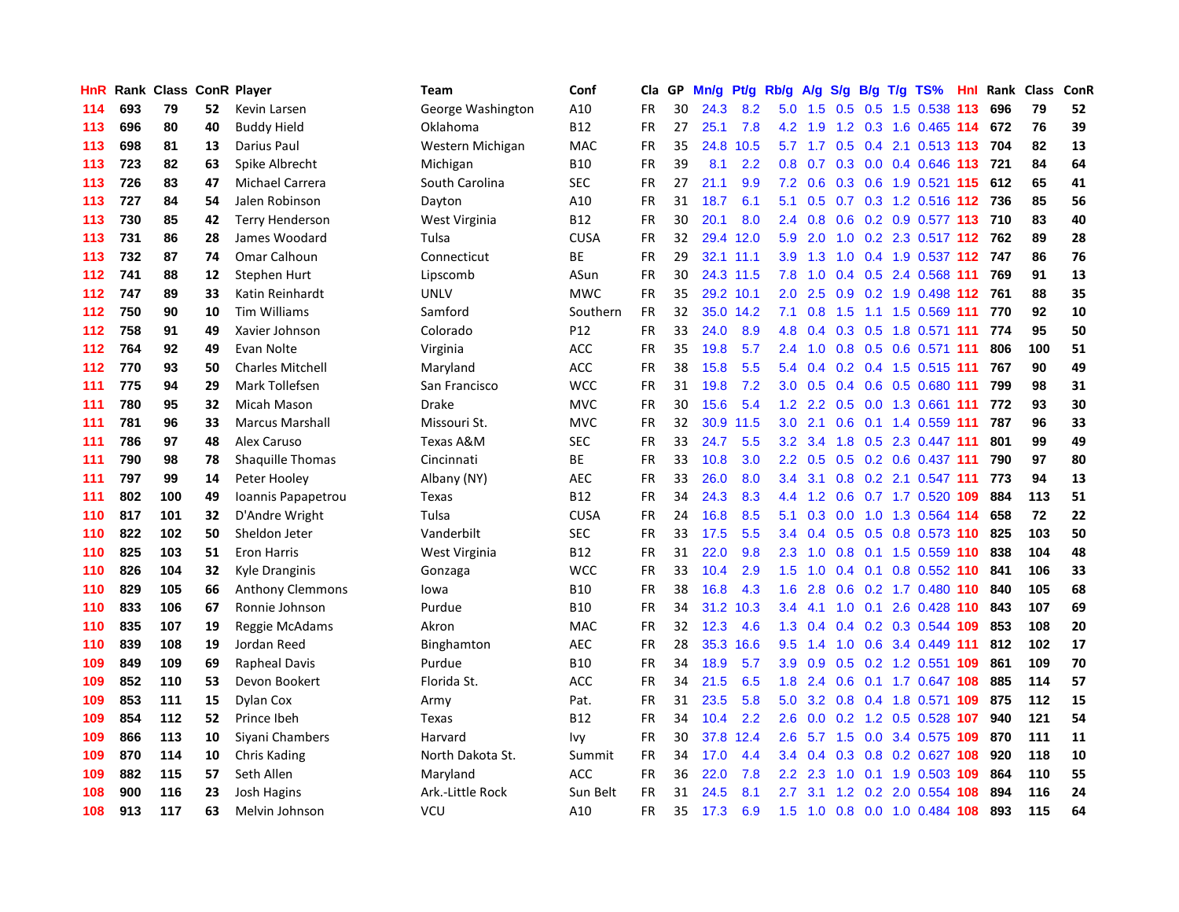| HnR |     | Rank Class ConR Player |    |                         | <b>Team</b>       | Conf        | Cla       | GP | Mn/g | Pt/g Rb/g |                  | A/g | S/g |  | $B/g$ T/g TS%                 | Hnl Rank | Class | ConR |
|-----|-----|------------------------|----|-------------------------|-------------------|-------------|-----------|----|------|-----------|------------------|-----|-----|--|-------------------------------|----------|-------|------|
| 114 | 693 | 79                     | 52 | Kevin Larsen            | George Washington | A10         | <b>FR</b> | 30 | 24.3 | 8.2       | 5.0              | 1.5 | 0.5 |  | 0.5 1.5 0.538 113             | 696      | 79    | 52   |
| 113 | 696 | 80                     | 40 | <b>Buddy Hield</b>      | Oklahoma          | B12         | FR        | 27 | 25.1 | 7.8       | 4.2              | 1.9 |     |  | 1.2 0.3 1.6 0.465 114         | 672      | 76    | 39   |
| 113 | 698 | 81                     | 13 | Darius Paul             | Western Michigan  | MAC         | FR        | 35 | 24.8 | 10.5      | 5.7              |     |     |  | 1.7 0.5 0.4 2.1 0.513 113 704 |          | 82    | 13   |
| 113 | 723 | 82                     | 63 | Spike Albrecht          | Michigan          | <b>B10</b>  | FR        | 39 | 8.1  | 2.2       | 0.8              |     |     |  | 0.7 0.3 0.0 0.4 0.646 113 721 |          | 84    | 64   |
| 113 | 726 | 83                     | 47 | Michael Carrera         | South Carolina    | <b>SEC</b>  | <b>FR</b> | 27 | 21.1 | 9.9       | 7.2              | 0.6 |     |  | 0.3 0.6 1.9 0.521 115 612     |          | 65    | 41   |
| 113 | 727 | 84                     | 54 | Jalen Robinson          | Dayton            | A10         | <b>FR</b> | 31 | 18.7 | 6.1       | 5.1              | 0.5 |     |  | 0.7 0.3 1.2 0.516 112         | 736      | 85    | 56   |
| 113 | 730 | 85                     | 42 | <b>Terry Henderson</b>  | West Virginia     | <b>B12</b>  | FR        | 30 | 20.1 | 8.0       | 2.4              | 0.8 |     |  | 0.6 0.2 0.9 0.577 113         | 710      | 83    | 40   |
| 113 | 731 | 86                     | 28 | James Woodard           | Tulsa             | <b>CUSA</b> | <b>FR</b> | 32 |      | 29.4 12.0 | 5.9              | 2.0 | 1.0 |  | 0.2 2.3 0.517 112             | 762      | 89    | 28   |
| 113 | 732 | 87                     | 74 | Omar Calhoun            | Connecticut       | BE          | <b>FR</b> | 29 | 32.1 | 11.1      | 3.9              | 1.3 | 1.0 |  | 0.4 1.9 0.537 112 747         |          | 86    | 76   |
| 112 | 741 | 88                     | 12 | Stephen Hurt            | Lipscomb          | ASun        | FR        | 30 |      | 24.3 11.5 | 7.8              | 1.0 |     |  | $0.4$ $0.5$ 2.4 $0.568$ 111   | 769      | 91    | 13   |
| 112 | 747 | 89                     | 33 | Katin Reinhardt         | <b>UNLV</b>       | <b>MWC</b>  | <b>FR</b> | 35 |      | 29.2 10.1 | 2.0 <sub>1</sub> | 2.5 |     |  | 0.9 0.2 1.9 0.498 112 761     |          | 88    | 35   |
| 112 | 750 | 90                     | 10 | <b>Tim Williams</b>     | Samford           | Southern    | <b>FR</b> | 32 |      | 35.0 14.2 | 7.1              |     |     |  | 0.8 1.5 1.1 1.5 0.569 111 770 |          | 92    | 10   |
| 112 | 758 | 91                     | 49 | Xavier Johnson          | Colorado          | P12         | <b>FR</b> | 33 | 24.0 | 8.9       | 4.8              | 0.4 |     |  | 0.3 0.5 1.8 0.571 111 774     |          | 95    | 50   |
| 112 | 764 | 92                     | 49 | Evan Nolte              | Virginia          | <b>ACC</b>  | FR        | 35 | 19.8 | 5.7       | $2.4^{\circ}$    | 1.0 |     |  | 0.8 0.5 0.6 0.571 111         | 806      | 100   | 51   |
| 112 | 770 | 93                     | 50 | <b>Charles Mitchell</b> | Maryland          | ACC         | FR        | 38 | 15.8 | 5.5       | 5.4              | 0.4 |     |  | 0.2 0.4 1.5 0.515 111         | 767      | 90    | 49   |
| 111 | 775 | 94                     | 29 | Mark Tollefsen          | San Francisco     | <b>WCC</b>  | FR        | 31 | 19.8 | 7.2       | 3.0              | 0.5 | 0.4 |  | 0.6 0.5 0.680 111             | 799      | 98    | 31   |
| 111 | 780 | 95                     | 32 | <b>Micah Mason</b>      | Drake             | MVC         | FR        | 30 | 15.6 | 5.4       | 1.2              | 2.2 | 0.5 |  | 0.0 1.3 0.661 111             | 772      | 93    | 30   |
| 111 | 781 | 96                     | 33 | <b>Marcus Marshall</b>  | Missouri St.      | <b>MVC</b>  | <b>FR</b> | 32 | 30.9 | 11.5      | 3.0              | 2.1 | 0.6 |  | $0.1$ 1.4 0.559 111           | 787      | 96    | 33   |
| 111 | 786 | 97                     | 48 | Alex Caruso             | Texas A&M         | <b>SEC</b>  | FR        | 33 | 24.7 | 5.5       | 3.2              | 3.4 |     |  | 1.8 0.5 2.3 0.447 111         | 801      | 99    | 49   |
| 111 | 790 | 98                     | 78 | Shaquille Thomas        | Cincinnati        | <b>BE</b>   | <b>FR</b> | 33 | 10.8 | 3.0       | $2.2\phantom{0}$ | 0.5 |     |  | 0.5 0.2 0.6 0.437 111         | 790      | 97    | 80   |
| 111 | 797 | 99                     | 14 | Peter Hooley            | Albany (NY)       | <b>AEC</b>  | FR        | 33 | 26.0 | 8.0       | $3.4^{\circ}$    | 3.1 |     |  | $0.8$ 0.2 2.1 0.547 111       | 773      | 94    | 13   |
| 111 | 802 | 100                    | 49 | Ioannis Papapetrou      | Texas             | <b>B12</b>  | <b>FR</b> | 34 | 24.3 | 8.3       | 4.4              | 1.2 | 0.6 |  | 0.7 1.7 0.520 109             | 884      | 113   | 51   |
| 110 | 817 | 101                    | 32 | D'Andre Wright          | Tulsa             | <b>CUSA</b> | <b>FR</b> | 24 | 16.8 | 8.5       | 5.1              | 0.3 |     |  | 0.0 1.0 1.3 0.564 114         | 658      | 72    | 22   |
| 110 | 822 | 102                    | 50 | Sheldon Jeter           | Vanderbilt        | <b>SEC</b>  | FR        | 33 | 17.5 | 5.5       | 3.4              | 0.4 | 0.5 |  | 0.5 0.8 0.573 110             | 825      | 103   | 50   |
| 110 | 825 | 103                    | 51 | <b>Eron Harris</b>      | West Virginia     | <b>B12</b>  | FR        | 31 | 22.0 | 9.8       | 2.3              | 1.0 | 0.8 |  | $0.1$ 1.5 0.559 110           | 838      | 104   | 48   |
| 110 | 826 | 104                    | 32 | Kyle Dranginis          | Gonzaga           | <b>WCC</b>  | <b>FR</b> | 33 | 10.4 | 2.9       | 1.5              | 1.0 | 0.4 |  | 0.1 0.8 0.552 110 841         |          | 106   | 33   |
| 110 | 829 | 105                    | 66 | Anthony Clemmons        | lowa              | <b>B10</b>  | FR        | 38 | 16.8 | 4.3       | 1.6              | 2.8 |     |  | 0.6 0.2 1.7 0.480 110 840     |          | 105   | 68   |
| 110 | 833 | 106                    | 67 | Ronnie Johnson          | Purdue            | <b>B10</b>  | <b>FR</b> | 34 | 31.2 | 10.3      | 3.4              | 4.1 |     |  | 1.0 0.1 2.6 0.428 110         | 843      | 107   | 69   |
| 110 | 835 | 107                    | 19 | Reggie McAdams          | Akron             | <b>MAC</b>  | FR        | 32 | 12.3 | 4.6       | 1.3              | 0.4 |     |  | $0.4$ 0.2 0.3 0.544 109       | 853      | 108   | 20   |
| 110 | 839 | 108                    | 19 | Jordan Reed             | Binghamton        | <b>AEC</b>  | <b>FR</b> | 28 | 35.3 | 16.6      | 9.5              | 1.4 | 1.0 |  | 0.6 3.4 0.449 111             | 812      | 102   | 17   |
| 109 | 849 | 109                    | 69 | <b>Rapheal Davis</b>    | Purdue            | <b>B10</b>  | <b>FR</b> | 34 | 18.9 | 5.7       | 3.9              | 0.9 | 0.5 |  | 0.2 1.2 0.551 109             | 861      | 109   | 70   |
| 109 | 852 | 110                    | 53 | Devon Bookert           | Florida St.       | ACC         | <b>FR</b> | 34 | 21.5 | 6.5       | 1.8              | 2.4 | 0.6 |  | 0.1 1.7 0.647 108             | 885      | 114   | 57   |
| 109 | 853 | 111                    | 15 | Dylan Cox               | Army              | Pat.        | <b>FR</b> | 31 | 23.5 | 5.8       | 5.0              | 3.2 | 0.8 |  | 0.4 1.8 0.571 109             | 875      | 112   | 15   |
| 109 | 854 | 112                    | 52 | Prince Ibeh             | Texas             | <b>B12</b>  | <b>FR</b> | 34 | 10.4 | 2.2       | 2.6              | 0.0 |     |  | 0.2 1.2 0.5 0.528 107         | 940      | 121   | 54   |
| 109 | 866 | 113                    | 10 | Siyani Chambers         | Harvard           | lvy         | <b>FR</b> | 30 | 37.8 | 12.4      | 2.6              | 5.7 | 1.5 |  | 0.0 3.4 0.575 109             | 870      | 111   | 11   |
| 109 | 870 | 114                    | 10 | <b>Chris Kading</b>     | North Dakota St.  | Summit      | <b>FR</b> | 34 | 17.0 | 4.4       | 3.4              | 0.4 |     |  | 0.3 0.8 0.2 0.627 108         | 920      | 118   | 10   |
| 109 | 882 | 115                    | 57 | Seth Allen              | Maryland          | <b>ACC</b>  | <b>FR</b> | 36 | 22.0 | 7.8       | $2.2\phantom{0}$ | 2.3 | 1.0 |  | 0.1 1.9 0.503 109             | 864      | 110   | 55   |
| 108 | 900 | 116                    | 23 | <b>Josh Hagins</b>      | Ark.-Little Rock  | Sun Belt    | <b>FR</b> | 31 | 24.5 | 8.1       | 2.7              | 3.1 | 1.2 |  | 0.2 2.0 0.554 108             | 894      | 116   | 24   |
| 108 | 913 | 117                    | 63 | Melvin Johnson          | VCU               | A10         | <b>FR</b> | 35 | 17.3 | 6.9       | 1.5              |     |     |  | 1.0 0.8 0.0 1.0 0.484 108     | 893      | 115   | 64   |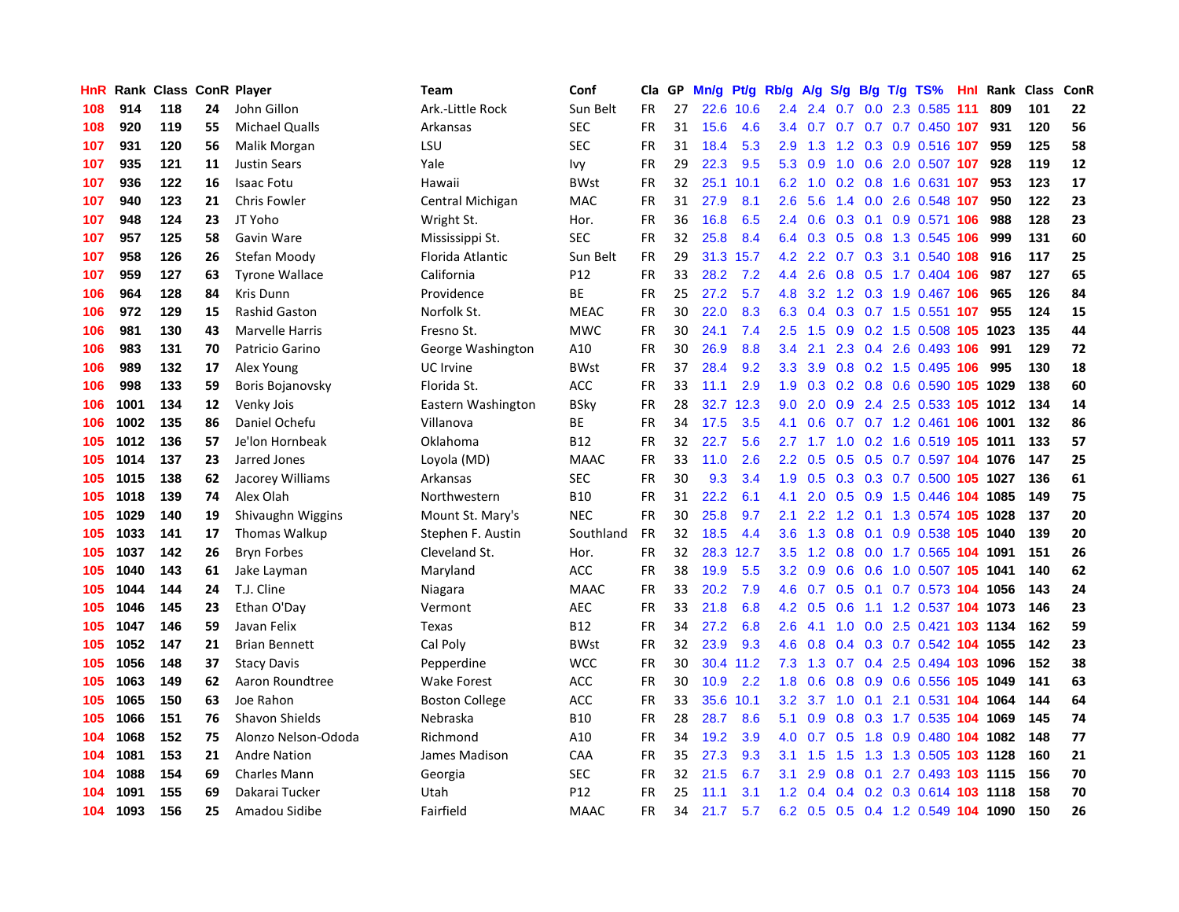| HnR | Rank | <b>Class ConR Player</b> |    |                       | <b>Team</b>           | Conf            | Cla       | GP | Mn/g | Pt/g | Rb/g             | A/g           | S/g |     | $B/g$ T/g TS%                        | Hnl | Rank | Class | ConR |
|-----|------|--------------------------|----|-----------------------|-----------------------|-----------------|-----------|----|------|------|------------------|---------------|-----|-----|--------------------------------------|-----|------|-------|------|
| 108 | 914  | 118                      | 24 | John Gillon           | Ark.-Little Rock      | Sun Belt        | <b>FR</b> | 27 | 22.6 | 10.6 | 2.4              | 2.4           | 0.7 |     | 0.0 2.3 0.585 111                    |     | 809  | 101   | 22   |
| 108 | 920  | 119                      | 55 | <b>Michael Qualls</b> | Arkansas              | SEC             | FR        | 31 | 15.6 | 4.6  | $3.4^{\circ}$    |               |     |     | 0.7 0.7 0.7 0.7 0.450 107            |     | 931  | 120   | 56   |
| 107 | 931  | 120                      | 56 | Malik Morgan          | LSU                   | <b>SEC</b>      | FR        | 31 | 18.4 | 5.3  | 2.9              |               |     |     | 1.3 1.2 0.3 0.9 0.516 107            |     | 959  | 125   | 58   |
| 107 | 935  | 121                      | 11 | <b>Justin Sears</b>   | Yale                  | lvy             | FR        | 29 | 22.3 | 9.5  | 5.3              | 0.9           |     |     | 1.0 0.6 2.0 0.507 107                |     | 928  | 119   | 12   |
| 107 | 936  | 122                      | 16 | <b>Isaac Fotu</b>     | Hawaii                | <b>BWst</b>     | FR        | 32 | 25.1 | 10.1 | 6.2              | 1.0           |     |     | 0.2 0.8 1.6 0.631 107                |     | 953  | 123   | 17   |
| 107 | 940  | 123                      | 21 | Chris Fowler          | Central Michigan      | MAC             | FR        | 31 | 27.9 | 8.1  | 2.6              | 5.6           | 1.4 |     | 0.0 2.6 0.548 107                    |     | 950  | 122   | 23   |
| 107 | 948  | 124                      | 23 | JT Yoho               | Wright St.            | Hor.            | FR        | 36 | 16.8 | 6.5  | 2.4              | 0.6           |     |     | 0.3 0.1 0.9 0.571 106                |     | 988  | 128   | 23   |
| 107 | 957  | 125                      | 58 | Gavin Ware            | Mississippi St.       | <b>SEC</b>      | FR        | 32 | 25.8 | 8.4  | 6.4              | 0.3           | 0.5 |     | 0.8 1.3 0.545 106                    |     | 999  | 131   | 60   |
| 107 | 958  | 126                      | 26 | Stefan Moody          | Florida Atlantic      | Sun Belt        | <b>FR</b> | 29 | 31.3 | 15.7 | 4.2              | 2.2           |     |     | $0.7$ $0.3$ $3.1$ $0.540$ <b>108</b> |     | 916  | 117   | 25   |
| 107 | 959  | 127                      | 63 | <b>Tyrone Wallace</b> | California            | P <sub>12</sub> | FR        | 33 | 28.2 | 7.2  | 4.4              | 2.6           |     |     | 0.8 0.5 1.7 0.404 106                |     | 987  | 127   | 65   |
| 106 | 964  | 128                      | 84 | Kris Dunn             | Providence            | <b>BE</b>       | FR        | 25 | 27.2 | 5.7  | 4.8              |               |     |     | 3.2 1.2 0.3 1.9 0.467 106            |     | 965  | 126   | 84   |
| 106 | 972  | 129                      | 15 | Rashid Gaston         | Norfolk St.           | <b>MEAC</b>     | <b>FR</b> | 30 | 22.0 | 8.3  | 6.3              | 0.4           |     |     | 0.3 0.7 1.5 0.551 107                |     | 955  | 124   | 15   |
| 106 | 981  | 130                      | 43 | Marvelle Harris       | Fresno St.            | MWC             | <b>FR</b> | 30 | 24.1 | 7.4  | 2.5              | 1.5           |     |     | 0.9 0.2 1.5 0.508 105 1023           |     |      | 135   | 44   |
| 106 | 983  | 131                      | 70 | Patricio Garino       | George Washington     | A10             | <b>FR</b> | 30 | 26.9 | 8.8  | 3.4              | 2.1           | 2.3 |     | $0.4$ 2.6 0.493 106                  |     | 991  | 129   | 72   |
| 106 | 989  | 132                      | 17 | Alex Young            | UC Irvine             | <b>BWst</b>     | <b>FR</b> | 37 | 28.4 | 9.2  | 3.3              | 3.9           |     |     | 0.8 0.2 1.5 0.495 106                |     | 995  | 130   | 18   |
| 106 | 998  | 133                      | 59 | Boris Bojanovsky      | Florida St.           | <b>ACC</b>      | <b>FR</b> | 33 | 11.1 | 2.9  | 1.9              | 0.3           |     |     | 0.2 0.8 0.6 0.590 105 1029           |     |      | 138   | 60   |
| 106 | 1001 | 134                      | 12 | Venky Jois            | Eastern Washington    | BSky            | <b>FR</b> | 28 | 32.7 | 12.3 | 9.0              | 2.0           | 0.9 |     | 2.4 2.5 0.533 105 1012               |     |      | 134   | 14   |
| 106 | 1002 | 135                      | 86 | Daniel Ochefu         | Villanova             | <b>BE</b>       | <b>FR</b> | 34 | 17.5 | 3.5  | 4.1              | 0.6           | 0.7 |     | 0.7 1.2 0.461 106 1001               |     |      | 132   | 86   |
| 105 | 1012 | 136                      | 57 | Je'lon Hornbeak       | Oklahoma              | B12             | <b>FR</b> | 32 | 22.7 | 5.6  | 2.7              | 1.7           |     |     | 1.0 0.2 1.6 0.519 105 1011           |     |      | 133   | 57   |
| 105 | 1014 | 137                      | 23 | Jarred Jones          | Loyola (MD)           | MAAC            | <b>FR</b> | 33 | 11.0 | 2.6  | $2.2\phantom{0}$ |               |     |     | 0.5 0.5 0.5 0.7 0.597 104 1076       |     |      | 147   | 25   |
| 105 | 1015 | 138                      | 62 | Jacorey Williams      | Arkansas              | <b>SEC</b>      | FR        | 30 | 9.3  | 3.4  | 1.9              | 0.5           |     |     | 0.3 0.3 0.7 0.500 105 1027           |     |      | 136   | 61   |
| 105 | 1018 | 139                      | 74 | Alex Olah             | Northwestern          | <b>B10</b>      | <b>FR</b> | 31 | 22.2 | 6.1  | 4.1              | 2.0           | 0.5 |     | 0.9 1.5 0.446 104 1085               |     |      | 149   | 75   |
| 105 | 1029 | 140                      | 19 | Shivaughn Wiggins     | Mount St. Mary's      | <b>NEC</b>      | <b>FR</b> | 30 | 25.8 | 9.7  | 2.1              | $2.2^{\circ}$ | 1.2 |     | 0.1 1.3 0.574 105 1028               |     |      | 137   | 20   |
| 105 | 1033 | 141                      | 17 | <b>Thomas Walkup</b>  | Stephen F. Austin     | Southland       | <b>FR</b> | 32 | 18.5 | 4.4  | 3.6              | 1.3           | 0.8 |     | 0.1 0.9 0.538 105 1040               |     |      | 139   | 20   |
| 105 | 1037 | 142                      | 26 | <b>Bryn Forbes</b>    | Cleveland St.         | Hor.            | <b>FR</b> | 32 | 28.3 | 12.7 | 3.5              | 1.2           | 0.8 |     | 0.0 1.7 0.565 104 1091               |     |      | 151   | 26   |
| 105 | 1040 | 143                      | 61 | Jake Layman           | Maryland              | <b>ACC</b>      | <b>FR</b> | 38 | 19.9 | 5.5  | 3.2              | 0.9           | 0.6 |     | 0.6 1.0 0.507 105 1041               |     |      | 140   | 62   |
| 105 | 1044 | 144                      | 24 | T.J. Cline            | Niagara               | <b>MAAC</b>     | <b>FR</b> | 33 | 20.2 | 7.9  | 4.6              | 0.7           |     |     | 0.5 0.1 0.7 0.573 104 1056           |     |      | 143   | 24   |
| 105 | 1046 | 145                      | 23 | Ethan O'Day           | Vermont               | <b>AEC</b>      | <b>FR</b> | 33 | 21.8 | 6.8  | 4.2              | 0.5           |     |     | 0.6 1.1 1.2 0.537 104 1073           |     |      | 146   | 23   |
| 105 | 1047 | 146                      | 59 | Javan Felix           | Texas                 | B12             | FR.       | 34 | 27.2 | 6.8  | $2.6^{\circ}$    | 4.1           |     |     | 1.0 0.0 2.5 0.421 103 1134           |     |      | 162   | 59   |
| 105 | 1052 | 147                      | 21 | <b>Brian Bennett</b>  | Cal Poly              | <b>BWst</b>     | FR        | 32 | 23.9 | 9.3  | 4.6              | 0.8           |     |     | 0.4 0.3 0.7 0.542 104 1055           |     |      | 142   | 23   |
| 105 | 1056 | 148                      | 37 | <b>Stacy Davis</b>    | Pepperdine            | <b>WCC</b>      | <b>FR</b> | 30 | 30.4 | 11.2 | 7.3              | 1.3           | 0.7 |     | 0.4 2.5 0.494 103 1096               |     |      | 152   | 38   |
| 105 | 1063 | 149                      | 62 | Aaron Roundtree       | <b>Wake Forest</b>    | ACC             | <b>FR</b> | 30 | 10.9 | 2.2  | 1.8              | 0.6           | 0.8 |     | 0.9 0.6 0.556 105 1049               |     |      | 141   | 63   |
| 105 | 1065 | 150                      | 63 | Joe Rahon             | <b>Boston College</b> | ACC             | <b>FR</b> | 33 | 35.6 | 10.1 | 3.2              | 3.7           | 1.0 | 0.1 | 2.1 0.531 104 1064                   |     |      | 144   | 64   |
| 105 | 1066 | 151                      | 76 | Shavon Shields        | Nebraska              | <b>B10</b>      | FR        | 28 | 28.7 | 8.6  | 5.1              | 0.9           | 0.8 |     | 0.3 1.7 0.535 104 1069               |     |      | 145   | 74   |
| 104 | 1068 | 152                      | 75 | Alonzo Nelson-Ododa   | Richmond              | A10             | <b>FR</b> | 34 | 19.2 | 3.9  | 4.0              | 0.7           | 0.5 |     | 1.8 0.9 0.480 104 1082               |     |      | 148   | 77   |
| 104 | 1081 | 153                      | 21 | <b>Andre Nation</b>   | James Madison         | CAA             | FR        | 35 | 27.3 | 9.3  | 3.1              | 1.5           | 1.5 |     | 1.3 1.3 0.505 103 1128               |     |      | 160   | 21   |
| 104 | 1088 | 154                      | 69 | <b>Charles Mann</b>   | Georgia               | <b>SEC</b>      | <b>FR</b> | 32 | 21.5 | 6.7  | 3.1              | 2.9           | 0.8 |     | 0.1 2.7 0.493 103 1115               |     |      | 156   | 70   |
| 104 | 1091 | 155                      | 69 | Dakarai Tucker        | Utah                  | P12             | FR        | 25 | 11.1 | 3.1  | $1.2^{\circ}$    | 0.4           |     |     | 0.4 0.2 0.3 0.614 103 1118           |     |      | 158   | 70   |
| 104 | 1093 | 156                      | 25 | Amadou Sidibe         | Fairfield             | <b>MAAC</b>     | <b>FR</b> | 34 | 21.7 | 5.7  | 6.2              |               |     |     | 0.5 0.5 0.4 1.2 0.549 104 1090       |     |      | 150   | 26   |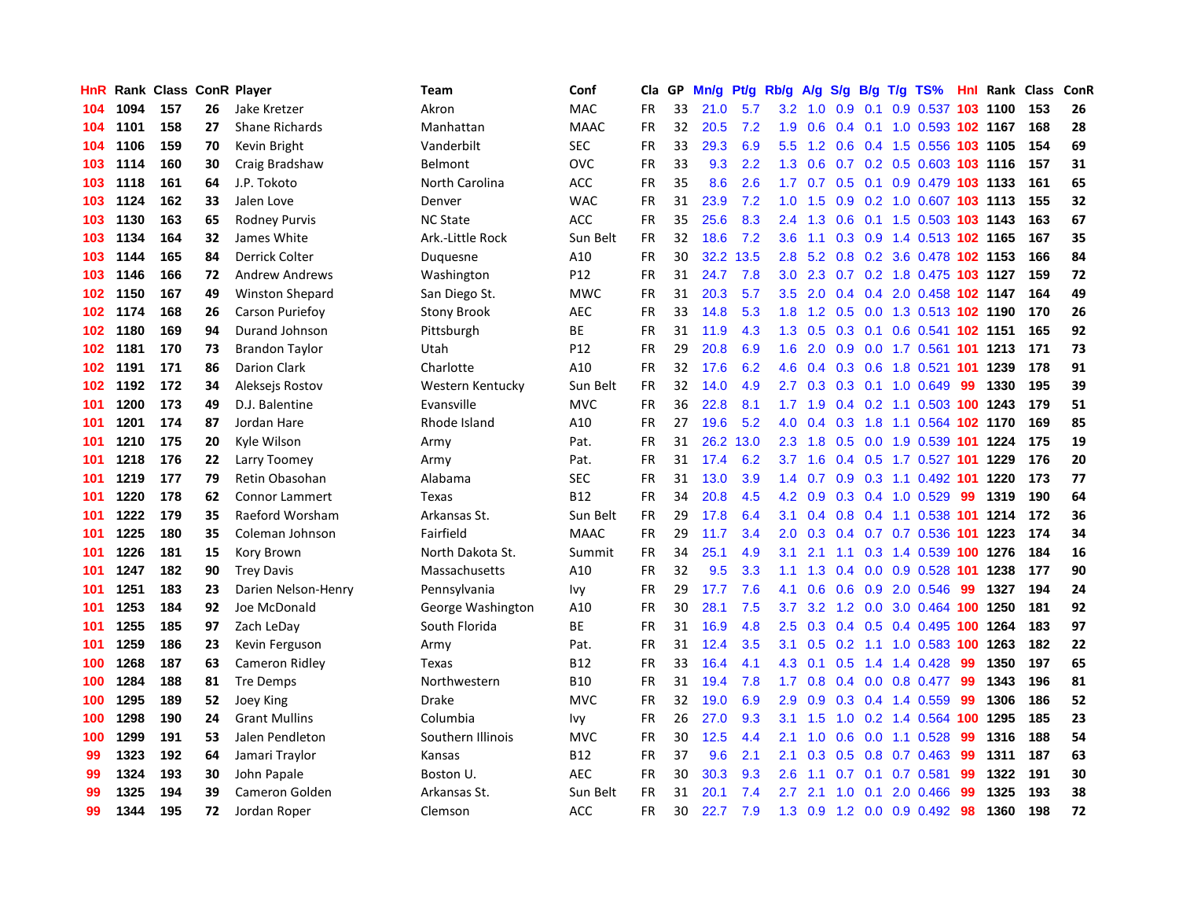| HnR |      | Rank Class ConR Player |    |                        | Team               | Conf            | Cla       | <b>GP</b> | Mn/g | <b>Pt/g</b> | Rb/g             | A/g       |                  |     | S/g B/g T/g TS%            |     | <b>Hnl</b> Rank | Class | ConR |
|-----|------|------------------------|----|------------------------|--------------------|-----------------|-----------|-----------|------|-------------|------------------|-----------|------------------|-----|----------------------------|-----|-----------------|-------|------|
| 104 | 1094 | 157                    | 26 | Jake Kretzer           | Akron              | <b>MAC</b>      | <b>FR</b> | 33        | 21.0 | 5.7         | 3.2              | 1.0       | 0.9              | 0.1 | 0.9 0.537 103 1100         |     |                 | 153   | 26   |
| 104 | 1101 | 158                    | 27 | <b>Shane Richards</b>  | Manhattan          | <b>MAAC</b>     | FR        | 32        | 20.5 | 7.2         | 1.9              | 0.6       |                  |     | 0.4 0.1 1.0 0.593 102 1167 |     |                 | 168   | 28   |
| 104 | 1106 | 159                    | 70 | Kevin Bright           | Vanderbilt         | <b>SEC</b>      | <b>FR</b> | 33        | 29.3 | 6.9         | 5.5              | 1.2       |                  |     | 0.6 0.4 1.5 0.556 103 1105 |     |                 | 154   | 69   |
| 103 | 1114 | 160                    | 30 | Craig Bradshaw         | Belmont            | OVC             | FR        | 33        | 9.3  | 2.2         | 1.3              | 0.6       |                  |     | 0.7 0.2 0.5 0.603 103 1116 |     |                 | 157   | 31   |
| 103 | 1118 | 161                    | 64 | J.P. Tokoto            | North Carolina     | ACC             | FR        | 35        | 8.6  | 2.6         | 1.7 <sub>z</sub> | 0.7       | 0.5              |     | 0.1 0.9 0.479 103 1133     |     |                 | 161   | 65   |
| 103 | 1124 | 162                    | 33 | Jalen Love             | Denver             | <b>WAC</b>      | <b>FR</b> | 31        | 23.9 | 7.2         | 1.0              | 1.5       | 0.9              |     | 0.2 1.0 0.607 103 1113     |     |                 | 155   | 32   |
| 103 | 1130 | 163                    | 65 | <b>Rodney Purvis</b>   | <b>NC State</b>    | <b>ACC</b>      | <b>FR</b> | 35        | 25.6 | 8.3         | 2.4              | 1.3       | 0.6              |     | 0.1 1.5 0.503 103 1143     |     |                 | 163   | 67   |
| 103 | 1134 | 164                    | 32 | James White            | Ark.-Little Rock   | Sun Belt        | FR        | 32        | 18.6 | 7.2         | 3.6              | 1.1       |                  |     | 0.3 0.9 1.4 0.513 102 1165 |     |                 | 167   | 35   |
| 103 | 1144 | 165                    | 84 | Derrick Colter         | Duquesne           | A10             | <b>FR</b> | 30        | 32.2 | 13.5        | 2.8              | 5.2       | 0.8              |     | 0.2 3.6 0.478 102 1153     |     |                 | 166   | 84   |
| 103 | 1146 | 166                    | 72 | <b>Andrew Andrews</b>  | Washington         | P <sub>12</sub> | FR        | 31        | 24.7 | 7.8         | 3.0 <sub>2</sub> | 2.3       |                  |     | 0.7 0.2 1.8 0.475 103 1127 |     |                 | 159   | 72   |
| 102 | 1150 | 167                    | 49 | <b>Winston Shepard</b> | San Diego St.      | <b>MWC</b>      | FR        | 31        | 20.3 | 5.7         | 3.5              | 2.0       |                  |     | 0.4 0.4 2.0 0.458 102 1147 |     |                 | 164   | 49   |
| 102 | 1174 | 168                    | 26 | Carson Puriefoy        | <b>Stony Brook</b> | <b>AEC</b>      | FR        | 33        | 14.8 | 5.3         | 1.8              | 1.2       |                  |     | 0.5 0.0 1.3 0.513 102 1190 |     |                 | 170   | 26   |
| 102 | 1180 | 169                    | 94 | Durand Johnson         | Pittsburgh         | <b>BE</b>       | FR        | 31        | 11.9 | 4.3         | 1.3              | 0.5       | 0.3              |     | 0.1 0.6 0.541 102 1151     |     |                 | 165   | 92   |
| 102 | 1181 | 170                    | 73 | <b>Brandon Taylor</b>  | Utah               | P12             | FR        | 29        | 20.8 | 6.9         | 1.6              | 2.0       | 0.9              |     | 0.0 1.7 0.561 101 1213     |     |                 | 171   | 73   |
| 102 | 1191 | 171                    | 86 | Darion Clark           | Charlotte          | A10             | <b>FR</b> | 32        | 17.6 | 6.2         | 4.6              | 0.4       | 0.3              |     | 0.6 1.8 0.521 101          |     | 1239            | 178   | 91   |
| 102 | 1192 | 172                    | 34 | Aleksejs Rostov        | Western Kentucky   | Sun Belt        | FR        | 32        | 14.0 | 4.9         | $2.7^{\circ}$    | 0.3       | 0.3              |     | $0.1$ 1.0 0.649            | 99  | 1330            | 195   | 39   |
| 101 | 1200 | 173                    | 49 | D.J. Balentine         | Evansville         | <b>MVC</b>      | <b>FR</b> | 36        | 22.8 | 8.1         | 1.7 <sup>2</sup> | 1.9       | 0.4              |     | 0.2 1.1 0.503 100 1243     |     |                 | 179   | 51   |
| 101 | 1201 | 174                    | 87 | Jordan Hare            | Rhode Island       | A10             | <b>FR</b> | 27        | 19.6 | 5.2         | 4.0              | 0.4       | 0.3              |     | 1.8 1.1 0.564 102 1170     |     |                 | 169   | 85   |
| 101 | 1210 | 175                    | 20 | Kyle Wilson            | Army               | Pat.            | FR        | 31        | 26.2 | 13.0        |                  | $2.3$ 1.8 |                  |     | 0.5 0.0 1.9 0.539 101 1224 |     |                 | 175   | 19   |
| 101 | 1218 | 176                    | 22 | Larry Toomey           | Army               | Pat.            | <b>FR</b> | 31        | 17.4 | 6.2         | 3.7              | 1.6       |                  |     | 0.4 0.5 1.7 0.527 101 1229 |     |                 | 176   | 20   |
| 101 | 1219 | 177                    | 79 | Retin Obasohan         | Alabama            | <b>SEC</b>      | FR        | 31        | 13.0 | 3.9         | 1.4              | 0.7       |                  |     | 0.9 0.3 1.1 0.492 101 1220 |     |                 | 173   | 77   |
| 101 | 1220 | 178                    | 62 | <b>Connor Lammert</b>  | Texas              | <b>B12</b>      | FR        | 34        | 20.8 | 4.5         | 4.2              | 0.9       |                  |     | $0.3$ 0.4 1.0 0.529        | 99  | 1319            | 190   | 64   |
| 101 | 1222 | 179                    | 35 | Raeford Worsham        | Arkansas St.       | Sun Belt        | FR        | 29        | 17.8 | 6.4         | 3.1              | 0.4       |                  |     | 0.8 0.4 1.1 0.538 101      |     | 1214            | 172   | 36   |
| 101 | 1225 | 180                    | 35 | Coleman Johnson        | Fairfield          | <b>MAAC</b>     | <b>FR</b> | 29        | 11.7 | 3.4         | 2.0              | 0.3       | 0.4              |     | 0.7 0.7 0.536              |     | 101 1223        | 174   | 34   |
| 101 | 1226 | 181                    | 15 | Kory Brown             | North Dakota St.   | Summit          | FR        | 34        | 25.1 | 4.9         | 3.1              | 2.1       | 1.1              |     | 0.3 1.4 0.539 100 1276     |     |                 | 184   | 16   |
| 101 | 1247 | 182                    | 90 | <b>Trey Davis</b>      | Massachusetts      | A10             | <b>FR</b> | 32        | 9.5  | 3.3         | 1.1              | 1.3       |                  |     | 0.4 0.0 0.9 0.528 101 1238 |     |                 | 177   | 90   |
| 101 | 1251 | 183                    | 23 | Darien Nelson-Henry    | Pennsylvania       | Ivy             | FR        | 29        | 17.7 | 7.6         | 4.1              | 0.6       |                  |     | 0.6 0.9 2.0 0.546          | -99 | 1327            | 194   | 24   |
| 101 | 1253 | 184                    | 92 | Joe McDonald           | George Washington  | A10             | <b>FR</b> | 30        | 28.1 | 7.5         | 3.7              | 3.2       |                  |     | 1.2 0.0 3.0 0.464 100 1250 |     |                 | 181   | 92   |
| 101 | 1255 | 185                    | 97 | Zach LeDay             | South Florida      | ВE              | FR        | 31        | 16.9 | 4.8         | 2.5              | 0.3       |                  |     | 0.4 0.5 0.4 0.495 100 1264 |     |                 | 183   | 97   |
| 101 | 1259 | 186                    | 23 | Kevin Ferguson         | Army               | Pat.            | <b>FR</b> | 31        | 12.4 | 3.5         | 3.1              | 0.5       | 0.2 <sub>0</sub> |     | 1.1 1.0 0.583 100 1263     |     |                 | 182   | 22   |
| 100 | 1268 | 187                    | 63 | Cameron Ridley         | Texas              | <b>B12</b>      | FR        | 33        | 16.4 | 4.1         | 4.3              | 0.1       | 0.5              |     | 1.4 1.4 0.428              | 99  | 1350            | 197   | 65   |
| 100 | 1284 | 188                    | 81 | <b>Tre Demps</b>       | Northwestern       | <b>B10</b>      | <b>FR</b> | 31        | 19.4 | 7.8         | 1.7              | 0.8       | $0.4^{\circ}$    |     | $0.0$ 0.8 0.477            | 99  | 1343            | 196   | 81   |
| 100 | 1295 | 189                    | 52 | Joey King              | Drake              | <b>MVC</b>      | <b>FR</b> | 32        | 19.0 | 6.9         | 2.9              | 0.9       | 0.3              |     | 0.4 1.4 0.559              | 99  | 1306            | 186   | 52   |
| 100 | 1298 | 190                    | 24 | <b>Grant Mullins</b>   | Columbia           | Ivy             | <b>FR</b> | 26        | 27.0 | 9.3         | 3.1              | 1.5       | 1.0              |     | 0.2 1.4 0.564 100 1295     |     |                 | 185   | 23   |
| 100 | 1299 | 191                    | 53 | Jalen Pendleton        | Southern Illinois  | <b>MVC</b>      | <b>FR</b> | 30        | 12.5 | 4.4         | 2.1              | 1.0       | 0.6              |     | $0.0$ 1.1 0.528            | -99 | 1316            | 188   | 54   |
| 99  | 1323 | 192                    | 64 | Jamari Traylor         | Kansas             | <b>B12</b>      | FR        | 37        | 9.6  | 2.1         | 2.1              | 0.3       |                  |     | 0.5 0.8 0.7 0.463          | -99 | 1311            | 187   | 63   |
| 99  | 1324 | 193                    | 30 | John Papale            | Boston U.          | <b>AEC</b>      | FR        | 30        | 30.3 | 9.3         | 2.6              | 1.1       | 0.7              |     | 0.1 0.7 0.581              | 99  | 1322            | 191   | 30   |
| 99  | 1325 | 194                    | 39 | Cameron Golden         | Arkansas St.       | Sun Belt        | <b>FR</b> | 31        | 20.1 | 7.4         | 2.7              | 2.1       | 1.0              | 0.1 | 2.0 0.466                  | 99  | 1325            | 193   | 38   |
| 99  | 1344 | 195                    | 72 | Jordan Roper           | Clemson            | <b>ACC</b>      | FR        | 30        | 22.7 | 7.9         | 1.3              | 0.9       |                  |     | 1.2 0.0 0.9 0.492 98       |     | 1360            | 198   | 72   |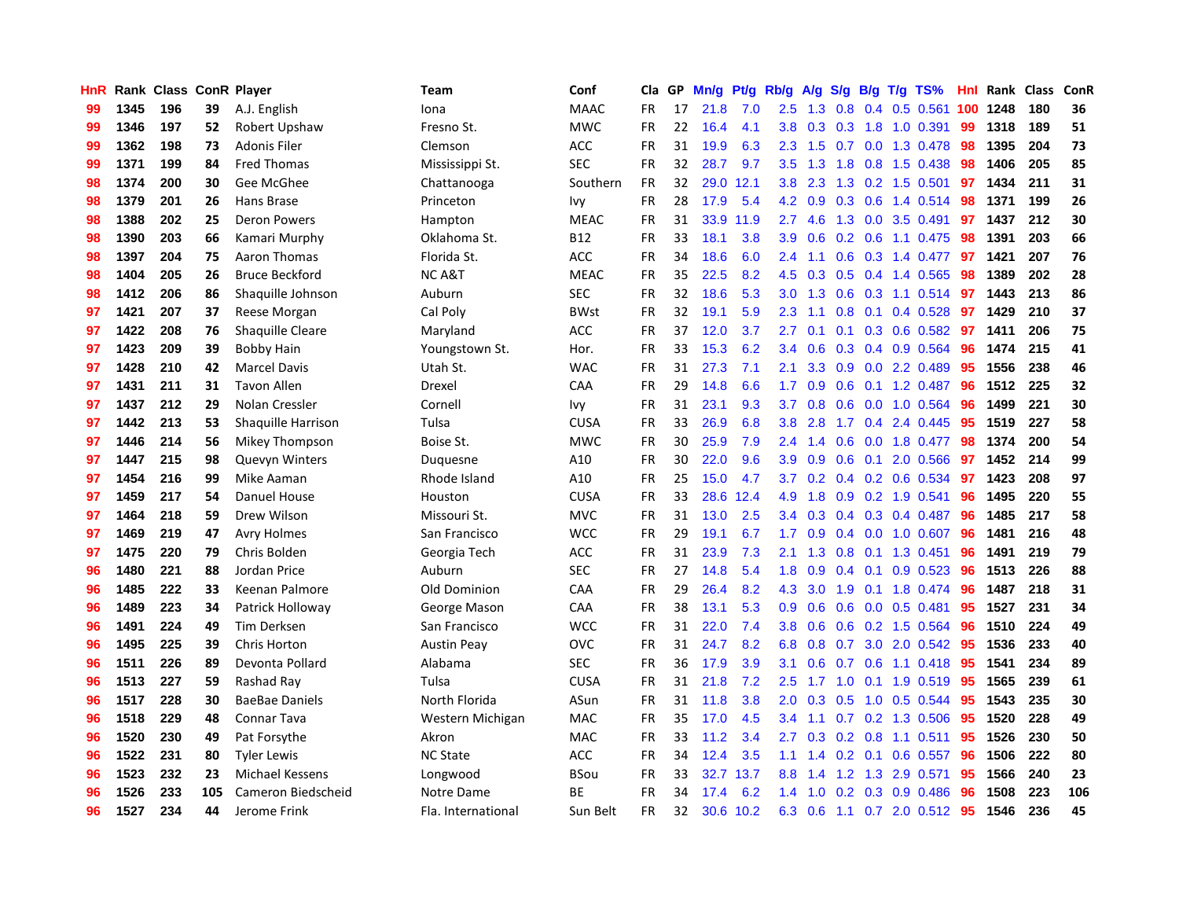| <b>HnR</b> |      | Rank Class ConR Player |     |                        | Team               | Conf        | Cla       | GP | Mn/g | <b>Pt/g</b> | Rb/g             | A/g |     |                 | $S/g$ B/g T/g TS%         | Hnl | Rank | Class | ConR |
|------------|------|------------------------|-----|------------------------|--------------------|-------------|-----------|----|------|-------------|------------------|-----|-----|-----------------|---------------------------|-----|------|-------|------|
| 99         | 1345 | 196                    | 39  | A.J. English           | Iona               | <b>MAAC</b> | FR.       | 17 | 21.8 | 7.0         | $2.5\,$          | 1.3 | 0.8 |                 | $0.4$ 0.5 0.561           | 100 | 1248 | 180   | 36   |
| 99         | 1346 | 197                    | 52  | Robert Upshaw          | Fresno St.         | <b>MWC</b>  | <b>FR</b> | 22 | 16.4 | 4.1         | 3.8 <sub>1</sub> |     |     |                 | 0.3 0.3 1.8 1.0 0.391     | -99 | 1318 | 189   | 51   |
| 99         | 1362 | 198                    | 73  | <b>Adonis Filer</b>    | Clemson            | <b>ACC</b>  | FR.       | 31 | 19.9 | 6.3         | 2.3              | 1.5 |     |                 | $0.7$ 0.0 1.3 0.478       | -98 | 1395 | 204   | 73   |
| 99         | 1371 | 199                    | 84  | <b>Fred Thomas</b>     | Mississippi St.    | <b>SEC</b>  | <b>FR</b> | 32 | 28.7 | 9.7         | $3.5^{\circ}$    | 1.3 | 1.8 |                 | $0.8$ 1.5 0.438           | -98 | 1406 | 205   | 85   |
| 98         | 1374 | 200                    | 30  | Gee McGhee             | Chattanooga        | Southern    | <b>FR</b> | 32 | 29.0 | 12.1        | 3.8 <sub>2</sub> | 2.3 | 1.3 |                 | $0.2$ 1.5 0.501           | 97  | 1434 | 211   | 31   |
| 98         | 1379 | 201                    | 26  | Hans Brase             | Princeton          | Ivy         | <b>FR</b> | 28 | 17.9 | 5.4         | 4.2              | 0.9 | 0.3 |                 | 0.6 1.4 0.514             | 98  | 1371 | 199   | 26   |
| 98         | 1388 | 202                    | 25  | <b>Deron Powers</b>    | Hampton            | <b>MEAC</b> | <b>FR</b> | 31 | 33.9 | 11.9        | $2.7^{\circ}$    | 4.6 | 1.3 |                 | $0.0$ 3.5 $0.491$         | 97  | 1437 | 212   | 30   |
| 98         | 1390 | 203                    | 66  | Kamari Murphy          | Oklahoma St.       | <b>B12</b>  | <b>FR</b> | 33 | 18.1 | 3.8         | 3.9 <sup>°</sup> | 0.6 | 0.2 |                 | 0.6 1.1 0.475             | -98 | 1391 | 203   | 66   |
| 98         | 1397 | 204                    | 75  | Aaron Thomas           | Florida St.        | ACC         | FR        | 34 | 18.6 | 6.0         | $2.4^{\circ}$    | 1.1 | 0.6 |                 | $0.3$ 1.4 $0.477$         | -97 | 1421 | 207   | 76   |
| 98         | 1404 | 205                    | 26  | <b>Bruce Beckford</b>  | <b>NCA&amp;T</b>   | <b>MEAC</b> | <b>FR</b> | 35 | 22.5 | 8.2         | 4.5              | 0.3 |     |                 | $0.5$ 0.4 1.4 0.565       | -98 | 1389 | 202   | 28   |
| 98         | 1412 | 206                    | 86  | Shaquille Johnson      | Auburn             | <b>SEC</b>  | <b>FR</b> | 32 | 18.6 | 5.3         | 3.0 <sub>1</sub> | 1.3 |     |                 | 0.6 0.3 1.1 0.514 97      |     | 1443 | 213   | 86   |
| 97         | 1421 | 207                    | 37  | Reese Morgan           | Cal Poly           | <b>BWst</b> | FR.       | 32 | 19.1 | 5.9         | $2.3^{\circ}$    | 1.1 |     |                 | $0.8$ 0.1 0.4 0.528       | 97  | 1429 | 210   | 37   |
| 97         | 1422 | 208                    | 76  | Shaquille Cleare       | Maryland           | <b>ACC</b>  | <b>FR</b> | 37 | 12.0 | 3.7         | $2.7^{\circ}$    | 0.1 |     |                 | 0.1 0.3 0.6 0.582 97      |     | 1411 | 206   | 75   |
| 97         | 1423 | 209                    | 39  | <b>Bobby Hain</b>      | Youngstown St.     | Hor.        | <b>FR</b> | 33 | 15.3 | 6.2         | 3.4              | 0.6 |     |                 | 0.3 0.4 0.9 0.564         | 96  | 1474 | 215   | 41   |
| 97         | 1428 | 210                    | 42  | <b>Marcel Davis</b>    | Utah St.           | <b>WAC</b>  | <b>FR</b> | 31 | 27.3 | 7.1         | 2.1              | 3.3 | 0.9 |                 | $0.0$ 2.2 $0.489$         | 95  | 1556 | 238   | 46   |
| 97         | 1431 | 211                    | 31  | <b>Tavon Allen</b>     | Drexel             | CAA         | <b>FR</b> | 29 | 14.8 | 6.6         | 1.7 <sub>2</sub> | 0.9 | 0.6 |                 | $0.1$ 1.2 0.487           | 96  | 1512 | 225   | 32   |
| 97         | 1437 | 212                    | 29  | <b>Nolan Cressler</b>  | Cornell            | Ivy         | <b>FR</b> | 31 | 23.1 | 9.3         | 3.7              | 0.8 | 0.6 |                 | 0.0 1.0 0.564             | -96 | 1499 | 221   | 30   |
| 97         | 1442 | 213                    | 53  | Shaquille Harrison     | Tulsa              | <b>CUSA</b> | <b>FR</b> | 33 | 26.9 | 6.8         | 3.8 <sub>2</sub> | 2.8 | 1.7 |                 | 0.4 2.4 0.445             | 95  | 1519 | 227   | 58   |
| 97         | 1446 | 214                    | 56  | Mikey Thompson         | Boise St.          | <b>MWC</b>  | <b>FR</b> | 30 | 25.9 | 7.9         | $2.4^{\circ}$    | 1.4 |     |                 | 0.6 0.0 1.8 0.477 98      |     | 1374 | 200   | 54   |
| 97         | 1447 | 215                    | 98  | Quevyn Winters         | Duquesne           | A10         | <b>FR</b> | 30 | 22.0 | 9.6         | 3.9 <sup>°</sup> | 0.9 |     |                 | 0.6 0.1 2.0 0.566         | 97  | 1452 | 214   | 99   |
| 97         | 1454 | 216                    | 99  | Mike Aaman             | Rhode Island       | A10         | FR        | 25 | 15.0 | 4.7         | 3.7 <sub>2</sub> | 0.2 |     |                 | 0.4 0.2 0.6 0.534 97      |     | 1423 | 208   | 97   |
| 97         | 1459 | 217                    | 54  | Danuel House           | Houston            | <b>CUSA</b> | <b>FR</b> | 33 | 28.6 | 12.4        | 4.9              | 1.8 |     |                 | 0.9 0.2 1.9 0.541         | 96  | 1495 | 220   | 55   |
| 97         | 1464 | 218                    | 59  | Drew Wilson            | Missouri St.       | <b>MVC</b>  | <b>FR</b> | 31 | 13.0 | 2.5         | 3.4              | 0.3 |     |                 | $0.4$ 0.3 0.4 0.487       | 96  | 1485 | 217   | 58   |
| 97         | 1469 | 219                    | 47  | <b>Avry Holmes</b>     | San Francisco      | <b>WCC</b>  | <b>FR</b> | 29 | 19.1 | 6.7         | 1.7              | 0.9 |     |                 | $0.4$ 0.0 1.0 0.607       | 96  | 1481 | 216   | 48   |
| 97         | 1475 | 220                    | 79  | Chris Bolden           | Georgia Tech       | <b>ACC</b>  | FR        | 31 | 23.9 | 7.3         | 2.1              | 1.3 | 0.8 |                 | $0.1$ 1.3 0.451           | 96  | 1491 | 219   | 79   |
| 96         | 1480 | 221                    | 88  | Jordan Price           | Auburn             | <b>SEC</b>  | FR        | 27 | 14.8 | 5.4         | 1.8              | 0.9 |     | $0.4 \quad 0.1$ | $0.9$ 0.523               | -96 | 1513 | 226   | 88   |
| 96         | 1485 | 222                    | 33  | Keenan Palmore         | Old Dominion       | CAA         | FR        | 29 | 26.4 | 8.2         | 4.3              | 3.0 |     |                 | 1.9 0.1 1.8 0.474 96      |     | 1487 | 218   | 31   |
| 96         | 1489 | 223                    | 34  | Patrick Holloway       | George Mason       | CAA         | <b>FR</b> | 38 | 13.1 | 5.3         | 0.9 <sup>°</sup> | 0.6 |     |                 | $0.6$ $0.0$ $0.5$ $0.481$ | -95 | 1527 | 231   | 34   |
| 96         | 1491 | 224                    | 49  | Tim Derksen            | San Francisco      | <b>WCC</b>  | <b>FR</b> | 31 | 22.0 | 7.4         | 3.8 <sub>1</sub> | 0.6 |     |                 | $0.6$ $0.2$ 1.5 $0.564$   | -96 | 1510 | 224   | 49   |
| 96         | 1495 | 225                    | 39  | <b>Chris Horton</b>    | <b>Austin Peay</b> | <b>OVC</b>  | <b>FR</b> | 31 | 24.7 | 8.2         | 6.8              | 0.8 |     |                 | 0.7 3.0 2.0 0.542 95      |     | 1536 | 233   | 40   |
| 96         | 1511 | 226                    | 89  | Devonta Pollard        | Alabama            | <b>SEC</b>  | <b>FR</b> | 36 | 17.9 | 3.9         | 3.1              | 0.6 | 0.7 |                 | $0.6$ 1.1 $0.418$         | -95 | 1541 | 234   | 89   |
| 96         | 1513 | 227                    | 59  | Rashad Ray             | Tulsa              | <b>CUSA</b> | <b>FR</b> | 31 | 21.8 | 7.2         | 2.5              | 1.7 | 1.0 |                 | 0.1 1.9 0.519             | -95 | 1565 | 239   | 61   |
| 96         | 1517 | 228                    | 30  | <b>BaeBae Daniels</b>  | North Florida      | ASun        | <b>FR</b> | 31 | 11.8 | 3.8         | 2.0 <sub>1</sub> | 0.3 | 0.5 |                 | $1.0 \t0.5 \t0.544$       | 95  | 1543 | 235   | 30   |
| 96         | 1518 | 229                    | 48  | <b>Connar Tava</b>     | Western Michigan   | <b>MAC</b>  | <b>FR</b> | 35 | 17.0 | 4.5         | $3.4^{\circ}$    | 1.1 |     |                 | 0.7 0.2 1.3 0.506         | -95 | 1520 | 228   | 49   |
| 96         | 1520 | 230                    | 49  | Pat Forsythe           | Akron              | <b>MAC</b>  | <b>FR</b> | 33 | 11.2 | 3.4         | $2.7^{\circ}$    | 0.3 | 0.2 |                 | $0.8$ 1.1 0.511           | 95  | 1526 | 230   | 50   |
| 96         | 1522 | 231                    | 80  | Tyler Lewis            | <b>NC State</b>    | <b>ACC</b>  | <b>FR</b> | 34 | 12.4 | 3.5         | 1.1              |     |     |                 | 1.4 0.2 0.1 0.6 0.557     | -96 | 1506 | 222   | 80   |
| 96         | 1523 | 232                    | 23  | <b>Michael Kessens</b> | Longwood           | <b>BSou</b> | <b>FR</b> | 33 | 32.7 | 13.7        | 8.8              | 1.4 |     |                 | 1.2 1.3 2.9 0.571         | 95  | 1566 | 240   | 23   |
| 96         | 1526 | 233                    | 105 | Cameron Biedscheid     | Notre Dame         | <b>BE</b>   | FR        | 34 | 17.4 | 6.2         | $1.4^{\circ}$    | 1.0 | 0.2 |                 | 0.3 0.9 0.486             | 96  | 1508 | 223   | 106  |
| 96         | 1527 | 234                    | 44  | Jerome Frink           | Fla. International | Sun Belt    | <b>FR</b> | 32 | 30.6 | 10.2        | 6.3              | 0.6 |     |                 | 1.1 0.7 2.0 0.512 95      |     | 1546 | 236   | 45   |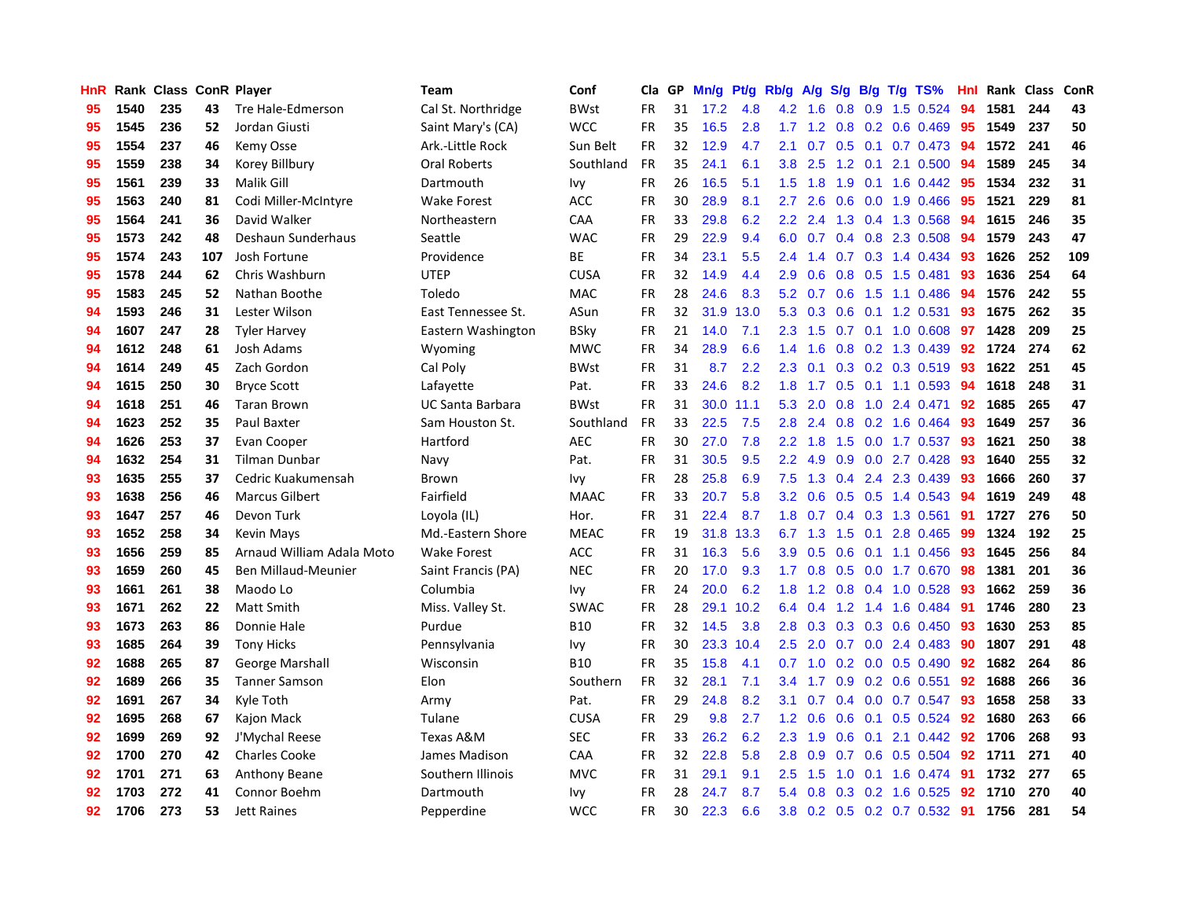| HnR |      | Rank Class ConR Player |     |                           | <b>Team</b>             | Conf        | Cla       | GP | Mn/g | Pt/g | Rb/g             | A/g             | S/g |     | $B/g$ T/g TS%                | Hnl |      | Rank Class | ConR |
|-----|------|------------------------|-----|---------------------------|-------------------------|-------------|-----------|----|------|------|------------------|-----------------|-----|-----|------------------------------|-----|------|------------|------|
| 95  | 1540 | 235                    | 43  | Tre Hale-Edmerson         | Cal St. Northridge      | <b>BWst</b> | <b>FR</b> | 31 | 17.2 | 4.8  | 4.2              | 1.6             | 0.8 | 0.9 | 1.5 0.524                    | 94  | 1581 | 244        | 43   |
| 95  | 1545 | 236                    | 52  | Jordan Giusti             | Saint Mary's (CA)       | <b>WCC</b>  | FR        | 35 | 16.5 | 2.8  |                  |                 |     |     | 1.7 1.2 0.8 0.2 0.6 0.469    | 95  | 1549 | 237        | 50   |
| 95  | 1554 | 237                    | 46  | Kemy Osse                 | Ark.-Little Rock        | Sun Belt    | <b>FR</b> | 32 | 12.9 | 4.7  | 2.1              |                 |     |     | 0.7 0.5 0.1 0.7 0.473 94     |     | 1572 | 241        | 46   |
| 95  | 1559 | 238                    | 34  | Korey Billbury            | Oral Roberts            | Southland   | FR        | 35 | 24.1 | 6.1  | 3.8 <sub>1</sub> | 2.5             |     |     | 1.2 0.1 2.1 0.500            | -94 | 1589 | 245        | 34   |
| 95  | 1561 | 239                    | 33  | Malik Gill                | Dartmouth               | Ivy         | FR        | 26 | 16.5 | 5.1  | 1.5              | 1.8             | 1.9 |     | $0.1$ 1.6 0.442              | 95  | 1534 | 232        | 31   |
| 95  | 1563 | 240                    | 81  | Codi Miller-McIntyre      | <b>Wake Forest</b>      | <b>ACC</b>  | <b>FR</b> | 30 | 28.9 | 8.1  | $2.7^{\circ}$    | 2.6             | 0.6 |     | $0.0$ 1.9 $0.466$            | 95  | 1521 | 229        | 81   |
| 95  | 1564 | 241                    | 36  | David Walker              | Northeastern            | CAA         | FR        | 33 | 29.8 | 6.2  | $2.2\phantom{0}$ | 2.4             |     |     | 1.3 0.4 1.3 0.568            | 94  | 1615 | 246        | 35   |
| 95  | 1573 | 242                    | 48  | Deshaun Sunderhaus        | Seattle                 | <b>WAC</b>  | <b>FR</b> | 29 | 22.9 | 9.4  | 6.0              | 0.7             |     |     | 0.4 0.8 2.3 0.508            | 94  | 1579 | 243        | 47   |
| 95  | 1574 | 243                    | 107 | Josh Fortune              | Providence              | <b>BE</b>   | FR        | 34 | 23.1 | 5.5  | $2.4^{\circ}$    | 1.4             |     |     | 0.7 0.3 1.4 0.434            | -93 | 1626 | 252        | 109  |
| 95  | 1578 | 244                    | 62  | Chris Washburn            | <b>UTEP</b>             | <b>CUSA</b> | <b>FR</b> | 32 | 14.9 | 4.4  | 2.9 <sup>°</sup> | 0.6             |     |     | 0.8 0.5 1.5 0.481            | 93  | 1636 | 254        | 64   |
| 95  | 1583 | 245                    | 52  | Nathan Boothe             | Toledo                  | <b>MAC</b>  | FR        | 28 | 24.6 | 8.3  |                  |                 |     |     | 5.2 0.7 0.6 1.5 1.1 0.486 94 |     | 1576 | 242        | 55   |
| 94  | 1593 | 246                    | 31  | Lester Wilson             | East Tennessee St.      | ASun        | <b>FR</b> | 32 | 31.9 | 13.0 |                  | $5.3 \quad 0.3$ |     |     | 0.6 0.1 1.2 0.531 93         |     | 1675 | 262        | 35   |
| 94  | 1607 | 247                    | 28  | <b>Tyler Harvey</b>       | Eastern Washington      | <b>BSky</b> | FR        | 21 | 14.0 | 7.1  | 2.3              | 1.5             |     |     | $0.7$ 0.1 1.0 0.608          | 97  | 1428 | 209        | 25   |
| 94  | 1612 | 248                    | 61  | Josh Adams                | Wyoming                 | <b>MWC</b>  | <b>FR</b> | 34 | 28.9 | 6.6  | 1.4              | 1.6             |     |     | 0.8 0.2 1.3 0.439            | 92  | 1724 | 274        | 62   |
| 94  | 1614 | 249                    | 45  | Zach Gordon               | Cal Poly                | <b>BWst</b> | FR        | 31 | 8.7  | 2.2  | 2.3              | 0.1             |     |     | 0.3 0.2 0.3 0.519            | 93  | 1622 | 251        | 45   |
| 94  | 1615 | 250                    | 30  | <b>Bryce Scott</b>        | Lafayette               | Pat.        | FR        | 33 | 24.6 | 8.2  | 1.8              | 1.7             |     |     | $0.5$ 0.1 1.1 0.593          | 94  | 1618 | 248        | 31   |
| 94  | 1618 | 251                    | 46  | <b>Taran Brown</b>        | <b>UC Santa Barbara</b> | <b>BWst</b> | FR        | 31 | 30.0 | 11.1 | 5.3              | 2.0             | 0.8 | 1.0 | 2.4 0.471                    | 92  | 1685 | 265        | 47   |
| 94  | 1623 | 252                    | 35  | Paul Baxter               | Sam Houston St.         | Southland   | <b>FR</b> | 33 | 22.5 | 7.5  | 2.8              | 2.4             | 0.8 |     | 0.2 1.6 0.464                | 93  | 1649 | 257        | 36   |
| 94  | 1626 | 253                    | 37  | Evan Cooper               | Hartford                | <b>AEC</b>  | <b>FR</b> | 30 | 27.0 | 7.8  | $2.2\phantom{0}$ | 1.8             | 1.5 |     | 0.0 1.7 0.537 93             |     | 1621 | 250        | 38   |
| 94  | 1632 | 254                    | 31  | <b>Tilman Dunbar</b>      | Navy                    | Pat.        | <b>FR</b> | 31 | 30.5 | 9.5  | $2.2\phantom{0}$ | 4.9             | 0.9 |     | $0.0$ 2.7 $0.428$            | 93  | 1640 | 255        | 32   |
| 93  | 1635 | 255                    | 37  | Cedric Kuakumensah        | Brown                   | Ivy         | FR        | 28 | 25.8 | 6.9  | 7.5              | 1.3             |     |     | 0.4 2.4 2.3 0.439            | -93 | 1666 | 260        | 37   |
| 93  | 1638 | 256                    | 46  | <b>Marcus Gilbert</b>     | Fairfield               | <b>MAAC</b> | <b>FR</b> | 33 | 20.7 | 5.8  | 3.2              | 0.6             |     |     | $0.5$ 0.5 1.4 0.543          | 94  | 1619 | 249        | 48   |
| 93  | 1647 | 257                    | 46  | Devon Turk                | Loyola (IL)             | Hor.        | <b>FR</b> | 31 | 22.4 | 8.7  | 1.8              | 0.7             |     |     | 0.4 0.3 1.3 0.561            | 91  | 1727 | 276        | 50   |
| 93  | 1652 | 258                    | 34  | <b>Kevin Mays</b>         | Md.-Eastern Shore       | <b>MEAC</b> | <b>FR</b> | 19 | 31.8 | 13.3 | 6.7              | 1.3             | 1.5 | 0.1 | 2.8 0.465                    | 99  | 1324 | 192        | 25   |
| 93  | 1656 | 259                    | 85  | Arnaud William Adala Moto | <b>Wake Forest</b>      | ACC         | FR        | 31 | 16.3 | 5.6  | 3.9              | 0.5             | 0.6 |     | $0.1$ 1.1 0.456              | -93 | 1645 | 256        | 84   |
| 93  | 1659 | 260                    | 45  | Ben Millaud-Meunier       | Saint Francis (PA)      | <b>NEC</b>  | <b>FR</b> | 20 | 17.0 | 9.3  | 1.7 <sub>z</sub> | 0.8             | 0.5 |     | 0.0 1.7 0.670                | 98  | 1381 | 201        | 36   |
| 93  | 1661 | 261                    | 38  | Maodo Lo                  | Columbia                | Ivy         | <b>FR</b> | 24 | 20.0 | 6.2  | 1.8              | 1.2             |     |     | 0.8 0.4 1.0 0.528            | -93 | 1662 | 259        | 36   |
| 93  | 1671 | 262                    | 22  | <b>Matt Smith</b>         | Miss. Valley St.        | <b>SWAC</b> | <b>FR</b> | 28 | 29.1 | 10.2 | 6.4              | 0.4             |     |     | 1.2 1.4 1.6 0.484 91         |     | 1746 | 280        | 23   |
| 93  | 1673 | 263                    | 86  | Donnie Hale               | Purdue                  | <b>B10</b>  | <b>FR</b> | 32 | 14.5 | 3.8  | 2.8              | 0.3             |     |     | $0.3$ 0.3 0.6 0.450          | -93 | 1630 | 253        | 85   |
| 93  | 1685 | 264                    | 39  | <b>Tony Hicks</b>         | Pennsylvania            | Ivy         | <b>FR</b> | 30 | 23.3 | 10.4 | 2.5              | 2.0             |     |     | $0.7$ $0.0$ 2.4 $0.483$      | 90  | 1807 | 291        | 48   |
| 92  | 1688 | 265                    | 87  | <b>George Marshall</b>    | Wisconsin               | <b>B10</b>  | <b>FR</b> | 35 | 15.8 | 4.1  | 0.7              | 1.0             |     |     | $0.2$ 0.0 0.5 0.490          | 92  | 1682 | 264        | 86   |
| 92  | 1689 | 266                    | 35  | <b>Tanner Samson</b>      | Elon                    | Southern    | FR        | 32 | 28.1 | 7.1  | $3.4^{\circ}$    | 1.7             | 0.9 |     | $0.2$ 0.6 0.551              | 92  | 1688 | 266        | 36   |
| 92  | 1691 | 267                    | 34  | Kyle Toth                 | Army                    | Pat.        | FR        | 29 | 24.8 | 8.2  | 3.1              | 0.7             | 0.4 |     | $0.0$ 0.7 0.547              | 93  | 1658 | 258        | 33   |
| 92  | 1695 | 268                    | 67  | Kajon Mack                | Tulane                  | <b>CUSA</b> | <b>FR</b> | 29 | 9.8  | 2.7  | 1.2              | 0.6             | 0.6 |     | $0.1$ 0.5 0.524              | 92  | 1680 | 263        | 66   |
| 92  | 1699 | 269                    | 92  | J'Mychal Reese            | Texas A&M               | <b>SEC</b>  | <b>FR</b> | 33 | 26.2 | 6.2  | 2.3              | 1.9             | 0.6 |     | 0.1 2.1 0.442 92             |     | 1706 | 268        | 93   |
| 92  | 1700 | 270                    | 42  | <b>Charles Cooke</b>      | James Madison           | CAA         | <b>FR</b> | 32 | 22.8 | 5.8  |                  | $2.8\quad 0.9$  |     |     | 0.7 0.6 0.5 0.504            | 92  | 1711 | 271        | 40   |
| 92  | 1701 | 271                    | 63  | Anthony Beane             | Southern Illinois       | <b>MVC</b>  | FR        | 31 | 29.1 | 9.1  | 2.5              | 1.5             | 1.0 |     | $0.1$ 1.6 0.474              | -91 | 1732 | 277        | 65   |
| 92  | 1703 | 272                    | 41  | Connor Boehm              | Dartmouth               | Ivy         | FR        | 28 | 24.7 | 8.7  | 5.4              | 0.8             | 0.3 |     | $0.2$ 1.6 0.525              | 92  | 1710 | 270        | 40   |
| 92  | 1706 | 273                    | 53  | <b>Jett Raines</b>        | Pepperdine              | <b>WCC</b>  | FR        | 30 | 22.3 | 6.6  |                  |                 |     |     | 3.8 0.2 0.5 0.2 0.7 0.532 91 |     | 1756 | 281        | 54   |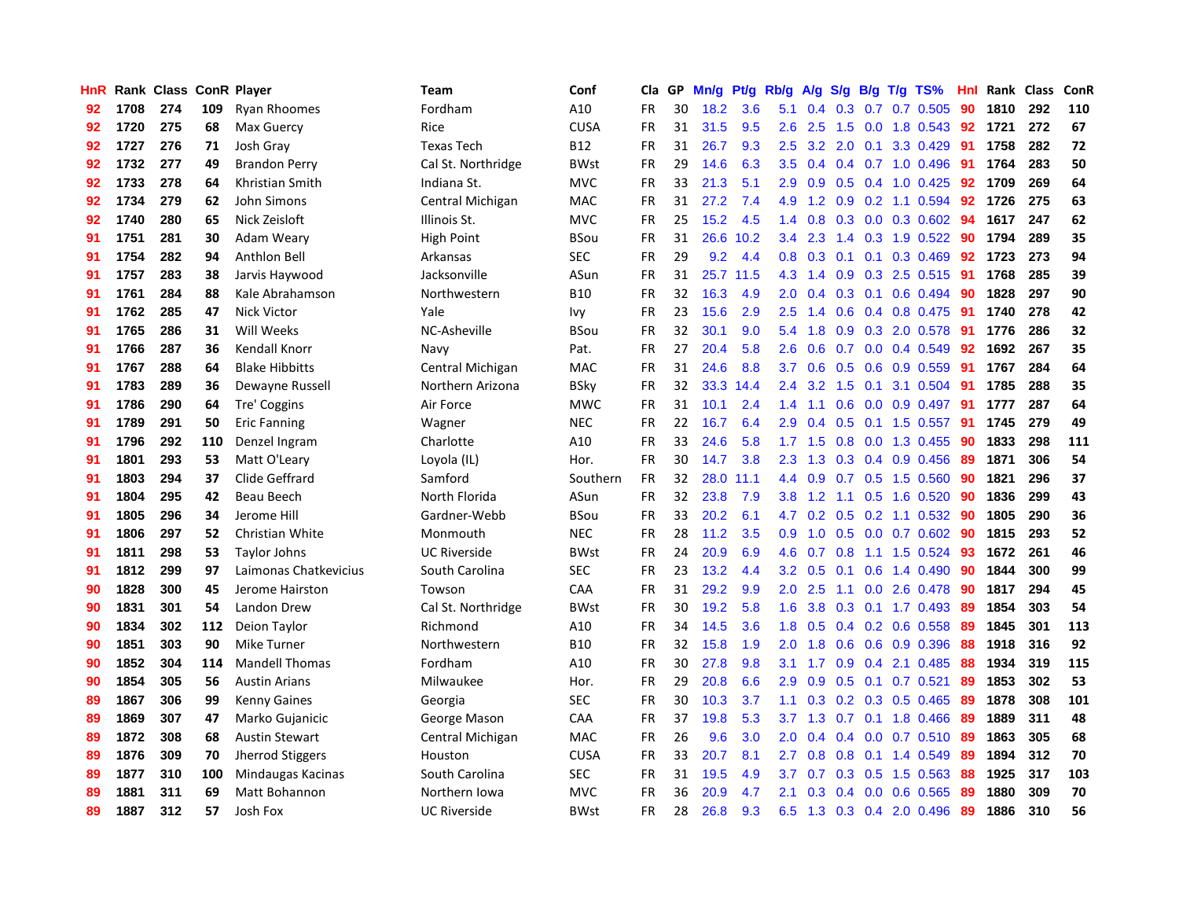| <b>HnR</b> |      | Rank Class ConR Player |     |                        | Team                | Conf        | Cla       | GP | Mn/g | <b>Pt/g</b> | Rb/g             | A/g             |               |     | S/g B/g T/g TS%           | Hnl | Rank | Class | <b>ConR</b> |
|------------|------|------------------------|-----|------------------------|---------------------|-------------|-----------|----|------|-------------|------------------|-----------------|---------------|-----|---------------------------|-----|------|-------|-------------|
| 92         | 1708 | 274                    | 109 | <b>Ryan Rhoomes</b>    | Fordham             | A10         | FR.       | 30 | 18.2 | 3.6         | 5.1              | 0.4             | 0.3           | 0.7 | $0.7$ 0.505               | 90  | 1810 | 292   | 110         |
| 92         | 1720 | 275                    | 68  | Max Guercy             | Rice                | <b>CUSA</b> | <b>FR</b> | 31 | 31.5 | 9.5         | 2.6              | 2.5             |               |     | 1.5 0.0 1.8 0.543 92      |     | 1721 | 272   | 67          |
| 92         | 1727 | 276                    | 71  | Josh Gray              | <b>Texas Tech</b>   | <b>B12</b>  | FR.       | 31 | 26.7 | 9.3         | 2.5              | 3.2             | 2.0           |     | $0.1$ 3.3 0.429           | -91 | 1758 | 282   | 72          |
| 92         | 1732 | 277                    | 49  | <b>Brandon Perry</b>   | Cal St. Northridge  | <b>BWst</b> | <b>FR</b> | 29 | 14.6 | 6.3         | 3.5              | 0.4             |               |     | $0.4$ 0.7 1.0 0.496       | -91 | 1764 | 283   | 50          |
| 92         | 1733 | 278                    | 64  | Khristian Smith        | Indiana St.         | <b>MVC</b>  | <b>FR</b> | 33 | 21.3 | 5.1         | 2.9 <sup>°</sup> | 0.9             | 0.5           |     | $0.4$ 1.0 0.425           | 92  | 1709 | 269   | 64          |
| 92         | 1734 | 279                    | 62  | John Simons            | Central Michigan    | <b>MAC</b>  | <b>FR</b> | 31 | 27.2 | 7.4         | 4.9              | 1.2             | 0.9           |     | $0.2$ 1.1 0.594           | 92  | 1726 | 275   | 63          |
| 92         | 1740 | 280                    | 65  | Nick Zeisloft          | Illinois St.        | <b>MVC</b>  | <b>FR</b> | 25 | 15.2 | 4.5         | $1.4^{\circ}$    | 0.8             |               |     | 0.3 0.0 0.3 0.602         | 94  | 1617 | 247   | 62          |
| 91         | 1751 | 281                    | 30  | Adam Weary             | <b>High Point</b>   | <b>BSou</b> | FR.       | 31 | 26.6 | 10.2        | $3.4^{\circ}$    | 2.3             | $1.4^{\circ}$ |     | $0.3$ 1.9 $0.522$         | -90 | 1794 | 289   | 35          |
| 91         | 1754 | 282                    | 94  | Anthlon Bell           | Arkansas            | <b>SEC</b>  | FR        | 29 | 9.2  | 4.4         | 0.8 <sub>0</sub> | 0.3             | 0.1           | 0.1 | 0.3 0.469                 | 92  | 1723 | 273   | 94          |
| 91         | 1757 | 283                    | 38  | Jarvis Haywood         | Jacksonville        | ASun        | <b>FR</b> | 31 | 25.7 | 11.5        | 4.3              | 1.4             | 0.9           |     | 0.3 2.5 0.515 91          |     | 1768 | 285   | 39          |
| 91         | 1761 | 284                    | 88  | Kale Abrahamson        | Northwestern        | <b>B10</b>  | <b>FR</b> | 32 | 16.3 | 4.9         | 2.0              |                 |               |     | 0.4 0.3 0.1 0.6 0.494 90  |     | 1828 | 297   | 90          |
| 91         | 1762 | 285                    | 47  | <b>Nick Victor</b>     | Yale                | lvy         | FR.       | 23 | 15.6 | 2.9         | 2.5              | 1.4             |               |     | 0.6 0.4 0.8 0.475 91      |     | 1740 | 278   | 42          |
| 91         | 1765 | 286                    | 31  | Will Weeks             | NC-Asheville        | <b>BSou</b> | FR        | 32 | 30.1 | 9.0         | 5.4              | 1.8             |               |     | 0.9 0.3 2.0 0.578         | -91 | 1776 | 286   | 32          |
| 91         | 1766 | 287                    | 36  | Kendall Knorr          | Navy                | Pat.        | <b>FR</b> | 27 | 20.4 | 5.8         | 2.6              | 0.6             | 0.7           |     | $0.0$ 0.4 0.549           | 92  | 1692 | 267   | 35          |
| 91         | 1767 | 288                    | 64  | <b>Blake Hibbitts</b>  | Central Michigan    | MAC         | <b>FR</b> | 31 | 24.6 | 8.8         | 3.7              | 0.6             | 0.5           |     | 0.6 0.9 0.559             | -91 | 1767 | 284   | 64          |
| 91         | 1783 | 289                    | 36  | Dewayne Russell        | Northern Arizona    | <b>BSky</b> | <b>FR</b> | 32 | 33.3 | 14.4        | 2.4              | 3.2             | 1.5           | 0.1 | 3.1 0.504                 | -91 | 1785 | 288   | 35          |
| 91         | 1786 | 290                    | 64  | Tre' Coggins           | Air Force           | <b>MWC</b>  | <b>FR</b> | 31 | 10.1 | 2.4         | 1.4              | 1.1             | 0.6           |     | $0.0$ 0.9 0.497           | -91 | 1777 | 287   | 64          |
| 91         | 1789 | 291                    | 50  | <b>Eric Fanning</b>    | Wagner              | <b>NEC</b>  | <b>FR</b> | 22 | 16.7 | 6.4         | 2.9 <sup>°</sup> | 0.4             | 0.5           | 0.1 | 1.5 0.557                 | 91  | 1745 | 279   | 49          |
| 91         | 1796 | 292                    | 110 | Denzel Ingram          | Charlotte           | A10         | FR        | 33 | 24.6 | 5.8         |                  | $1.7$ $1.5$     |               |     | 0.8 0.0 1.3 0.455         | 90  | 1833 | 298   | 111         |
| 91         | 1801 | 293                    | 53  | Matt O'Leary           | Loyola (IL)         | Hor.        | <b>FR</b> | 30 | 14.7 | 3.8         | 2.3              | 1.3             |               |     | 0.3 0.4 0.9 0.456 89      |     | 1871 | 306   | 54          |
| 91         | 1803 | 294                    | 37  | Clide Geffrard         | Samford             | Southern    | FR        | 32 | 28.0 | 11.1        | 4.4              | 0.9             |               |     | $0.7$ $0.5$ 1.5 $0.560$   | -90 | 1821 | 296   | 37          |
| 91         | 1804 | 295                    | 42  | <b>Beau Beech</b>      | North Florida       | ASun        | <b>FR</b> | 32 | 23.8 | 7.9         | 3.8              | 1.2             | 1.1           |     | $0.5$ 1.6 0.520           | 90  | 1836 | 299   | 43          |
| 91         | 1805 | 296                    | 34  | Jerome Hill            | Gardner-Webb        | <b>BSou</b> | FR        | 33 | 20.2 | 6.1         | 4.7              | 0.2             | 0.5           |     | $0.2$ 1.1 0.532           | 90  | 1805 | 290   | 36          |
| 91         | 1806 | 297                    | 52  | <b>Christian White</b> | Monmouth            | <b>NEC</b>  | <b>FR</b> | 28 | 11.2 | 3.5         | 0.9              | 1.0             |               |     | 0.5 0.0 0.7 0.602         | 90  | 1815 | 293   | 52          |
| 91         | 1811 | 298                    | 53  | Taylor Johns           | <b>UC Riverside</b> | <b>BWst</b> | FR        | 24 | 20.9 | 6.9         | 4.6              | 0.7             | 0.8           |     | 1.1 1.5 0.524             | -93 | 1672 | 261   | 46          |
| 91         | 1812 | 299                    | 97  | Laimonas Chatkevicius  | South Carolina      | <b>SEC</b>  | FR        | 23 | 13.2 | 4.4         | 3.2              | 0.5             | 0.1           |     | $0.6$ 1.4 0.490           | 90  | 1844 | 300   | 99          |
| 90         | 1828 | 300                    | 45  | Jerome Hairston        | Towson              | CAA         | FR        | 31 | 29.2 | 9.9         | 2.0              | 2.5             |               |     | 1.1 0.0 2.6 0.478 90      |     | 1817 | 294   | 45          |
| 90         | 1831 | 301                    | 54  | Landon Drew            | Cal St. Northridge  | <b>BWst</b> | <b>FR</b> | 30 | 19.2 | 5.8         | 1.6              | 3.8             |               |     | 0.3 0.1 1.7 0.493 89      |     | 1854 | 303   | 54          |
| 90         | 1834 | 302                    | 112 | Deion Taylor           | Richmond            | A10         | FR.       | 34 | 14.5 | 3.6         | 1.8              | 0.5             |               |     | $0.4$ 0.2 0.6 0.558       | -89 | 1845 | 301   | 113         |
| 90         | 1851 | 303                    | 90  | Mike Turner            | Northwestern        | <b>B10</b>  | <b>FR</b> | 32 | 15.8 | 1.9         | 2.0 <sub>1</sub> | 1.8             |               |     | $0.6$ $0.6$ $0.9$ $0.396$ | -88 | 1918 | 316   | 92          |
| 90         | 1852 | 304                    | 114 | <b>Mandell Thomas</b>  | Fordham             | A10         | <b>FR</b> | 30 | 27.8 | 9.8         | 3.1              | 1.7             | 0.9           |     | $0.4$ 2.1 0.485           | 88  | 1934 | 319   | 115         |
| 90         | 1854 | 305                    | 56  | <b>Austin Arians</b>   | Milwaukee           | Hor.        | <b>FR</b> | 29 | 20.8 | 6.6         | 2.9 <sup>°</sup> | 0.9             | 0.5           |     | $0.1$ 0.7 0.521           | 89  | 1853 | 302   | 53          |
| 89         | 1867 | 306                    | 99  | <b>Kenny Gaines</b>    | Georgia             | <b>SEC</b>  | <b>FR</b> | 30 | 10.3 | 3.7         | 1.1              | 0.3             |               |     | $0.2$ 0.3 0.5 0.465       | -89 | 1878 | 308   | 101         |
| 89         | 1869 | 307                    | 47  | Marko Gujanicic        | George Mason        | CAA         | <b>FR</b> | 37 | 19.8 | 5.3         |                  | $3.7 \quad 1.3$ |               |     | $0.7$ 0.1 1.8 0.466       | -89 | 1889 | 311   | 48          |
| 89         | 1872 | 308                    | 68  | <b>Austin Stewart</b>  | Central Michigan    | <b>MAC</b>  | <b>FR</b> | 26 | 9.6  | 3.0         | 2.0 <sub>1</sub> | 0.4             | 0.4           |     | $0.0$ 0.7 0.510           | -89 | 1863 | 305   | 68          |
| 89         | 1876 | 309                    | 70  | Jherrod Stiggers       | Houston             | <b>CUSA</b> | <b>FR</b> | 33 | 20.7 | 8.1         | $2.7^{\circ}$    | 0.8             |               |     | $0.8$ 0.1 1.4 0.549       | -89 | 1894 | 312   | 70          |
| 89         | 1877 | 310                    | 100 | Mindaugas Kacinas      | South Carolina      | <b>SEC</b>  | FR.       | 31 | 19.5 | 4.9         | 3.7              | 0.7             |               |     | $0.3$ $0.5$ 1.5 $0.563$   | -88 | 1925 | 317   | 103         |
| 89         | 1881 | 311                    | 69  | Matt Bohannon          | Northern Iowa       | <b>MVC</b>  | FR        | 36 | 20.9 | 4.7         | 2.1              | 0.3             |               |     | $0.4$ 0.0 0.6 0.565       | -89 | 1880 | 309   | 70          |
| 89         | 1887 | 312                    | 57  | Josh Fox               | <b>UC Riverside</b> | <b>BWst</b> | FR.       | 28 | 26.8 | 9.3         | 6.5              |                 |               |     | 1.3 0.3 0.4 2.0 0.496     | 89  | 1886 | 310   | 56          |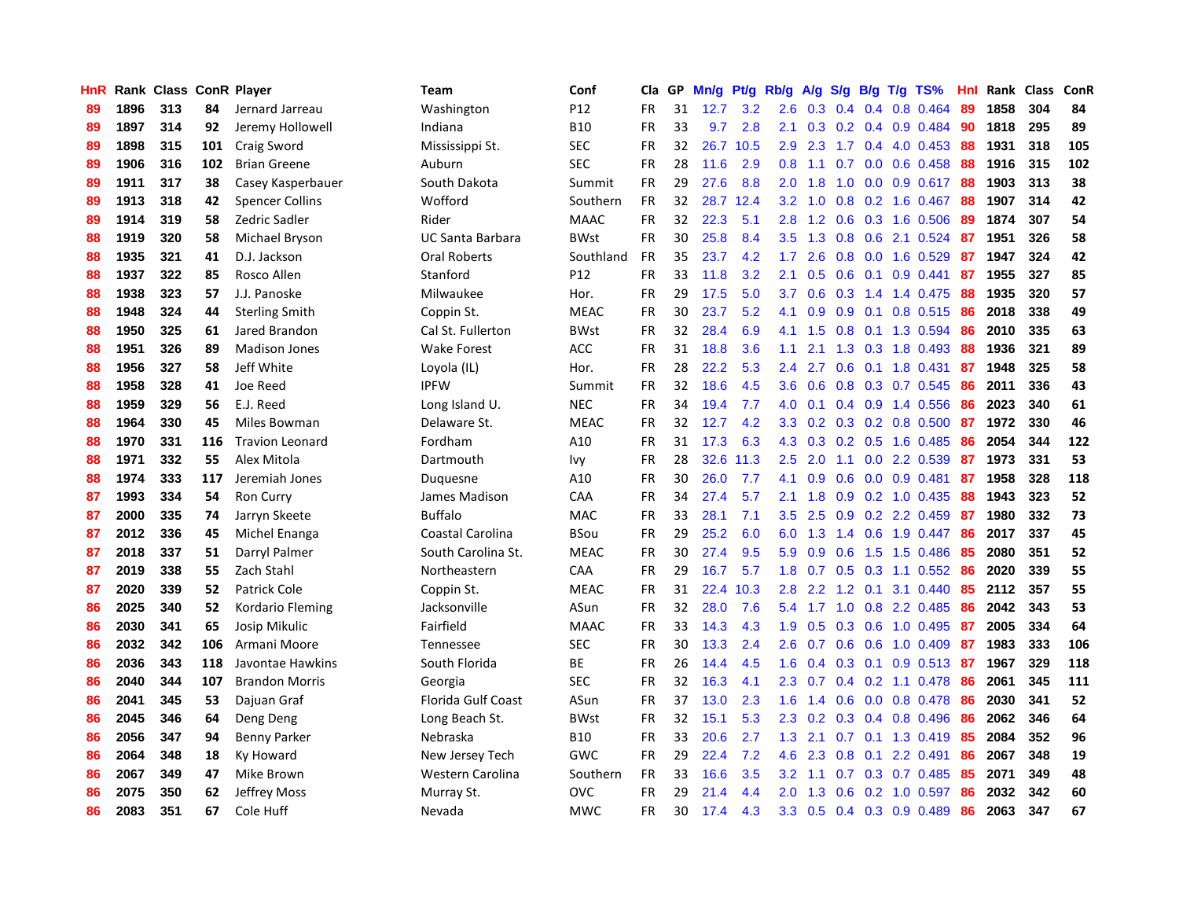| HnR |      | Rank Class ConR Player |     |                        | <b>Team</b>         | Conf            | Cla       | <b>GP</b> | Mn/g | Pt/g | Rb/g             | A/g |               |     | S/g B/g T/g TS%           | Hnl | Rank | <b>Class</b> | ConR |
|-----|------|------------------------|-----|------------------------|---------------------|-----------------|-----------|-----------|------|------|------------------|-----|---------------|-----|---------------------------|-----|------|--------------|------|
| 89  | 1896 | 313                    | 84  | Jernard Jarreau        | Washington          | P <sub>12</sub> | <b>FR</b> | 31        | 12.7 | 3.2  | 2.6              | 0.3 | $0.4^{\circ}$ | 0.4 | $0.8$ 0.464               | 89  | 1858 | 304          | 84   |
| 89  | 1897 | 314                    | 92  | Jeremy Hollowell       | Indiana             | <b>B10</b>      | <b>FR</b> | 33        | 9.7  | 2.8  | 2.1              |     |               |     | $0.3$ 0.2 0.4 0.9 0.484   | -90 | 1818 | 295          | 89   |
| 89  | 1898 | 315                    | 101 | Craig Sword            | Mississippi St.     | <b>SEC</b>      | <b>FR</b> | 32        | 26.7 | 10.5 | 2.9              | 2.3 |               |     | 1.7 0.4 4.0 0.453         | -88 | 1931 | 318          | 105  |
| 89  | 1906 | 316                    | 102 | <b>Brian Greene</b>    | Auburn              | <b>SEC</b>      | <b>FR</b> | 28        | 11.6 | 2.9  | 0.8              | 1.1 |               |     | $0.7$ 0.0 0.6 0.458       | 88  | 1916 | 315          | 102  |
| 89  | 1911 | 317                    | 38  | Casey Kasperbauer      | South Dakota        | Summit          | <b>FR</b> | 29        | 27.6 | 8.8  | 2.0 <sub>2</sub> | 1.8 | 1.0           |     | $0.0$ 0.9 0.617           | 88  | 1903 | 313          | 38   |
| 89  | 1913 | 318                    | 42  | <b>Spencer Collins</b> | Wofford             | Southern        | <b>FR</b> | 32        | 28.7 | 12.4 | 3.2              | 1.0 | 0.8           |     | $0.2$ 1.6 0.467           | 88  | 1907 | 314          | 42   |
| 89  | 1914 | 319                    | 58  | Zedric Sadler          | Rider               | <b>MAAC</b>     | <b>FR</b> | 32        | 22.3 | 5.1  | 2.8              | 1.2 | 0.6           |     | 0.3 1.6 0.506             | 89  | 1874 | 307          | 54   |
| 88  | 1919 | 320                    | 58  | Michael Bryson         | UC Santa Barbara    | <b>BWst</b>     | <b>FR</b> | 30        | 25.8 | 8.4  | 3.5              | 1.3 | 0.8           |     | $0.6$ 2.1 0.524           | 87  | 1951 | 326          | 58   |
| 88  | 1935 | 321                    | 41  | D.J. Jackson           | <b>Oral Roberts</b> | Southland       | <b>FR</b> | 35        | 23.7 | 4.2  | 1.7              | 2.6 | 0.8           |     | $0.0$ 1.6 $0.529$         | 87  | 1947 | 324          | 42   |
| 88  | 1937 | 322                    | 85  | Rosco Allen            | Stanford            | P <sub>12</sub> | <b>FR</b> | 33        | 11.8 | 3.2  | 2.1              | 0.5 |               |     | $0.6$ 0.1 0.9 0.441       | 87  | 1955 | 327          | 85   |
| 88  | 1938 | 323                    | 57  | J.J. Panoske           | Milwaukee           | Hor.            | <b>FR</b> | 29        | 17.5 | 5.0  | 3.7              | 0.6 |               |     | 0.3 1.4 1.4 0.475 88      |     | 1935 | 320          | 57   |
| 88  | 1948 | 324                    | 44  | <b>Sterling Smith</b>  | Coppin St.          | <b>MEAC</b>     | <b>FR</b> | 30        | 23.7 | 5.2  | 4.1              | 0.9 |               |     | 0.9 0.1 0.8 0.515 86      |     | 2018 | 338          | 49   |
| 88  | 1950 | 325                    | 61  | Jared Brandon          | Cal St. Fullerton   | <b>BWst</b>     | <b>FR</b> | 32        | 28.4 | 6.9  | 4.1              | 1.5 | 0.8           |     | 0.1 1.3 0.594             | 86  | 2010 | 335          | 63   |
| 88  | 1951 | 326                    | 89  | <b>Madison Jones</b>   | <b>Wake Forest</b>  | <b>ACC</b>      | <b>FR</b> | 31        | 18.8 | 3.6  | 1.1              | 2.1 | 1.3           |     | 0.3 1.8 0.493             | 88  | 1936 | 321          | 89   |
| 88  | 1956 | 327                    | 58  | Jeff White             | Loyola (IL)         | Hor.            | <b>FR</b> | 28        | 22.2 | 5.3  | 2.4              | 2.7 | 0.6           |     | $0.1$ 1.8 $0.431$         | 87  | 1948 | 325          | 58   |
| 88  | 1958 | 328                    | 41  | Joe Reed               | <b>IPFW</b>         | Summit          | <b>FR</b> | 32        | 18.6 | 4.5  | 3.6              | 0.6 | 0.8           |     | 0.3 0.7 0.545             | 86  | 2011 | 336          | 43   |
| 88  | 1959 | 329                    | 56  | E.J. Reed              | Long Island U.      | <b>NEC</b>      | FR        | 34        | 19.4 | 7.7  | 4.0              | 0.1 |               |     | 0.4 0.9 1.4 0.556         | 86  | 2023 | 340          | 61   |
| 88  | 1964 | 330                    | 45  | Miles Bowman           | Delaware St.        | <b>MEAC</b>     | <b>FR</b> | 32        | 12.7 | 4.2  | 3.3 <sub>2</sub> | 0.2 | 0.3           |     | $0.2$ 0.8 0.500           | 87  | 1972 | 330          | 46   |
| 88  | 1970 | 331                    | 116 | <b>Travion Leonard</b> | Fordham             | A10             | FR        | 31        | 17.3 | 6.3  | 4.3              | 0.3 |               |     | 0.2 0.5 1.6 0.485         | 86  | 2054 | 344          | 122  |
| 88  | 1971 | 332                    | 55  | Alex Mitola            | Dartmouth           | Ivy             | FR        | 28        | 32.6 | 11.3 | 2.5              | 2.0 |               |     | 1.1 0.0 2.2 0.539         | -87 | 1973 | 331          | 53   |
| 88  | 1974 | 333                    | 117 | Jeremiah Jones         | Duquesne            | A10             | FR        | 30        | 26.0 | 7.7  | 4.1              | 0.9 |               |     | $0.6$ $0.0$ $0.9$ $0.481$ | 87  | 1958 | 328          | 118  |
| 87  | 1993 | 334                    | 54  | Ron Curry              | James Madison       | CAA             | <b>FR</b> | 34        | 27.4 | 5.7  | 2.1              | 1.8 | 0.9           |     | 0.2 1.0 0.435             | 88  | 1943 | 323          | 52   |
| 87  | 2000 | 335                    | 74  | Jarryn Skeete          | <b>Buffalo</b>      | MAC             | <b>FR</b> | 33        | 28.1 | 7.1  | 3.5              | 2.5 | 0.9           |     | $0.2$ 2.2 0.459           | 87  | 1980 | 332          | 73   |
| 87  | 2012 | 336                    | 45  | Michel Enanga          | Coastal Carolina    | <b>BSou</b>     | <b>FR</b> | 29        | 25.2 | 6.0  | 6.0              | 1.3 |               |     | 1.4 0.6 1.9 0.447         | 86  | 2017 | 337          | 45   |
| 87  | 2018 | 337                    | 51  | Darryl Palmer          | South Carolina St.  | <b>MEAC</b>     | FR        | 30        | 27.4 | 9.5  | 5.9              | 0.9 | 0.6           |     | 1.5 1.5 0.486             | 85  | 2080 | 351          | 52   |
| 87  | 2019 | 338                    | 55  | Zach Stahl             | Northeastern        | CAA             | <b>FR</b> | 29        | 16.7 | 5.7  | 1.8              | 0.7 | 0.5           |     | $0.3$ 1.1 $0.552$         | -86 | 2020 | 339          | 55   |
| 87  | 2020 | 339                    | 52  | Patrick Cole           | Coppin St.          | <b>MEAC</b>     | FR        | 31        | 22.4 | 10.3 | 2.8              | 2.2 |               |     | 1.2 0.1 3.1 0.440         | 85  | 2112 | 357          | 55   |
| 86  | 2025 | 340                    | 52  | Kordario Fleming       | Jacksonville        | ASun            | <b>FR</b> | 32        | 28.0 | 7.6  | 5.4              |     |               |     | 1.7 1.0 0.8 2.2 0.485     | -86 | 2042 | 343          | 53   |
| 86  | 2030 | 341                    | 65  | Josip Mikulic          | Fairfield           | <b>MAAC</b>     | <b>FR</b> | 33        | 14.3 | 4.3  | 1.9              | 0.5 |               |     | 0.3 0.6 1.0 0.495 87      |     | 2005 | 334          | 64   |
| 86  | 2032 | 342                    | 106 | Armani Moore           | Tennessee           | <b>SEC</b>      | <b>FR</b> | 30        | 13.3 | 2.4  | 2.6              | 0.7 | 0.6           |     | $0.6$ 1.0 0.409           | -87 | 1983 | 333          | 106  |
| 86  | 2036 | 343                    | 118 | Javontae Hawkins       | South Florida       | <b>BE</b>       | <b>FR</b> | 26        | 14.4 | 4.5  | 1.6              | 0.4 | 0.3           | 0.1 | $0.9$ $0.513$             | -87 | 1967 | 329          | 118  |
| 86  | 2040 | 344                    | 107 | <b>Brandon Morris</b>  | Georgia             | <b>SEC</b>      | <b>FR</b> | 32        | 16.3 | 4.1  | 2.3              | 0.7 |               |     | $0.4$ 0.2 1.1 0.478       | -86 | 2061 | 345          | 111  |
| 86  | 2041 | 345                    | 53  | Dajuan Graf            | Florida Gulf Coast  | ASun            | <b>FR</b> | 37        | 13.0 | 2.3  | 1.6              | 1.4 | 0.6           |     | $0.0$ 0.8 0.478           | -86 | 2030 | 341          | 52   |
| 86  | 2045 | 346                    | 64  | Deng Deng              | Long Beach St.      | <b>BWst</b>     | <b>FR</b> | 32        | 15.1 | 5.3  | 2.3              | 0.2 | 0.3           |     | 0.4 0.8 0.496             | 86  | 2062 | 346          | 64   |
| 86  | 2056 | 347                    | 94  | <b>Benny Parker</b>    | Nebraska            | <b>B10</b>      | <b>FR</b> | 33        | 20.6 | 2.7  | 1.3              | 2.1 | 0.7           |     | $0.1$ 1.3 0.419           | -85 | 2084 | 352          | 96   |
| 86  | 2064 | 348                    | 18  | Ky Howard              | New Jersey Tech     | GWC             | <b>FR</b> | 29        | 22.4 | 7.2  | 4.6              | 2.3 |               |     | $0.8$ 0.1 2.2 0.491       | 86  | 2067 | 348          | 19   |
| 86  | 2067 | 349                    | 47  | Mike Brown             | Western Carolina    | Southern        | <b>FR</b> | 33        | 16.6 | 3.5  | 3.2              | 1.1 |               |     | $0.7$ $0.3$ $0.7$ $0.485$ | -85 | 2071 | 349          | 48   |
| 86  | 2075 | 350                    | 62  | Jeffrey Moss           | Murray St.          | OVC             | FR        | 29        | 21.4 | 4.4  | 2.0 <sub>2</sub> | 1.3 |               |     | 0.6 0.2 1.0 0.597         | 86  | 2032 | 342          | 60   |
| 86  | 2083 | 351                    | 67  | Cole Huff              | Nevada              | <b>MWC</b>      | <b>FR</b> | 30        | 17.4 | 4.3  | 3.3              | 0.5 |               |     | 0.4 0.3 0.9 0.489         | 86  | 2063 | 347          | 67   |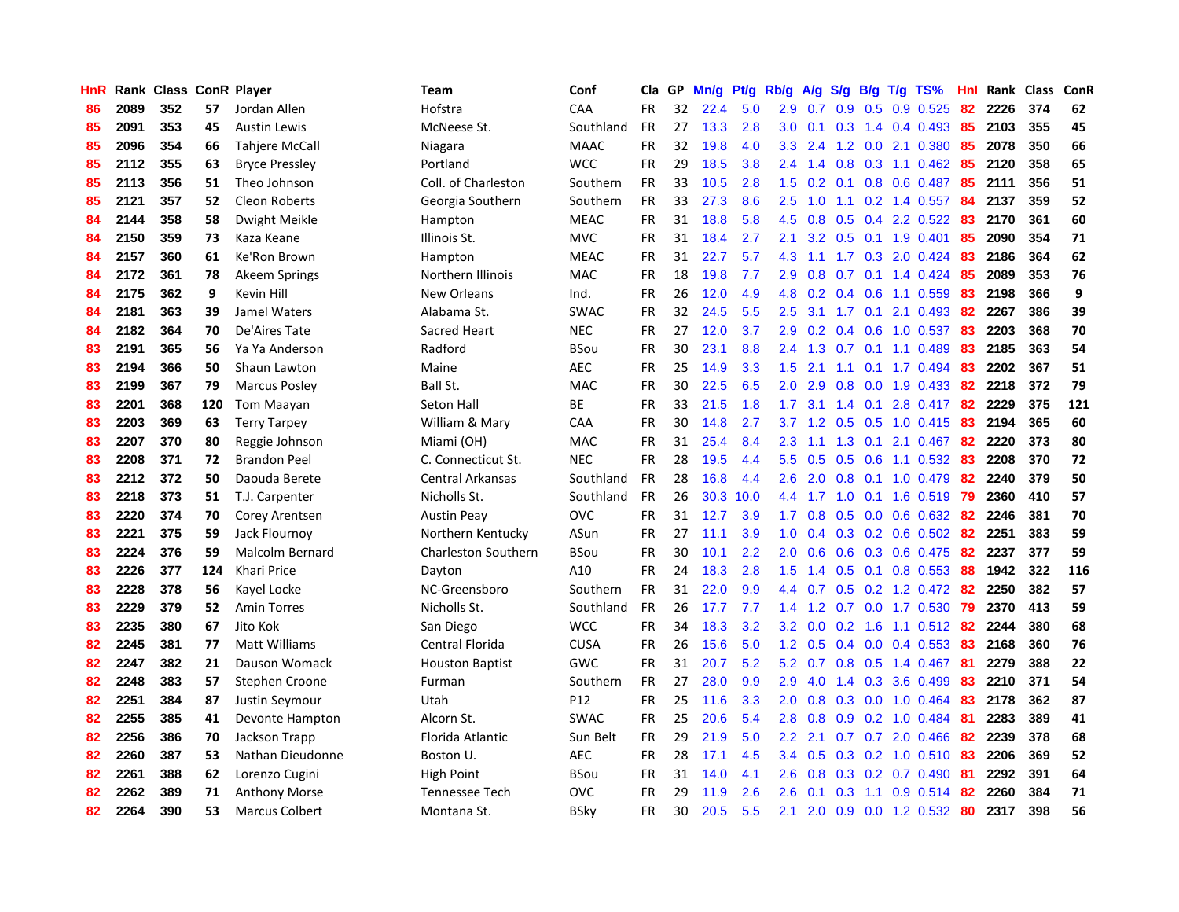| HnR |      | Rank Class ConR Player |     |                       | Team                       | Conf        | Cla       | <b>GP</b> | Mn/g | <b>Pt/g</b> | Rb/g             | A/g |     |     | S/g B/g T/g TS%           | Hnl | Rank | <b>Class</b> | <b>ConR</b> |
|-----|------|------------------------|-----|-----------------------|----------------------------|-------------|-----------|-----------|------|-------------|------------------|-----|-----|-----|---------------------------|-----|------|--------------|-------------|
| 86  | 2089 | 352                    | 57  | Jordan Allen          | Hofstra                    | CAA         | <b>FR</b> | 32        | 22.4 | 5.0         | 2.9              | 0.7 | 0.9 | 0.5 | $0.9$ $0.525$             | 82  | 2226 | 374          | 62          |
| 85  | 2091 | 353                    | 45  | <b>Austin Lewis</b>   | McNeese St.                | Southland   | <b>FR</b> | 27        | 13.3 | 2.8         | 3.0 <sub>1</sub> | 0.1 |     |     | $0.3$ 1.4 0.4 0.493       | -85 | 2103 | 355          | 45          |
| 85  | 2096 | 354                    | 66  | Tahjere McCall        | Niagara                    | <b>MAAC</b> | <b>FR</b> | 32        | 19.8 | 4.0         | 3.3 <sub>2</sub> | 2.4 |     |     | 1.2 0.0 2.1 0.380         | -85 | 2078 | 350          | 66          |
| 85  | 2112 | 355                    | 63  | <b>Bryce Pressley</b> | Portland                   | <b>WCC</b>  | <b>FR</b> | 29        | 18.5 | 3.8         | $2.4^{\circ}$    | 1.4 |     |     | $0.8$ 0.3 1.1 0.462       | -85 | 2120 | 358          | 65          |
| 85  | 2113 | 356                    | 51  | Theo Johnson          | Coll. of Charleston        | Southern    | <b>FR</b> | 33        | 10.5 | 2.8         | 1.5              | 0.2 |     |     | $0.1$ $0.8$ $0.6$ $0.487$ | 85  | 2111 | 356          | 51          |
| 85  | 2121 | 357                    | 52  | <b>Cleon Roberts</b>  | Georgia Southern           | Southern    | <b>FR</b> | 33        | 27.3 | 8.6         | 2.5              | 1.0 |     |     | $1.1$ 0.2 1.4 0.557       | 84  | 2137 | 359          | 52          |
| 84  | 2144 | 358                    | 58  | Dwight Meikle         | Hampton                    | <b>MEAC</b> | <b>FR</b> | 31        | 18.8 | 5.8         | 4.5              | 0.8 | 0.5 |     | 0.4 2.2 0.522             | 83  | 2170 | 361          | 60          |
| 84  | 2150 | 359                    | 73  | Kaza Keane            | Illinois St.               | <b>MVC</b>  | <b>FR</b> | 31        | 18.4 | 2.7         | 2.1              | 3.2 |     |     | $0.5$ 0.1 1.9 0.401       | 85  | 2090 | 354          | 71          |
| 84  | 2157 | 360                    | 61  | Ke'Ron Brown          | Hampton                    | <b>MEAC</b> | <b>FR</b> | 31        | 22.7 | 5.7         | 4.3              | 1.1 |     |     | 1.7 0.3 2.0 0.424         | -83 | 2186 | 364          | 62          |
| 84  | 2172 | 361                    | 78  | Akeem Springs         | Northern Illinois          | <b>MAC</b>  | <b>FR</b> | 18        | 19.8 | 7.7         | 2.9              | 0.8 |     |     | $0.7$ $0.1$ $1.4$ $0.424$ | -85 | 2089 | 353          | 76          |
| 84  | 2175 | 362                    | 9   | Kevin Hill            | New Orleans                | Ind.        | <b>FR</b> | 26        | 12.0 | 4.9         | 4.8              |     |     |     | $0.2$ 0.4 0.6 1.1 0.559   | -83 | 2198 | 366          | 9           |
| 84  | 2181 | 363                    | 39  | Jamel Waters          | Alabama St.                | <b>SWAC</b> | <b>FR</b> | 32        | 24.5 | 5.5         | $2.5^{\circ}$    |     |     |     | 3.1 1.7 0.1 2.1 0.493     | -82 | 2267 | 386          | 39          |
| 84  | 2182 | 364                    | 70  | De'Aires Tate         | Sacred Heart               | <b>NEC</b>  | <b>FR</b> | 27        | 12.0 | 3.7         | 2.9              | 0.2 |     |     | 0.4 0.6 1.0 0.537         | 83  | 2203 | 368          | 70          |
| 83  | 2191 | 365                    | 56  | Ya Ya Anderson        | Radford                    | <b>BSou</b> | <b>FR</b> | 30        | 23.1 | 8.8         | 2.4              | 1.3 | 0.7 |     | $0.1$ 1.1 0.489           | 83  | 2185 | 363          | 54          |
| 83  | 2194 | 366                    | 50  | Shaun Lawton          | Maine                      | <b>AEC</b>  | <b>FR</b> | 25        | 14.9 | 3.3         | 1.5              | 2.1 | 1.1 |     | $0.1$ 1.7 0.494           | 83  | 2202 | 367          | 51          |
| 83  | 2199 | 367                    | 79  | <b>Marcus Posley</b>  | Ball St.                   | <b>MAC</b>  | <b>FR</b> | 30        | 22.5 | 6.5         | 2.0              | 2.9 | 0.8 |     | $0.0$ 1.9 0.433           | 82  | 2218 | 372          | 79          |
| 83  | 2201 | 368                    | 120 | Tom Maayan            | Seton Hall                 | BE          | <b>FR</b> | 33        | 21.5 | 1.8         | 1.7              | 3.1 | 1.4 | 0.1 | 2.8 0.417                 | 82  | 2229 | 375          | 121         |
| 83  | 2203 | 369                    | 63  | <b>Terry Tarpey</b>   | William & Mary             | CAA         | <b>FR</b> | 30        | 14.8 | 2.7         | 3.7              | 1.2 | 0.5 |     | $0.5$ 1.0 0.415           | -83 | 2194 | 365          | 60          |
| 83  | 2207 | 370                    | 80  | Reggie Johnson        | Miami (OH)                 | <b>MAC</b>  | <b>FR</b> | 31        | 25.4 | 8.4         | 2.3              | 1.1 |     |     | 1.3 0.1 2.1 0.467         | 82  | 2220 | 373          | 80          |
| 83  | 2208 | 371                    | 72  | <b>Brandon Peel</b>   | C. Connecticut St.         | <b>NEC</b>  | <b>FR</b> | 28        | 19.5 | 4.4         | 5.5              | 0.5 |     |     | 0.5 0.6 1.1 0.532 83      |     | 2208 | 370          | 72          |
| 83  | 2212 | 372                    | 50  | Daouda Berete         | <b>Central Arkansas</b>    | Southland   | FR        | 28        | 16.8 | 4.4         | 2.6              | 2.0 |     |     | $0.8$ 0.1 1.0 0.479       | 82  | 2240 | 379          | 50          |
| 83  | 2218 | 373                    | 51  | T.J. Carpenter        | Nicholls St.               | Southland   | <b>FR</b> | 26        | 30.3 | 10.0        | 4.4              | 1.7 | 1.0 |     | $0.1$ 1.6 0.519           | 79  | 2360 | 410          | 57          |
| 83  | 2220 | 374                    | 70  | Corey Arentsen        | <b>Austin Peay</b>         | <b>OVC</b>  | <b>FR</b> | 31        | 12.7 | 3.9         | 1.7              | 0.8 |     |     | $0.5$ 0.0 0.6 0.632       | -82 | 2246 | 381          | 70          |
| 83  | 2221 | 375                    | 59  | Jack Flournoy         | Northern Kentucky          | ASun        | <b>FR</b> | 27        | 11.1 | 3.9         | 1.0              | 0.4 |     |     | $0.3$ 0.2 0.6 0.502       | 82  | 2251 | 383          | 59          |
| 83  | 2224 | 376                    | 59  | Malcolm Bernard       | <b>Charleston Southern</b> | BSou        | FR        | 30        | 10.1 | 2.2         | 2.0              | 0.6 | 0.6 |     | 0.3 0.6 0.475             | 82  | 2237 | 377          | 59          |
| 83  | 2226 | 377                    | 124 | Khari Price           | Dayton                     | A10         | <b>FR</b> | 24        | 18.3 | 2.8         | 1.5              | 1.4 | 0.5 | 0.1 | $0.8$ 0.553               | 88  | 1942 | 322          | 116         |
| 83  | 2228 | 378                    | 56  | Kayel Locke           | NC-Greensboro              | Southern    | FR        | 31        | 22.0 | 9.9         | 4.4              | 0.7 |     |     | $0.5$ 0.2 1.2 0.472 82    |     | 2250 | 382          | 57          |
| 83  | 2229 | 379                    | 52  | <b>Amin Torres</b>    | Nicholls St.               | Southland   | <b>FR</b> | 26        | 17.7 | 7.7         | $1.4^{\circ}$    |     |     |     | 1.2 0.7 0.0 1.7 0.530 79  |     | 2370 | 413          | 59          |
| 83  | 2235 | 380                    | 67  | Jito Kok              | San Diego                  | <b>WCC</b>  | <b>FR</b> | 34        | 18.3 | 3.2         | 3.2              | 0.0 |     |     | 0.2 1.6 1.1 0.512 82      |     | 2244 | 380          | 68          |
| 82  | 2245 | 381                    | 77  | Matt Williams         | Central Florida            | <b>CUSA</b> | <b>FR</b> | 26        | 15.6 | 5.0         | 1.2              | 0.5 |     |     | $0.4$ 0.0 0.4 0.553       | -83 | 2168 | 360          | 76          |
| 82  | 2247 | 382                    | 21  | Dauson Womack         | <b>Houston Baptist</b>     | GWC         | <b>FR</b> | 31        | 20.7 | 5.2         | 5.2              | 0.7 | 0.8 |     | $0.5$ 1.4 0.467           | -81 | 2279 | 388          | 22          |
| 82  | 2248 | 383                    | 57  | Stephen Croone        | Furman                     | Southern    | <b>FR</b> | 27        | 28.0 | 9.9         | 2.9              | 4.0 |     |     | 1.4 0.3 3.6 0.499         | 83  | 2210 | 371          | 54          |
| 82  | 2251 | 384                    | 87  | Justin Seymour        | Utah                       | P12         | <b>FR</b> | 25        | 11.6 | 3.3         | 2.0              | 0.8 | 0.3 |     | $0.0$ 1.0 $0.464$         | -83 | 2178 | 362          | 87          |
| 82  | 2255 | 385                    | 41  | Devonte Hampton       | Alcorn St.                 | <b>SWAC</b> | <b>FR</b> | 25        | 20.6 | 5.4         | 2.8              | 0.8 | 0.9 |     | 0.2 1.0 0.484             | 81  | 2283 | 389          | 41          |
| 82  | 2256 | 386                    | 70  | Jackson Trapp         | Florida Atlantic           | Sun Belt    | <b>FR</b> | 29        | 21.9 | 5.0         | $2.2^{\circ}$    | 2.1 | 0.7 |     | $0.7$ 2.0 0.466           | -82 | 2239 | 378          | 68          |
| 82  | 2260 | 387                    | 53  | Nathan Dieudonne      | Boston U.                  | <b>AEC</b>  | <b>FR</b> | 28        | 17.1 | 4.5         | $3.4^{\circ}$    | 0.5 |     |     | $0.3$ 0.2 1.0 0.510       | -83 | 2206 | 369          | 52          |
| 82  | 2261 | 388                    | 62  | Lorenzo Cugini        | <b>High Point</b>          | BSou        | <b>FR</b> | 31        | 14.0 | 4.1         | $2.6^{\circ}$    | 0.8 |     |     | $0.3$ 0.2 0.7 0.490       | -81 | 2292 | 391          | 64          |
| 82  | 2262 | 389                    | 71  | <b>Anthony Morse</b>  | Tennessee Tech             | OVC         | FR        | 29        | 11.9 | 2.6         | $2.6\,$          | 0.1 | 0.3 | 1.1 | $0.9$ 0.514               | -82 | 2260 | 384          | 71          |
| 82  | 2264 | 390                    | 53  | <b>Marcus Colbert</b> | Montana St.                | <b>BSkv</b> | <b>FR</b> | 30        | 20.5 | 5.5         | 2.1              | 2.0 |     |     | 0.9 0.0 1.2 0.532         | 80  | 2317 | 398          | 56          |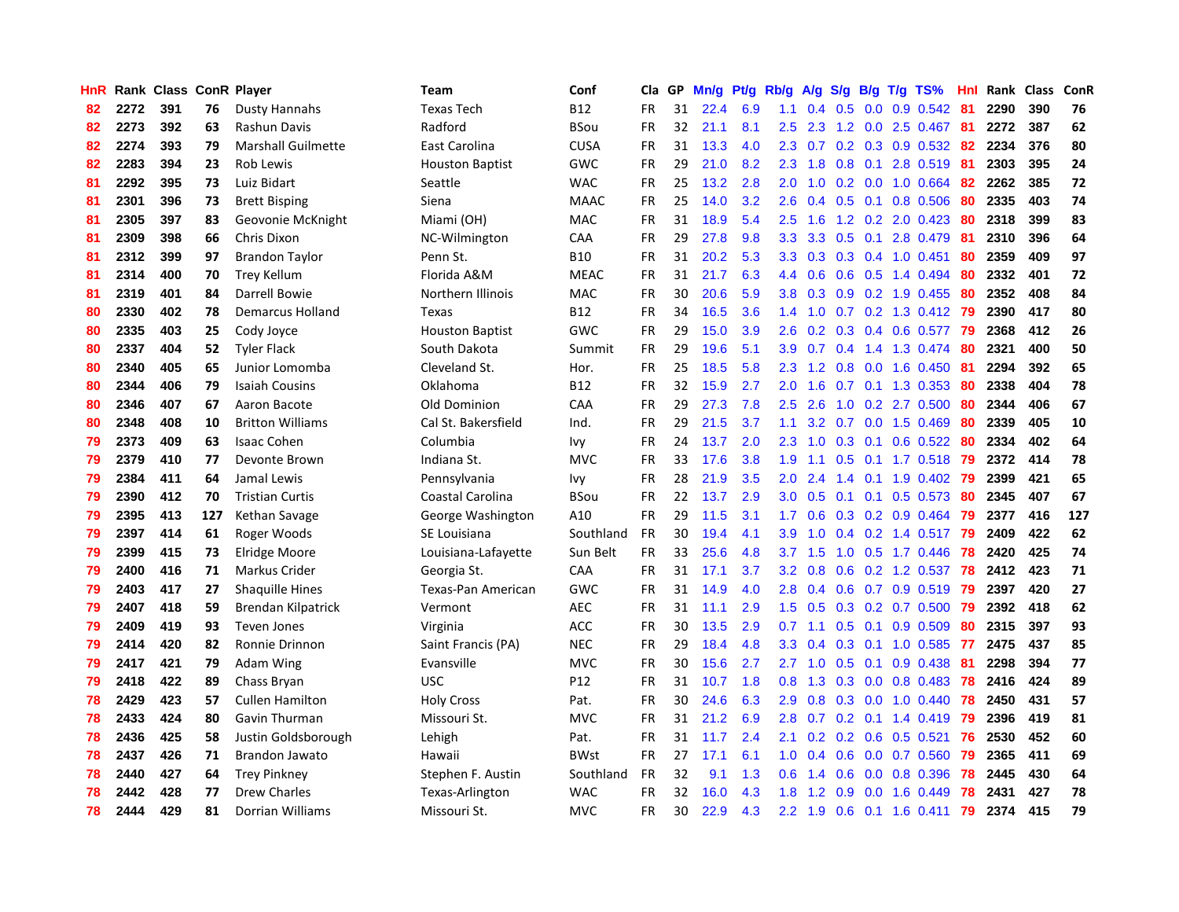| HnR |      | Rank Class ConR Player |     |                           | Team                   | Conf        | Cla       | GP | Mn/g | <b>Pt/g</b> | Rb/g             | A/g             | S/g |     | B/g T/g TS%               | Hnl | Rank | <b>Class</b> | ConR |
|-----|------|------------------------|-----|---------------------------|------------------------|-------------|-----------|----|------|-------------|------------------|-----------------|-----|-----|---------------------------|-----|------|--------------|------|
| 82  | 2272 | 391                    | 76  | Dusty Hannahs             | <b>Texas Tech</b>      | <b>B12</b>  | <b>FR</b> | 31 | 22.4 | 6.9         | 1.1              | $0.4 \quad 0.5$ |     |     | $0.0$ 0.9 0.542           | -81 | 2290 | 390          | 76   |
| 82  | 2273 | 392                    | 63  | Rashun Davis              | Radford                | <b>BSou</b> | FR        | 32 | 21.1 | 8.1         | 2.5              | 2.3             |     |     | 1.2 0.0 2.5 0.467 81      |     | 2272 | 387          | 62   |
| 82  | 2274 | 393                    | 79  | <b>Marshall Guilmette</b> | East Carolina          | <b>CUSA</b> | FR        | 31 | 13.3 | 4.0         | 2.3              | 0.7             |     |     | $0.2$ 0.3 0.9 0.532       | -82 | 2234 | 376          | 80   |
| 82  | 2283 | 394                    | 23  | Rob Lewis                 | <b>Houston Baptist</b> | GWC         | <b>FR</b> | 29 | 21.0 | 8.2         | 2.3              | 1.8             | 0.8 |     | 0.1 2.8 0.519             | 81  | 2303 | 395          | 24   |
| 81  | 2292 | 395                    | 73  | Luiz Bidart               | Seattle                | <b>WAC</b>  | <b>FR</b> | 25 | 13.2 | 2.8         | 2.0              | 1.0             |     |     | $0.2$ 0.0 1.0 0.664       | 82  | 2262 | 385          | 72   |
| 81  | 2301 | 396                    | 73  | <b>Brett Bisping</b>      | Siena                  | <b>MAAC</b> | <b>FR</b> | 25 | 14.0 | 3.2         | 2.6              | 0.4             |     |     | 0.5 0.1 0.8 0.506         | -80 | 2335 | 403          | 74   |
| 81  | 2305 | 397                    | 83  | Geovonie McKnight         | Miami (OH)             | MAC         | FR.       | 31 | 18.9 | 5.4         | 2.5              | 1.6             |     |     | 1.2 0.2 2.0 0.423         | 80  | 2318 | 399          | 83   |
| 81  | 2309 | 398                    | 66  | Chris Dixon               | NC-Wilmington          | CAA         | <b>FR</b> | 29 | 27.8 | 9.8         | 3.3              | 3.3             | 0.5 | 0.1 | 2.8 0.479                 | 81  | 2310 | 396          | 64   |
| 81  | 2312 | 399                    | 97  | <b>Brandon Taylor</b>     | Penn St.               | <b>B10</b>  | <b>FR</b> | 31 | 20.2 | 5.3         | 3.3 <sub>2</sub> | 0.3             |     |     | 0.3 0.4 1.0 0.451         | 80  | 2359 | 409          | 97   |
| 81  | 2314 | 400                    | 70  | <b>Trey Kellum</b>        | Florida A&M            | <b>MEAC</b> | FR        | 31 | 21.7 | 6.3         | 4.4              | 0.6             |     |     | $0.6$ $0.5$ 1.4 $0.494$   | -80 | 2332 | 401          | 72   |
| 81  | 2319 | 401                    | 84  | Darrell Bowie             | Northern Illinois      | MAC         | <b>FR</b> | 30 | 20.6 | 5.9         | 3.8 <sub>2</sub> | 0.3             |     |     | 0.9 0.2 1.9 0.455 80      |     | 2352 | 408          | 84   |
| 80  | 2330 | 402                    | 78  | Demarcus Holland          | Texas                  | <b>B12</b>  | FR        | 34 | 16.5 | 3.6         | $1.4^{\circ}$    | 1.0             |     |     | 0.7 0.2 1.3 0.412 79      |     | 2390 | 417          | 80   |
| 80  | 2335 | 403                    | 25  | Cody Joyce                | <b>Houston Baptist</b> | GWC         | <b>FR</b> | 29 | 15.0 | 3.9         | 2.6              | 0.2             |     |     | 0.3 0.4 0.6 0.577 79      |     | 2368 | 412          | 26   |
| 80  | 2337 | 404                    | 52  | <b>Tyler Flack</b>        | South Dakota           | Summit      | FR        | 29 | 19.6 | 5.1         | 3.9              | 0.7             |     |     | $0.4$ 1.4 1.3 0.474       | -80 | 2321 | 400          | 50   |
| 80  | 2340 | 405                    | 65  | Junior Lomomba            | Cleveland St.          | Hor.        | <b>FR</b> | 25 | 18.5 | 5.8         | 2.3              | 1.2             | 0.8 |     | $0.0$ 1.6 $0.450$         | -81 | 2294 | 392          | 65   |
| 80  | 2344 | 406                    | 79  | <b>Isaiah Cousins</b>     | Oklahoma               | <b>B12</b>  | <b>FR</b> | 32 | 15.9 | 2.7         | 2.0 <sub>1</sub> | 1.6             |     |     | $0.7$ 0.1 1.3 0.353       | 80  | 2338 | 404          | 78   |
| 80  | 2346 | 407                    | 67  | Aaron Bacote              | Old Dominion           | CAA         | <b>FR</b> | 29 | 27.3 | 7.8         | 2.5              | 2.6             | 1.0 |     | $0.2$ 2.7 $0.500$         | 80  | 2344 | 406          | 67   |
| 80  | 2348 | 408                    | 10  | <b>Britton Williams</b>   | Cal St. Bakersfield    | Ind.        | <b>FR</b> | 29 | 21.5 | 3.7         | 1.1              | 3.2             | 0.7 |     | $0.0$ 1.5 $0.469$         | -80 | 2339 | 405          | 10   |
| 79  | 2373 | 409                    | 63  | <b>Isaac Cohen</b>        | Columbia               | Ivy         | <b>FR</b> | 24 | 13.7 | 2.0         | $2.3^{\circ}$    | 1.0             |     |     | 0.3 0.1 0.6 0.522 80      |     | 2334 | 402          | 64   |
| 79  | 2379 | 410                    | 77  | Devonte Brown             | Indiana St.            | <b>MVC</b>  | <b>FR</b> | 33 | 17.6 | 3.8         | 1.9              | 1.1             |     |     | 0.5 0.1 1.7 0.518 79      |     | 2372 | 414          | 78   |
| 79  | 2384 | 411                    | 64  | Jamal Lewis               | Pennsylvania           | Ivy         | <b>FR</b> | 28 | 21.9 | 3.5         | 2.0 <sub>1</sub> | 2.4             |     |     | 1.4 0.1 1.9 0.402         | -79 | 2399 | 421          | 65   |
| 79  | 2390 | 412                    | 70  | <b>Tristian Curtis</b>    | Coastal Carolina       | BSou        | <b>FR</b> | 22 | 13.7 | 2.9         | 3.0 <sub>1</sub> | 0.5             | 0.1 |     | $0.1$ 0.5 0.573           | -80 | 2345 | 407          | 67   |
| 79  | 2395 | 413                    | 127 | Kethan Savage             | George Washington      | A10         | <b>FR</b> | 29 | 11.5 | 3.1         | 1.7 <sub>2</sub> | 0.6             |     |     | 0.3 0.2 0.9 0.464         | 79  | 2377 | 416          | 127  |
| 79  | 2397 | 414                    | 61  | Roger Woods               | SE Louisiana           | Southland   | <b>FR</b> | 30 | 19.4 | 4.1         | 3.9              | 1.0             | 0.4 |     | $0.2$ 1.4 0.517           | 79  | 2409 | 422          | 62   |
| 79  | 2399 | 415                    | 73  | Elridge Moore             | Louisiana-Lafayette    | Sun Belt    | <b>FR</b> | 33 | 25.6 | 4.8         | 3.7              | 1.5             | 1.0 |     | $0.5$ 1.7 0.446           | 78  | 2420 | 425          | 74   |
| 79  | 2400 | 416                    | 71  | Markus Crider             | Georgia St.            | CAA         | <b>FR</b> | 31 | 17.1 | 3.7         | 3.2              | 0.8             | 0.6 |     | $0.2$ 1.2 $0.537$         | 78  | 2412 | 423          | 71   |
| 79  | 2403 | 417                    | 27  | <b>Shaquille Hines</b>    | Texas-Pan American     | GWC         | <b>FR</b> | 31 | 14.9 | 4.0         |                  |                 |     |     | 2.8 0.4 0.6 0.7 0.9 0.519 | -79 | 2397 | 420          | 27   |
| 79  | 2407 | 418                    | 59  | Brendan Kilpatrick        | Vermont                | <b>AEC</b>  | <b>FR</b> | 31 | 11.1 | 2.9         |                  | $1.5 \quad 0.5$ |     |     | 0.3 0.2 0.7 0.500 79      |     | 2392 | 418          | 62   |
| 79  | 2409 | 419                    | 93  | <b>Teven Jones</b>        | Virginia               | <b>ACC</b>  | FR        | 30 | 13.5 | 2.9         | 0.7              | 1.1             |     |     | $0.5$ 0.1 0.9 0.509       | 80  | 2315 | 397          | 93   |
| 79  | 2414 | 420                    | 82  | Ronnie Drinnon            | Saint Francis (PA)     | <b>NEC</b>  | <b>FR</b> | 29 | 18.4 | 4.8         | 3.3              | 0.4             |     |     | $0.3$ 0.1 1.0 0.585       | -77 | 2475 | 437          | 85   |
| 79  | 2417 | 421                    | 79  | Adam Wing                 | Evansville             | <b>MVC</b>  | <b>FR</b> | 30 | 15.6 | 2.7         | $2.7^{\circ}$    | 1.0             | 0.5 |     | $0.1$ 0.9 0.438           | -81 | 2298 | 394          | 77   |
| 79  | 2418 | 422                    | 89  | Chass Bryan               | <b>USC</b>             | P12         | FR        | 31 | 10.7 | 1.8         | 0.8              | 1.3             | 0.3 |     | $0.0$ 0.8 0.483           | 78  | 2416 | 424          | 89   |
| 78  | 2429 | 423                    | 57  | <b>Cullen Hamilton</b>    | <b>Holy Cross</b>      | Pat.        | <b>FR</b> | 30 | 24.6 | 6.3         | 2.9 <sup>°</sup> | 0.8             | 0.3 |     | $0.0$ 1.0 $0.440$         | 78  | 2450 | 431          | 57   |
| 78  | 2433 | 424                    | 80  | Gavin Thurman             | Missouri St.           | <b>MVC</b>  | <b>FR</b> | 31 | 21.2 | 6.9         | 2.8 <sub>1</sub> | 0.7             | 0.2 |     | $0.1$ 1.4 0.419           | 79  | 2396 | 419          | 81   |
| 78  | 2436 | 425                    | 58  | Justin Goldsborough       | Lehigh                 | Pat.        | <b>FR</b> | 31 | 11.7 | 2.4         | 2.1              | 0.2             |     |     | $0.2$ 0.6 0.5 0.521       | 76  | 2530 | 452          | 60   |
| 78  | 2437 | 426                    | 71  | Brandon Jawato            | Hawaii                 | <b>BWst</b> | <b>FR</b> | 27 | 17.1 | 6.1         | 1.0 <sub>1</sub> | 0.4             | 0.6 |     | $0.0$ 0.7 0.560           | -79 | 2365 | 411          | 69   |
| 78  | 2440 | 427                    | 64  | Trey Pinkney              | Stephen F. Austin      | Southland   | <b>FR</b> | 32 | 9.1  | 1.3         | 0.6              | 1.4             | 0.6 |     | $0.0$ 0.8 0.396           | 78  | 2445 | 430          | 64   |
| 78  | 2442 | 428                    | 77  | <b>Drew Charles</b>       | Texas-Arlington        | <b>WAC</b>  | FR        | 32 | 16.0 | 4.3         | 1.8              | 1.2             | 0.9 |     | $0.0$ 1.6 $0.449$         | 78  | 2431 | 427          | 78   |
| 78  | 2444 | 429                    | 81  | Dorrian Williams          | Missouri St.           | <b>MVC</b>  | <b>FR</b> | 30 | 22.9 | 4.3         |                  | $2.2 \quad 1.9$ |     |     | 0.6 0.1 1.6 0.411         | 79  | 2374 | 415          | 79   |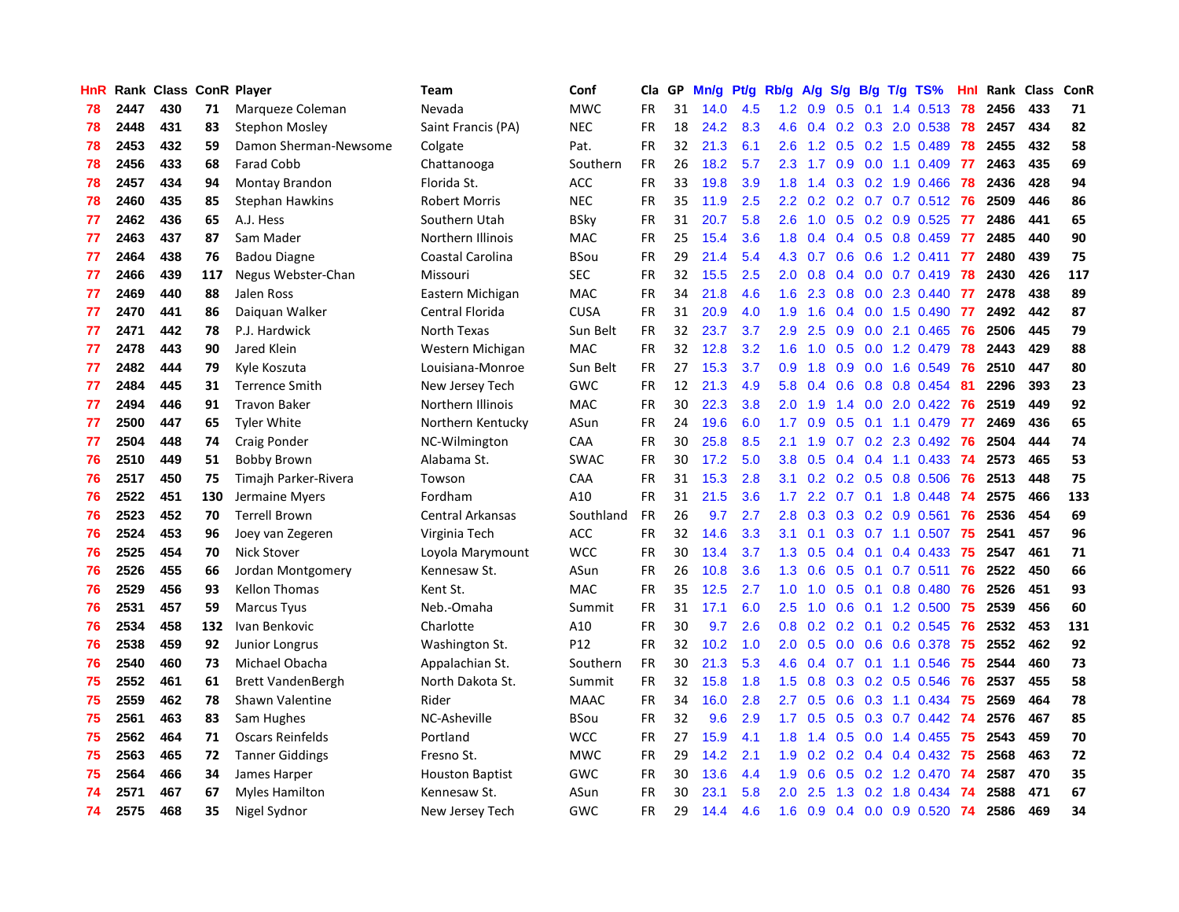| HnR |      | Rank Class ConR Player |     |                          | Team                    | Conf        | Cla       | GP | Mn/g | Pt/g | Rb/g             | A/g             |     |     | $S/g$ B/g T/g TS%         | Hnl | Rank | Class | <b>ConR</b> |
|-----|------|------------------------|-----|--------------------------|-------------------------|-------------|-----------|----|------|------|------------------|-----------------|-----|-----|---------------------------|-----|------|-------|-------------|
| 78  | 2447 | 430                    | 71  | Marqueze Coleman         | Nevada                  | <b>MWC</b>  | FR        | 31 | 14.0 | 4.5  |                  | $1.2 \quad 0.9$ | 0.5 | 0.1 | 1.4 0.513                 | 78  | 2456 | 433   | 71          |
| 78  | 2448 | 431                    | 83  | <b>Stephon Mosley</b>    | Saint Francis (PA)      | <b>NEC</b>  | FR        | 18 | 24.2 | 8.3  |                  |                 |     |     | 4.6 0.4 0.2 0.3 2.0 0.538 | 78  | 2457 | 434   | 82          |
| 78  | 2453 | 432                    | 59  | Damon Sherman-Newsome    | Colgate                 | Pat.        | FR        | 32 | 21.3 | 6.1  | 2.6              | 1.2             |     |     | $0.5$ 0.2 1.5 0.489       | 78  | 2455 | 432   | 58          |
| 78  | 2456 | 433                    | 68  | <b>Farad Cobb</b>        | Chattanooga             | Southern    | FR        | 26 | 18.2 | 5.7  | $2.3^{\circ}$    | 1.7             | 0.9 |     | $0.0$ 1.1 $0.409$         | -77 | 2463 | 435   | 69          |
| 78  | 2457 | 434                    | 94  | Montay Brandon           | Florida St.             | ACC         | <b>FR</b> | 33 | 19.8 | 3.9  | 1.8              | 1.4             |     |     | 0.3 0.2 1.9 0.466         | 78  | 2436 | 428   | 94          |
| 78  | 2460 | 435                    | 85  | <b>Stephan Hawkins</b>   | <b>Robert Morris</b>    | <b>NEC</b>  | <b>FR</b> | 35 | 11.9 | 2.5  | $2.2^{\circ}$    | 0.2             |     |     | $0.2$ 0.7 0.7 0.512       | -76 | 2509 | 446   | 86          |
| 77  | 2462 | 436                    | 65  | A.J. Hess                | Southern Utah           | <b>BSky</b> | <b>FR</b> | 31 | 20.7 | 5.8  | 2.6              | 1.0             | 0.5 |     | 0.2 0.9 0.525             | 77  | 2486 | 441   | 65          |
| 77  | 2463 | 437                    | 87  | Sam Mader                | Northern Illinois       | <b>MAC</b>  | <b>FR</b> | 25 | 15.4 | 3.6  | 1.8              | 0.4             |     |     | $0.4$ 0.5 0.8 0.459       | 77  | 2485 | 440   | 90          |
| 77  | 2464 | 438                    | 76  | <b>Badou Diagne</b>      | Coastal Carolina        | <b>BSou</b> | <b>FR</b> | 29 | 21.4 | 5.4  | 4.3              | 0.7             | 0.6 |     | 0.6 1.2 0.411             | 77  | 2480 | 439   | 75          |
| 77  | 2466 | 439                    | 117 | Negus Webster-Chan       | Missouri                | <b>SEC</b>  | <b>FR</b> | 32 | 15.5 | 2.5  | 2.0 <sub>1</sub> | 0.8             |     |     | $0.4$ 0.0 0.7 0.419       | -78 | 2430 | 426   | 117         |
| 77  | 2469 | 440                    | 88  | Jalen Ross               | Eastern Michigan        | <b>MAC</b>  | <b>FR</b> | 34 | 21.8 | 4.6  |                  | $1.6$ 2.3       |     |     | 0.8 0.0 2.3 0.440 77      |     | 2478 | 438   | 89          |
| 77  | 2470 | 441                    | 86  | Daiguan Walker           | Central Florida         | <b>CUSA</b> | FR        | 31 | 20.9 | 4.0  | 1.9              | 1.6             |     |     | $0.4$ 0.0 1.5 0.490       | -77 | 2492 | 442   | 87          |
| 77  | 2471 | 442                    | 78  | P.J. Hardwick            | North Texas             | Sun Belt    | <b>FR</b> | 32 | 23.7 | 3.7  | 2.9              | 2.5             | 0.9 |     | $0.0$ 2.1 $0.465$         | -76 | 2506 | 445   | 79          |
| 77  | 2478 | 443                    | 90  | Jared Klein              | Western Michigan        | <b>MAC</b>  | <b>FR</b> | 32 | 12.8 | 3.2  | 1.6              | 1.0             | 0.5 |     | $0.0$ 1.2 0.479           | 78  | 2443 | 429   | 88          |
| 77  | 2482 | 444                    | 79  | Kyle Koszuta             | Louisiana-Monroe        | Sun Belt    | <b>FR</b> | 27 | 15.3 | 3.7  | 0.9              | 1.8             | 0.9 |     | 0.0 1.6 0.549             | 76  | 2510 | 447   | 80          |
| 77  | 2484 | 445                    | 31  | <b>Terrence Smith</b>    | New Jersey Tech         | GWC         | <b>FR</b> | 12 | 21.3 | 4.9  | 5.8              | 0.4             | 0.6 |     | 0.8 0.8 0.454             | 81  | 2296 | 393   | 23          |
| 77  | 2494 | 446                    | 91  | <b>Travon Baker</b>      | Northern Illinois       | <b>MAC</b>  | FR        | 30 | 22.3 | 3.8  | 2.0 <sub>1</sub> | 1.9             | 1.4 |     | $0.0$ 2.0 $0.422$         | 76  | 2519 | 449   | 92          |
| 77  | 2500 | 447                    | 65  | <b>Tyler White</b>       | Northern Kentucky       | ASun        | <b>FR</b> | 24 | 19.6 | 6.0  | 1.7              | 0.9             | 0.5 |     | $0.1$ 1.1 0.479           | 77  | 2469 | 436   | 65          |
| 77  | 2504 | 448                    | 74  | Craig Ponder             | NC-Wilmington           | CAA         | FR        | 30 | 25.8 | 8.5  | 2.1              | 1.9             |     |     | $0.7$ $0.2$ $2.3$ $0.492$ | 76  | 2504 | 444   | 74          |
| 76  | 2510 | 449                    | 51  | <b>Bobby Brown</b>       | Alabama St.             | SWAC        | <b>FR</b> | 30 | 17.2 | 5.0  | 3.8 <sub>2</sub> | 0.5             |     |     | 0.4 0.4 1.1 0.433 74      |     | 2573 | 465   | 53          |
| 76  | 2517 | 450                    | 75  | Timajh Parker-Rivera     | Towson                  | CAA         | FR        | 31 | 15.3 | 2.8  | 3.1              | 0.2             |     |     | 0.2 0.5 0.8 0.506         | -76 | 2513 | 448   | 75          |
| 76  | 2522 | 451                    | 130 | Jermaine Myers           | Fordham                 | A10         | <b>FR</b> | 31 | 21.5 | 3.6  | 1.7              | 2.2             |     |     | 0.7 0.1 1.8 0.448         | 74  | 2575 | 466   | 133         |
| 76  | 2523 | 452                    | 70  | <b>Terrell Brown</b>     | <b>Central Arkansas</b> | Southland   | FR        | 26 | 9.7  | 2.7  | 2.8              | 0.3             |     |     | $0.3$ 0.2 0.9 0.561       | 76  | 2536 | 454   | 69          |
| 76  | 2524 | 453                    | 96  | Joey van Zegeren         | Virginia Tech           | ACC         | FR        | 32 | 14.6 | 3.3  | 3.1              | 0.1             | 0.3 |     | $0.7$ 1.1 0.507           | 75  | 2541 | 457   | 96          |
| 76  | 2525 | 454                    | 70  | <b>Nick Stover</b>       | Loyola Marymount        | <b>WCC</b>  | FR        | 30 | 13.4 | 3.7  | 1.3              | 0.5             | 0.4 |     | $0.1$ 0.4 0.433           | 75  | 2547 | 461   | 71          |
| 76  | 2526 | 455                    | 66  | Jordan Montgomery        | Kennesaw St.            | ASun        | <b>FR</b> | 26 | 10.8 | 3.6  | 1.3              | 0.6             | 0.5 |     | $0.1$ 0.7 0.511           | 76  | 2522 | 450   | 66          |
| 76  | 2529 | 456                    | 93  | <b>Kellon Thomas</b>     | Kent St.                | MAC         | FR        | 35 | 12.5 | 2.7  | 1.0              | 1.0             |     |     | $0.5$ 0.1 0.8 0.480       | -76 | 2526 | 451   | 93          |
| 76  | 2531 | 457                    | 59  | <b>Marcus Tyus</b>       | Neb.-Omaha              | Summit      | <b>FR</b> | 31 | 17.1 | 6.0  | $2.5^{\circ}$    | 1.0             |     |     | 0.6 0.1 1.2 0.500 75      |     | 2539 | 456   | 60          |
| 76  | 2534 | 458                    | 132 | Ivan Benkovic            | Charlotte               | A10         | <b>FR</b> | 30 | 9.7  | 2.6  | 0.8              | 0.2             |     |     | $0.2$ 0.1 0.2 0.545       | -76 | 2532 | 453   | 131         |
| 76  | 2538 | 459                    | 92  | Junior Longrus           | Washington St.          | P12         | FR        | 32 | 10.2 | 1.0  | 2.0 <sub>1</sub> | 0.5             |     |     | $0.0$ $0.6$ $0.6$ $0.378$ | 75  | 2552 | 462   | 92          |
| 76  | 2540 | 460                    | 73  | Michael Obacha           | Appalachian St.         | Southern    | <b>FR</b> | 30 | 21.3 | 5.3  | 4.6              | 0.4             | 0.7 |     | $0.1$ 1.1 0.546           | -75 | 2544 | 460   | 73          |
| 75  | 2552 | 461                    | 61  | <b>Brett VandenBergh</b> | North Dakota St.        | Summit      | <b>FR</b> | 32 | 15.8 | 1.8  | 1.5              | 0.8             | 0.3 |     | $0.2$ 0.5 0.546           | 76  | 2537 | 455   | 58          |
| 75  | 2559 | 462                    | 78  | Shawn Valentine          | Rider                   | <b>MAAC</b> | FR        | 34 | 16.0 | 2.8  | 2.7              | 0.5             | 0.6 |     | $0.3$ 1.1 0.434           | 75  | 2569 | 464   | 78          |
| 75  | 2561 | 463                    | 83  | Sam Hughes               | NC-Asheville            | <b>BSou</b> | FR        | 32 | 9.6  | 2.9  | 1.7 <sup>2</sup> | 0.5             | 0.5 |     | $0.3$ 0.7 0.442           | 74  | 2576 | 467   | 85          |
| 75  | 2562 | 464                    | 71  | <b>Oscars Reinfelds</b>  | Portland                | <b>WCC</b>  | FR        | 27 | 15.9 | 4.1  | 1.8              | 1.4             | 0.5 |     | $0.0$ 1.4 $0.455$         | -75 | 2543 | 459   | 70          |
| 75  | 2563 | 465                    | 72  | <b>Tanner Giddings</b>   | Fresno St.              | <b>MWC</b>  | <b>FR</b> | 29 | 14.2 | 2.1  |                  |                 |     |     | 1.9 0.2 0.2 0.4 0.4 0.432 | -75 | 2568 | 463   | 72          |
| 75  | 2564 | 466                    | 34  | James Harper             | <b>Houston Baptist</b>  | <b>GWC</b>  | FR        | 30 | 13.6 | 4.4  | 1.9 <sup>°</sup> | 0.6             |     |     | $0.5$ 0.2 1.2 0.470       | -74 | 2587 | 470   | 35          |
| 74  | 2571 | 467                    | 67  | <b>Myles Hamilton</b>    | Kennesaw St.            | ASun        | FR        | 30 | 23.1 | 5.8  | 2.0 <sub>1</sub> | 2.5             | 1.3 |     | 0.2 1.8 0.434             | -74 | 2588 | 471   | 67          |
| 74  | 2575 | 468                    | 35  | Nigel Sydnor             | New Jersey Tech         | GWC         | FR        | 29 | 14.4 | 4.6  | 1.6              | 0.9             |     |     | $0.4$ 0.0 0.9 0.520       | 74  | 2586 | 469   | 34          |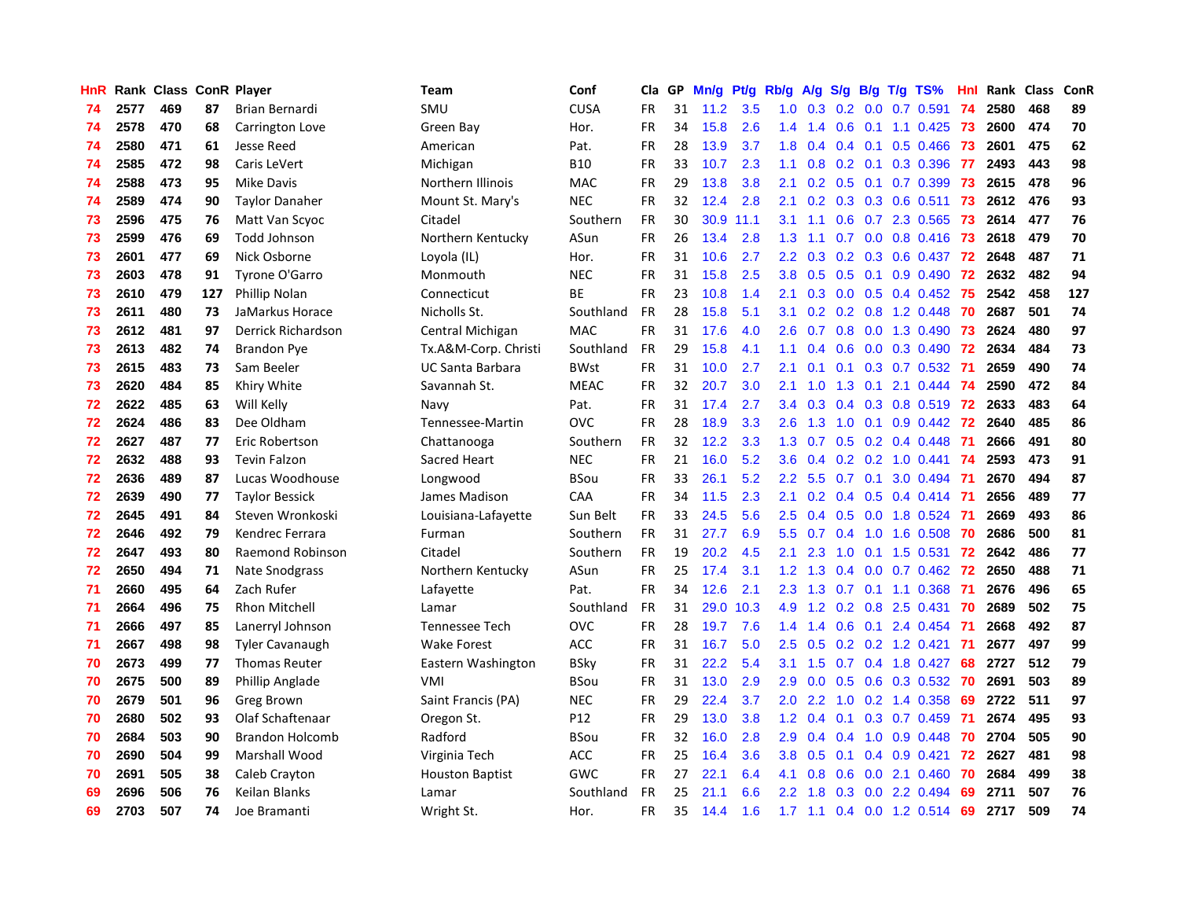| HnR |      | Rank Class ConR Player |     |                        | Team                    | Conf        | Cla       | GP | Mn/g | <b>Pt/g</b> | Rb/g             | A/g |               |     | S/g B/g T/g TS%           | Hnl | Rank | <b>Class</b> | ConR |
|-----|------|------------------------|-----|------------------------|-------------------------|-------------|-----------|----|------|-------------|------------------|-----|---------------|-----|---------------------------|-----|------|--------------|------|
| 74  | 2577 | 469                    | 87  | Brian Bernardi         | SMU                     | <b>CUSA</b> | FR.       | 31 | 11.2 | 3.5         | 1.0              | 0.3 | 0.2           |     | $0.0$ 0.7 0.591           | 74  | 2580 | 468          | 89   |
| 74  | 2578 | 470                    | 68  | Carrington Love        | Green Bay               | Hor.        | <b>FR</b> | 34 | 15.8 | 2.6         | $1.4^{\circ}$    | 1.4 |               |     | 0.6 0.1 1.1 0.425 73      |     | 2600 | 474          | 70   |
| 74  | 2580 | 471                    | 61  | Jesse Reed             | American                | Pat.        | <b>FR</b> | 28 | 13.9 | 3.7         | 1.8              | 0.4 |               |     | $0.4$ 0.1 0.5 0.466       | -73 | 2601 | 475          | 62   |
| 74  | 2585 | 472                    | 98  | Caris LeVert           | Michigan                | <b>B10</b>  | <b>FR</b> | 33 | 10.7 | 2.3         | 1.1              | 0.8 |               |     | $0.2$ 0.1 0.3 0.396       | -77 | 2493 | 443          | 98   |
| 74  | 2588 | 473                    | 95  | <b>Mike Davis</b>      | Northern Illinois       | <b>MAC</b>  | <b>FR</b> | 29 | 13.8 | 3.8         | 2.1              | 0.2 | 0.5           |     | $0.1$ 0.7 0.399           | 73  | 2615 | 478          | 96   |
| 74  | 2589 | 474                    | 90  | <b>Taylor Danaher</b>  | Mount St. Mary's        | <b>NEC</b>  | <b>FR</b> | 32 | 12.4 | 2.8         | 2.1              | 0.2 |               |     | $0.3$ $0.3$ $0.6$ $0.511$ | 73  | 2612 | 476          | 93   |
| 73  | 2596 | 475                    | 76  | Matt Van Scyoc         | Citadel                 | Southern    | <b>FR</b> | 30 | 30.9 | 11.1        | 3.1              | 1.1 | 0.6           |     | 0.7 2.3 0.565             | 73  | 2614 | 477          | 76   |
| 73  | 2599 | 476                    | 69  | Todd Johnson           | Northern Kentucky       | ASun        | <b>FR</b> | 26 | 13.4 | 2.8         | 1.3              | 1.1 | 0.7           |     | $0.0$ 0.8 0.416           | 73  | 2618 | 479          | 70   |
| 73  | 2601 | 477                    | 69  | Nick Osborne           | Loyola (IL)             | Hor.        | <b>FR</b> | 31 | 10.6 | 2.7         | $2.2^{\circ}$    | 0.3 | 0.2           |     | $0.3$ 0.6 0.437           | -72 | 2648 | 487          | 71   |
| 73  | 2603 | 478                    | 91  | Tyrone O'Garro         | Monmouth                | <b>NEC</b>  | <b>FR</b> | 31 | 15.8 | 2.5         | 3.8 <sub>2</sub> | 0.5 |               |     | $0.5$ 0.1 0.9 0.490       | -72 | 2632 | 482          | 94   |
| 73  | 2610 | 479                    | 127 | Phillip Nolan          | Connecticut             | <b>BE</b>   | <b>FR</b> | 23 | 10.8 | 1.4         | 2.1              | 0.3 |               |     | 0.0 0.5 0.4 0.452 75      |     | 2542 | 458          | 127  |
| 73  | 2611 | 480                    | 73  | JaMarkus Horace        | Nicholls St.            | Southland   | <b>FR</b> | 28 | 15.8 | 5.1         | 3.1              | 0.2 |               |     | $0.2$ 0.8 1.2 0.448       | -70 | 2687 | 501          | 74   |
| 73  | 2612 | 481                    | 97  | Derrick Richardson     | Central Michigan        | <b>MAC</b>  | <b>FR</b> | 31 | 17.6 | 4.0         | 2.6              | 0.7 | 0.8           |     | 0.0 1.3 0.490             | -73 | 2624 | 480          | 97   |
| 73  | 2613 | 482                    | 74  | <b>Brandon Pye</b>     | Tx.A&M-Corp. Christi    | Southland   | <b>FR</b> | 29 | 15.8 | 4.1         | 1.1              | 0.4 | 0.6           |     | $0.0$ $0.3$ $0.490$       | 72  | 2634 | 484          | 73   |
| 73  | 2615 | 483                    | 73  | Sam Beeler             | <b>UC Santa Barbara</b> | <b>BWst</b> | <b>FR</b> | 31 | 10.0 | 2.7         | 2.1              | 0.1 | 0.1           |     | 0.3 0.7 0.532             | -71 | 2659 | 490          | 74   |
| 73  | 2620 | 484                    | 85  | Khiry White            | Savannah St.            | <b>MEAC</b> | <b>FR</b> | 32 | 20.7 | 3.0         | 2.1              | 1.0 | 1.3           | 0.1 | 2.1 0.444                 | 74  | 2590 | 472          | 84   |
| 72  | 2622 | 485                    | 63  | Will Kelly             | Navy                    | Pat.        | <b>FR</b> | 31 | 17.4 | 2.7         | 3.4              | 0.3 | 0.4           |     | 0.3 0.8 0.519             | 72  | 2633 | 483          | 64   |
| 72  | 2624 | 486                    | 83  | Dee Oldham             | Tennessee-Martin        | <b>OVC</b>  | <b>FR</b> | 28 | 18.9 | 3.3         | 2.6              | 1.3 | 1.0           | 0.1 | $0.9$ $0.442$             | -72 | 2640 | 485          | 86   |
| 72  | 2627 | 487                    | 77  | Eric Robertson         | Chattanooga             | Southern    | <b>FR</b> | 32 | 12.2 | 3.3         | 1.3              | 0.7 |               |     | $0.5$ 0.2 0.4 0.448       | -71 | 2666 | 491          | 80   |
| 72  | 2632 | 488                    | 93  | <b>Tevin Falzon</b>    | Sacred Heart            | <b>NEC</b>  | <b>FR</b> | 21 | 16.0 | 5.2         | 3.6 <sup>°</sup> | 0.4 |               |     | $0.2$ 0.2 1.0 0.441       | -74 | 2593 | 473          | 91   |
| 72  | 2636 | 489                    | 87  | Lucas Woodhouse        | Longwood                | <b>BSou</b> | FR        | 33 | 26.1 | 5.2         | $2.2\phantom{0}$ | 5.5 |               |     | $0.7$ 0.1 3.0 0.494       | -71 | 2670 | 494          | 87   |
| 72  | 2639 | 490                    | 77  | <b>Taylor Bessick</b>  | James Madison           | CAA         | <b>FR</b> | 34 | 11.5 | 2.3         | 2.1              | 0.2 |               |     | $0.4$ 0.5 0.4 0.414       | -71 | 2656 | 489          | 77   |
| 72  | 2645 | 491                    | 84  | Steven Wronkoski       | Louisiana-Lafayette     | Sun Belt    | <b>FR</b> | 33 | 24.5 | 5.6         | $2.5\,$          | 0.4 | 0.5           |     | $0.0$ 1.8 $0.524$         | -71 | 2669 | 493          | 86   |
| 72  | 2646 | 492                    | 79  | Kendrec Ferrara        | Furman                  | Southern    | <b>FR</b> | 31 | 27.7 | 6.9         | 5.5              | 0.7 | 0.4           |     | 1.0 1.6 0.508             | 70  | 2686 | 500          | 81   |
| 72  | 2647 | 493                    | 80  | Raemond Robinson       | Citadel                 | Southern    | <b>FR</b> | 19 | 20.2 | 4.5         | 2.1              | 2.3 | 1.0           |     | $0.1$ 1.5 0.531           | 72  | 2642 | 486          | 77   |
| 72  | 2650 | 494                    | 71  | <b>Nate Snodgrass</b>  | Northern Kentucky       | ASun        | <b>FR</b> | 25 | 17.4 | 3.1         | 1.2              | 1.3 |               |     | 0.4 0.0 0.7 0.462 72      |     | 2650 | 488          | 71   |
| 71  | 2660 | 495                    | 64  | Zach Rufer             | Lafayette               | Pat.        | FR        | 34 | 12.6 | 2.1         | 2.3              | 1.3 |               |     | 0.7 0.1 1.1 0.368         | -71 | 2676 | 496          | 65   |
| 71  | 2664 | 496                    | 75  | Rhon Mitchell          | Lamar                   | Southland   | <b>FR</b> | 31 | 29.0 | 10.3        | 4.9              |     |               |     | 1.2 0.2 0.8 2.5 0.431     | -70 | 2689 | 502          | 75   |
| 71  | 2666 | 497                    | 85  | Lanerryl Johnson       | <b>Tennessee Tech</b>   | <b>OVC</b>  | <b>FR</b> | 28 | 19.7 | 7.6         | $1.4^{\circ}$    | 1.4 |               |     | 0.6 0.1 2.4 0.454 71      |     | 2668 | 492          | 87   |
| 71  | 2667 | 498                    | 98  | <b>Tyler Cavanaugh</b> | <b>Wake Forest</b>      | <b>ACC</b>  | <b>FR</b> | 31 | 16.7 | 5.0         | 2.5              | 0.5 |               |     | 0.2 0.2 1.2 0.421         | -71 | 2677 | 497          | 99   |
| 70  | 2673 | 499                    | 77  | <b>Thomas Reuter</b>   | Eastern Washington      | <b>BSky</b> | <b>FR</b> | 31 | 22.2 | 5.4         | 3.1              | 1.5 | 0.7           |     | 0.4 1.8 0.427             | 68  | 2727 | 512          | 79   |
| 70  | 2675 | 500                    | 89  | Phillip Anglade        | <b>VMI</b>              | <b>BSou</b> | <b>FR</b> | 31 | 13.0 | 2.9         | 2.9 <sup>°</sup> | 0.0 | 0.5           |     | 0.6 0.3 0.532             | -70 | 2691 | 503          | 89   |
| 70  | 2679 | 501                    | 96  | <b>Greg Brown</b>      | Saint Francis (PA)      | <b>NEC</b>  | <b>FR</b> | 29 | 22.4 | 3.7         | 2.0 <sub>1</sub> | 2.2 | 1.0           |     | 0.2 1.4 0.358             | 69  | 2722 | 511          | 97   |
| 70  | 2680 | 502                    | 93  | Olaf Schaftenaar       | Oregon St.              | P12         | <b>FR</b> | 29 | 13.0 | 3.8         | 1.2              | 0.4 | 0.1           |     | 0.3 0.7 0.459             | -71 | 2674 | 495          | 93   |
| 70  | 2684 | 503                    | 90  | <b>Brandon Holcomb</b> | Radford                 | <b>BSou</b> | <b>FR</b> | 32 | 16.0 | 2.8         | 2.9 <sup>°</sup> | 0.4 | $0.4^{\circ}$ |     | $1.0$ 0.9 0.448           | -70 | 2704 | 505          | 90   |
| 70  | 2690 | 504                    | 99  | Marshall Wood          | Virginia Tech           | <b>ACC</b>  | <b>FR</b> | 25 | 16.4 | 3.6         | 3.8 <sub>2</sub> | 0.5 | 0.1           |     | $0.4$ 0.9 0.421           | 72  | 2627 | 481          | 98   |
| 70  | 2691 | 505                    | 38  | Caleb Crayton          | <b>Houston Baptist</b>  | GWC         | <b>FR</b> | 27 | 22.1 | 6.4         | 4.1              | 0.8 | 0.6           |     | $0.0$ 2.1 0.460           | 70  | 2684 | 499          | 38   |
| 69  | 2696 | 506                    | 76  | Keilan Blanks          | Lamar                   | Southland   | FR        | 25 | 21.1 | 6.6         | $2.2^{\circ}$    | 1.8 | 0.3           |     | $0.0$ 2.2 0.494           | 69  | 2711 | 507          | 76   |
| 69  | 2703 | 507                    | 74  | Joe Bramanti           | Wright St.              | Hor.        | <b>FR</b> | 35 | 14.4 | 1.6         | 1.7 <sub>2</sub> | 1.1 |               |     | $0.4$ 0.0 1.2 0.514       | 69  | 2717 | 509          | 74   |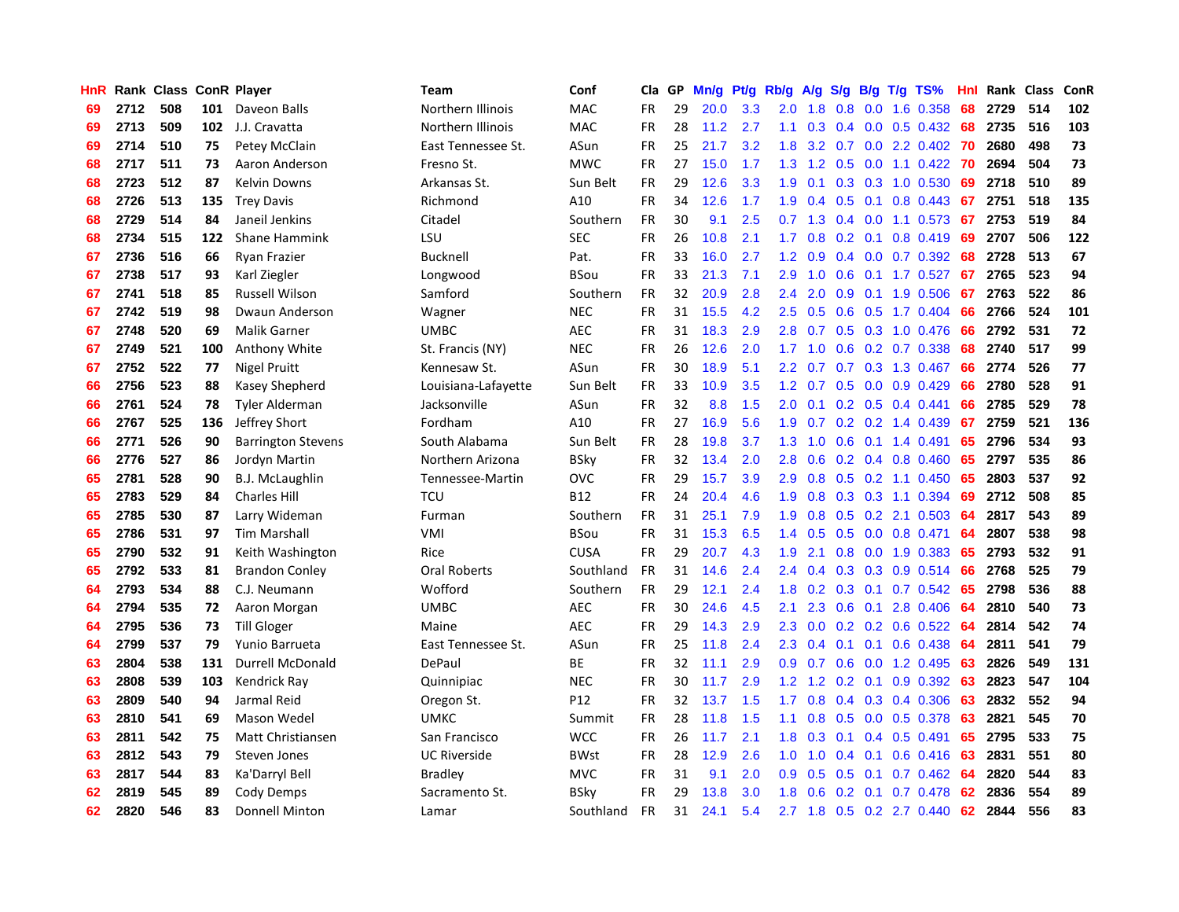| HnR |      | Rank Class ConR Player |     |                           | <b>Team</b>         | Conf        | Cla       | GP | Mn/g | <b>Pt/g</b> | Rb/g             | A/g       | S/g |  | $B/g$ T/g TS%           | Hnl | Rank Class |     | ConR |
|-----|------|------------------------|-----|---------------------------|---------------------|-------------|-----------|----|------|-------------|------------------|-----------|-----|--|-------------------------|-----|------------|-----|------|
| 69  | 2712 | 508                    | 101 | Daveon Balls              | Northern Illinois   | MAC         | <b>FR</b> | 29 | 20.0 | 3.3         | 2.0              | 1.8       | 0.8 |  | 0.0 1.6 0.358           | 68  | 2729       | 514 | 102  |
| 69  | 2713 | 509                    | 102 | J.J. Cravatta             | Northern Illinois   | MAC         | <b>FR</b> | 28 | 11.2 | 2.7         | 1.1              | 0.3       |     |  | $0.4$ 0.0 0.5 0.432 68  |     | 2735       | 516 | 103  |
| 69  | 2714 | 510                    | 75  | Petey McClain             | East Tennessee St.  | ASun        | <b>FR</b> | 25 | 21.7 | 3.2         | 1.8              | 3.2       |     |  | 0.7 0.0 2.2 0.402 70    |     | 2680       | 498 | 73   |
| 68  | 2717 | 511                    | 73  | Aaron Anderson            | Fresno St.          | <b>MWC</b>  | FR        | 27 | 15.0 | 1.7         | 1.3              | 1.2       |     |  | $0.5$ 0.0 1.1 0.422     | -70 | 2694       | 504 | 73   |
| 68  | 2723 | 512                    | 87  | Kelvin Downs              | Arkansas St.        | Sun Belt    | FR        | 29 | 12.6 | 3.3         | 1.9              | 0.1       |     |  | 0.3 0.3 1.0 0.530       | 69  | 2718       | 510 | 89   |
| 68  | 2726 | 513                    | 135 | <b>Trey Davis</b>         | Richmond            | A10         | <b>FR</b> | 34 | 12.6 | 1.7         | 1.9              | 0.4       | 0.5 |  | $0.1$ 0.8 0.443         | 67  | 2751       | 518 | 135  |
| 68  | 2729 | 514                    | 84  | Janeil Jenkins            | Citadel             | Southern    | FR        | 30 | 9.1  | 2.5         | 0.7              | 1.3       |     |  | $0.4$ 0.0 1.1 0.573     | 67  | 2753       | 519 | 84   |
| 68  | 2734 | 515                    | 122 | Shane Hammink             | LSU                 | <b>SEC</b>  | <b>FR</b> | 26 | 10.8 | 2.1         | 1.7              | 0.8       |     |  | $0.2$ 0.1 0.8 0.419     | 69  | 2707       | 506 | 122  |
| 67  | 2736 | 516                    | 66  | Ryan Frazier              | <b>Bucknell</b>     | Pat.        | FR        | 33 | 16.0 | 2.7         | 1.2              | 0.9       |     |  | 0.4 0.0 0.7 0.392       | 68  | 2728       | 513 | 67   |
| 67  | 2738 | 517                    | 93  | Karl Ziegler              | Longwood            | <b>BSou</b> | FR        | 33 | 21.3 | 7.1         | 2.9              | 1.0       | 0.6 |  | $0.1$ 1.7 0.527         | 67  | 2765       | 523 | 94   |
| 67  | 2741 | 518                    | 85  | <b>Russell Wilson</b>     | Samford             | Southern    | FR        | 32 | 20.9 | 2.8         | 2.4              | 2.0       |     |  | 0.9 0.1 1.9 0.506       | -67 | 2763       | 522 | 86   |
| 67  | 2742 | 519                    | 98  | Dwaun Anderson            | Wagner              | <b>NEC</b>  | <b>FR</b> | 31 | 15.5 | 4.2         | $2.5^{\circ}$    | 0.5       |     |  | $0.6$ $0.5$ 1.7 $0.404$ | -66 | 2766       | 524 | 101  |
| 67  | 2748 | 520                    | 69  | <b>Malik Garner</b>       | <b>UMBC</b>         | <b>AEC</b>  | <b>FR</b> | 31 | 18.3 | 2.9         | 2.8              | 0.7       |     |  | $0.5$ $0.3$ 1.0 $0.476$ | -66 | 2792       | 531 | 72   |
| 67  | 2749 | 521                    | 100 | Anthony White             | St. Francis (NY)    | <b>NEC</b>  | <b>FR</b> | 26 | 12.6 | 2.0         | 1.7              | 1.0       | 0.6 |  | 0.2 0.7 0.338           | 68  | 2740       | 517 | 99   |
| 67  | 2752 | 522                    | 77  | <b>Nigel Pruitt</b>       | Kennesaw St.        | ASun        | <b>FR</b> | 30 | 18.9 | 5.1         | 2.2              | 0.7       |     |  | 0.7 0.3 1.3 0.467       | 66  | 2774       | 526 | 77   |
| 66  | 2756 | 523                    | 88  | Kasey Shepherd            | Louisiana-Lafayette | Sun Belt    | <b>FR</b> | 33 | 10.9 | 3.5         | 1.2              | 0.7       |     |  | $0.5$ 0.0 0.9 0.429     | 66  | 2780       | 528 | 91   |
| 66  | 2761 | 524                    | 78  | <b>Tyler Alderman</b>     | Jacksonville        | ASun        | <b>FR</b> | 32 | 8.8  | 1.5         | 2.0              | 0.1       |     |  | $0.2$ 0.5 0.4 0.441     | 66  | 2785       | 529 | 78   |
| 66  | 2767 | 525                    | 136 | Jeffrey Short             | Fordham             | A10         | <b>FR</b> | 27 | 16.9 | 5.6         | 1.9              | 0.7       |     |  | $0.2$ 0.2 1.4 0.439     | 67  | 2759       | 521 | 136  |
| 66  | 2771 | 526                    | 90  | <b>Barrington Stevens</b> | South Alabama       | Sun Belt    | <b>FR</b> | 28 | 19.8 | 3.7         | 1.3              | 1.0       |     |  | $0.6$ 0.1 1.4 0.491     | 65  | 2796       | 534 | 93   |
| 66  | 2776 | 527                    | 86  | Jordyn Martin             | Northern Arizona    | <b>BSky</b> | <b>FR</b> | 32 | 13.4 | 2.0         | 2.8              | 0.6       |     |  | $0.2$ 0.4 0.8 0.460     | 65  | 2797       | 535 | 86   |
| 65  | 2781 | 528                    | 90  | <b>B.J. McLaughlin</b>    | Tennessee-Martin    | OVC         | <b>FR</b> | 29 | 15.7 | 3.9         | 2.9              | 0.8       |     |  | $0.5$ $0.2$ 1.1 $0.450$ | 65  | 2803       | 537 | 92   |
| 65  | 2783 | 529                    | 84  | <b>Charles Hill</b>       | <b>TCU</b>          | <b>B12</b>  | <b>FR</b> | 24 | 20.4 | 4.6         | 1.9              | 0.8       |     |  | 0.3 0.3 1.1 0.394       | 69  | 2712       | 508 | 85   |
| 65  | 2785 | 530                    | 87  | Larry Wideman             | Furman              | Southern    | <b>FR</b> | 31 | 25.1 | 7.9         | 1.9              | 0.8       |     |  | $0.5$ 0.2 2.1 0.503     | 64  | 2817       | 543 | 89   |
| 65  | 2786 | 531                    | 97  | <b>Tim Marshall</b>       | VMI                 | <b>BSou</b> | <b>FR</b> | 31 | 15.3 | 6.5         | 1.4              | 0.5       |     |  | $0.5$ 0.0 0.8 0.471     | 64  | 2807       | 538 | 98   |
| 65  | 2790 | 532                    | 91  | Keith Washington          | Rice                | <b>CUSA</b> | <b>FR</b> | 29 | 20.7 | 4.3         | 1.9              | 2.1       | 0.8 |  | $0.0$ 1.9 0.383         | 65  | 2793       | 532 | 91   |
| 65  | 2792 | 533                    | 81  | <b>Brandon Conley</b>     | Oral Roberts        | Southland   | <b>FR</b> | 31 | 14.6 | 2.4         | $2.4^{\circ}$    | 0.4       |     |  | $0.3$ 0.3 0.9 0.514     | 66  | 2768       | 525 | 79   |
| 64  | 2793 | 534                    | 88  | C.J. Neumann              | Wofford             | Southern    | <b>FR</b> | 29 | 12.1 | 2.4         | 1.8              | 0.2       |     |  | 0.3 0.1 0.7 0.542 65    |     | 2798       | 536 | 88   |
| 64  | 2794 | 535                    | 72  | Aaron Morgan              | <b>UMBC</b>         | <b>AEC</b>  | <b>FR</b> | 30 | 24.6 | 4.5         | 2.1              | 2.3       |     |  | $0.6$ 0.1 2.8 0.406 64  |     | 2810       | 540 | 73   |
| 64  | 2795 | 536                    | 73  | Till Gloger               | Maine               | <b>AEC</b>  | <b>FR</b> | 29 | 14.3 | 2.9         | 2.3              | 0.0       |     |  | 0.2 0.2 0.6 0.522 64    |     | 2814       | 542 | 74   |
| 64  | 2799 | 537                    | 79  | Yunio Barrueta            | East Tennessee St.  | ASun        | <b>FR</b> | 25 | 11.8 | 2.4         | $2.3^{\circ}$    | 0.4       |     |  | $0.1$ 0.1 0.6 0.438     | -64 | 2811       | 541 | 79   |
| 63  | 2804 | 538                    | 131 | <b>Durrell McDonald</b>   | DePaul              | <b>BE</b>   | <b>FR</b> | 32 | 11.1 | 2.9         | 0.9 <sub>0</sub> | 0.7       | 0.6 |  | $0.0$ 1.2 0.495         | 63  | 2826       | 549 | 131  |
| 63  | 2808 | 539                    | 103 | Kendrick Ray              | Quinnipiac          | <b>NEC</b>  | <b>FR</b> | 30 | 11.7 | 2.9         | 1.2              | 1.2       |     |  | $0.2$ 0.1 0.9 0.392     | -63 | 2823       | 547 | 104  |
| 63  | 2809 | 540                    | 94  | Jarmal Reid               | Oregon St.          | P12         | <b>FR</b> | 32 | 13.7 | 1.5         | 1.7              | 0.8       | 0.4 |  | $0.3$ 0.4 0.306         | 63  | 2832       | 552 | 94   |
| 63  | 2810 | 541                    | 69  | Mason Wedel               | <b>UMKC</b>         | Summit      | <b>FR</b> | 28 | 11.8 | 1.5         | 1.1              | 0.8       | 0.5 |  | $0.0$ 0.5 0.378         | 63  | 2821       | 545 | 70   |
| 63  | 2811 | 542                    | 75  | Matt Christiansen         | San Francisco       | <b>WCC</b>  | <b>FR</b> | 26 | 11.7 | 2.1         | 1.8              | 0.3       | 0.1 |  | $0.4$ 0.5 0.491         | 65  | 2795       | 533 | 75   |
| 63  | 2812 | 543                    | 79  | Steven Jones              | <b>UC Riverside</b> | <b>BWst</b> | <b>FR</b> | 28 | 12.9 | 2.6         | 1.0 <sub>1</sub> | 1.0       |     |  | $0.4$ 0.1 0.6 0.416     | -63 | 2831       | 551 | 80   |
| 63  | 2817 | 544                    | 83  | Ka'Darryl Bell            | Bradley             | <b>MVC</b>  | <b>FR</b> | 31 | 9.1  | 2.0         | 0.9 <sub>0</sub> | 0.5       | 0.5 |  | $0.1$ 0.7 0.462         | -64 | 2820       | 544 | 83   |
| 62  | 2819 | 545                    | 89  | Cody Demps                | Sacramento St.      | BSky        | FR        | 29 | 13.8 | 3.0         | 1.8              | 0.6       |     |  | $0.2$ 0.1 0.7 0.478     | 62  | 2836       | 554 | 89   |
| 62  | 2820 | 546                    | 83  | <b>Donnell Minton</b>     | Lamar               | Southland   | <b>FR</b> | 31 | 24.1 | 5.4         |                  | $2.7$ 1.8 |     |  | 0.5 0.2 2.7 0.440       | 62  | 2844       | 556 | 83   |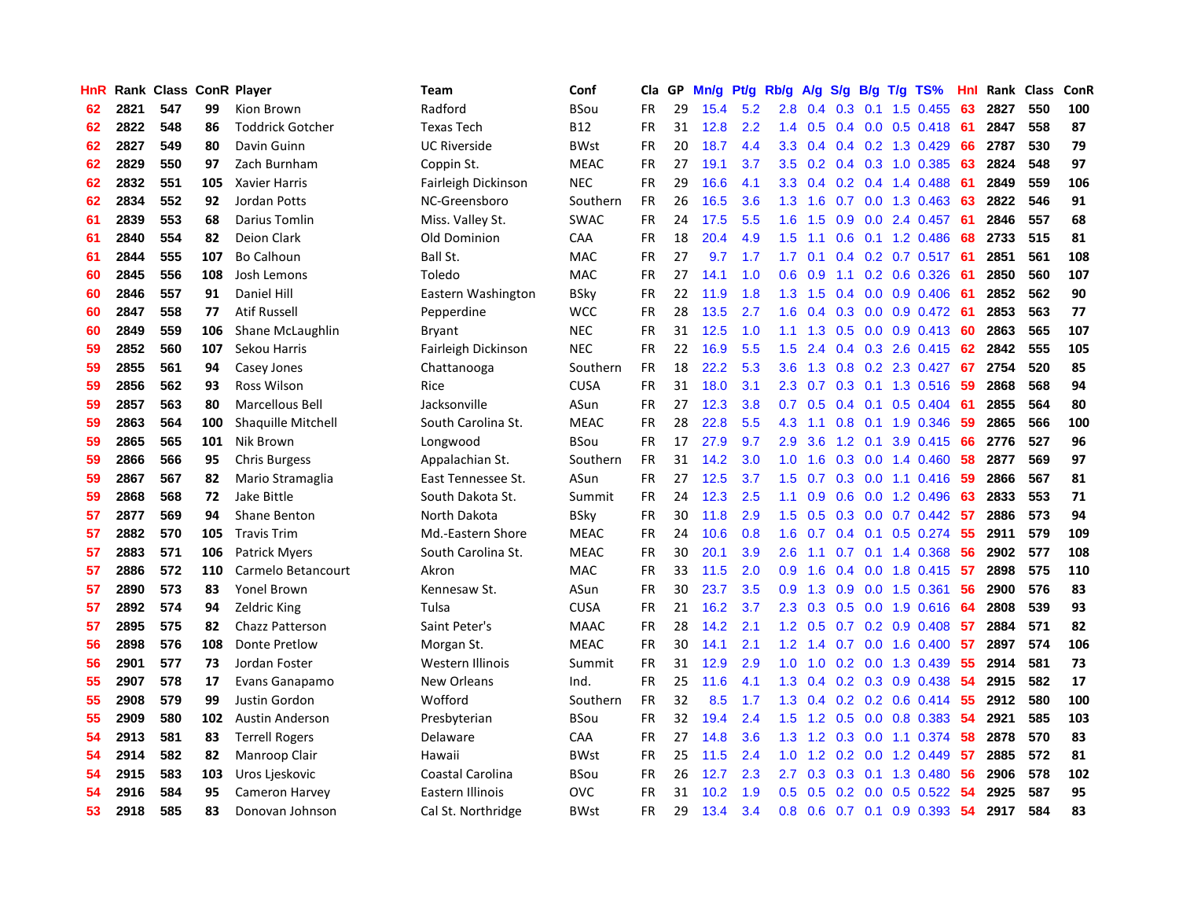| HnR |      | Rank Class ConR Player |     |                           | <b>Team</b>         | Conf        | Cla       | GP | Mn/g | <b>Pt/g</b> | Rb/g             | A/g         | S/g |                 | $B/g$ T/g TS%             | Hnl  |      | Rank Class | ConR |
|-----|------|------------------------|-----|---------------------------|---------------------|-------------|-----------|----|------|-------------|------------------|-------------|-----|-----------------|---------------------------|------|------|------------|------|
| 62  | 2821 | 547                    | 99  | Kion Brown                | Radford             | BSou        | <b>FR</b> | 29 | 15.4 | 5.2         | 2.8              | 0.4         | 0.3 | 0.1             | 1.5 0.455                 | 63   | 2827 | 550        | 100  |
| 62  | 2822 | 548                    | 86  | <b>Toddrick Gotcher</b>   | <b>Texas Tech</b>   | <b>B12</b>  | <b>FR</b> | 31 | 12.8 | 2.2         | 1.4              | 0.5         |     |                 | $0.4$ 0.0 0.5 0.418       | -61  | 2847 | 558        | 87   |
| 62  | 2827 | 549                    | 80  | Davin Guinn               | <b>UC Riverside</b> | <b>BWst</b> | <b>FR</b> | 20 | 18.7 | 4.4         | 3.3 <sub>2</sub> | 0.4         |     |                 | $0.4$ 0.2 1.3 0.429       | 66   | 2787 | 530        | 79   |
| 62  | 2829 | 550                    | 97  | Zach Burnham              | Coppin St.          | <b>MEAC</b> | FR        | 27 | 19.1 | 3.7         | 3.5              | 0.2         |     |                 | $0.4$ 0.3 1.0 0.385       | 63   | 2824 | 548        | 97   |
| 62  | 2832 | 551                    | 105 | <b>Xavier Harris</b>      | Fairleigh Dickinson | <b>NEC</b>  | FR        | 29 | 16.6 | 4.1         | 3.3              | 0.4         |     |                 | $0.2$ 0.4 1.4 0.488       | -61  | 2849 | 559        | 106  |
| 62  | 2834 | 552                    | 92  | Jordan Potts              | NC-Greensboro       | Southern    | FR        | 26 | 16.5 | 3.6         | 1.3              | 1.6         | 0.7 |                 | 0.0 1.3 0.463             | 63   | 2822 | 546        | 91   |
| 61  | 2839 | 553                    | 68  | Darius Tomlin             | Miss. Valley St.    | <b>SWAC</b> | FR        | 24 | 17.5 | 5.5         | 1.6              | 1.5         | 0.9 |                 | $0.0$ 2.4 $0.457$         | -61  | 2846 | 557        | 68   |
| 61  | 2840 | 554                    | 82  | Deion Clark               | Old Dominion        | CAA         | <b>FR</b> | 18 | 20.4 | 4.9         | 1.5              | 1.1         | 0.6 |                 | $0.1$ 1.2 0.486           | 68   | 2733 | 515        | 81   |
| 61  | 2844 | 555                    | 107 | <b>Bo Calhoun</b>         | Ball St.            | MAC         | FR        | 27 | 9.7  | 1.7         | 1.7              | 0.1         |     |                 | $0.4$ 0.2 0.7 0.517       | -61  | 2851 | 561        | 108  |
| 60  | 2845 | 556                    | 108 | Josh Lemons               | Toledo              | <b>MAC</b>  | <b>FR</b> | 27 | 14.1 | 1.0         | 0.6              | 0.9         | 1.1 |                 | $0.2$ 0.6 0.326           | -61  | 2850 | 560        | 107  |
| 60  | 2846 | 557                    | 91  | Daniel Hill               | Eastern Washington  | BSky        | FR        | 22 | 11.9 | 1.8         |                  | $1.3$ $1.5$ |     |                 | $0.4$ 0.0 0.9 0.406       | - 61 | 2852 | 562        | 90   |
| 60  | 2847 | 558                    | 77  | <b>Atif Russell</b>       | Pepperdine          | <b>WCC</b>  | <b>FR</b> | 28 | 13.5 | 2.7         | 1.6              | 0.4         |     |                 | $0.3$ 0.0 0.9 0.472 61    |      | 2853 | 563        | 77   |
| 60  | 2849 | 559                    | 106 | Shane McLaughlin          | Bryant              | <b>NEC</b>  | <b>FR</b> | 31 | 12.5 | 1.0         | 1.1              | 1.3         |     |                 | $0.5$ 0.0 0.9 0.413       | -60  | 2863 | 565        | 107  |
| 59  | 2852 | 560                    | 107 | Sekou Harris              | Fairleigh Dickinson | <b>NEC</b>  | <b>FR</b> | 22 | 16.9 | 5.5         | 1.5              | 2.4         |     |                 | $0.4$ 0.3 2.6 0.415       | 62   | 2842 | 555        | 105  |
| 59  | 2855 | 561                    | 94  | Casey Jones               | Chattanooga         | Southern    | <b>FR</b> | 18 | 22.2 | 5.3         | 3.6              | 1.3         | 0.8 |                 | 0.2 2.3 0.427             | 67   | 2754 | 520        | 85   |
| 59  | 2856 | 562                    | 93  | Ross Wilson               | Rice                | <b>CUSA</b> | <b>FR</b> | 31 | 18.0 | 3.1         | 2.3              | 0.7         |     |                 | $0.3$ 0.1 1.3 0.516       | -59  | 2868 | 568        | 94   |
| 59  | 2857 | 563                    | 80  | Marcellous Bell           | Jacksonville        | ASun        | <b>FR</b> | 27 | 12.3 | 3.8         | 0.7              | 0.5         |     | $0.4 \quad 0.1$ | $0.5 \ 0.404$             | -61  | 2855 | 564        | 80   |
| 59  | 2863 | 564                    | 100 | <b>Shaquille Mitchell</b> | South Carolina St.  | <b>MEAC</b> | <b>FR</b> | 28 | 22.8 | 5.5         | 4.3              | 1.1         | 0.8 |                 | $0.1$ 1.9 $0.346$         | 59   | 2865 | 566        | 100  |
| 59  | 2865 | 565                    | 101 | Nik Brown                 | Longwood            | BSou        | <b>FR</b> | 17 | 27.9 | 9.7         | 2.9              | 3.6         |     |                 | 1.2 0.1 3.9 0.415         | -66  | 2776 | 527        | 96   |
| 59  | 2866 | 566                    | 95  | <b>Chris Burgess</b>      | Appalachian St.     | Southern    | <b>FR</b> | 31 | 14.2 | 3.0         | 1.0              | 1.6         |     |                 | $0.3$ 0.0 1.4 0.460       | -58  | 2877 | 569        | 97   |
| 59  | 2867 | 567                    | 82  | Mario Stramaglia          | East Tennessee St.  | ASun        | <b>FR</b> | 27 | 12.5 | 3.7         | 1.5              | 0.7         |     |                 | $0.3$ 0.0 1.1 0.416       | -59  | 2866 | 567        | 81   |
| 59  | 2868 | 568                    | 72  | Jake Bittle               | South Dakota St.    | Summit      | <b>FR</b> | 24 | 12.3 | 2.5         | 1.1              | 0.9         | 0.6 |                 | $0.0$ 1.2 0.496           | 63   | 2833 | 553        | 71   |
| 57  | 2877 | 569                    | 94  | <b>Shane Benton</b>       | North Dakota        | <b>BSky</b> | <b>FR</b> | 30 | 11.8 | 2.9         | $1.5^{\circ}$    | 0.5         |     |                 | $0.3$ 0.0 0.7 0.442       | -57  | 2886 | 573        | 94   |
| 57  | 2882 | 570                    | 105 | <b>Travis Trim</b>        | Md.-Eastern Shore   | <b>MEAC</b> | <b>FR</b> | 24 | 10.6 | 0.8         | 1.6              | 0.7         |     |                 | $0.4$ 0.1 0.5 0.274       | 55   | 2911 | 579        | 109  |
| 57  | 2883 | 571                    | 106 | <b>Patrick Myers</b>      | South Carolina St.  | <b>MEAC</b> | <b>FR</b> | 30 | 20.1 | 3.9         | 2.6              | 1.1         | 0.7 |                 | $0.1$ 1.4 0.368           | 56   | 2902 | 577        | 108  |
| 57  | 2886 | 572                    | 110 | Carmelo Betancourt        | Akron               | <b>MAC</b>  | <b>FR</b> | 33 | 11.5 | 2.0         | 0.9              | 1.6         |     |                 | $0.4$ 0.0 1.8 0.415       | -57  | 2898 | 575        | 110  |
| 57  | 2890 | 573                    | 83  | <b>Yonel Brown</b>        | Kennesaw St.        | ASun        | FR        | 30 | 23.7 | 3.5         | 0.9 <sup>°</sup> | 1.3         |     |                 | 0.9 0.0 1.5 0.361         | -56  | 2900 | 576        | 83   |
| 57  | 2892 | 574                    | 94  | <b>Zeldric King</b>       | Tulsa               | <b>CUSA</b> | <b>FR</b> | 21 | 16.2 | 3.7         | 2.3              | 0.3         |     |                 | 0.5 0.0 1.9 0.616 64      |      | 2808 | 539        | 93   |
| 57  | 2895 | 575                    | 82  | <b>Chazz Patterson</b>    | Saint Peter's       | <b>MAAC</b> | <b>FR</b> | 28 | 14.2 | 2.1         | 1.2 <sub>1</sub> | 0.5         |     |                 | $0.7$ $0.2$ $0.9$ $0.408$ | -57  | 2884 | 571        | 82   |
| 56  | 2898 | 576                    | 108 | Donte Pretlow             | Morgan St.          | <b>MEAC</b> | <b>FR</b> | 30 | 14.1 | 2.1         | 1.2              | 1.4         |     |                 | $0.7$ 0.0 1.6 0.400       | -57  | 2897 | 574        | 106  |
| 56  | 2901 | 577                    | 73  | Jordan Foster             | Western Illinois    | Summit      | <b>FR</b> | 31 | 12.9 | 2.9         | 1.0              | 1.0         |     |                 | $0.2$ 0.0 1.3 0.439       | 55   | 2914 | 581        | 73   |
| 55  | 2907 | 578                    | 17  | Evans Ganapamo            | New Orleans         | Ind.        | <b>FR</b> | 25 | 11.6 | 4.1         | 1.3              | 0.4         |     |                 | $0.2$ $0.3$ $0.9$ $0.438$ | -54  | 2915 | 582        | 17   |
| 55  | 2908 | 579                    | 99  | Justin Gordon             | Wofford             | Southern    | <b>FR</b> | 32 | 8.5  | 1.7         | 1.3              | 0.4         |     |                 | $0.2$ 0.2 0.6 0.414       | -55  | 2912 | 580        | 100  |
| 55  | 2909 | 580                    | 102 | Austin Anderson           | Presbyterian        | BSou        | <b>FR</b> | 32 | 19.4 | 2.4         | $1.5^{\circ}$    | 1.2         | 0.5 |                 | $0.0$ $0.8$ $0.383$       | 54   | 2921 | 585        | 103  |
| 54  | 2913 | 581                    | 83  | <b>Terrell Rogers</b>     | Delaware            | CAA         | <b>FR</b> | 27 | 14.8 | 3.6         | 1.3              | 1.2         | 0.3 |                 | $0.0$ 1.1 0.374           | -58  | 2878 | 570        | 83   |
| 54  | 2914 | 582                    | 82  | Manroop Clair             | Hawaii              | <b>BWst</b> | FR        | 25 | 11.5 | 2.4         | 1.0              |             |     |                 | 1.2 0.2 0.0 1.2 0.449     | -57  | 2885 | 572        | 81   |
| 54  | 2915 | 583                    | 103 | Uros Ljeskovic            | Coastal Carolina    | <b>BSou</b> | <b>FR</b> | 26 | 12.7 | 2.3         | 2.7              | 0.3         |     |                 | $0.3$ 0.1 1.3 0.480       | -56  | 2906 | 578        | 102  |
| 54  | 2916 | 584                    | 95  | Cameron Harvey            | Eastern Illinois    | <b>OVC</b>  | FR        | 31 | 10.2 | 1.9         | 0.5              | 0.5         |     |                 | $0.2$ 0.0 0.5 0.522       | -54  | 2925 | 587        | 95   |
| 53  | 2918 | 585                    | 83  | Donovan Johnson           | Cal St. Northridge  | <b>BWst</b> | <b>FR</b> | 29 | 13.4 | 3.4         | 0.8              | 0.6         |     |                 | $0.7$ 0.1 0.9 0.393       | 54   | 2917 | 584        | 83   |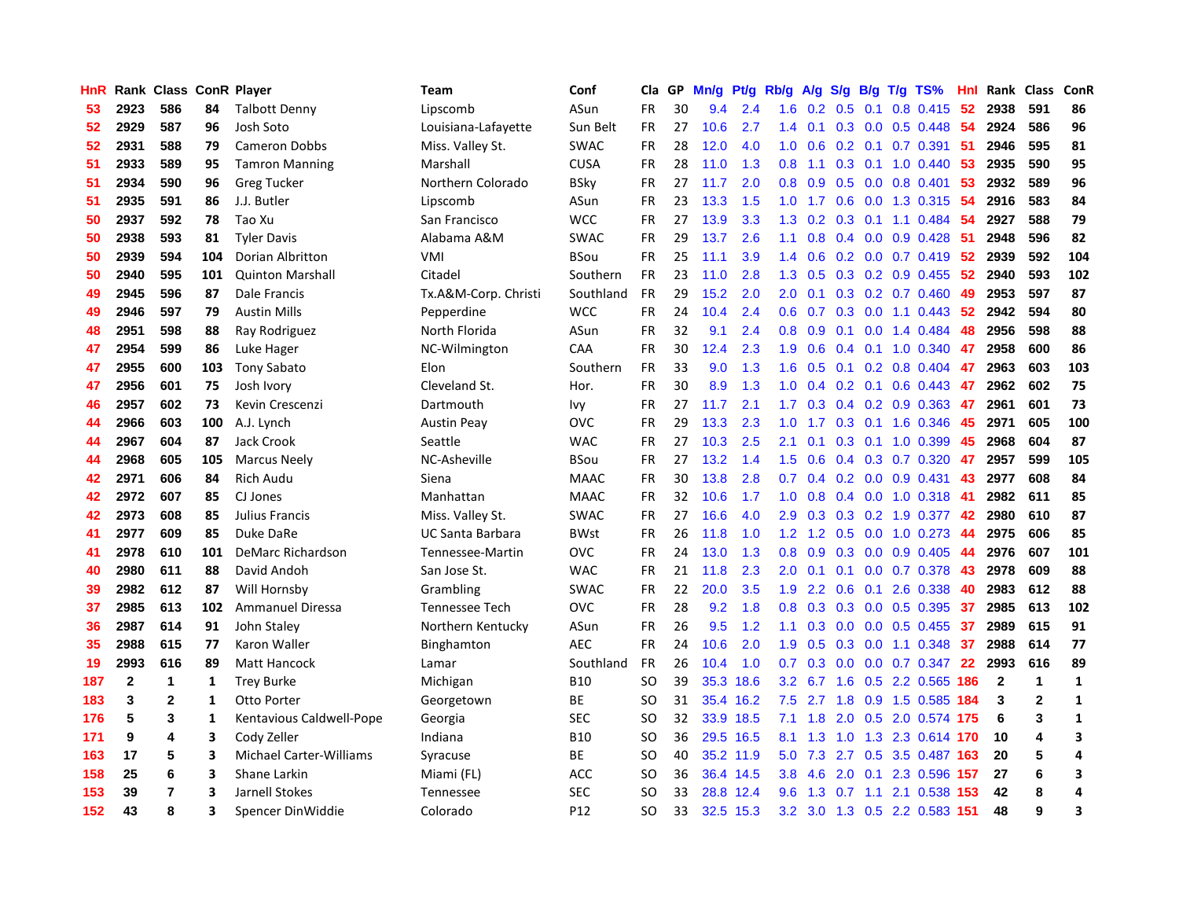| HnR |              | Rank Class ConR Player |     |                                | <b>Team</b>             | Conf        | Cla       | GP | Mn/g | Pt/g      | Rb/g             | A/g           | S/g              |     | $B/g$ T/g TS%             | Hnl | Rank         | <b>Class</b>   | ConR         |
|-----|--------------|------------------------|-----|--------------------------------|-------------------------|-------------|-----------|----|------|-----------|------------------|---------------|------------------|-----|---------------------------|-----|--------------|----------------|--------------|
| 53  | 2923         | 586                    | 84  | <b>Talbott Denny</b>           | Lipscomb                | ASun        | <b>FR</b> | 30 | 9.4  | 2.4       | 1.6              | 0.2           | 0.5              | 0.1 | 0.8 0.415                 | -52 | 2938         | 591            | 86           |
| 52  | 2929         | 587                    | 96  | Josh Soto                      | Louisiana-Lafayette     | Sun Belt    | FR        | 27 | 10.6 | 2.7       | 1.4              | 0.1           |                  |     | 0.3 0.0 0.5 0.448 54      |     | 2924         | 586            | 96           |
| 52  | 2931         | 588                    | 79  | <b>Cameron Dobbs</b>           | Miss. Valley St.        | <b>SWAC</b> | <b>FR</b> | 28 | 12.0 | 4.0       | 1.0              | 0.6           |                  |     | $0.2$ 0.1 0.7 0.391       | -51 | 2946         | 595            | 81           |
| 51  | 2933         | 589                    | 95  | <b>Tamron Manning</b>          | Marshall                | <b>CUSA</b> | FR        | 28 | 11.0 | 1.3       | 0.8              | 1.1           |                  |     | $0.3$ 0.1 1.0 0.440       | 53  | 2935         | 590            | 95           |
| 51  | 2934         | 590                    | 96  | <b>Greg Tucker</b>             | Northern Colorado       | <b>BSky</b> | FR        | 27 | 11.7 | 2.0       | 0.8              | 0.9           |                  |     | $0.5$ 0.0 0.8 0.401       | 53  | 2932         | 589            | 96           |
| 51  | 2935         | 591                    | 86  | J.J. Butler                    | Lipscomb                | ASun        | <b>FR</b> | 23 | 13.3 | 1.5       | 1.0              | 1.7           | 0.6              |     | 0.0 1.3 0.315             | -54 | 2916         | 583            | 84           |
| 50  | 2937         | 592                    | 78  | Tao Xu                         | San Francisco           | <b>WCC</b>  | <b>FR</b> | 27 | 13.9 | 3.3       | 1.3              | 0.2           |                  |     | $0.3$ 0.1 1.1 0.484       | 54  | 2927         | 588            | 79           |
| 50  | 2938         | 593                    | 81  | <b>Tyler Davis</b>             | Alabama A&M             | <b>SWAC</b> | <b>FR</b> | 29 | 13.7 | 2.6       | 1.1              | 0.8           |                  |     | $0.4$ 0.0 0.9 0.428       | -51 | 2948         | 596            | 82           |
| 50  | 2939         | 594                    | 104 | Dorian Albritton               | VMI                     | <b>BSou</b> | <b>FR</b> | 25 | 11.1 | 3.9       | $1.4^{\circ}$    | 0.6           |                  |     | $0.2$ 0.0 0.7 0.419       | 52  | 2939         | 592            | 104          |
| 50  | 2940         | 595                    | 101 | <b>Quinton Marshall</b>        | Citadel                 | Southern    | <b>FR</b> | 23 | 11.0 | 2.8       | 1.3              | 0.5           |                  |     | $0.3$ 0.2 0.9 0.455       | 52  | 2940         | 593            | 102          |
| 49  | 2945         | 596                    | 87  | Dale Francis                   | Tx.A&M-Corp. Christi    | Southland   | <b>FR</b> | 29 | 15.2 | 2.0       | 2.0              | 0.1           |                  |     | 0.3 0.2 0.7 0.460         | 49  | 2953         | 597            | 87           |
| 49  | 2946         | 597                    | 79  | <b>Austin Mills</b>            | Pepperdine              | <b>WCC</b>  | FR.       | 24 | 10.4 | 2.4       | 0.6              | 0.7           |                  |     | $0.3$ 0.0 1.1 0.443       | -52 | 2942         | 594            | 80           |
| 48  | 2951         | 598                    | 88  | Ray Rodriguez                  | North Florida           | ASun        | <b>FR</b> | 32 | 9.1  | 2.4       | 0.8              | 0.9           |                  |     | $0.1$ 0.0 1.4 0.484       | 48  | 2956         | 598            | 88           |
| 47  | 2954         | 599                    | 86  | Luke Hager                     | NC-Wilmington           | CAA         | <b>FR</b> | 30 | 12.4 | 2.3       | 1.9              | 0.6           |                  |     | $0.4$ 0.1 1.0 0.340       | 47  | 2958         | 600            | 86           |
| 47  | 2955         | 600                    | 103 | <b>Tony Sabato</b>             | Elon                    | Southern    | <b>FR</b> | 33 | 9.0  | 1.3       | 1.6              | 0.5           |                  |     | $0.1$ 0.2 0.8 0.404       | 47  | 2963         | 603            | 103          |
| 47  | 2956         | 601                    | 75  | Josh Ivory                     | Cleveland St.           | Hor.        | <b>FR</b> | 30 | 8.9  | 1.3       | 1.0              | 0.4           |                  |     | $0.2$ 0.1 0.6 0.443       | 47  | 2962         | 602            | 75           |
| 46  | 2957         | 602                    | 73  | Kevin Crescenzi                | Dartmouth               | Ivy         | <b>FR</b> | 27 | 11.7 | 2.1       | 1.7 <sub>2</sub> | 0.3           |                  |     | $0.4$ 0.2 0.9 0.363       | 47  | 2961         | 601            | 73           |
| 44  | 2966         | 603                    | 100 | A.J. Lynch                     | <b>Austin Peay</b>      | OVC         | <b>FR</b> | 29 | 13.3 | 2.3       | 1.0              | 1.7           | 0.3              |     | $0.1$ 1.6 0.346           | 45  | 2971         | 605            | 100          |
| 44  | 2967         | 604                    | 87  | Jack Crook                     | Seattle                 | <b>WAC</b>  | <b>FR</b> | 27 | 10.3 | 2.5       | 2.1              | 0.1           |                  |     | $0.3$ 0.1 1.0 0.399       | 45  | 2968         | 604            | 87           |
| 44  | 2968         | 605                    | 105 | <b>Marcus Neely</b>            | NC-Asheville            | <b>BSou</b> | <b>FR</b> | 27 | 13.2 | 1.4       | $1.5^{\circ}$    | 0.6           |                  |     | $0.4$ 0.3 0.7 0.320       | 47  | 2957         | 599            | 105          |
| 42  | 2971         | 606                    | 84  | <b>Rich Audu</b>               | Siena                   | <b>MAAC</b> | <b>FR</b> | 30 | 13.8 | 2.8       | 0.7              | 0.4           |                  |     | $0.2$ 0.0 0.9 0.431       | 43  | 2977         | 608            | 84           |
| 42  | 2972         | 607                    | 85  | CJ Jones                       | Manhattan               | <b>MAAC</b> | <b>FR</b> | 32 | 10.6 | 1.7       | 1.0              | 0.8           |                  |     | $0.4$ 0.0 1.0 0.318       | 41  | 2982         | 611            | 85           |
| 42  | 2973         | 608                    | 85  | Julius Francis                 | Miss. Valley St.        | SWAC        | <b>FR</b> | 27 | 16.6 | 4.0       | 2.9              | 0.3           |                  |     | 0.3 0.2 1.9 0.377         | 42  | 2980         | 610            | 87           |
| 41  | 2977         | 609                    | 85  | Duke DaRe                      | <b>UC Santa Barbara</b> | <b>BWst</b> | <b>FR</b> | 26 | 11.8 | 1.0       | 1.2              | 1.2           | 0.5              |     | $0.0$ 1.0 0.273           | 44  | 2975         | 606            | 85           |
| 41  | 2978         | 610                    | 101 | DeMarc Richardson              | Tennessee-Martin        | <b>OVC</b>  | <b>FR</b> | 24 | 13.0 | 1.3       | 0.8              | 0.9           | 0.3              |     | 0.0 0.9 0.405             | 44  | 2976         | 607            | 101          |
| 40  | 2980         | 611                    | 88  | David Andoh                    | San Jose St.            | <b>WAC</b>  | <b>FR</b> | 21 | 11.8 | 2.3       | 2.0              | 0.1           |                  |     | $0.1$ 0.0 0.7 0.378       | 43  | 2978         | 609            | 88           |
| 39  | 2982         | 612                    | 87  | Will Hornsby                   | Grambling               | <b>SWAC</b> | <b>FR</b> | 22 | 20.0 | 3.5       | 1.9              | $2.2^{\circ}$ |                  |     | $0.6$ $0.1$ 2.6 0.338     | -40 | 2983         | 612            | 88           |
| 37  | 2985         | 613                    | 102 | <b>Ammanuel Diressa</b>        | <b>Tennessee Tech</b>   | OVC         | FR        | 28 | 9.2  | 1.8       | 0.8              | 0.3           |                  |     | $0.3$ 0.0 0.5 0.395       | -37 | 2985         | 613            | 102          |
| 36  | 2987         | 614                    | 91  | John Staley                    | Northern Kentucky       | ASun        | FR        | 26 | 9.5  | 1.2       | 1.1              | 0.3           |                  |     | $0.0$ $0.0$ $0.5$ $0.455$ | -37 | 2989         | 615            | 91           |
| 35  | 2988         | 615                    | 77  | Karon Waller                   | Binghamton              | <b>AEC</b>  | <b>FR</b> | 24 | 10.6 | 2.0       | 1.9              | 0.5           | 0.3              |     | $0.0$ 1.1 0.348           | -37 | 2988         | 614            | 77           |
| 19  | 2993         | 616                    | 89  | Matt Hancock                   | Lamar                   | Southland   | FR        | 26 | 10.4 | 1.0       | 0.7              | 0.3           | 0.0 <sub>1</sub> |     | $0.0$ 0.7 0.347           | 22  | 2993         | 616            | 89           |
| 187 | $\mathbf{2}$ | $\mathbf{1}$           | 1   | <b>Trey Burke</b>              | Michigan                | <b>B10</b>  | SO        | 39 | 35.3 | 18.6      | 3.2              | 6.7           | 1.6              |     | 0.5 2.2 0.565             | 186 | $\mathbf{2}$ | $\mathbf{1}$   | $\mathbf{1}$ |
| 183 | 3            | $\mathbf{2}$           | 1   | Otto Porter                    | Georgetown              | ВE          | SO        | 31 | 35.4 | 16.2      | 7.5              | 2.7           | 1.8              |     | 0.9 1.5 0.585 184         |     | 3            | $\overline{2}$ | 1            |
| 176 | 5            | 3                      | 1   | Kentavious Caldwell-Pope       | Georgia                 | SEC         | <b>SO</b> | 32 | 33.9 | 18.5      | 7.1              | 1.8           | 2.0              |     | 0.5 2.0 0.574 175         |     | 6            | 3              | $\mathbf{1}$ |
| 171 | 9            | 4                      | 3   | Cody Zeller                    | Indiana                 | <b>B10</b>  | <b>SO</b> | 36 |      | 29.5 16.5 | 8.1              | 1.3           | 1.0              |     | 1.3 2.3 0.614 170         |     | 10           | 4              | 3            |
| 163 | 17           | 5                      | 3   | <b>Michael Carter-Williams</b> | Syracuse                | <b>BE</b>   | <b>SO</b> | 40 |      | 35.2 11.9 |                  | 5.0 7.3       |                  |     | 2.7 0.5 3.5 0.487 163     |     | 20           | 5              | 4            |
| 158 | 25           | 6                      | 3   | Shane Larkin                   | Miami (FL)              | ACC         | SO        | 36 |      | 36.4 14.5 | 3.8              | 4.6           | 2.0              |     | 0.1 2.3 0.596 157         |     | 27           | 6              | 3            |
| 153 | 39           | $\overline{7}$         | 3   | Jarnell Stokes                 | Tennessee               | <b>SEC</b>  | <b>SO</b> | 33 | 28.8 | 12.4      | 9.6              | 1.3           | 0.7              | 1.1 | 2.1 0.538 153             |     | 42           | 8              | 4            |
| 152 | 43           | 8                      | 3   | Spencer DinWiddie              | Colorado                | P12         | SO        | 33 |      | 32.5 15.3 | 3.2              |               |                  |     | 3.0 1.3 0.5 2.2 0.583 151 |     | 48           | 9              | 3            |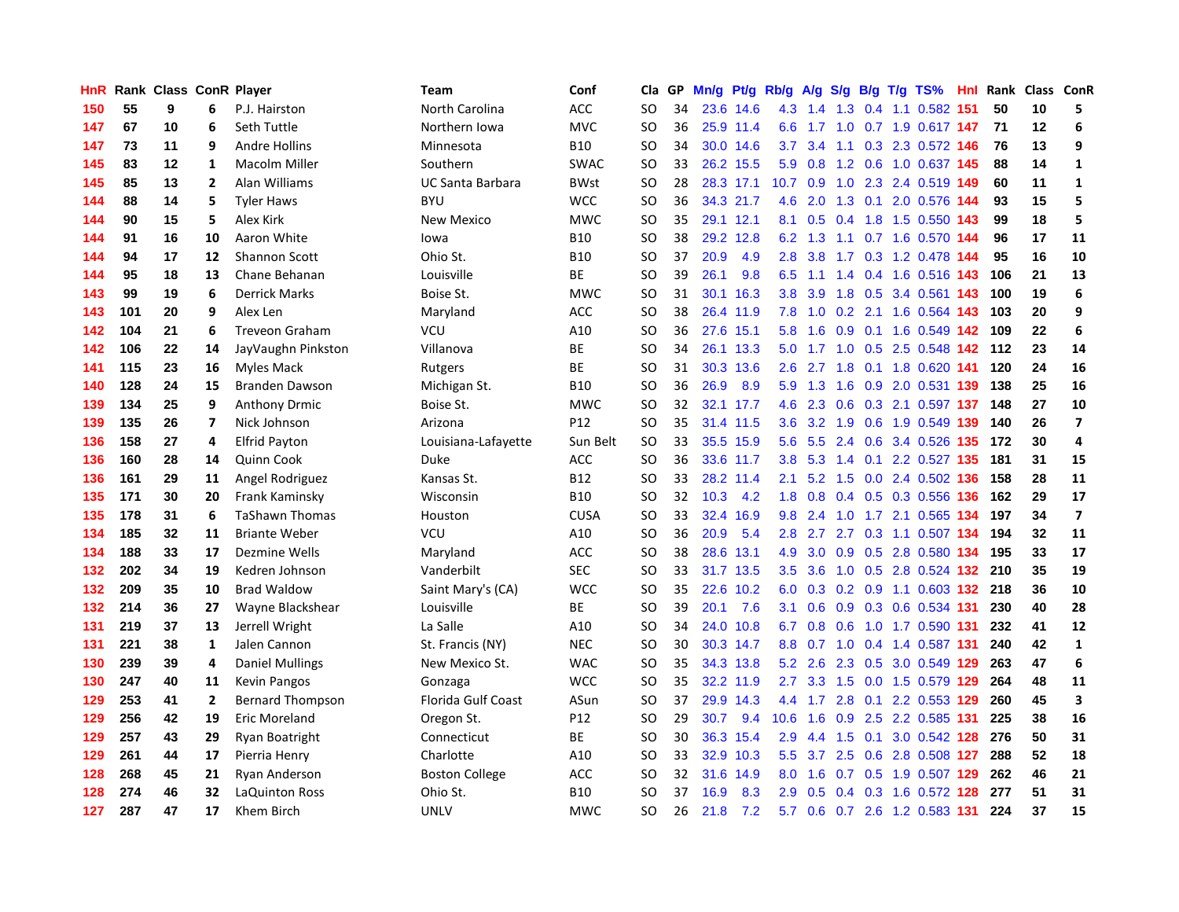| HnR |     | Rank Class ConR Player |                          |                         | <b>Team</b>             | Conf            | Cla       | GP | Mn/g | Pt/g Rb/g |                  | A/g |                 |     | S/g B/g T/g TS%               |     | Hnl Rank | Class ConR |                         |
|-----|-----|------------------------|--------------------------|-------------------------|-------------------------|-----------------|-----------|----|------|-----------|------------------|-----|-----------------|-----|-------------------------------|-----|----------|------------|-------------------------|
| 150 | 55  | 9                      | 6                        | P.J. Hairston           | North Carolina          | ACC             | SO        | 34 |      | 23.6 14.6 | 4.3              | 1.4 | 1.3             |     | 0.4 1.1 0.582 151             |     | 50       | 10         | 5                       |
| 147 | 67  | 10                     | 6                        | Seth Tuttle             | Northern Iowa           | <b>MVC</b>      | SO        | 36 |      | 25.9 11.4 | 6.6              |     |                 |     | 1.7 1.0 0.7 1.9 0.617 147     |     | 71       | 12         | 6                       |
| 147 | 73  | 11                     | 9                        | Andre Hollins           | Minnesota               | <b>B10</b>      | SO        | 34 |      | 30.0 14.6 | 3.7              | 3.4 |                 |     | 1.1 0.3 2.3 0.572 146         |     | 76       | 13         | 9                       |
| 145 | 83  | 12                     | 1                        | Macolm Miller           | Southern                | <b>SWAC</b>     | SO        | 33 |      | 26.2 15.5 | 5.9              |     |                 |     | 0.8 1.2 0.6 1.0 0.637 145     |     | 88       | 14         | $\mathbf{1}$            |
| 145 | 85  | 13                     | $\overline{2}$           | Alan Williams           | <b>UC Santa Barbara</b> | <b>BWst</b>     | <b>SO</b> | 28 |      | 28.3 17.1 | 10.7             | 0.9 | 1.0             |     | 2.3 2.4 0.519 149             |     | 60       | 11         | $\mathbf{1}$            |
| 144 | 88  | 14                     | 5                        | <b>Tyler Haws</b>       | <b>BYU</b>              | <b>WCC</b>      | <b>SO</b> | 36 |      | 34.3 21.7 | 4.6              | 2.0 |                 |     | 1.3 0.1 2.0 0.576 144         |     | 93       | 15         | 5                       |
| 144 | 90  | 15                     | 5                        | Alex Kirk               | <b>New Mexico</b>       | <b>MWC</b>      | <b>SO</b> | 35 |      | 29.1 12.1 | 8.1              | 0.5 |                 |     | 0.4 1.8 1.5 0.550             | 143 | 99       | 18         | 5                       |
| 144 | 91  | 16                     | 10                       | Aaron White             | lowa                    | <b>B10</b>      | SO        | 38 | 29.2 | 12.8      | 6.2              | 1.3 |                 |     | 1.1 0.7 1.6 0.570             | 144 | 96       | 17         | 11                      |
| 144 | 94  | 17                     | 12                       | <b>Shannon Scott</b>    | Ohio St.                | <b>B10</b>      | <b>SO</b> | 37 | 20.9 | 4.9       | 2.8              | 3.8 |                 |     | 1.7 0.3 1.2 0.478 144         |     | 95       | 16         | 10                      |
| 144 | 95  | 18                     | 13                       | Chane Behanan           | Louisville              | <b>BE</b>       | <b>SO</b> | 39 | 26.1 | 9.8       | 6.5              | 1.1 |                 |     | 1.4 0.4 1.6 0.516 143         |     | 106      | 21         | 13                      |
| 143 | 99  | 19                     | 6                        | <b>Derrick Marks</b>    | Boise St.               | <b>MWC</b>      | <b>SO</b> | 31 | 30.1 | 16.3      | 3.8              | 3.9 |                 |     | 1.8 0.5 3.4 0.561 143         |     | 100      | 19         | 6                       |
| 143 | 101 | 20                     | 9                        | Alex Len                | Maryland                | <b>ACC</b>      | SO        | 38 |      | 26.4 11.9 | 7.8              |     |                 |     | 1.0 0.2 2.1 1.6 0.564 143     |     | 103      | 20         | 9                       |
| 142 | 104 | 21                     | 6                        | <b>Treveon Graham</b>   | <b>VCU</b>              | A10             | <b>SO</b> | 36 |      | 27.6 15.1 | 5.8              | 1.6 |                 |     | 0.9 0.1 1.6 0.549 142         |     | 109      | 22         | 6                       |
| 142 | 106 | 22                     | 14                       | JayVaughn Pinkston      | Villanova               | <b>BE</b>       | <b>SO</b> | 34 | 26.1 | 13.3      | 5.0              | 1.7 |                 |     | 1.0 0.5 2.5 0.548 142         |     | 112      | 23         | 14                      |
| 141 | 115 | 23                     | 16                       | Myles Mack              | Rutgers                 | <b>BE</b>       | <b>SO</b> | 31 | 30.3 | 13.6      | 2.6              | 2.7 | 1.8             |     | 0.1 1.8 0.620 141             |     | 120      | 24         | 16                      |
| 140 | 128 | 24                     | 15                       | Branden Dawson          | Michigan St.            | <b>B10</b>      | SO        | 36 | 26.9 | 8.9       | 5.9              | 1.3 | 1.6             |     | 0.9 2.0 0.531 139             |     | 138      | 25         | 16                      |
| 139 | 134 | 25                     | 9                        | <b>Anthony Drmic</b>    | Boise St.               | <b>MWC</b>      | <b>SO</b> | 32 |      | 32.1 17.7 | 4.6              | 2.3 | 0.6             |     | 0.3 2.1 0.597 137             |     | 148      | 27         | 10                      |
| 139 | 135 | 26                     | $\overline{\phantom{a}}$ | Nick Johnson            | Arizona                 | P <sub>12</sub> | <b>SO</b> | 35 |      | 31.4 11.5 | 3.6 <sup>°</sup> | 3.2 | 1.9             |     | 0.6 1.9 0.549 139             |     | 140      | 26         | $\overline{7}$          |
| 136 | 158 | 27                     | 4                        | <b>Elfrid Payton</b>    | Louisiana-Lafayette     | Sun Belt        | <b>SO</b> | 33 |      | 35.5 15.9 | 5.6              | 5.5 |                 |     | 2.4 0.6 3.4 0.526 135 172     |     |          | 30         | $\overline{a}$          |
| 136 | 160 | 28                     | 14                       | Quinn Cook              | Duke                    | ACC             | <b>SO</b> | 36 |      | 33.6 11.7 | 3.8              |     |                 |     | 5.3 1.4 0.1 2.2 0.527 135     |     | 181      | 31         | 15                      |
| 136 | 161 | 29                     | 11                       | Angel Rodriguez         | Kansas St.              | B12             | SO        | 33 |      | 28.2 11.4 | 2.1              |     |                 |     | 5.2 1.5 0.0 2.4 0.502 136     |     | 158      | 28         | 11                      |
| 135 | 171 | 30                     | 20                       | Frank Kaminsky          | Wisconsin               | <b>B10</b>      | <b>SO</b> | 32 | 10.3 | 4.2       | 1.8              | 0.8 | 0.4             |     | 0.5 0.3 0.556 136             |     | 162      | 29         | 17                      |
| 135 | 178 | 31                     | 6                        | <b>TaShawn Thomas</b>   | Houston                 | <b>CUSA</b>     | SO        | 33 | 32.4 | 16.9      | 9.8              | 2.4 | 1.0             |     | 1.7 2.1 0.565 134             |     | 197      | 34         | $\overline{\mathbf{z}}$ |
| 134 | 185 | 32                     | 11                       | <b>Briante Weber</b>    | VCU                     | A10             | SO        | 36 | 20.9 | 5.4       | 2.8              | 2.7 | 2.7             |     | 0.3 1.1 0.507 134             |     | 194      | 32         | 11                      |
| 134 | 188 | 33                     | 17                       | Dezmine Wells           | Maryland                | ACC             | SO        | 38 | 28.6 | 13.1      | 4.9              | 3.0 | 0.9             |     | 0.5 2.8 0.580 134             |     | 195      | 33         | 17                      |
| 132 | 202 | 34                     | 19                       | Kedren Johnson          | Vanderbilt              | <b>SEC</b>      | <b>SO</b> | 33 | 31.7 | 13.5      | 3.5              | 3.6 | 1.0             |     | 0.5 2.8 0.524 132 210         |     |          | 35         | 19                      |
| 132 | 209 | 35                     | 10                       | <b>Brad Waldow</b>      | Saint Mary's (CA)       | <b>WCC</b>      | SO        | 35 |      | 22.6 10.2 | 6.0              |     |                 |     | 0.3 0.2 0.9 1.1 0.603 132 218 |     |          | 36         | ${\bf 10}$              |
| 132 | 214 | 36                     | 27                       | Wayne Blackshear        | Louisville              | <b>BE</b>       | SO        | 39 | 20.1 | 7.6       | 3.1              |     |                 |     | 0.6 0.9 0.3 0.6 0.534 131     |     | 230      | 40         | 28                      |
| 131 | 219 | 37                     | 13                       | Jerrell Wright          | La Salle                | A10             | SO        | 34 |      | 24.0 10.8 | 6.7              | 0.8 |                 |     | 0.6 1.0 1.7 0.590 131         |     | 232      | 41         | 12                      |
| 131 | 221 | 38                     | 1                        | Jalen Cannon            | St. Francis (NY)        | <b>NEC</b>      | SO        | 30 |      | 30.3 14.7 | 8.8              |     | $0.7 \quad 1.0$ |     | 0.4 1.4 0.587 131             |     | 240      | 42         | $\mathbf{1}$            |
| 130 | 239 | 39                     | 4                        | <b>Daniel Mullings</b>  | New Mexico St.          | <b>WAC</b>      | SO.       | 35 |      | 34.3 13.8 | 5.2              | 2.6 | 2.3             |     | 0.5 3.0 0.549 129             |     | 263      | 47         | 6                       |
| 130 | 247 | 40                     | 11                       | <b>Kevin Pangos</b>     | Gonzaga                 | <b>WCC</b>      | <b>SO</b> | 35 |      | 32.2 11.9 | 2.7              |     | $3.3 \quad 1.5$ |     | 0.0 1.5 0.579 129             |     | 264      | 48         | 11                      |
| 129 | 253 | 41                     | $\mathbf{2}$             | <b>Bernard Thompson</b> | Florida Gulf Coast      | ASun            | SO        | 37 |      | 29.9 14.3 | 4.4              | 1.7 | 2.8             | 0.1 | 2.2 0.553 129                 |     | 260      | 45         | $\overline{\mathbf{3}}$ |
| 129 | 256 | 42                     | 19                       | Eric Moreland           | Oregon St.              | P12             | SO        | 29 | 30.7 | 9.4       | 10.6             | 1.6 | 0.9             |     | 2.5 2.2 0.585 131             |     | 225      | 38         | 16                      |
| 129 | 257 | 43                     | 29                       | Ryan Boatright          | Connecticut             | <b>BE</b>       | <b>SO</b> | 30 |      | 36.3 15.4 | 2.9              | 4.4 | 1.5             |     | $0.1$ 3.0 $0.542$ 128         |     | 276      | 50         | 31                      |
| 129 | 261 | 44                     | 17                       | Pierria Henry           | Charlotte               | A10             | <b>SO</b> | 33 |      | 32.9 10.3 | 5.5              | 3.7 |                 |     | 2.5 0.6 2.8 0.508 127         |     | 288      | 52         | 18                      |
| 128 | 268 | 45                     | 21                       | Ryan Anderson           | <b>Boston College</b>   | ACC             | <b>SO</b> | 32 | 31.6 | 14.9      | 8.0              | 1.6 |                 |     | 0.7 0.5 1.9 0.507 129         |     | 262      | 46         | 21                      |
| 128 | 274 | 46                     | 32                       | LaQuinton Ross          | Ohio St.                | <b>B10</b>      | SO        | 37 | 16.9 | 8.3       | 2.9              | 0.5 |                 |     | 0.4 0.3 1.6 0.572 128         |     | 277      | 51         | 31                      |
| 127 | 287 | 47                     | 17                       | Khem Birch              | <b>UNLV</b>             | <b>MWC</b>      | SO.       | 26 | 21.8 | 7.2       | 5.7              |     |                 |     | 0.6 0.7 2.6 1.2 0.583 131     |     | 224      | 37         | 15                      |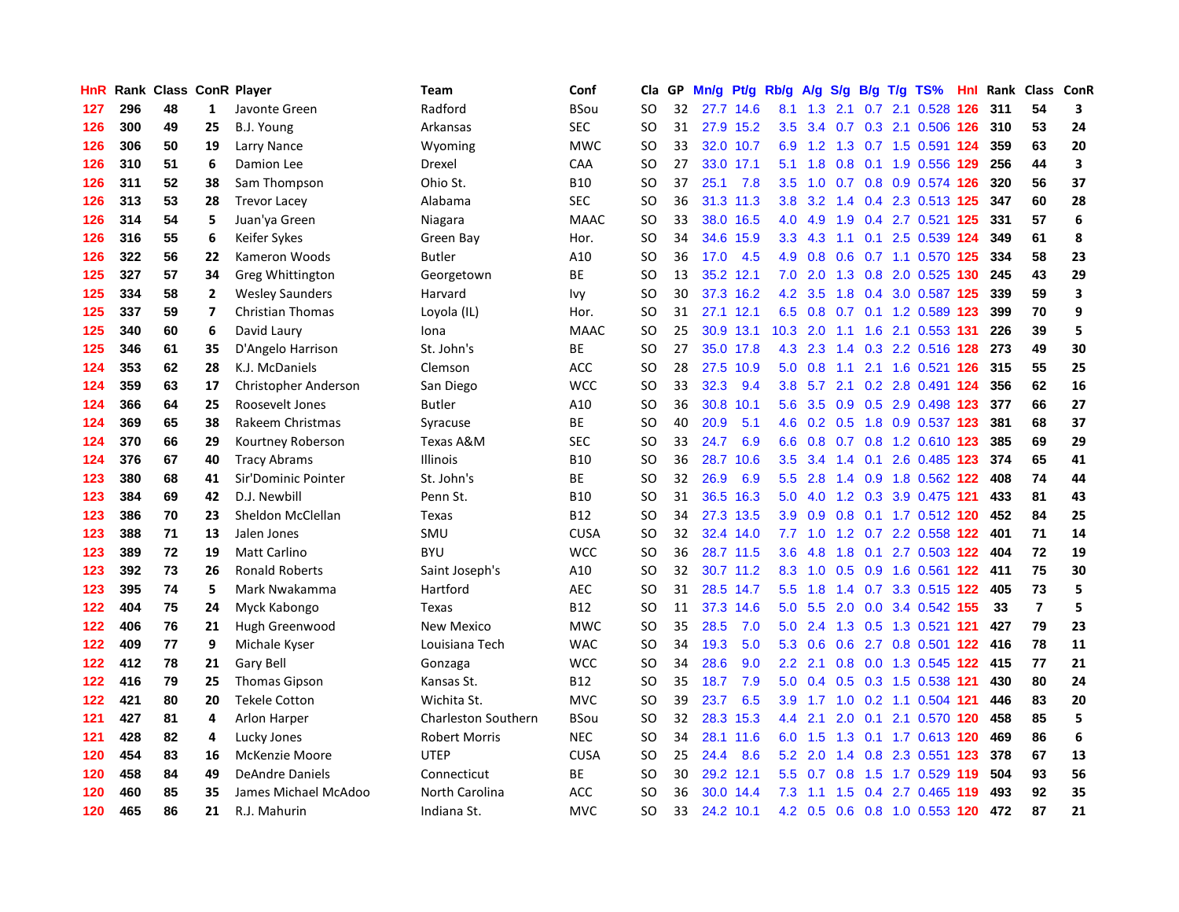| HnR |     | Rank Class ConR Player |                         |                         | Team                       | Conf        | Cla           | GP. | Mn/g | <b>Pt/g</b> | Rb/g | A/g           |     |     | $S/g$ B/g T/g TS%         | Hnl | Rank | Class          | <b>ConR</b>             |
|-----|-----|------------------------|-------------------------|-------------------------|----------------------------|-------------|---------------|-----|------|-------------|------|---------------|-----|-----|---------------------------|-----|------|----------------|-------------------------|
| 127 | 296 | 48                     | $\mathbf{1}$            | Javonte Green           | Radford                    | <b>BSou</b> | SO            | 32  |      | 27.7 14.6   | 8.1  | 1.3           | 2.1 |     | 0.7 2.1 0.528 126         |     | 311  | 54             | 3                       |
| 126 | 300 | 49                     | 25                      | B.J. Young              | Arkansas                   | <b>SEC</b>  | SO            | 31  |      | 27.9 15.2   | 3.5  | 3.4           |     |     | 0.7 0.3 2.1 0.506 126 310 |     |      | 53             | 24                      |
| 126 | 306 | 50                     | 19                      | Larry Nance             | Wyoming                    | <b>MWC</b>  | <b>SO</b>     | 33  |      | 32.0 10.7   | 6.9  |               |     |     | 1.2 1.3 0.7 1.5 0.591 124 |     | 359  | 63             | 20                      |
| 126 | 310 | 51                     | 6                       | Damion Lee              | Drexel                     | CAA         | <b>SO</b>     | 27  |      | 33.0 17.1   | 5.1  | 1.8           |     |     | 0.8 0.1 1.9 0.556 129     |     | 256  | 44             | $\overline{\mathbf{3}}$ |
| 126 | 311 | 52                     | 38                      | Sam Thompson            | Ohio St.                   | <b>B10</b>  | <b>SO</b>     | 37  | 25.1 | 7.8         | 3.5  | 1.0           |     |     | 0.7 0.8 0.9 0.574 126     |     | 320  | 56             | 37                      |
| 126 | 313 | 53                     | 28                      | <b>Trevor Lacey</b>     | Alabama                    | <b>SEC</b>  | SO            | 36  |      | 31.3 11.3   | 3.8  | 3.2           |     |     | 1.4 0.4 2.3 0.513 125     |     | 347  | 60             | 28                      |
| 126 | 314 | 54                     | 5                       | Juan'ya Green           | Niagara                    | <b>MAAC</b> | <b>SO</b>     | 33  | 38.0 | 16.5        | 4.0  | 4.9           | 1.9 |     | 0.4 2.7 0.521 125         |     | 331  | 57             | $\boldsymbol{6}$        |
| 126 | 316 | 55                     | 6                       | Keifer Sykes            | Green Bay                  | Hor.        | <b>SO</b>     | 34  | 34.6 | 15.9        | 3.3  | 4.3           | 1.1 |     | 0.1 2.5 0.539 124         |     | 349  | 61             | 8                       |
| 126 | 322 | 56                     | 22                      | Kameron Woods           | <b>Butler</b>              | A10         | <b>SO</b>     | 36  | 17.0 | 4.5         | 4.9  | 0.8           | 0.6 |     | 0.7 1.1 0.570 125         |     | 334  | 58             | 23                      |
| 125 | 327 | 57                     | 34                      | <b>Greg Whittington</b> | Georgetown                 | <b>BE</b>   | <b>SO</b>     | 13  |      | 35.2 12.1   | 7.0  | 2.0           |     |     | 1.3 0.8 2.0 0.525 130 245 |     |      | 43             | 29                      |
| 125 | 334 | 58                     | $\mathbf{2}$            | <b>Wesley Saunders</b>  | Harvard                    | Ivy         | <b>SO</b>     | 30  |      | 37.3 16.2   | 4.2  | 3.5           |     |     | 1.8 0.4 3.0 0.587 125     |     | 339  | 59             | $\overline{\mathbf{3}}$ |
| 125 | 337 | 59                     | $\overline{\mathbf{z}}$ | <b>Christian Thomas</b> | Loyola (IL)                | Hor.        | <b>SO</b>     | 31  |      | 27.1 12.1   | 6.5  | 0.8           |     |     | 0.7 0.1 1.2 0.589 123     |     | 399  | 70             | 9                       |
| 125 | 340 | 60                     | 6                       | David Laury             | Iona                       | <b>MAAC</b> | <b>SO</b>     | 25  |      | 30.9 13.1   | 10.3 | 2.0           |     |     | 1.1 1.6 2.1 0.553 131     |     | 226  | 39             | 5                       |
| 125 | 346 | 61                     | 35                      | D'Angelo Harrison       | St. John's                 | BE          | <b>SO</b>     | 27  |      | 35.0 17.8   | 4.3  | 2.3           |     |     | 1.4 0.3 2.2 0.516 128     |     | 273  | 49             | 30                      |
| 124 | 353 | 62                     | 28                      | K.J. McDaniels          | Clemson                    | ACC         | <b>SO</b>     | 28  | 27.5 | 10.9        | 5.0  | 0.8           | 1.1 |     | 2.1 1.6 0.521 126         |     | 315  | 55             | 25                      |
| 124 | 359 | 63                     | 17                      | Christopher Anderson    | San Diego                  | <b>WCC</b>  | <b>SO</b>     | 33  | 32.3 | 9.4         | 3.8  | 5.7           |     |     | 2.1 0.2 2.8 0.491 124     |     | 356  | 62             | 16                      |
| 124 | 366 | 64                     | 25                      | Roosevelt Jones         | <b>Butler</b>              | A10         | <b>SO</b>     | 36  | 30.8 | 10.1        | 5.6  | 3.5           | 0.9 |     | 0.5 2.9 0.498 123         |     | 377  | 66             | 27                      |
| 124 | 369 | 65                     | 38                      | Rakeem Christmas        | Syracuse                   | <b>BE</b>   | <b>SO</b>     | 40  | 20.9 | 5.1         | 4.6  | 0.2           | 0.5 |     | 1.8 0.9 0.537 123         |     | 381  | 68             | 37                      |
| 124 | 370 | 66                     | 29                      | Kourtney Roberson       | Texas A&M                  | <b>SEC</b>  | <b>SO</b>     | 33  | 24.7 | 6.9         | 6.6  |               |     |     | 0.8 0.7 0.8 1.2 0.610 123 |     | 385  | 69             | 29                      |
| 124 | 376 | 67                     | 40                      | <b>Tracy Abrams</b>     | <b>Illinois</b>            | <b>B10</b>  | <b>SO</b>     | 36  | 28.7 | 10.6        | 3.5  | 3.4           |     |     | 1.4 0.1 2.6 0.485 123     |     | 374  | 65             | 41                      |
| 123 | 380 | 68                     | 41                      | Sir'Dominic Pointer     | St. John's                 | BE          | <sub>SO</sub> | 32  | 26.9 | 6.9         | 5.5  | 2.8           |     |     | 1.4 0.9 1.8 0.562 122     |     | 408  | 74             | 44                      |
| 123 | 384 | 69                     | 42                      | D.J. Newbill            | Penn St.                   | <b>B10</b>  | <b>SO</b>     | 31  | 36.5 | 16.3        | 5.0  | 4.0           |     |     | 1.2 0.3 3.9 0.475 121     |     | 433  | 81             | 43                      |
| 123 | 386 | 70                     | 23                      | Sheldon McClellan       | Texas                      | <b>B12</b>  | SO            | 34  |      | 27.3 13.5   |      | $3.9$ $0.9$   |     |     | 0.8 0.1 1.7 0.512 120     |     | 452  | 84             | 25                      |
| 123 | 388 | 71                     | 13                      | Jalen Jones             | SMU                        | <b>CUSA</b> | <b>SO</b>     | 32  | 32.4 | 14.0        | 7.7  | 1.0           |     |     | 1.2 0.7 2.2 0.558 122     |     | 401  | 71             | 14                      |
| 123 | 389 | 72                     | 19                      | <b>Matt Carlino</b>     | <b>BYU</b>                 | <b>WCC</b>  | <b>SO</b>     | 36  |      | 28.7 11.5   | 3.6  | 4.8           | 1.8 | 0.1 | 2.7 0.503 122             |     | 404  | 72             | 19                      |
| 123 | 392 | 73                     | 26                      | <b>Ronald Roberts</b>   | Saint Joseph's             | A10         | <b>SO</b>     | 32  |      | 30.7 11.2   | 8.3  | 1.0           |     |     | 0.5 0.9 1.6 0.561 122 411 |     |      | 75             | 30                      |
| 123 | 395 | 74                     | 5                       | Mark Nwakamma           | Hartford                   | <b>AEC</b>  | <b>SO</b>     | 31  |      | 28.5 14.7   | 5.5  | 1.8           |     |     | 1.4 0.7 3.3 0.515 122     |     | 405  | 73             | 5                       |
| 122 | 404 | 75                     | 24                      | Myck Kabongo            | Texas                      | <b>B12</b>  | <b>SO</b>     | 11  |      | 37.3 14.6   | 5.0  | 5.5           |     |     | 2.0 0.0 3.4 0.542 155     |     | 33   | $\overline{7}$ | 5                       |
| 122 | 406 | 76                     | 21                      | Hugh Greenwood          | <b>New Mexico</b>          | <b>MWC</b>  | <b>SO</b>     | 35  | 28.5 | 7.0         | 5.0  | 2.4           |     |     | 1.3 0.5 1.3 0.521 121     |     | 427  | 79             | 23                      |
| 122 | 409 | 77                     | 9                       | Michale Kyser           | Louisiana Tech             | <b>WAC</b>  | <b>SO</b>     | 34  | 19.3 | 5.0         | 5.3  | 0.6           | 0.6 |     | 2.7 0.8 0.501 122         |     | 416  | 78             | 11                      |
| 122 | 412 | 78                     | 21                      | Gary Bell               | Gonzaga                    | <b>WCC</b>  | <b>SO</b>     | 34  | 28.6 | 9.0         | 2.2  | 2.1           |     |     | 0.8 0.0 1.3 0.545 122     |     | 415  | 77             | 21                      |
| 122 | 416 | 79                     | 25                      | <b>Thomas Gipson</b>    | Kansas St.                 | <b>B12</b>  | SO            | 35  | 18.7 | 7.9         | 5.0  | 0.4           | 0.5 |     | 0.3 1.5 0.538 121         |     | 430  | 80             | 24                      |
| 122 | 421 | 80                     | 20                      | <b>Tekele Cotton</b>    | Wichita St.                | <b>MVC</b>  | <b>SO</b>     | 39  | 23.7 | 6.5         | 3.9  | 1.7           | 1.0 |     | 0.2 1.1 0.504 121         |     | 446  | 83             | 20                      |
| 121 | 427 | 81                     | 4                       | <b>Arlon Harper</b>     | <b>Charleston Southern</b> | <b>BSou</b> | <b>SO</b>     | 32  | 28.3 | 15.3        | 4.4  | 2.1           | 2.0 | 0.1 | 2.1 0.570 120             |     | 458  | 85             | 5                       |
| 121 | 428 | 82                     | 4                       | Lucky Jones             | <b>Robert Morris</b>       | <b>NEC</b>  | <b>SO</b>     | 34  |      | 28.1 11.6   | 6.0  | 1.5           |     |     | 1.3 0.1 1.7 0.613 120     |     | 469  | 86             | $\boldsymbol{6}$        |
| 120 | 454 | 83                     | 16                      | McKenzie Moore          | <b>UTEP</b>                | <b>CUSA</b> | <b>SO</b>     | 25  | 24.4 | 8.6         | 5.2  | 2.0           |     |     | 1.4 0.8 2.3 0.551 123     |     | 378  | 67             | 13                      |
| 120 | 458 | 84                     | 49                      | <b>DeAndre Daniels</b>  | Connecticut                | ВE          | <sub>SO</sub> | 30  | 29.2 | 12.1        | 5.5  | 0.7           | 0.8 |     | 1.5 1.7 0.529 119         |     | 504  | 93             | 56                      |
| 120 | 460 | 85                     | 35                      | James Michael McAdoo    | North Carolina             | <b>ACC</b>  | SO            | 36  | 30.0 | 14.4        | 7.3  | 1.1           | 1.5 | 0.4 | 2.7 0.465                 | 119 | 493  | 92             | 35                      |
| 120 | 465 | 86                     | 21                      | R.J. Mahurin            | Indiana St.                | <b>MVC</b>  | SO            | 33  |      | 24.2 10.1   |      | $4.2\quad0.5$ |     |     | 0.6 0.8 1.0 0.553 120     |     | 472  | 87             | 21                      |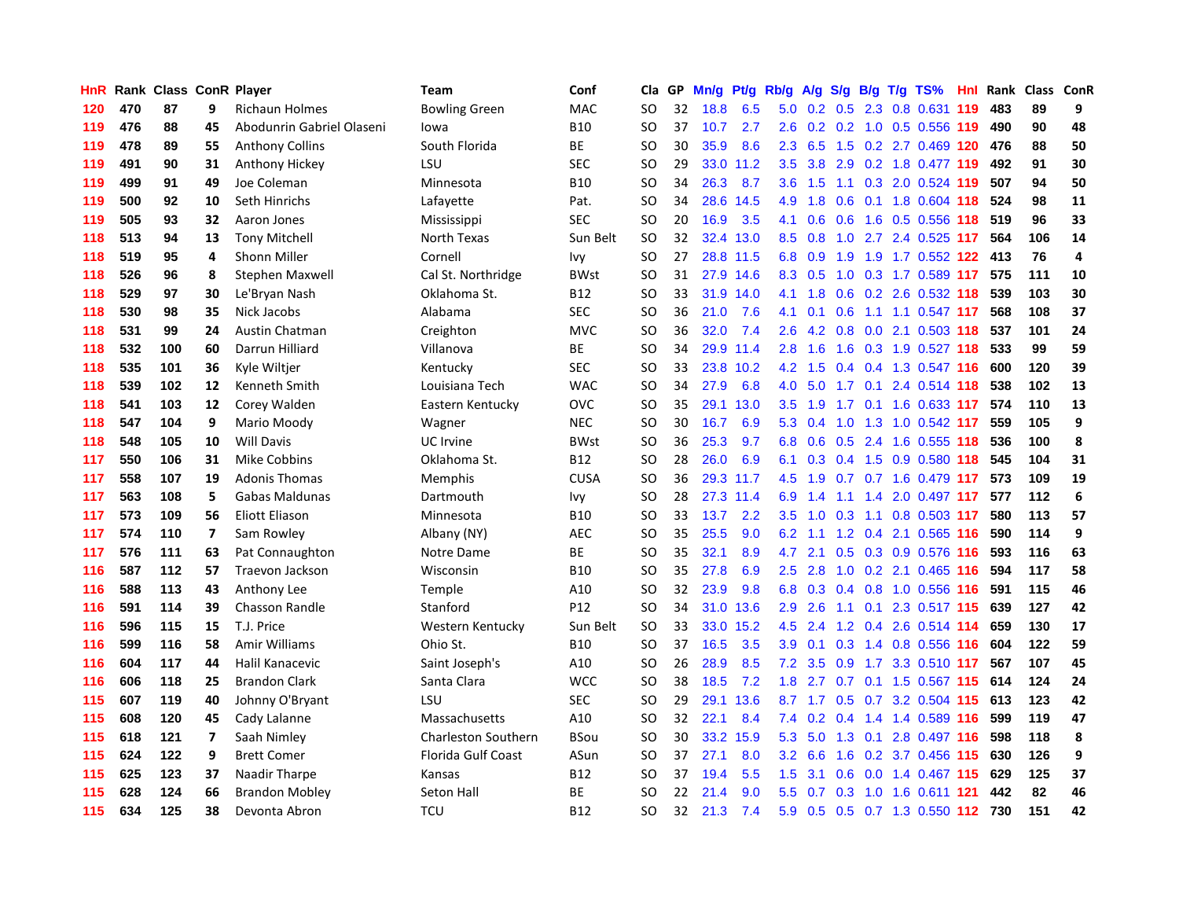| HnR | Rank | <b>Class ConR Player</b> |                          |                           | Team                       | Conf            | Cla       | GP | Mn/g |           | Pt/g Rb/g        | A/g            |                  |     | S/g B/g T/g TS%             | Hnl | Rank | Class | <b>ConR</b>      |
|-----|------|--------------------------|--------------------------|---------------------------|----------------------------|-----------------|-----------|----|------|-----------|------------------|----------------|------------------|-----|-----------------------------|-----|------|-------|------------------|
| 120 | 470  | 87                       | 9                        | <b>Richaun Holmes</b>     | <b>Bowling Green</b>       | <b>MAC</b>      | <b>SO</b> | 32 | 18.8 | 6.5       | 5.0              | 0.2            | 0.5              |     | 2.3 0.8 0.631               | 119 | 483  | 89    | 9                |
| 119 | 476  | 88                       | 45                       | Abodunrin Gabriel Olaseni | lowa                       | <b>B10</b>      | SO        | 37 | 10.7 | 2.7       | 2.6              |                |                  |     | 0.2 0.2 1.0 0.5 0.556 119   |     | 490  | 90    | 48               |
| 119 | 478  | 89                       | 55                       | <b>Anthony Collins</b>    | South Florida              | <b>BE</b>       | SO.       | 30 | 35.9 | 8.6       | 2.3              | 6.5            |                  |     | 1.5 0.2 2.7 0.469 120 476   |     |      | 88    | 50               |
| 119 | 491  | 90                       | 31                       | Anthony Hickey            | LSU                        | <b>SEC</b>      | SO        | 29 | 33.0 | 11.2      | 3.5              | 3.8            |                  |     | 2.9 0.2 1.8 0.477 119       |     | 492  | 91    | 30               |
| 119 | 499  | 91                       | 49                       | Joe Coleman               | Minnesota                  | <b>B10</b>      | <b>SO</b> | 34 | 26.3 | 8.7       | 3.6              | 1.5            |                  |     | 1.1 0.3 2.0 0.524 119       |     | 507  | 94    | 50               |
| 119 | 500  | 92                       | 10                       | Seth Hinrichs             | Lafayette                  | Pat.            | <b>SO</b> | 34 | 28.6 | 14.5      | 4.9              | 1.8            | 0.6              |     | 0.1 1.8 0.604 118           |     | 524  | 98    | 11               |
| 119 | 505  | 93                       | 32                       | Aaron Jones               | Mississippi                | SEC             | <b>SO</b> | 20 | 16.9 | 3.5       | 4.1              | 0.6            | 0.6              |     | 1.6 0.5 0.556 118           |     | 519  | 96    | 33               |
| 118 | 513  | 94                       | 13                       | <b>Tony Mitchell</b>      | North Texas                | Sun Belt        | <b>SO</b> | 32 | 32.4 | 13.0      | 8.5              | 0.8            | 1.0              |     | 2.7 2.4 0.525 117           |     | 564  | 106   | 14               |
| 118 | 519  | 95                       | 4                        | <b>Shonn Miller</b>       | Cornell                    | Ivy             | <b>SO</b> | 27 |      | 28.8 11.5 | 6.8              | 0.9            | 1.9              |     | 1.9 1.7 0.552 122           |     | 413  | 76    | 4                |
| 118 | 526  | 96                       | 8                        | Stephen Maxwell           | Cal St. Northridge         | <b>BWst</b>     | <b>SO</b> | 31 |      | 27.9 14.6 | 8.3              | 0.5            |                  |     | 1.0 0.3 1.7 0.589 117       |     | 575  | 111   | 10               |
| 118 | 529  | 97                       | 30                       | Le'Bryan Nash             | Oklahoma St.               | B12             | <b>SO</b> | 33 | 31.9 | 14.0      | 4.1              | 1.8            |                  |     | $0.6$ 0.2 2.6 0.532 118     |     | 539  | 103   | 30               |
| 118 | 530  | 98                       | 35                       | Nick Jacobs               | Alabama                    | <b>SEC</b>      | SO        | 36 | 21.0 | 7.6       | 4.1              | 0.1            |                  |     | $0.6$ 1.1 1.1 0.547 117     |     | 568  | 108   | 37               |
| 118 | 531  | 99                       | 24                       | <b>Austin Chatman</b>     | Creighton                  | <b>MVC</b>      | SO        | 36 | 32.0 | 7.4       | 2.6              | 4.2            | 0.8              |     | 0.0 2.1 0.503 118           |     | 537  | 101   | 24               |
| 118 | 532  | 100                      | 60                       | Darrun Hilliard           | Villanova                  | <b>BE</b>       | <b>SO</b> | 34 | 29.9 | 11.4      | 2.8              | 1.6            | 1.6              |     | 0.3 1.9 0.527 118           |     | 533  | 99    | 59               |
| 118 | 535  | 101                      | 36                       | Kyle Wiltjer              | Kentucky                   | <b>SEC</b>      | <b>SO</b> | 33 |      | 23.8 10.2 | 4.2              | 1.5            |                  |     | 0.4 0.4 1.3 0.547 116       |     | 600  | 120   | 39               |
| 118 | 539  | 102                      | 12                       | Kenneth Smith             | Louisiana Tech             | <b>WAC</b>      | <b>SO</b> | 34 | 27.9 | 6.8       | 4.0              | 5.0            | 1.7              |     | 0.1 2.4 0.514 118           |     | 538  | 102   | 13               |
| 118 | 541  | 103                      | 12                       | Corey Walden              | Eastern Kentucky           | OVC             | <b>SO</b> | 35 | 29.1 | 13.0      | 3.5              | 1.9            | 1.7 <sub>z</sub> |     | $0.1$ 1.6 0.633 117         |     | 574  | 110   | 13               |
| 118 | 547  | 104                      | 9                        | Mario Moody               | Wagner                     | <b>NEC</b>      | SO        | 30 | 16.7 | 6.9       | 5.3              | 0.4            | 1.0              |     | 1.3 1.0 0.542 117           |     | 559  | 105   | 9                |
| 118 | 548  | 105                      | 10                       | <b>Will Davis</b>         | <b>UC</b> Irvine           | <b>BWst</b>     | <b>SO</b> | 36 | 25.3 | 9.7       | 6.8              | 0.6            |                  |     | 0.5 2.4 1.6 0.555 118       |     | 536  | 100   | 8                |
| 117 | 550  | 106                      | 31                       | <b>Mike Cobbins</b>       | Oklahoma St.               | <b>B12</b>      | SO        | 28 | 26.0 | 6.9       | 6.1              |                |                  |     | 0.3 0.4 1.5 0.9 0.580 118   |     | 545  | 104   | 31               |
| 117 | 558  | 107                      | 19                       | <b>Adonis Thomas</b>      | <b>Memphis</b>             | <b>CUSA</b>     | <b>SO</b> | 36 |      | 29.3 11.7 | 4.5              | 1.9            |                  |     | $0.7$ 0.7 1.6 0.479 117     |     | 573  | 109   | 19               |
| 117 | 563  | 108                      | 5                        | <b>Gabas Maldunas</b>     | Dartmouth                  | Ivy             | <b>SO</b> | 28 |      | 27.3 11.4 | 6.9              | 1.4            | 1.1              | 1.4 | 2.0 0.497 117               |     | 577  | 112   | $\boldsymbol{6}$ |
| 117 | 573  | 109                      | 56                       | Eliott Eliason            | Minnesota                  | <b>B10</b>      | <b>SO</b> | 33 | 13.7 | 2.2       | 3.5              | 1.0            | 0.3              |     | 1.1 0.8 0.503 117           |     | 580  | 113   | 57               |
| 117 | 574  | 110                      | $\overline{\mathbf{z}}$  | Sam Rowley                | Albany (NY)                | <b>AEC</b>      | <b>SO</b> | 35 | 25.5 | 9.0       | 6.2              | 1.1            | 1.2              |     | 0.4 2.1 0.565 116           |     | 590  | 114   | 9                |
| 117 | 576  | 111                      | 63                       | Pat Connaughton           | Notre Dame                 | ВE              | <b>SO</b> | 35 | 32.1 | 8.9       | 4.7              | 2.1            | 0.5              |     | 0.3 0.9 0.576 116           |     | 593  | 116   | 63               |
| 116 | 587  | 112                      | 57                       | Traevon Jackson           | Wisconsin                  | <b>B10</b>      | <b>SO</b> | 35 | 27.8 | 6.9       | 2.5              | 2.8            | 1.0              |     | 0.2 2.1 0.465 116           |     | 594  | 117   | 58               |
| 116 | 588  | 113                      | 43                       | Anthony Lee               | Temple                     | A10             | <b>SO</b> | 32 | 23.9 | 9.8       | 6.8              | 0.3            |                  |     | 0.4 0.8 1.0 0.556 116       |     | 591  | 115   | 46               |
| 116 | 591  | 114                      | 39                       | Chasson Randle            | Stanford                   | P <sub>12</sub> | <b>SO</b> | 34 | 31.0 | 13.6      | 2.9 <sup>°</sup> | 2.6            |                  |     | 1.1 0.1 2.3 0.517 115 639   |     |      | 127   | 42               |
| 116 | 596  | 115                      | 15                       | T.J. Price                | Western Kentucky           | Sun Belt        | <b>SO</b> | 33 | 33.0 | 15.2      | 4.5              | 2.4            |                  |     | 1.2 0.4 2.6 0.514 114       |     | 659  | 130   | 17               |
| 116 | 599  | 116                      | 58                       | Amir Williams             | Ohio St.                   | <b>B10</b>      | SO        | 37 | 16.5 | 3.5       | 3.9 <sup>°</sup> | 0.1            |                  |     | 0.3 1.4 0.8 0.556 116       |     | 604  | 122   | 59               |
| 116 | 604  | 117                      | 44                       | Halil Kanacevic           | Saint Joseph's             | A10             | <b>SO</b> | 26 | 28.9 | 8.5       | 7.2              | 3.5            | 0.9 <sub>0</sub> |     | 1.7 3.3 0.510 117           |     | 567  | 107   | 45               |
| 116 | 606  | 118                      | 25                       | <b>Brandon Clark</b>      | Santa Clara                | <b>WCC</b>      | SO        | 38 | 18.5 | 7.2       | 1.8              | 2.7            |                  |     | 0.7 0.1 1.5 0.567 115       |     | 614  | 124   | 24               |
| 115 | 607  | 119                      | 40                       | Johnny O'Bryant           | LSU                        | <b>SEC</b>      | SO.       | 29 | 29.1 | 13.6      | 8.7              | 1.7            | 0.5              | 0.7 | 3.2 0.504 115               |     | 613  | 123   | 42               |
| 115 | 608  | 120                      | 45                       | Cady Lalanne              | Massachusetts              | A10             | SO        | 32 | 22.1 | 8.4       | 7.4              | 0.2            |                  |     | 0.4 1.4 1.4 0.589 116       |     | 599  | 119   | 47               |
| 115 | 618  | 121                      | $\overline{\phantom{a}}$ | Saah Nimley               | <b>Charleston Southern</b> | <b>BSou</b>     | <b>SO</b> | 30 | 33.2 | 15.9      | 5.3              | 5.0            | 1.3              | 0.1 | 2.8 0.497 116               |     | 598  | 118   | 8                |
| 115 | 624  | 122                      | 9                        | <b>Brett Comer</b>        | Florida Gulf Coast         | ASun            | SO        | 37 | 27.1 | 8.0       |                  | $3.2\quad 6.6$ |                  |     | 1.6 0.2 3.7 0.456 115       |     | 630  | 126   | 9                |
| 115 | 625  | 123                      | 37                       | Naadir Tharpe             | Kansas                     | B12             | SO        | 37 | 19.4 | 5.5       | 1.5              | 3.1            |                  |     | $0.6$ $0.0$ 1.4 $0.467$ 115 |     | 629  | 125   | 37               |
| 115 | 628  | 124                      | 66                       | <b>Brandon Mobley</b>     | Seton Hall                 | <b>BE</b>       | SO        | 22 | 21.4 | 9.0       | 5.5 <sub>1</sub> | 0.7            |                  |     | 0.3 1.0 1.6 0.611 121       |     | 442  | 82    | 46               |
| 115 | 634  | 125                      | 38                       | Devonta Abron             | <b>TCU</b>                 | <b>B12</b>      | <b>SO</b> | 32 | 21.3 | 7.4       | 5.9              | 0.5            |                  |     | 0.5 0.7 1.3 0.550 112 730   |     |      | 151   | 42               |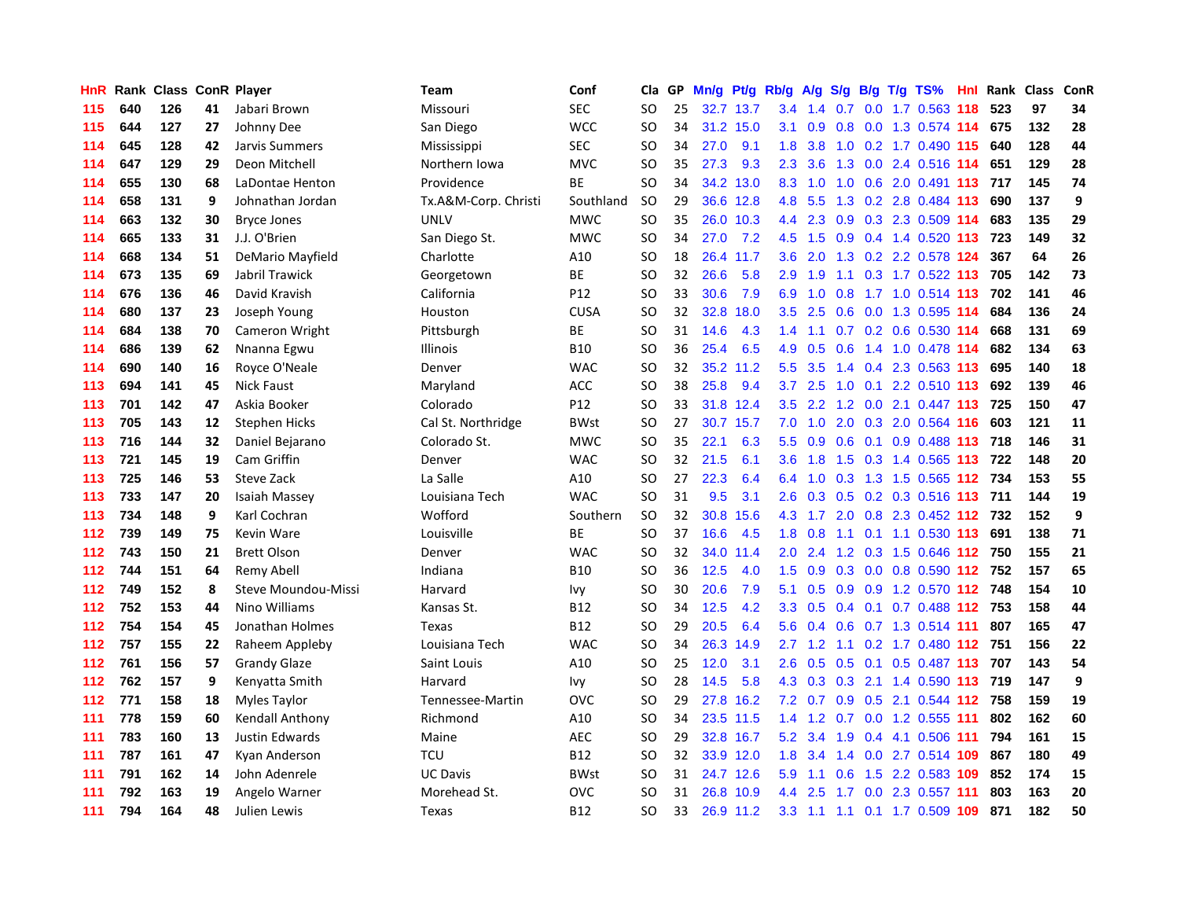| HnR | Rank |     |    | <b>Class ConR Player</b> | <b>Team</b>          | Conf        | Cla       | <b>GP</b> | Mn/g | <b>Pt/g</b> | Rb/g             | A/g |                  |  | S/g B/g T/g TS%               | Hnl | Rank | Class | <b>ConR</b> |
|-----|------|-----|----|--------------------------|----------------------|-------------|-----------|-----------|------|-------------|------------------|-----|------------------|--|-------------------------------|-----|------|-------|-------------|
| 115 | 640  | 126 | 41 | Jabari Brown             | Missouri             | <b>SEC</b>  | SO        | 25        | 32.7 | 13.7        | 3.4              | 1.4 | 0.7              |  | $0.0$ 1.7 $0.563$ 118         |     | 523  | 97    | 34          |
| 115 | 644  | 127 | 27 | Johnny Dee               | San Diego            | <b>WCC</b>  | SO        | 34        |      | 31.2 15.0   | 3.1              | 0.9 |                  |  | 0.8 0.0 1.3 0.574 114 675     |     |      | 132   | 28          |
| 114 | 645  | 128 | 42 | Jarvis Summers           | Mississippi          | <b>SEC</b>  | SO        | 34        | 27.0 | 9.1         | 1.8              | 3.8 |                  |  | 1.0 0.2 1.7 0.490 115 640     |     |      | 128   | 44          |
| 114 | 647  | 129 | 29 | Deon Mitchell            | Northern Iowa        | <b>MVC</b>  | SO        | 35        | 27.3 | 9.3         | $2.3^{\circ}$    | 3.6 |                  |  | 1.3 0.0 2.4 0.516 114         |     | 651  | 129   | 28          |
| 114 | 655  | 130 | 68 | LaDontae Henton          | Providence           | <b>BE</b>   | <b>SO</b> | 34        | 34.2 | 13.0        | 8.3              | 1.0 | 1.0              |  | 0.6 2.0 0.491 113 717         |     |      | 145   | 74          |
| 114 | 658  | 131 | 9  | Johnathan Jordan         | Tx.A&M-Corp. Christi | Southland   | <b>SO</b> | 29        |      | 36.6 12.8   | 4.8              | 5.5 | 1.3              |  | 0.2 2.8 0.484 113             |     | 690  | 137   | 9           |
| 114 | 663  | 132 | 30 | <b>Bryce Jones</b>       | <b>UNLV</b>          | <b>MWC</b>  | <b>SO</b> | 35        |      | 26.0 10.3   | 4.4              | 2.3 | 0.9              |  | 0.3 2.3 0.509 114             |     | 683  | 135   | 29          |
| 114 | 665  | 133 | 31 | J.J. O'Brien             | San Diego St.        | <b>MWC</b>  | <b>SO</b> | 34        | 27.0 | 7.2         | 4.5              | 1.5 | 0.9 <sub>0</sub> |  | 0.4 1.4 0.520 113             |     | 723  | 149   | 32          |
| 114 | 668  | 134 | 51 | DeMario Mayfield         | Charlotte            | A10         | <b>SO</b> | 18        |      | 26.4 11.7   | 3.6              | 2.0 | 1.3              |  | 0.2 2.2 0.578 124             |     | 367  | 64    | 26          |
| 114 | 673  | 135 | 69 | Jabril Trawick           | Georgetown           | <b>BE</b>   | <b>SO</b> | 32        | 26.6 | 5.8         | 2.9              | 1.9 |                  |  | 1.1 0.3 1.7 0.522 113 705     |     |      | 142   | 73          |
| 114 | 676  | 136 | 46 | David Kravish            | California           | P12         | SO        | 33        | 30.6 | 7.9         | 6.9              |     |                  |  | 1.0 0.8 1.7 1.0 0.514 113 702 |     |      | 141   | 46          |
| 114 | 680  | 137 | 23 | Joseph Young             | Houston              | <b>CUSA</b> | SO        | 32        | 32.8 | 18.0        | $3.5^{\circ}$    | 2.5 |                  |  | 0.6 0.0 1.3 0.595 114         |     | 684  | 136   | 24          |
| 114 | 684  | 138 | 70 | Cameron Wright           | Pittsburgh           | <b>BE</b>   | SO        | 31        | 14.6 | 4.3         | 1.4              | 1.1 |                  |  | 0.7 0.2 0.6 0.530 114         |     | 668  | 131   | 69          |
| 114 | 686  | 139 | 62 | Nnanna Egwu              | Illinois             | <b>B10</b>  | <b>SO</b> | 36        | 25.4 | 6.5         | 4.9              | 0.5 | 0.6              |  | 1.4 1.0 0.478 114             |     | 682  | 134   | 63          |
| 114 | 690  | 140 | 16 | Royce O'Neale            | Denver               | <b>WAC</b>  | <b>SO</b> | 32        |      | 35.2 11.2   | 5.5              | 3.5 |                  |  | 1.4 0.4 2.3 0.563 113         |     | 695  | 140   | 18          |
| 113 | 694  | 141 | 45 | <b>Nick Faust</b>        | Maryland             | ACC         | <b>SO</b> | 38        | 25.8 | 9.4         | 3.7              | 2.5 | 1.0              |  | $0.1$ 2.2 0.510 113           |     | 692  | 139   | 46          |
| 113 | 701  | 142 | 47 | Askia Booker             | Colorado             | P12         | SO        | 33        | 31.8 | 12.4        | 3.5              | 2.2 | 1.2              |  | 0.0 2.1 0.447 113             |     | 725  | 150   | 47          |
| 113 | 705  | 143 | 12 | <b>Stephen Hicks</b>     | Cal St. Northridge   | <b>BWst</b> | <b>SO</b> | 27        | 30.7 | 15.7        | 7.0              | 1.0 | 2.0              |  | 0.3 2.0 0.564 116 603         |     |      | 121   | 11          |
| 113 | 716  | 144 | 32 | Daniel Bejarano          | Colorado St.         | <b>MWC</b>  | SO        | 35        | 22.1 | 6.3         | 5.5              | 0.9 |                  |  | 0.6 0.1 0.9 0.488 113 718     |     |      | 146   | 31          |
| 113 | 721  | 145 | 19 | Cam Griffin              | Denver               | <b>WAC</b>  | SO        | 32        | 21.5 | 6.1         | 3.6              | 1.8 |                  |  | 1.5 0.3 1.4 0.565 113 722     |     |      | 148   | 20          |
| 113 | 725  | 146 | 53 | <b>Steve Zack</b>        | La Salle             | A10         | SO        | 27        | 22.3 | 6.4         | 6.4              | 1.0 |                  |  | 0.3 1.3 1.5 0.565 112 734     |     |      | 153   | 55          |
| 113 | 733  | 147 | 20 | Isaiah Massey            | Louisiana Tech       | <b>WAC</b>  | SO        | 31        | 9.5  | 3.1         | 2.6              | 0.3 |                  |  | 0.5 0.2 0.3 0.516 113 711     |     |      | 144   | 19          |
| 113 | 734  | 148 | 9  | Karl Cochran             | Wofford              | Southern    | <b>SO</b> | 32        | 30.8 | 15.6        | 4.3              | 1.7 |                  |  | 2.0 0.8 2.3 0.452 112 732     |     |      | 152   | 9           |
| 112 | 739  | 149 | 75 | Kevin Ware               | Louisville           | ВE          | <b>SO</b> | 37        | 16.6 | 4.5         | 1.8              | 0.8 |                  |  | 1.1 0.1 1.1 0.530 113         |     | 691  | 138   | 71          |
| 112 | 743  | 150 | 21 | <b>Brett Olson</b>       | Denver               | <b>WAC</b>  | SO        | 32        | 34.0 | 11.4        | 2.0              | 2.4 | 1.2              |  | 0.3 1.5 0.646 112 750         |     |      | 155   | 21          |
| 112 | 744  | 151 | 64 | Remy Abell               | Indiana              | <b>B10</b>  | <b>SO</b> | 36        | 12.5 | 4.0         | 1.5              | 0.9 |                  |  | 0.3 0.0 0.8 0.590 112 752     |     |      | 157   | 65          |
| 112 | 749  | 152 | 8  | Steve Moundou-Missi      | Harvard              | lvy         | <b>SO</b> | 30        | 20.6 | 7.9         | 5.1              | 0.5 |                  |  | 0.9 0.9 1.2 0.570 112 748     |     |      | 154   | 10          |
| 112 | 752  | 153 | 44 | Nino Williams            | Kansas St.           | <b>B12</b>  | <b>SO</b> | 34        | 12.5 | 4.2         | 3.3 <sub>2</sub> | 0.5 |                  |  | 0.4 0.1 0.7 0.488 112 753     |     |      | 158   | 44          |
| 112 | 754  | 154 | 45 | Jonathan Holmes          | Texas                | <b>B12</b>  | SO        | 29        | 20.5 | 6.4         | 5.6              | 0.4 |                  |  | $0.6$ $0.7$ 1.3 $0.514$ 111   |     | 807  | 165   | 47          |
| 112 | 757  | 155 | 22 | Raheem Appleby           | Louisiana Tech       | <b>WAC</b>  | SO        | 34        | 26.3 | 14.9        | $2.7^{\circ}$    | 1.2 |                  |  | 1.1 0.2 1.7 0.480 112 751     |     |      | 156   | 22          |
| 112 | 761  | 156 | 57 | <b>Grandy Glaze</b>      | Saint Louis          | A10         | <b>SO</b> | 25        | 12.0 | 3.1         | 2.6              | 0.5 | 0.5              |  | $0.1$ $0.5$ $0.487$ 113       |     | 707  | 143   | 54          |
| 112 | 762  | 157 | 9  | Kenyatta Smith           | Harvard              | Ivy         | SO        | 28        | 14.5 | 5.8         | 4.3              | 0.3 | 0.3              |  | 2.1 1.4 0.590 113             |     | 719  | 147   | 9           |
| 112 | 771  | 158 | 18 | <b>Myles Taylor</b>      | Tennessee-Martin     | OVC         | SO        | 29        | 27.8 | 16.2        | 7.2              | 0.7 | 0.9 <sub>0</sub> |  | $0.5$ 2.1 0.544 112           |     | 758  | 159   | 19          |
| 111 | 778  | 159 | 60 | Kendall Anthony          | Richmond             | A10         | SO        | 34        | 23.5 | 11.5        | 1.4              | 1.2 | 0.7              |  | 0.0 1.2 0.555 111             |     | 802  | 162   | 60          |
| 111 | 783  | 160 | 13 | Justin Edwards           | Maine                | AEC         | <b>SO</b> | 29        | 32.8 | 16.7        | 5.2              | 3.4 | 1.9              |  | 0.4 4.1 0.506 111             |     | 794  | 161   | 15          |
| 111 | 787  | 161 | 47 | Kyan Anderson            | <b>TCU</b>           | <b>B12</b>  | SO        | 32        |      | 33.9 12.0   | 1.8              | 3.4 |                  |  | 1.4 0.0 2.7 0.514 109         |     | 867  | 180   | 49          |
| 111 | 791  | 162 | 14 | John Adenrele            | <b>UC Davis</b>      | <b>BWst</b> | SO        | 31        |      | 24.7 12.6   | 5.9              | 1.1 | 0.6              |  | 1.5 2.2 0.583 109             |     | 852  | 174   | 15          |
| 111 | 792  | 163 | 19 | Angelo Warner            | Morehead St.         | OVC         | SO        | 31        | 26.8 | 10.9        | 4.4              | 2.5 |                  |  | 1.7 0.0 2.3 0.557 111         |     | 803  | 163   | 20          |
| 111 | 794  | 164 | 48 | Julien Lewis             | Texas                | <b>B12</b>  | <b>SO</b> | 33        |      | 26.9 11.2   | 3.3              | 1.1 |                  |  | 1.1 0.1 1.7 0.509 109         |     | 871  | 182   | 50          |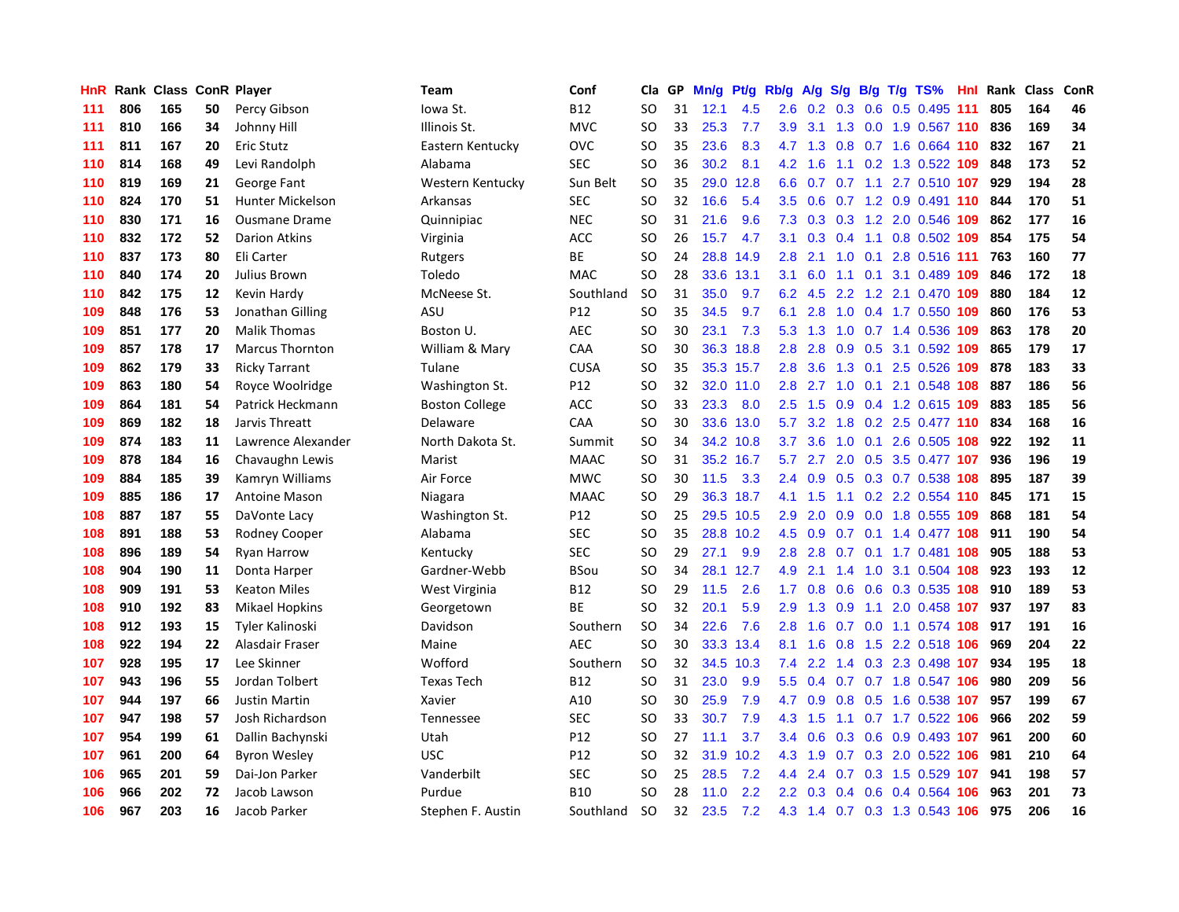| HnR | Rank | <b>Class</b> |    | <b>ConR Player</b>      | Team                  | Conf            | Cla       | <b>GP</b> | Mn/g | <b>Pt/g</b> | Rb/g             | A/g | S/g              |           | B/g T/g TS%               | Hnl | Rank | <b>Class</b> | <b>ConR</b> |
|-----|------|--------------|----|-------------------------|-----------------------|-----------------|-----------|-----------|------|-------------|------------------|-----|------------------|-----------|---------------------------|-----|------|--------------|-------------|
| 111 | 806  | 165          | 50 | Percy Gibson            | lowa St.              | <b>B12</b>      | SO.       | 31        | 12.1 | 4.5         | 2.6              | 0.2 | 0.3              |           | 0.6 0.5 0.495 111         |     | 805  | 164          | 46          |
| 111 | 810  | 166          | 34 | Johnny Hill             | Illinois St.          | <b>MVC</b>      | SO        | 33        | 25.3 | 7.7         | 3.9 <sup>°</sup> |     |                  |           | 3.1 1.3 0.0 1.9 0.567 110 |     | 836  | 169          | 34          |
| 111 | 811  | 167          | 20 | <b>Eric Stutz</b>       | Eastern Kentucky      | OVC             | SO        | 35        | 23.6 | 8.3         | 4.7              | 1.3 |                  |           | 0.8 0.7 1.6 0.664 110     |     | 832  | 167          | 21          |
| 110 | 814  | 168          | 49 | Levi Randolph           | Alabama               | <b>SEC</b>      | SO        | 36        | 30.2 | 8.1         | 4.2              | 1.6 |                  |           | 1.1 0.2 1.3 0.522 109     |     | 848  | 173          | 52          |
| 110 | 819  | 169          | 21 | George Fant             | Western Kentucky      | Sun Belt        | <b>SO</b> | 35        | 29.0 | 12.8        | 6.6              | 0.7 | 0.7              |           | 1.1 2.7 0.510 107         |     | 929  | 194          | 28          |
| 110 | 824  | 170          | 51 | <b>Hunter Mickelson</b> | Arkansas              | <b>SEC</b>      | SO        | 32        | 16.6 | 5.4         | 3.5              | 0.6 | 0.7              |           | 1.2 0.9 0.491 110         |     | 844  | 170          | 51          |
| 110 | 830  | 171          | 16 | <b>Ousmane Drame</b>    | Quinnipiac            | <b>NEC</b>      | SO        | 31        | 21.6 | 9.6         | 7.3              | 0.3 | 0.3              |           | 1.2 2.0 0.546             | 109 | 862  | 177          | 16          |
| 110 | 832  | 172          | 52 | <b>Darion Atkins</b>    | Virginia              | <b>ACC</b>      | <b>SO</b> | 26        | 15.7 | 4.7         | 3.1              | 0.3 |                  | $0.4$ 1.1 | 0.8 0.502 109             |     | 854  | 175          | 54          |
| 110 | 837  | 173          | 80 | Eli Carter              | Rutgers               | <b>BE</b>       | SO        | 24        | 28.8 | 14.9        | 2.8              | 2.1 | 1.0              | 0.1       | 2.8 0.516 111             |     | 763  | 160          | 77          |
| 110 | 840  | 174          | 20 | Julius Brown            | Toledo                | <b>MAC</b>      | SO        | 28        | 33.6 | 13.1        | 3.1              |     |                  |           | 6.0 1.1 0.1 3.1 0.489 109 |     | 846  | 172          | 18          |
| 110 | 842  | 175          | 12 | Kevin Hardy             | McNeese St.           | Southland       | <b>SO</b> | 31        | 35.0 | 9.7         | 6.2              | 4.5 |                  |           | 2.2 1.2 2.1 0.470 109     |     | 880  | 184          | 12          |
| 109 | 848  | 176          | 53 | Jonathan Gilling        | ASU                   | P12             | <b>SO</b> | 35        | 34.5 | 9.7         | 6.1              | 2.8 |                  |           | 1.0 0.4 1.7 0.550 109     |     | 860  | 176          | 53          |
| 109 | 851  | 177          | 20 | <b>Malik Thomas</b>     | Boston U.             | <b>AEC</b>      | <b>SO</b> | 30        | 23.1 | 7.3         | 5.3              | 1.3 | 1.0              |           | 0.7 1.4 0.536 109         |     | 863  | 178          | 20          |
| 109 | 857  | 178          | 17 | <b>Marcus Thornton</b>  | William & Mary        | CAA             | <b>SO</b> | 30        | 36.3 | 18.8        | 2.8              | 2.8 | 0.9              |           | 0.5 3.1 0.592 109         |     | 865  | 179          | 17          |
| 109 | 862  | 179          | 33 | <b>Ricky Tarrant</b>    | Tulane                | <b>CUSA</b>     | <b>SO</b> | 35        | 35.3 | 15.7        | 2.8              | 3.6 | 1.3              |           | 0.1 2.5 0.526 109         |     | 878  | 183          | 33          |
| 109 | 863  | 180          | 54 | Royce Woolridge         | Washington St.        | P12             | SO        | 32        | 32.0 | 11.0        | 2.8              | 2.7 | 1.0              |           | $0.1$ 2.1 0.548 108       |     | 887  | 186          | 56          |
| 109 | 864  | 181          | 54 | Patrick Heckmann        | <b>Boston College</b> | ACC             | SO        | 33        | 23.3 | 8.0         | 2.5              | 1.5 | 0.9 <sup>°</sup> |           | 0.4 1.2 0.615 109         |     | 883  | 185          | 56          |
| 109 | 869  | 182          | 18 | Jarvis Threatt          | Delaware              | CAA             | <b>SO</b> | 30        | 33.6 | 13.0        | 5.7              | 3.2 | 1.8              |           | $0.2$ 2.5 0.477 110       |     | 834  | 168          | 16          |
| 109 | 874  | 183          | 11 | Lawrence Alexander      | North Dakota St.      | Summit          | <b>SO</b> | 34        |      | 34.2 10.8   | 3.7              | 3.6 |                  |           | 1.0 0.1 2.6 0.505 108     |     | 922  | 192          | 11          |
| 109 | 878  | 184          | 16 | Chavaughn Lewis         | Marist                | <b>MAAC</b>     | <b>SO</b> | 31        |      | 35.2 16.7   | 5.7              | 2.7 |                  |           | 2.0 0.5 3.5 0.477 107     |     | 936  | 196          | 19          |
| 109 | 884  | 185          | 39 | Kamryn Williams         | Air Force             | <b>MWC</b>      | SO        | 30        | 11.5 | 3.3         | $2.4^{\circ}$    | 0.9 |                  |           | $0.5$ 0.3 0.7 0.538 108   |     | 895  | 187          | 39          |
| 109 | 885  | 186          | 17 | <b>Antoine Mason</b>    | Niagara               | <b>MAAC</b>     | <b>SO</b> | 29        | 36.3 | 18.7        | 4.1              | 1.5 | 1.1              |           | $0.2$ 2.2 0.554 110       |     | 845  | 171          | 15          |
| 108 | 887  | 187          | 55 | DaVonte Lacy            | Washington St.        | P12             | SO        | 25        | 29.5 | 10.5        | 2.9              | 2.0 | 0.9              |           | 0.0 1.8 0.555 109         |     | 868  | 181          | 54          |
| 108 | 891  | 188          | 53 | Rodney Cooper           | Alabama               | SEC             | SO        | 35        | 28.8 | 10.2        | 4.5              | 0.9 | 0.7              |           | 0.1 1.4 0.477 108         |     | 911  | 190          | 54          |
| 108 | 896  | 189          | 54 | <b>Ryan Harrow</b>      | Kentucky              | SEC             | SO        | 29        | 27.1 | 9.9         | 2.8              | 2.8 | 0.7              |           | 0.1 1.7 0.481 108         |     | 905  | 188          | 53          |
| 108 | 904  | 190          | 11 | Donta Harper            | Gardner-Webb          | <b>BSou</b>     | <b>SO</b> | 34        | 28.1 | 12.7        | 4.9              | 2.1 | 1.4              |           | 1.0 3.1 0.504 108         |     | 923  | 193          | 12          |
| 108 | 909  | 191          | 53 | <b>Keaton Miles</b>     | West Virginia         | <b>B12</b>      | <b>SO</b> | 29        | 11.5 | 2.6         | 1.7 <sub>z</sub> | 0.8 |                  |           | 0.6 0.6 0.3 0.535 108     |     | 910  | 189          | 53          |
| 108 | 910  | 192          | 83 | <b>Mikael Hopkins</b>   | Georgetown            | <b>BE</b>       | <b>SO</b> | 32        | 20.1 | 5.9         | 2.9              | 1.3 |                  |           | 0.9 1.1 2.0 0.458 107     |     | 937  | 197          | 83          |
| 108 | 912  | 193          | 15 | Tyler Kalinoski         | Davidson              | Southern        | <b>SO</b> | 34        | 22.6 | 7.6         | 2.8              | 1.6 |                  |           | 0.7 0.0 1.1 0.574 108 917 |     |      | 191          | 16          |
| 108 | 922  | 194          | 22 | Alasdair Fraser         | Maine                 | <b>AEC</b>      | <b>SO</b> | 30        | 33.3 | 13.4        | 8.1              | 1.6 | 0.8              |           | 1.5 2.2 0.518 106         |     | 969  | 204          | 22          |
| 107 | 928  | 195          | 17 | Lee Skinner             | Wofford               | Southern        | <b>SO</b> | 32        | 34.5 | 10.3        | 7.4              | 2.2 | $1.4^{\circ}$    |           | 0.3 2.3 0.498 107         |     | 934  | 195          | 18          |
| 107 | 943  | 196          | 55 | Jordan Tolbert          | <b>Texas Tech</b>     | <b>B12</b>      | SO        | 31        | 23.0 | 9.9         | 5.5              | 0.4 |                  |           | 0.7 0.7 1.8 0.547 106     |     | 980  | 209          | 56          |
| 107 | 944  | 197          | 66 | <b>Justin Martin</b>    | Xavier                | A10             | SO        | 30        | 25.9 | 7.9         | 4.7              | 0.9 | 0.8              |           | 0.5 1.6 0.538 107         |     | 957  | 199          | 67          |
| 107 | 947  | 198          | 57 | Josh Richardson         | <b>Tennessee</b>      | <b>SEC</b>      | SO        | 33        | 30.7 | 7.9         | 4.3              | 1.5 | 1.1              |           | 0.7 1.7 0.522 106         |     | 966  | 202          | 59          |
| 107 | 954  | 199          | 61 | Dallin Bachynski        | Utah                  | P <sub>12</sub> | SO        | 27        | 11.1 | 3.7         | $3.4^{\circ}$    | 0.6 | 0.3              |           | $0.6$ 0.9 0.493 107       |     | 961  | 200          | 60          |
| 107 | 961  | 200          | 64 | <b>Byron Wesley</b>     | <b>USC</b>            | P12             | SO        | 32        | 31.9 | 10.2        | 4.3              | 1.9 |                  |           | 0.7 0.3 2.0 0.522 106     |     | 981  | 210          | 64          |
| 106 | 965  | 201          | 59 | Dai-Jon Parker          | Vanderbilt            | <b>SEC</b>      | SO        | 25        | 28.5 | 7.2         | 4.4              | 2.4 |                  |           | 0.7 0.3 1.5 0.529 107     |     | 941  | 198          | 57          |
| 106 | 966  | 202          | 72 | Jacob Lawson            | Purdue                | <b>B10</b>      | SO        | 28        | 11.0 | 2.2         | $2.2^{\circ}$    | 0.3 | 0.4              |           | 0.6 0.4 0.564 106         |     | 963  | 201          | 73          |
| 106 | 967  | 203          | 16 | Jacob Parker            | Stephen F. Austin     | Southland       | <b>SO</b> | 32        | 23.5 | 7.2         | 4.3              | 1.4 |                  |           | 0.7 0.3 1.3 0.543 106     |     | 975  | 206          | 16          |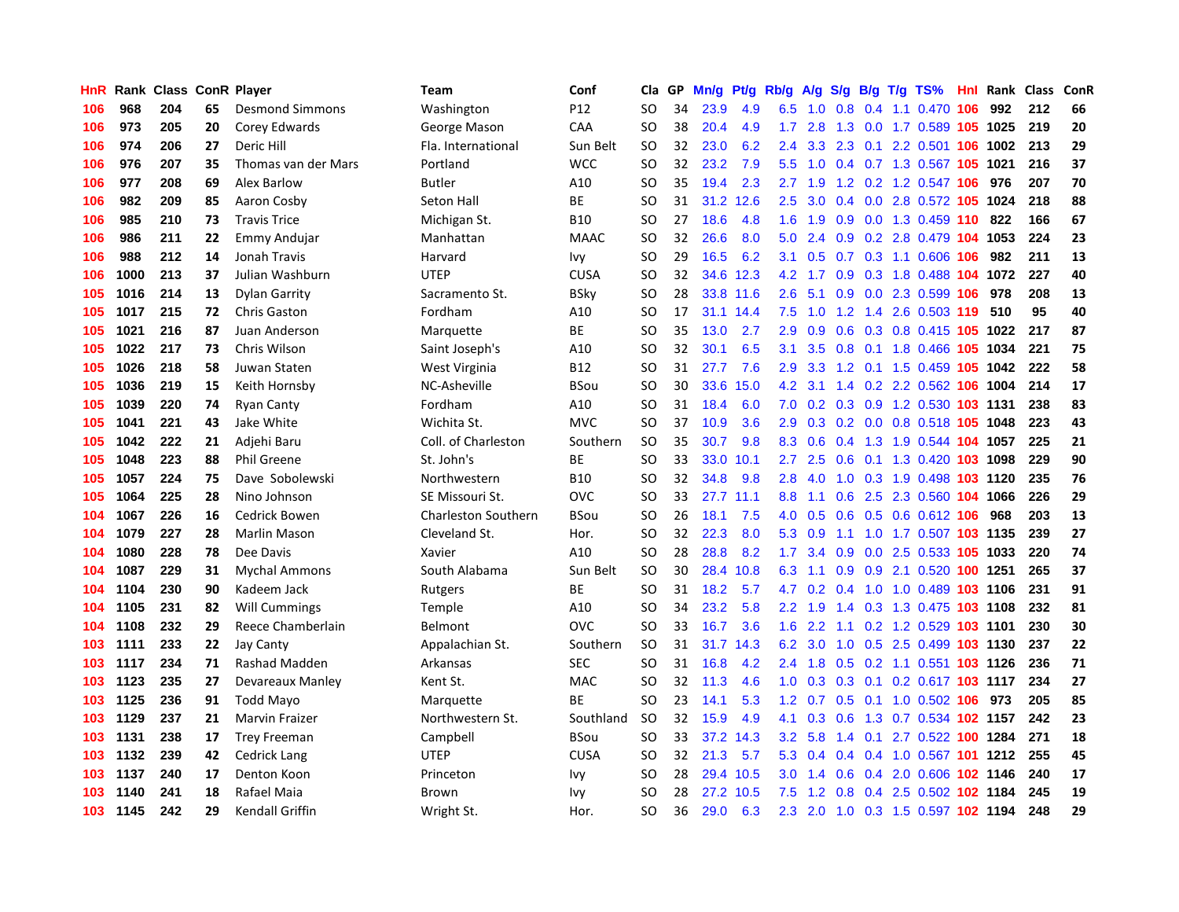| HnR | Rank |     |    | <b>Class ConR Player</b> | Team                       | Conf            | Cla           | GP | Mn/g | <b>Pt/g</b> | Rb/g             | A/g |                  |  | S/g B/g T/g TS%                | Hnl | Rank | <b>Class</b> | ConR |
|-----|------|-----|----|--------------------------|----------------------------|-----------------|---------------|----|------|-------------|------------------|-----|------------------|--|--------------------------------|-----|------|--------------|------|
| 106 | 968  | 204 | 65 | <b>Desmond Simmons</b>   | Washington                 | P <sub>12</sub> | <b>SO</b>     | 34 | 23.9 | 4.9         | 6.5              | 1.0 | 0.8              |  | 0.4 1.1 0.470 106              |     | 992  | 212          | 66   |
| 106 | 973  | 205 | 20 | Corey Edwards            | George Mason               | CAA             | SO            | 38 | 20.4 | 4.9         | 1.7              | 2.8 |                  |  | 1.3 0.0 1.7 0.589 105 1025     |     |      | 219          | 20   |
| 106 | 974  | 206 | 27 | Deric Hill               | Fla. International         | Sun Belt        | SO            | 32 | 23.0 | 6.2         | $2.4^{\circ}$    | 3.3 |                  |  | 2.3 0.1 2.2 0.501 106 1002     |     |      | 213          | 29   |
| 106 | 976  | 207 | 35 | Thomas van der Mars      | Portland                   | <b>WCC</b>      | SO            | 32 | 23.2 | 7.9         | 5.5              | 1.0 |                  |  | 0.4 0.7 1.3 0.567 105 1021     |     |      | 216          | 37   |
| 106 | 977  | 208 | 69 | Alex Barlow              | <b>Butler</b>              | A10             | <b>SO</b>     | 35 | 19.4 | 2.3         | 2.7              | 1.9 |                  |  | 1.2 0.2 1.2 0.547 106          |     | 976  | 207          | 70   |
| 106 | 982  | 209 | 85 | Aaron Cosby              | Seton Hall                 | <b>BE</b>       | SO            | 31 | 31.2 | 12.6        | 2.5              | 3.0 |                  |  | 0.4 0.0 2.8 0.572 105 1024     |     |      | 218          | 88   |
| 106 | 985  | 210 | 73 | <b>Travis Trice</b>      | Michigan St.               | <b>B10</b>      | SO            | 27 | 18.6 | 4.8         | 1.6              | 1.9 | 0.9              |  | 0.0 1.3 0.459 110              |     | 822  | 166          | 67   |
| 106 | 986  | 211 | 22 | <b>Emmy Andujar</b>      | Manhattan                  | <b>MAAC</b>     | SO            | 32 | 26.6 | 8.0         | 5.0              | 2.4 | 0.9 <sup>°</sup> |  | 0.2 2.8 0.479 104 1053         |     |      | 224          | 23   |
| 106 | 988  | 212 | 14 | Jonah Travis             | Harvard                    | Ivv             | SO            | 29 | 16.5 | 6.2         | 3.1              | 0.5 |                  |  | 0.7 0.3 1.1 0.606 106          |     | 982  | 211          | 13   |
| 106 | 1000 | 213 | 37 | Julian Washburn          | <b>UTEP</b>                | <b>CUSA</b>     | SO            | 32 |      | 34.6 12.3   | 4.2              | 1.7 |                  |  | 0.9 0.3 1.8 0.488 104 1072     |     |      | 227          | 40   |
| 105 | 1016 | 214 | 13 | Dylan Garrity            | Sacramento St.             | <b>BSky</b>     | SO            | 28 |      | 33.8 11.6   | 2.6              | 5.1 |                  |  | 0.9 0.0 2.3 0.599 106 978      |     |      | 208          | 13   |
| 105 | 1017 | 215 | 72 | <b>Chris Gaston</b>      | Fordham                    | A10             | SO            | 17 |      | 31.1 14.4   | 7.5              |     |                  |  | 1.0 1.2 1.4 2.6 0.503 119 510  |     |      | 95           | 40   |
| 105 | 1021 | 216 | 87 | Juan Anderson            | Marquette                  | <b>BE</b>       | SO            | 35 | 13.0 | 2.7         | 2.9              | 0.9 | 0.6              |  | 0.3 0.8 0.415 105 1022         |     |      | 217          | 87   |
| 105 | 1022 | 217 | 73 | Chris Wilson             | Saint Joseph's             | A10             | <b>SO</b>     | 32 | 30.1 | 6.5         | 3.1              | 3.5 | 0.8              |  | 0.1 1.8 0.466 105 1034         |     |      | 221          | 75   |
| 105 | 1026 | 218 | 58 | Juwan Staten             | West Virginia              | <b>B12</b>      | <sub>SO</sub> | 31 | 27.7 | 7.6         | 2.9              | 3.3 |                  |  | 1.2 0.1 1.5 0.459 105 1042     |     |      | 222          | 58   |
| 105 | 1036 | 219 | 15 | Keith Hornsby            | NC-Asheville               | <b>BSou</b>     | <b>SO</b>     | 30 | 33.6 | 15.0        | 4.2              | 3.1 | 1.4              |  | 0.2 2.2 0.562 106 1004         |     |      | 214          | 17   |
| 105 | 1039 | 220 | 74 | Ryan Canty               | Fordham                    | A10             | SO            | 31 | 18.4 | 6.0         | 7.0              | 0.2 | 0.3              |  | 0.9 1.2 0.530 103 1131         |     |      | 238          | 83   |
| 105 | 1041 | 221 | 43 | Jake White               | Wichita St.                | <b>MVC</b>      | <b>SO</b>     | 37 | 10.9 | 3.6         | 2.9              | 0.3 |                  |  | 0.2 0.0 0.8 0.518 105 1048     |     |      | 223          | 43   |
| 105 | 1042 | 222 | 21 | Adjehi Baru              | Coll. of Charleston        | Southern        | <b>SO</b>     | 35 | 30.7 | 9.8         | 8.3              | 0.6 |                  |  | 0.4 1.3 1.9 0.544 104 1057     |     |      | 225          | 21   |
| 105 | 1048 | 223 | 88 | <b>Phil Greene</b>       | St. John's                 | ВE              | <b>SO</b>     | 33 | 33.0 | 10.1        | $2.7^{\circ}$    | 2.5 |                  |  | 0.6 0.1 1.3 0.420 103 1098     |     |      | 229          | 90   |
| 105 | 1057 | 224 | 75 | Dave Sobolewski          | Northwestern               | <b>B10</b>      | SO            | 32 | 34.8 | 9.8         | 2.8              | 4.0 |                  |  | 1.0 0.3 1.9 0.498 103 1120     |     |      | 235          | 76   |
| 105 | 1064 | 225 | 28 | Nino Johnson             | SE Missouri St.            | OVC             | <b>SO</b>     | 33 | 27.7 | 11.1        | 8.8              | 1.1 | 0.6              |  | 2.5 2.3 0.560 104 1066         |     |      | 226          | 29   |
| 104 | 1067 | 226 | 16 | Cedrick Bowen            | <b>Charleston Southern</b> | <b>BSou</b>     | <b>SO</b>     | 26 | 18.1 | 7.5         | 4.0              | 0.5 |                  |  | 0.6 0.5 0.6 0.612 106          |     | 968  | 203          | 13   |
| 104 | 1079 | 227 | 28 | <b>Marlin Mason</b>      | Cleveland St.              | Hor.            | <b>SO</b>     | 32 | 22.3 | 8.0         | 5.3              | 0.9 |                  |  | 1.1 1.0 1.7 0.507 103 1135     |     |      | 239          | 27   |
| 104 | 1080 | 228 | 78 | Dee Davis                | Xavier                     | A10             | <b>SO</b>     | 28 | 28.8 | 8.2         | 1.7              | 3.4 | 0.9              |  | 0.0 2.5 0.533 105 1033         |     |      | 220          | 74   |
| 104 | 1087 | 229 | 31 | <b>Mychal Ammons</b>     | South Alabama              | Sun Belt        | <b>SO</b>     | 30 | 28.4 | 10.8        | 6.3              | 1.1 | 0.9              |  | 0.9 2.1 0.520 100 1251         |     |      | 265          | 37   |
| 104 | 1104 | 230 | 90 | Kadeem Jack              | Rutgers                    | ВE              | <b>SO</b>     | 31 | 18.2 | 5.7         | 4.7              | 0.2 |                  |  | 0.4 1.0 1.0 0.489 103 1106     |     |      | 231          | 91   |
| 104 | 1105 | 231 | 82 | <b>Will Cummings</b>     | Temple                     | A10             | <b>SO</b>     | 34 | 23.2 | 5.8         | 2.2              | 1.9 |                  |  | 1.4 0.3 1.3 0.475 103 1108     |     |      | 232          | 81   |
| 104 | 1108 | 232 | 29 | Reece Chamberlain        | Belmont                    | OVC             | SO            | 33 | 16.7 | 3.6         | 1.6              |     |                  |  | 2.2 1.1 0.2 1.2 0.529 103 1101 |     |      | 230          | 30   |
| 103 | 1111 | 233 | 22 | Jay Canty                | Appalachian St.            | Southern        | <b>SO</b>     | 31 | 31.7 | 14.3        | 6.2              | 3.0 | 1.0              |  | 0.5 2.5 0.499 103 1130         |     |      | 237          | 22   |
| 103 | 1117 | 234 | 71 | <b>Rashad Madden</b>     | Arkansas                   | <b>SEC</b>      | <b>SO</b>     | 31 | 16.8 | 4.2         | 2.4              | 1.8 | 0.5              |  | 0.2 1.1 0.551 103 1126         |     |      | 236          | 71   |
| 103 | 1123 | 235 | 27 | Devareaux Manley         | Kent St.                   | <b>MAC</b>      | SO            | 32 | 11.3 | 4.6         | 1.0              | 0.3 | 0.3              |  | 0.1 0.2 0.617 103 1117         |     |      | 234          | 27   |
| 103 | 1125 | 236 | 91 | <b>Todd Mayo</b>         | Marquette                  | <b>BE</b>       | SO            | 23 | 14.1 | 5.3         | 1.2              | 0.7 | 0.5              |  | 0.1 1.0 0.502 106              |     | 973  | 205          | 85   |
| 103 | 1129 | 237 | 21 | <b>Marvin Fraizer</b>    | Northwestern St.           | Southland       | SO            | 32 | 15.9 | 4.9         | 4.1              | 0.3 | 0.6              |  | 1.3 0.7 0.534 102 1157         |     |      | 242          | 23   |
| 103 | 1131 | 238 | 17 | <b>Trey Freeman</b>      | Campbell                   | <b>BSou</b>     | <b>SO</b>     | 33 | 37.2 | 14.3        | 3.2              | 5.8 | 1.4              |  | 0.1 2.7 0.522 100 1284         |     |      | 271          | 18   |
| 103 | 1132 | 239 | 42 | Cedrick Lang             | <b>UTEP</b>                | <b>CUSA</b>     | SO            | 32 | 21.3 | 5.7         | 5.3              | 0.4 |                  |  | 0.4 0.4 1.0 0.567 101 1212     |     |      | 255          | 45   |
| 103 | 1137 | 240 | 17 | Denton Koon              | Princeton                  | lvy             | SO            | 28 |      | 29.4 10.5   | 3.0 <sub>2</sub> | 1.4 |                  |  | 0.6 0.4 2.0 0.606 102 1146     |     |      | 240          | 17   |
| 103 | 1140 | 241 | 18 | Rafael Maia              | Brown                      | lvy             | SO            | 28 | 27.2 | 10.5        | 7.5              | 1.2 |                  |  | 0.8 0.4 2.5 0.502 102 1184     |     |      | 245          | 19   |
| 103 | 1145 | 242 | 29 | <b>Kendall Griffin</b>   | Wright St.                 | Hor.            | <b>SO</b>     | 36 | 29.0 | 6.3         | 2.3              |     |                  |  | 2.0 1.0 0.3 1.5 0.597 102 1194 |     |      | 248          | 29   |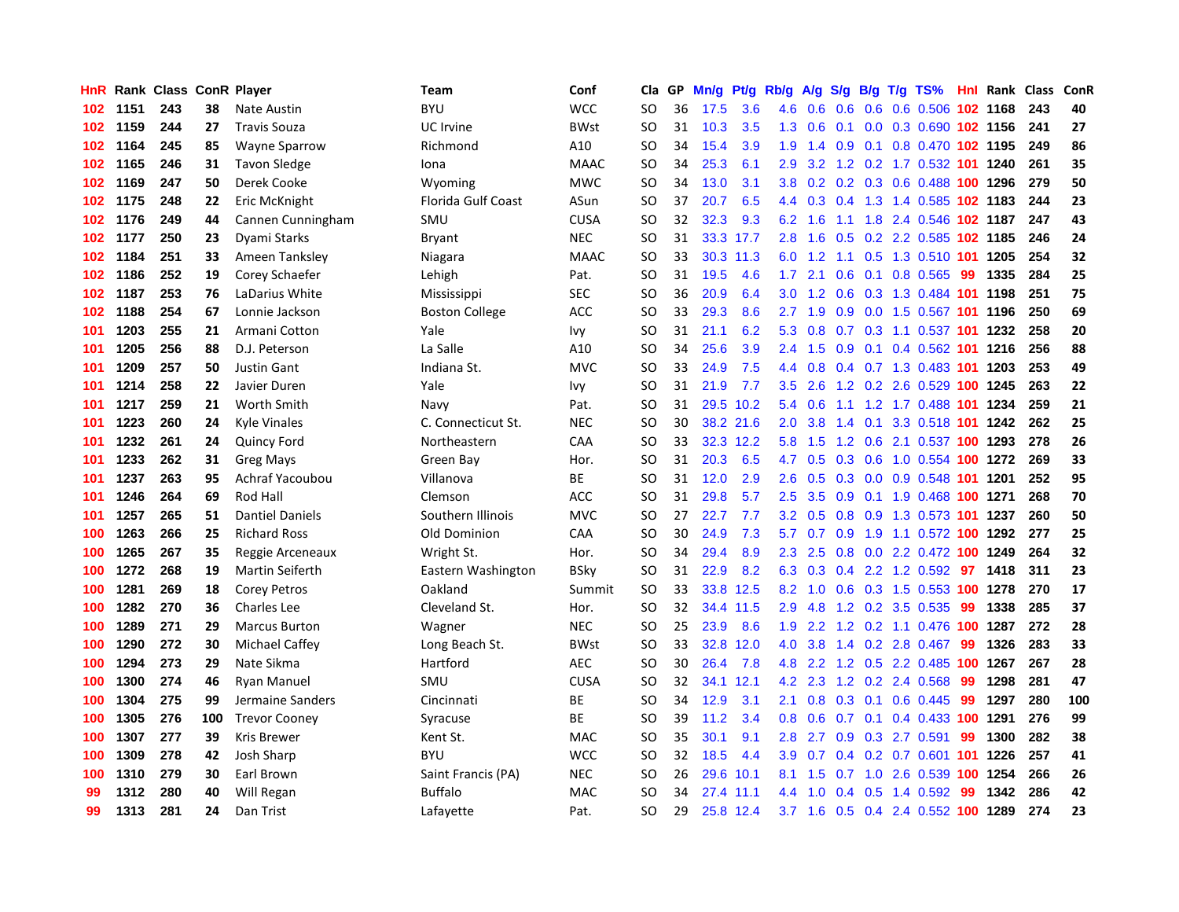| HnR |      | Rank Class ConR Player |     |                        | Team                  | Conf        | Cla       | <b>GP</b> | Mn/g | <b>Pt/g</b> | Rb/g             | A/g |     |     | S/g B/g T/g TS%                    |     | Hnl Rank | Class | ConR |
|-----|------|------------------------|-----|------------------------|-----------------------|-------------|-----------|-----------|------|-------------|------------------|-----|-----|-----|------------------------------------|-----|----------|-------|------|
| 102 | 1151 | 243                    | 38  | <b>Nate Austin</b>     | <b>BYU</b>            | <b>WCC</b>  | <b>SO</b> | 36        | 17.5 | 3.6         | 4.6              | 0.6 | 0.6 |     | 0.6 0.6 0.506 102 1168             |     |          | 243   | 40   |
| 102 | 1159 | 244                    | 27  | <b>Travis Souza</b>    | UC Irvine             | <b>BWst</b> | SO        | 31        | 10.3 | 3.5         | 1.3              | 0.6 |     |     | 0.1 0.0 0.3 0.690 102 1156         |     |          | 241   | 27   |
| 102 | 1164 | 245                    | 85  | Wayne Sparrow          | Richmond              | A10         | <b>SO</b> | 34        | 15.4 | 3.9         | 1.9              | 1.4 |     |     | 0.9 0.1 0.8 0.470 102 1195         |     |          | 249   | 86   |
| 102 | 1165 | 246                    | 31  | <b>Tavon Sledge</b>    | Iona                  | <b>MAAC</b> | SO        | 34        | 25.3 | 6.1         | 2.9              |     |     |     | 3.2 1.2 0.2 1.7 0.532 101 1240     |     |          | 261   | 35   |
| 102 | 1169 | 247                    | 50  | Derek Cooke            | Wyoming               | <b>MWC</b>  | <b>SO</b> | 34        | 13.0 | 3.1         | 3.8              | 0.2 |     |     | 0.2 0.3 0.6 0.488 100 1296         |     |          | 279   | 50   |
| 102 | 1175 | 248                    | 22  | Eric McKnight          | Florida Gulf Coast    | ASun        | <b>SO</b> | 37        | 20.7 | 6.5         | 4.4              | 0.3 |     |     | 0.4 1.3 1.4 0.585 102 1183         |     |          | 244   | 23   |
| 102 | 1176 | 249                    | 44  | Cannen Cunningham      | SMU                   | <b>CUSA</b> | <b>SO</b> | 32        | 32.3 | 9.3         | 6.2              | 1.6 |     |     | 1.1 1.8 2.4 0.546 102 1187         |     |          | 247   | 43   |
| 102 | 1177 | 250                    | 23  | Dyami Starks           | Bryant                | <b>NEC</b>  | SO        | 31        | 33.3 | 17.7        | 2.8              | 1.6 | 0.5 |     | 0.2 2.2 0.585 102 1185             |     |          | 246   | 24   |
| 102 | 1184 | 251                    | 33  | Ameen Tanksley         | Niagara               | <b>MAAC</b> | <b>SO</b> | 33        | 30.3 | 11.3        | 6.0              | 1.2 | 1.1 |     | 0.5 1.3 0.510 101 1205             |     |          | 254   | 32   |
| 102 | 1186 | 252                    | 19  | Corey Schaefer         | Lehigh                | Pat.        | <b>SO</b> | 31        | 19.5 | 4.6         | 1.7 <sub>z</sub> | 2.1 |     |     | 0.6 0.1 0.8 0.565 99               |     | 1335     | 284   | 25   |
| 102 | 1187 | 253                    | 76  | LaDarius White         | Mississippi           | SEC         | <b>SO</b> | 36        | 20.9 | 6.4         | 3.0 <sub>2</sub> |     |     |     | 1.2 0.6 0.3 1.3 0.484 101 1198     |     |          | 251   | 75   |
| 102 | 1188 | 254                    | 67  | Lonnie Jackson         | <b>Boston College</b> | <b>ACC</b>  | SO        | 33        | 29.3 | 8.6         | $2.7^{\circ}$    | 1.9 |     |     | 0.9 0.0 1.5 0.567 101 1196         |     |          | 250   | 69   |
| 101 | 1203 | 255                    | 21  | Armani Cotton          | Yale                  | Ivy         | <b>SO</b> | 31        | 21.1 | 6.2         | 5.3              | 0.8 |     |     | 0.7 0.3 1.1 0.537 101 1232         |     |          | 258   | 20   |
| 101 | 1205 | 256                    | 88  | D.J. Peterson          | La Salle              | A10         | SO        | 34        | 25.6 | 3.9         | 2.4              | 1.5 | 0.9 |     | 0.1 0.4 0.562 101 1216             |     |          | 256   | 88   |
| 101 | 1209 | 257                    | 50  | <b>Justin Gant</b>     | Indiana St.           | <b>MVC</b>  | <b>SO</b> | 33        | 24.9 | 7.5         | 4.4              | 0.8 |     |     | 0.4 0.7 1.3 0.483 101              |     | 1203     | 253   | 49   |
| 101 | 1214 | 258                    | 22  | Javier Duren           | Yale                  | Ivy         | SO        | 31        | 21.9 | 7.7         | 3.5              | 2.6 |     |     | 1.2 0.2 2.6 0.529 100 1245         |     |          | 263   | 22   |
| 101 | 1217 | 259                    | 21  | Worth Smith            | Navy                  | Pat.        | <b>SO</b> | 31        | 29.5 | 10.2        | 5.4              | 0.6 |     |     | 1.1 1.2 1.7 0.488 101 1234         |     |          | 259   | 21   |
| 101 | 1223 | 260                    | 24  | <b>Kyle Vinales</b>    | C. Connecticut St.    | <b>NEC</b>  | <b>SO</b> | 30        |      | 38.2 21.6   | 2.0              | 3.8 | 1.4 |     | 0.1 3.3 0.518 101 1242             |     |          | 262   | 25   |
| 101 | 1232 | 261                    | 24  | <b>Quincy Ford</b>     | Northeastern          | CAA         | <b>SO</b> | 33        |      | 32.3 12.2   | 5.8              | 1.5 |     |     | 1.2 0.6 2.1 0.537 100 1293         |     |          | 278   | 26   |
| 101 | 1233 | 262                    | 31  | <b>Greg Mays</b>       | Green Bay             | Hor.        | <b>SO</b> | 31        | 20.3 | 6.5         | 4.7              | 0.5 |     |     | 0.3 0.6 1.0 0.554 100 1272         |     |          | 269   | 33   |
| 101 | 1237 | 263                    | 95  | Achraf Yacoubou        | Villanova             | BE          | <b>SO</b> | 31        | 12.0 | 2.9         | 2.6              | 0.5 |     |     | 0.3 0.0 0.9 0.548 101 1201         |     |          | 252   | 95   |
| 101 | 1246 | 264                    | 69  | Rod Hall               | Clemson               | <b>ACC</b>  | <b>SO</b> | 31        | 29.8 | 5.7         | 2.5              | 3.5 | 0.9 |     | 0.1 1.9 0.468 100 1271             |     |          | 268   | 70   |
| 101 | 1257 | 265                    | 51  | <b>Dantiel Daniels</b> | Southern Illinois     | <b>MVC</b>  | SO        | 27        | 22.7 | 7.7         | 3.2              | 0.5 | 0.8 |     | 0.9 1.3 0.573 101 1237             |     |          | 260   | 50   |
| 100 | 1263 | 266                    | 25  | <b>Richard Ross</b>    | Old Dominion          | CAA         | <b>SO</b> | 30        | 24.9 | 7.3         | 5.7              | 0.7 | 0.9 |     | 1.9 1.1 0.572 100 1292             |     |          | 277   | 25   |
| 100 | 1265 | 267                    | 35  | Reggie Arceneaux       | Wright St.            | Hor.        | SO        | 34        | 29.4 | 8.9         | 2.3              | 2.5 | 0.8 |     | 0.0 2.2 0.472 100 1249             |     |          | 264   | 32   |
| 100 | 1272 | 268                    | 19  | <b>Martin Seiferth</b> | Eastern Washington    | <b>BSky</b> | <b>SO</b> | 31        | 22.9 | 8.2         | 6.3              | 0.3 |     |     | 0.4 2.2 1.2 0.592 97               |     | 1418     | 311   | 23   |
| 100 | 1281 | 269                    | 18  | <b>Corey Petros</b>    | Oakland               | Summit      | <b>SO</b> | 33        |      | 33.8 12.5   | 8.2              |     |     |     | 1.0 0.6 0.3 1.5 0.553 100 1278     |     |          | 270   | 17   |
| 100 | 1282 | 270                    | 36  | <b>Charles Lee</b>     | Cleveland St.         | Hor.        | <b>SO</b> | 32        |      | 34.4 11.5   | 2.9              | 4.8 |     |     | 1.2 0.2 3.5 0.535                  | -99 | 1338     | 285   | 37   |
| 100 | 1289 | 271                    | 29  | <b>Marcus Burton</b>   | Wagner                | <b>NEC</b>  | SO        | 25        | 23.9 | 8.6         | 1.9              |     |     |     | 2.2 1.2 0.2 1.1 0.476 100 1287     |     |          | 272   | 28   |
| 100 | 1290 | 272                    | 30  | <b>Michael Caffey</b>  | Long Beach St.        | <b>BWst</b> | <b>SO</b> | 33        | 32.8 | 12.0        | 4.0              | 3.8 |     |     | 1.4 0.2 2.8 0.467                  | 99  | 1326     | 283   | 33   |
| 100 | 1294 | 273                    | 29  | Nate Sikma             | Hartford              | <b>AEC</b>  | <b>SO</b> | 30        | 26.4 | 7.8         | 4.8              | 2.2 |     |     | 1.2 0.5 2.2 0.485 100 1267         |     |          | 267   | 28   |
| 100 | 1300 | 274                    | 46  | <b>Ryan Manuel</b>     | SMU                   | <b>CUSA</b> | <b>SO</b> | 32        | 34.1 | 12.1        | 4.2              | 2.3 | 1.2 |     | 0.2 2.4 0.568                      | 99  | 1298     | 281   | 47   |
| 100 | 1304 | 275                    | 99  | Jermaine Sanders       | Cincinnati            | ВE          | <b>SO</b> | 34        | 12.9 | 3.1         | 2.1              | 0.8 | 0.3 |     | $0.1$ 0.6 0.445                    | 99  | 1297     | 280   | 100  |
| 100 | 1305 | 276                    | 100 | <b>Trevor Cooney</b>   | Syracuse              | <b>BE</b>   | <b>SO</b> | 39        | 11.2 | 3.4         | 0.8              | 0.6 | 0.7 | 0.1 | 0.4 0.433 100 1291                 |     |          | 276   | 99   |
| 100 | 1307 | 277                    | 39  | Kris Brewer            | Kent St.              | <b>MAC</b>  | <b>SO</b> | 35        | 30.1 | 9.1         | 2.8              | 2.7 |     |     | 0.9 0.3 2.7 0.591                  | 99  | 1300     | 282   | 38   |
| 100 | 1309 | 278                    | 42  | <b>Josh Sharp</b>      | <b>BYU</b>            | <b>WCC</b>  | <b>SO</b> | 32        | 18.5 | 4.4         | 3.9 <sup>°</sup> | 0.7 |     |     | 0.4 0.2 0.7 0.601 101 1226         |     |          | 257   | 41   |
| 100 | 1310 | 279                    | 30  | Earl Brown             | Saint Francis (PA)    | <b>NEC</b>  | SO        | 26        | 29.6 | 10.1        | 8.1              | 1.5 |     |     | 0.7 1.0 2.6 0.539 100 1254         |     |          | 266   | 26   |
| 99  | 1312 | 280                    | 40  | Will Regan             | <b>Buffalo</b>        | <b>MAC</b>  | <b>SO</b> | 34        | 27.4 | 11.1        | 4.4              | 1.0 | 0.4 |     | $0.5$ 1.4 0.592                    | 99  | 1342     | 286   | 42   |
| 99  | 1313 | 281                    | 24  | Dan Trist              | Lafayette             | Pat.        | SO        | 29        |      | 25.8 12.4   |                  |     |     |     | 3.7 1.6 0.5 0.4 2.4 0.552 100 1289 |     |          | 274   | 23   |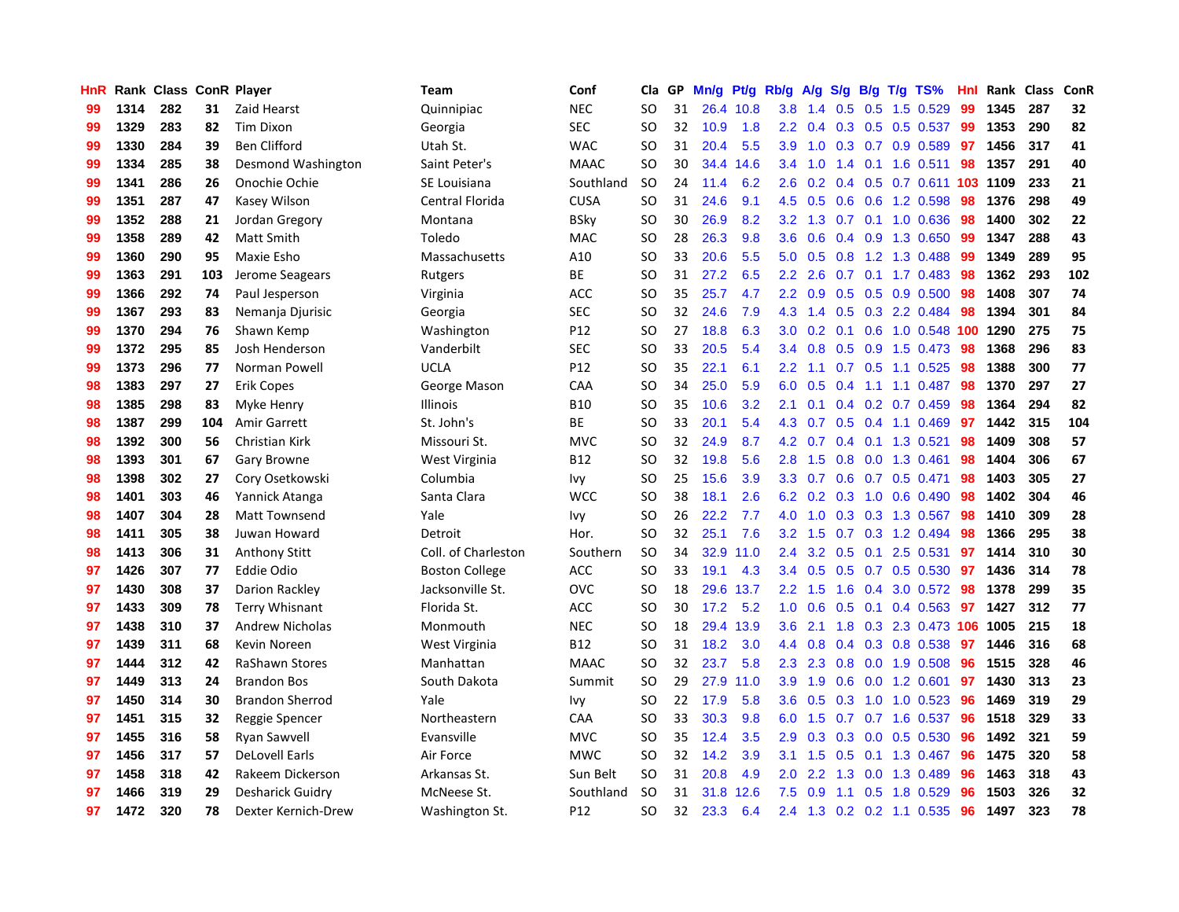| HnR |      | Rank Class ConR Player |     |                        | <b>Team</b>           | Conf            | Cla       | GP | Mn/g | Pf/g      | Rb/g             | A/g             | S/g |     | $B/g$ T/g TS%                | Hnl |      | Rank Class | ConR |
|-----|------|------------------------|-----|------------------------|-----------------------|-----------------|-----------|----|------|-----------|------------------|-----------------|-----|-----|------------------------------|-----|------|------------|------|
| 99  | 1314 | 282                    | 31  | Zaid Hearst            | Quinnipiac            | <b>NEC</b>      | <b>SO</b> | 31 |      | 26.4 10.8 | 3.8              | 1.4             | 0.5 | 0.5 | 1.5 0.529                    | 99  | 1345 | 287        | 32   |
| 99  | 1329 | 283                    | 82  | Tim Dixon              | Georgia               | <b>SEC</b>      | <b>SO</b> | 32 | 10.9 | 1.8       | 2.2 <sub>2</sub> | 0.4             |     |     | $0.3$ 0.5 0.5 0.537          | -99 | 1353 | 290        | 82   |
| 99  | 1330 | 284                    | 39  | <b>Ben Clifford</b>    | Utah St.              | <b>WAC</b>      | <b>SO</b> | 31 | 20.4 | 5.5       | 3.9 <sup>°</sup> | 1.0             |     |     | $0.3$ 0.7 0.9 0.589          | 97  | 1456 | 317        | 41   |
| 99  | 1334 | 285                    | 38  | Desmond Washington     | Saint Peter's         | <b>MAAC</b>     | <b>SO</b> | 30 | 34.4 | 14.6      | $3.4^{\circ}$    | 1.0             |     |     | 1.4 0.1 1.6 0.511            | 98  | 1357 | 291        | 40   |
| 99  | 1341 | 286                    | 26  | Onochie Ochie          | SE Louisiana          | Southland       | <b>SO</b> | 24 | 11.4 | 6.2       | 2.6              | 0.2             |     |     | 0.4 0.5 0.7 0.611 103 1109   |     |      | 233        | 21   |
| 99  | 1351 | 287                    | 47  | Kasey Wilson           | Central Florida       | <b>CUSA</b>     | <b>SO</b> | 31 | 24.6 | 9.1       | 4.5              | 0.5             | 0.6 |     | 0.6 1.2 0.598                | 98  | 1376 | 298        | 49   |
| 99  | 1352 | 288                    | 21  | Jordan Gregory         | Montana               | <b>BSky</b>     | <b>SO</b> | 30 | 26.9 | 8.2       | 3.2              | 1.3             |     |     | 0.7 0.1 1.0 0.636            | 98  | 1400 | 302        | 22   |
| 99  | 1358 | 289                    | 42  | <b>Matt Smith</b>      | Toledo                | <b>MAC</b>      | <b>SO</b> | 28 | 26.3 | 9.8       | 3.6 <sup>°</sup> | 0.6             |     |     | 0.4 0.9 1.3 0.650            | 99  | 1347 | 288        | 43   |
| 99  | 1360 | 290                    | 95  | Maxie Esho             | Massachusetts         | A10             | <b>SO</b> | 33 | 20.6 | 5.5       | 5.0              | 0.5             |     |     | 0.8 1.2 1.3 0.488            | -99 | 1349 | 289        | 95   |
| 99  | 1363 | 291                    | 103 | Jerome Seagears        | Rutgers               | <b>BE</b>       | <b>SO</b> | 31 | 27.2 | 6.5       | $2.2^{\circ}$    | 2.6             |     |     | 0.7 0.1 1.7 0.483            | 98  | 1362 | 293        | 102  |
| 99  | 1366 | 292                    | 74  | Paul Jesperson         | Virginia              | <b>ACC</b>      | <b>SO</b> | 35 | 25.7 | 4.7       |                  |                 |     |     | 2.2 0.9 0.5 0.5 0.9 0.500 98 |     | 1408 | 307        | 74   |
| 99  | 1367 | 293                    | 83  | Nemanja Djurisic       | Georgia               | <b>SEC</b>      | <b>SO</b> | 32 | 24.6 | 7.9       |                  |                 |     |     | 4.3 1.4 0.5 0.3 2.2 0.484    | -98 | 1394 | 301        | 84   |
| 99  | 1370 | 294                    | 76  | Shawn Kemp             | Washington            | P12             | <b>SO</b> | 27 | 18.8 | 6.3       | 3.0 <sub>1</sub> | 0.2             |     |     | 0.1 0.6 1.0 0.548 100 1290   |     |      | 275        | 75   |
| 99  | 1372 | 295                    | 85  | Josh Henderson         | Vanderbilt            | <b>SEC</b>      | <b>SO</b> | 33 | 20.5 | 5.4       | $3.4^{\circ}$    | 0.8             |     |     | $0.5$ 0.9 1.5 0.473          | 98  | 1368 | 296        | 83   |
| 99  | 1373 | 296                    | 77  | Norman Powell          | <b>UCLA</b>           | P12             | <b>SO</b> | 35 | 22.1 | 6.1       | 2.2              | 1.1             |     |     | 0.7 0.5 1.1 0.525            | 98  | 1388 | 300        | 77   |
| 98  | 1383 | 297                    | 27  | Erik Copes             | George Mason          | CAA             | <b>SO</b> | 34 | 25.0 | 5.9       | 6.0              | 0.5             | 0.4 |     | $1.1$ $1.1$ $0.487$          | 98  | 1370 | 297        | 27   |
| 98  | 1385 | 298                    | 83  | Myke Henry             | <b>Illinois</b>       | <b>B10</b>      | <b>SO</b> | 35 | 10.6 | 3.2       | 2.1              | 0.1             |     |     | $0.4$ 0.2 0.7 0.459          | 98  | 1364 | 294        | 82   |
| 98  | 1387 | 299                    | 104 | Amir Garrett           | St. John's            | <b>BE</b>       | <b>SO</b> | 33 | 20.1 | 5.4       | 4.3              | 0.7             | 0.5 |     | 0.4 1.1 0.469                | 97  | 1442 | 315        | 104  |
| 98  | 1392 | 300                    | 56  | Christian Kirk         | Missouri St.          | <b>MVC</b>      | <b>SO</b> | 32 | 24.9 | 8.7       |                  | 4.2 0.7         |     |     | 0.4 0.1 1.3 0.521            | 98  | 1409 | 308        | 57   |
| 98  | 1393 | 301                    | 67  | Gary Browne            | West Virginia         | <b>B12</b>      | <b>SO</b> | 32 | 19.8 | 5.6       | 2.8              | 1.5             |     |     | 0.8 0.0 1.3 0.461            | 98  | 1404 | 306        | 67   |
| 98  | 1398 | 302                    | 27  | Cory Osetkowski        | Columbia              | Ivy             | <b>SO</b> | 25 | 15.6 | 3.9       | 3.3 <sub>2</sub> | 0.7             |     |     | 0.6 0.7 0.5 0.471            | 98  | 1403 | 305        | 27   |
| 98  | 1401 | 303                    | 46  | Yannick Atanga         | Santa Clara           | <b>WCC</b>      | <b>SO</b> | 38 | 18.1 | 2.6       | 6.2              | 0.2             |     |     | 0.3 1.0 0.6 0.490            | 98  | 1402 | 304        | 46   |
| 98  | 1407 | 304                    | 28  | Matt Townsend          | Yale                  | Ivy             | <b>SO</b> | 26 | 22.2 | 7.7       | 4.0              | 1.0             |     |     | $0.3$ 0.3 1.3 0.567          | 98  | 1410 | 309        | 28   |
| 98  | 1411 | 305                    | 38  | Juwan Howard           | Detroit               | Hor.            | <b>SO</b> | 32 | 25.1 | 7.6       | 3.2              | 1.5             | 0.7 |     | 0.3 1.2 0.494                | 98  | 1366 | 295        | 38   |
| 98  | 1413 | 306                    | 31  | <b>Anthony Stitt</b>   | Coll. of Charleston   | Southern        | <b>SO</b> | 34 | 32.9 | 11.0      | $2.4^{\circ}$    | 3.2             | 0.5 | 0.1 | 2.5 0.531                    | 97  | 1414 | 310        | 30   |
| 97  | 1426 | 307                    | 77  | <b>Eddie Odio</b>      | <b>Boston College</b> | <b>ACC</b>      | <b>SO</b> | 33 | 19.1 | 4.3       | 3.4              | 0.5             | 0.5 |     | $0.7$ 0.5 0.530              | 97  | 1436 | 314        | 78   |
| 97  | 1430 | 308                    | 37  | Darion Rackley         | Jacksonville St.      | <b>OVC</b>      | <b>SO</b> | 18 |      | 29.6 13.7 |                  | $2.2$ 1.5       |     |     | 1.6 0.4 3.0 0.572 98         |     | 1378 | 299        | 35   |
| 97  | 1433 | 309                    | 78  | <b>Terry Whisnant</b>  | Florida St.           | <b>ACC</b>      | <b>SO</b> | 30 | 17.2 | 5.2       |                  | $1.0 \quad 0.6$ |     |     | 0.5 0.1 0.4 0.563 97         |     | 1427 | 312        | 77   |
| 97  | 1438 | 310                    | 37  | <b>Andrew Nicholas</b> | Monmouth              | <b>NEC</b>      | <b>SO</b> | 18 | 29.4 | 13.9      | 3.6 <sup>°</sup> | 2.1             |     |     | 1.8 0.3 2.3 0.473 106 1005   |     |      | 215        | 18   |
| 97  | 1439 | 311                    | 68  | Kevin Noreen           | West Virginia         | <b>B12</b>      | <b>SO</b> | 31 | 18.2 | 3.0       | $4.4^{\circ}$    | 0.8             |     |     | 0.4 0.3 0.8 0.538            | -97 | 1446 | 316        | 68   |
| 97  | 1444 | 312                    | 42  | <b>RaShawn Stores</b>  | Manhattan             | <b>MAAC</b>     | <b>SO</b> | 32 | 23.7 | 5.8       | 2.3              | 2.3             | 0.8 |     | $0.0$ 1.9 $0.508$            | 96  | 1515 | 328        | 46   |
| 97  | 1449 | 313                    | 24  | <b>Brandon Bos</b>     | South Dakota          | Summit          | <b>SO</b> | 29 | 27.9 | 11.0      | 3.9              | 1.9             | 0.6 |     | $0.0$ 1.2 0.601              | 97  | 1430 | 313        | 23   |
| 97  | 1450 | 314                    | 30  | <b>Brandon Sherrod</b> | Yale                  | Ivy             | <b>SO</b> | 22 | 17.9 | 5.8       | 3.6 <sup>°</sup> | 0.5             |     |     | $0.3$ 1.0 1.0 0.523          | 96  | 1469 | 319        | 29   |
| 97  | 1451 | 315                    | 32  | Reggie Spencer         | Northeastern          | CAA             | <b>SO</b> | 33 | 30.3 | 9.8       | 6.0              | 1.5             |     |     | 0.7 0.7 1.6 0.537            | 96  | 1518 | 329        | 33   |
| 97  | 1455 | 316                    | 58  | Ryan Sawvell           | Evansville            | <b>MVC</b>      | <b>SO</b> | 35 | 12.4 | 3.5       | 2.9 <sup>°</sup> | 0.3             |     |     | 0.3 0.0 0.5 0.530            | 96  | 1492 | 321        | 59   |
| 97  | 1456 | 317                    | 57  | <b>DeLovell Earls</b>  | Air Force             | <b>MWC</b>      | <b>SO</b> | 32 | 14.2 | 3.9       | 3.1              | 1.5             |     |     | 0.5 0.1 1.3 0.467            | 96  | 1475 | 320        | 58   |
| 97  | 1458 | 318                    | 42  | Rakeem Dickerson       | Arkansas St.          | Sun Belt        | <b>SO</b> | 31 | 20.8 | 4.9       | 2.0 <sub>1</sub> | 2.2             |     |     | 1.3 0.0 1.3 0.489            | 96  | 1463 | 318        | 43   |
| 97  | 1466 | 319                    | 29  | Desharick Guidry       | McNeese St.           | Southland       | <b>SO</b> | 31 | 31.8 | 12.6      | 7.5              | 0.9             | 1.1 |     | 0.5 1.8 0.529                | 96  | 1503 | 326        | 32   |
| 97  | 1472 | 320                    | 78  | Dexter Kernich-Drew    | Washington St.        | P <sub>12</sub> | <b>SO</b> | 32 | 23.3 | 6.4       | $2.4^{\circ}$    |                 |     |     | 1.3 0.2 0.2 1.1 0.535        | 96  | 1497 | 323        | 78   |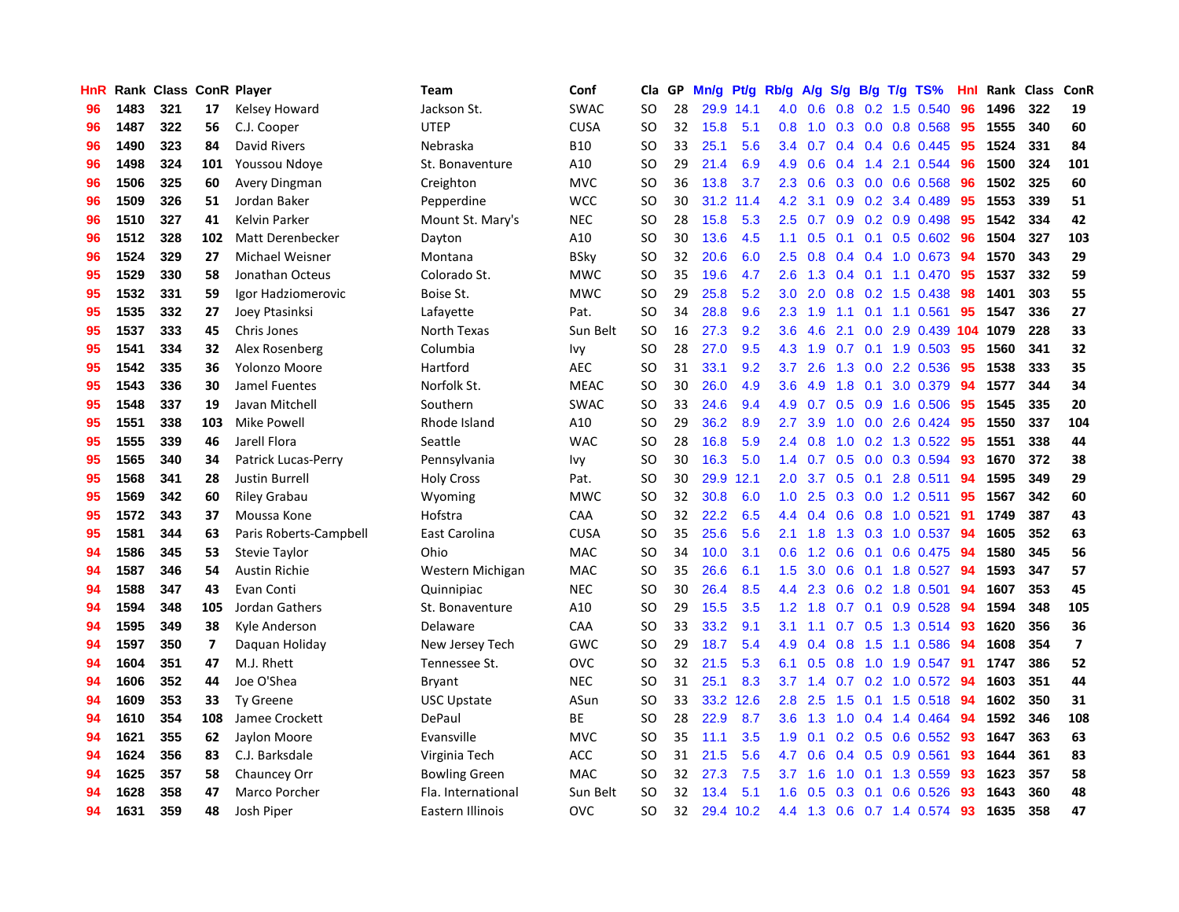| HnR | Rank | <b>Class ConR Player</b> |     |                        | <b>Team</b>          | Conf        | Cla           | <b>GP</b> | Mn/g | Pt/g      | Rb/g             | A/g     | S/g |     | B/g T/g TS%           | Hnl | Rank | <b>Class</b> | ConR                    |
|-----|------|--------------------------|-----|------------------------|----------------------|-------------|---------------|-----------|------|-----------|------------------|---------|-----|-----|-----------------------|-----|------|--------------|-------------------------|
| 96  | 1483 | 321                      | 17  | Kelsey Howard          | Jackson St.          | <b>SWAC</b> | <b>SO</b>     | 28        |      | 29.9 14.1 | 4.0              | 0.6     | 0.8 |     | 0.2 1.5 0.540         | 96  | 1496 | 322          | 19                      |
| 96  | 1487 | 322                      | 56  | C.J. Cooper            | <b>UTEP</b>          | <b>CUSA</b> | SO.           | 32        | 15.8 | 5.1       | 0.8              | 1.0     |     |     | $0.3$ 0.0 0.8 0.568   | -95 | 1555 | 340          | 60                      |
| 96  | 1490 | 323                      | 84  | David Rivers           | Nebraska             | <b>B10</b>  | SO            | 33        | 25.1 | 5.6       | $3.4^{\circ}$    | 0.7     |     |     | $0.4$ 0.4 0.6 0.445   | -95 | 1524 | 331          | 84                      |
| 96  | 1498 | 324                      | 101 | Youssou Ndoye          | St. Bonaventure      | A10         | <b>SO</b>     | 29        | 21.4 | 6.9       | 4.9              | 0.6     |     |     | $0.4$ 1.4 2.1 0.544   | 96  | 1500 | 324          | 101                     |
| 96  | 1506 | 325                      | 60  | Avery Dingman          | Creighton            | <b>MVC</b>  | <b>SO</b>     | 36        | 13.8 | 3.7       | 2.3              | 0.6     |     |     | $0.3$ 0.0 0.6 0.568   | 96  | 1502 | 325          | 60                      |
| 96  | 1509 | 326                      | 51  | Jordan Baker           | Pepperdine           | <b>WCC</b>  | SO            | 30        | 31.2 | 11.4      | 4.2              | 3.1     | 0.9 |     | 0.2 3.4 0.489         | 95  | 1553 | 339          | 51                      |
| 96  | 1510 | 327                      | 41  | <b>Kelvin Parker</b>   | Mount St. Mary's     | <b>NEC</b>  | SO            | 28        | 15.8 | 5.3       | 2.5              | 0.7     | 0.9 |     | $0.2$ 0.9 0.498       | 95  | 1542 | 334          | 42                      |
| 96  | 1512 | 328                      | 102 | Matt Derenbecker       | Dayton               | A10         | <b>SO</b>     | 30        | 13.6 | 4.5       | 1.1              | 0.5     | 0.1 |     | $0.1$ 0.5 0.602       | 96  | 1504 | 327          | 103                     |
| 96  | 1524 | 329                      | 27  | <b>Michael Weisner</b> | Montana              | <b>BSky</b> | <sub>SO</sub> | 32        | 20.6 | 6.0       | 2.5              | 0.8     |     |     | 0.4 0.4 1.0 0.673     | 94  | 1570 | 343          | 29                      |
| 95  | 1529 | 330                      | 58  | Jonathan Octeus        | Colorado St.         | <b>MWC</b>  | <b>SO</b>     | 35        | 19.6 | 4.7       | 2.6              | 1.3     |     |     | 0.4 0.1 1.1 0.470 95  |     | 1537 | 332          | 59                      |
| 95  | 1532 | 331                      | 59  | Igor Hadziomerovic     | Boise St.            | <b>MWC</b>  | SO.           | 29        | 25.8 | 5.2       | 3.0 <sub>2</sub> | 2.0     |     |     | $0.8$ 0.2 1.5 0.438   | -98 | 1401 | 303          | 55                      |
| 95  | 1535 | 332                      | 27  | Joey Ptasinksi         | Lafayette            | Pat.        | <b>SO</b>     | 34        | 28.8 | 9.6       | 2.3              | 1.9     | 1.1 |     | 0.1 1.1 0.561         | 95  | 1547 | 336          | 27                      |
| 95  | 1537 | 333                      | 45  | Chris Jones            | North Texas          | Sun Belt    | <b>SO</b>     | 16        | 27.3 | 9.2       | 3.6              | 4.6     | 2.1 |     | $0.0$ 2.9 $0.439$ 104 |     | 1079 | 228          | 33                      |
| 95  | 1541 | 334                      | 32  | Alex Rosenberg         | Columbia             | Ivy         | <b>SO</b>     | 28        | 27.0 | 9.5       | 4.3              | 1.9     | 0.7 |     | $0.1$ 1.9 0.503       | -95 | 1560 | 341          | 32                      |
| 95  | 1542 | 335                      | 36  | Yolonzo Moore          | Hartford             | <b>AEC</b>  | SO            | 31        | 33.1 | 9.2       | 3.7              | 2.6     | 1.3 |     | $0.0$ 2.2 $0.536$     | 95  | 1538 | 333          | 35                      |
| 95  | 1543 | 336                      | 30  | Jamel Fuentes          | Norfolk St.          | <b>MEAC</b> | <b>SO</b>     | 30        | 26.0 | 4.9       | 3.6 <sup>°</sup> | 4.9     | 1.8 | 0.1 | 3.0 0.379             | 94  | 1577 | 344          | 34                      |
| 95  | 1548 | 337                      | 19  | Javan Mitchell         | Southern             | <b>SWAC</b> | <b>SO</b>     | 33        | 24.6 | 9.4       | 4.9              | 0.7     | 0.5 |     | 0.9 1.6 0.506         | -95 | 1545 | 335          | 20                      |
| 95  | 1551 | 338                      | 103 | Mike Powell            | Rhode Island         | A10         | <b>SO</b>     | 29        | 36.2 | 8.9       | 2.7              | 3.9     | 1.0 |     | $0.0$ 2.6 $0.424$     | 95  | 1550 | 337          | 104                     |
| 95  | 1555 | 339                      | 46  | Jarell Flora           | Seattle              | <b>WAC</b>  | <b>SO</b>     | 28        | 16.8 | 5.9       | 2.4              | 0.8     |     |     | 1.0 0.2 1.3 0.522 95  |     | 1551 | 338          | 44                      |
| 95  | 1565 | 340                      | 34  | Patrick Lucas-Perry    | Pennsylvania         | Ivy         | SO            | 30        | 16.3 | 5.0       | 1.4              | 0.7     |     |     | $0.5$ 0.0 0.3 0.594   | -93 | 1670 | 372          | 38                      |
| 95  | 1568 | 341                      | 28  | Justin Burrell         | <b>Holy Cross</b>    | Pat.        | SO            | 30        | 29.9 | 12.1      | 2.0 <sub>1</sub> | 3.7     |     |     | $0.5$ 0.1 2.8 0.511   | 94  | 1595 | 349          | 29                      |
| 95  | 1569 | 342                      | 60  | Riley Grabau           | Wyoming              | <b>MWC</b>  | <b>SO</b>     | 32        | 30.8 | 6.0       | 1.0              | 2.5     | 0.3 |     | $0.0$ 1.2 0.511       | 95  | 1567 | 342          | 60                      |
| 95  | 1572 | 343                      | 37  | Moussa Kone            | Hofstra              | CAA         | SO            | 32        | 22.2 | 6.5       | $4.4^{\circ}$    | 0.4     | 0.6 |     | 0.8 1.0 0.521         | 91  | 1749 | 387          | 43                      |
| 95  | 1581 | 344                      | 63  | Paris Roberts-Campbell | East Carolina        | <b>CUSA</b> | SO.           | 35        | 25.6 | 5.6       | 2.1              | 1.8     | 1.3 |     | 0.3 1.0 0.537         | 94  | 1605 | 352          | 63                      |
| 94  | 1586 | 345                      | 53  | <b>Stevie Taylor</b>   | Ohio                 | <b>MAC</b>  | <b>SO</b>     | 34        | 10.0 | 3.1       | 0.6              | 1.2     | 0.6 |     | $0.1$ 0.6 0.475       | 94  | 1580 | 345          | 56                      |
| 94  | 1587 | 346                      | 54  | <b>Austin Richie</b>   | Western Michigan     | <b>MAC</b>  | <b>SO</b>     | 35        | 26.6 | 6.1       | 1.5              | 3.0     | 0.6 |     | $0.1$ 1.8 0.527       | 94  | 1593 | 347          | 57                      |
| 94  | 1588 | 347                      | 43  | Evan Conti             | Quinnipiac           | <b>NEC</b>  | <b>SO</b>     | 30        | 26.4 | 8.5       | 4.4              | 2.3     |     |     | $0.6$ 0.2 1.8 0.501   | -94 | 1607 | 353          | 45                      |
| 94  | 1594 | 348                      | 105 | Jordan Gathers         | St. Bonaventure      | A10         | <b>SO</b>     | 29        | 15.5 | 3.5       | 1.2              | 1.8     |     |     | 0.7 0.1 0.9 0.528 94  |     | 1594 | 348          | 105                     |
| 94  | 1595 | 349                      | 38  | Kyle Anderson          | Delaware             | CAA         | <b>SO</b>     | 33        | 33.2 | 9.1       | 3.1              | 1.1     |     |     | 0.7 0.5 1.3 0.514 93  |     | 1620 | 356          | 36                      |
| 94  | 1597 | 350                      | 7   | Daguan Holiday         | New Jersey Tech      | GWC         | <b>SO</b>     | 29        | 18.7 | 5.4       | 4.9              | 0.4     |     |     | 0.8 1.5 1.1 0.586     | -94 | 1608 | 354          | $\overline{\mathbf{z}}$ |
| 94  | 1604 | 351                      | 47  | M.J. Rhett             | Tennessee St.        | <b>OVC</b>  | SO            | 32        | 21.5 | 5.3       | 6.1              | 0.5     | 0.8 |     | 1.0 1.9 0.547         | 91  | 1747 | 386          | 52                      |
| 94  | 1606 | 352                      | 44  | Joe O'Shea             | Bryant               | <b>NEC</b>  | SO            | 31        | 25.1 | 8.3       | 3.7              | 1.4     | 0.7 |     | $0.2$ 1.0 0.572       | -94 | 1603 | 351          | 44                      |
| 94  | 1609 | 353                      | 33  | <b>Ty Greene</b>       | <b>USC Upstate</b>   | ASun        | <b>SO</b>     | 33        | 33.2 | 12.6      | 2.8              | 2.5     | 1.5 |     | $0.1$ 1.5 $0.518$     | -94 | 1602 | 350          | 31                      |
| 94  | 1610 | 354                      | 108 | Jamee Crockett         | DePaul               | BE          | SO            | 28        | 22.9 | 8.7       | 3.6 <sup>°</sup> | 1.3     | 1.0 |     | $0.4$ 1.4 0.464       | -94 | 1592 | 346          | 108                     |
| 94  | 1621 | 355                      | 62  | Javlon Moore           | Evansville           | <b>MVC</b>  | <b>SO</b>     | 35        | 11.1 | 3.5       | 1.9              | 0.1     |     |     | $0.2$ 0.5 0.6 0.552   | -93 | 1647 | 363          | 63                      |
| 94  | 1624 | 356                      | 83  | C.J. Barksdale         | Virginia Tech        | <b>ACC</b>  | <b>SO</b>     | 31        | 21.5 | 5.6       |                  | 4.7 0.6 |     |     | $0.4$ 0.5 0.9 0.561   | -93 | 1644 | 361          | 83                      |
| 94  | 1625 | 357                      | 58  | Chauncey Orr           | <b>Bowling Green</b> | <b>MAC</b>  | SO            | 32        | 27.3 | 7.5       | 3.7              | 1.6     | 1.0 |     | $0.1$ 1.3 0.559       | -93 | 1623 | 357          | 58                      |
| 94  | 1628 | 358                      | 47  | Marco Porcher          | Fla. International   | Sun Belt    | SO            | 32        | 13.4 | 5.1       | 1.6              | 0.5     | 0.3 | 0.1 | $0.6$ 0.526           | 93  | 1643 | 360          | 48                      |
| 94  | 1631 | 359                      | 48  | Josh Piper             | Eastern Illinois     | OVC         | <b>SO</b>     | 32        |      | 29.4 10.2 | 4.4              | 1.3     |     |     | $0.6$ 0.7 1.4 0.574   | 93  | 1635 | 358          | 47                      |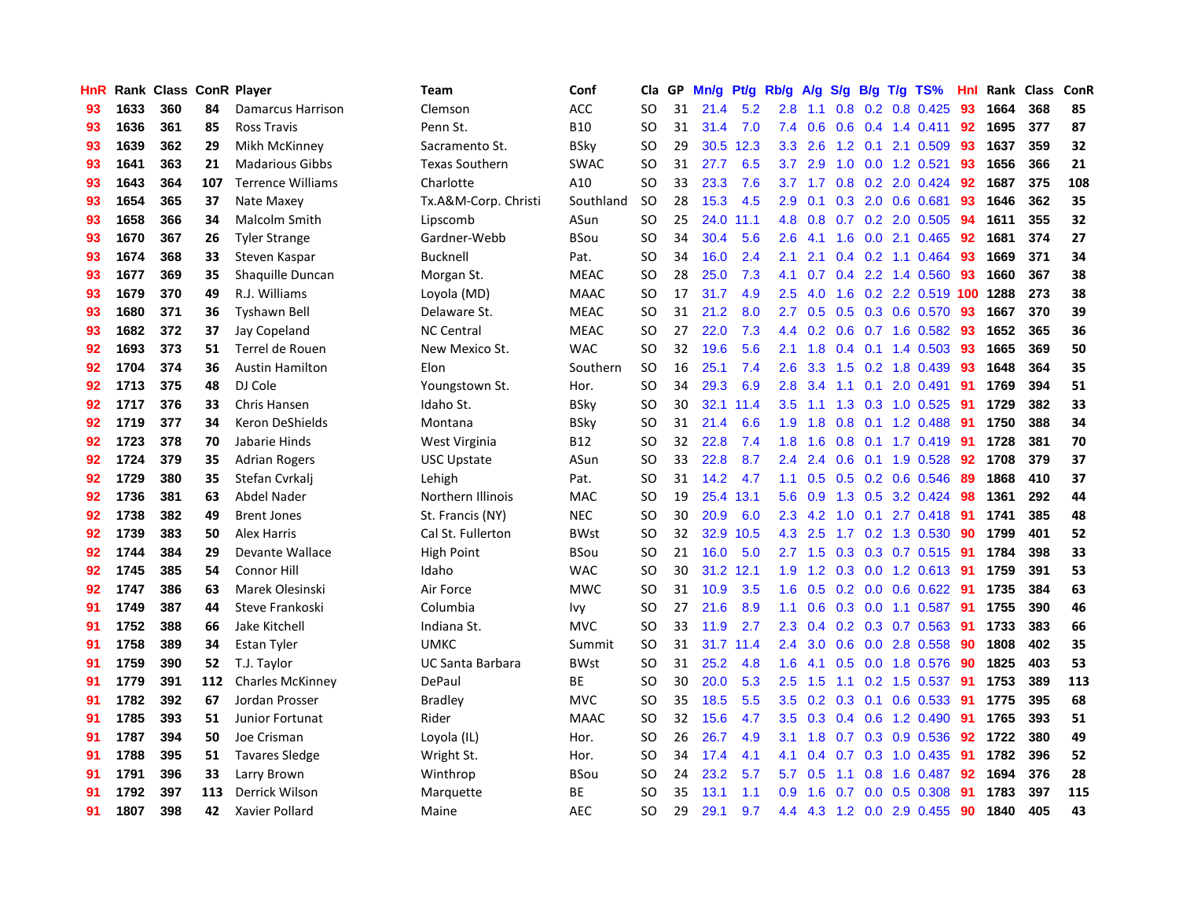| <b>HnR</b> |      | Rank Class ConR Player |     |                          | Team                  | Conf        | Cla       | GP | Mn/g | <b>Pt/g</b> | Rb/g             | A/g               |     |     | S/g B/g T/g TS%            | Hnl | Rank | <b>Class</b> | ConR |
|------------|------|------------------------|-----|--------------------------|-----------------------|-------------|-----------|----|------|-------------|------------------|-------------------|-----|-----|----------------------------|-----|------|--------------|------|
| 93         | 1633 | 360                    | 84  | Damarcus Harrison        | Clemson               | ACC         | <b>SO</b> | 31 | 21.4 | 5.2         | 2.8              | 1.1               | 0.8 |     | $0.2$ 0.8 0.425            | 93  | 1664 | 368          | 85   |
| 93         | 1636 | 361                    | 85  | <b>Ross Travis</b>       | Penn St.              | <b>B10</b>  | SO        | 31 | 31.4 | 7.0         | 7.4              | 0.6               |     |     | $0.6$ $0.4$ 1.4 $0.411$    | 92  | 1695 | 377          | 87   |
| 93         | 1639 | 362                    | 29  | Mikh McKinney            | Sacramento St.        | BSky        | SO        | 29 |      | 30.5 12.3   | 3.3 <sub>1</sub> | 2.6               |     |     | 1.2 0.1 2.1 0.509          | -93 | 1637 | 359          | 32   |
| 93         | 1641 | 363                    | 21  | <b>Madarious Gibbs</b>   | <b>Texas Southern</b> | <b>SWAC</b> | SO        | 31 | 27.7 | 6.5         | 3.7 <sub>2</sub> | 2.9               | 1.0 |     | $0.0$ 1.2 0.521            | 93  | 1656 | 366          | 21   |
| 93         | 1643 | 364                    | 107 | <b>Terrence Williams</b> | Charlotte             | A10         | <b>SO</b> | 33 | 23.3 | 7.6         |                  | $3.7$ $1.7$ $0.8$ |     |     | 0.2 2.0 0.424              | -92 | 1687 | 375          | 108  |
| 93         | 1654 | 365                    | 37  | Nate Maxey               | Tx.A&M-Corp. Christi  | Southland   | <b>SO</b> | 28 | 15.3 | 4.5         | 2.9 <sup>°</sup> | 0.1               |     |     | $0.3$ 2.0 0.6 0.681        | 93  | 1646 | 362          | 35   |
| 93         | 1658 | 366                    | 34  | Malcolm Smith            | Lipscomb              | ASun        | <b>SO</b> | 25 | 24.0 | 11.1        | 4.8              | 0.8               |     |     | 0.7 0.2 2.0 0.505          | -94 | 1611 | 355          | 32   |
| 93         | 1670 | 367                    | 26  | <b>Tyler Strange</b>     | Gardner-Webb          | <b>BSou</b> | SO        | 34 | 30.4 | 5.6         | 2.6              | 4.1               | 1.6 |     | $0.0$ 2.1 $0.465$          | 92  | 1681 | 374          | 27   |
| 93         | 1674 | 368                    | 33  | Steven Kaspar            | Bucknell              | Pat.        | SO        | 34 | 16.0 | 2.4         | 2.1              | 2.1               |     |     | $0.4$ 0.2 1.1 0.464        | -93 | 1669 | 371          | 34   |
| 93         | 1677 | 369                    | 35  | Shaguille Duncan         | Morgan St.            | <b>MEAC</b> | SO        | 28 | 25.0 | 7.3         | 4.1              | 0.7               |     |     | $0.4$ 2.2 1.4 0.560        | -93 | 1660 | 367          | 38   |
| 93         | 1679 | 370                    | 49  | R.J. Williams            | Loyola (MD)           | <b>MAAC</b> | <b>SO</b> | 17 | 31.7 | 4.9         | 2.5              | 4.0               |     |     | 1.6 0.2 2.2 0.519 100 1288 |     |      | 273          | 38   |
| 93         | 1680 | 371                    | 36  | <b>Tyshawn Bell</b>      | Delaware St.          | <b>MEAC</b> | SO        | 31 | 21.2 | 8.0         | $2.7^{\circ}$    | 0.5               |     |     | 0.5 0.3 0.6 0.570 93       |     | 1667 | 370          | 39   |
| 93         | 1682 | 372                    | 37  | Jay Copeland             | <b>NC Central</b>     | <b>MEAC</b> | <b>SO</b> | 27 | 22.0 | 7.3         | 4.4              | 0.2               |     |     | 0.6 0.7 1.6 0.582 93       |     | 1652 | 365          | 36   |
| 92         | 1693 | 373                    | 51  | Terrel de Rouen          | New Mexico St.        | <b>WAC</b>  | <b>SO</b> | 32 | 19.6 | 5.6         | 2.1              | 1.8               |     |     | $0.4$ 0.1 1.4 0.503        | -93 | 1665 | 369          | 50   |
| 92         | 1704 | 374                    | 36  | <b>Austin Hamilton</b>   | Elon                  | Southern    | <b>SO</b> | 16 | 25.1 | 7.4         | 2.6              | 3.3               |     |     | 1.5 0.2 1.8 0.439          | 93  | 1648 | 364          | 35   |
| 92         | 1713 | 375                    | 48  | DJ Cole                  | Youngstown St.        | Hor.        | <b>SO</b> | 34 | 29.3 | 6.9         | 2.8              | 3.4               | 1.1 | 0.1 | 2.0 0.491                  | 91  | 1769 | 394          | 51   |
| 92         | 1717 | 376                    | 33  | <b>Chris Hansen</b>      | Idaho St.             | BSky        | <b>SO</b> | 30 | 32.1 | 11.4        | 3.5              | 1.1               | 1.3 |     | 0.3 1.0 0.525              | -91 | 1729 | 382          | 33   |
| 92         | 1719 | 377                    | 34  | <b>Keron DeShields</b>   | Montana               | <b>BSky</b> | <b>SO</b> | 31 | 21.4 | 6.6         | 1.9              | 1.8               | 0.8 |     | $0.1$ 1.2 0.488            | 91  | 1750 | 388          | 34   |
| 92         | 1723 | 378                    | 70  | Jabarie Hinds            | West Virginia         | <b>B12</b>  | <b>SO</b> | 32 | 22.8 | 7.4         | 1.8              | 1.6               |     |     | 0.8 0.1 1.7 0.419 91       |     | 1728 | 381          | 70   |
| 92         | 1724 | 379                    | 35  | <b>Adrian Rogers</b>     | <b>USC Upstate</b>    | ASun        | <b>SO</b> | 33 | 22.8 | 8.7         | $2.4^{\circ}$    | 2.4               |     |     | 0.6 0.1 1.9 0.528 92       |     | 1708 | 379          | 37   |
| 92         | 1729 | 380                    | 35  | Stefan Cvrkali           | Lehigh                | Pat.        | <b>SO</b> | 31 | 14.2 | 4.7         | 1.1 <sup>2</sup> | 0.5               |     |     | $0.5$ 0.2 0.6 0.546        | -89 | 1868 | 410          | 37   |
| 92         | 1736 | 381                    | 63  | Abdel Nader              | Northern Illinois     | MAC         | <b>SO</b> | 19 | 25.4 | 13.1        | 5.6              | 0.9               |     |     | 1.3 0.5 3.2 0.424          | 98  | 1361 | 292          | 44   |
| 92         | 1738 | 382                    | 49  | <b>Brent Jones</b>       | St. Francis (NY)      | <b>NEC</b>  | <b>SO</b> | 30 | 20.9 | 6.0         | 2.3              | 4.2               | 1.0 |     | $0.1$ 2.7 0.418            | 91  | 1741 | 385          | 48   |
| 92         | 1739 | 383                    | 50  | <b>Alex Harris</b>       | Cal St. Fullerton     | BWst        | <b>SO</b> | 32 | 32.9 | 10.5        | 4.3              | 2.5               | 1.7 |     | 0.2 1.3 0.530              | 90  | 1799 | 401          | 52   |
| 92         | 1744 | 384                    | 29  | Devante Wallace          | <b>High Point</b>     | <b>BSou</b> | SO        | 21 | 16.0 | 5.0         |                  | $2.7$ 1.5         | 0.3 |     | $0.3$ 0.7 0.515            | -91 | 1784 | 398          | 33   |
| 92         | 1745 | 385                    | 54  | <b>Connor Hill</b>       | Idaho                 | <b>WAC</b>  | <b>SO</b> | 30 | 31.2 | 12.1        | 1.9              | 1.2               |     |     | 0.3 0.0 1.2 0.613 91       |     | 1759 | 391          | 53   |
| 92         | 1747 | 386                    | 63  | Marek Olesinski          | Air Force             | <b>MWC</b>  | SO        | 31 | 10.9 | 3.5         | 1.6              | 0.5               |     |     | 0.2 0.0 0.6 0.622 91       |     | 1735 | 384          | 63   |
| 91         | 1749 | 387                    | 44  | Steve Frankoski          | Columbia              | Ivy         | <b>SO</b> | 27 | 21.6 | 8.9         | 1.1 <sub>1</sub> | 0.6               |     |     | 0.3 0.0 1.1 0.587 91       |     | 1755 | 390          | 46   |
| 91         | 1752 | 388                    | 66  | Jake Kitchell            | Indiana St.           | <b>MVC</b>  | SO        | 33 | 11.9 | 2.7         | $2.3^{\circ}$    | $0.4^{\circ}$     |     |     | 0.2 0.3 0.7 0.563 91       |     | 1733 | 383          | 66   |
| 91         | 1758 | 389                    | 34  | <b>Estan Tyler</b>       | <b>UMKC</b>           | Summit      | SO        | 31 | 31.7 | 11.4        | $2.4^{\circ}$    | 3.0               |     |     | 0.6 0.0 2.8 0.558 90       |     | 1808 | 402          | 35   |
| 91         | 1759 | 390                    | 52  | T.J. Taylor              | UC Santa Barbara      | <b>BWst</b> | <b>SO</b> | 31 | 25.2 | 4.8         | 1.6              | 4.1               | 0.5 |     | 0.0 1.8 0.576              | 90  | 1825 | 403          | 53   |
| 91         | 1779 | 391                    | 112 | <b>Charles McKinney</b>  | DePaul                | <b>BE</b>   | SO        | 30 | 20.0 | 5.3         | 2.5              | 1.5               | 1.1 |     | $0.2$ 1.5 $0.537$          | -91 | 1753 | 389          | 113  |
| 91         | 1782 | 392                    | 67  | Jordan Prosser           | <b>Bradley</b>        | <b>MVC</b>  | SO        | 35 | 18.5 | 5.5         | 3.5              | 0.2               | 0.3 |     | $0.1$ 0.6 0.533            | -91 | 1775 | 395          | 68   |
| 91         | 1785 | 393                    | 51  | Junior Fortunat          | Rider                 | <b>MAAC</b> | SO        | 32 | 15.6 | 4.7         | 3.5              | 0.3               |     |     | 0.4 0.6 1.2 0.490          | -91 | 1765 | 393          | 51   |
| 91         | 1787 | 394                    | 50  | Joe Crisman              | Loyola (IL)           | Hor.        | <b>SO</b> | 26 | 26.7 | 4.9         | 3.1              | 1.8               | 0.7 |     | 0.3 0.9 0.536              | -92 | 1722 | 380          | 49   |
| 91         | 1788 | 395                    | 51  | <b>Tavares Sledge</b>    | Wright St.            | Hor.        | SO        | 34 | 17.4 | 4.1         | 4.1              | $0.4^{\circ}$     |     |     | 0.7 0.3 1.0 0.435 91       |     | 1782 | 396          | 52   |
| 91         | 1791 | 396                    | 33  | Larry Brown              | Winthrop              | <b>BSou</b> | SO        | 24 | 23.2 | 5.7         | 5.7              | 0.5               |     |     | 1.1 0.8 1.6 0.487          | -92 | 1694 | 376          | 28   |
| 91         | 1792 | 397                    | 113 | Derrick Wilson           | Marquette             | <b>BE</b>   | SO        | 35 | 13.1 | 1.1         | 0.9 <sup>°</sup> | 1.6               |     |     | $0.7$ 0.0 0.5 0.308        | -91 | 1783 | 397          | 115  |
| 91         | 1807 | 398                    | 42  | Xavier Pollard           | Maine                 | <b>AEC</b>  | <b>SO</b> | 29 | 29.1 | 9.7         |                  |                   |     |     | 4.4 4.3 1.2 0.0 2.9 0.455  | 90  | 1840 | 405          | 43   |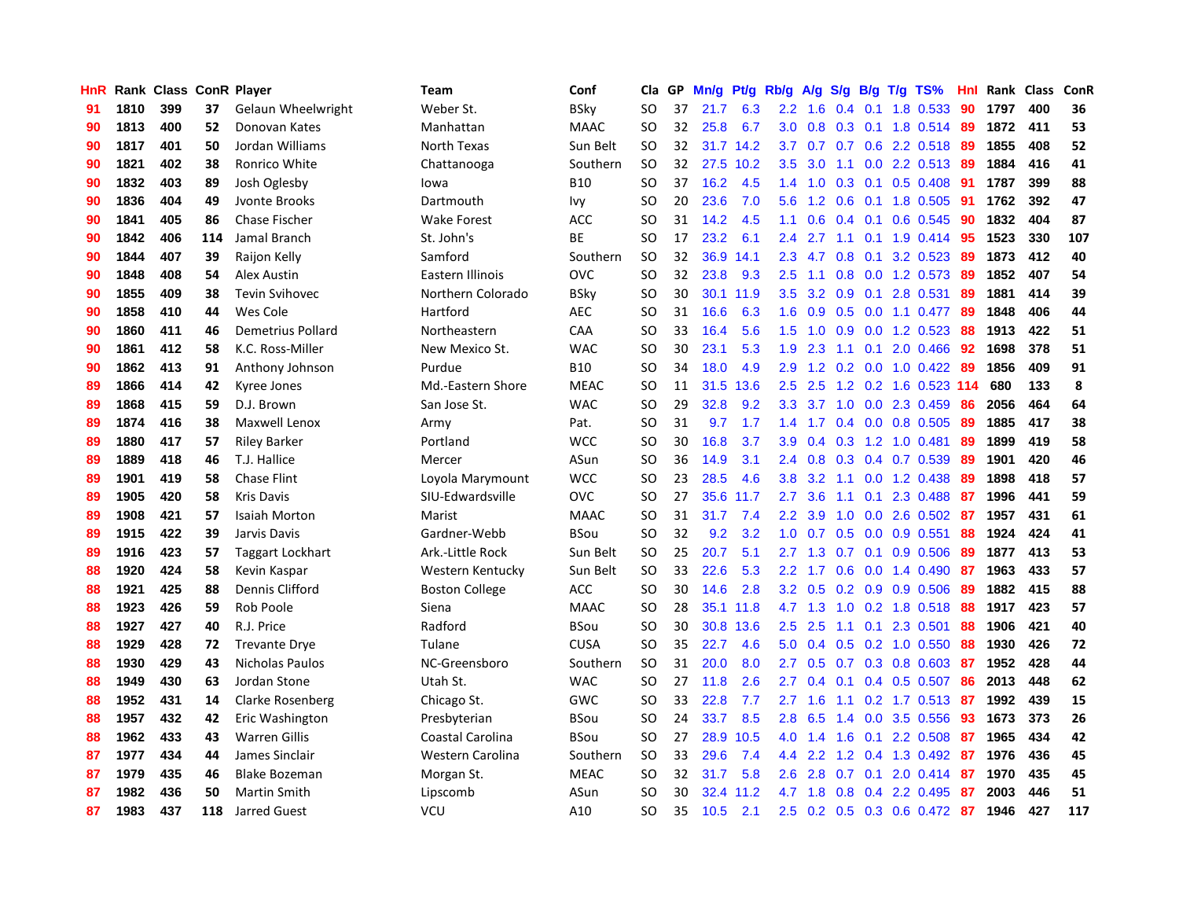| <b>HnR</b> |      | Rank Class ConR Player |     |                       | <b>Team</b>           | Conf        | Cla       | GP | Mn/g | Pt/g      | Rb/g             | A/g             | S/g           |     | $B/g$ T/g TS%                | Hnl |      | Rank Class | ConR |
|------------|------|------------------------|-----|-----------------------|-----------------------|-------------|-----------|----|------|-----------|------------------|-----------------|---------------|-----|------------------------------|-----|------|------------|------|
| 91         | 1810 | 399                    | 37  | Gelaun Wheelwright    | Weber St.             | <b>BSky</b> | <b>SO</b> | 37 | 21.7 | 6.3       | $2.2\phantom{0}$ | 1.6             | 0.4           | 0.1 | 1.8 0.533                    | 90  | 1797 | 400        | 36   |
| 90         | 1813 | 400                    | 52  | Donovan Kates         | Manhattan             | <b>MAAC</b> | <b>SO</b> | 32 | 25.8 | 6.7       | 3.0 <sub>1</sub> | 0.8             |               |     | 0.3 0.1 1.8 0.514 89         |     | 1872 | 411        | 53   |
| 90         | 1817 | 401                    | 50  | Jordan Williams       | North Texas           | Sun Belt    | <b>SO</b> | 32 |      | 31.7 14.2 |                  |                 |               |     | 3.7 0.7 0.7 0.6 2.2 0.518 89 |     | 1855 | 408        | 52   |
| 90         | 1821 | 402                    | 38  | Ronrico White         | Chattanooga           | Southern    | <b>SO</b> | 32 | 27.5 | 10.2      | 3.5              | 3.0             |               |     | 1.1 0.0 2.2 0.513 89         |     | 1884 | 416        | 41   |
| 90         | 1832 | 403                    | 89  | Josh Oglesby          | lowa                  | <b>B10</b>  | <b>SO</b> | 37 | 16.2 | 4.5       | 1.4              | 1.0             | 0.3           |     | $0.1$ 0.5 0.408              | -91 | 1787 | 399        | 88   |
| 90         | 1836 | 404                    | 49  | Jvonte Brooks         | Dartmouth             | Ivy         | <b>SO</b> | 20 | 23.6 | 7.0       | 5.6              | 1.2             | 0.6           |     | 0.1 1.8 0.505                | 91  | 1762 | 392        | 47   |
| 90         | 1841 | 405                    | 86  | <b>Chase Fischer</b>  | <b>Wake Forest</b>    | <b>ACC</b>  | SO        | 31 | 14.2 | 4.5       | 1.1              | 0.6             |               |     | $0.4$ 0.1 0.6 0.545          | -90 | 1832 | 404        | 87   |
| 90         | 1842 | 406                    | 114 | Jamal Branch          | St. John's            | <b>BE</b>   | SO.       | 17 | 23.2 | 6.1       | 2.4              | 2.7             | 1.1           |     | $0.1$ 1.9 $0.414$            | -95 | 1523 | 330        | 107  |
| 90         | 1844 | 407                    | 39  | Raijon Kelly          | Samford               | Southern    | <b>SO</b> | 32 | 36.9 | 14.1      | 2.3              | 4.7             | 0.8           | 0.1 | 3.2 0.523                    | -89 | 1873 | 412        | 40   |
| 90         | 1848 | 408                    | 54  | <b>Alex Austin</b>    | Eastern Illinois      | <b>OVC</b>  | <b>SO</b> | 32 | 23.8 | 9.3       | $2.5\,$          | 1.1             | 0.8           |     | 0.0 1.2 0.573 89             |     | 1852 | 407        | 54   |
| 90         | 1855 | 409                    | 38  | <b>Tevin Svihovec</b> | Northern Colorado     | <b>BSky</b> | <b>SO</b> | 30 |      | 30.1 11.9 | 3.5              |                 |               |     | 3.2 0.9 0.1 2.8 0.531        | -89 | 1881 | 414        | 39   |
| 90         | 1858 | 410                    | 44  | Wes Cole              | Hartford              | <b>AEC</b>  | SO        | 31 | 16.6 | 6.3       | 1.6              | 0.9             |               |     | 0.5 0.0 1.1 0.477 89         |     | 1848 | 406        | 44   |
| 90         | 1860 | 411                    | 46  | Demetrius Pollard     | Northeastern          | CAA         | SO        | 33 | 16.4 | 5.6       | 1.5              | 1.0             | 0.9           |     | $0.0$ 1.2 0.523              | -88 | 1913 | 422        | 51   |
| 90         | 1861 | 412                    | 58  | K.C. Ross-Miller      | New Mexico St.        | <b>WAC</b>  | <b>SO</b> | 30 | 23.1 | 5.3       | 1.9              | 2.3             | 1.1           | 0.1 | 2.0 0.466                    | -92 | 1698 | 378        | 51   |
| 90         | 1862 | 413                    | 91  | Anthony Johnson       | Purdue                | <b>B10</b>  | SO        | 34 | 18.0 | 4.9       | 2.9 <sup>°</sup> | 1.2             |               |     | $0.2$ 0.0 1.0 0.422 89       |     | 1856 | 409        | 91   |
| 89         | 1866 | 414                    | 42  | Kyree Jones           | Md.-Eastern Shore     | <b>MEAC</b> | <b>SO</b> | 11 | 31.5 | 13.6      | 2.5              | 2.5             |               |     | 1.2 0.2 1.6 0.523 114        |     | 680  | 133        | 8    |
| 89         | 1868 | 415                    | 59  | D.J. Brown            | San Jose St.          | <b>WAC</b>  | <b>SO</b> | 29 | 32.8 | 9.2       | 3.3 <sub>2</sub> | 3.7             | 1.0           |     | $0.0$ 2.3 0.459              | 86  | 2056 | 464        | 64   |
| 89         | 1874 | 416                    | 38  | <b>Maxwell Lenox</b>  | Army                  | Pat.        | <b>SO</b> | 31 | 9.7  | 1.7       | 1.4              | 1.7             | 0.4           |     | $0.0$ 0.8 0.505              | -89 | 1885 | 417        | 38   |
| 89         | 1880 | 417                    | 57  | <b>Riley Barker</b>   | Portland              | <b>WCC</b>  | <b>SO</b> | 30 | 16.8 | 3.7       | 3.9 <sup>°</sup> | 0.4             |               |     | $0.3$ 1.2 1.0 0.481          | -89 | 1899 | 419        | 58   |
| 89         | 1889 | 418                    | 46  | T.J. Hallice          | Mercer                | ASun        | <b>SO</b> | 36 | 14.9 | 3.1       | $2.4^{\circ}$    | 0.8             |               |     | $0.3$ 0.4 0.7 0.539          | -89 | 1901 | 420        | 46   |
| 89         | 1901 | 419                    | 58  | <b>Chase Flint</b>    | Loyola Marymount      | <b>WCC</b>  | SO        | 23 | 28.5 | 4.6       | 3.8 <sub>2</sub> | 3.2             | 1.1           |     | $0.0$ 1.2 0.438              | -89 | 1898 | 418        | 57   |
| 89         | 1905 | 420                    | 58  | <b>Kris Davis</b>     | SIU-Edwardsville      | <b>OVC</b>  | <b>SO</b> | 27 | 35.6 | 11.7      | $2.7^{\circ}$    | 3.6             | 1.1           | 0.1 | 2.3 0.488                    | -87 | 1996 | 441        | 59   |
| 89         | 1908 | 421                    | 57  | <b>Isaiah Morton</b>  | Marist                | <b>MAAC</b> | <b>SO</b> | 31 | 31.7 | 7.4       | $2.2^{\circ}$    | 3.9             | 1.0           |     | $0.0$ 2.6 $0.502$            | -87 | 1957 | 431        | 61   |
| 89         | 1915 | 422                    | 39  | Jarvis Davis          | Gardner-Webb          | <b>BSou</b> | <b>SO</b> | 32 | 9.2  | 3.2       | 1.0              | 0.7             | 0.5           |     | $0.0$ 0.9 0.551              | 88  | 1924 | 424        | 41   |
| 89         | 1916 | 423                    | 57  | Taggart Lockhart      | Ark.-Little Rock      | Sun Belt    | SO.       | 25 | 20.7 | 5.1       | $2.7^{\circ}$    | 1.3             | 0.7           | 0.1 | 0.9 0.506                    | -89 | 1877 | 413        | 53   |
| 88         | 1920 | 424                    | 58  | Kevin Kaspar          | Western Kentucky      | Sun Belt    | <b>SO</b> | 33 | 22.6 | 5.3       | $2.2^{\circ}$    | 1.7             | 0.6           |     | $0.0$ 1.4 0.490              | -87 | 1963 | 433        | 57   |
| 88         | 1921 | 425                    | 88  | Dennis Clifford       | <b>Boston College</b> | <b>ACC</b>  | <b>SO</b> | 30 | 14.6 | 2.8       |                  | $3.2 \quad 0.5$ |               |     | $0.2$ 0.9 0.9 0.506          | -89 | 1882 | 415        | 88   |
| 88         | 1923 | 426                    | 59  | Rob Poole             | Siena                 | <b>MAAC</b> | <b>SO</b> | 28 |      | 35.1 11.8 |                  | 4.7 1.3         |               |     | 1.0 0.2 1.8 0.518 88         |     | 1917 | 423        | 57   |
| 88         | 1927 | 427                    | 40  | R.J. Price            | Radford               | <b>BSou</b> | SO        | 30 | 30.8 | 13.6      | 2.5              | 2.5             |               |     | 1.1 0.1 2.3 0.501            | -88 | 1906 | 421        | 40   |
| 88         | 1929 | 428                    | 72  | <b>Trevante Drye</b>  | Tulane                | <b>CUSA</b> | SO        | 35 | 22.7 | 4.6       | 5.0              | 0.4             |               |     | $0.5$ 0.2 1.0 0.550          | -88 | 1930 | 426        | 72   |
| 88         | 1930 | 429                    | 43  | Nicholas Paulos       | NC-Greensboro         | Southern    | <b>SO</b> | 31 | 20.0 | 8.0       | $2.7^{\circ}$    | 0.5             |               |     | $0.7$ $0.3$ $0.8$ $0.603$    | -87 | 1952 | 428        | 44   |
| 88         | 1949 | 430                    | 63  | Jordan Stone          | Utah St.              | <b>WAC</b>  | SO        | 27 | 11.8 | 2.6       | $2.7^{\circ}$    | 0.4             | 0.1           |     | $0.4$ 0.5 0.507              | -86 | 2013 | 448        | 62   |
| 88         | 1952 | 431                    | 14  | Clarke Rosenberg      | Chicago St.           | GWC         | <b>SO</b> | 33 | 22.8 | 7.7       | 2.7              | 1.6             | 1.1           |     | $0.2$ 1.7 $0.513$            | -87 | 1992 | 439        | 15   |
| 88         | 1957 | 432                    | 42  | Eric Washington       | Presbyterian          | BSou        | SO        | 24 | 33.7 | 8.5       | 2.8              | 6.5             | $1.4^{\circ}$ | 0.0 | 3.5 0.556                    | -93 | 1673 | 373        | 26   |
| 88         | 1962 | 433                    | 43  | <b>Warren Gillis</b>  | Coastal Carolina      | <b>BSou</b> | <b>SO</b> | 27 | 28.9 | 10.5      | 4.0              | 1.4             | 1.6           | 0.1 | 2.2 0.508                    | -87 | 1965 | 434        | 42   |
| 87         | 1977 | 434                    | 44  | James Sinclair        | Western Carolina      | Southern    | SO        | 33 | 29.6 | 7.4       | 4.4              | 2.2             |               |     | 1.2 0.4 1.3 0.492 87         |     | 1976 | 436        | 45   |
| 87         | 1979 | 435                    | 46  | <b>Blake Bozeman</b>  | Morgan St.            | <b>MEAC</b> | SO        | 32 | 31.7 | 5.8       | 2.6              | 2.8             | 0.7           |     | $0.1$ 2.0 0.414              | -87 | 1970 | 435        | 45   |
| 87         | 1982 | 436                    | 50  | Martin Smith          | Lipscomb              | ASun        | SO        | 30 | 32.4 | 11.2      |                  | 4.7 1.8         | 0.8           |     | 0.4 2.2 0.495                | -87 | 2003 | 446        | 51   |
| 87         | 1983 | 437                    | 118 | <b>Jarred Guest</b>   | <b>VCU</b>            | A10         | <b>SO</b> | 35 | 10.5 | 2.1       |                  |                 |               |     | 2.5 0.2 0.5 0.3 0.6 0.472 87 |     | 1946 | 427        | 117  |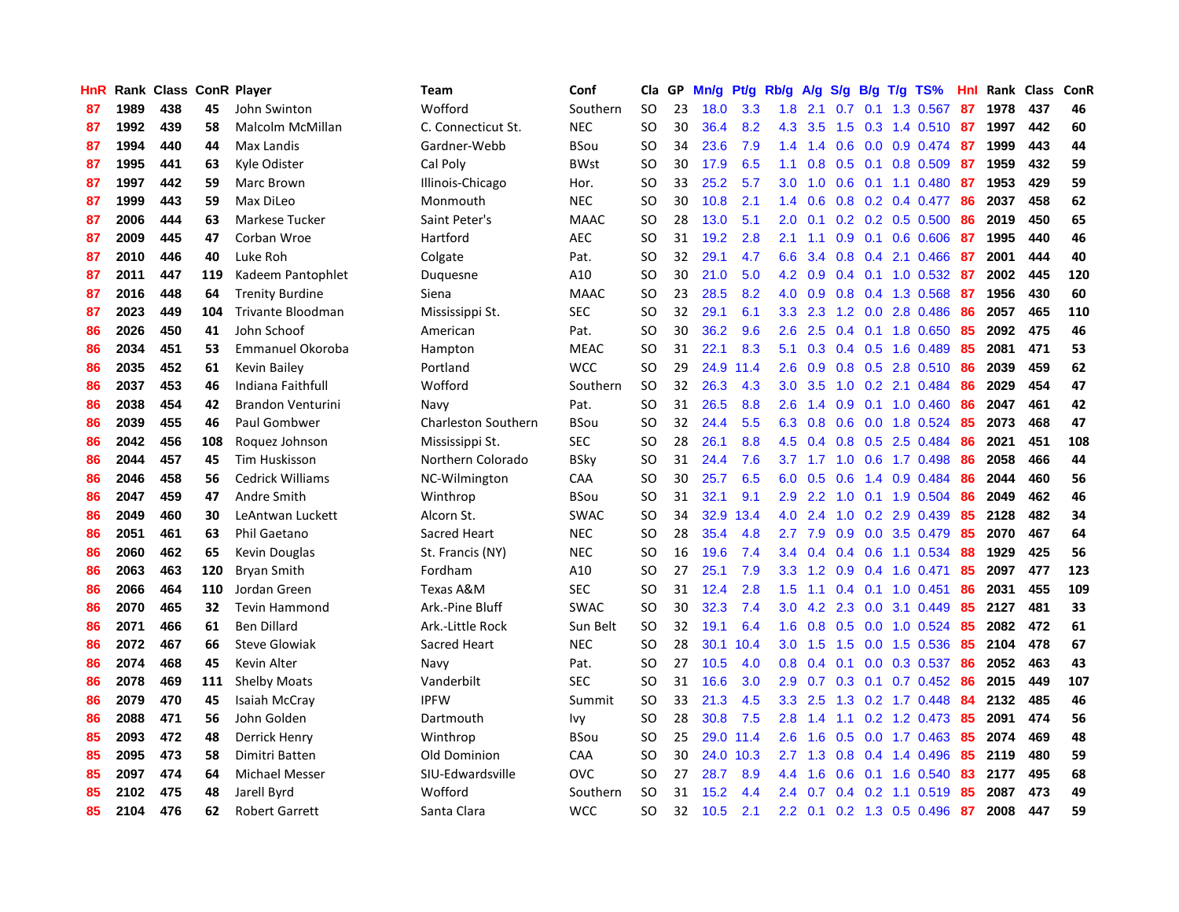| HnR |      | Rank Class ConR Player |     |                          | <b>Team</b>                | Conf        | Cla           | GP | Mn/g | <b>Pt/g</b> | Rb/g             | A/g             | S/g              |     | $B/g$ T/g TS%             | Hnl | Rank Class |     | ConR |
|-----|------|------------------------|-----|--------------------------|----------------------------|-------------|---------------|----|------|-------------|------------------|-----------------|------------------|-----|---------------------------|-----|------------|-----|------|
| 87  | 1989 | 438                    | 45  | John Swinton             | Wofford                    | Southern    | <b>SO</b>     | 23 | 18.0 | 3.3         | 1.8              | 2.1             | 0.7              | 0.1 | 1.3 0.567                 | 87  | 1978       | 437 | 46   |
| 87  | 1992 | 439                    | 58  | Malcolm McMillan         | C. Connecticut St.         | <b>NEC</b>  | SO            | 30 | 36.4 | 8.2         | 4.3              | 3.5             |                  |     | 1.5 0.3 1.4 0.510 87      |     | 1997       | 442 | 60   |
| 87  | 1994 | 440                    | 44  | Max Landis               | Gardner-Webb               | BSou        | <b>SO</b>     | 34 | 23.6 | 7.9         | 1.4              | 1.4             |                  |     | $0.6$ 0.0 0.9 0.474 87    |     | 1999       | 443 | 44   |
| 87  | 1995 | 441                    | 63  | Kyle Odister             | Cal Poly                   | <b>BWst</b> | SO            | 30 | 17.9 | 6.5         | 1.1              | 0.8             |                  |     | $0.5$ 0.1 0.8 0.509       | 87  | 1959       | 432 | 59   |
| 87  | 1997 | 442                    | 59  | Marc Brown               | Illinois-Chicago           | Hor.        | SO            | 33 | 25.2 | 5.7         | 3.0 <sub>2</sub> | 1.0             | 0.6              |     | $0.1$ 1.1 0.480           | 87  | 1953       | 429 | 59   |
| 87  | 1999 | 443                    | 59  | Max DiLeo                | Monmouth                   | <b>NEC</b>  | <b>SO</b>     | 30 | 10.8 | 2.1         | 1.4              | 0.6             | 0.8              |     | $0.2$ 0.4 0.477           | 86  | 2037       | 458 | 62   |
| 87  | 2006 | 444                    | 63  | Markese Tucker           | Saint Peter's              | <b>MAAC</b> | SO.           | 28 | 13.0 | 5.1         | 2.0              | 0.1             |                  |     | $0.2$ 0.2 0.5 0.500       | 86  | 2019       | 450 | 65   |
| 87  | 2009 | 445                    | 47  | Corban Wroe              | Hartford                   | <b>AEC</b>  | <b>SO</b>     | 31 | 19.2 | 2.8         | 2.1              | 1.1             | 0.9 <sup>°</sup> | 0.1 | $0.6$ 0.606               | 87  | 1995       | 440 | 46   |
| 87  | 2010 | 446                    | 40  | Luke Roh                 | Colgate                    | Pat.        | <sub>SO</sub> | 32 | 29.1 | 4.7         | 6.6              | 3.4             | 0.8              |     | 0.4 2.1 0.466             | 87  | 2001       | 444 | 40   |
| 87  | 2011 | 447                    | 119 | Kadeem Pantophlet        | Duquesne                   | A10         | <sub>SO</sub> | 30 | 21.0 | 5.0         | 4.2              | 0.9             |                  |     | $0.4$ 0.1 1.0 0.532       | -87 | 2002       | 445 | 120  |
| 87  | 2016 | 448                    | 64  | <b>Trenity Burdine</b>   | Siena                      | <b>MAAC</b> | SO.           | 23 | 28.5 | 8.2         | 4.0              | 0.9             |                  |     | 0.8 0.4 1.3 0.568         | -87 | 1956       | 430 | 60   |
| 87  | 2023 | 449                    | 104 | Trivante Bloodman        | Mississippi St.            | <b>SEC</b>  | <b>SO</b>     | 32 | 29.1 | 6.1         | 3.3 <sub>2</sub> | 2.3             |                  |     | 1.2 0.0 2.8 0.486         | -86 | 2057       | 465 | 110  |
| 86  | 2026 | 450                    | 41  | John Schoof              | American                   | Pat.        | SO            | 30 | 36.2 | 9.6         | 2.6              | 2.5             |                  |     | $0.4$ 0.1 1.8 0.650       | -85 | 2092       | 475 | 46   |
| 86  | 2034 | 451                    | 53  | Emmanuel Okoroba         | Hampton                    | <b>MEAC</b> | <b>SO</b>     | 31 | 22.1 | 8.3         | 5.1              | 0.3             |                  |     | $0.4$ 0.5 1.6 0.489       | -85 | 2081       | 471 | 53   |
| 86  | 2035 | 452                    | 61  | <b>Kevin Bailey</b>      | Portland                   | <b>WCC</b>  | SO.           | 29 | 24.9 | 11.4        | 2.6              | 0.9             |                  |     | $0.8$ 0.5 2.8 0.510       | -86 | 2039       | 459 | 62   |
| 86  | 2037 | 453                    | 46  | Indiana Faithfull        | Wofford                    | Southern    | <b>SO</b>     | 32 | 26.3 | 4.3         | 3.0              | 3.5             | 1.0              |     | 0.2 2.1 0.484             | 86  | 2029       | 454 | 47   |
| 86  | 2038 | 454                    | 42  | <b>Brandon Venturini</b> | Navy                       | Pat.        | <b>SO</b>     | 31 | 26.5 | 8.8         | 2.6              | 1.4             | 0.9 <sup>°</sup> |     | $0.1$ 1.0 $0.460$         | 86  | 2047       | 461 | 42   |
| 86  | 2039 | 455                    | 46  | Paul Gombwer             | <b>Charleston Southern</b> | BSou        | <sub>SO</sub> | 32 | 24.4 | 5.5         | 6.3              | 0.8             | 0.6              |     | 0.0 1.8 0.524             | 85  | 2073       | 468 | 47   |
| 86  | 2042 | 456                    | 108 | Roquez Johnson           | Mississippi St.            | <b>SEC</b>  | <sub>SO</sub> | 28 | 26.1 | 8.8         | 4.5              | 0.4             |                  |     | 0.8 0.5 2.5 0.484         | -86 | 2021       | 451 | 108  |
| 86  | 2044 | 457                    | 45  | <b>Tim Huskisson</b>     | Northern Colorado          | BSky        | <sub>SO</sub> | 31 | 24.4 | 7.6         |                  |                 |                  |     | 3.7 1.7 1.0 0.6 1.7 0.498 | -86 | 2058       | 466 | 44   |
| 86  | 2046 | 458                    | 56  | <b>Cedrick Williams</b>  | NC-Wilmington              | <b>CAA</b>  | SO            | 30 | 25.7 | 6.5         | 6.0              | 0.5             |                  |     | $0.6$ 1.4 0.9 0.484       | -86 | 2044       | 460 | 56   |
| 86  | 2047 | 459                    | 47  | Andre Smith              | Winthrop                   | BSou        | <b>SO</b>     | 31 | 32.1 | 9.1         | 2.9              | 2.2             | 1.0              |     | $0.1$ 1.9 0.504           | 86  | 2049       | 462 | 46   |
| 86  | 2049 | 460                    | 30  | LeAntwan Luckett         | Alcorn St.                 | <b>SWAC</b> | SO.           | 34 | 32.9 | 13.4        | 4.0              | 2.4             | 1.0              |     | 0.2 2.9 0.439             | 85  | 2128       | 482 | 34   |
| 86  | 2051 | 461                    | 63  | Phil Gaetano             | Sacred Heart               | <b>NEC</b>  | SO.           | 28 | 35.4 | 4.8         | 2.7              | 7.9             | 0.9              |     | $0.0$ 3.5 $0.479$         | 85  | 2070       | 467 | 64   |
| 86  | 2060 | 462                    | 65  | Kevin Douglas            | St. Francis (NY)           | <b>NEC</b>  | SO.           | 16 | 19.6 | 7.4         | $3.4^{\circ}$    | 0.4             |                  |     | $0.4$ 0.6 1.1 0.534       | 88  | 1929       | 425 | 56   |
| 86  | 2063 | 463                    | 120 | <b>Bryan Smith</b>       | Fordham                    | A10         | SO            | 27 | 25.1 | 7.9         | 3.3 <sub>2</sub> | 1.2             | 0.9              |     | 0.4 1.6 0.471             | 85  | 2097       | 477 | 123  |
| 86  | 2066 | 464                    | 110 | Jordan Green             | Texas A&M                  | <b>SEC</b>  | SO            | 31 | 12.4 | 2.8         | $1.5^{\circ}$    | 1.1             |                  |     | $0.4$ 0.1 1.0 0.451       | 86  | 2031       | 455 | 109  |
| 86  | 2070 | 465                    | 32  | <b>Tevin Hammond</b>     | Ark.-Pine Bluff            | <b>SWAC</b> | <b>SO</b>     | 30 | 32.3 | 7.4         | 3.0 <sub>2</sub> |                 |                  |     | 4.2 2.3 0.0 3.1 0.449     | 85  | 2127       | 481 | 33   |
| 86  | 2071 | 466                    | 61  | <b>Ben Dillard</b>       | Ark.-Little Rock           | Sun Belt    | SO.           | 32 | 19.1 | 6.4         | 1.6              | 0.8             |                  |     | $0.5$ $0.0$ 1.0 $0.524$   | -85 | 2082       | 472 | 61   |
| 86  | 2072 | 467                    | 66  | <b>Steve Glowiak</b>     | Sacred Heart               | <b>NEC</b>  | SO.           | 28 | 30.1 | 10.4        | 3.0 <sub>2</sub> | 1.5             | 1.5              |     | 0.0 1.5 0.536             | -85 | 2104       | 478 | 67   |
| 86  | 2074 | 468                    | 45  | Kevin Alter              | Navy                       | Pat.        | <b>SO</b>     | 27 | 10.5 | 4.0         | 0.8              | 0.4             | 0.1              |     | $0.0$ $0.3$ $0.537$       | 86  | 2052       | 463 | 43   |
| 86  | 2078 | 469                    | 111 | <b>Shelby Moats</b>      | Vanderbilt                 | <b>SEC</b>  | SO            | 31 | 16.6 | 3.0         | 2.9              | 0.7             | 0.3              |     | $0.1$ 0.7 0.452           | -86 | 2015       | 449 | 107  |
| 86  | 2079 | 470                    | 45  | Isaiah McCray            | <b>IPFW</b>                | Summit      | <b>SO</b>     | 33 | 21.3 | 4.5         | 3.3 <sub>2</sub> | 2.5             | 1.3              |     | $0.2$ 1.7 0.448           | 84  | 2132       | 485 | 46   |
| 86  | 2088 | 471                    | 56  | John Golden              | Dartmouth                  | Ivy         | SO            | 28 | 30.8 | 7.5         | 2.8              | 1.4             | 1.1              |     | 0.2 1.2 0.473             | 85  | 2091       | 474 | 56   |
| 85  | 2093 | 472                    | 48  | Derrick Henry            | Winthrop                   | BSou        | SO            | 25 | 29.0 | 11.4        | 2.6              | 1.6             | 0.5              |     | $0.0$ 1.7 $0.463$         | 85  | 2074       | 469 | 48   |
| 85  | 2095 | 473                    | 58  | Dimitri Batten           | Old Dominion               | CAA         | SO            | 30 |      | 24.0 10.3   | 2.7              | 1.3             |                  |     | $0.8$ 0.4 1.4 0.496       | 85  | 2119       | 480 | 59   |
| 85  | 2097 | 474                    | 64  | Michael Messer           | SIU-Edwardsville           | <b>OVC</b>  | SO            | 27 | 28.7 | 8.9         | 4.4              | 1.6             |                  |     | $0.6$ 0.1 1.6 0.540       | -83 | 2177       | 495 | 68   |
| 85  | 2102 | 475                    | 48  | Jarell Byrd              | Wofford                    | Southern    | SO            | 31 | 15.2 | 4.4         | $2.4^{\circ}$    | 0.7             |                  |     | $0.4$ 0.2 1.1 0.519       | 85  | 2087       | 473 | 49   |
| 85  | 2104 | 476                    | 62  | <b>Robert Garrett</b>    | Santa Clara                | <b>WCC</b>  | <b>SO</b>     | 32 | 10.5 | 2.1         |                  | $2.2 \quad 0.1$ |                  |     | 0.2 1.3 0.5 0.496         | 87  | 2008       | 447 | 59   |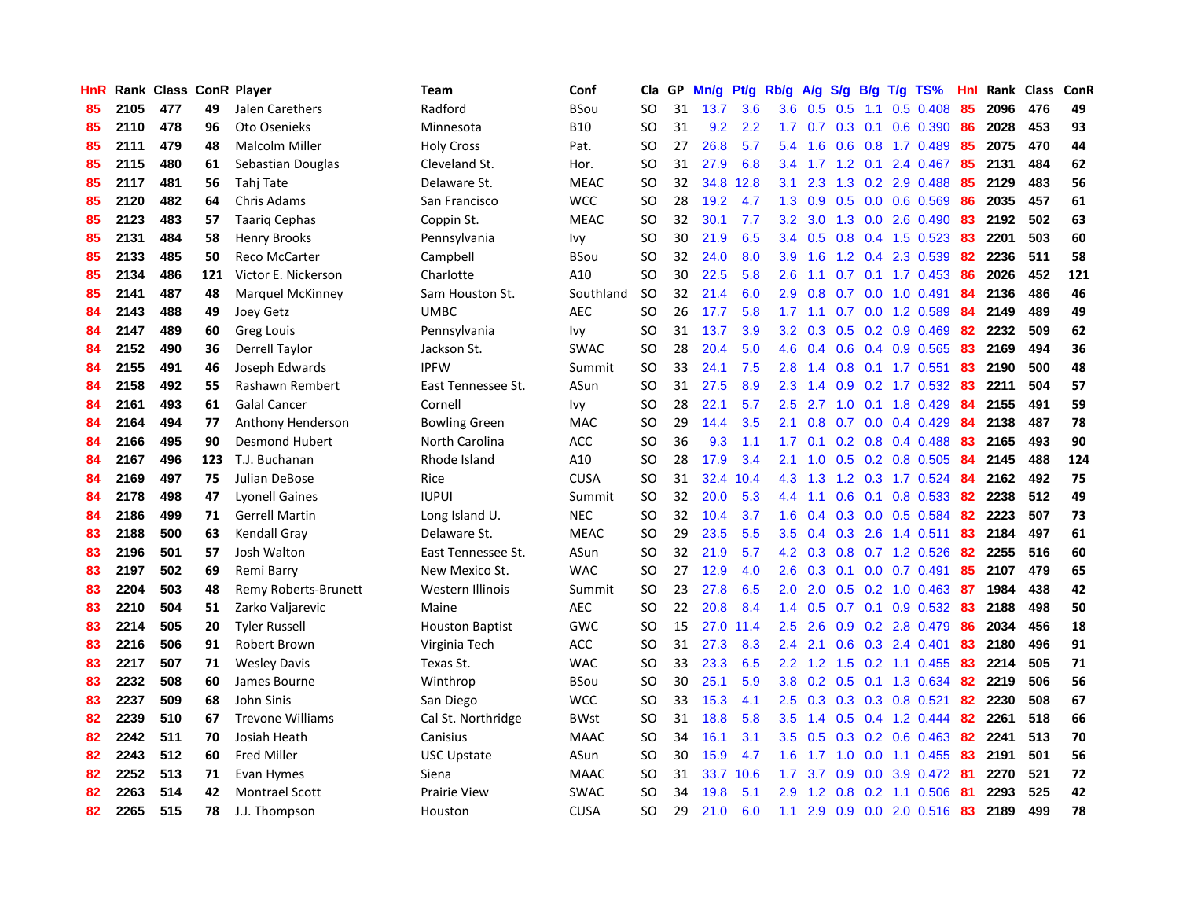| <b>HnR</b> |      | Rank Class ConR Player |     |                         | <b>Team</b>            | Conf        | Cla       | GP | Mn/g | Pt/g | Rb/g             | A/g             | S/g              |     | $B/g$ T/g TS%             | Hnl |      | Rank Class | ConR |
|------------|------|------------------------|-----|-------------------------|------------------------|-------------|-----------|----|------|------|------------------|-----------------|------------------|-----|---------------------------|-----|------|------------|------|
| 85         | 2105 | 477                    | 49  | Jalen Carethers         | Radford                | <b>BSou</b> | <b>SO</b> | 31 | 13.7 | 3.6  | 3.6              | 0.5             | 0.5              | 1.1 | $0.5$ 0.408               | 85  | 2096 | 476        | 49   |
| 85         | 2110 | 478                    | 96  | Oto Osenieks            | Minnesota              | <b>B10</b>  | <b>SO</b> | 31 | 9.2  | 2.2  |                  |                 |                  |     | 1.7 0.7 0.3 0.1 0.6 0.390 | 86  | 2028 | 453        | 93   |
| 85         | 2111 | 479                    | 48  | <b>Malcolm Miller</b>   | <b>Holy Cross</b>      | Pat.        | <b>SO</b> | 27 | 26.8 | 5.7  | 5.4              | 1.6             |                  |     | 0.6 0.8 1.7 0.489         | 85  | 2075 | 470        | 44   |
| 85         | 2115 | 480                    | 61  | Sebastian Douglas       | Cleveland St.          | Hor.        | <b>SO</b> | 31 | 27.9 | 6.8  | $3.4^{\circ}$    |                 |                  |     | 1.7 1.2 0.1 2.4 0.467     | 85  | 2131 | 484        | 62   |
| 85         | 2117 | 481                    | 56  | Tahj Tate               | Delaware St.           | <b>MEAC</b> | <b>SO</b> | 32 | 34.8 | 12.8 | 3.1              | 2.3             |                  |     | 1.3 0.2 2.9 0.488         | 85  | 2129 | 483        | 56   |
| 85         | 2120 | 482                    | 64  | <b>Chris Adams</b>      | San Francisco          | <b>WCC</b>  | <b>SO</b> | 28 | 19.2 | 4.7  | 1.3              | 0.9             | 0.5              |     | $0.0$ 0.6 0.569           | 86  | 2035 | 457        | 61   |
| 85         | 2123 | 483                    | 57  | <b>Taarig Cephas</b>    | Coppin St.             | <b>MEAC</b> | <b>SO</b> | 32 | 30.1 | 7.7  | 3.2              | 3.0             |                  |     | 1.3 0.0 2.6 0.490         | 83  | 2192 | 502        | 63   |
| 85         | 2131 | 484                    | 58  | <b>Henry Brooks</b>     | Pennsylvania           | Ivy         | <b>SO</b> | 30 | 21.9 | 6.5  | 3.4              | 0.5             | 0.8              |     | $0.4$ 1.5 0.523           | 83  | 2201 | 503        | 60   |
| 85         | 2133 | 485                    | 50  | Reco McCarter           | Campbell               | <b>BSou</b> | <b>SO</b> | 32 | 24.0 | 8.0  | 3.9              | 1.6             |                  |     | 1.2 0.4 2.3 0.539         | 82  | 2236 | 511        | 58   |
| 85         | 2134 | 486                    | 121 | Victor E. Nickerson     | Charlotte              | A10         | <b>SO</b> | 30 | 22.5 | 5.8  | 2.6              | 1.1             |                  |     | $0.7$ $0.1$ $1.7$ $0.453$ | 86  | 2026 | 452        | 121  |
| 85         | 2141 | 487                    | 48  | <b>Marquel McKinney</b> | Sam Houston St.        | Southland   | <b>SO</b> | 32 | 21.4 | 6.0  |                  | $2.9$ 0.8       |                  |     | $0.7$ 0.0 1.0 0.491       | -84 | 2136 | 486        | 46   |
| 84         | 2143 | 488                    | 49  | Joey Getz               | <b>UMBC</b>            | <b>AEC</b>  | <b>SO</b> | 26 | 17.7 | 5.8  | 1.7 <sub>z</sub> | 1.1             |                  |     | 0.7 0.0 1.2 0.589         | -84 | 2149 | 489        | 49   |
| 84         | 2147 | 489                    | 60  | Greg Louis              | Pennsylvania           | Ivy         | <b>SO</b> | 31 | 13.7 | 3.9  | 3.2              | 0.3             |                  |     | $0.5$ 0.2 0.9 0.469       | 82  | 2232 | 509        | 62   |
| 84         | 2152 | 490                    | 36  | Derrell Taylor          | Jackson St.            | <b>SWAC</b> | <b>SO</b> | 28 | 20.4 | 5.0  | 4.6              | 0.4             | 0.6              |     | 0.4 0.9 0.565             | -83 | 2169 | 494        | 36   |
| 84         | 2155 | 491                    | 46  | Joseph Edwards          | <b>IPFW</b>            | Summit      | <b>SO</b> | 33 | 24.1 | 7.5  | 2.8              | 1.4             |                  |     | 0.8 0.1 1.7 0.551         | 83  | 2190 | 500        | 48   |
| 84         | 2158 | 492                    | 55  | Rashawn Rembert         | East Tennessee St.     | ASun        | <b>SO</b> | 31 | 27.5 | 8.9  | 2.3              | 1.4             | 0.9 <sub>0</sub> |     | $0.2$ 1.7 $0.532$         | -83 | 2211 | 504        | 57   |
| 84         | 2161 | 493                    | 61  | <b>Galal Cancer</b>     | Cornell                | Ivy         | <b>SO</b> | 28 | 22.1 | 5.7  | $2.5\,$          | 2.7             | 1.0              |     | $0.1$ 1.8 0.429           | 84  | 2155 | 491        | 59   |
| 84         | 2164 | 494                    | 77  | Anthony Henderson       | <b>Bowling Green</b>   | <b>MAC</b>  | <b>SO</b> | 29 | 14.4 | 3.5  | 2.1              | 0.8             | 0.7              |     | $0.0$ 0.4 0.429           | 84  | 2138 | 487        | 78   |
| 84         | 2166 | 495                    | 90  | <b>Desmond Hubert</b>   | North Carolina         | ACC         | <b>SO</b> | 36 | 9.3  | 1.1  | 1.7 <sub>z</sub> | 0.1             |                  |     | $0.2$ 0.8 0.4 0.488       | -83 | 2165 | 493        | 90   |
| 84         | 2167 | 496                    | 123 | T.J. Buchanan           | Rhode Island           | A10         | <b>SO</b> | 28 | 17.9 | 3.4  | 2.1              | 1.0             |                  |     | $0.5$ 0.2 0.8 0.505       | -84 | 2145 | 488        | 124  |
| 84         | 2169 | 497                    | 75  | Julian DeBose           | Rice                   | <b>CUSA</b> | <b>SO</b> | 31 | 32.4 | 10.4 | 4.3              | 1.3             |                  |     | 1.2 0.3 1.7 0.524         | -84 | 2162 | 492        | 75   |
| 84         | 2178 | 498                    | 47  | <b>Lyonell Gaines</b>   | <b>IUPUI</b>           | Summit      | <b>SO</b> | 32 | 20.0 | 5.3  | 4.4              | 1.1             | 0.6              | 0.1 | 0.8 0.533                 | 82  | 2238 | 512        | 49   |
| 84         | 2186 | 499                    | 71  | <b>Gerrell Martin</b>   | Long Island U.         | <b>NEC</b>  | <b>SO</b> | 32 | 10.4 | 3.7  | 1.6              | 0.4             |                  |     | 0.3 0.0 0.5 0.584         | 82  | 2223 | 507        | 73   |
| 83         | 2188 | 500                    | 63  | <b>Kendall Gray</b>     | Delaware St.           | <b>MEAC</b> | <b>SO</b> | 29 | 23.5 | 5.5  | 3.5              | 0.4             | 0.3              |     | 2.6 1.4 0.511             | 83  | 2184 | 497        | 61   |
| 83         | 2196 | 501                    | 57  | Josh Walton             | East Tennessee St.     | ASun        | <b>SO</b> | 32 | 21.9 | 5.7  | 4.2              | 0.3             | 0.8              |     | $0.7$ 1.2 $0.526$         | 82  | 2255 | 516        | 60   |
| 83         | 2197 | 502                    | 69  | Remi Barry              | New Mexico St.         | <b>WAC</b>  | <b>SO</b> | 27 | 12.9 | 4.0  | 2.6              | 0.3             | 0.1              |     | $0.0$ 0.7 0.491           | 85  | 2107 | 479        | 65   |
| 83         | 2204 | 503                    | 48  | Remy Roberts-Brunett    | Western Illinois       | Summit      | <b>SO</b> | 23 | 27.8 | 6.5  | 2.0 <sub>1</sub> | 2.0             |                  |     | 0.5 0.2 1.0 0.463 87      |     | 1984 | 438        | 42   |
| 83         | 2210 | 504                    | 51  | Zarko Valjarevic        | Maine                  | <b>AEC</b>  | <b>SO</b> | 22 | 20.8 | 8.4  | $1.4^{\circ}$    | 0.5             |                  |     | 0.7 0.1 0.9 0.532 83      |     | 2188 | 498        | 50   |
| 83         | 2214 | 505                    | 20  | <b>Tyler Russell</b>    | <b>Houston Baptist</b> | GWC         | <b>SO</b> | 15 | 27.0 | 11.4 | $2.5\,$          | 2.6             |                  |     | $0.9$ $0.2$ $2.8$ $0.479$ | -86 | 2034 | 456        | 18   |
| 83         | 2216 | 506                    | 91  | Robert Brown            | Virginia Tech          | ACC         | <b>SO</b> | 31 | 27.3 | 8.3  | $2.4^{\circ}$    | 2.1             | 0.6              |     | $0.3$ 2.4 0.401           | 83  | 2180 | 496        | 91   |
| 83         | 2217 | 507                    | 71  | <b>Wesley Davis</b>     | Texas St.              | <b>WAC</b>  | <b>SO</b> | 33 | 23.3 | 6.5  | $2.2^{\circ}$    | 1.2             | 1.5              |     | $0.2$ 1.1 $0.455$         | 83  | 2214 | 505        | 71   |
| 83         | 2232 | 508                    | 60  | James Bourne            | Winthrop               | <b>BSou</b> | <b>SO</b> | 30 | 25.1 | 5.9  |                  | $3.8 \quad 0.2$ |                  |     | 0.5 0.1 1.3 0.634         | 82  | 2219 | 506        | 56   |
| 83         | 2237 | 509                    | 68  | John Sinis              | San Diego              | <b>WCC</b>  | <b>SO</b> | 33 | 15.3 | 4.1  | 2.5              | 0.3             | 0.3              |     | $0.3$ 0.8 0.521           | 82  | 2230 | 508        | 67   |
| 82         | 2239 | 510                    | 67  | <b>Trevone Williams</b> | Cal St. Northridge     | <b>BWst</b> | <b>SO</b> | 31 | 18.8 | 5.8  | 3.5              | 1.4             | 0.5              |     | 0.4 1.2 0.444             | 82  | 2261 | 518        | 66   |
| 82         | 2242 | 511                    | 70  | Josiah Heath            | Canisius               | <b>MAAC</b> | <b>SO</b> | 34 | 16.1 | 3.1  | 3.5              | 0.5             |                  |     | $0.3$ 0.2 0.6 0.463       | 82  | 2241 | 513        | 70   |
| 82         | 2243 | 512                    | 60  | Fred Miller             | <b>USC Upstate</b>     | ASun        | <b>SO</b> | 30 | 15.9 | 4.7  | 1.6              | 1.7             |                  |     | $1.0$ 0.0 1.1 0.455       | -83 | 2191 | 501        | 56   |
| 82         | 2252 | 513                    | 71  | Evan Hymes              | Siena                  | <b>MAAC</b> | <b>SO</b> | 31 | 33.7 | 10.6 | 1.7 <sub>z</sub> | 3.7             | 0.9              |     | 0.0 3.9 0.472             | -81 | 2270 | 521        | 72   |
| 82         | 2263 | 514                    | 42  | <b>Montrael Scott</b>   | <b>Prairie View</b>    | SWAC        | <b>SO</b> | 34 | 19.8 | 5.1  | 2.9              | 1.2             | 0.8              |     | $0.2$ 1.1 0.506           | -81 | 2293 | 525        | 42   |
| 82         | 2265 | 515                    | 78  | J.J. Thompson           | Houston                | <b>CUSA</b> | <b>SO</b> | 29 | 21.0 | 6.0  | 1.1              | 2.9             |                  |     | $0.9$ $0.0$ 2.0 $0.516$   | -83 | 2189 | 499        | 78   |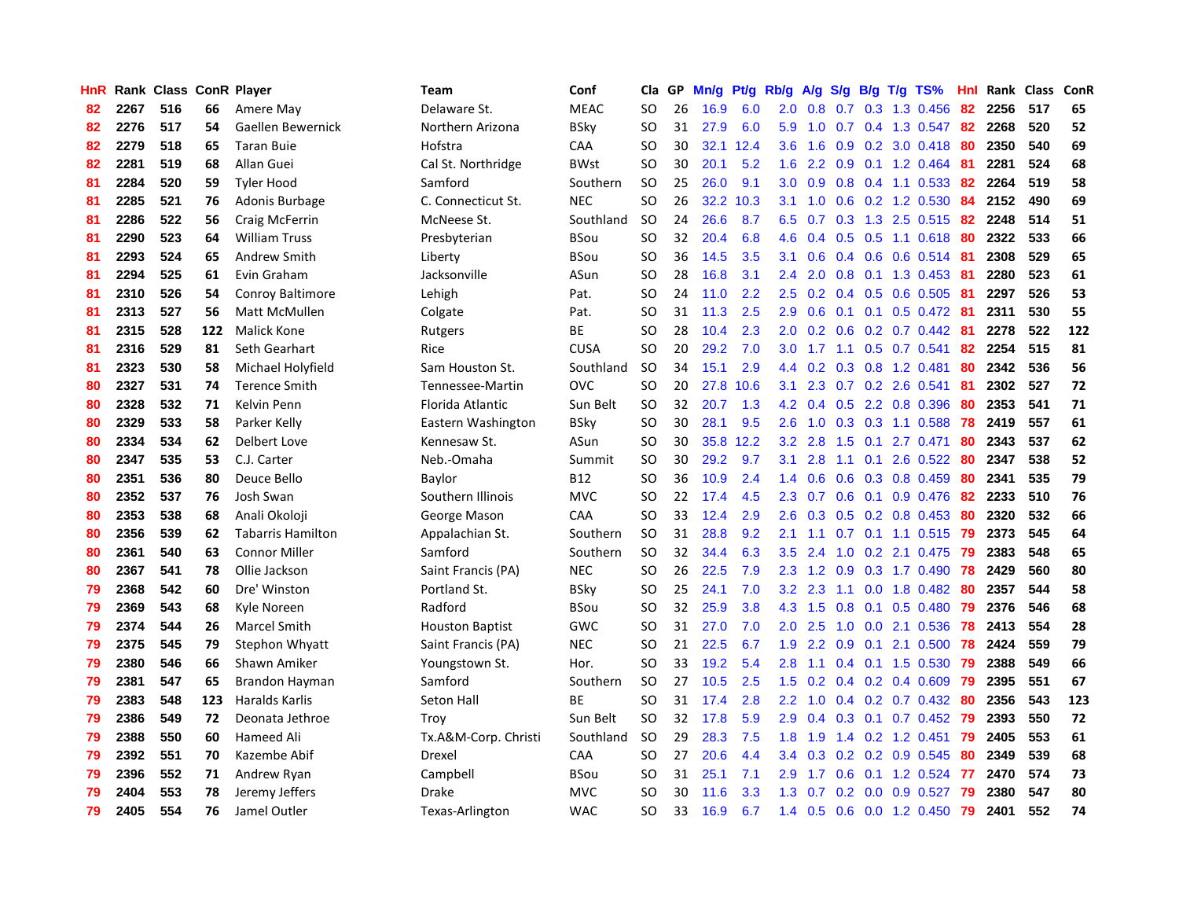| HnR |      | Rank Class ConR Player |     |                          | Team                   | Conf        | Cla           | GP | Mn/g | Pt/g | Rb/g             | A/g | S/g           |     | $B/g$ T/g TS%             | Hnl | Rank Class |     | ConR       |
|-----|------|------------------------|-----|--------------------------|------------------------|-------------|---------------|----|------|------|------------------|-----|---------------|-----|---------------------------|-----|------------|-----|------------|
| 82  | 2267 | 516                    | 66  | Amere May                | Delaware St.           | <b>MEAC</b> | SO            | 26 | 16.9 | 6.0  | 2.0              | 0.8 | 0.7           |     | 0.3 1.3 0.456             | 82  | 2256       | 517 | 65         |
| 82  | 2276 | 517                    | 54  | Gaellen Bewernick        | Northern Arizona       | BSky        | SO            | 31 | 27.9 | 6.0  | 5.9              | 1.0 |               |     | 0.7 0.4 1.3 0.547 82      |     | 2268       | 520 | 52         |
| 82  | 2279 | 518                    | 65  | <b>Taran Buie</b>        | Hofstra                | CAA         | SO            | 30 | 32.1 | 12.4 | 3.6              | 1.6 |               |     | 0.9 0.2 3.0 0.418 80      |     | 2350       | 540 | 69         |
| 82  | 2281 | 519                    | 68  | Allan Guei               | Cal St. Northridge     | <b>BWst</b> | SO            | 30 | 20.1 | 5.2  | 1.6              | 2.2 |               |     | $0.9$ 0.1 1.2 0.464       | -81 | 2281       | 524 | 68         |
| 81  | 2284 | 520                    | 59  | <b>Tyler Hood</b>        | Samford                | Southern    | <b>SO</b>     | 25 | 26.0 | 9.1  | 3.0 <sub>2</sub> | 0.9 |               |     | $0.8$ 0.4 1.1 0.533       | 82  | 2264       | 519 | 58         |
| 81  | 2285 | 521                    | 76  | Adonis Burbage           | C. Connecticut St.     | <b>NEC</b>  | <b>SO</b>     | 26 | 32.2 | 10.3 | 3.1              | 1.0 | 0.6           |     | 0.2 1.2 0.530             | 84  | 2152       | 490 | 69         |
| 81  | 2286 | 522                    | 56  | Craig McFerrin           | McNeese St.            | Southland   | <b>SO</b>     | 24 | 26.6 | 8.7  | 6.5              | 0.7 |               |     | 0.3 1.3 2.5 0.515         | 82  | 2248       | 514 | ${\bf 51}$ |
| 81  | 2290 | 523                    | 64  | <b>William Truss</b>     | Presbyterian           | BSou        | <b>SO</b>     | 32 | 20.4 | 6.8  | 4.6              | 0.4 |               |     | $0.5$ $0.5$ 1.1 $0.618$   | -80 | 2322       | 533 | 66         |
| 81  | 2293 | 524                    | 65  | Andrew Smith             | Liberty                | BSou        | <sub>SO</sub> | 36 | 14.5 | 3.5  | 3.1              | 0.6 |               |     | 0.4 0.6 0.6 0.514         | -81 | 2308       | 529 | 65         |
| 81  | 2294 | 525                    | 61  | Evin Graham              | Jacksonville           | ASun        | <sub>SO</sub> | 28 | 16.8 | 3.1  | 2.4              | 2.0 | 0.8           |     | 0.1 1.3 0.453 81          |     | 2280       | 523 | 61         |
| 81  | 2310 | 526                    | 54  | <b>Conroy Baltimore</b>  | Lehigh                 | Pat.        | SO            | 24 | 11.0 | 2.2  | 2.5              |     |               |     | 0.2 0.4 0.5 0.6 0.505 81  |     | 2297       | 526 | 53         |
| 81  | 2313 | 527                    | 56  | <b>Matt McMullen</b>     | Colgate                | Pat.        | <b>SO</b>     | 31 | 11.3 | 2.5  | 2.9              | 0.6 |               |     | $0.1$ 0.1 0.5 0.472 81    |     | 2311       | 530 | 55         |
| 81  | 2315 | 528                    | 122 | <b>Malick Kone</b>       | Rutgers                | <b>BE</b>   | SO            | 28 | 10.4 | 2.3  | 2.0              | 0.2 |               |     | $0.6$ $0.2$ $0.7$ $0.442$ | -81 | 2278       | 522 | 122        |
| 81  | 2316 | 529                    | 81  | Seth Gearhart            | Rice                   | <b>CUSA</b> | <b>SO</b>     | 20 | 29.2 | 7.0  | 3.0              | 1.7 | 1.1           |     | $0.5$ 0.7 0.541           | 82  | 2254       | 515 | 81         |
| 81  | 2323 | 530                    | 58  | Michael Holyfield        | Sam Houston St.        | Southland   | <b>SO</b>     | 34 | 15.1 | 2.9  | 4.4              | 0.2 |               |     | $0.3$ 0.8 1.2 0.481       | 80  | 2342       | 536 | 56         |
| 80  | 2327 | 531                    | 74  | <b>Terence Smith</b>     | Tennessee-Martin       | <b>OVC</b>  | <b>SO</b>     | 20 | 27.8 | 10.6 | 3.1              | 2.3 | 0.7           |     | 0.2 2.6 0.541             | -81 | 2302       | 527 | 72         |
| 80  | 2328 | 532                    | 71  | Kelvin Penn              | Florida Atlantic       | Sun Belt    | <b>SO</b>     | 32 | 20.7 | 1.3  | 4.2              | 0.4 | 0.5           |     | 2.2 0.8 0.396             | 80  | 2353       | 541 | 71         |
| 80  | 2329 | 533                    | 58  | Parker Kelly             | Eastern Washington     | BSky        | <sub>SO</sub> | 30 | 28.1 | 9.5  | 2.6              | 1.0 | 0.3           |     | 0.3 1.1 0.588             | 78  | 2419       | 557 | 61         |
| 80  | 2334 | 534                    | 62  | Delbert Love             | Kennesaw St.           | ASun        | SO            | 30 | 35.8 | 12.2 | 3.2              | 2.8 |               |     | 1.5 0.1 2.7 0.471         | 80  | 2343       | 537 | 62         |
| 80  | 2347 | 535                    | 53  | C.J. Carter              | Neb.-Omaha             | Summit      | <b>SO</b>     | 30 | 29.2 | 9.7  | 3.1              | 2.8 |               |     | $1.1$ 0.1 2.6 0.522       | -80 | 2347       | 538 | 52         |
| 80  | 2351 | 536                    | 80  | Deuce Bello              | Baylor                 | B12         | SO            | 36 | 10.9 | 2.4  | 1.4              | 0.6 |               |     | $0.6$ $0.3$ $0.8$ $0.459$ | 80  | 2341       | 535 | 79         |
| 80  | 2352 | 537                    | 76  | Josh Swan                | Southern Illinois      | <b>MVC</b>  | <b>SO</b>     | 22 | 17.4 | 4.5  | 2.3              | 0.7 | 0.6           |     | $0.1$ 0.9 0.476           | 82  | 2233       | 510 | 76         |
| 80  | 2353 | 538                    | 68  | Anali Okoloji            | George Mason           | <b>CAA</b>  | <b>SO</b>     | 33 | 12.4 | 2.9  | 2.6              | 0.3 |               |     | $0.5$ 0.2 0.8 0.453       | 80  | 2320       | 532 | 66         |
| 80  | 2356 | 539                    | 62  | <b>Tabarris Hamilton</b> | Appalachian St.        | Southern    | <b>SO</b>     | 31 | 28.8 | 9.2  | 2.1              | 1.1 | 0.7           |     | $0.1$ 1.1 0.515           | 79  | 2373       | 545 | 64         |
| 80  | 2361 | 540                    | 63  | <b>Connor Miller</b>     | Samford                | Southern    | <b>SO</b>     | 32 | 34.4 | 6.3  | 3.5              | 2.4 | 1.0           |     | $0.2$ 2.1 0.475           | 79  | 2383       | 548 | 65         |
| 80  | 2367 | 541                    | 78  | Ollie Jackson            | Saint Francis (PA)     | <b>NEC</b>  | <b>SO</b>     | 26 | 22.5 | 7.9  | 2.3              | 1.2 | 0.9           |     | 0.3 1.7 0.490             | 78  | 2429       | 560 | 80         |
| 79  | 2368 | 542                    | 60  | Dre' Winston             | Portland St.           | BSky        | SO            | 25 | 24.1 | 7.0  | 3.2              | 2.3 |               |     | 1.1 0.0 1.8 0.482         | -80 | 2357       | 544 | 58         |
| 79  | 2369 | 543                    | 68  | Kyle Noreen              | Radford                | BSou        | SO.           | 32 | 25.9 | 3.8  | 4.3              | 1.5 |               |     | $0.8$ 0.1 0.5 0.480       | -79 | 2376       | 546 | 68         |
| 79  | 2374 | 544                    | 26  | <b>Marcel Smith</b>      | <b>Houston Baptist</b> | <b>GWC</b>  | SO.           | 31 | 27.0 | 7.0  | 2.0              | 2.5 |               |     | 1.0 0.0 2.1 0.536         | 78  | 2413       | 554 | 28         |
| 79  | 2375 | 545                    | 79  | Stephon Whyatt           | Saint Francis (PA)     | <b>NEC</b>  | SO            | 21 | 22.5 | 6.7  | 1.9              | 2.2 | 0.9           | 0.1 | 2.1 0.500                 | 78  | 2424       | 559 | 79         |
| 79  | 2380 | 546                    | 66  | Shawn Amiker             | Youngstown St.         | Hor.        | <b>SO</b>     | 33 | 19.2 | 5.4  | 2.8              | 1.1 | 0.4           |     | $0.1$ 1.5 0.530           | 79  | 2388       | 549 | 66         |
| 79  | 2381 | 547                    | 65  | Brandon Hayman           | Samford                | Southern    | SO.           | 27 | 10.5 | 2.5  | 1.5              | 0.2 |               |     | $0.4$ 0.2 0.4 0.609       | -79 | 2395       | 551 | 67         |
| 79  | 2383 | 548                    | 123 | Haralds Karlis           | Seton Hall             | <b>BE</b>   | <b>SO</b>     | 31 | 17.4 | 2.8  | 2.2              | 1.0 | $0.4^{\circ}$ |     | $0.2$ 0.7 0.432           | -80 | 2356       | 543 | 123        |
| 79  | 2386 | 549                    | 72  | Deonata Jethroe          | Troy                   | Sun Belt    | SO            | 32 | 17.8 | 5.9  | 2.9              | 0.4 | 0.3           | 0.1 | $0.7$ 0.452               | 79  | 2393       | 550 | 72         |
| 79  | 2388 | 550                    | 60  | Hameed Ali               | Tx.A&M-Corp. Christi   | Southland   | <b>SO</b>     | 29 | 28.3 | 7.5  | 1.8              | 1.9 | $1.4^{\circ}$ |     | $0.2$ 1.2 0.451           | 79  | 2405       | 553 | 61         |
| 79  | 2392 | 551                    | 70  | Kazembe Abif             | Drexel                 | CAA         | SO            | 27 | 20.6 | 4.4  | $3.4^{\circ}$    | 0.3 |               |     | $0.2$ 0.2 0.9 0.545       | 80  | 2349       | 539 | 68         |
| 79  | 2396 | 552                    | 71  | Andrew Ryan              | Campbell               | <b>BSou</b> | SO.           | 31 | 25.1 | 7.1  | 2.9              | 1.7 |               |     | 0.6 0.1 1.2 0.524         | -77 | 2470       | 574 | 73         |
| 79  | 2404 | 553                    | 78  | Jeremy Jeffers           | Drake                  | <b>MVC</b>  | SO            | 30 | 11.6 | 3.3  | 1.3              | 0.7 |               |     | $0.2$ 0.0 0.9 0.527       | 79  | 2380       | 547 | 80         |
| 79  | 2405 | 554                    | 76  | Jamel Outler             | Texas-Arlington        | <b>WAC</b>  | <b>SO</b>     | 33 | 16.9 | 6.7  | 1.4              | 0.5 |               |     | 0.6 0.0 1.2 0.450         | 79  | 2401       | 552 | 74         |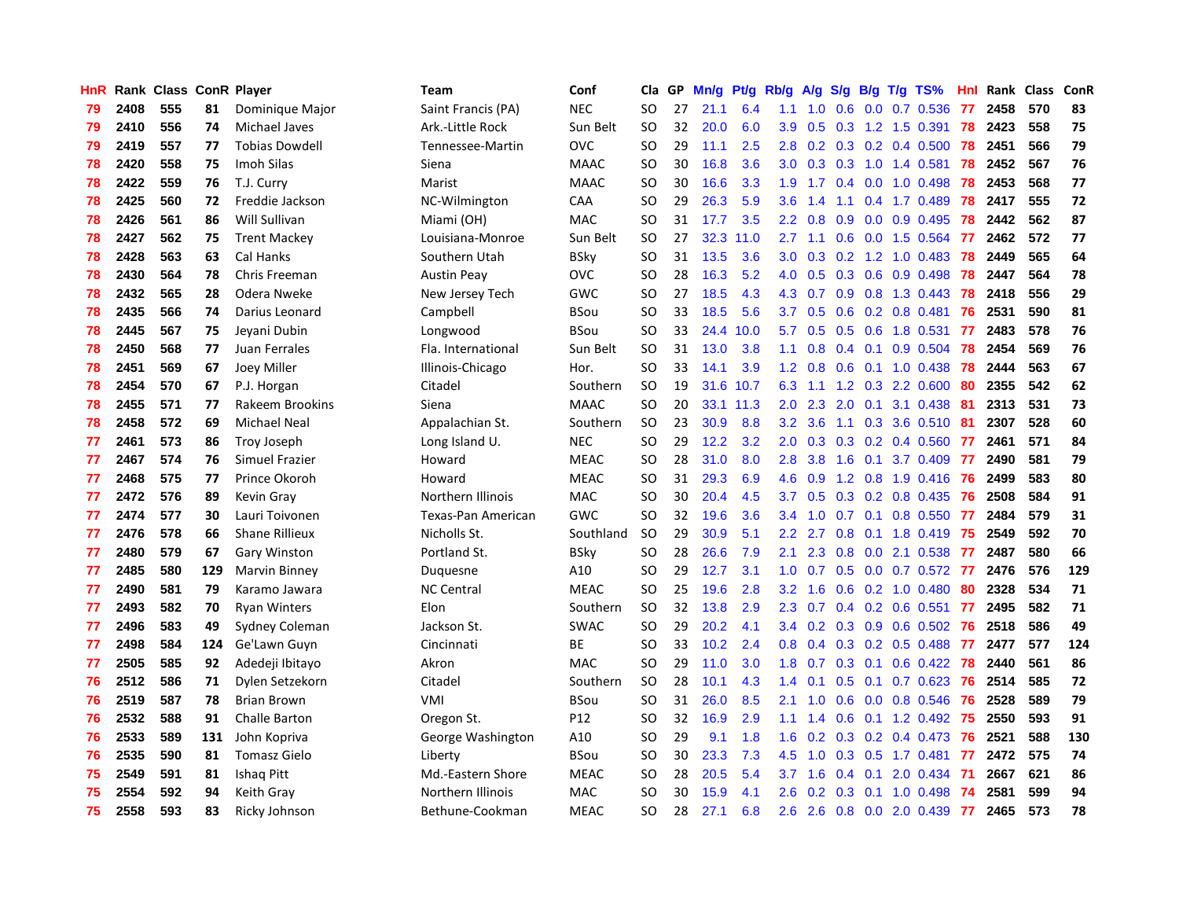| HnR |      | Rank Class ConR Player |     |                       | <b>Team</b>        | Conf        | Cla           | GP | Mn/g | <b>Pt/g</b> | Rb/g             | A/g             | S/g           |     | $B/g$ T/g TS%             | Hnl | Rank Class |     | ConR |
|-----|------|------------------------|-----|-----------------------|--------------------|-------------|---------------|----|------|-------------|------------------|-----------------|---------------|-----|---------------------------|-----|------------|-----|------|
| 79  | 2408 | 555                    | 81  | Dominique Major       | Saint Francis (PA) | <b>NEC</b>  | <b>SO</b>     | 27 | 21.1 | 6.4         | 1.1              | 1.0             | 0.6           | 0.0 | 0.7 0.536                 | 77  | 2458       | 570 | 83   |
| 79  | 2410 | 556                    | 74  | Michael Javes         | Ark.-Little Rock   | Sun Belt    | <b>SO</b>     | 32 | 20.0 | 6.0         | 3.9 <sub>2</sub> | 0.5             |               |     | $0.3$ 1.2 1.5 0.391       | 78  | 2423       | 558 | 75   |
| 79  | 2419 | 557                    | 77  | <b>Tobias Dowdell</b> | Tennessee-Martin   | OVC         | <b>SO</b>     | 29 | 11.1 | 2.5         | 2.8              | 0.2             |               |     | $0.3$ 0.2 0.4 0.500       | 78  | 2451       | 566 | 79   |
| 78  | 2420 | 558                    | 75  | Imoh Silas            | Siena              | <b>MAAC</b> | <b>SO</b>     | 30 | 16.8 | 3.6         | 3.0 <sub>2</sub> | 0.3             |               |     | $0.3$ 1.0 1.4 0.581       | 78  | 2452       | 567 | 76   |
| 78  | 2422 | 559                    | 76  | T.J. Curry            | Marist             | <b>MAAC</b> | <b>SO</b>     | 30 | 16.6 | 3.3         | 1.9              | 1.7             |               |     | $0.4$ 0.0 1.0 0.498       | 78  | 2453       | 568 | 77   |
| 78  | 2425 | 560                    | 72  | Freddie Jackson       | NC-Wilmington      | CAA         | <sub>SO</sub> | 29 | 26.3 | 5.9         | 3.6              | 1.4             | 1.1           |     | $0.4$ 1.7 0.489           | 78  | 2417       | 555 | 72   |
| 78  | 2426 | 561                    | 86  | Will Sullivan         | Miami (OH)         | MAC         | <b>SO</b>     | 31 | 17.7 | 3.5         | 2.2              | 0.8             | 0.9           |     | 0.0 0.9 0.495             | 78  | 2442       | 562 | 87   |
| 78  | 2427 | 562                    | 75  | <b>Trent Mackey</b>   | Louisiana-Monroe   | Sun Belt    | <sub>SO</sub> | 27 | 32.3 | 11.0        | 2.7              | 1.1             | 0.6           |     | $0.0$ 1.5 $0.564$         | 77  | 2462       | 572 | 77   |
| 78  | 2428 | 563                    | 63  | Cal Hanks             | Southern Utah      | <b>BSky</b> | <sub>SO</sub> | 31 | 13.5 | 3.6         | 3.0 <sub>2</sub> | 0.3             |               |     | 0.2 1.2 1.0 0.483         | 78  | 2449       | 565 | 64   |
| 78  | 2430 | 564                    | 78  | Chris Freeman         | <b>Austin Peay</b> | OVC         | <sub>SO</sub> | 28 | 16.3 | 5.2         | 4.0              | 0.5             |               |     | 0.3 0.6 0.9 0.498         | 78  | 2447       | 564 | 78   |
| 78  | 2432 | 565                    | 28  | Odera Nweke           | New Jersey Tech    | GWC         | SO            | 27 | 18.5 | 4.3         |                  | $4.3 \quad 0.7$ |               |     | 0.9 0.8 1.3 0.443 78      |     | 2418       | 556 | 29   |
| 78  | 2435 | 566                    | 74  | Darius Leonard        | Campbell           | <b>BSou</b> | <b>SO</b>     | 33 | 18.5 | 5.6         | 3.7              | 0.5             |               |     | $0.6$ $0.2$ $0.8$ $0.481$ | -76 | 2531       | 590 | 81   |
| 78  | 2445 | 567                    | 75  | Jeyani Dubin          | Longwood           | <b>BSou</b> | SO            | 33 | 24.4 | 10.0        | 5.7              | 0.5             |               |     | $0.5$ 0.6 1.8 0.531       | 77  | 2483       | 578 | 76   |
| 78  | 2450 | 568                    | 77  | Juan Ferrales         | Fla. International | Sun Belt    | <b>SO</b>     | 31 | 13.0 | 3.8         | 1.1              | 0.8             | $0.4^{\circ}$ |     | $0.1$ 0.9 0.504           | 78  | 2454       | 569 | 76   |
| 78  | 2451 | 569                    | 67  | Joey Miller           | Illinois-Chicago   | Hor.        | <b>SO</b>     | 33 | 14.1 | 3.9         | 1.2              | 0.8             | 0.6           |     | $0.1$ 1.0 0.438           | 78  | 2444       | 563 | 67   |
| 78  | 2454 | 570                    | 67  | P.J. Horgan           | Citadel            | Southern    | <b>SO</b>     | 19 | 31.6 | 10.7        | 6.3              | 1.1             |               |     | 1.2 0.3 2.2 0.600         | 80  | 2355       | 542 | 62   |
| 78  | 2455 | 571                    | 77  | Rakeem Brookins       | Siena              | <b>MAAC</b> | <b>SO</b>     | 20 | 33.1 | 11.3        | 2.0 <sub>1</sub> | 2.3             | 2.0           | 0.1 | 3.1 0.438                 | -81 | 2313       | 531 | 73   |
| 78  | 2458 | 572                    | 69  | <b>Michael Neal</b>   | Appalachian St.    | Southern    | <b>SO</b>     | 23 | 30.9 | 8.8         | 3.2              | 3.6             | 1.1           |     | 0.3 3.6 0.510             | -81 | 2307       | 528 | 60   |
| 77  | 2461 | 573                    | 86  | Troy Joseph           | Long Island U.     | <b>NEC</b>  | <b>SO</b>     | 29 | 12.2 | 3.2         | 2.0              | 0.3             |               |     | $0.3$ 0.2 0.4 0.560       | 77  | 2461       | 571 | 84   |
| 77  | 2467 | 574                    | 76  | Simuel Frazier        | Howard             | <b>MEAC</b> | <b>SO</b>     | 28 | 31.0 | 8.0         | 2.8              | 3.8             |               |     | 1.6 0.1 3.7 0.409         | -77 | 2490       | 581 | 79   |
| 77  | 2468 | 575                    | 77  | Prince Okoroh         | Howard             | <b>MEAC</b> | <b>SO</b>     | 31 | 29.3 | 6.9         | 4.6              | 0.9             |               |     | $1.2$ 0.8 1.9 0.416       | -76 | 2499       | 583 | 80   |
| 77  | 2472 | 576                    | 89  | Kevin Gray            | Northern Illinois  | <b>MAC</b>  | <b>SO</b>     | 30 | 20.4 | 4.5         | 3.7              | 0.5             |               |     | $0.3$ 0.2 0.8 0.435       | -76 | 2508       | 584 | 91   |
| 77  | 2474 | 577                    | 30  | Lauri Toivonen        | Texas-Pan American | GWC         | SO            | 32 | 19.6 | 3.6         | 3.4              | 1.0             |               |     | $0.7$ 0.1 0.8 0.550       | 77  | 2484       | 579 | 31   |
| 77  | 2476 | 578                    | 66  | <b>Shane Rillieux</b> | Nicholls St.       | Southland   | <b>SO</b>     | 29 | 30.9 | 5.1         | 2.2              | 2.7             | 0.8           |     | $0.1$ 1.8 0.419           | 75  | 2549       | 592 | 70   |
| 77  | 2480 | 579                    | 67  | <b>Gary Winston</b>   | Portland St.       | <b>BSky</b> | SO            | 28 | 26.6 | 7.9         | 2.1              | 2.3             | 0.8           |     | $0.0$ 2.1 0.538           | 77  | 2487       | 580 | 66   |
| 77  | 2485 | 580                    | 129 | Marvin Binney         | Duquesne           | A10         | SO            | 29 | 12.7 | 3.1         | 1.0              | 0.7             | 0.5           |     | $0.0$ 0.7 0.572           | -77 | 2476       | 576 | 129  |
| 77  | 2490 | 581                    | 79  | Karamo Jawara         | <b>NC Central</b>  | <b>MEAC</b> | SO.           | 25 | 19.6 | 2.8         | 3.2              | 1.6             |               |     | $0.6$ $0.2$ 1.0 $0.480$   | 80  | 2328       | 534 | 71   |
| 77  | 2493 | 582                    | 70  | <b>Ryan Winters</b>   | Elon               | Southern    | <b>SO</b>     | 32 | 13.8 | 2.9         | 2.3              | 0.7             |               |     | $0.4$ 0.2 0.6 0.551 77    |     | 2495       | 582 | 71   |
| 77  | 2496 | 583                    | 49  | Sydney Coleman        | Jackson St.        | <b>SWAC</b> | SO            | 29 | 20.2 | 4.1         | $3.4^{\circ}$    | 0.2             |               |     | 0.3 0.9 0.6 0.502 76      |     | 2518       | 586 | 49   |
| 77  | 2498 | 584                    | 124 | Ge'Lawn Guyn          | Cincinnati         | BE          | SO            | 33 | 10.2 | 2.4         | 0.8              | 0.4             |               |     | $0.3$ 0.2 0.5 0.488       | -77 | 2477       | 577 | 124  |
| 77  | 2505 | 585                    | 92  | Adedeji Ibitayo       | Akron              | <b>MAC</b>  | <b>SO</b>     | 29 | 11.0 | 3.0         | 1.8              | 0.7             | 0.3           | 0.1 | $0.6$ 0.422               | 78  | 2440       | 561 | 86   |
| 76  | 2512 | 586                    | 71  | Dylen Setzekorn       | Citadel            | Southern    | SO            | 28 | 10.1 | 4.3         | 1.4              | 0.1             | 0.5           |     | $0.1$ 0.7 0.623           | 76  | 2514       | 585 | 72   |
| 76  | 2519 | 587                    | 78  | <b>Brian Brown</b>    | <b>VMI</b>         | <b>BSou</b> | <b>SO</b>     | 31 | 26.0 | 8.5         | 2.1              | 1.0             | 0.6           |     | $0.0$ 0.8 0.546           | 76  | 2528       | 589 | 79   |
| 76  | 2532 | 588                    | 91  | <b>Challe Barton</b>  | Oregon St.         | P12         | SO            | 32 | 16.9 | 2.9         | 1.1              | 1.4             | 0.6           |     | 0.1 1.2 0.492             | 75  | 2550       | 593 | 91   |
| 76  | 2533 | 589                    | 131 | John Kopriva          | George Washington  | A10         | SO            | 29 | 9.1  | 1.8         | 1.6              | 0.2             | 0.3           |     | $0.2$ 0.4 0.473           | -76 | 2521       | 588 | 130  |
| 76  | 2535 | 590                    | 81  | <b>Tomasz Gielo</b>   | Liberty            | BSou        | SO            | 30 | 23.3 | 7.3         | 4.5              | 1.0             |               |     | 0.3 0.5 1.7 0.481         | -77 | 2472       | 575 | 74   |
| 75  | 2549 | 591                    | 81  | <b>Ishaq Pitt</b>     | Md.-Eastern Shore  | <b>MEAC</b> | SO            | 28 | 20.5 | 5.4         | 3.7              | 1.6             |               |     | $0.4$ 0.1 2.0 0.434       | -71 | 2667       | 621 | 86   |
| 75  | 2554 | 592                    | 94  | Keith Gray            | Northern Illinois  | MAC         | SO            | 30 | 15.9 | 4.1         | 2.6              | 0.2             | 0.3           |     | $0.1$ 1.0 0.498           | -74 | 2581       | 599 | 94   |
| 75  | 2558 | 593                    | 83  | Ricky Johnson         | Bethune-Cookman    | <b>MEAC</b> | SO.           | 28 | 27.1 | 6.8         | 2.6              | 2.6             |               |     | 0.8 0.0 2.0 0.439         | 77  | 2465       | 573 | 78   |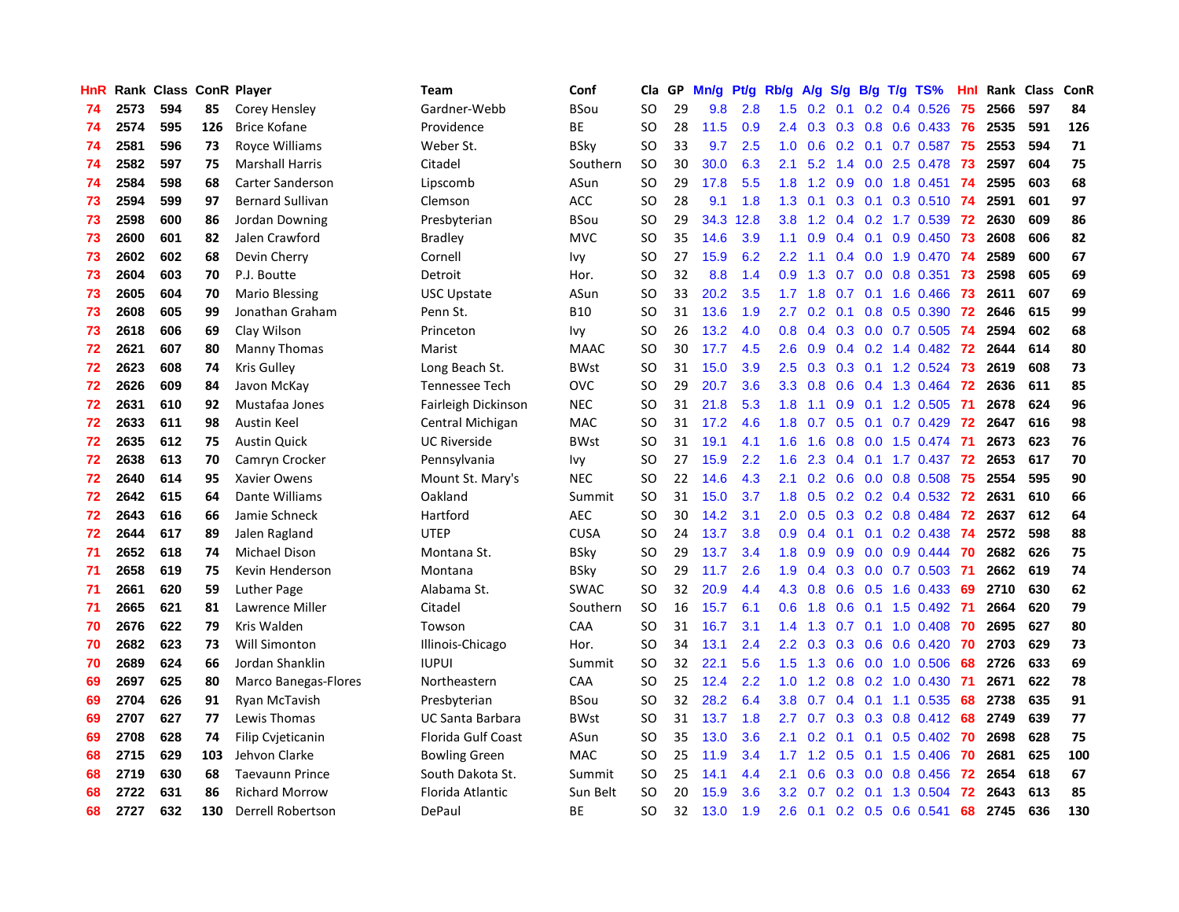| HnR |      | Rank Class ConR Player |     |                             | Team                  | Conf        | Cla       | GP | Mn/g | <b>Pt/g</b> | Rb/g             | A/g |     |     | S/g B/g T/g TS%              | Hnl | Rank | <b>Class</b> | ConR |
|-----|------|------------------------|-----|-----------------------------|-----------------------|-------------|-----------|----|------|-------------|------------------|-----|-----|-----|------------------------------|-----|------|--------------|------|
| 74  | 2573 | 594                    | 85  | Corey Hensley               | Gardner-Webb          | <b>BSou</b> | <b>SO</b> | 29 | 9.8  | 2.8         | 1.5              | 0.2 | 0.1 |     | $0.2$ 0.4 0.526              | 75  | 2566 | 597          | 84   |
| 74  | 2574 | 595                    | 126 | <b>Brice Kofane</b>         | Providence            | <b>BE</b>   | SO        | 28 | 11.5 | 0.9         | $2.4^{\circ}$    |     |     |     | 0.3 0.3 0.8 0.6 0.433 76     |     | 2535 | 591          | 126  |
| 74  | 2581 | 596                    | 73  | Royce Williams              | Weber St.             | BSky        | <b>SO</b> | 33 | 9.7  | 2.5         | 1.0              | 0.6 |     |     | 0.2 0.1 0.7 0.587 75         |     | 2553 | 594          | 71   |
| 74  | 2582 | 597                    | 75  | <b>Marshall Harris</b>      | Citadel               | Southern    | SO.       | 30 | 30.0 | 6.3         | 2.1              | 5.2 |     |     | 1.4 0.0 2.5 0.478            | -73 | 2597 | 604          | 75   |
| 74  | 2584 | 598                    | 68  | Carter Sanderson            | Lipscomb              | ASun        | <b>SO</b> | 29 | 17.8 | 5.5         | 1.8              | 1.2 | 0.9 |     | $0.0$ 1.8 0.451              | -74 | 2595 | 603          | 68   |
| 73  | 2594 | 599                    | 97  | <b>Bernard Sullivan</b>     | Clemson               | <b>ACC</b>  | <b>SO</b> | 28 | 9.1  | 1.8         | 1.3              | 0.1 |     |     | $0.3$ 0.1 0.3 0.510          | -74 | 2591 | 601          | 97   |
| 73  | 2598 | 600                    | 86  | Jordan Downing              | Presbyterian          | <b>BSou</b> | <b>SO</b> | 29 | 34.3 | 12.8        | 3.8 <sub>2</sub> | 1.2 |     |     | 0.4 0.2 1.7 0.539            | 72  | 2630 | 609          | 86   |
| 73  | 2600 | 601                    | 82  | Jalen Crawford              | <b>Bradley</b>        | <b>MVC</b>  | SO        | 35 | 14.6 | 3.9         | 1.1              | 0.9 |     |     | $0.4$ 0.1 0.9 0.450          | 73  | 2608 | 606          | 82   |
| 73  | 2602 | 602                    | 68  | Devin Cherry                | Cornell               | Ivy         | <b>SO</b> | 27 | 15.9 | 6.2         | $2.2^{\circ}$    | 1.1 |     |     | $0.4$ 0.0 1.9 0.470          | -74 | 2589 | 600          | 67   |
| 73  | 2604 | 603                    | 70  | P.J. Boutte                 | Detroit               | Hor.        | SO        | 32 | 8.8  | 1.4         | 0.9 <sub>0</sub> | 1.3 |     |     | $0.7$ $0.0$ $0.8$ $0.351$    | -73 | 2598 | 605          | 69   |
| 73  | 2605 | 604                    | 70  | <b>Mario Blessing</b>       | <b>USC Upstate</b>    | ASun        | <b>SO</b> | 33 | 20.2 | 3.5         | 1.7 <sub>z</sub> | 1.8 |     |     | 0.7 0.1 1.6 0.466 73         |     | 2611 | 607          | 69   |
| 73  | 2608 | 605                    | 99  | Jonathan Graham             | Penn St.              | <b>B10</b>  | SO        | 31 | 13.6 | 1.9         | $2.7^{\circ}$    | 0.2 |     |     | $0.1$ 0.8 0.5 0.390          | -72 | 2646 | 615          | 99   |
| 73  | 2618 | 606                    | 69  | Clay Wilson                 | Princeton             | Ivy         | SO        | 26 | 13.2 | 4.0         | 0.8              | 0.4 |     |     | $0.3$ 0.0 0.7 0.505          | -74 | 2594 | 602          | 68   |
| 72  | 2621 | 607                    | 80  | <b>Manny Thomas</b>         | Marist                | <b>MAAC</b> | <b>SO</b> | 30 | 17.7 | 4.5         | 2.6              | 0.9 |     |     | 0.4 0.2 1.4 0.482 72         |     | 2644 | 614          | 80   |
| 72  | 2623 | 608                    | 74  | <b>Kris Gulley</b>          | Long Beach St.        | <b>BWst</b> | <b>SO</b> | 31 | 15.0 | 3.9         | 2.5              | 0.3 |     |     | 0.3 0.1 1.2 0.524            | 73  | 2619 | 608          | 73   |
| 72  | 2626 | 609                    | 84  | Javon McKay                 | <b>Tennessee Tech</b> | <b>OVC</b>  | <b>SO</b> | 29 | 20.7 | 3.6         | 3.3 <sub>2</sub> | 0.8 | 0.6 |     | 0.4 1.3 0.464                | 72  | 2636 | 611          | 85   |
| 72  | 2631 | 610                    | 92  | Mustafaa Jones              | Fairleigh Dickinson   | <b>NEC</b>  | <b>SO</b> | 31 | 21.8 | 5.3         | 1.8              | 1.1 | 0.9 |     | $0.1$ 1.2 0.505              | 71  | 2678 | 624          | 96   |
| 72  | 2633 | 611                    | 98  | Austin Keel                 | Central Michigan      | <b>MAC</b>  | <b>SO</b> | 31 | 17.2 | 4.6         | 1.8              | 0.7 | 0.5 | 0.1 | $0.7$ 0.429                  | 72  | 2647 | 616          | 98   |
| 72  | 2635 | 612                    | 75  | <b>Austin Quick</b>         | <b>UC Riverside</b>   | <b>BWst</b> | <b>SO</b> | 31 | 19.1 | 4.1         | 1.6              | 1.6 |     |     | 0.8 0.0 1.5 0.474 71         |     | 2673 | 623          | 76   |
| 72  | 2638 | 613                    | 70  | Camryn Crocker              | Pennsylvania          | Ivy         | <b>SO</b> | 27 | 15.9 | 2.2         | 1.6              | 2.3 |     |     | 0.4 0.1 1.7 0.437 72         |     | 2653 | 617          | 70   |
| 72  | 2640 | 614                    | 95  | Xavier Owens                | Mount St. Mary's      | <b>NEC</b>  | <b>SO</b> | 22 | 14.6 | 4.3         | 2.1              | 0.2 |     |     | $0.6$ 0.0 0.8 0.508          | 75  | 2554 | 595          | 90   |
| 72  | 2642 | 615                    | 64  | Dante Williams              | Oakland               | Summit      | <b>SO</b> | 31 | 15.0 | 3.7         | 1.8              | 0.5 |     |     | $0.2$ 0.2 0.4 0.532          | -72 | 2631 | 610          | 66   |
| 72  | 2643 | 616                    | 66  | Jamie Schneck               | Hartford              | <b>AEC</b>  | <b>SO</b> | 30 | 14.2 | 3.1         | 2.0 <sub>1</sub> | 0.5 |     |     | 0.3 0.2 0.8 0.484            | 72  | 2637 | 612          | 64   |
| 72  | 2644 | 617                    | 89  | Jalen Ragland               | <b>UTEP</b>           | <b>CUSA</b> | <b>SO</b> | 24 | 13.7 | 3.8         | 0.9              | 0.4 | 0.1 |     | $0.1$ 0.2 0.438              | -74 | 2572 | 598          | 88   |
| 71  | 2652 | 618                    | 74  | Michael Dison               | Montana St.           | BSky        | <b>SO</b> | 29 | 13.7 | 3.4         | 1.8              | 0.9 | 0.9 |     | $0.0$ $0.9$ $0.444$          | -70 | 2682 | 626          | 75   |
| 71  | 2658 | 619                    | 75  | Kevin Henderson             | Montana               | <b>BSky</b> | <b>SO</b> | 29 | 11.7 | 2.6         | 1.9              | 0.4 |     |     | 0.3 0.0 0.7 0.503 71         |     | 2662 | 619          | 74   |
| 71  | 2661 | 620                    | 59  | <b>Luther Page</b>          | Alabama St.           | SWAC        | <b>SO</b> | 32 | 20.9 | 4.4         | 4.3              | 0.8 |     |     | $0.6$ $0.5$ 1.6 0.433        | -69 | 2710 | 630          | 62   |
| 71  | 2665 | 621                    | 81  | Lawrence Miller             | Citadel               | Southern    | <b>SO</b> | 16 | 15.7 | 6.1         | 0.6              | 1.8 |     |     | 0.6 0.1 1.5 0.492 71         |     | 2664 | 620          | 79   |
| 70  | 2676 | 622                    | 79  | Kris Walden                 | Towson                | CAA         | <b>SO</b> | 31 | 16.7 | 3.1         | 1.4              | 1.3 |     |     | 0.7 0.1 1.0 0.408 70         |     | 2695 | 627          | 80   |
| 70  | 2682 | 623                    | 73  | Will Simonton               | Illinois-Chicago      | Hor.        | <b>SO</b> | 34 | 13.1 | 2.4         | $2.2^{\circ}$    | 0.3 |     |     | $0.3$ 0.6 0.6 0.420          | -70 | 2703 | 629          | 73   |
| 70  | 2689 | 624                    | 66  | Jordan Shanklin             | <b>IUPUI</b>          | Summit      | <b>SO</b> | 32 | 22.1 | 5.6         | 1.5              | 1.3 | 0.6 |     | 0.0 1.0 0.506                | 68  | 2726 | 633          | 69   |
| 69  | 2697 | 625                    | 80  | <b>Marco Banegas-Flores</b> | Northeastern          | CAA         | <b>SO</b> | 25 | 12.4 | 2.2         | 1.0              | 1.2 | 0.8 |     | $0.2$ 1.0 0.430              | -71 | 2671 | 622          | 78   |
| 69  | 2704 | 626                    | 91  | Ryan McTavish               | Presbyterian          | BSou        | <b>SO</b> | 32 | 28.2 | 6.4         | 3.8 <sub>2</sub> | 0.7 | 0.4 |     | $0.1$ 1.1 0.535              | 68  | 2738 | 635          | 91   |
| 69  | 2707 | 627                    | 77  | Lewis Thomas                | UC Santa Barbara      | <b>BWst</b> | SO        | 31 | 13.7 | 1.8         | $2.7^{\circ}$    | 0.7 | 0.3 |     | $0.3$ 0.8 0.412              | -68 | 2749 | 639          | 77   |
| 69  | 2708 | 628                    | 74  | Filip Cvjeticanin           | Florida Gulf Coast    | ASun        | <b>SO</b> | 35 | 13.0 | 3.6         | 2.1              | 0.2 | 0.1 | 0.1 | $0.5 \, 0.402$               | -70 | 2698 | 628          | 75   |
| 68  | 2715 | 629                    | 103 | Jehvon Clarke               | <b>Bowling Green</b>  | <b>MAC</b>  | SO        | 25 | 11.9 | 3.4         |                  |     |     |     | 1.7 1.2 0.5 0.1 1.5 0.406 70 |     | 2681 | 625          | 100  |
| 68  | 2719 | 630                    | 68  | <b>Taevaunn Prince</b>      | South Dakota St.      | Summit      | SO        | 25 | 14.1 | 4.4         | 2.1              | 0.6 |     |     | $0.3$ 0.0 0.8 0.456          | -72 | 2654 | 618          | 67   |
| 68  | 2722 | 631                    | 86  | <b>Richard Morrow</b>       | Florida Atlantic      | Sun Belt    | SO        | 20 | 15.9 | 3.6         | 3.2 <sub>2</sub> | 0.7 |     |     | 0.2 0.1 1.3 0.504            | -72 | 2643 | 613          | 85   |
| 68  | 2727 | 632                    | 130 | <b>Derrell Robertson</b>    | DePaul                | <b>BE</b>   | <b>SO</b> | 32 | 13.0 | 1.9         | 2.6              | 0.1 |     |     | 0.2 0.5 0.6 0.541            | 68  | 2745 | 636          | 130  |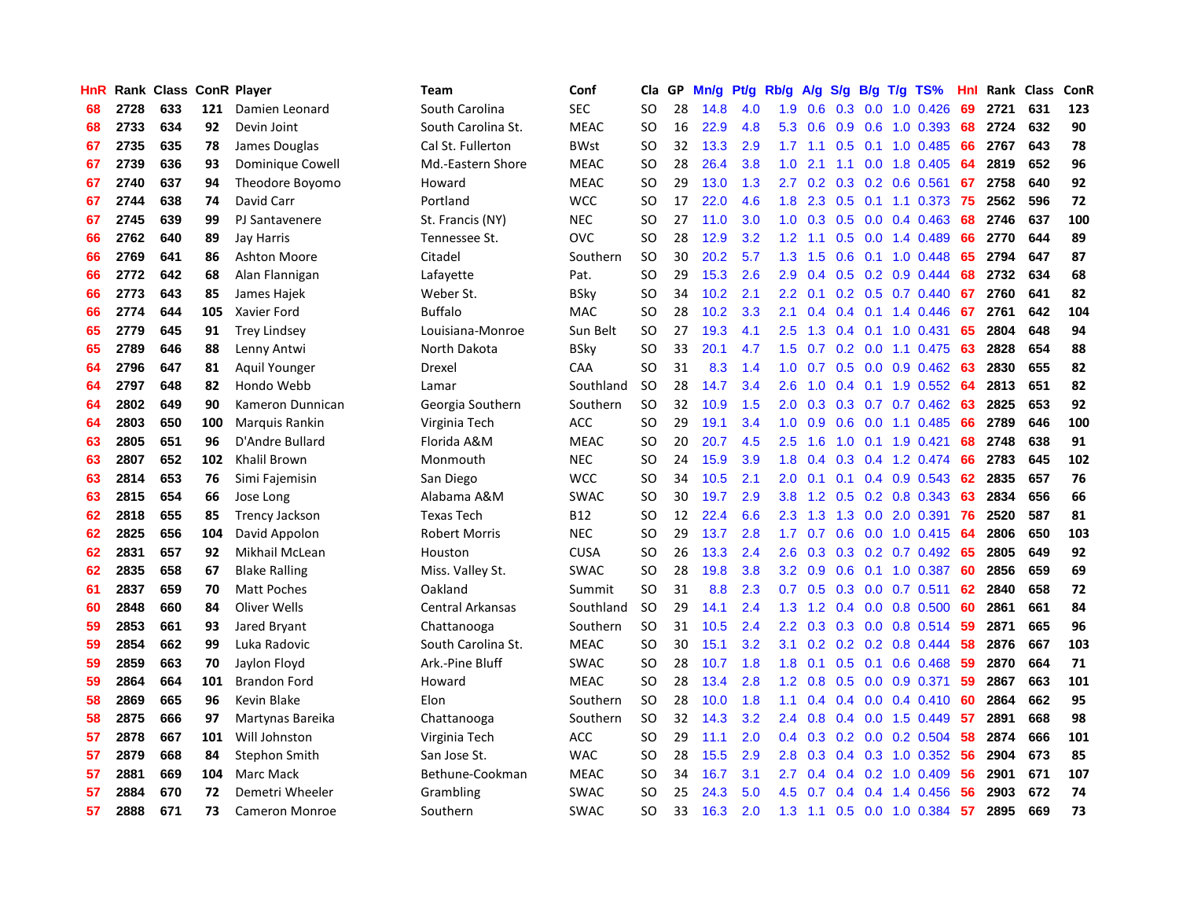| HnR |      | Rank Class ConR Player |     |                       | <b>Team</b>             | Conf        | Cla           | <b>GP</b> | Mn/g | <b>Pt/g</b> | Rb/g          | A/g    |     |     | S/g B/g T/g TS%           | Hnl | Rank | Class | ConR |
|-----|------|------------------------|-----|-----------------------|-------------------------|-------------|---------------|-----------|------|-------------|---------------|--------|-----|-----|---------------------------|-----|------|-------|------|
| 68  | 2728 | 633                    | 121 | Damien Leonard        | South Carolina          | <b>SEC</b>  | <b>SO</b>     | 28        | 14.8 | 4.0         | 1.9           | 0.6    | 0.3 |     | $0.0$ 1.0 $0.426$         | 69  | 2721 | 631   | 123  |
| 68  | 2733 | 634                    | 92  | Devin Joint           | South Carolina St.      | <b>MEAC</b> | <b>SO</b>     | 16        | 22.9 | 4.8         | 5.3           | 0.6    |     |     | $0.9$ $0.6$ 1.0 $0.393$   | 68  | 2724 | 632   | 90   |
| 67  | 2735 | 635                    | 78  | James Douglas         | Cal St. Fullerton       | <b>BWst</b> | <b>SO</b>     | 32        | 13.3 | 2.9         |               |        |     |     | 1.7 1.1 0.5 0.1 1.0 0.485 | 66  | 2767 | 643   | 78   |
| 67  | 2739 | 636                    | 93  | Dominique Cowell      | Md.-Eastern Shore       | <b>MEAC</b> | SO            | 28        | 26.4 | 3.8         | 1.0           | 2.1    |     |     | 1.1 0.0 1.8 0.405         | 64  | 2819 | 652   | 96   |
| 67  | 2740 | 637                    | 94  | Theodore Boyomo       | Howard                  | <b>MEAC</b> | <b>SO</b>     | 29        | 13.0 | 1.3         | $2.7^{\circ}$ | 0.2    |     |     | $0.3$ 0.2 0.6 0.561       | 67  | 2758 | 640   | 92   |
| 67  | 2744 | 638                    | 74  | David Carr            | Portland                | <b>WCC</b>  | <b>SO</b>     | 17        | 22.0 | 4.6         | 1.8           | 2.3    | 0.5 |     | $0.1$ 1.1 0.373           | -75 | 2562 | 596   | 72   |
| 67  | 2745 | 639                    | 99  | PJ Santavenere        | St. Francis (NY)        | <b>NEC</b>  | <b>SO</b>     | 27        | 11.0 | 3.0         | 1.0           | 0.3    |     |     | $0.5$ 0.0 0.4 0.463       | 68  | 2746 | 637   | 100  |
| 66  | 2762 | 640                    | 89  | Jay Harris            | Tennessee St.           | OVC         | SO.           | 28        | 12.9 | 3.2         | 1.2           | 1.1    |     |     | $0.5$ 0.0 1.4 0.489       | 66  | 2770 | 644   | 89   |
| 66  | 2769 | 641                    | 86  | <b>Ashton Moore</b>   | Citadel                 | Southern    | <b>SO</b>     | 30        | 20.2 | 5.7         | 1.3           | 1.5    | 0.6 |     | $0.1$ 1.0 0.448           | 65  | 2794 | 647   | 87   |
| 66  | 2772 | 642                    | 68  | Alan Flannigan        | Lafayette               | Pat.        | <b>SO</b>     | 29        | 15.3 | 2.6         | 2.9           | 0.4    |     |     | $0.5$ 0.2 0.9 0.444       | 68  | 2732 | 634   | 68   |
| 66  | 2773 | 643                    | 85  | James Hajek           | Weber St.               | <b>BSky</b> | <b>SO</b>     | 34        | 10.2 | 2.1         | $2.2^{\circ}$ | 0.1    |     |     | $0.2$ 0.5 0.7 0.440       | 67  | 2760 | 641   | 82   |
| 66  | 2774 | 644                    | 105 | Xavier Ford           | <b>Buffalo</b>          | <b>MAC</b>  | <b>SO</b>     | 28        | 10.2 | 3.3         | 2.1           | 0.4    |     |     | $0.4$ 0.1 1.4 0.446       | -67 | 2761 | 642   | 104  |
| 65  | 2779 | 645                    | 91  | <b>Trey Lindsey</b>   | Louisiana-Monroe        | Sun Belt    | <b>SO</b>     | 27        | 19.3 | 4.1         | 2.5           | 1.3    |     |     | $0.4$ 0.1 1.0 0.431       | 65  | 2804 | 648   | 94   |
| 65  | 2789 | 646                    | 88  | Lenny Antwi           | North Dakota            | <b>BSky</b> | <sub>SO</sub> | 33        | 20.1 | 4.7         | 1.5           | 0.7    |     |     | 0.2 0.0 1.1 0.475         | 63  | 2828 | 654   | 88   |
| 64  | 2796 | 647                    | 81  | Aquil Younger         | Drexel                  | CAA         | <b>SO</b>     | 31        | 8.3  | 1.4         | 1.0           | 0.7    |     |     | 0.5 0.0 0.9 0.462         | 63  | 2830 | 655   | 82   |
| 64  | 2797 | 648                    | 82  | Hondo Webb            | Lamar                   | Southland   | <b>SO</b>     | 28        | 14.7 | 3.4         | 2.6           | 1.0    | 0.4 |     | $0.1$ 1.9 $0.552$         | 64  | 2813 | 651   | 82   |
| 64  | 2802 | 649                    | 90  | Kameron Dunnican      | Georgia Southern        | Southern    | <sub>SO</sub> | 32        | 10.9 | 1.5         | $2.0^{\circ}$ | 0.3    | 0.3 |     | $0.7$ 0.7 0.462           | 63  | 2825 | 653   | 92   |
| 64  | 2803 | 650                    | 100 | Marquis Rankin        | Virginia Tech           | <b>ACC</b>  | <b>SO</b>     | 29        | 19.1 | 3.4         | 1.0           | 0.9    | 0.6 |     | $0.0$ 1.1 $0.485$         | 66  | 2789 | 646   | 100  |
| 63  | 2805 | 651                    | 96  | D'Andre Bullard       | Florida A&M             | <b>MEAC</b> | <b>SO</b>     | 20        | 20.7 | 4.5         | 2.5           | 1.6    |     |     | 1.0 0.1 1.9 0.421         | 68  | 2748 | 638   | 91   |
| 63  | 2807 | 652                    | 102 | <b>Khalil Brown</b>   | Monmouth                | <b>NEC</b>  | <b>SO</b>     | 24        | 15.9 | 3.9         | 1.8           | 0.4    |     |     | 0.3 0.4 1.2 0.474         | 66  | 2783 | 645   | 102  |
| 63  | 2814 | 653                    | 76  | Simi Fajemisin        | San Diego               | <b>WCC</b>  | <b>SO</b>     | 34        | 10.5 | 2.1         | 2.0           | 0.1    |     |     | $0.1$ 0.4 0.9 0.543       | 62  | 2835 | 657   | 76   |
| 63  | 2815 | 654                    | 66  | Jose Long             | Alabama A&M             | <b>SWAC</b> | <sub>SO</sub> | 30        | 19.7 | 2.9         | 3.8           | 1.2    | 0.5 |     | 0.2 0.8 0.343             | 63  | 2834 | 656   | 66   |
| 62  | 2818 | 655                    | 85  | <b>Trency Jackson</b> | <b>Texas Tech</b>       | B12         | <b>SO</b>     | 12        | 22.4 | 6.6         | 2.3           | 1.3    | 1.3 |     | $0.0$ 2.0 0.391           | 76  | 2520 | 587   | 81   |
| 62  | 2825 | 656                    | 104 | David Appolon         | <b>Robert Morris</b>    | <b>NEC</b>  | <b>SO</b>     | 29        | 13.7 | 2.8         | 1.7           | 0.7    | 0.6 |     | $0.0$ 1.0 $0.415$         | 64  | 2806 | 650   | 103  |
| 62  | 2831 | 657                    | 92  | Mikhail McLean        | Houston                 | <b>CUSA</b> | SO            | 26        | 13.3 | 2.4         | 2.6           | 0.3    | 0.3 |     | $0.2$ 0.7 0.492           | 65  | 2805 | 649   | 92   |
| 62  | 2835 | 658                    | 67  | <b>Blake Ralling</b>  | Miss. Valley St.        | SWAC        | <sub>SO</sub> | 28        | 19.8 | 3.8         | 3.2           | 0.9    | 0.6 |     | 0.1 1.0 0.387             | 60  | 2856 | 659   | 69   |
| 61  | 2837 | 659                    | 70  | <b>Matt Poches</b>    | Oakland                 | Summit      | <sub>SO</sub> | 31        | 8.8  | 2.3         | 0.7           | 0.5    |     |     | $0.3$ 0.0 0.7 0.511       | 62  | 2840 | 658   | 72   |
| 60  | 2848 | 660                    | 84  | Oliver Wells          | <b>Central Arkansas</b> | Southland   | <b>SO</b>     | 29        | 14.1 | 2.4         | 1.3           |        |     |     | 1.2 0.4 0.0 0.8 0.500     | -60 | 2861 | 661   | 84   |
| 59  | 2853 | 661                    | 93  | Jared Bryant          | Chattanooga             | Southern    | <b>SO</b>     | 31        | 10.5 | 2.4         | $2.2^{\circ}$ | 0.3    |     |     | 0.3 0.0 0.8 0.514 59      |     | 2871 | 665   | 96   |
| 59  | 2854 | 662                    | 99  | Luka Radovic          | South Carolina St.      | <b>MEAC</b> | <b>SO</b>     | 30        | 15.1 | 3.2         | 3.1           | 0.2    |     |     | $0.2$ 0.2 0.8 0.444       | -58 | 2876 | 667   | 103  |
| 59  | 2859 | 663                    | 70  | Jaylon Floyd          | Ark.-Pine Bluff         | <b>SWAC</b> | <b>SO</b>     | 28        | 10.7 | 1.8         | 1.8           | 0.1    | 0.5 | 0.1 | $0.6$ 0.468               | -59 | 2870 | 664   | 71   |
| 59  | 2864 | 664                    | 101 | <b>Brandon Ford</b>   | Howard                  | <b>MEAC</b> | <b>SO</b>     | 28        | 13.4 | 2.8         | 1.2           | 0.8    | 0.5 |     | $0.0$ 0.9 0.371           | 59  | 2867 | 663   | 101  |
| 58  | 2869 | 665                    | 96  | Kevin Blake           | Elon                    | Southern    | <b>SO</b>     | 28        | 10.0 | 1.8         | 1.1           | 0.4    | 0.4 |     | $0.0$ 0.4 0.410           | 60  | 2864 | 662   | 95   |
| 58  | 2875 | 666                    | 97  | Martynas Bareika      | Chattanooga             | Southern    | <b>SO</b>     | 32        | 14.3 | 3.2         | $2.4^{\circ}$ | 0.8    | 0.4 |     | $0.0$ 1.5 0.449           | -57 | 2891 | 668   | 98   |
| 57  | 2878 | 667                    | 101 | Will Johnston         | Virginia Tech           | ACC         | <b>SO</b>     | 29        | 11.1 | 2.0         | $0.4^{\circ}$ | 0.3    |     |     | $0.2$ 0.0 0.2 0.504       | 58  | 2874 | 666   | 101  |
| 57  | 2879 | 668                    | 84  | Stephon Smith         | San Jose St.            | <b>WAC</b>  | SO            | 28        | 15.5 | 2.9         | 2.8           | 0.3    |     |     | 0.4 0.3 1.0 0.352 56      |     | 2904 | 673   | 85   |
| 57  | 2881 | 669                    | 104 | Marc Mack             | Bethune-Cookman         | <b>MEAC</b> | SO            | 34        | 16.7 | 3.1         | $2.7^{\circ}$ | 0.4    |     |     | $0.4$ 0.2 1.0 0.409       | 56  | 2901 | 671   | 107  |
| 57  | 2884 | 670                    | 72  | Demetri Wheeler       | Grambling               | SWAC        | SO            | 25        | 24.3 | 5.0         | 4.5           | 0.7    |     |     | $0.4$ 0.4 1.4 0.456       | -56 | 2903 | 672   | 74   |
| 57  | 2888 | 671                    | 73  | <b>Cameron Monroe</b> | Southern                | <b>SWAC</b> | SO.           | 33        | 16.3 | 2.0         | 1.3           | $-1.1$ |     |     | $0.5$ 0.0 1.0 0.384       | 57  | 2895 | 669   | 73   |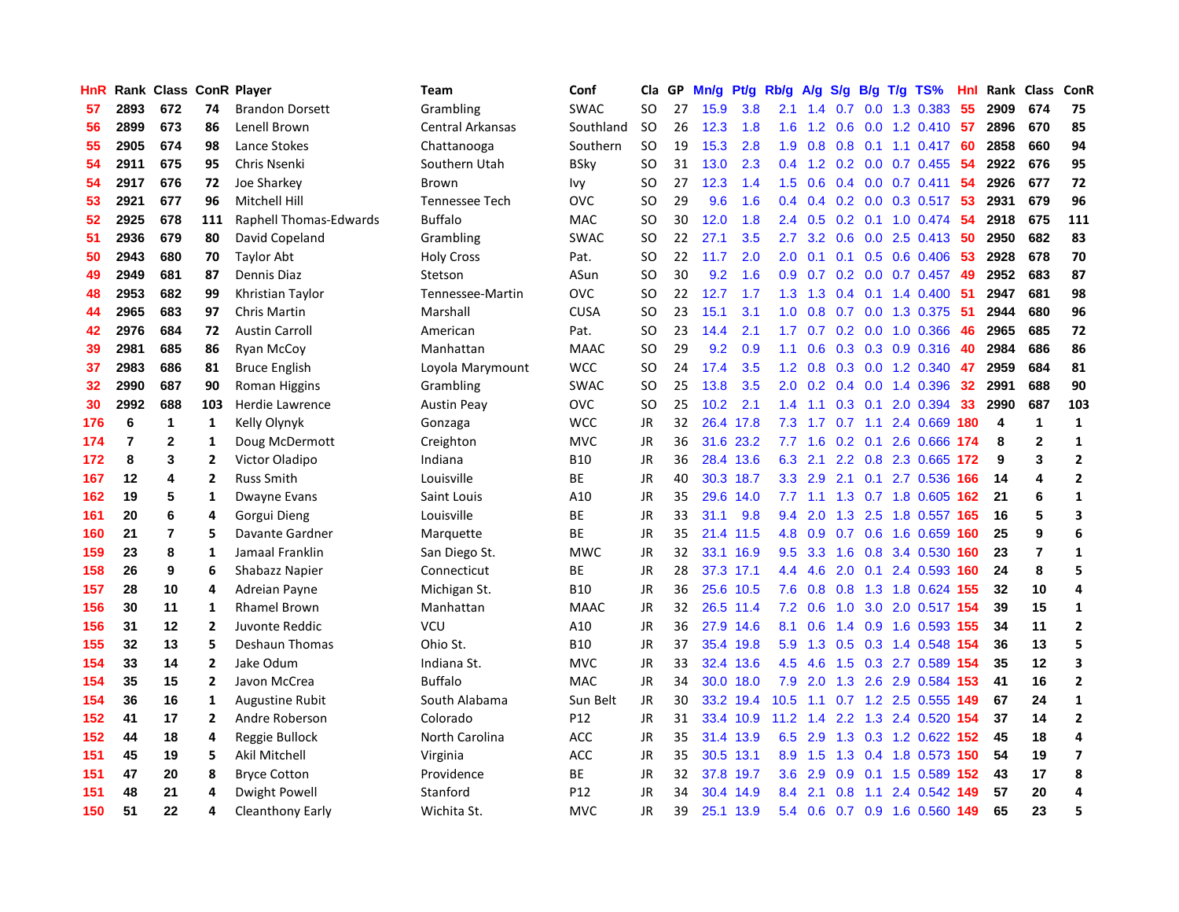| HnR |                | Rank Class ConR Player |                |                        | <b>Team</b>             | Conf        | Cla       | GP | Mn/g | Pt/g      | Rb/g          | A/g             | S/g           |     | $B/g$ T/g TS%                 | Hnl |      | Rank Class     | ConR                    |
|-----|----------------|------------------------|----------------|------------------------|-------------------------|-------------|-----------|----|------|-----------|---------------|-----------------|---------------|-----|-------------------------------|-----|------|----------------|-------------------------|
| 57  | 2893           | 672                    | 74             | <b>Brandon Dorsett</b> | Grambling               | <b>SWAC</b> | <b>SO</b> | 27 | 15.9 | 3.8       | 2.1           | 1.4             | 0.7           | 0.0 | 1.3 0.383                     | 55  | 2909 | 674            | 75                      |
| 56  | 2899           | 673                    | 86             | Lenell Brown           | <b>Central Arkansas</b> | Southland   | <b>SO</b> | 26 | 12.3 | 1.8       | 1.6           | 1.2             | 0.6           |     | 0.0 1.2 0.410 57              |     | 2896 | 670            | 85                      |
| 55  | 2905           | 674                    | 98             | Lance Stokes           | Chattanooga             | Southern    | <b>SO</b> | 19 | 15.3 | 2.8       | 1.9           | 0.8             |               |     | 0.8 0.1 1.1 0.417 60          |     | 2858 | 660            | 94                      |
| 54  | 2911           | 675                    | 95             | Chris Nsenki           | Southern Utah           | BSky        | <b>SO</b> | 31 | 13.0 | 2.3       | 0.4           | 1.2             |               |     | $0.2$ 0.0 0.7 0.455           | -54 | 2922 | 676            | 95                      |
| 54  | 2917           | 676                    | 72             | Joe Sharkey            | Brown                   | Ivy         | <b>SO</b> | 27 | 12.3 | 1.4       | 1.5           | 0.6             |               |     | $0.4$ 0.0 0.7 0.411           | 54  | 2926 | 677            | 72                      |
| 53  | 2921           | 677                    | 96             | <b>Mitchell Hill</b>   | <b>Tennessee Tech</b>   | <b>OVC</b>  | <b>SO</b> | 29 | 9.6  | 1.6       | 0.4           | 0.4             |               |     | $0.2$ 0.0 0.3 0.517           | 53  | 2931 | 679            | 96                      |
| 52  | 2925           | 678                    | 111            | Raphell Thomas-Edwards | <b>Buffalo</b>          | <b>MAC</b>  | SO        | 30 | 12.0 | 1.8       | 2.4           | 0.5             |               |     | $0.2$ 0.1 1.0 0.474           | 54  | 2918 | 675            | 111                     |
| 51  | 2936           | 679                    | 80             | David Copeland         | Grambling               | <b>SWAC</b> | <b>SO</b> | 22 | 27.1 | 3.5       | 2.7           | 3.2             | 0.6           |     | $0.0$ 2.5 0.413               | -50 | 2950 | 682            | 83                      |
| 50  | 2943           | 680                    | 70             | Taylor Abt             | <b>Holy Cross</b>       | Pat.        | <b>SO</b> | 22 | 11.7 | 2.0       | 2.0           | 0.1             |               |     | $0.1$ 0.5 0.6 0.406           | -53 | 2928 | 678            | 70                      |
| 49  | 2949           | 681                    | 87             | Dennis Diaz            | Stetson                 | ASun        | <b>SO</b> | 30 | 9.2  | 1.6       | 0.9           | 0.7             |               |     | $0.2$ 0.0 0.7 0.457           | 49  | 2952 | 683            | 87                      |
| 48  | 2953           | 682                    | 99             | Khristian Taylor       | Tennessee-Martin        | <b>OVC</b>  | SO        | 22 | 12.7 | 1.7       |               | $1.3$ $1.3$     |               |     | 0.4 0.1 1.4 0.400 51          |     | 2947 | 681            | 98                      |
| 44  | 2965           | 683                    | 97             | <b>Chris Martin</b>    | Marshall                | <b>CUSA</b> | <b>SO</b> | 23 | 15.1 | 3.1       | 1.0           | 0.8             |               |     | 0.7 0.0 1.3 0.375 51          |     | 2944 | 680            | 96                      |
| 42  | 2976           | 684                    | 72             | <b>Austin Carroll</b>  | American                | Pat.        | SO        | 23 | 14.4 | 2.1       | $1.7^{\circ}$ | 0.7             |               |     | $0.2$ 0.0 1.0 0.366           | -46 | 2965 | 685            | 72                      |
| 39  | 2981           | 685                    | 86             | Ryan McCoy             | Manhattan               | <b>MAAC</b> | <b>SO</b> | 29 | 9.2  | 0.9       | 1.1           | 0.6             |               |     | $0.3$ $0.3$ $0.9$ $0.316$     | 40  | 2984 | 686            | 86                      |
| 37  | 2983           | 686                    | 81             | <b>Bruce English</b>   | Loyola Marymount        | <b>WCC</b>  | SO        | 24 | 17.4 | 3.5       | 1.2           | 0.8             |               |     | 0.3 0.0 1.2 0.340             | 47  | 2959 | 684            | 81                      |
| 32  | 2990           | 687                    | 90             | Roman Higgins          | Grambling               | <b>SWAC</b> | <b>SO</b> | 25 | 13.8 | 3.5       | 2.0           | 0.2             |               |     | $0.4$ 0.0 1.4 0.396           | 32  | 2991 | 688            | 90                      |
| 30  | 2992           | 688                    | 103            | Herdie Lawrence        | <b>Austin Peay</b>      | <b>OVC</b>  | SO.       | 25 | 10.2 | 2.1       | 1.4           | 1.1             | 0.3           | 0.1 | 2.0 0.394                     | 33  | 2990 | 687            | 103                     |
| 176 | 6              | 1                      | $\mathbf{1}$   | Kelly Olynyk           | Gonzaga                 | <b>WCC</b>  | <b>JR</b> | 32 |      | 26.4 17.8 | 7.3           | 1.7             | 0.7           | 1.1 | 2.4 0.669                     | 180 | 4    | $\mathbf{1}$   | $\mathbf{1}$            |
| 174 | $\overline{7}$ | 2                      | 1              | Doug McDermott         | Creighton               | <b>MVC</b>  | JR        | 36 |      | 31.6 23.2 |               | $7.7$ 1.6       |               |     | 0.2 0.1 2.6 0.666 174         |     | 8    | $\overline{2}$ | 1                       |
| 172 | 8              | 3                      | $\overline{2}$ | Victor Oladipo         | Indiana                 | <b>B10</b>  | JR        | 36 |      | 28.4 13.6 |               |                 |               |     | 6.3 2.1 2.2 0.8 2.3 0.665 172 |     | 9    | 3              | $\overline{2}$          |
| 167 | 12             | 4                      | $\mathbf{2}$   | <b>Russ Smith</b>      | Louisville              | <b>BE</b>   | JR        | 40 |      | 30.3 18.7 |               | $3.3$ $2.9$     |               |     | 2.1 0.1 2.7 0.536 166         |     | 14   | 4              | $\overline{2}$          |
| 162 | 19             | 5                      | 1              | Dwayne Evans           | Saint Louis             | A10         | <b>JR</b> | 35 | 29.6 | 14.0      |               |                 |               |     | 7.7 1.1 1.3 0.7 1.8 0.605 162 |     | 21   | 6              | $\mathbf{1}$            |
| 161 | 20             | 6                      | 4              | Gorgui Dieng           | Louisville              | ВE          | JR        | 33 | 31.1 | 9.8       | 9.4           | 2.0             |               |     | 1.3 2.5 1.8 0.557 165         |     | 16   | 5              | $\overline{\mathbf{3}}$ |
| 160 | 21             | 7                      | 5              | Davante Gardner        | Marquette               | <b>BE</b>   | JR        | 35 | 21.4 | 11.5      |               | 4.8 0.9         |               |     | $0.7$ $0.6$ 1.6 $0.659$       | 160 | 25   | 9              | 6                       |
| 159 | 23             | 8                      | 1              | Jamaal Franklin        | San Diego St.           | <b>MWC</b>  | JR        | 32 | 33.1 | 16.9      | 9.5           | 3.3             | 1.6           |     | 0.8 3.4 0.530                 | 160 | 23   | 7              | 1                       |
| 158 | 26             | 9                      | 6              | Shabazz Napier         | Connecticut             | <b>BE</b>   | JR        | 28 | 37.3 | 17.1      | $4.4^{\circ}$ | 4.6             | 2.0           |     | 0.1 2.4 0.593 160             |     | 24   | 8              | 5                       |
| 157 | 28             | 10                     | 4              | Adreian Payne          | Michigan St.            | <b>B10</b>  | JR        | 36 |      | 25.6 10.5 | 7.6           | 0.8             |               |     | 0.8 1.3 1.8 0.624 155         |     | 32   | 10             | 4                       |
| 156 | 30             | 11                     | 1              | <b>Rhamel Brown</b>    | Manhattan               | <b>MAAC</b> | JR        | 32 |      | 26.5 11.4 |               | $7.2 \quad 0.6$ |               |     | 1.0 3.0 2.0 0.517 154         |     | 39   | 15             | 1                       |
| 156 | 31             | 12                     | $\mathbf{2}$   | Juvonte Reddic         | VCU                     | A10         | JR        | 36 |      | 27.9 14.6 | 8.1           | 0.6             |               |     | 1.4 0.9 1.6 0.593 155         |     | 34   | 11             | $\overline{2}$          |
| 155 | 32             | 13                     | 5              | Deshaun Thomas         | Ohio St.                | <b>B10</b>  | JR        | 37 |      | 35.4 19.8 | 5.9           | 1.3             |               |     | 0.5 0.3 1.4 0.548 154         |     | 36   | 13             | 5                       |
| 154 | 33             | 14                     | $\overline{2}$ | Jake Odum              | Indiana St.             | <b>MVC</b>  | JR        | 33 |      | 32.4 13.6 | 4.5           | 4.6             | 1.5           |     | 0.3 2.7 0.589 154             |     | 35   | 12             | 3                       |
| 154 | 35             | 15                     | $\overline{2}$ | Javon McCrea           | <b>Buffalo</b>          | <b>MAC</b>  | JR        | 34 |      | 30.0 18.0 | 7.9           | 2.0             |               |     | 1.3 2.6 2.9 0.584 153         |     | 41   | 16             | $\overline{2}$          |
| 154 | 36             | 16                     | 1              | <b>Augustine Rubit</b> | South Alabama           | Sun Belt    | JR        | 30 |      | 33.2 19.4 | 10.5          | 1.1             | 0.7           |     | 1.2 2.5 0.555                 | 149 | 67   | 24             | $\mathbf{1}$            |
| 152 | 41             | 17                     | $\mathbf{2}$   | Andre Roberson         | Colorado                | P12         | JR        | 31 |      | 33.4 10.9 | 11.2          | 1.4             | $2.2^{\circ}$ | 1.3 | 2.4 0.520                     | 154 | 37   | 14             | $\overline{2}$          |
| 152 | 44             | 18                     | 4              | Reggie Bullock         | North Carolina          | <b>ACC</b>  | JR        | 35 |      | 31.4 13.9 | 6.5           | 2.9             | 1.3           |     | 0.3 1.2 0.622 152             |     | 45   | 18             | 4                       |
| 151 | 45             | 19                     | 5              | Akil Mitchell          | Virginia                | <b>ACC</b>  | JR        | 35 |      | 30.5 13.1 |               | 8.9 1.5         |               |     | 1.3 0.4 1.8 0.573 150         |     | 54   | 19             | $\overline{\mathbf{z}}$ |
| 151 | 47             | 20                     | 8              | <b>Bryce Cotton</b>    | Providence              | <b>BE</b>   | JR        | 32 |      | 37.8 19.7 | 3.6           | 2.9             |               |     | 0.9 0.1 1.5 0.589 152         |     | 43   | 17             | 8                       |
| 151 | 48             | 21                     | 4              | Dwight Powell          | Stanford                | P12         | JR        | 34 |      | 30.4 14.9 | 8.4           | 2.1             | 0.8           | 1.1 | 2.4 0.542                     | 149 | 57   | 20             | 4                       |
| 150 | 51             | 22                     | 4              | Cleanthony Early       | Wichita St.             | <b>MVC</b>  | <b>JR</b> | 39 |      | 25.1 13.9 | 5.4           | 0.6             |               |     | 0.7 0.9 1.6 0.560             | 149 | 65   | 23             | 5                       |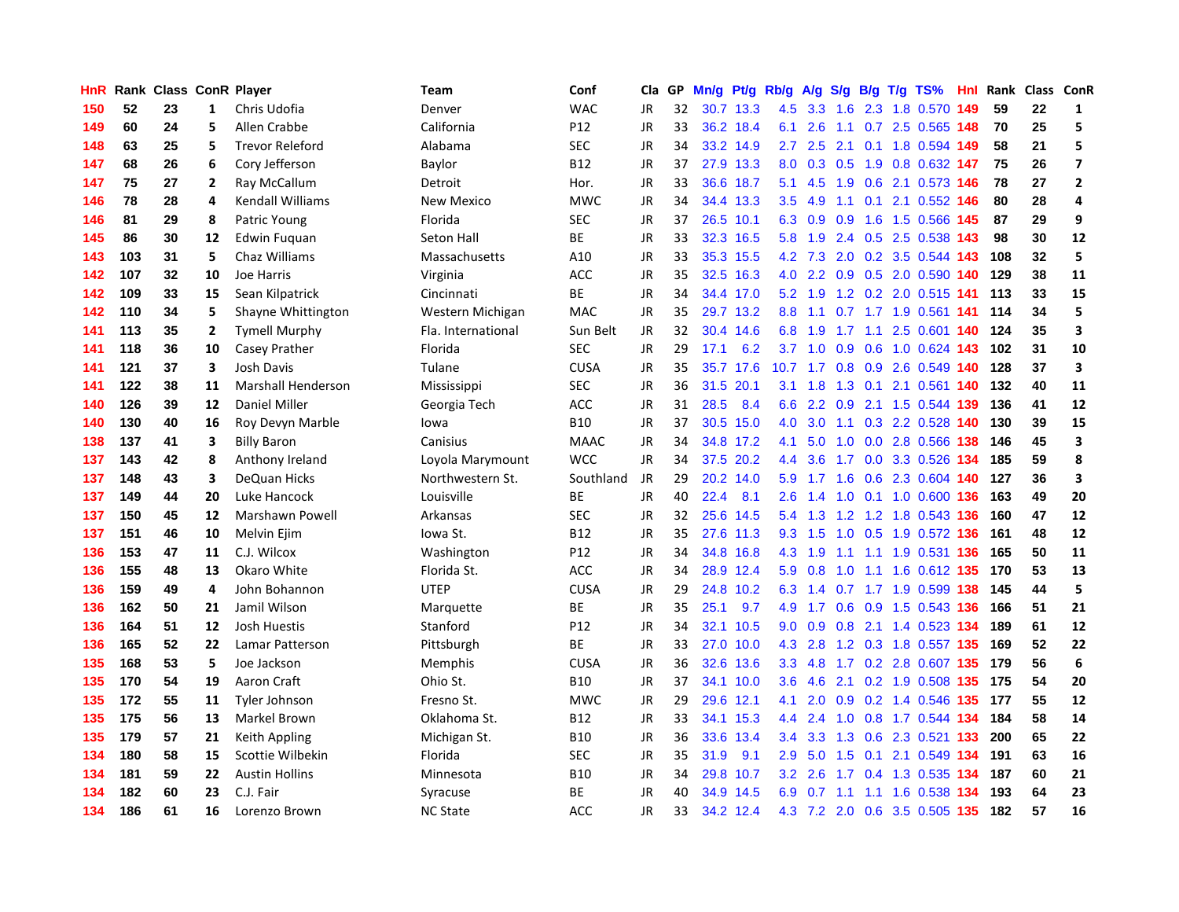| HnR |     | Rank Class ConR Player |              |                           | <b>Team</b>        | Conf        | Cla       | GP | Mn/g |           | Pt/g Rb/g        | A/g    | S/g |     | $B/g$ T/g TS%                 | Hnl | Rank | Class ConR |                         |
|-----|-----|------------------------|--------------|---------------------------|--------------------|-------------|-----------|----|------|-----------|------------------|--------|-----|-----|-------------------------------|-----|------|------------|-------------------------|
| 150 | 52  | 23                     | 1            | Chris Udofia              | Denver             | <b>WAC</b>  | <b>JR</b> | 32 | 30.7 | 13.3      | 4.5              | 3.3    | 1.6 |     | 2.3 1.8 0.570                 | 149 | 59   | 22         | 1                       |
| 149 | 60  | 24                     | 5            | Allen Crabbe              | California         | P12         | JR        | 33 |      | 36.2 18.4 | 6.1              | 2.6    |     |     | 1.1 0.7 2.5 0.565 148         |     | 70   | 25         | 5                       |
| 148 | 63  | 25                     | 5            | <b>Trevor Releford</b>    | Alabama            | SEC         | JR        | 34 |      | 33.2 14.9 | $2.7^{\circ}$    | 2.5    |     |     | 2.1 0.1 1.8 0.594 149         |     | 58   | 21         | 5                       |
| 147 | 68  | 26                     | 6            | Cory Jefferson            | Baylor             | B12         | JR        | 37 |      | 27.9 13.3 | 8.0              | 0.3    |     |     | 0.5 1.9 0.8 0.632 147         |     | 75   | 26         | $\overline{\mathbf{z}}$ |
| 147 | 75  | 27                     | 2            | Ray McCallum              | Detroit            | Hor.        | <b>JR</b> | 33 |      | 36.6 18.7 | 5.1              | 4.5    | 1.9 |     | 0.6 2.1 0.573 146             |     | 78   | 27         | $\overline{2}$          |
| 146 | 78  | 28                     | 4            | Kendall Williams          | <b>New Mexico</b>  | <b>MWC</b>  | JR        | 34 | 34.4 | 13.3      | 3.5              | 4.9    | 1.1 | 0.1 | 2.1 0.552 146                 |     | 80   | 28         | 4                       |
| 146 | 81  | 29                     | 8            | Patric Young              | Florida            | <b>SEC</b>  | JR        | 37 | 26.5 | 10.1      | 6.3              | 0.9    | 0.9 |     | 1.6 1.5 0.566                 | 145 | 87   | 29         | 9                       |
| 145 | 86  | 30                     | 12           | Edwin Fuquan              | Seton Hall         | <b>BE</b>   | JR        | 33 | 32.3 | 16.5      | 5.8              | 1.9    |     |     | 2.4 0.5 2.5 0.538             | 143 | 98   | 30         | 12                      |
| 143 | 103 | 31                     | 5            | Chaz Williams             | Massachusetts      | A10         | JR        | 33 | 35.3 | 15.5      | 4.2              | 7.3    | 2.0 |     | 0.2 3.5 0.544 143             |     | 108  | 32         | 5                       |
| 142 | 107 | 32                     | 10           | Joe Harris                | Virginia           | ACC         | JR        | 35 |      | 32.5 16.3 | 4.0              | 2.2    |     |     | 0.9 0.5 2.0 0.590 140         |     | 129  | 38         | 11                      |
| 142 | 109 | 33                     | 15           | Sean Kilpatrick           | Cincinnati         | ВE          | JR        | 34 |      | 34.4 17.0 |                  |        |     |     | 5.2 1.9 1.2 0.2 2.0 0.515 141 |     | 113  | 33         | 15                      |
| 142 | 110 | 34                     | 5            | Shayne Whittington        | Western Michigan   | <b>MAC</b>  | <b>JR</b> | 35 |      | 29.7 13.2 | 8.8              | $-1.1$ |     |     | 0.7 1.7 1.9 0.561 141         |     | 114  | 34         | 5                       |
| 141 | 113 | 35                     | $\mathbf{2}$ | <b>Tymell Murphy</b>      | Fla. International | Sun Belt    | JR        | 32 |      | 30.4 14.6 | 6.8              | 1.9    |     |     | 1.7 1.1 2.5 0.601 140         |     | 124  | 35         | $\overline{\mathbf{3}}$ |
| 141 | 118 | 36                     | 10           | Casey Prather             | Florida            | <b>SEC</b>  | JR        | 29 | 17.1 | 6.2       | 3.7              | 1.0    | 0.9 |     | 0.6 1.0 0.624 143             |     | 102  | 31         | 10                      |
| 141 | 121 | 37                     | 3            | Josh Davis                | Tulane             | <b>CUSA</b> | <b>JR</b> | 35 | 35.7 | 17.6      | 10.7             | 1.7    |     |     | 0.8 0.9 2.6 0.549 140         |     | 128  | 37         | $\overline{\mathbf{3}}$ |
| 141 | 122 | 38                     | 11           | <b>Marshall Henderson</b> | Mississippi        | <b>SEC</b>  | JR        | 36 | 31.5 | 20.1      | 3.1              | 1.8    | 1.3 | 0.1 | 2.1 0.561 140                 |     | 132  | 40         | 11                      |
| 140 | 126 | 39                     | 12           | Daniel Miller             | Georgia Tech       | ACC         | <b>JR</b> | 31 | 28.5 | 8.4       | 6.6              | 2.2    | 0.9 |     | 2.1 1.5 0.544 139             |     | 136  | 41         | 12                      |
| 140 | 130 | 40                     | 16           | Roy Devyn Marble          | lowa               | <b>B10</b>  | JR        | 37 | 30.5 | 15.0      | 4.0              | 3.0    |     |     | 1.1 0.3 2.2 0.528 140         |     | 130  | 39         | 15                      |
| 138 | 137 | 41                     | 3            | <b>Billy Baron</b>        | Canisius           | <b>MAAC</b> | JR        | 34 |      | 34.8 17.2 | 4.1              | 5.0    |     |     | 1.0 0.0 2.8 0.566 138         |     | 146  | 45         | $\mathbf 3$             |
| 137 | 143 | 42                     | 8            | Anthony Ireland           | Loyola Marymount   | <b>WCC</b>  | <b>JR</b> | 34 |      | 37.5 20.2 | $4.4^{\circ}$    | 3.6    |     |     | 1.7 0.0 3.3 0.526 134         |     | 185  | 59         | 8                       |
| 137 | 148 | 43                     | 3            | DeQuan Hicks              | Northwestern St.   | Southland   | <b>JR</b> | 29 | 20.2 | 14.0      | 5.9              |        |     |     | 1.7 1.6 0.6 2.3 0.604 140     |     | 127  | 36         | 3                       |
| 137 | 149 | 44                     | 20           | Luke Hancock              | Louisville         | BE          | <b>JR</b> | 40 | 22.4 | 8.1       | 2.6              | 1.4    | 1.0 |     | 0.1 1.0 0.600 136             |     | 163  | 49         | 20                      |
| 137 | 150 | 45                     | 12           | Marshawn Powell           | Arkansas           | <b>SEC</b>  | JR        | 32 | 25.6 | 14.5      | 5.4              | 1.3    |     |     | 1.2 1.2 1.8 0.543 136         |     | 160  | 47         | 12                      |
| 137 | 151 | 46                     | 10           | Melvin Ejim               | lowa St.           | <b>B12</b>  | JR        | 35 | 27.6 | 11.3      | 9.3              | 1.5    |     |     | 1.0 0.5 1.9 0.572 136         |     | 161  | 48         | 12                      |
| 136 | 153 | 47                     | 11           | C.J. Wilcox               | Washington         | P12         | <b>JR</b> | 34 | 34.8 | 16.8      | 4.3              | 1.9    |     |     | 1.1 1.1 1.9 0.531 136         |     | 165  | 50         | 11                      |
| 136 | 155 | 48                     | 13           | Okaro White               | Florida St.        | ACC         | JR        | 34 |      | 28.9 12.4 | 5.9              | 0.8    | 1.0 |     | 1.1 1.6 0.612 135             |     | 170  | 53         | 13                      |
| 136 | 159 | 49                     | 4            | John Bohannon             | <b>UTEP</b>        | <b>CUSA</b> | JR        | 29 | 24.8 | 10.2      | 6.3              | 1.4    |     |     | 0.7 1.7 1.9 0.599 138         |     | 145  | 44         | 5                       |
| 136 | 162 | 50                     | 21           | Jamil Wilson              | Marquette          | <b>BE</b>   | JR        | 35 | 25.1 | 9.7       | 4.9              |        |     |     | 1.7 0.6 0.9 1.5 0.543 136     |     | 166  | 51         | 21                      |
| 136 | 164 | 51                     | 12           | Josh Huestis              | Stanford           | P12         | <b>JR</b> | 34 | 32.1 | 10.5      | 9.0              | 0.9    |     |     | 0.8 2.1 1.4 0.523 134         |     | 189  | 61         | 12                      |
| 136 | 165 | 52                     | 22           | Lamar Patterson           | Pittsburgh         | ВE          | JR        | 33 | 27.0 | 10.0      | 4.3              | 2.8    |     |     | 1.2 0.3 1.8 0.557 135         |     | 169  | 52         | 22                      |
| 135 | 168 | 53                     | 5            | Joe Jackson               | Memphis            | <b>CUSA</b> | JR        | 36 | 32.6 | 13.6      | 3.3 <sub>2</sub> | 4.8    |     |     | 1.7 0.2 2.8 0.607 135         |     | 179  | 56         | $6\phantom{a}$          |
| 135 | 170 | 54                     | 19           | Aaron Craft               | Ohio St.           | <b>B10</b>  | JR        | 37 | 34.1 | 10.0      | 3.6              | 4.6    |     |     | 2.1 0.2 1.9 0.508 135         |     | 175  | 54         | 20                      |
| 135 | 172 | 55                     | 11           | Tyler Johnson             | Fresno St.         | <b>MWC</b>  | JR        | 29 | 29.6 | 12.1      | 4.1              | 2.0    | 0.9 |     | 0.2 1.4 0.546                 | 135 | 177  | 55         | 12                      |
| 135 | 175 | 56                     | 13           | Markel Brown              | Oklahoma St.       | B12         | JR        | 33 | 34.1 | 15.3      | $4.4^{\circ}$    | 2.4    | 1.0 |     | 0.8 1.7 0.544 134             |     | 184  | 58         | 14                      |
| 135 | 179 | 57                     | 21           | Keith Appling             | Michigan St.       | <b>B10</b>  | JR        | 36 | 33.6 | 13.4      | $3.4^{\circ}$    | 3.3    | 1.3 |     | 0.6 2.3 0.521 133             |     | 200  | 65         | 22                      |
| 134 | 180 | 58                     | 15           | Scottie Wilbekin          | Florida            | <b>SEC</b>  | <b>JR</b> | 35 | 31.9 | 9.1       | 2.9              | 5.0    |     |     | 1.5 0.1 2.1 0.549 134         |     | 191  | 63         | 16                      |
| 134 | 181 | 59                     | 22           | <b>Austin Hollins</b>     | Minnesota          | <b>B10</b>  | JR        | 34 |      | 29.8 10.7 | 3.2 <sub>2</sub> | 2.6    |     |     | 1.7 0.4 1.3 0.535 134         |     | 187  | 60         | 21                      |
| 134 | 182 | 60                     | 23           | C.J. Fair                 | Syracuse           | BE          | JR        | 40 |      | 34.9 14.5 |                  |        |     |     | 6.9 0.7 1.1 1.1 1.6 0.538 134 |     | 193  | 64         | 23                      |
| 134 | 186 | 61                     | 16           | Lorenzo Brown             | <b>NC State</b>    | ACC         | <b>JR</b> | 33 |      | 34.2 12.4 |                  |        |     |     | 4.3 7.2 2.0 0.6 3.5 0.505 135 |     | 182  | 57         | 16                      |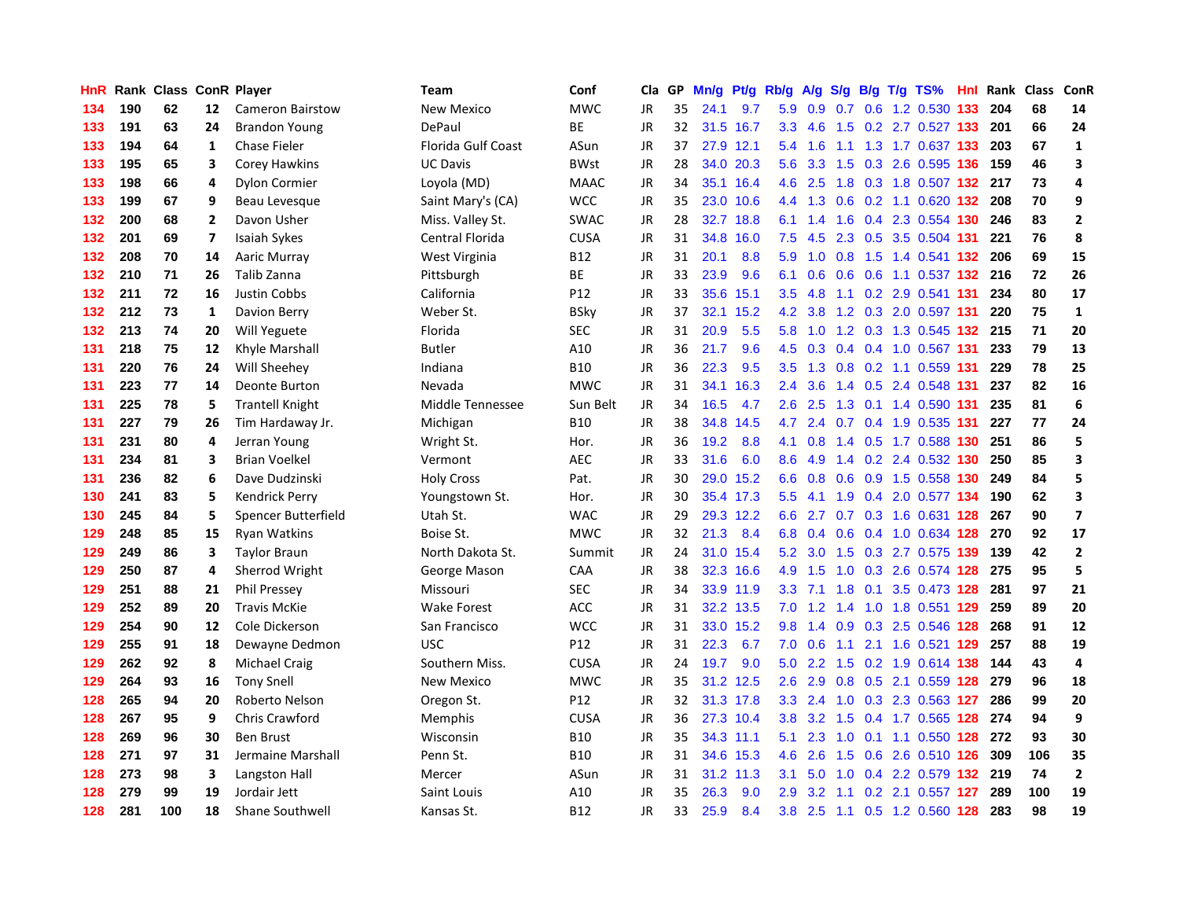| HnR |     | Rank Class ConR Player |                |                         | Team               | Conf            | Cla       | GP. | Mn/g |           | Pt/g Rb/g        | A/g |     |  | $S/g$ B/g T/g TS%             | Hnl | Rank | <b>Class</b> | ConR                    |
|-----|-----|------------------------|----------------|-------------------------|--------------------|-----------------|-----------|-----|------|-----------|------------------|-----|-----|--|-------------------------------|-----|------|--------------|-------------------------|
| 134 | 190 | 62                     | 12             | <b>Cameron Bairstow</b> | New Mexico         | <b>MWC</b>      | JR        | 35  | 24.1 | 9.7       | 5.9              | 0.9 | 0.7 |  | 0.6 1.2 0.530                 | 133 | 204  | 68           | 14                      |
| 133 | 191 | 63                     | 24             | <b>Brandon Young</b>    | DePaul             | <b>BE</b>       | JR        | 32  |      | 31.5 16.7 | 3.3 <sub>2</sub> | 4.6 |     |  | 1.5 0.2 2.7 0.527 133         |     | 201  | 66           | 24                      |
| 133 | 194 | 64                     | 1              | <b>Chase Fieler</b>     | Florida Gulf Coast | ASun            | JR        | 37  |      | 27.9 12.1 | 5.4              | 1.6 |     |  | 1.1 1.3 1.7 0.637 133         |     | 203  | 67           | $\mathbf{1}$            |
| 133 | 195 | 65                     | 3              | <b>Corey Hawkins</b>    | UC Davis           | <b>BWst</b>     | JR        | 28  |      | 34.0 20.3 | 5.6              |     |     |  | 3.3 1.5 0.3 2.6 0.595 136     |     | 159  | 46           | $\overline{\mathbf{3}}$ |
| 133 | 198 | 66                     | 4              | <b>Dylon Cormier</b>    | Loyola (MD)        | <b>MAAC</b>     | <b>JR</b> | 34  | 35.1 | 16.4      | 4.6              | 2.5 | 1.8 |  | 0.3 1.8 0.507 132 217         |     |      | 73           | 4                       |
| 133 | 199 | 67                     | 9              | Beau Levesque           | Saint Mary's (CA)  | <b>WCC</b>      | JR        | 35  | 23.0 | 10.6      | $4.4^{\circ}$    | 1.3 |     |  | $0.6$ 0.2 1.1 0.620 132       |     | 208  | 70           | 9                       |
| 132 | 200 | 68                     | $\overline{2}$ | Davon Usher             | Miss. Valley St.   | <b>SWAC</b>     | JR        | 28  | 32.7 | 18.8      | 6.1              | 1.4 |     |  | 1.6 0.4 2.3 0.554 130         |     | 246  | 83           | $\overline{2}$          |
| 132 | 201 | 69                     | $\overline{7}$ | <b>Isaiah Sykes</b>     | Central Florida    | <b>CUSA</b>     | JR        | 31  | 34.8 | 16.0      | 7.5              | 4.5 |     |  | 2.3 0.5 3.5 0.504 131         |     | 221  | 76           | 8                       |
| 132 | 208 | 70                     | 14             | Aaric Murray            | West Virginia      | <b>B12</b>      | JR        | 31  | 20.1 | 8.8       | 5.9              | 1.0 | 0.8 |  | 1.5 1.4 0.541 <b>132</b>      |     | 206  | 69           | 15                      |
| 132 | 210 | 71                     | 26             | Talib Zanna             | Pittsburgh         | <b>BE</b>       | JR        | 33  | 23.9 | 9.6       | 6.1              | 0.6 |     |  | 0.6 0.6 1.1 0.537 132 216     |     |      | 72           | 26                      |
| 132 | 211 | 72                     | 16             | <b>Justin Cobbs</b>     | California         | P <sub>12</sub> | JR        | 33  | 35.6 | 15.1      | 3.5              | 4.8 |     |  | 1.1 0.2 2.9 0.541 131         |     | 234  | 80           | 17                      |
| 132 | 212 | 73                     | 1              | Davion Berry            | Weber St.          | <b>BSky</b>     | JR        | 37  | 32.1 | 15.2      | 4.2              | 3.8 |     |  | 1.2 0.3 2.0 0.597 131         |     | 220  | 75           | $\mathbf{1}$            |
| 132 | 213 | 74                     | 20             | Will Yeguete            | Florida            | <b>SEC</b>      | <b>JR</b> | 31  | 20.9 | 5.5       | 5.8              | 1.0 |     |  | 1.2 0.3 1.3 0.545 132 215     |     |      | 71           | 20                      |
| 131 | 218 | 75                     | 12             | Khyle Marshall          | <b>Butler</b>      | A10             | JR        | 36  | 21.7 | 9.6       | 4.5              | 0.3 |     |  | 0.4 0.4 1.0 0.567 131         |     | 233  | 79           | 13                      |
| 131 | 220 | 76                     | 24             | Will Sheehey            | Indiana            | <b>B10</b>      | <b>JR</b> | 36  | 22.3 | 9.5       | 3.5              | 1.3 |     |  | 0.8 0.2 1.1 0.559 131         |     | 229  | 78           | 25                      |
| 131 | 223 | 77                     | 14             | Deonte Burton           | Nevada             | <b>MWC</b>      | JR        | 31  | 34.1 | 16.3      | 2.4              | 3.6 |     |  | 1.4 0.5 2.4 0.548 131         |     | 237  | 82           | 16                      |
| 131 | 225 | 78                     | 5              | <b>Trantell Knight</b>  | Middle Tennessee   | Sun Belt        | <b>JR</b> | 34  | 16.5 | 4.7       | 2.6              | 2.5 | 1.3 |  | 0.1 1.4 0.590 131             |     | 235  | 81           | $\boldsymbol{6}$        |
| 131 | 227 | 79                     | 26             | Tim Hardaway Jr.        | Michigan           | <b>B10</b>      | <b>JR</b> | 38  | 34.8 | 14.5      | 4.7              | 2.4 |     |  | 0.7 0.4 1.9 0.535 131         |     | 227  | 77           | 24                      |
| 131 | 231 | 80                     | 4              | Jerran Young            | Wright St.         | Hor.            | JR        | 36  | 19.2 | 8.8       | 4.1              | 0.8 |     |  | 1.4 0.5 1.7 0.588 130 251     |     |      | 86           | 5                       |
| 131 | 234 | 81                     | 3              | <b>Brian Voelkel</b>    | Vermont            | <b>AEC</b>      | JR        | 33  | 31.6 | 6.0       | 8.6              | 4.9 |     |  | 1.4 0.2 2.4 0.532 130         |     | 250  | 85           | 3                       |
| 131 | 236 | 82                     | 6              | Dave Dudzinski          | <b>Holy Cross</b>  | Pat.            | JR        | 30  |      | 29.0 15.2 | 6.6              | 0.8 |     |  | 0.6 0.9 1.5 0.558 130 249     |     |      | 84           | 5                       |
| 130 | 241 | 83                     | 5              | Kendrick Perry          | Youngstown St.     | Hor.            | <b>JR</b> | 30  |      | 35.4 17.3 | 5.5              | 4.1 | 1.9 |  | 0.4 2.0 0.577 134             |     | 190  | 62           | 3                       |
| 130 | 245 | 84                     | 5              | Spencer Butterfield     | Utah St.           | <b>WAC</b>      | JR        | 29  |      | 29.3 12.2 | 6.6              | 2.7 |     |  | 0.7 0.3 1.6 0.631 128         |     | 267  | 90           | $\overline{\mathbf{z}}$ |
| 129 | 248 | 85                     | 15             | <b>Ryan Watkins</b>     | Boise St.          | <b>MWC</b>      | JR        | 32  | 21.3 | 8.4       | 6.8              | 0.4 | 0.6 |  | 0.4 1.0 0.634 128             |     | 270  | 92           | 17                      |
| 129 | 249 | 86                     | 3              | <b>Taylor Braun</b>     | North Dakota St.   | Summit          | JR        | 24  | 31.0 | 15.4      | 5.2              | 3.0 | 1.5 |  | 0.3 2.7 0.575 139             |     | 139  | 42           | $\overline{2}$          |
| 129 | 250 | 87                     | 4              | Sherrod Wright          | George Mason       | CAA             | <b>JR</b> | 38  | 32.3 | 16.6      | 4.9              | 1.5 | 1.0 |  | 0.3 2.6 0.574 128             |     | 275  | 95           | 5                       |
| 129 | 251 | 88                     | 21             | <b>Phil Pressey</b>     | Missouri           | SEC             | JR        | 34  |      | 33.9 11.9 | 3.3 <sub>2</sub> | 7.1 |     |  | 1.8 0.1 3.5 0.473 128         |     | 281  | 97           | 21                      |
| 129 | 252 | 89                     | 20             | <b>Travis McKie</b>     | Wake Forest        | <b>ACC</b>      | JR        | 31  |      | 32.2 13.5 |                  |     |     |  | 7.0 1.2 1.4 1.0 1.8 0.551 129 |     | 259  | 89           | 20                      |
| 129 | 254 | 90                     | 12             | Cole Dickerson          | San Francisco      | <b>WCC</b>      | JR        | 31  | 33.0 | 15.2      | 9.8              | 1.4 |     |  | 0.9 0.3 2.5 0.546 128 268     |     |      | 91           | 12                      |
| 129 | 255 | 91                     | 18             | Dewayne Dedmon          | <b>USC</b>         | P <sub>12</sub> | JR        | 31  | 22.3 | 6.7       | 7.0              | 0.6 | 1.1 |  | 2.1 1.6 0.521 129             |     | 257  | 88           | 19                      |
| 129 | 262 | 92                     | 8              | <b>Michael Craig</b>    | Southern Miss.     | <b>CUSA</b>     | JR        | 24  | 19.7 | 9.0       | 5.0              | 2.2 | 1.5 |  | 0.2 1.9 0.614 138             |     | 144  | 43           | $\overline{a}$          |
| 129 | 264 | 93                     | 16             | <b>Tony Snell</b>       | New Mexico         | <b>MWC</b>      | JR        | 35  | 31.2 | 12.5      | 2.6              | 2.9 |     |  | 0.8 0.5 2.1 0.559 128         |     | 279  | 96           | 18                      |
| 128 | 265 | 94                     | 20             | Roberto Nelson          | Oregon St.         | P12             | JR        | 32  |      | 31.3 17.8 | 3.3 <sub>2</sub> | 2.4 | 1.0 |  | 0.3 2.3 0.563 127             |     | 286  | 99           | 20                      |
| 128 | 267 | 95                     | 9              | <b>Chris Crawford</b>   | <b>Memphis</b>     | <b>CUSA</b>     | JR        | 36  |      | 27.3 10.4 | 3.8              | 3.2 | 1.5 |  | 0.4 1.7 0.565 128             |     | 274  | 94           | 9                       |
| 128 | 269 | 96                     | 30             | <b>Ben Brust</b>        | Wisconsin          | <b>B10</b>      | JR        | 35  |      | 34.3 11.1 | 5.1              | 2.3 | 1.0 |  | 0.1 1.1 0.550 128 272         |     |      | 93           | 30                      |
| 128 | 271 | 97                     | 31             | Jermaine Marshall       | Penn St.           | <b>B10</b>      | JR        | 31  |      | 34.6 15.3 | 4.6              | 2.6 |     |  | 1.5 0.6 2.6 0.510 126         |     | 309  | 106          | 35                      |
| 128 | 273 | 98                     | 3              | Langston Hall           | Mercer             | ASun            | JR        | 31  | 31.2 | 11.3      | 3.1              | 5.0 |     |  | 1.0 0.4 2.2 0.579 132 219     |     |      | 74           | $\overline{2}$          |
| 128 | 279 | 99                     | 19             | Jordair Jett            | Saint Louis        | A10             | JR        | 35  | 26.3 | 9.0       | 2.9 <sup>°</sup> | 3.2 |     |  | 1.1 0.2 2.1 0.557 127         |     | 289  | 100          | 19                      |
| 128 | 281 | 100                    | 18             | <b>Shane Southwell</b>  | Kansas St.         | <b>B12</b>      | <b>JR</b> | 33  | 25.9 | 8.4       | 3.8              |     |     |  | 2.5 1.1 0.5 1.2 0.560 128     |     | 283  | 98           | 19                      |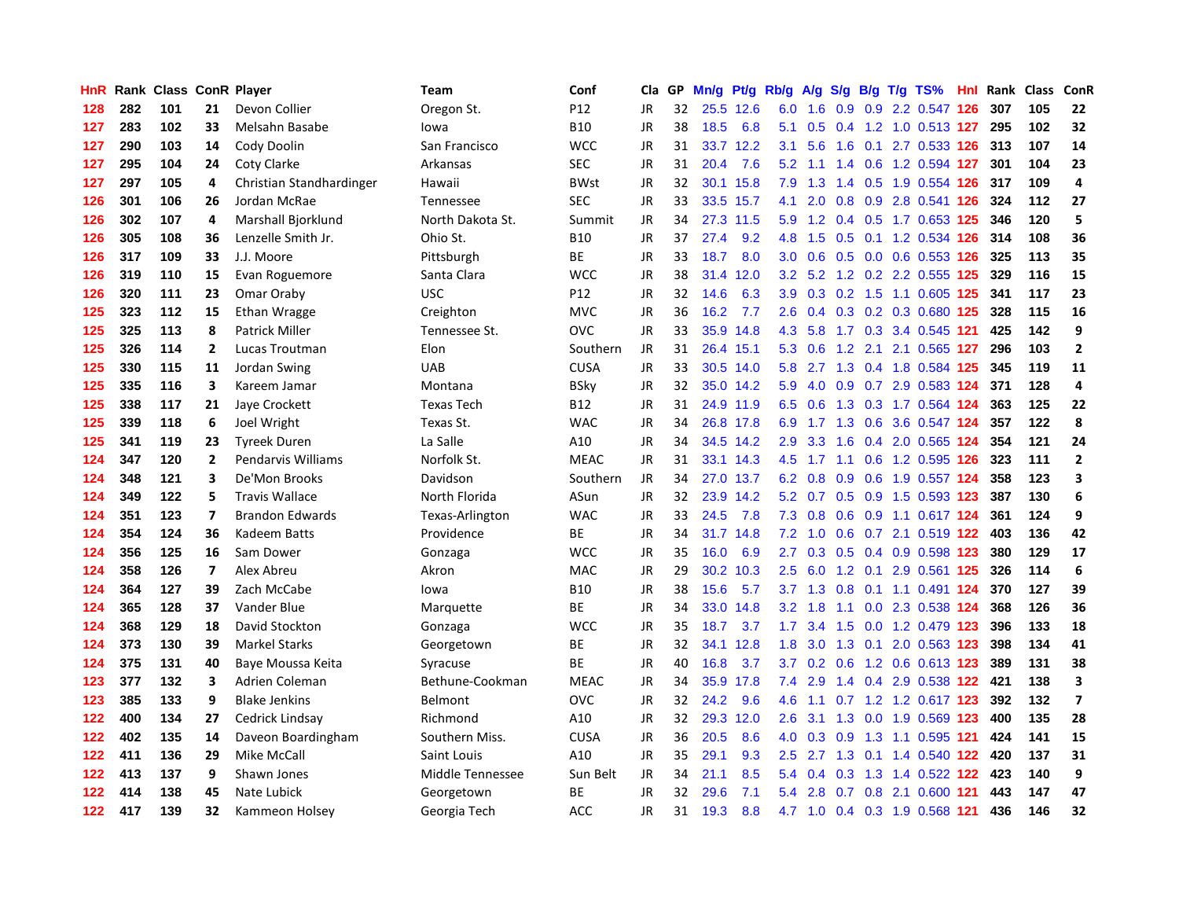| HnR | Rank | <b>Class</b> |                | <b>ConR Player</b>       | Team              | Conf        | Cla       | <b>GP</b> | Mn/g | <b>Pt/g</b> | Rb/g             | A/g             |                  |     | S/g B/g T/g TS%           | Hnl | Rank | Class | ConR           |
|-----|------|--------------|----------------|--------------------------|-------------------|-------------|-----------|-----------|------|-------------|------------------|-----------------|------------------|-----|---------------------------|-----|------|-------|----------------|
| 128 | 282  | 101          | 21             | Devon Collier            | Oregon St.        | P12         | JR        | 32        |      | 25.5 12.6   | 6.0              | 1.6             | 0.9              |     | 0.9 2.2 0.547 126         |     | 307  | 105   | 22             |
| 127 | 283  | 102          | 33             | Melsahn Basabe           | lowa              | <b>B10</b>  | JR        | 38        | 18.5 | 6.8         | 5.1              | 0.5             |                  |     | 0.4 1.2 1.0 0.513 127     |     | 295  | 102   | 32             |
| 127 | 290  | 103          | 14             | Cody Doolin              | San Francisco     | <b>WCC</b>  | JR        | 31        |      | 33.7 12.2   | 3.1              | 5.6             | 1.6              |     | 0.1 2.7 0.533 126         |     | -313 | 107   | 14             |
| 127 | 295  | 104          | 24             | Coty Clarke              | Arkansas          | <b>SEC</b>  | JR        | 31        | 20.4 | 7.6         | 5.2              | 1.1             |                  |     | 1.4 0.6 1.2 0.594 127     |     | 301  | 104   | 23             |
| 127 | 297  | 105          | 4              | Christian Standhardinger | Hawaii            | <b>BWst</b> | JR        | 32        | 30.1 | 15.8        | 7.9              | 1.3             | $1.4^{\circ}$    |     | 0.5 1.9 0.554 126         |     | 317  | 109   | $\overline{a}$ |
| 126 | 301  | 106          | 26             | Jordan McRae             | Tennessee         | <b>SEC</b>  | JR        | 33        | 33.5 | 15.7        | 4.1              | 2.0             |                  |     | 0.8 0.9 2.8 0.541 126     |     | 324  | 112   | 27             |
| 126 | 302  | 107          | 4              | Marshall Bjorklund       | North Dakota St.  | Summit      | <b>JR</b> | 34        | 27.3 | 11.5        | 5.9              | 1.2             |                  |     | 0.4 0.5 1.7 0.653 125     |     | 346  | 120   | 5              |
| 126 | 305  | 108          | 36             | Lenzelle Smith Jr.       | Ohio St.          | <b>B10</b>  | <b>JR</b> | 37        | 27.4 | 9.2         | 4.8              | 1.5             | 0.5              |     | 0.1 1.2 0.534 126         |     | 314  | 108   | 36             |
| 126 | 317  | 109          | 33             | J.J. Moore               | Pittsburgh        | <b>BE</b>   | <b>JR</b> | 33        | 18.7 | 8.0         | 3.0 <sub>2</sub> | 0.6             | 0.5              |     | 0.0 0.6 0.553 126         |     | 325  | 113   | 35             |
| 126 | 319  | 110          | 15             | Evan Roguemore           | Santa Clara       | <b>WCC</b>  | JR        | 38        | 31.4 | 12.0        | 3.2              |                 |                  |     | 5.2 1.2 0.2 2.2 0.555 125 |     | 329  | 116   | 15             |
| 126 | 320  | 111          | 23             | Omar Oraby               | <b>USC</b>        | P12         | JR        | 32        | 14.6 | 6.3         | 3.9              |                 |                  |     | 0.3 0.2 1.5 1.1 0.605 125 |     | 341  | 117   | 23             |
| 125 | 323  | 112          | 15             | Ethan Wragge             | Creighton         | <b>MVC</b>  | JR        | 36        | 16.2 | 7.7         | 2.6              | 0.4             |                  |     | 0.3 0.2 0.3 0.680 125     |     | 328  | 115   | 16             |
| 125 | 325  | 113          | 8              | <b>Patrick Miller</b>    | Tennessee St.     | OVC         | <b>JR</b> | 33        | 35.9 | 14.8        | 4.3              | 5.8             |                  |     | 1.7 0.3 3.4 0.545 121     |     | 425  | 142   | 9              |
| 125 | 326  | 114          | $\overline{2}$ | Lucas Troutman           | Elon              | Southern    | JR        | 31        | 26.4 | 15.1        | 5.3              | 0.6             |                  |     | 1.2 2.1 2.1 0.565 127     |     | 296  | 103   | $\overline{2}$ |
| 125 | 330  | 115          | 11             | Jordan Swing             | <b>UAB</b>        | <b>CUSA</b> | <b>JR</b> | 33        | 30.5 | 14.0        | 5.8              | 2.7             |                  |     | 1.3 0.4 1.8 0.584 125     |     | 345  | 119   | 11             |
| 125 | 335  | 116          | 3              | Kareem Jamar             | Montana           | <b>BSky</b> | JR        | 32        |      | 35.0 14.2   | 5.9              | 4.0             | 0.9 <sup>°</sup> |     | 0.7 2.9 0.583 124         |     | 371  | 128   | $\overline{a}$ |
| 125 | 338  | 117          | 21             | Jaye Crockett            | <b>Texas Tech</b> | <b>B12</b>  | JR        | 31        |      | 24.9 11.9   | 6.5              | 0.6             | 1.3              |     | 0.3 1.7 0.564 124         |     | 363  | 125   | 22             |
| 125 | 339  | 118          | 6              | Joel Wright              | Texas St.         | <b>WAC</b>  | JR        | 34        |      | 26.8 17.8   | 6.9              | 1.7             | 1.3              |     | 0.6 3.6 0.547 124         |     | 357  | 122   | 8              |
| 125 | 341  | 119          | 23             | <b>Tyreek Duren</b>      | La Salle          | A10         | JR        | 34        |      | 34.5 14.2   | 2.9              |                 |                  |     | 3.3 1.6 0.4 2.0 0.565 124 |     | 354  | 121   | 24             |
| 124 | 347  | 120          | $\overline{2}$ | Pendarvis Williams       | Norfolk St.       | <b>MEAC</b> | JR        | 31        |      | 33.1 14.3   | 4.5              |                 |                  |     | 1.7 1.1 0.6 1.2 0.595 126 |     | 323  | 111   | $\overline{2}$ |
| 124 | 348  | 121          | 3              | De'Mon Brooks            | Davidson          | Southern    | JR        | 34        | 27.0 | 13.7        | 6.2              | 0.8             | 0.9 <sup>°</sup> |     | 0.6 1.9 0.557 124         |     | 358  | 123   | 3              |
| 124 | 349  | 122          | 5              | <b>Travis Wallace</b>    | North Florida     | ASun        | JR        | 32        | 23.9 | 14.2        | 5.2              | 0.7             | 0.5              |     | 0.9 1.5 0.593 123         |     | 387  | 130   | 6              |
| 124 | 351  | 123          | $\overline{7}$ | <b>Brandon Edwards</b>   | Texas-Arlington   | <b>WAC</b>  | JR        | 33        | 24.5 | 7.8         | 7.3              | 0.8             | 0.6              |     | 0.9 1.1 0.617 124         |     | 361  | 124   | 9              |
| 124 | 354  | 124          | 36             | Kadeem Batts             | Providence        | <b>BE</b>   | JR        | 34        | 31.7 | 14.8        | 7.2              | 1.0             | 0.6              |     | 0.7 2.1 0.519 122         |     | 403  | 136   | 42             |
| 124 | 356  | 125          | 16             | Sam Dower                | Gonzaga           | <b>WCC</b>  | JR        | 35        | 16.0 | 6.9         | $2.7^{\circ}$    | 0.3             | 0.5              |     | 0.4 0.9 0.598 123         |     | 380  | 129   | 17             |
| 124 | 358  | 126          | $\overline{7}$ | Alex Abreu               | Akron             | <b>MAC</b>  | <b>JR</b> | 29        | 30.2 | 10.3        | 2.5              | 6.0             | 1.2              | 0.1 | 2.9 0.561 125             |     | 326  | 114   | 6              |
| 124 | 364  | 127          | 39             | Zach McCabe              | lowa              | <b>B10</b>  | JR        | 38        | 15.6 | 5.7         |                  | $3.7 \quad 1.3$ |                  |     | 0.8 0.1 1.1 0.491 124     |     | 370  | 127   | 39             |
| 124 | 365  | 128          | 37             | Vander Blue              | Marquette         | <b>BE</b>   | <b>JR</b> | 34        | 33.0 | 14.8        | 3.2              | 1.8             |                  |     | 1.1 0.0 2.3 0.538 124     |     | 368  | 126   | 36             |
| 124 | 368  | 129          | 18             | David Stockton           | Gonzaga           | <b>WCC</b>  | JR        | 35        | 18.7 | 3.7         | 1.7 <sub>z</sub> |                 |                  |     | 3.4 1.5 0.0 1.2 0.479 123 |     | 396  | 133   | 18             |
| 124 | 373  | 130          | 39             | <b>Markel Starks</b>     | Georgetown        | BE          | <b>JR</b> | 32        | 34.1 | 12.8        | 1.8              | 3.0             | 1.3              |     | 0.1 2.0 0.563 123         |     | 398  | 134   | 41             |
| 124 | 375  | 131          | 40             | Baye Moussa Keita        | Syracuse          | <b>BE</b>   | JR        | 40        | 16.8 | 3.7         | 3.7              | 0.2             | 0.6              |     | 1.2 0.6 0.613 123         |     | 389  | 131   | 38             |
| 123 | 377  | 132          | 3              | Adrien Coleman           | Bethune-Cookman   | <b>MEAC</b> | JR        | 34        | 35.9 | 17.8        | 7.4              | 2.9             |                  |     | 1.4 0.4 2.9 0.538 122     |     | 421  | 138   | 3              |
| 123 | 385  | 133          | 9              | <b>Blake Jenkins</b>     | <b>Belmont</b>    | OVC         | JR        | 32        | 24.2 | 9.6         | 4.6              | 1.1             | 0.7              |     | 1.2 1.2 0.617 123         |     | 392  | 132   | $\overline{7}$ |
| 122 | 400  | 134          | 27             | Cedrick Lindsay          | Richmond          | A10         | JR        | 32        | 29.3 | 12.0        | 2.6              | 3.1             | 1.3              |     | 0.0 1.9 0.569 123         |     | 400  | 135   | 28             |
| 122 | 402  | 135          | 14             | Daveon Boardingham       | Southern Miss.    | <b>CUSA</b> | JR        | 36        | 20.5 | 8.6         | 4.0              | 0.3             | 0.9 <sub>0</sub> |     | 1.3 1.1 0.595 121         |     | 424  | 141   | 15             |
| 122 | 411  | 136          | 29             | Mike McCall              | Saint Louis       | A10         | JR        | 35        | 29.1 | 9.3         | $2.5^{\circ}$    | 2.7             |                  |     | 1.3 0.1 1.4 0.540 122 420 |     |      | 137   | 31             |
| 122 | 413  | 137          | 9              | Shawn Jones              | Middle Tennessee  | Sun Belt    | JR        | 34        | 21.1 | 8.5         | 5.4              | 0.4             |                  |     | 0.3 1.3 1.4 0.522 122     |     | 423  | 140   | 9              |
| 122 | 414  | 138          | 45             | Nate Lubick              | Georgetown        | BE          | JR        | 32        | 29.6 | 7.1         | 5.4              | 2.8             |                  |     | 0.7 0.8 2.1 0.600 121     |     | 443  | 147   | 47             |
| 122 | 417  | 139          | 32             | Kammeon Holsey           | Georgia Tech      | ACC         | <b>JR</b> | 31        | 19.3 | 8.8         | 4.7              | 1.0             |                  |     | 0.4 0.3 1.9 0.568 121     |     | 436  | 146   | 32             |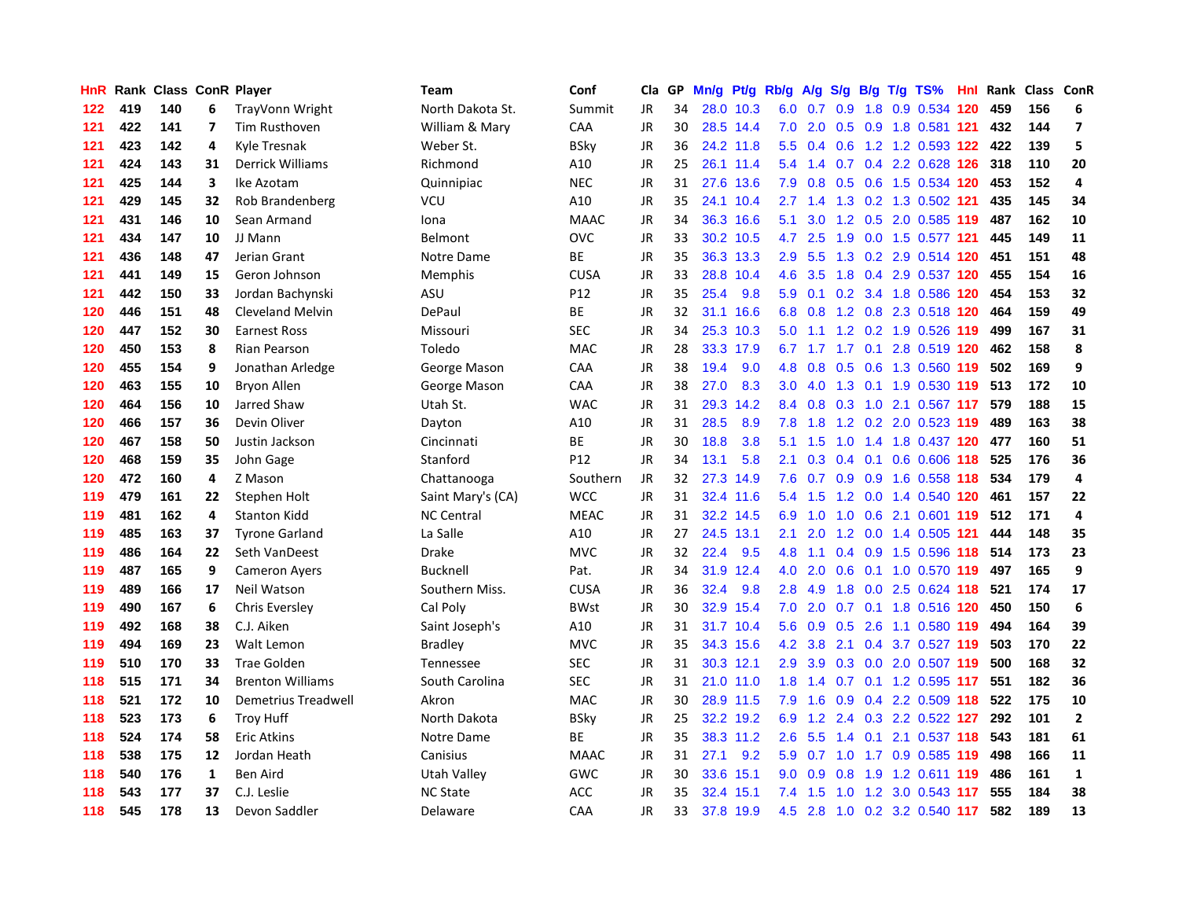| HnR |     | Rank Class ConR Player |    |                         | <b>Team</b>       | Conf            | Cla       | GP | Mn/g |           | Pt/g Rb/g        | A/g | S/g              |     | $B/g$ T/g TS%             | Hnl | Rank |     | Class ConR              |
|-----|-----|------------------------|----|-------------------------|-------------------|-----------------|-----------|----|------|-----------|------------------|-----|------------------|-----|---------------------------|-----|------|-----|-------------------------|
| 122 | 419 | 140                    | 6  | TrayVonn Wright         | North Dakota St.  | Summit          | <b>JR</b> | 34 | 28.0 | 10.3      | 6.0              | 0.7 | 0.9              | 1.8 | 0.9 0.534 120             |     | 459  | 156 | 6                       |
| 121 | 422 | 141                    | 7  | Tim Rusthoven           | William & Mary    | CAA             | JR        | 30 |      | 28.5 14.4 | 7.0              | 2.0 |                  |     | 0.5 0.9 1.8 0.581 121     |     | 432  | 144 | $\overline{\mathbf{z}}$ |
| 121 | 423 | 142                    | 4  | Kyle Tresnak            | Weber St.         | <b>BSky</b>     | JR        | 36 |      | 24.2 11.8 | 5.5              | 0.4 |                  |     | 0.6 1.2 1.2 0.593 122 422 |     |      | 139 | 5                       |
| 121 | 424 | 143                    | 31 | <b>Derrick Williams</b> | Richmond          | A10             | JR        | 25 |      | 26.1 11.4 | 5.4              | 1.4 |                  |     | $0.7$ 0.4 2.2 0.628 126   |     | 318  | 110 | 20                      |
| 121 | 425 | 144                    | 3  | Ike Azotam              | Quinnipiac        | <b>NEC</b>      | JR        | 31 |      | 27.6 13.6 | 7.9              | 0.8 | 0.5              |     | 0.6 1.5 0.534 120         |     | 453  | 152 | $\overline{4}$          |
| 121 | 429 | 145                    | 32 | Rob Brandenberg         | VCU               | A10             | JR        | 35 | 24.1 | 10.4      | 2.7              | 1.4 | 1.3              |     | 0.2 1.3 0.502 121         |     | 435  | 145 | 34                      |
| 121 | 431 | 146                    | 10 | Sean Armand             | Iona              | <b>MAAC</b>     | JR        | 34 |      | 36.3 16.6 | 5.1              | 3.0 |                  |     | 1.2 0.5 2.0 0.585 119     |     | 487  | 162 | 10                      |
| 121 | 434 | 147                    | 10 | JJ Mann                 | Belmont           | OVC             | JR        | 33 | 30.2 | 10.5      | 4.7              | 2.5 | 1.9              |     | 0.0 1.5 0.577 121         |     | 445  | 149 | 11                      |
| 121 | 436 | 148                    | 47 | Jerian Grant            | Notre Dame        | ВE              | JR        | 35 | 36.3 | 13.3      | 2.9              | 5.5 | 1.3              |     | 0.2 2.9 0.514 120         |     | 451  | 151 | 48                      |
| 121 | 441 | 149                    | 15 | Geron Johnson           | Memphis           | <b>CUSA</b>     | JR        | 33 | 28.8 | 10.4      | 4.6              | 3.5 |                  |     | 1.8 0.4 2.9 0.537 120     |     | 455  | 154 | 16                      |
| 121 | 442 | 150                    | 33 | Jordan Bachynski        | ASU               | P12             | JR        | 35 | 25.4 | 9.8       | 5.9              | 0.1 |                  |     | 0.2 3.4 1.8 0.586 120     |     | 454  | 153 | 32                      |
| 120 | 446 | 151                    | 48 | <b>Cleveland Melvin</b> | DePaul            | <b>BE</b>       | JR        | 32 | 31.1 | 16.6      | 6.8              | 0.8 |                  |     | 1.2 0.8 2.3 0.518 120     |     | 464  | 159 | 49                      |
| 120 | 447 | 152                    | 30 | <b>Earnest Ross</b>     | Missouri          | <b>SEC</b>      | <b>JR</b> | 34 |      | 25.3 10.3 | 5.0              | 1.1 |                  |     | 1.2 0.2 1.9 0.526 119     |     | 499  | 167 | 31                      |
| 120 | 450 | 153                    | 8  | <b>Rian Pearson</b>     | Toledo            | <b>MAC</b>      | JR        | 28 | 33.3 | 17.9      | 6.7              | 1.7 |                  |     | 1.7 0.1 2.8 0.519 120     |     | 462  | 158 | 8                       |
| 120 | 455 | 154                    | 9  | Jonathan Arledge        | George Mason      | CAA             | JR        | 38 | 19.4 | 9.0       | 4.8              | 0.8 | 0.5              |     | 0.6 1.3 0.560 119         |     | 502  | 169 | 9                       |
| 120 | 463 | 155                    | 10 | <b>Bryon Allen</b>      | George Mason      | CAA             | JR        | 38 | 27.0 | 8.3       | 3.0 <sub>2</sub> | 4.0 | 1.3              |     | 0.1 1.9 0.530 119         |     | 513  | 172 | 10                      |
| 120 | 464 | 156                    | 10 | Jarred Shaw             | Utah St.          | <b>WAC</b>      | JR        | 31 | 29.3 | 14.2      | 8.4              | 0.8 | 0.3              |     | 1.0 2.1 0.567 117         |     | 579  | 188 | 15                      |
| 120 | 466 | 157                    | 36 | Devin Oliver            | Dayton            | A10             | <b>JR</b> | 31 | 28.5 | 8.9       | 7.8              | 1.8 | 1.2              |     | 0.2 2.0 0.523 119         |     | 489  | 163 | 38                      |
| 120 | 467 | 158                    | 50 | Justin Jackson          | Cincinnati        | <b>BE</b>       | JR        | 30 | 18.8 | 3.8       | 5.1              | 1.5 |                  |     | 1.0 1.4 1.8 0.437 120 477 |     |      | 160 | 51                      |
| 120 | 468 | 159                    | 35 | John Gage               | Stanford          | P <sub>12</sub> | <b>JR</b> | 34 | 13.1 | 5.8       | 2.1              | 0.3 |                  |     | 0.4 0.1 0.6 0.606 118     |     | 525  | 176 | 36                      |
| 120 | 472 | 160                    | 4  | Z Mason                 | Chattanooga       | Southern        | <b>JR</b> | 32 | 27.3 | 14.9      | 7.6              | 0.7 |                  |     | 0.9 0.9 1.6 0.558 118     |     | 534  | 179 | 4                       |
| 119 | 479 | 161                    | 22 | Stephen Holt            | Saint Mary's (CA) | <b>WCC</b>      | <b>JR</b> | 31 |      | 32.4 11.6 | 5.4              | 1.5 |                  |     | 1.2 0.0 1.4 0.540 120     |     | 461  | 157 | 22                      |
| 119 | 481 | 162                    | 4  | <b>Stanton Kidd</b>     | <b>NC Central</b> | <b>MEAC</b>     | JR        | 31 |      | 32.2 14.5 | 6.9              | 1.0 | 1.0              |     | 0.6 2.1 0.601 119         |     | 512  | 171 | 4                       |
| 119 | 485 | 163                    | 37 | <b>Tyrone Garland</b>   | La Salle          | A10             | JR        | 27 | 24.5 | 13.1      | 2.1              | 2.0 |                  |     | 1.2 0.0 1.4 0.505 121     |     | 444  | 148 | 35                      |
| 119 | 486 | 164                    | 22 | Seth VanDeest           | <b>Drake</b>      | <b>MVC</b>      | JR        | 32 | 22.4 | 9.5       | 4.8              | 1.1 | 0.4              |     | 0.9 1.5 0.596 118         |     | 514  | 173 | 23                      |
| 119 | 487 | 165                    | 9  | <b>Cameron Ayers</b>    | <b>Bucknell</b>   | Pat.            | JR        | 34 | 31.9 | 12.4      | 4.0              | 2.0 | 0.6              |     | 0.1 1.0 0.570 119         |     | 497  | 165 | 9                       |
| 119 | 489 | 166                    | 17 | Neil Watson             | Southern Miss.    | <b>CUSA</b>     | JR        | 36 | 32.4 | 9.8       | 2.8              | 4.9 |                  |     | 1.8 0.0 2.5 0.624 118     |     | 521  | 174 | 17                      |
| 119 | 490 | 167                    | 6  | <b>Chris Eversley</b>   | Cal Poly          | <b>BWst</b>     | JR        | 30 |      | 32.9 15.4 | 7.0              | 2.0 |                  |     | 0.7 0.1 1.8 0.516 120     |     | 450  | 150 | $\boldsymbol{6}$        |
| 119 | 492 | 168                    | 38 | C.J. Aiken              | Saint Joseph's    | A10             | <b>JR</b> | 31 |      | 31.7 10.4 | 5.6              | 0.9 |                  |     | 0.5 2.6 1.1 0.580 119     |     | 494  | 164 | 39                      |
| 119 | 494 | 169                    | 23 | Walt Lemon              | <b>Bradley</b>    | <b>MVC</b>      | JR        | 35 | 34.3 | 15.6      | 4.2              | 3.8 |                  |     | 2.1 0.4 3.7 0.527 119     |     | 503  | 170 | 22                      |
| 119 | 510 | 170                    | 33 | Trae Golden             | <b>Tennessee</b>  | <b>SEC</b>      | JR        | 31 | 30.3 | 12.1      | 2.9              | 3.9 | 0.3              |     | 0.0 2.0 0.507 119         |     | 500  | 168 | 32                      |
| 118 | 515 | 171                    | 34 | <b>Brenton Williams</b> | South Carolina    | SEC             | JR        | 31 |      | 21.0 11.0 | 1.8              | 1.4 |                  |     | $0.7$ 0.1 1.2 0.595 117   |     | 551  | 182 | 36                      |
| 118 | 521 | 172                    | 10 | Demetrius Treadwell     | Akron             | <b>MAC</b>      | JR        | 30 |      | 28.9 11.5 | 7.9              | 1.6 | 0.9 <sub>0</sub> | 0.4 | 2.2 0.509 118             |     | 522  | 175 | 10                      |
| 118 | 523 | 173                    | 6  | <b>Troy Huff</b>        | North Dakota      | <b>BSky</b>     | JR        | 25 | 32.2 | 19.2      | 6.9              | 1.2 | 2.4              |     | 0.3 2.2 0.522 127         |     | 292  | 101 | $\overline{2}$          |
| 118 | 524 | 174                    | 58 | <b>Eric Atkins</b>      | Notre Dame        | ВE              | JR        | 35 |      | 38.3 11.2 | 2.6              | 5.5 | 1.4              | 0.1 | 2.1 0.537 118             |     | 543  | 181 | 61                      |
| 118 | 538 | 175                    | 12 | Jordan Heath            | Canisius          | <b>MAAC</b>     | <b>JR</b> | 31 | 27.1 | 9.2       | 5.9              | 0.7 |                  |     | 1.0 1.7 0.9 0.585 119     |     | 498  | 166 | 11                      |
| 118 | 540 | 176                    | 1  | Ben Aird                | Utah Valley       | GWC             | JR        | 30 |      | 33.6 15.1 | $9.0^{\circ}$    | 0.9 |                  |     | 0.8 1.9 1.2 0.611 119     |     | 486  | 161 | $\mathbf{1}$            |
| 118 | 543 | 177                    | 37 | C.J. Leslie             | <b>NC State</b>   | ACC             | JR        | 35 |      | 32.4 15.1 | 7.4              | 1.5 |                  |     | 1.0 1.2 3.0 0.543 117     |     | 555  | 184 | 38                      |
| 118 | 545 | 178                    | 13 | Devon Saddler           | Delaware          | CAA             | <b>JR</b> | 33 | 37.8 | 19.9      | 4.5              |     |                  |     | 2.8 1.0 0.2 3.2 0.540 117 |     | 582  | 189 | 13                      |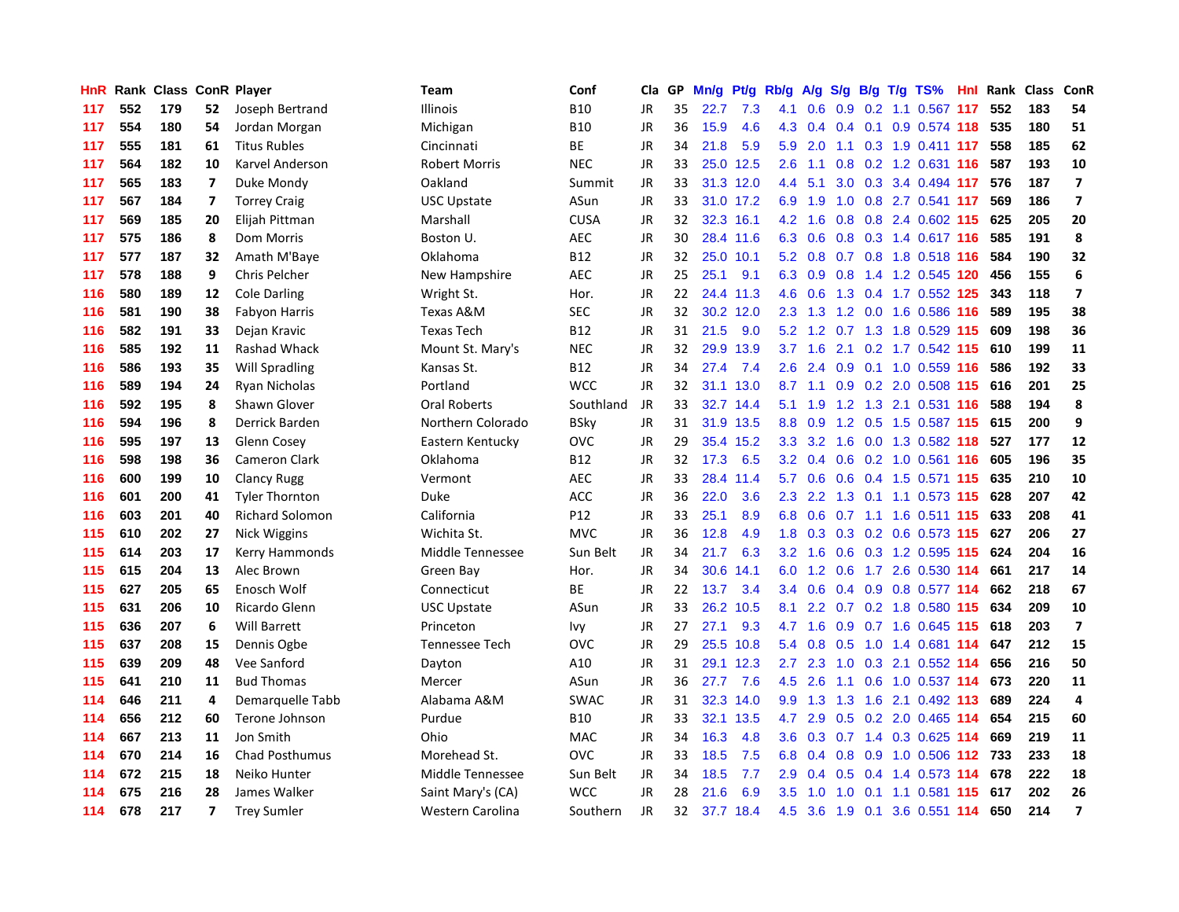| <b>HnR</b> | Rank |     |                         | <b>Class ConR Player</b> | Team                  | Conf        | Cla       | <b>GP</b> | Mn/g | Pt/g Rb/g |                  | A/g              |                  |  | S/g B/g T/g TS%               | Hnl | Rank | Class | ConR                     |
|------------|------|-----|-------------------------|--------------------------|-----------------------|-------------|-----------|-----------|------|-----------|------------------|------------------|------------------|--|-------------------------------|-----|------|-------|--------------------------|
| 117        | 552  | 179 | 52                      | Joseph Bertrand          | <b>Illinois</b>       | <b>B10</b>  | JR        | 35        | 22.7 | 7.3       | 4.1              | 0.6              | 0.9              |  | 0.2 1.1 0.567 117             |     | 552  | 183   | 54                       |
| 117        | 554  | 180 | 54                      | Jordan Morgan            | Michigan              | <b>B10</b>  | JR        | 36        | 15.9 | 4.6       |                  | 4.3 0.4          |                  |  | 0.4 0.1 0.9 0.574 118 535     |     |      | 180   | 51                       |
| 117        | 555  | 181 | 61                      | <b>Titus Rubles</b>      | Cincinnati            | <b>BE</b>   | JR        | 34        | 21.8 | 5.9       | 5.9              | 2.0              |                  |  | 1.1 0.3 1.9 0.411 117         |     | 558  | 185   | 62                       |
| 117        | 564  | 182 | 10                      | Karvel Anderson          | <b>Robert Morris</b>  | <b>NEC</b>  | JR        | 33        | 25.0 | 12.5      | 2.6              | 1.1              |                  |  | 0.8 0.2 1.2 0.631 116         |     | 587  | 193   | 10                       |
| 117        | 565  | 183 | $\overline{\mathbf{z}}$ | Duke Mondy               | Oakland               | Summit      | <b>JR</b> | 33        |      | 31.3 12.0 | 4.4              | 5.1              | 3.0              |  | 0.3 3.4 0.494 117             |     | 576  | 187   | $\overline{7}$           |
| 117        | 567  | 184 | $\overline{7}$          | <b>Torrey Craig</b>      | <b>USC Upstate</b>    | ASun        | JR        | 33        |      | 31.0 17.2 | 6.9              | 1.9              |                  |  | 1.0 0.8 2.7 0.541 117         |     | 569  | 186   | $\overline{7}$           |
| 117        | 569  | 185 | 20                      | Elijah Pittman           | Marshall              | <b>CUSA</b> | JR        | 32        |      | 32.3 16.1 | 4.2              | 1.6              |                  |  | 0.8 0.8 2.4 0.602 115         |     | 625  | 205   | 20                       |
| 117        | 575  | 186 | 8                       | Dom Morris               | Boston U.             | <b>AEC</b>  | JR        | 30        |      | 28.4 11.6 | 6.3              | 0.6              | 0.8              |  | 0.3 1.4 0.617 116             |     | 585  | 191   | 8                        |
| 117        | 577  | 187 | 32                      | Amath M'Baye             | Oklahoma              | <b>B12</b>  | JR        | 32        | 25.0 | 10.1      | 5.2              | 0.8              |                  |  | 0.7 0.8 1.8 0.518 116         |     | 584  | 190   | 32                       |
| 117        | 578  | 188 | 9                       | Chris Pelcher            | New Hampshire         | <b>AEC</b>  | JR        | 25        | 25.1 | 9.1       | 6.3              | 0.9              |                  |  | 0.8 1.4 1.2 0.545 120         |     | 456  | 155   | $\boldsymbol{6}$         |
| 116        | 580  | 189 | 12                      | <b>Cole Darling</b>      | Wright St.            | Hor.        | JR        | 22        |      | 24.4 11.3 | 4.6              |                  |                  |  | 0.6 1.3 0.4 1.7 0.552 125     |     | 343  | 118   | $\overline{7}$           |
| 116        | 581  | 190 | 38                      | Fabyon Harris            | Texas A&M             | <b>SEC</b>  | JR        | 32        |      | 30.2 12.0 | $2.3^{\circ}$    |                  |                  |  | 1.3 1.2 0.0 1.6 0.586 116     |     | 589  | 195   | 38                       |
| 116        | 582  | 191 | 33                      | Dejan Kravic             | <b>Texas Tech</b>     | <b>B12</b>  | <b>JR</b> | 31        | 21.5 | 9.0       | 5.2              | 1.2              |                  |  | 0.7 1.3 1.8 0.529 115         |     | 609  | 198   | 36                       |
| 116        | 585  | 192 | 11                      | Rashad Whack             | Mount St. Mary's      | <b>NEC</b>  | JR        | 32        | 29.9 | 13.9      | 3.7              | 1.6              |                  |  | 2.1 0.2 1.7 0.542 115         |     | 610  | 199   | 11                       |
| 116        | 586  | 193 | 35                      | Will Spradling           | Kansas St.            | <b>B12</b>  | <b>JR</b> | 34        | 27.4 | 7.4       | 2.6              | 2.4              | 0.9              |  | 0.1 1.0 0.559 116             |     | 586  | 192   | 33                       |
| 116        | 589  | 194 | 24                      | Ryan Nicholas            | Portland              | <b>WCC</b>  | JR        | 32        | 31.1 | 13.0      | 8.7              | 1.1              | 0.9 <sub>0</sub> |  | 0.2 2.0 0.508 115             |     | 616  | 201   | 25                       |
| 116        | 592  | 195 | 8                       | Shawn Glover             | <b>Oral Roberts</b>   | Southland   | <b>JR</b> | 33        | 32.7 | 14.4      | 5.1              | 1.9              |                  |  | 1.2 1.3 2.1 0.531 116         |     | 588  | 194   | 8                        |
| 116        | 594  | 196 | 8                       | Derrick Barden           | Northern Colorado     | <b>BSky</b> | <b>JR</b> | 31        | 31.9 | 13.5      | 8.8              | 0.9              | 1.2              |  | 0.5 1.5 0.587 115 615         |     |      | 200   | 9                        |
| 116        | 595  | 197 | 13                      | Glenn Cosey              | Eastern Kentucky      | ovc         | JR        | 29        |      | 35.4 15.2 | 3.3 <sub>2</sub> |                  |                  |  | 3.2 1.6 0.0 1.3 0.582 118 527 |     |      | 177   | 12                       |
| 116        | 598  | 198 | 36                      | <b>Cameron Clark</b>     | Oklahoma              | <b>B12</b>  | JR        | 32        | 17.3 | 6.5       | 3.2              |                  |                  |  | 0.4 0.6 0.2 1.0 0.561 116     |     | 605  | 196   | 35                       |
| 116        | 600  | 199 | 10                      | <b>Clancy Rugg</b>       | Vermont               | <b>AEC</b>  | JR        | 33        |      | 28.4 11.4 | 5.7              | 0.6              |                  |  | 0.6 0.4 1.5 0.571 115         |     | 635  | 210   | 10                       |
| 116        | 601  | 200 | 41                      | <b>Tyler Thornton</b>    | Duke                  | <b>ACC</b>  | <b>JR</b> | 36        | 22.0 | 3.6       | 2.3              | $2.2^{\circ}$    | 1.3              |  | 0.1 1.1 0.573 115             |     | 628  | 207   | 42                       |
| 116        | 603  | 201 | 40                      | <b>Richard Solomon</b>   | California            | P12         | JR        | 33        | 25.1 | 8.9       | 6.8              | 0.6              |                  |  | 0.7 1.1 1.6 0.511 115         |     | 633  | 208   | 41                       |
| 115        | 610  | 202 | 27                      | Nick Wiggins             | Wichita St.           | <b>MVC</b>  | JR        | 36        | 12.8 | 4.9       | 1.8              | 0.3              | 0.3              |  | 0.2 0.6 0.573 115             |     | 627  | 206   | 27                       |
| 115        | 614  | 203 | 17                      | Kerry Hammonds           | Middle Tennessee      | Sun Belt    | JR        | 34        | 21.7 | 6.3       | 3.2              | 1.6              | 0.6              |  | 0.3 1.2 0.595 115             |     | 624  | 204   | 16                       |
| 115        | 615  | 204 | 13                      | Alec Brown               | Green Bay             | Hor.        | <b>JR</b> | 34        | 30.6 | 14.1      | 6.0              | 1.2              | 0.6              |  | 1.7 2.6 0.530 114             |     | 661  | 217   | 14                       |
| 115        | 627  | 205 | 65                      | Enosch Wolf              | Connecticut           | ВE          | JR        | 22        | 13.7 | 3.4       | 3.4              | 0.6              |                  |  | 0.4 0.9 0.8 0.577 114         |     | 662  | 218   | 67                       |
| 115        | 631  | 206 | 10                      | Ricardo Glenn            | <b>USC Upstate</b>    | ASun        | JR        | 33        | 26.2 | 10.5      | 8.1              |                  |                  |  | 2.2 0.7 0.2 1.8 0.580 115     |     | 634  | 209   | 10                       |
| 115        | 636  | 207 | 6                       | <b>Will Barrett</b>      | Princeton             | Ivy         | JR        | 27        | 27.1 | 9.3       | 4.7              | 1.6              |                  |  | 0.9 0.7 1.6 0.645 115 618     |     |      | 203   | $\overline{\phantom{a}}$ |
| 115        | 637  | 208 | 15                      | Dennis Ogbe              | <b>Tennessee Tech</b> | <b>OVC</b>  | JR        | 29        | 25.5 | 10.8      | 5.4              | 0.8              |                  |  | 0.5 1.0 1.4 0.681 114         |     | 647  | 212   | 15                       |
| 115        | 639  | 209 | 48                      | Vee Sanford              | Dayton                | A10         | JR        | 31        | 29.1 | 12.3      | $2.7^{\circ}$    | 2.3              | 1.0              |  | 0.3 2.1 0.552 114             |     | 656  | 216   | 50                       |
| 115        | 641  | 210 | 11                      | <b>Bud Thomas</b>        | Mercer                | ASun        | JR        | 36        | 27.7 | 7.6       | 4.5              | 2.6              |                  |  | 1.1 0.6 1.0 0.537 114         |     | 673  | 220   | 11                       |
| 114        | 646  | 211 | 4                       | Demarquelle Tabb         | Alabama A&M           | <b>SWAC</b> | JR        | 31        | 32.3 | 14.0      | 9.9              | 1.3              | 1.3              |  | 1.6 2.1 0.492 113             |     | 689  | 224   | $\overline{\mathbf{4}}$  |
| 114        | 656  | 212 | 60                      | Terone Johnson           | Purdue                | <b>B10</b>  | JR        | 33        | 32.1 | 13.5      | 4.7              | 2.9              | 0.5              |  | 0.2 2.0 0.465 114             |     | 654  | 215   | 60                       |
| 114        | 667  | 213 | 11                      | Jon Smith                | Ohio                  | <b>MAC</b>  | JR        | 34        | 16.3 | 4.8       | 3.6              | 0.3              |                  |  | 0.7 1.4 0.3 0.625 114         |     | 669  | 219   | 11                       |
| 114        | 670  | 214 | 16                      | <b>Chad Posthumus</b>    | Morehead St.          | OVC         | JR        | 33        | 18.5 | 7.5       | 6.8              | 0.4              |                  |  | 0.8 0.9 1.0 0.506 112 733     |     |      | 233   | 18                       |
| 114        | 672  | 215 | 18                      | Neiko Hunter             | Middle Tennessee      | Sun Belt    | JR        | 34        | 18.5 | 7.7       | 2.9              | 0.4              | 0.5              |  | 0.4 1.4 0.573 114             |     | 678  | 222   | 18                       |
| 114        | 675  | 216 | 28                      | James Walker             | Saint Mary's (CA)     | <b>WCC</b>  | JR        | 28        | 21.6 | 6.9       | 3.5              | 1.0 <sub>1</sub> | 1.0              |  | 0.1 1.1 0.581 115             |     | 617  | 202   | 26                       |
| 114        | 678  | 217 | 7                       | <b>Trey Sumler</b>       | Western Carolina      | Southern    | <b>JR</b> | 32        | 37.7 | 18.4      | 4.5              |                  |                  |  | 3.6 1.9 0.1 3.6 0.551 114     |     | 650  | 214   | $\overline{7}$           |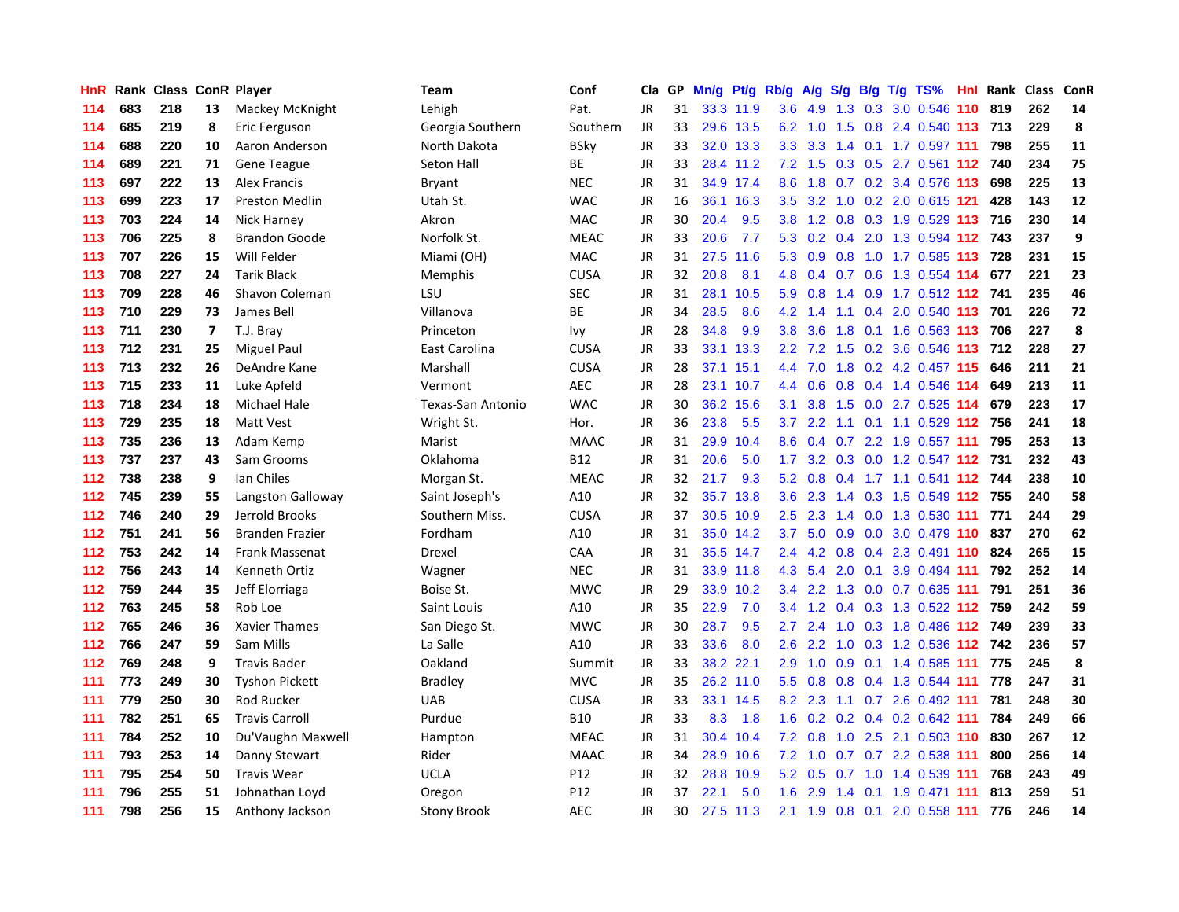| HnR |     | Rank Class ConR Player |    |                        | Team               | Conf        | Cla       | GP | Mn/g Pt/g Rb/g |           |                  | A/g             | S/g |     | $B/g$ T/g TS%                 | Hnl Rank | <b>Class</b> | ConR      |
|-----|-----|------------------------|----|------------------------|--------------------|-------------|-----------|----|----------------|-----------|------------------|-----------------|-----|-----|-------------------------------|----------|--------------|-----------|
| 114 | 683 | 218                    | 13 | Mackey McKnight        | Lehigh             | Pat.        | <b>JR</b> | 31 |                | 33.3 11.9 | 3.6              | 4.9             | 1.3 | 0.3 | 3.0 0.546 110                 | 819      | 262          | 14        |
| 114 | 685 | 219                    | 8  | Eric Ferguson          | Georgia Southern   | Southern    | JR        | 33 |                | 29.6 13.5 |                  | $6.2 \quad 1.0$ | 1.5 |     | 0.8 2.4 0.540 113 713         |          | 229          | $\pmb{8}$ |
| 114 | 688 | 220                    | 10 | Aaron Anderson         | North Dakota       | <b>BSky</b> | <b>JR</b> | 33 |                | 32.0 13.3 | 3.3              |                 |     |     | 3.3 1.4 0.1 1.7 0.597 111     | 798      | 255          | 11        |
| 114 | 689 | 221                    | 71 | <b>Gene Teague</b>     | Seton Hall         | ВE          | JR        | 33 |                | 28.4 11.2 | 7.2              | 1.5             |     |     | 0.3 0.5 2.7 0.561 112 740     |          | 234          | 75        |
| 113 | 697 | 222                    | 13 | <b>Alex Francis</b>    | <b>Bryant</b>      | <b>NEC</b>  | <b>JR</b> | 31 |                | 34.9 17.4 | 8.6              | 1.8             |     |     | $0.7$ $0.2$ $3.4$ $0.576$ 113 | 698      | 225          | 13        |
| 113 | 699 | 223                    | 17 | <b>Preston Medlin</b>  | Utah St.           | <b>WAC</b>  | JR        | 16 | 36.1           | 16.3      | 3.5              | 3.2             | 1.0 |     | 0.2 2.0 0.615 121             | 428      | 143          | 12        |
| 113 | 703 | 224                    | 14 | Nick Harney            | Akron              | MAC         | JR        | 30 | 20.4           | 9.5       | 3.8              | 1.2             |     |     | 0.8 0.3 1.9 0.529 113         | 716      | 230          | 14        |
| 113 | 706 | 225                    | 8  | <b>Brandon Goode</b>   | Norfolk St.        | <b>MEAC</b> | JR        | 33 | 20.6           | 7.7       | 5.3              | 0.2             | 0.4 |     | 2.0 1.3 0.594 112             | 743      | 237          | 9         |
| 113 | 707 | 226                    | 15 | Will Felder            | Miami (OH)         | MAC         | <b>JR</b> | 31 | 27.5           | 11.6      | 5.3              | 0.9             | 0.8 |     | 1.0 1.7 0.585 113 728         |          | 231          | 15        |
| 113 | 708 | 227                    | 24 | <b>Tarik Black</b>     | Memphis            | <b>CUSA</b> | JR        | 32 | 20.8           | 8.1       | 4.8              | $0.4^{\circ}$   |     |     | 0.7 0.6 1.3 0.554 114 677     |          | 221          | 23        |
| 113 | 709 | 228                    | 46 | Shavon Coleman         | LSU                | <b>SEC</b>  | JR        | 31 |                | 28.1 10.5 | 5.9              | 0.8             |     |     | 1.4 0.9 1.7 0.512 112 741     |          | 235          | 46        |
| 113 | 710 | 229                    | 73 | James Bell             | Villanova          | <b>BE</b>   | JR        | 34 | 28.5           | 8.6       | 4.2              | 1.4             | 1.1 |     | 0.4 2.0 0.540 113 701         |          | 226          | 72        |
| 113 | 711 | 230                    | 7  | T.J. Bray              | Princeton          | Ivy         | JR        | 28 | 34.8           | 9.9       | 3.8              | 3.6             | 1.8 |     | 0.1 1.6 0.563 113             | 706      | 227          | 8         |
| 113 | 712 | 231                    | 25 | <b>Miguel Paul</b>     | East Carolina      | <b>CUSA</b> | JR        | 33 | 33.1           | 13.3      | 2.2              | 7.2             | 1.5 |     | 0.2 3.6 0.546 113             | 712      | 228          | 27        |
| 113 | 713 | 232                    | 26 | DeAndre Kane           | Marshall           | <b>CUSA</b> | JR        | 28 | 37.1           | 15.1      | 4.4              | 7.0             |     |     | 1.8 0.2 4.2 0.457 115         | 646      | 211          | 21        |
| 113 | 715 | 233                    | 11 | Luke Apfeld            | Vermont            | AEC         | JR        | 28 | 23.1           | 10.7      | 4.4              | 0.6             | 0.8 |     | 0.4 1.4 0.546 114             | 649      | 213          | 11        |
| 113 | 718 | 234                    | 18 | Michael Hale           | Texas-San Antonio  | <b>WAC</b>  | JR        | 30 | 36.2           | 15.6      | 3.1              | 3.8             | 1.5 |     | $0.0$ 2.7 $0.525$ 114         | 679      | 223          | 17        |
| 113 | 729 | 235                    | 18 | <b>Matt Vest</b>       | Wright St.         | Hor.        | <b>JR</b> | 36 | 23.8           | 5.5       | 3.7              | 2.2             | 1.1 |     | 0.1 1.1 0.529 112 756         |          | 241          | 18        |
| 113 | 735 | 236                    | 13 | Adam Kemp              | Marist             | <b>MAAC</b> | <b>JR</b> | 31 | 29.9           | 10.4      | 8.6              |                 |     |     | 0.4 0.7 2.2 1.9 0.557 111     | 795      | 253          | 13        |
| 113 | 737 | 237                    | 43 | Sam Grooms             | Oklahoma           | <b>B12</b>  | <b>JR</b> | 31 | 20.6           | 5.0       | 1.7 <sub>z</sub> |                 |     |     | 3.2 0.3 0.0 1.2 0.547 112 731 |          | 232          | 43        |
| 112 | 738 | 238                    | 9  | lan Chiles             | Morgan St.         | <b>MEAC</b> | <b>JR</b> | 32 | 21.7           | 9.3       | 5.2              | 0.8             |     |     | 0.4 1.7 1.1 0.541 112 744     |          | 238          | 10        |
| 112 | 745 | 239                    | 55 | Langston Galloway      | Saint Joseph's     | A10         | <b>JR</b> | 32 | 35.7           | 13.8      | 3.6              | 2.3             | 1.4 |     | 0.3 1.5 0.549 112 755         |          | 240          | 58        |
| 112 | 746 | 240                    | 29 | Jerrold Brooks         | Southern Miss.     | <b>CUSA</b> | JR        | 37 | 30.5           | 10.9      | 2.5              | 2.3             | 1.4 |     | 0.0 1.3 0.530 111             | 771      | 244          | 29        |
| 112 | 751 | 241                    | 56 | <b>Branden Frazier</b> | Fordham            | A10         | JR        | 31 | 35.0           | 14.2      | 3.7              | 5.0             | 0.9 |     | 0.0 3.0 0.479 110             | 837      | 270          | 62        |
| 112 | 753 | 242                    | 14 | Frank Massenat         | Drexel             | CAA         | JR        | 31 |                | 35.5 14.7 | 2.4              | 4.2             | 0.8 |     | 0.4 2.3 0.491 110             | 824      | 265          | 15        |
| 112 | 756 | 243                    | 14 | Kenneth Ortiz          | Wagner             | <b>NEC</b>  | <b>JR</b> | 31 | 33.9           | 11.8      | 4.3              | 5.4             | 2.0 |     | $0.1$ 3.9 0.494 111           | 792      | 252          | 14        |
| 112 | 759 | 244                    | 35 | Jeff Elorriaga         | Boise St.          | <b>MWC</b>  | JR        | 29 | 33.9           | 10.2      | $3.4^{\circ}$    | 2.2             |     |     | 1.3 0.0 0.7 0.635 111         | 791      | 251          | 36        |
| 112 | 763 | 245                    | 58 | Rob Loe                | Saint Louis        | A10         | JR        | 35 | 22.9           | 7.0       | $3.4^{\circ}$    |                 |     |     | 1.2 0.4 0.3 1.3 0.522 112 759 |          | 242          | 59        |
| 112 | 765 | 246                    | 36 | Xavier Thames          | San Diego St.      | <b>MWC</b>  | JR        | 30 | 28.7           | 9.5       | $2.7^{\circ}$    | $2.4^{\circ}$   |     |     | 1.0 0.3 1.8 0.486 112 749     |          | 239          | 33        |
| 112 | 766 | 247                    | 59 | Sam Mills              | La Salle           | A10         | <b>JR</b> | 33 | 33.6           | 8.0       | 2.6              | $2.2^{\circ}$   | 1.0 |     | 0.3 1.2 0.536 112 742         |          | 236          | 57        |
| 112 | 769 | 248                    | 9  | <b>Travis Bader</b>    | Oakland            | Summit      | JR        | 33 |                | 38.2 22.1 | 2.9              | 1.0             | 0.9 |     | 0.1 1.4 0.585 111             | 775      | 245          | 8         |
| 111 | 773 | 249                    | 30 | <b>Tyshon Pickett</b>  | <b>Bradley</b>     | <b>MVC</b>  | <b>JR</b> | 35 |                | 26.2 11.0 | 5.5              | 0.8             |     |     | 0.8 0.4 1.3 0.544 111         | 778      | 247          | 31        |
| 111 | 779 | 250                    | 30 | <b>Rod Rucker</b>      | <b>UAB</b>         | <b>CUSA</b> | JR        | 33 |                | 33.1 14.5 | 8.2              | 2.3             | 1.1 |     | $0.7$ 2.6 0.492 111           | 781      | 248          | 30        |
| 111 | 782 | 251                    | 65 | <b>Travis Carroll</b>  | Purdue             | <b>B10</b>  | <b>JR</b> | 33 | 8.3            | 1.8       | 1.6              | 0.2             |     |     | $0.2$ 0.4 0.2 0.642 111       | 784      | 249          | 66        |
| 111 | 784 | 252                    | 10 | Du'Vaughn Maxwell      | Hampton            | <b>MEAC</b> | <b>JR</b> | 31 |                | 30.4 10.4 | 7.2              | 0.8             |     |     | 1.0 2.5 2.1 0.503 110 830     |          | 267          | 12        |
| 111 | 793 | 253                    | 14 | Danny Stewart          | Rider              | <b>MAAC</b> | <b>JR</b> | 34 |                | 28.9 10.6 |                  |                 |     |     | 7.2 1.0 0.7 0.7 2.2 0.538 111 | 800      | 256          | 14        |
| 111 | 795 | 254                    | 50 | <b>Travis Wear</b>     | <b>UCLA</b>        | P12         | <b>JR</b> | 32 |                | 28.8 10.9 | 5.2              | 0.5             |     |     | 0.7 1.0 1.4 0.539 111         | 768      | 243          | 49        |
| 111 | 796 | 255                    | 51 | Johnathan Loyd         | Oregon             | P12         | <b>JR</b> | 37 | 22.1           | 5.0       | 1.6              | 2.9             | 1.4 |     | 0.1 1.9 0.471 111             | 813      | 259          | 51        |
| 111 | 798 | 256                    | 15 | Anthony Jackson        | <b>Stony Brook</b> | <b>AEC</b>  | JR        | 30 |                | 27.5 11.3 | 2.1              |                 |     |     | 1.9 0.8 0.1 2.0 0.558 111     | 776      | 246          | 14        |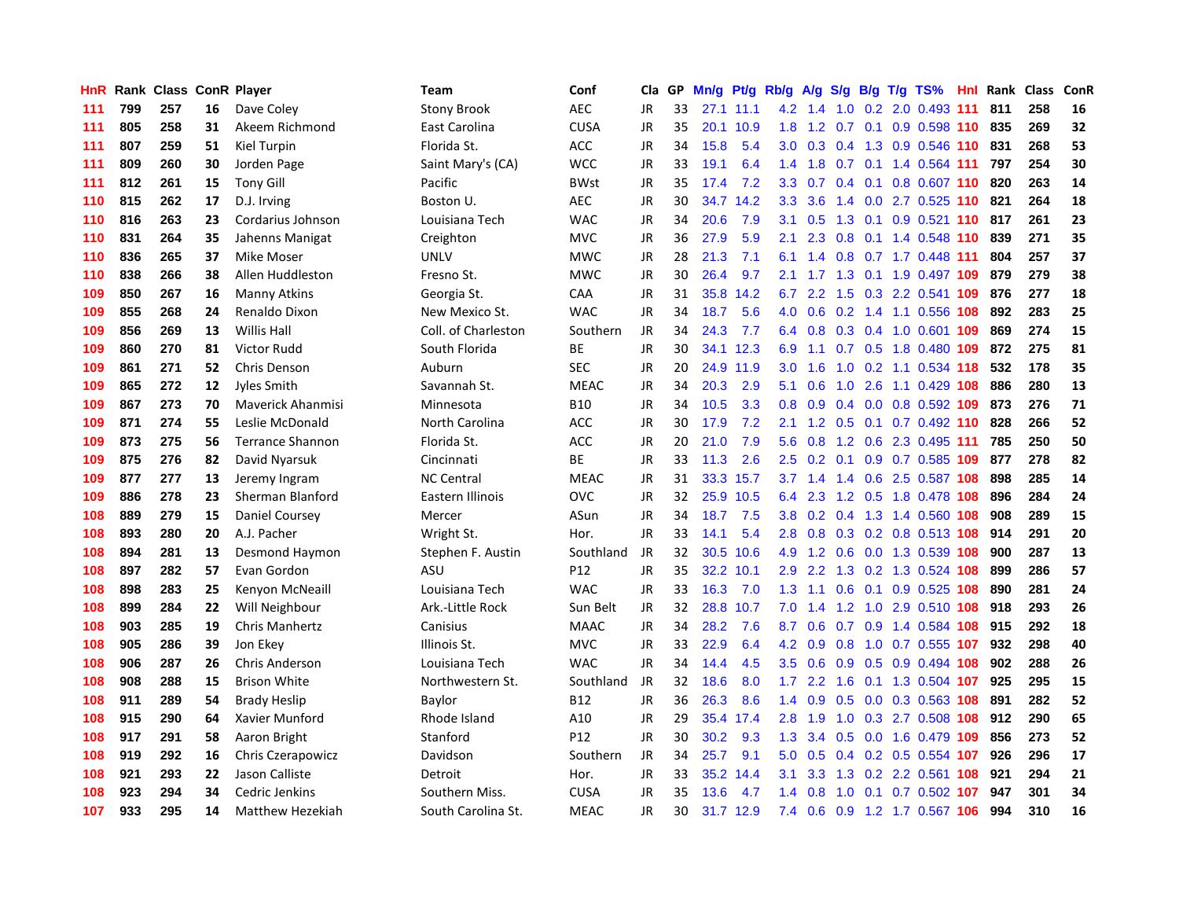| HnR | Rank |     |    | <b>Class ConR Player</b> | <b>Team</b>         | Conf            | Cla       | <b>GP</b> | Mn/g | Pt/g Rb/g |                  | A/g             |               |  | S/g B/g T/g TS%               | Hnl | Rank | <b>Class</b> | ConR |
|-----|------|-----|----|--------------------------|---------------------|-----------------|-----------|-----------|------|-----------|------------------|-----------------|---------------|--|-------------------------------|-----|------|--------------|------|
| 111 | 799  | 257 | 16 | Dave Coley               | <b>Stony Brook</b>  | <b>AEC</b>      | JR        | 33        | 27.1 | 11.1      | 4.2              | 1.4             | 1.0           |  | 0.2 2.0 0.493 111             |     | 811  | 258          | 16   |
| 111 | 805  | 258 | 31 | Akeem Richmond           | East Carolina       | <b>CUSA</b>     | <b>JR</b> | 35        | 20.1 | 10.9      | 1.8              |                 |               |  | 1.2 0.7 0.1 0.9 0.598 110 835 |     |      | 269          | 32   |
| 111 | 807  | 259 | 51 | Kiel Turpin              | Florida St.         | ACC             | <b>JR</b> | 34        | 15.8 | 5.4       | 3.0 <sub>2</sub> | 0.3             |               |  | 0.4 1.3 0.9 0.546 110         |     | 831  | 268          | 53   |
| 111 | 809  | 260 | 30 | Jorden Page              | Saint Mary's (CA)   | <b>WCC</b>      | <b>JR</b> | 33        | 19.1 | 6.4       | 1.4              | 1.8             |               |  | $0.7$ 0.1 1.4 0.564 111       |     | 797  | 254          | 30   |
| 111 | 812  | 261 | 15 | <b>Tony Gill</b>         | Pacific             | <b>BWst</b>     | JR        | 35        | 17.4 | 7.2       | 3.3              | 0.7             |               |  | $0.4$ 0.1 0.8 0.607 110       |     | 820  | 263          | 14   |
| 110 | 815  | 262 | 17 | D.J. Irving              | Boston U.           | <b>AEC</b>      | JR        | 30        | 34.7 | 14.2      | 3.3              | 3.6             | $1.4^{\circ}$ |  | $0.0$ 2.7 0.525 110           |     | 821  | 264          | 18   |
| 110 | 816  | 263 | 23 | Cordarius Johnson        | Louisiana Tech      | <b>WAC</b>      | JR        | 34        | 20.6 | 7.9       | 3.1              | 0.5             | 1.3           |  | 0.1 0.9 0.521 110             |     | 817  | 261          | 23   |
| 110 | 831  | 264 | 35 | Jahenns Manigat          | Creighton           | <b>MVC</b>      | <b>JR</b> | 36        | 27.9 | 5.9       | 2.1              | 2.3             | 0.8           |  | 0.1 1.4 0.548 110             |     | 839  | 271          | 35   |
| 110 | 836  | 265 | 37 | <b>Mike Moser</b>        | <b>UNLV</b>         | <b>MWC</b>      | JR        | 28        | 21.3 | 7.1       | 6.1              | 1.4             | 0.8           |  | $0.7$ 1.7 0.448 111           |     | 804  | 257          | 37   |
| 110 | 838  | 266 | 38 | Allen Huddleston         | Fresno St.          | <b>MWC</b>      | JR        | 30        | 26.4 | 9.7       | 2.1              | 1.7             |               |  | 1.3 0.1 1.9 0.497 109         |     | 879  | 279          | 38   |
| 109 | 850  | 267 | 16 | <b>Manny Atkins</b>      | Georgia St.         | CAA             | JR        | 31        | 35.8 | 14.2      | 6.7              |                 |               |  | 2.2 1.5 0.3 2.2 0.541 109     |     | 876  | 277          | 18   |
| 109 | 855  | 268 | 24 | Renaldo Dixon            | New Mexico St.      | <b>WAC</b>      | JR        | 34        | 18.7 | 5.6       | 4.0              | 0.6             |               |  | 0.2 1.4 1.1 0.556 108         |     | 892  | 283          | 25   |
| 109 | 856  | 269 | 13 | <b>Willis Hall</b>       | Coll. of Charleston | Southern        | <b>JR</b> | 34        | 24.3 | 7.7       | 6.4              | 0.8             |               |  | 0.3 0.4 1.0 0.601 109         |     | 869  | 274          | 15   |
| 109 | 860  | 270 | 81 | <b>Victor Rudd</b>       | South Florida       | <b>BE</b>       | <b>JR</b> | 30        | 34.1 | 12.3      | 6.9              | 1.1             |               |  | 0.7 0.5 1.8 0.480 109         |     | 872  | 275          | 81   |
| 109 | 861  | 271 | 52 | <b>Chris Denson</b>      | Auburn              | <b>SEC</b>      | <b>JR</b> | 20        | 24.9 | 11.9      | 3.0              | 1.6             | 1.0           |  | 0.2 1.1 0.534 118             |     | 532  | 178          | 35   |
| 109 | 865  | 272 | 12 | Jyles Smith              | Savannah St.        | <b>MEAC</b>     | JR        | 34        | 20.3 | 2.9       | 5.1              | 0.6             | 1.0           |  | 2.6 1.1 0.429 108             |     | 886  | 280          | 13   |
| 109 | 867  | 273 | 70 | <b>Maverick Ahanmisi</b> | Minnesota           | <b>B10</b>      | JR        | 34        | 10.5 | 3.3       | 0.8              | 0.9             |               |  | 0.4 0.0 0.8 0.592 109         |     | 873  | 276          | 71   |
| 109 | 871  | 274 | 55 | Leslie McDonald          | North Carolina      | ACC             | <b>JR</b> | 30        | 17.9 | 7.2       | 2.1              | 1.2             | 0.5           |  | $0.1$ 0.7 0.492 110           |     | 828  | 266          | 52   |
| 109 | 873  | 275 | 56 | <b>Terrance Shannon</b>  | Florida St.         | ACC             | JR        | 20        | 21.0 | 7.9       | 5.6              |                 |               |  | 0.8 1.2 0.6 2.3 0.495 111     |     | 785  | 250          | 50   |
| 109 | 875  | 276 | 82 | David Nyarsuk            | Cincinnati          | <b>BE</b>       | JR        | 33        | 11.3 | 2.6       | 2.5              | 0.2             |               |  | 0.1 0.9 0.7 0.585 109         |     | 877  | 278          | 82   |
| 109 | 877  | 277 | 13 | Jeremy Ingram            | <b>NC Central</b>   | <b>MEAC</b>     | JR        | 31        | 33.3 | 15.7      |                  | $3.7 \quad 1.4$ |               |  | 1.4 0.6 2.5 0.587 108         |     | 898  | 285          | 14   |
| 109 | 886  | 278 | 23 | Sherman Blanford         | Eastern Illinois    | OVC             | <b>JR</b> | 32        | 25.9 | 10.5      | 6.4              | 2.3             |               |  | 1.2 0.5 1.8 0.478 108         |     | 896  | 284          | 24   |
| 108 | 889  | 279 | 15 | Daniel Coursey           | Mercer              | ASun            | JR        | 34        | 18.7 | 7.5       | 3.8              | 0.2             |               |  | 0.4 1.3 1.4 0.560 108         |     | 908  | 289          | 15   |
| 108 | 893  | 280 | 20 | A.J. Pacher              | Wright St.          | Hor.            | JR        | 33        | 14.1 | 5.4       | 2.8              | 0.8             |               |  | 0.3 0.2 0.8 0.513 108         |     | 914  | 291          | 20   |
| 108 | 894  | 281 | 13 | Desmond Haymon           | Stephen F. Austin   | Southland       | JR        | 32        | 30.5 | 10.6      | 4.9              | 1.2             | 0.6           |  | 0.0 1.3 0.539 108             |     | 900  | 287          | 13   |
| 108 | 897  | 282 | 57 | Evan Gordon              | ASU                 | P12             | JR        | 35        | 32.2 | 10.1      | 2.9              | 2.2             | 1.3           |  | 0.2 1.3 0.524 108             |     | 899  | 286          | 57   |
| 108 | 898  | 283 | 25 | Kenyon McNeaill          | Louisiana Tech      | <b>WAC</b>      | JR        | 33        | 16.3 | 7.0       | 1.3              | 1.1             |               |  | $0.6$ 0.1 0.9 0.525 108       |     | 890  | 281          | 24   |
| 108 | 899  | 284 | 22 | Will Neighbour           | Ark.-Little Rock    | Sun Belt        | JR        | 32        | 28.8 | 10.7      | 7.0              | 1.4             |               |  | 1.2 1.0 2.9 0.510 108         |     | 918  | 293          | 26   |
| 108 | 903  | 285 | 19 | Chris Manhertz           | Canisius            | <b>MAAC</b>     | <b>JR</b> | 34        | 28.2 | 7.6       | 8.7              | 0.6             |               |  | 0.7 0.9 1.4 0.584 108 915     |     |      | 292          | 18   |
| 108 | 905  | 286 | 39 | Jon Ekey                 | Illinois St.        | <b>MVC</b>      | <b>JR</b> | 33        | 22.9 | 6.4       | 4.2              | 0.9             |               |  | 0.8 1.0 0.7 0.555 107         |     | 932  | 298          | 40   |
| 108 | 906  | 287 | 26 | <b>Chris Anderson</b>    | Louisiana Tech      | <b>WAC</b>      | JR        | 34        | 14.4 | 4.5       | 3.5              | 0.6             | 0.9           |  | 0.5 0.9 0.494 108             |     | 902  | 288          | 26   |
| 108 | 908  | 288 | 15 | <b>Brison White</b>      | Northwestern St.    | Southland       | JR        | 32        | 18.6 | 8.0       | 1.7              | 2.2             | 1.6           |  | 0.1 1.3 0.504 107             |     | 925  | 295          | 15   |
| 108 | 911  | 289 | 54 | <b>Brady Heslip</b>      | Baylor              | B12             | JR        | 36        | 26.3 | 8.6       | 1.4              | 0.9             | 0.5           |  | $0.0$ $0.3$ $0.563$ 108       |     | 891  | 282          | 52   |
| 108 | 915  | 290 | 64 | Xavier Munford           | Rhode Island        | A10             | JR        | 29        | 35.4 | 17.4      | 2.8              | 1.9             | 1.0           |  | 0.3 2.7 0.508 108             |     | 912  | 290          | 65   |
| 108 | 917  | 291 | 58 | Aaron Bright             | Stanford            | P <sub>12</sub> | JR        | 30        | 30.2 | 9.3       | 1.3              | 3.4             | 0.5           |  | 0.0 1.6 0.479 109             |     | 856  | 273          | 52   |
| 108 | 919  | 292 | 16 | Chris Czerapowicz        | Davidson            | Southern        | JR        | 34        | 25.7 | 9.1       | 5.0              | 0.5             |               |  | 0.4 0.2 0.5 0.554 107         |     | 926  | 296          | 17   |
| 108 | 921  | 293 | 22 | Jason Calliste           | Detroit             | Hor.            | JR        | 33        | 35.2 | 14.4      | 3.1              | 3.3             |               |  | 1.3 0.2 2.2 0.561 108         |     | 921  | 294          | 21   |
| 108 | 923  | 294 | 34 | Cedric Jenkins           | Southern Miss.      | <b>CUSA</b>     | JR        | 35        | 13.6 | 4.7       | 1.4              | 0.8             | 1.0           |  | $0.1$ 0.7 0.502 107           |     | 947  | 301          | 34   |
| 107 | 933  | 295 | 14 | Matthew Hezekiah         | South Carolina St.  | <b>MEAC</b>     | <b>JR</b> | 30        | 31.7 | 12.9      | 7.4              | 0.6             |               |  | 0.9 1.2 1.7 0.567 106         |     | 994  | 310          | 16   |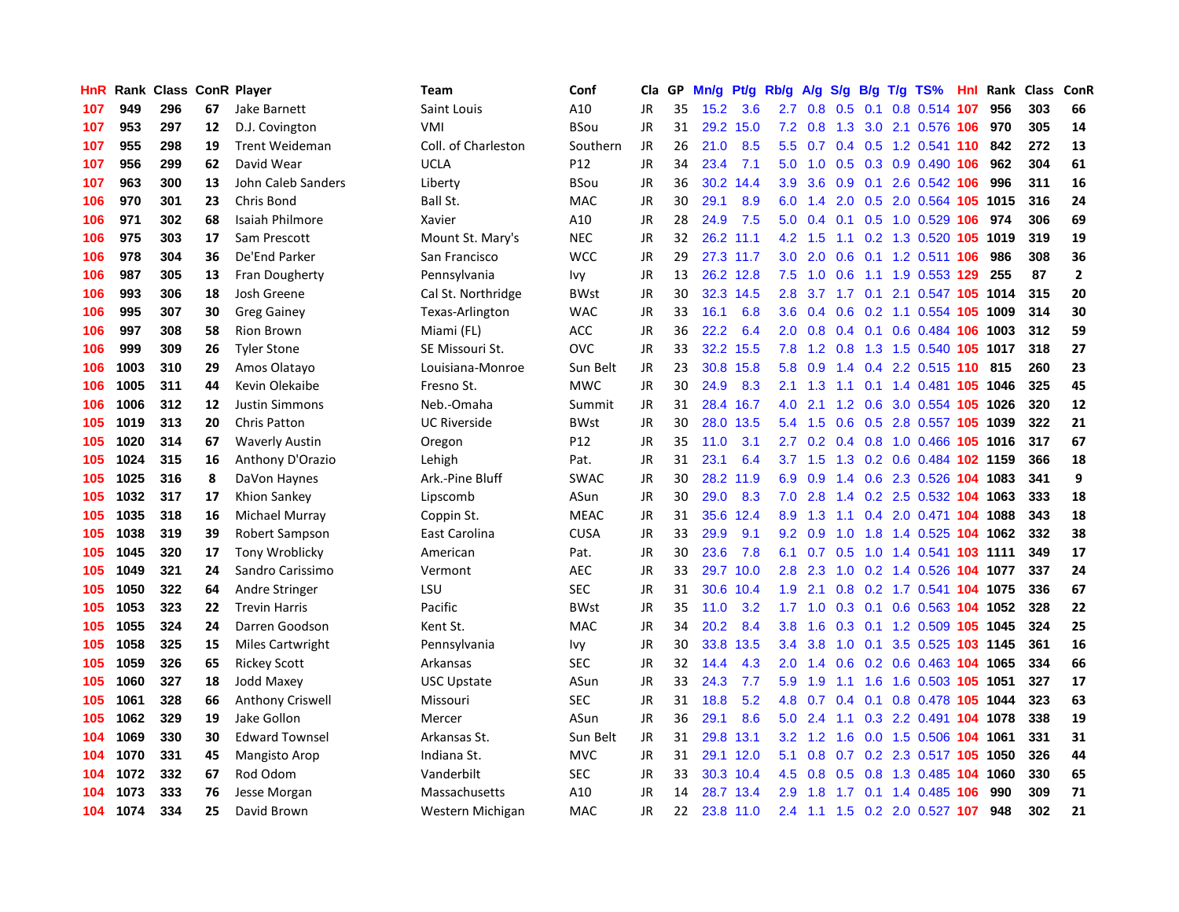| HnR |      | Rank Class ConR Player |    |                         | <b>Team</b>         | Conf        | Cla       | GP | Mn/g | Pt/g      | Rb/g             | A/g             | S/g |     | $B/g$ T/g TS%                  | Hnl | Rank     | <b>Class</b> | ConR                    |
|-----|------|------------------------|----|-------------------------|---------------------|-------------|-----------|----|------|-----------|------------------|-----------------|-----|-----|--------------------------------|-----|----------|--------------|-------------------------|
| 107 | 949  | 296                    | 67 | Jake Barnett            | Saint Louis         | A10         | <b>JR</b> | 35 | 15.2 | 3.6       | 2.7              | 0.8             | 0.5 | 0.1 | 0.8 0.514 107                  |     | 956      | 303          | 66                      |
| 107 | 953  | 297                    | 12 | D.J. Covington          | VMI                 | BSou        | JR        | 31 | 29.2 | 15.0      | 7.2              | 0.8             |     |     | 1.3 3.0 2.1 0.576 106          |     | 970      | 305          | 14                      |
| 107 | 955  | 298                    | 19 | <b>Trent Weideman</b>   | Coll. of Charleston | Southern    | JR        | 26 | 21.0 | 8.5       | 5.5              | 0.7             |     |     | 0.4 0.5 1.2 0.541 110          |     | 842      | 272          | 13                      |
| 107 | 956  | 299                    | 62 | David Wear              | <b>UCLA</b>         | P12         | JR        | 34 | 23.4 | 7.1       | 5.0              | 1.0             |     |     | 0.5 0.3 0.9 0.490 106          |     | 962      | 304          | 61                      |
| 107 | 963  | 300                    | 13 | John Caleb Sanders      | Liberty             | <b>BSou</b> | JR        | 36 | 30.2 | 14.4      | 3.9              | 3.6             | 0.9 |     | 0.1 2.6 0.542 106              |     | 996      | 311          | 16                      |
| 106 | 970  | 301                    | 23 | Chris Bond              | Ball St.            | MAC         | JR        | 30 | 29.1 | 8.9       | 6.0              | 1.4             | 2.0 |     | 0.5 2.0 0.564 105 1015         |     |          | 316          | 24                      |
| 106 | 971  | 302                    | 68 | Isaiah Philmore         | Xavier              | A10         | JR        | 28 | 24.9 | 7.5       | 5.0              | 0.4             |     |     | 0.1 0.5 1.0 0.529 106          |     | 974      | 306          | 69                      |
| 106 | 975  | 303                    | 17 | Sam Prescott            | Mount St. Mary's    | <b>NEC</b>  | JR        | 32 | 26.2 | 11.1      | 4.2              | 1.5             |     |     | 1.1 0.2 1.3 0.520              |     | 105 1019 | 319          | 19                      |
| 106 | 978  | 304                    | 36 | De'End Parker           | San Francisco       | <b>WCC</b>  | JR        | 29 |      | 27.3 11.7 | 3.0              | 2.0             | 0.6 |     | 0.1 1.2 0.511 106              |     | 986      | 308          | 36                      |
| 106 | 987  | 305                    | 13 | Fran Dougherty          | Pennsylvania        | Ivy         | JR        | 13 |      | 26.2 12.8 | 7.5              | 1.0             | 0.6 |     | 1.1 1.9 0.553 129              |     | 255      | 87           | $\overline{\mathbf{2}}$ |
| 106 | 993  | 306                    | 18 | Josh Greene             | Cal St. Northridge  | <b>BWst</b> | JR        | 30 |      | 32.3 14.5 | 2.8              |                 |     |     | 3.7 1.7 0.1 2.1 0.547 105 1014 |     |          | 315          | 20                      |
| 106 | 995  | 307                    | 30 | <b>Greg Gainey</b>      | Texas-Arlington     | <b>WAC</b>  | JR        | 33 | 16.1 | 6.8       | 3.6 <sup>°</sup> | 0.4             |     |     | 0.6 0.2 1.1 0.554 105 1009     |     |          | 314          | 30                      |
| 106 | 997  | 308                    | 58 | <b>Rion Brown</b>       | Miami (FL)          | ACC         | <b>JR</b> | 36 | 22.2 | 6.4       | $2.0^{\circ}$    | 0.8             |     |     | $0.4$ 0.1 0.6 0.484 106 1003   |     |          | 312          | 59                      |
| 106 | 999  | 309                    | 26 | <b>Tyler Stone</b>      | SE Missouri St.     | OVC         | JR        | 33 | 32.2 | 15.5      | 7.8              | 1.2             | 0.8 |     | 1.3 1.5 0.540 105 1017         |     |          | 318          | 27                      |
| 106 | 1003 | 310                    | 29 | Amos Olatayo            | Louisiana-Monroe    | Sun Belt    | JR        | 23 | 30.8 | 15.8      | 5.8              | 0.9             |     |     | 1.4 0.4 2.2 0.515 110          |     | 815      | 260          | 23                      |
| 106 | 1005 | 311                    | 44 | Kevin Olekaibe          | Fresno St.          | <b>MWC</b>  | JR        | 30 | 24.9 | 8.3       | 2.1              | 1.3             |     |     | 1.1 0.1 1.4 0.481 105 1046     |     |          | 325          | 45                      |
| 106 | 1006 | 312                    | 12 | <b>Justin Simmons</b>   | Neb.-Omaha          | Summit      | JR        | 31 | 28.4 | 16.7      | 4.0              | 2.1             | 1.2 |     | 0.6 3.0 0.554 105 1026         |     |          | 320          | 12                      |
| 105 | 1019 | 313                    | 20 | <b>Chris Patton</b>     | <b>UC Riverside</b> | <b>BWst</b> | <b>JR</b> | 30 | 28.0 | 13.5      | 5.4              | 1.5             | 0.6 |     | 0.5 2.8 0.557 105 1039         |     |          | 322          | 21                      |
| 105 | 1020 | 314                    | 67 | <b>Waverly Austin</b>   | Oregon              | P12         | <b>JR</b> | 35 | 11.0 | 3.1       | 2.7              | 0.2             |     |     | 0.4 0.8 1.0 0.466 105 1016     |     |          | 317          | 67                      |
| 105 | 1024 | 315                    | 16 | Anthony D'Orazio        | Lehigh              | Pat.        | JR        | 31 | 23.1 | 6.4       |                  | $3.7 \quad 1.5$ |     |     | 1.3 0.2 0.6 0.484 102 1159     |     |          | 366          | 18                      |
| 105 | 1025 | 316                    | 8  | DaVon Haynes            | Ark.-Pine Bluff     | <b>SWAC</b> | <b>JR</b> | 30 | 28.2 | 11.9      | 6.9              | 0.9             |     |     | 1.4 0.6 2.3 0.526 104 1083     |     |          | 341          | 9                       |
| 105 | 1032 | 317                    | 17 | Khion Sankey            | Lipscomb            | ASun        | <b>JR</b> | 30 | 29.0 | 8.3       | 7.0              | 2.8             |     |     | 1.4 0.2 2.5 0.532 104 1063     |     |          | 333          | 18                      |
| 105 | 1035 | 318                    | 16 | Michael Murray          | Coppin St.          | <b>MEAC</b> | JR        | 31 | 35.6 | 12.4      | 8.9              | 1.3             | 1.1 |     | 0.4 2.0 0.471 104 1088         |     |          | 343          | 18                      |
| 105 | 1038 | 319                    | 39 | <b>Robert Sampson</b>   | East Carolina       | <b>CUSA</b> | JR        | 33 | 29.9 | 9.1       | 9.2              | 0.9             | 1.0 |     | 1.8 1.4 0.525 104              |     | 1062     | 332          | 38                      |
| 105 | 1045 | 320                    | 17 | <b>Tony Wroblicky</b>   | American            | Pat.        | JR        | 30 | 23.6 | 7.8       | 6.1              | 0.7             | 0.5 |     | 1.0 1.4 0.541 103 1111         |     |          | 349          | 17                      |
| 105 | 1049 | 321                    | 24 | Sandro Carissimo        | Vermont             | AEC         | JR        | 33 | 29.7 | 10.0      | 2.8              | 2.3             | 1.0 |     | 0.2 1.4 0.526 104 1077         |     |          | 337          | 24                      |
| 105 | 1050 | 322                    | 64 | Andre Stringer          | LSU                 | <b>SEC</b>  | JR        | 31 | 30.6 | 10.4      | 1.9              | 2.1             |     |     | 0.8 0.2 1.7 0.541 104 1075     |     |          | 336          | 67                      |
| 105 | 1053 | 323                    | 22 | <b>Trevin Harris</b>    | Pacific             | <b>BWst</b> | <b>JR</b> | 35 | 11.0 | 3.2       | 1.7 <sub>2</sub> |                 |     |     | 1.0 0.3 0.1 0.6 0.563 104 1052 |     |          | 328          | 22                      |
| 105 | 1055 | 324                    | 24 | Darren Goodson          | Kent St.            | <b>MAC</b>  | <b>JR</b> | 34 | 20.2 | 8.4       | 3.8 <sub>2</sub> | 1.6             |     |     | 0.3 0.1 1.2 0.509 105 1045     |     |          | 324          | 25                      |
| 105 | 1058 | 325                    | 15 | <b>Miles Cartwright</b> | Pennsylvania        | lvy         | JR        | 30 | 33.8 | 13.5      | $3.4^{\circ}$    | 3.8             | 1.0 |     | 0.1 3.5 0.525 103 1145         |     |          | 361          | 16                      |
| 105 | 1059 | 326                    | 65 | <b>Rickey Scott</b>     | Arkansas            | <b>SEC</b>  | JR        | 32 | 14.4 | 4.3       | 2.0              | 1.4             | 0.6 |     | 0.2 0.6 0.463 104 1065         |     |          | 334          | 66                      |
| 105 | 1060 | 327                    | 18 | Jodd Maxey              | <b>USC Upstate</b>  | ASun        | JR        | 33 | 24.3 | 7.7       | 5.9              | 1.9             |     |     | 1.1 1.6 1.6 0.503 105 1051     |     |          | 327          | 17                      |
| 105 | 1061 | 328                    | 66 | <b>Anthony Criswell</b> | Missouri            | <b>SEC</b>  | JR        | 31 | 18.8 | 5.2       | 4.8              | 0.7             | 0.4 |     | 0.1 0.8 0.478 105 1044         |     |          | 323          | 63                      |
| 105 | 1062 | 329                    | 19 | Jake Gollon             | Mercer              | ASun        | JR        | 36 | 29.1 | 8.6       | 5.0              | 2.4             | 1.1 |     | 0.3 2.2 0.491 104 1078         |     |          | 338          | 19                      |
| 104 | 1069 | 330                    | 30 | <b>Edward Townsel</b>   | Arkansas St.        | Sun Belt    | JR        | 31 | 29.8 | 13.1      | 3.2              | 1.2             | 1.6 |     | 0.0 1.5 0.506 104 1061         |     |          | 331          | 31                      |
| 104 | 1070 | 331                    | 45 | <b>Mangisto Arop</b>    | Indiana St.         | <b>MVC</b>  | <b>JR</b> | 31 | 29.1 | 12.0      | 5.1              | 0.8             |     |     | 0.7 0.2 2.3 0.517 105 1050     |     |          | 326          | 44                      |
| 104 | 1072 | 332                    | 67 | Rod Odom                | Vanderbilt          | <b>SEC</b>  | JR        | 33 |      | 30.3 10.4 | 4.5              | 0.8             |     |     | 0.5 0.8 1.3 0.485 104 1060     |     |          | 330          | 65                      |
| 104 | 1073 | 333                    | 76 | Jesse Morgan            | Massachusetts       | A10         | JR        | 14 | 28.7 | 13.4      | 2.9 <sup>°</sup> | 1.8             |     |     | 1.7 0.1 1.4 0.485 106          |     | 990      | 309          | 71                      |
| 104 | 1074 | 334                    | 25 | David Brown             | Western Michigan    | MAC         | <b>JR</b> | 22 |      | 23.8 11.0 | 2.4              |                 |     |     | 1.1 1.5 0.2 2.0 0.527 107      |     | 948      | 302          | 21                      |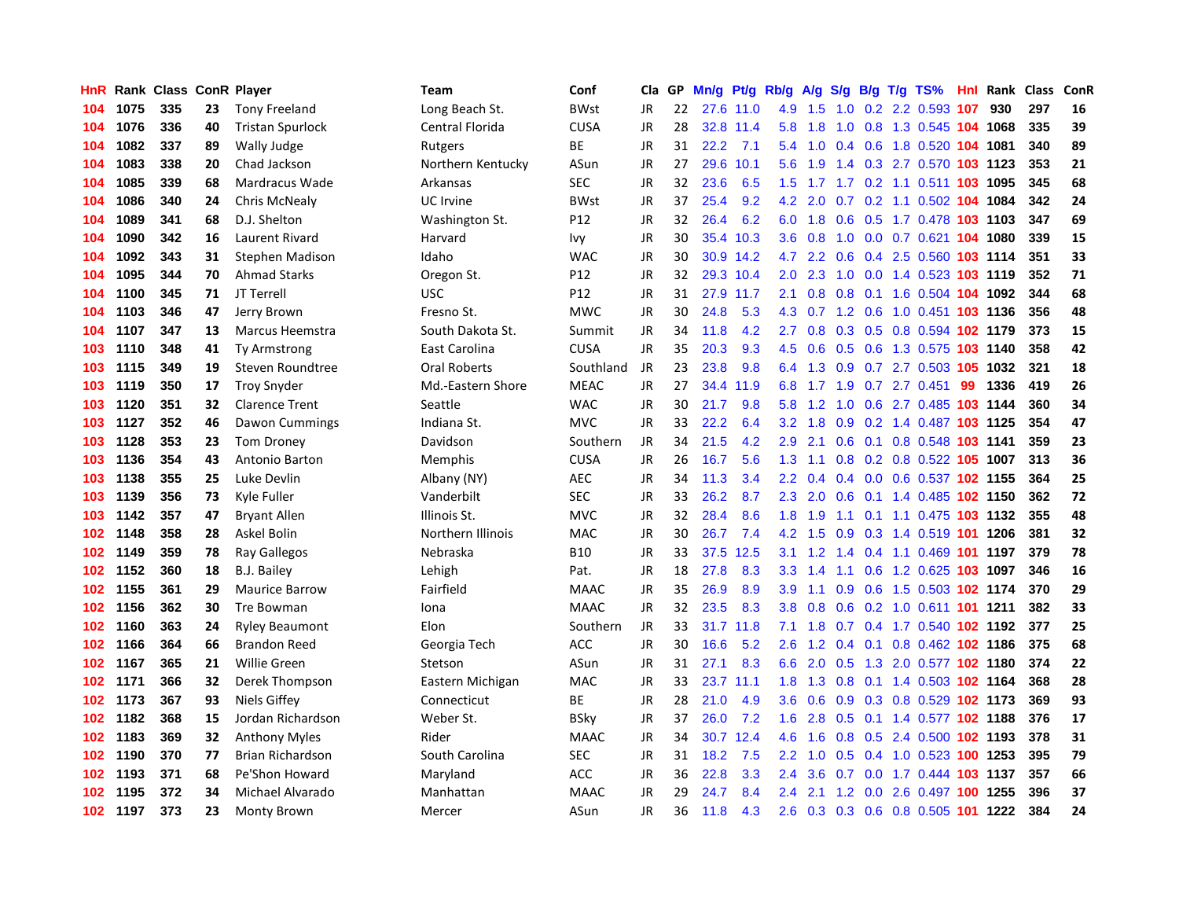| HnR |      | Rank Class ConR Player |    |                         | Team                | Conf        | Cla       | GP | Mn/g | Pt/g      | Rb/g             | A/g    | S/g |  | $B/g$ T/g TS%                  | Hnl | Rank | Class | ConR |
|-----|------|------------------------|----|-------------------------|---------------------|-------------|-----------|----|------|-----------|------------------|--------|-----|--|--------------------------------|-----|------|-------|------|
| 104 | 1075 | 335                    | 23 | <b>Tony Freeland</b>    | Long Beach St.      | <b>BWst</b> | JR        | 22 | 27.6 | 11.0      | 4.9              | 1.5    | 1.0 |  | 0.2 2.2 0.593 107              |     | 930  | 297   | 16   |
| 104 | 1076 | 336                    | 40 | <b>Tristan Spurlock</b> | Central Florida     | <b>CUSA</b> | JR        | 28 |      | 32.8 11.4 | 5.8              | 1.8    | 1.0 |  | 0.8 1.3 0.545 104 1068         |     |      | 335   | 39   |
| 104 | 1082 | 337                    | 89 | Wally Judge             | Rutgers             | <b>BE</b>   | JR        | 31 | 22.2 | 7.1       | 5.4              |        |     |  | 1.0 0.4 0.6 1.8 0.520 104 1081 |     |      | 340   | 89   |
| 104 | 1083 | 338                    | 20 | Chad Jackson            | Northern Kentucky   | ASun        | JR        | 27 | 29.6 | 10.1      | 5.6              | 1.9    |     |  | 1.4 0.3 2.7 0.570 103 1123     |     |      | 353   | 21   |
| 104 | 1085 | 339                    | 68 | Mardracus Wade          | Arkansas            | <b>SEC</b>  | JR        | 32 | 23.6 | 6.5       | 1.5              |        |     |  | 1.7 1.7 0.2 1.1 0.511 103 1095 |     |      | 345   | 68   |
| 104 | 1086 | 340                    | 24 | <b>Chris McNealy</b>    | <b>UC</b> Irvine    | <b>BWst</b> | JR        | 37 | 25.4 | 9.2       | 4.2              | 2.0    | 0.7 |  | 0.2 1.1 0.502 104 1084         |     |      | 342   | 24   |
| 104 | 1089 | 341                    | 68 | D.J. Shelton            | Washington St.      | P12         | JR        | 32 | 26.4 | 6.2       | 6.0              | 1.8    |     |  | 0.6 0.5 1.7 0.478 103 1103     |     |      | 347   | 69   |
| 104 | 1090 | 342                    | 16 | Laurent Rivard          | Harvard             | lvy         | JR        | 30 | 35.4 | 10.3      | 3.6              | 0.8    | 1.0 |  | 0.0 0.7 0.621 104 1080         |     |      | 339   | 15   |
| 104 | 1092 | 343                    | 31 | <b>Stephen Madison</b>  | Idaho               | <b>WAC</b>  | JR        | 30 | 30.9 | 14.2      | 4.7              | 2.2    | 0.6 |  | 0.4 2.5 0.560 103 1114         |     |      | 351   | 33   |
| 104 | 1095 | 344                    | 70 | <b>Ahmad Starks</b>     | Oregon St.          | P12         | JR        | 32 | 29.3 | 10.4      | $2.0^{\circ}$    | 2.3    | 1.0 |  | 0.0 1.4 0.523 103 1119         |     |      | 352   | 71   |
| 104 | 1100 | 345                    | 71 | JT Terrell              | <b>USC</b>          | P12         | JR        | 31 |      | 27.9 11.7 | 2.1              | 0.8    |     |  | 0.8 0.1 1.6 0.504 104 1092     |     |      | 344   | 68   |
| 104 | 1103 | 346                    | 47 | Jerry Brown             | Fresno St.          | <b>MWC</b>  | JR        | 30 | 24.8 | 5.3       | 4.3              |        |     |  | 0.7 1.2 0.6 1.0 0.451 103 1136 |     |      | 356   | 48   |
| 104 | 1107 | 347                    | 13 | Marcus Heemstra         | South Dakota St.    | Summit      | JR        | 34 | 11.8 | 4.2       | $2.7^{\circ}$    | 0.8    |     |  | 0.3 0.5 0.8 0.594 102 1179     |     |      | 373   | 15   |
| 103 | 1110 | 348                    | 41 | Ty Armstrong            | East Carolina       | <b>CUSA</b> | JR        | 35 | 20.3 | 9.3       | 4.5              | 0.6    | 0.5 |  | 0.6 1.3 0.575 103 1140         |     |      | 358   | 42   |
| 103 | 1115 | 349                    | 19 | Steven Roundtree        | <b>Oral Roberts</b> | Southland   | JR        | 23 | 23.8 | 9.8       | 6.4              | 1.3    | 0.9 |  | 0.7 2.7 0.503 105 1032         |     |      | 321   | 18   |
| 103 | 1119 | 350                    | 17 | <b>Troy Snyder</b>      | Md.-Eastern Shore   | <b>MEAC</b> | JR        | 27 | 34.4 | 11.9      | 6.8              | 1.7    | 1.9 |  | $0.7$ 2.7 $0.451$              | -99 | 1336 | 419   | 26   |
| 103 | 1120 | 351                    | 32 | <b>Clarence Trent</b>   | Seattle             | <b>WAC</b>  | <b>JR</b> | 30 | 21.7 | 9.8       | 5.8              | 1.2    | 1.0 |  | 0.6 2.7 0.485 103 1144         |     |      | 360   | 34   |
| 103 | 1127 | 352                    | 46 | Dawon Cummings          | Indiana St.         | <b>MVC</b>  | <b>JR</b> | 33 | 22.2 | 6.4       | 3.2              | 1.8    | 0.9 |  | 0.2 1.4 0.487 103 1125         |     |      | 354   | 47   |
| 103 | 1128 | 353                    | 23 | Tom Droney              | Davidson            | Southern    | JR        | 34 | 21.5 | 4.2       | 2.9              | 2.1    | 0.6 |  | 0.1 0.8 0.548 103 1141         |     |      | 359   | 23   |
| 103 | 1136 | 354                    | 43 | Antonio Barton          | Memphis             | <b>CUSA</b> | JR        | 26 | 16.7 | 5.6       | 1.3              | $-1.1$ |     |  | 0.8 0.2 0.8 0.522 105 1007     |     |      | 313   | 36   |
| 103 | 1138 | 355                    | 25 | Luke Devlin             | Albany (NY)         | <b>AEC</b>  | <b>JR</b> | 34 | 11.3 | 3.4       | $2.2^{\circ}$    | 0.4    |     |  | 0.4 0.0 0.6 0.537 102 1155     |     |      | 364   | 25   |
| 103 | 1139 | 356                    | 73 | Kyle Fuller             | Vanderbilt          | <b>SEC</b>  | JR        | 33 | 26.2 | 8.7       | 2.3              | 2.0    | 0.6 |  | 0.1 1.4 0.485 102 1150         |     |      | 362   | 72   |
| 103 | 1142 | 357                    | 47 | <b>Bryant Allen</b>     | Illinois St.        | <b>MVC</b>  | JR        | 32 | 28.4 | 8.6       | 1.8              | 1.9    | 1.1 |  | 0.1 1.1 0.475 103 1132         |     |      | 355   | 48   |
| 102 | 1148 | 358                    | 28 | Askel Bolin             | Northern Illinois   | <b>MAC</b>  | JR        | 30 | 26.7 | 7.4       | 4.2              | 1.5    | 0.9 |  | 0.3 1.4 0.519 101 1206         |     |      | 381   | 32   |
| 102 | 1149 | 359                    | 78 | Ray Gallegos            | Nebraska            | <b>B10</b>  | <b>JR</b> | 33 | 37.5 | 12.5      | 3.1              | 1.2    | 1.4 |  | 0.4 1.1 0.469 101 1197         |     |      | 379   | 78   |
| 102 | 1152 | 360                    | 18 | B.J. Bailey             | Lehigh              | Pat.        | JR        | 18 | 27.8 | 8.3       | 3.3              | 1.4    | 1.1 |  | 0.6 1.2 0.625 103 1097         |     |      | 346   | 16   |
| 102 | 1155 | 361                    | 29 | <b>Maurice Barrow</b>   | Fairfield           | <b>MAAC</b> | JR        | 35 | 26.9 | 8.9       | 3.9 <sup>°</sup> | 1.1    |     |  | 0.9 0.6 1.5 0.503 102 1174     |     |      | 370   | 29   |
| 102 | 1156 | 362                    | 30 | Tre Bowman              | Iona                | <b>MAAC</b> | JR        | 32 | 23.5 | 8.3       | 3.8 <sub>2</sub> | 0.8    |     |  | 0.6 0.2 1.0 0.611 101 1211     |     |      | 382   | 33   |
| 102 | 1160 | 363                    | 24 | <b>Ryley Beaumont</b>   | Elon                | Southern    | JR        | 33 | 31.7 | 11.8      | 7.1              | 1.8    |     |  | 0.7 0.4 1.7 0.540 102 1192     |     |      | 377   | 25   |
| 102 | 1166 | 364                    | 66 | <b>Brandon Reed</b>     | Georgia Tech        | ACC         | JR        | 30 | 16.6 | 5.2       | 2.6              | 1.2    |     |  | 0.4 0.1 0.8 0.462 102 1186     |     |      | 375   | 68   |
| 102 | 1167 | 365                    | 21 | Willie Green            | Stetson             | ASun        | JR        | 31 | 27.1 | 8.3       | 6.6              | 2.0    | 0.5 |  | 1.3 2.0 0.577 102 1180         |     |      | 374   | 22   |
| 102 | 1171 | 366                    | 32 | Derek Thompson          | Eastern Michigan    | <b>MAC</b>  | JR        | 33 | 23.7 | 11.1      | 1.8              | 1.3    | 0.8 |  | 0.1 1.4 0.503 102 1164         |     |      | 368   | 28   |
| 102 | 1173 | 367                    | 93 | Niels Giffey            | Connecticut         | <b>BE</b>   | JR        | 28 | 21.0 | 4.9       | 3.6 <sup>°</sup> | 0.6    | 0.9 |  | 0.3 0.8 0.529 102 1173         |     |      | 369   | 93   |
| 102 | 1182 | 368                    | 15 | Jordan Richardson       | Weber St.           | <b>BSky</b> | JR        | 37 | 26.0 | 7.2       | 1.6              | 2.8    | 0.5 |  | 0.1 1.4 0.577 102 1188         |     |      | 376   | 17   |
| 102 | 1183 | 369                    | 32 | <b>Anthony Myles</b>    | Rider               | <b>MAAC</b> | JR        | 34 | 30.7 | 12.4      | 4.6              | 1.6    | 0.8 |  | 0.5 2.4 0.500 102 1193         |     |      | 378   | 31   |
| 102 | 1190 | 370                    | 77 | <b>Brian Richardson</b> | South Carolina      | SEC         | JR        | 31 | 18.2 | 7.5       | $2.2^{\circ}$    | 1.0    |     |  | 0.5 0.4 1.0 0.523 100 1253     |     |      | 395   | 79   |
| 102 | 1193 | 371                    | 68 | Pe'Shon Howard          | Maryland            | ACC         | JR        | 36 | 22.8 | 3.3       | 2.4              | 3.6    |     |  | 0.7 0.0 1.7 0.444 103 1137     |     |      | 357   | 66   |
| 102 | 1195 | 372                    | 34 | Michael Alvarado        | Manhattan           | MAAC        | JR        | 29 | 24.7 | 8.4       | $2.4^{\circ}$    | 2.1    |     |  | 1.2 0.0 2.6 0.497 100 1255     |     |      | 396   | 37   |
| 102 | 1197 | 373                    | 23 | <b>Monty Brown</b>      | Mercer              | ASun        | <b>JR</b> | 36 | 11.8 | 4.3       | 2.6              | 0.3    |     |  | 0.3 0.6 0.8 0.505 101 1222     |     |      | 384   | 24   |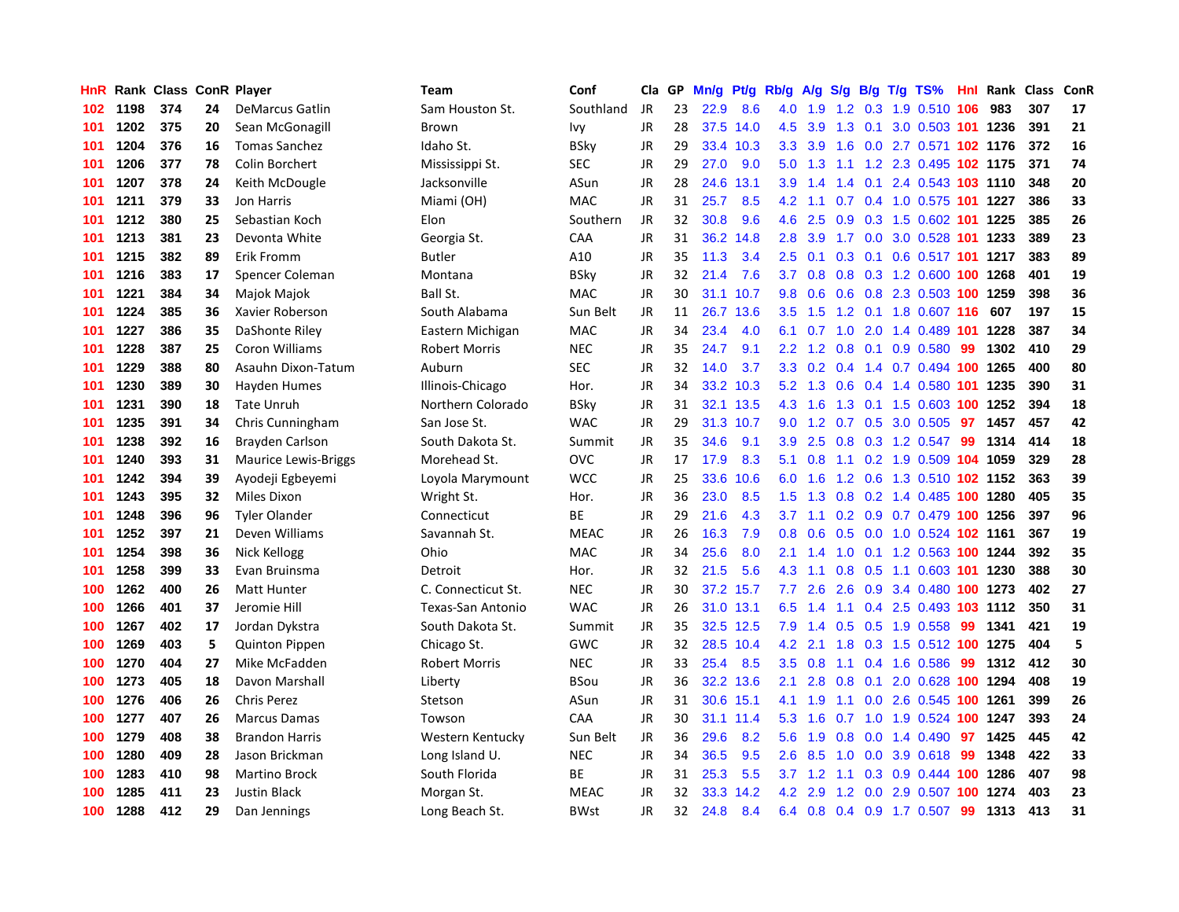| HnR |      | Rank Class ConR Player |    |                             | <b>Team</b>          | Conf        | Cla       | GP | Mn/g | Pt/g      | Rb/g             | A/g             | S/g           |  | $B/g$ T/g TS%                  |     | <b>Hnl Rank Class</b> |     | ConR |
|-----|------|------------------------|----|-----------------------------|----------------------|-------------|-----------|----|------|-----------|------------------|-----------------|---------------|--|--------------------------------|-----|-----------------------|-----|------|
| 102 | 1198 | 374                    | 24 | <b>DeMarcus Gatlin</b>      | Sam Houston St.      | Southland   | <b>JR</b> | 23 | 22.9 | 8.6       | 4.0              | 1.9             | 1.2           |  | 0.3 1.9 0.510 106              |     | 983                   | 307 | 17   |
| 101 | 1202 | 375                    | 20 | Sean McGonagill             | Brown                | Ivy         | JR        | 28 | 37.5 | 14.0      | 4.5              | 3.9             |               |  | 1.3 0.1 3.0 0.503 101 1236     |     |                       | 391 | 21   |
| 101 | 1204 | 376                    | 16 | <b>Tomas Sanchez</b>        | Idaho St.            | BSky        | JR        | 29 |      | 33.4 10.3 | 3.3              | 3.9             |               |  | 1.6 0.0 2.7 0.571 102 1176     |     |                       | 372 | 16   |
| 101 | 1206 | 377                    | 78 | Colin Borchert              | Mississippi St.      | SEC         | JR        | 29 | 27.0 | 9.0       | 5.0              |                 |               |  | 1.3 1.1 1.2 2.3 0.495 102 1175 |     |                       | 371 | 74   |
| 101 | 1207 | 378                    | 24 | Keith McDougle              | Jacksonville         | ASun        | JR        | 28 | 24.6 | 13.1      | 3.9              | 1.4             |               |  | 1.4 0.1 2.4 0.543 103 1110     |     |                       | 348 | 20   |
| 101 | 1211 | 379                    | 33 | Jon Harris                  | Miami (OH)           | MAC         | JR        | 31 | 25.7 | 8.5       | 4.2              | 1.1             | 0.7           |  | 0.4 1.0 0.575 101 1227         |     |                       | 386 | 33   |
| 101 | 1212 | 380                    | 25 | Sebastian Koch              | Elon                 | Southern    | JR        | 32 | 30.8 | 9.6       | 4.6              | 2.5             | 0.9           |  | 0.3 1.5 0.602 101 1225         |     |                       | 385 | 26   |
| 101 | 1213 | 381                    | 23 | Devonta White               | Georgia St.          | CAA         | JR        | 31 | 36.2 | 14.8      | 2.8              | 3.9             | 1.7           |  | 0.0 3.0 0.528 101 1233         |     |                       | 389 | 23   |
| 101 | 1215 | 382                    | 89 | Erik Fromm                  | <b>Butler</b>        | A10         | JR        | 35 | 11.3 | 3.4       | 2.5              | 0.1             | 0.3           |  | 0.1 0.6 0.517 101 1217         |     |                       | 383 | 89   |
| 101 | 1216 | 383                    | 17 | Spencer Coleman             | Montana              | <b>BSky</b> | JR        | 32 | 21.4 | 7.6       | 3.7              | 0.8             |               |  | 0.8 0.3 1.2 0.600 100 1268     |     |                       | 401 | 19   |
| 101 | 1221 | 384                    | 34 | Majok Majok                 | Ball St.             | MAC         | JR        | 30 | 31.1 | 10.7      | 9.8              | 0.6             |               |  | 0.6 0.8 2.3 0.503 100 1259     |     |                       | 398 | 36   |
| 101 | 1224 | 385                    | 36 | Xavier Roberson             | South Alabama        | Sun Belt    | JR        | 11 | 26.7 | 13.6      | $3.5^{\circ}$    | 1.5             |               |  | 1.2 0.1 1.8 0.607 116 607      |     |                       | 197 | 15   |
| 101 | 1227 | 386                    | 35 | DaShonte Riley              | Eastern Michigan     | <b>MAC</b>  | JR        | 34 | 23.4 | 4.0       | 6.1              | $0.7 \quad 1.0$ |               |  | 2.0 1.4 0.489 101 1228         |     |                       | 387 | 34   |
| 101 | 1228 | 387                    | 25 | Coron Williams              | <b>Robert Morris</b> | <b>NEC</b>  | JR        | 35 | 24.7 | 9.1       | $2.2^{\circ}$    | 1.2             | 0.8           |  | $0.1$ 0.9 0.580                | 99  | 1302                  | 410 | 29   |
| 101 | 1229 | 388                    | 80 | Asauhn Dixon-Tatum          | Auburn               | <b>SEC</b>  | JR        | 32 | 14.0 | 3.7       | 3.3 <sub>2</sub> | 0.2             | $0.4^{\circ}$ |  | 1.4 0.7 0.494 100 1265         |     |                       | 400 | 80   |
| 101 | 1230 | 389                    | 30 | Hayden Humes                | Illinois-Chicago     | Hor.        | JR        | 34 | 33.2 | 10.3      | 5.2              | 1.3             | 0.6           |  | 0.4 1.4 0.580 101 1235         |     |                       | 390 | 31   |
| 101 | 1231 | 390                    | 18 | <b>Tate Unruh</b>           | Northern Colorado    | <b>BSky</b> | JR        | 31 | 32.1 | 13.5      | 4.3              | 1.6             | 1.3           |  | 0.1 1.5 0.603 100 1252         |     |                       | 394 | 18   |
| 101 | 1235 | 391                    | 34 | Chris Cunningham            | San Jose St.         | <b>WAC</b>  | JR        | 29 | 31.3 | 10.7      | 9.0              | 1.2             | 0.7           |  | 0.5 3.0 0.505                  | 97  | 1457                  | 457 | 42   |
| 101 | 1238 | 392                    | 16 | Brayden Carlson             | South Dakota St.     | Summit      | JR        | 35 | 34.6 | 9.1       | 3.9 <sup>°</sup> | 2.5             |               |  | 0.8 0.3 1.2 0.547 99           |     | 1314                  | 414 | 18   |
| 101 | 1240 | 393                    | 31 | <b>Maurice Lewis-Briggs</b> | Morehead St.         | OVC         | <b>JR</b> | 17 | 17.9 | 8.3       | 5.1              | 0.8             |               |  | 1.1 0.2 1.9 0.509 104 1059     |     |                       | 329 | 28   |
| 101 | 1242 | 394                    | 39 | Ayodeji Egbeyemi            | Loyola Marymount     | WCC         | <b>JR</b> | 25 | 33.6 | 10.6      | 6.0              | 1.6             |               |  | 1.2 0.6 1.3 0.510 102 1152     |     |                       | 363 | 39   |
| 101 | 1243 | 395                    | 32 | Miles Dixon                 | Wright St.           | Hor.        | JR        | 36 | 23.0 | 8.5       | 1.5              | 1.3             | 0.8           |  | 0.2 1.4 0.485 100 1280         |     |                       | 405 | 35   |
| 101 | 1248 | 396                    | 96 | <b>Tyler Olander</b>        | Connecticut          | ВE          | JR        | 29 | 21.6 | 4.3       | 3.7              | 1.1             |               |  | 0.2 0.9 0.7 0.479 100 1256     |     |                       | 397 | 96   |
| 101 | 1252 | 397                    | 21 | Deven Williams              | Savannah St.         | <b>MEAC</b> | JR        | 26 | 16.3 | 7.9       | 0.8              | 0.6             |               |  | 0.5 0.0 1.0 0.524 102 1161     |     |                       | 367 | 19   |
| 101 | 1254 | 398                    | 36 | Nick Kellogg                | Ohio                 | <b>MAC</b>  | JR        | 34 | 25.6 | 8.0       | 2.1              | 1.4             | 1.0           |  | 0.1 1.2 0.563 100 1244         |     |                       | 392 | 35   |
| 101 | 1258 | 399                    | 33 | Evan Bruinsma               | Detroit              | Hor.        | JR        | 32 | 21.5 | 5.6       | 4.3              | $-1.1$          | 0.8           |  | 0.5 1.1 0.603 101 1230         |     |                       | 388 | 30   |
| 100 | 1262 | 400                    | 26 | <b>Matt Hunter</b>          | C. Connecticut St.   | <b>NEC</b>  | <b>JR</b> | 30 |      | 37.2 15.7 | 7.7              | 2.6             | 2.6           |  | 0.9 3.4 0.480 100 1273         |     |                       | 402 | 27   |
| 100 | 1266 | 401                    | 37 | Jeromie Hill                | Texas-San Antonio    | <b>WAC</b>  | JR        | 26 |      | 31.0 13.1 | 6.5              | 1.4             |               |  | 1.1 0.4 2.5 0.493 103 1112     |     |                       | 350 | 31   |
| 100 | 1267 | 402                    | 17 | Jordan Dykstra              | South Dakota St.     | Summit      | JR        | 35 |      | 32.5 12.5 | 7.9              | 1.4             |               |  | $0.5$ $0.5$ 1.9 $0.558$        | -99 | 1341                  | 421 | 19   |
| 100 | 1269 | 403                    | 5  | <b>Quinton Pippen</b>       | Chicago St.          | GWC         | <b>JR</b> | 32 | 28.5 | 10.4      | 4.2              | 2.1             | 1.8           |  | 0.3 1.5 0.512 100 1275         |     |                       | 404 | 5    |
| 100 | 1270 | 404                    | 27 | Mike McFadden               | <b>Robert Morris</b> | <b>NEC</b>  | JR        | 33 | 25.4 | 8.5       | 3.5              | 0.8             | 1.1           |  | $0.4$ 1.6 0.586                | -99 | 1312                  | 412 | 30   |
| 100 | 1273 | 405                    | 18 | Davon Marshall              | Liberty              | BSou        | JR        | 36 | 32.2 | 13.6      | 2.1              | 2.8             | 0.8           |  | 0.1 2.0 0.628 100 1294         |     |                       | 408 | 19   |
| 100 | 1276 | 406                    | 26 | <b>Chris Perez</b>          | Stetson              | ASun        | JR        | 31 | 30.6 | 15.1      | 4.1              | 1.9             |               |  | 1.1 0.0 2.6 0.545 100 1261     |     |                       | 399 | 26   |
| 100 | 1277 | 407                    | 26 | <b>Marcus Damas</b>         | Towson               | CAA         | JR        | 30 | 31.1 | 11.4      | 5.3              | 1.6             | 0.7           |  | 1.0 1.9 0.524 100 1247         |     |                       | 393 | 24   |
| 100 | 1279 | 408                    | 38 | <b>Brandon Harris</b>       | Western Kentucky     | Sun Belt    | JR        | 36 | 29.6 | 8.2       | 5.6              | 1.9             | 0.8           |  | $0.0$ 1.4 $0.490$              | 97  | 1425                  | 445 | 42   |
| 100 | 1280 | 409                    | 28 | Jason Brickman              | Long Island U.       | <b>NEC</b>  | <b>JR</b> | 34 | 36.5 | 9.5       | 2.6              | 8.5             | 1.0           |  | 0.0 3.9 0.618 99               |     | 1348                  | 422 | 33   |
| 100 | 1283 | 410                    | 98 | <b>Martino Brock</b>        | South Florida        | <b>BE</b>   | JR        | 31 | 25.3 | 5.5       | 3.7              |                 |               |  | 1.2 1.1 0.3 0.9 0.444 100 1286 |     |                       | 407 | 98   |
| 100 | 1285 | 411                    | 23 | <b>Justin Black</b>         | Morgan St.           | <b>MEAC</b> | JR        | 32 | 33.3 | 14.2      | 4.2              | 2.9             | 1.2           |  | 0.0 2.9 0.507 100 1274         |     |                       | 403 | 23   |
| 100 | 1288 | 412                    | 29 | Dan Jennings                | Long Beach St.       | <b>BWst</b> | <b>JR</b> | 32 | 24.8 | 8.4       | 6.4              | 0.8             |               |  | 0.4 0.9 1.7 0.507              | 99  | 1313                  | 413 | 31   |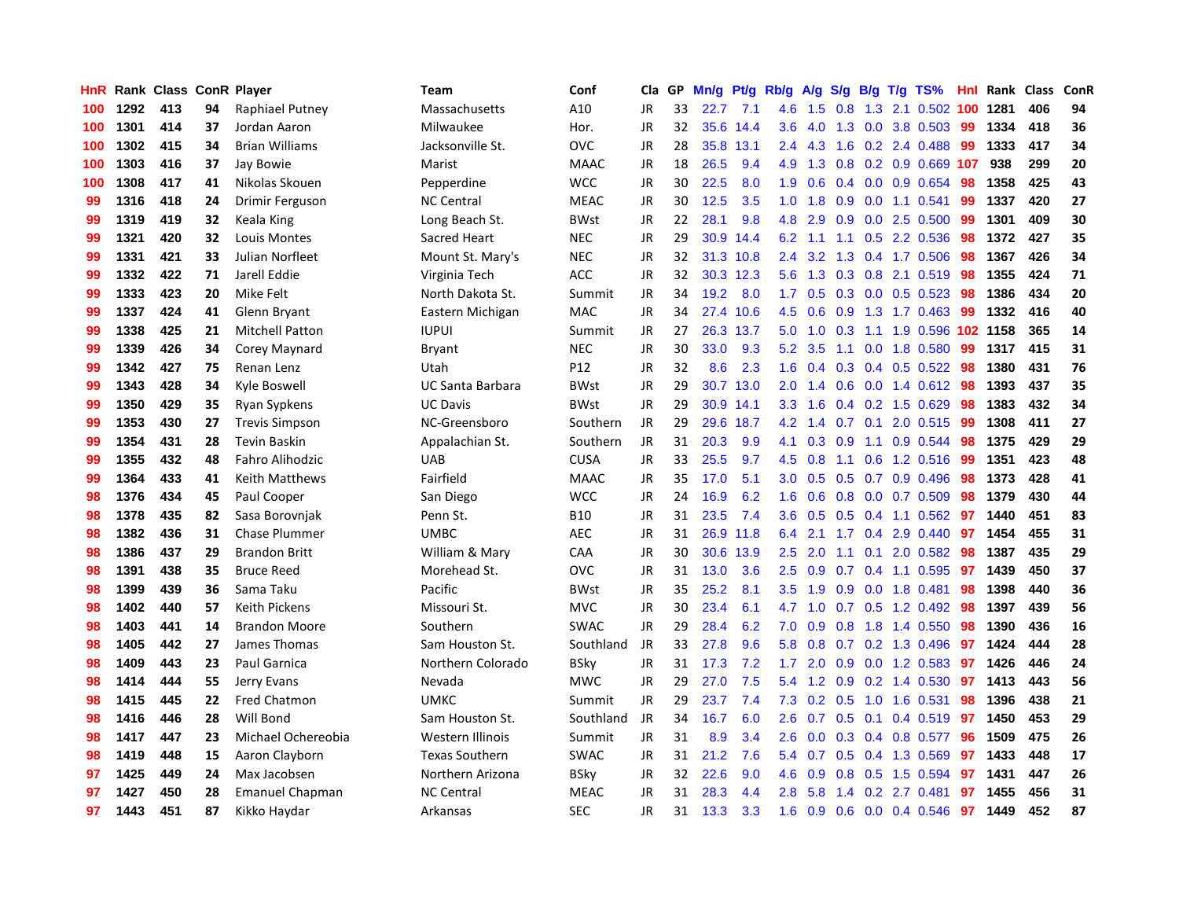| HnR |      | Rank Class ConR Player |    |                        | Team                    | Conf        | Cla       | <b>GP</b> | Mn/g | <b>Pt/g</b> | Rb/g             | A/g    | S/g |             | B/g T/g TS%               | Hnl | Rank | Class | ConR |
|-----|------|------------------------|----|------------------------|-------------------------|-------------|-----------|-----------|------|-------------|------------------|--------|-----|-------------|---------------------------|-----|------|-------|------|
| 100 | 1292 | 413                    | 94 | Raphiael Putney        | Massachusetts           | A10         | JR        | 33        | 22.7 | 7.1         | 4.6              | 1.5    | 0.8 |             | 1.3 2.1 0.502 100         |     | 1281 | 406   | 94   |
| 100 | 1301 | 414                    | 37 | Jordan Aaron           | Milwaukee               | Hor.        | JR        | 32        |      | 35.6 14.4   | 3.6              | 4.0    |     |             | 1.3 0.0 3.8 0.503 99      |     | 1334 | 418   | 36   |
| 100 | 1302 | 415                    | 34 | <b>Brian Williams</b>  | Jacksonville St.        | OVC         | <b>JR</b> | 28        | 35.8 | 13.1        | $2.4^{\circ}$    | 4.3    |     |             | 1.6 0.2 2.4 0.488         | -99 | 1333 | 417   | 34   |
| 100 | 1303 | 416                    | 37 | Jay Bowie              | Marist                  | <b>MAAC</b> | JR        | 18        | 26.5 | 9.4         | 4.9              | 1.3    |     |             | 0.8 0.2 0.9 0.669 107     |     | 938  | 299   | 20   |
| 100 | 1308 | 417                    | 41 | Nikolas Skouen         | Pepperdine              | <b>WCC</b>  | JR        | 30        | 22.5 | 8.0         | 1.9              | 0.6    |     |             | $0.4$ 0.0 0.9 0.654       | 98  | 1358 | 425   | 43   |
| 99  | 1316 | 418                    | 24 | Drimir Ferguson        | <b>NC Central</b>       | <b>MEAC</b> | JR        | 30        | 12.5 | 3.5         | 1.0              | 1.8    | 0.9 |             | $0.0$ 1.1 0.541           | 99  | 1337 | 420   | 27   |
| 99  | 1319 | 419                    | 32 | Keala King             | Long Beach St.          | <b>BWst</b> | JR        | 22        | 28.1 | 9.8         | 4.8              | 2.9    |     |             | $0.9$ $0.0$ 2.5 $0.500$   | 99  | 1301 | 409   | 30   |
| 99  | 1321 | 420                    | 32 | Louis Montes           | Sacred Heart            | <b>NEC</b>  | JR        | 29        | 30.9 | 14.4        | 6.2              | $-1.1$ |     |             | 1.1 0.5 2.2 0.536         | 98  | 1372 | 427   | 35   |
| 99  | 1331 | 421                    | 33 | Julian Norfleet        | Mount St. Mary's        | <b>NEC</b>  | JR        | 32        | 31.3 | 10.8        | $2.4^{\circ}$    | 3.2    | 1.3 |             | $0.4$ 1.7 0.506           | 98  | 1367 | 426   | 34   |
| 99  | 1332 | 422                    | 71 | Jarell Eddie           | Virginia Tech           | <b>ACC</b>  | JR        | 32        |      | 30.3 12.3   | 5.6              | 1.3    |     |             | 0.3 0.8 2.1 0.519 98      |     | 1355 | 424   | 71   |
| 99  | 1333 | 423                    | 20 | Mike Felt              | North Dakota St.        | Summit      | JR        | 34        | 19.2 | 8.0         | 1.7              | 0.5    |     |             | 0.3 0.0 0.5 0.523 98      |     | 1386 | 434   | 20   |
| 99  | 1337 | 424                    | 41 | Glenn Bryant           | Eastern Michigan        | <b>MAC</b>  | JR        | 34        | 27.4 | 10.6        | 4.5              | 0.6    |     |             | 0.9 1.3 1.7 0.463         | -99 | 1332 | 416   | 40   |
| 99  | 1338 | 425                    | 21 | <b>Mitchell Patton</b> | <b>IUPUI</b>            | Summit      | <b>JR</b> | 27        | 26.3 | 13.7        | 5.0              | 1.0    | 0.3 |             | 1.1 1.9 0.596 102 1158    |     |      | 365   | 14   |
| 99  | 1339 | 426                    | 34 | Corey Maynard          | Bryant                  | <b>NEC</b>  | <b>JR</b> | 30        | 33.0 | 9.3         | 5.2              | 3.5    | 1.1 |             | 0.0 1.8 0.580             | 99  | 1317 | 415   | 31   |
| 99  | 1342 | 427                    | 75 | Renan Lenz             | Utah                    | P12         | JR        | 32        | 8.6  | 2.3         | 1.6              | 0.4    |     |             | 0.3 0.4 0.5 0.522 98      |     | 1380 | 431   | 76   |
| 99  | 1343 | 428                    | 34 | Kyle Boswell           | <b>UC Santa Barbara</b> | <b>BWst</b> | JR        | 29        | 30.7 | 13.0        | 2.0              | 1.4    |     |             | $0.6$ 0.0 1.4 0.612       | 98  | 1393 | 437   | 35   |
| 99  | 1350 | 429                    | 35 | Ryan Sypkens           | <b>UC Davis</b>         | <b>BWst</b> | <b>JR</b> | 29        | 30.9 | 14.1        | 3.3 <sub>2</sub> | 1.6    |     |             | 0.4 0.2 1.5 0.629         | 98  | 1383 | 432   | 34   |
| 99  | 1353 | 430                    | 27 | <b>Trevis Simpson</b>  | NC-Greensboro           | Southern    | <b>JR</b> | 29        | 29.6 | 18.7        | 4.2              | 1.4    | 0.7 | 0.1         | 2.0 0.515                 | -99 | 1308 | 411   | 27   |
| 99  | 1354 | 431                    | 28 | <b>Tevin Baskin</b>    | Appalachian St.         | Southern    | JR        | 31        | 20.3 | 9.9         | 4.1              | 0.3    | 0.9 |             | 1.1 0.9 0.544 98          |     | 1375 | 429   | 29   |
| 99  | 1355 | 432                    | 48 | <b>Fahro Alihodzic</b> | <b>UAB</b>              | <b>CUSA</b> | <b>JR</b> | 33        | 25.5 | 9.7         | 4.5              | 0.8    |     |             | 1.1 0.6 1.2 0.516 99      |     | 1351 | 423   | 48   |
| 99  | 1364 | 433                    | 41 | Keith Matthews         | Fairfield               | <b>MAAC</b> | JR        | 35        | 17.0 | 5.1         | 3.0 <sub>2</sub> | 0.5    |     |             | $0.5$ 0.7 0.9 0.496       | 98  | 1373 | 428   | 41   |
| 98  | 1376 | 434                    | 45 | Paul Cooper            | San Diego               | <b>WCC</b>  | <b>JR</b> | 24        | 16.9 | 6.2         | 1.6              | 0.6    | 0.8 |             | $0.0$ 0.7 0.509           | 98  | 1379 | 430   | 44   |
| 98  | 1378 | 435                    | 82 | Sasa Borovnjak         | Penn St.                | <b>B10</b>  | JR        | 31        | 23.5 | 7.4         | 3.6              | 0.5    |     |             | $0.5$ 0.4 1.1 0.562       | 97  | 1440 | 451   | 83   |
| 98  | 1382 | 436                    | 31 | <b>Chase Plummer</b>   | <b>UMBC</b>             | <b>AEC</b>  | JR        | 31        | 26.9 | 11.8        | 6.4              | 2.1    |     | $1.7 \t0.4$ | 2.9 0.440                 | 97  | 1454 | 455   | 31   |
| 98  | 1386 | 437                    | 29 | <b>Brandon Britt</b>   | William & Mary          | CAA         | JR        | 30        | 30.6 | 13.9        | 2.5              | 2.0    | 1.1 | 0.1         | 2.0 0.582                 | 98  | 1387 | 435   | 29   |
| 98  | 1391 | 438                    | 35 | <b>Bruce Reed</b>      | Morehead St.            | <b>OVC</b>  | JR        | 31        | 13.0 | 3.6         | 2.5              | 0.9    |     |             | $0.7$ 0.4 1.1 0.595       | 97  | 1439 | 450   | 37   |
| 98  | 1399 | 439                    | 36 | Sama Taku              | Pacific                 | <b>BWst</b> | JR        | 35        | 25.2 | 8.1         | 3.5              | 1.9    |     |             | $0.9$ 0.0 1.8 0.481       | 98  | 1398 | 440   | 36   |
| 98  | 1402 | 440                    | 57 | Keith Pickens          | Missouri St.            | <b>MVC</b>  | JR        | 30        | 23.4 | 6.1         | 4.7              | 1.0    |     |             | 0.7 0.5 1.2 0.492 98      |     | 1397 | 439   | 56   |
| 98  | 1403 | 441                    | 14 | <b>Brandon Moore</b>   | Southern                | <b>SWAC</b> | JR        | 29        | 28.4 | 6.2         | 7.0              | 0.9    |     |             | $0.8$ 1.8 1.4 0.550       | 98  | 1390 | 436   | 16   |
| 98  | 1405 | 442                    | 27 | James Thomas           | Sam Houston St.         | Southland   | JR        | 33        | 27.8 | 9.6         | 5.8              | 0.8    |     |             | $0.7$ $0.2$ 1.3 $0.496$   | 97  | 1424 | 444   | 28   |
| 98  | 1409 | 443                    | 23 | <b>Paul Garnica</b>    | Northern Colorado       | <b>BSky</b> | JR        | 31        | 17.3 | 7.2         | 1.7              | 2.0    | 0.9 |             | 0.0 1.2 0.583             | 97  | 1426 | 446   | 24   |
| 98  | 1414 | 444                    | 55 | Jerry Evans            | Nevada                  | <b>MWC</b>  | JR        | 29        | 27.0 | 7.5         | 5.4              | 1.2    | 0.9 |             | 0.2 1.4 0.530             | 97  | 1413 | 443   | 56   |
| 98  | 1415 | 445                    | 22 | <b>Fred Chatmon</b>    | <b>UMKC</b>             | Summit      | JR        | 29        | 23.7 | 7.4         | 7.3              | 0.2    | 0.5 |             | 1.0 1.6 0.531             | 98  | 1396 | 438   | 21   |
| 98  | 1416 | 446                    | 28 | Will Bond              | Sam Houston St.         | Southland   | JR        | 34        | 16.7 | 6.0         | 2.6              | 0.7    | 0.5 | 0.1         | $0.4$ 0.519               | 97  | 1450 | 453   | 29   |
| 98  | 1417 | 447                    | 23 | Michael Ochereobia     | Western Illinois        | Summit      | JR        | 31        | 8.9  | 3.4         | 2.6              | 0.0    | 0.3 |             | 0.4 0.8 0.577             | 96  | 1509 | 475   | 26   |
| 98  | 1419 | 448                    | 15 | Aaron Clayborn         | <b>Texas Southern</b>   | <b>SWAC</b> | JR        | 31        | 21.2 | 7.6         | 5.4              | 0.7    |     |             | $0.5$ 0.4 1.3 0.569       | 97  | 1433 | 448   | 17   |
| 97  | 1425 | 449                    | 24 | Max Jacobsen           | Northern Arizona        | <b>BSky</b> | JR        | 32        | 22.6 | 9.0         | 4.6              | 0.9    |     |             | 0.8 0.5 1.5 0.594         | 97  | 1431 | 447   | 26   |
| 97  | 1427 | 450                    | 28 | <b>Emanuel Chapman</b> | <b>NC Central</b>       | <b>MEAC</b> | JR        | 31        | 28.3 | 4.4         | 2.8 <sup>°</sup> | 5.8    |     |             | 1.4 0.2 2.7 0.481         | 97  | 1455 | 456   | 31   |
| 97  | 1443 | 451                    | 87 | Kikko Haydar           | Arkansas                | <b>SEC</b>  | <b>JR</b> | 31        | 13.3 | 3.3         | 1.6              | 0.9    |     |             | $0.6$ $0.0$ $0.4$ $0.546$ | 97  | 1449 | 452   | 87   |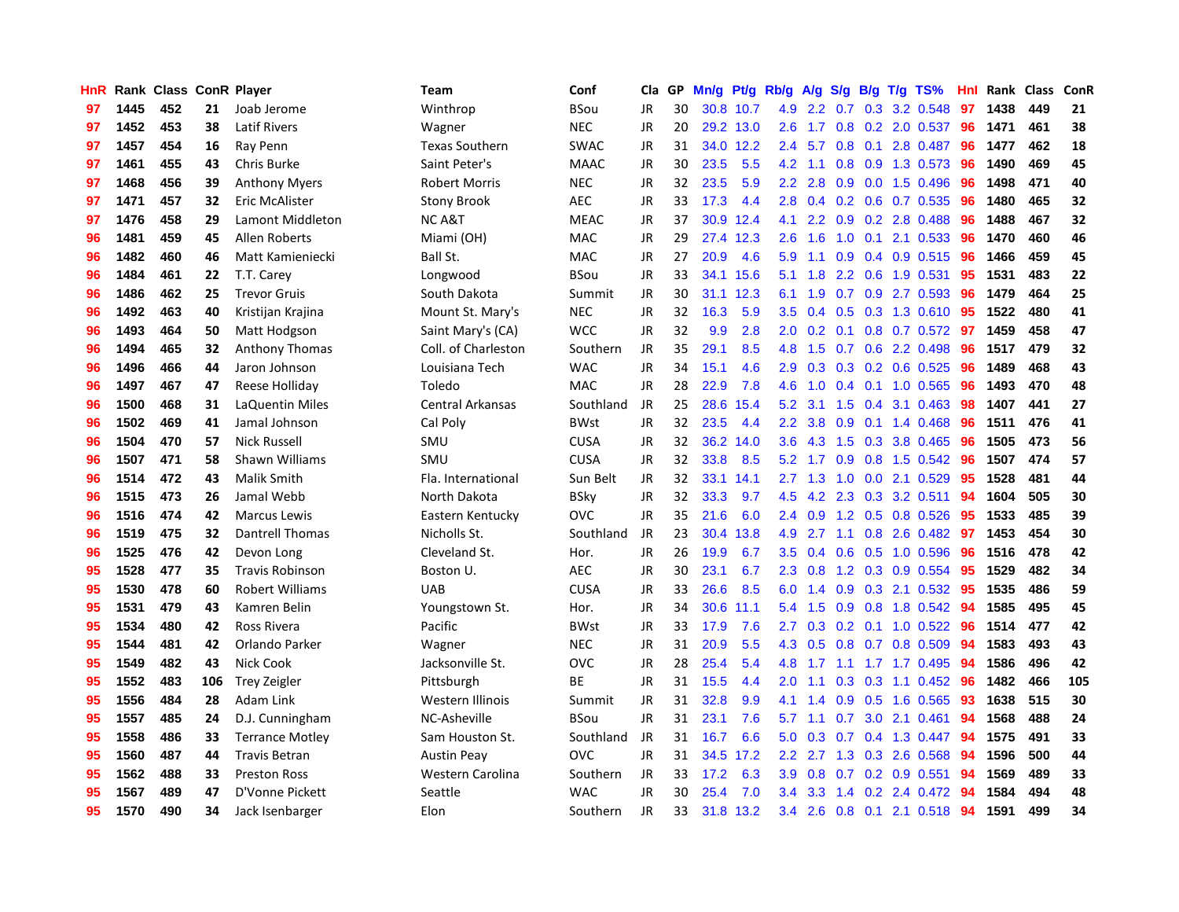| <b>HnR</b> |      | Rank Class ConR Player |     |                        | Team                    | Conf        | Cla       | GP | Mn/g | <b>Pt/g</b> | Rb/g             | A/g             |                  |     | S/g B/g T/g TS%          | Hnl | Rank | <b>Class</b> | <b>ConR</b> |
|------------|------|------------------------|-----|------------------------|-------------------------|-------------|-----------|----|------|-------------|------------------|-----------------|------------------|-----|--------------------------|-----|------|--------------|-------------|
| 97         | 1445 | 452                    | 21  | Joab Jerome            | Winthrop                | <b>BSou</b> | JR        | 30 |      | 30.8 10.7   |                  | 4.9 2.2         | 0.7              |     | 0.3 3.2 0.548            | 97  | 1438 | 449          | 21          |
| 97         | 1452 | 453                    | 38  | <b>Latif Rivers</b>    | Wagner                  | <b>NEC</b>  | JR        | 20 |      | 29.2 13.0   | 2.6              |                 |                  |     | 1.7 0.8 0.2 2.0 0.537 96 |     | 1471 | 461          | 38          |
| 97         | 1457 | 454                    | 16  | Ray Penn               | <b>Texas Southern</b>   | <b>SWAC</b> | JR        | 31 |      | 34.0 12.2   | $2.4^{\circ}$    | 5.7             |                  |     | $0.8$ 0.1 2.8 0.487      | -96 | 1477 | 462          | 18          |
| 97         | 1461 | 455                    | 43  | Chris Burke            | Saint Peter's           | <b>MAAC</b> | JR        | 30 | 23.5 | 5.5         |                  | $4.2$ 1.1       |                  |     | $0.8$ 0.9 1.3 0.573      | -96 | 1490 | 469          | 45          |
| 97         | 1468 | 456                    | 39  | <b>Anthony Myers</b>   | <b>Robert Morris</b>    | <b>NEC</b>  | <b>JR</b> | 32 | 23.5 | 5.9         |                  | $2.2$ $2.8$     | 0.9              |     | 0.0 1.5 0.496            | 96  | 1498 | 471          | 40          |
| 97         | 1471 | 457                    | 32  | Eric McAlister         | <b>Stony Brook</b>      | AEC         | JR        | 33 | 17.3 | 4.4         | 2.8              |                 |                  |     | $0.4$ 0.2 0.6 0.7 0.535  | 96  | 1480 | 465          | 32          |
| 97         | 1476 | 458                    | 29  | Lamont Middleton       | <b>NCA&amp;T</b>        | <b>MEAC</b> | JR        | 37 | 30.9 | 12.4        | 4.1              | 2.2             |                  |     | 0.9 0.2 2.8 0.488        | 96  | 1488 | 467          | 32          |
| 96         | 1481 | 459                    | 45  | Allen Roberts          | Miami (OH)              | <b>MAC</b>  | JR        | 29 | 27.4 | 12.3        | 2.6              | 1.6             | 1.0              |     | $0.1$ 2.1 0.533          | -96 | 1470 | 460          | 46          |
| 96         | 1482 | 460                    | 46  | Matt Kamieniecki       | Ball St.                | <b>MAC</b>  | <b>JR</b> | 27 | 20.9 | 4.6         | 5.9              | 1.1             | 0.9              |     | $0.4$ 0.9 0.515          | -96 | 1466 | 459          | 45          |
| 96         | 1484 | 461                    | 22  | T.T. Carey             | Longwood                | <b>BSou</b> | JR        | 33 |      | 34.1 15.6   | 5.1              | 1.8             |                  |     | 2.2 0.6 1.9 0.531        | -95 | 1531 | 483          | 22          |
| 96         | 1486 | 462                    | 25  | <b>Trevor Gruis</b>    | South Dakota            | Summit      | JR        | 30 |      | 31.1 12.3   | 6.1              | 1.9             |                  |     | 0.7 0.9 2.7 0.593 96     |     | 1479 | 464          | 25          |
| 96         | 1492 | 463                    | 40  | Kristijan Krajina      | Mount St. Mary's        | <b>NEC</b>  | <b>JR</b> | 32 | 16.3 | 5.9         | $3.5^{\circ}$    | $0.4^{\circ}$   |                  |     | 0.5 0.3 1.3 0.610 95     |     | 1522 | 480          | 41          |
| 96         | 1493 | 464                    | 50  | Matt Hodgson           | Saint Mary's (CA)       | <b>WCC</b>  | <b>JR</b> | 32 | 9.9  | 2.8         | 2.0 <sub>1</sub> | 0.2             |                  |     | 0.1 0.8 0.7 0.572 97     |     | 1459 | 458          | 47          |
| 96         | 1494 | 465                    | 32  | <b>Anthony Thomas</b>  | Coll. of Charleston     | Southern    | <b>JR</b> | 35 | 29.1 | 8.5         | 4.8              | 1.5             |                  |     | 0.7 0.6 2.2 0.498        | 96  | 1517 | 479          | 32          |
| 96         | 1496 | 466                    | 44  | Jaron Johnson          | Louisiana Tech          | <b>WAC</b>  | <b>JR</b> | 34 | 15.1 | 4.6         | 2.9 <sup>°</sup> | 0.3             |                  |     | 0.3 0.2 0.6 0.525        | 96  | 1489 | 468          | 43          |
| 96         | 1497 | 467                    | 47  | Reese Holliday         | Toledo                  | <b>MAC</b>  | JR        | 28 | 22.9 | 7.8         | 4.6              | 1.0             |                  |     | $0.4$ 0.1 1.0 0.565      | 96  | 1493 | 470          | 48          |
| 96         | 1500 | 468                    | 31  | LaQuentin Miles        | <b>Central Arkansas</b> | Southland   | <b>JR</b> | 25 | 28.6 | 15.4        | 5.2              | 3.1             | 1.5              | 0.4 | 3.1 0.463                | 98  | 1407 | 441          | 27          |
| 96         | 1502 | 469                    | 41  | Jamal Johnson          | Cal Poly                | <b>BWst</b> | <b>JR</b> | 32 | 23.5 | 4.4         | 2.2              | 3.8             | 0.9              |     | $0.1$ 1.4 $0.468$        | 96  | 1511 | 476          | 41          |
| 96         | 1504 | 470                    | 57  | <b>Nick Russell</b>    | SMU                     | <b>CUSA</b> | JR        | 32 |      | 36.2 14.0   | 3.6 <sup>°</sup> | 4.3             |                  |     | 1.5 0.3 3.8 0.465        | -96 | 1505 | 473          | 56          |
| 96         | 1507 | 471                    | 58  | Shawn Williams         | SMU                     | CUSA        | <b>JR</b> | 32 | 33.8 | 8.5         |                  | $5.2 \quad 1.7$ |                  |     | 0.9 0.8 1.5 0.542 96     |     | 1507 | 474          | 57          |
| 96         | 1514 | 472                    | 43  | Malik Smith            | Fla. International      | Sun Belt    | JR        | 32 | 33.1 | 14.1        |                  | $2.7$ 1.3       |                  |     | 1.0 0.0 2.1 0.529        | 95  | 1528 | 481          | 44          |
| 96         | 1515 | 473                    | 26  | Jamal Webb             | North Dakota            | <b>BSky</b> | <b>JR</b> | 32 | 33.3 | 9.7         | 4.5              | 4.2             |                  |     | 2.3 0.3 3.2 0.511        | 94  | 1604 | 505          | 30          |
| 96         | 1516 | 474                    | 42  | <b>Marcus Lewis</b>    | Eastern Kentucky        | OVC         | JR        | 35 | 21.6 | 6.0         | 2.4              | 0.9             |                  |     | 1.2 0.5 0.8 0.526        | 95  | 1533 | 485          | 39          |
| 96         | 1519 | 475                    | 32  | <b>Dantrell Thomas</b> | Nicholls St.            | Southland   | JR        | 23 | 30.4 | 13.8        | 4.9              | 2.7             |                  |     | 1.1 0.8 2.6 0.482        | 97  | 1453 | 454          | 30          |
| 96         | 1525 | 476                    | 42  | Devon Long             | Cleveland St.           | Hor.        | JR        | 26 | 19.9 | 6.7         | 3.5              | 0.4             | 0.6              |     | 0.5 1.0 0.596            | -96 | 1516 | 478          | 42          |
| 95         | 1528 | 477                    | 35  | <b>Travis Robinson</b> | Boston U.               | AEC         | JR        | 30 | 23.1 | 6.7         | 2.3              | 0.8             |                  |     | 1.2 0.3 0.9 0.554        | 95  | 1529 | 482          | 34          |
| 95         | 1530 | 478                    | 60  | Robert Williams        | UAB                     | <b>CUSA</b> | JR        | 33 | 26.6 | 8.5         | 6.0              |                 |                  |     | 1.4 0.9 0.3 2.1 0.532 95 |     | 1535 | 486          | 59          |
| 95         | 1531 | 479                    | 43  | Kamren Belin           | Youngstown St.          | Hor.        | JR        | 34 | 30.6 | 11.1        | 5.4              | 1.5             |                  |     | 0.9 0.8 1.8 0.542 94     |     | 1585 | 495          | 45          |
| 95         | 1534 | 480                    | 42  | Ross Rivera            | Pacific                 | <b>BWst</b> | JR        | 33 | 17.9 | 7.6         | $2.7^{\circ}$    |                 |                  |     | 0.3 0.2 0.1 1.0 0.522 96 |     | 1514 | 477          | 42          |
| 95         | 1544 | 481                    | 42  | Orlando Parker         | Wagner                  | <b>NEC</b>  | JR        | 31 | 20.9 | 5.5         | 4.3              | 0.5             |                  |     | $0.8$ 0.7 0.8 0.509      | -94 | 1583 | 493          | 43          |
| 95         | 1549 | 482                    | 43  | Nick Cook              | Jacksonville St.        | <b>OVC</b>  | JR        | 28 | 25.4 | 5.4         | 4.8              | 1.7             | 1.1              |     | 1.7 1.7 0.495            | 94  | 1586 | 496          | 42          |
| 95         | 1552 | 483                    | 106 | <b>Trey Zeigler</b>    | Pittsburgh              | <b>BE</b>   | JR        | 31 | 15.5 | 4.4         | 2.0              | 1.1             | 0.3              |     | 0.3 1.1 0.452 96         |     | 1482 | 466          | 105         |
| 95         | 1556 | 484                    | 28  | Adam Link              | Western Illinois        | Summit      | JR        | 31 | 32.8 | 9.9         | 4.1              | 1.4             | 0.9 <sup>°</sup> |     | $0.5$ 1.6 0.565          | -93 | 1638 | 515          | 30          |
| 95         | 1557 | 485                    | 24  | D.J. Cunningham        | NC-Asheville            | <b>BSou</b> | JR        | 31 | 23.1 | 7.6         | 5.7              | $-1.1$          | 0.7              |     | 3.0 2.1 0.461            | 94  | 1568 | 488          | 24          |
| 95         | 1558 | 486                    | 33  | <b>Terrance Motley</b> | Sam Houston St.         | Southland   | JR        | 31 | 16.7 | 6.6         | 5.0              | 0.3             | 0.7              |     | $0.4$ 1.3 0.447          | -94 | 1575 | 491          | 33          |
| 95         | 1560 | 487                    | 44  | <b>Travis Betran</b>   | <b>Austin Peay</b>      | <b>OVC</b>  | JR        | 31 |      | 34.5 17.2   |                  | $2.2$ 2.7       |                  |     | 1.3 0.3 2.6 0.568 94     |     | 1596 | 500          | 44          |
| 95         | 1562 | 488                    | 33  | <b>Preston Ross</b>    | Western Carolina        | Southern    | JR        | 33 | 17.2 | 6.3         | 3.9 <sup>°</sup> | 0.8             |                  |     | $0.7$ 0.2 0.9 0.551      | -94 | 1569 | 489          | 33          |
| 95         | 1567 | 489                    | 47  | D'Vonne Pickett        | Seattle                 | <b>WAC</b>  | JR        | 30 | 25.4 | 7.0         | $3.4^{\circ}$    | 3.3             |                  |     | 1.4 0.2 2.4 0.472        | -94 | 1584 | 494          | 48          |
| 95         | 1570 | 490                    | 34  | Jack Isenbarger        | Elon                    | Southern    | <b>JR</b> | 33 |      | 31.8 13.2   | 3.4              | 2.6             |                  |     | $0.8$ 0.1 2.1 0.518      | 94  | 1591 | 499          | 34          |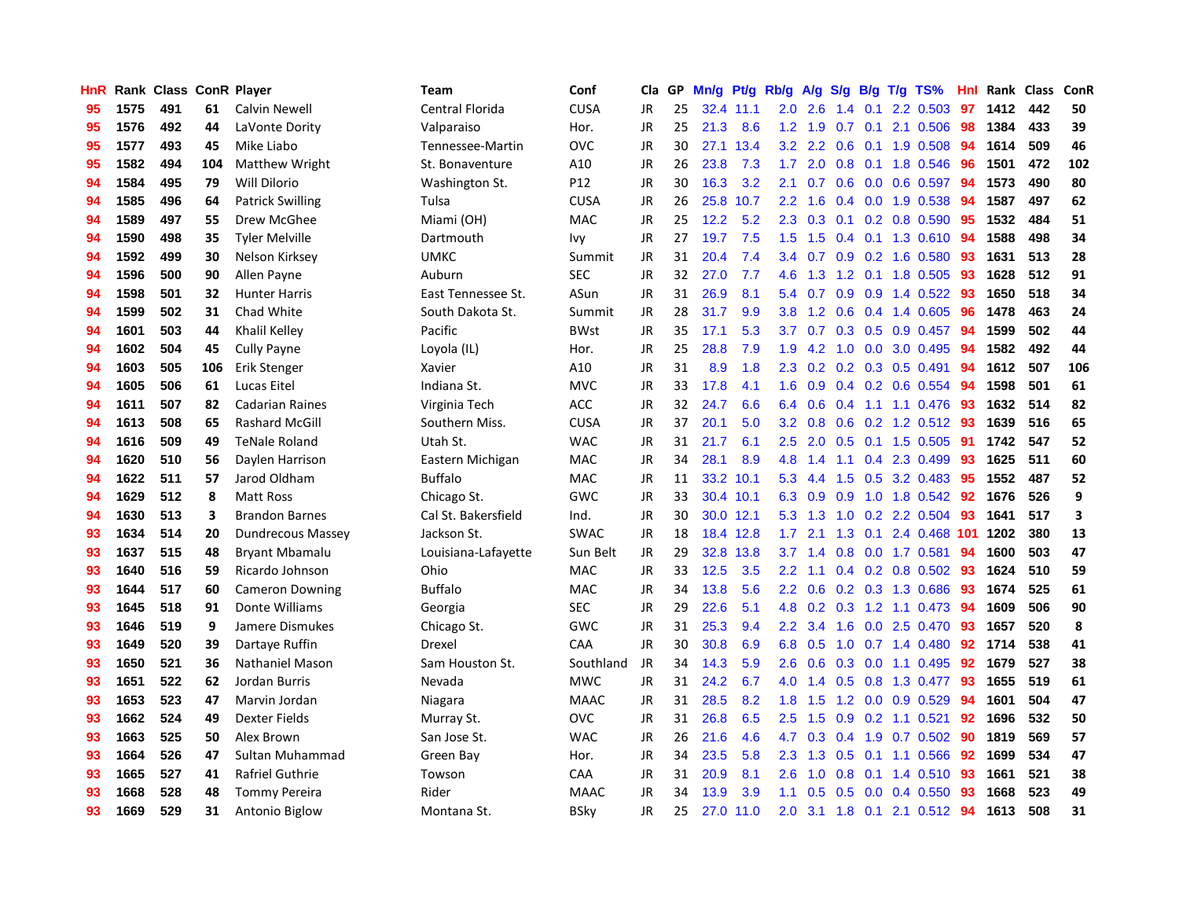| <b>HnR</b> |      | Rank Class ConR Player |     |                         | Team                | Conf            | Cla       | GP | Mn/g | <b>Pt/g</b> | Rb/g             | A/g           |     |     | S/g B/g T/g TS%              | Hnl  | Rank | Class | ConR |
|------------|------|------------------------|-----|-------------------------|---------------------|-----------------|-----------|----|------|-------------|------------------|---------------|-----|-----|------------------------------|------|------|-------|------|
| 95         | 1575 | 491                    | 61  | Calvin Newell           | Central Florida     | <b>CUSA</b>     | JR.       | 25 |      | 32.4 11.1   | 2.0              | 2.6           | 1.4 | 0.1 | 2.2 0.503                    | 97   | 1412 | 442   | 50   |
| 95         | 1576 | 492                    | 44  | LaVonte Dority          | Valparaiso          | Hor.            | JR        | 25 | 21.3 | 8.6         | 1.2              | 1.9           |     |     | $0.7$ 0.1 2.1 0.506          | - 98 | 1384 | 433   | 39   |
| 95         | 1577 | 493                    | 45  | Mike Liabo              | Tennessee-Martin    | <b>OVC</b>      | JR        | 30 |      | 27.1 13.4   | 3.2              | $2.2^{\circ}$ |     |     | $0.6$ 0.1 1.9 0.508          | -94  | 1614 | 509   | 46   |
| 95         | 1582 | 494                    | 104 | Matthew Wright          | St. Bonaventure     | A10             | JR        | 26 | 23.8 | 7.3         | 1.7 <sub>2</sub> | 2.0           |     |     | 0.8 0.1 1.8 0.546            | -96  | 1501 | 472   | 102  |
| 94         | 1584 | 495                    | 79  | Will Dilorio            | Washington St.      | P <sub>12</sub> | <b>JR</b> | 30 | 16.3 | 3.2         | 2.1              | 0.7           | 0.6 |     | $0.0\quad 0.6\quad 0.597$    | 94   | 1573 | 490   | 80   |
| 94         | 1585 | 496                    | 64  | <b>Patrick Swilling</b> | Tulsa               | <b>CUSA</b>     | JR        | 26 | 25.8 | 10.7        | $2.2^{\circ}$    | 1.6           |     |     | $0.4$ 0.0 1.9 0.538          | 94   | 1587 | 497   | 62   |
| 94         | 1589 | 497                    | 55  | Drew McGhee             | Miami (OH)          | <b>MAC</b>      | JR        | 25 | 12.2 | 5.2         | 2.3              | 0.3           |     |     | $0.1$ 0.2 0.8 0.590          | 95   | 1532 | 484   | 51   |
| 94         | 1590 | 498                    | 35  | <b>Tyler Melville</b>   | Dartmouth           | Ivy             | JR        | 27 | 19.7 | 7.5         | 1.5              | 1.5           |     |     | $0.4$ 0.1 1.3 0.610          | -94  | 1588 | 498   | 34   |
| 94         | 1592 | 499                    | 30  | Nelson Kirksey          | <b>UMKC</b>         | Summit          | JR        | 31 | 20.4 | 7.4         | $3.4^{\circ}$    | 0.7           | 0.9 |     | $0.2$ 1.6 $0.580$            | -93  | 1631 | 513   | 28   |
| 94         | 1596 | 500                    | 90  | Allen Payne             | Auburn              | <b>SEC</b>      | JR        | 32 | 27.0 | 7.7         | 4.6              | 1.3           |     |     | 1.2 0.1 1.8 0.505            | -93  | 1628 | 512   | 91   |
| 94         | 1598 | 501                    | 32  | <b>Hunter Harris</b>    | East Tennessee St.  | ASun            | JR        | 31 | 26.9 | 8.1         | $5.4^{\circ}$    |               |     |     | 0.7 0.9 0.9 1.4 0.522 93     |      | 1650 | 518   | 34   |
| 94         | 1599 | 502                    | 31  | Chad White              | South Dakota St.    | Summit          | <b>JR</b> | 28 | 31.7 | 9.9         | 3.8 <sub>2</sub> | 1.2           |     |     | $0.6$ 0.4 1.4 0.605          | -96  | 1478 | 463   | 24   |
| 94         | 1601 | 503                    | 44  | Khalil Kelley           | Pacific             | <b>BWst</b>     | <b>JR</b> | 35 | 17.1 | 5.3         | 3.7              | 0.7           |     |     | $0.3$ $0.5$ $0.9$ $0.457$    | -94  | 1599 | 502   | 44   |
| 94         | 1602 | 504                    | 45  | <b>Cully Payne</b>      | Loyola (IL)         | Hor.            | <b>JR</b> | 25 | 28.8 | 7.9         | 1.9              | 4.2           | 1.0 |     | 0.0 3.0 0.495                | 94   | 1582 | 492   | 44   |
| 94         | 1603 | 505                    | 106 | Erik Stenger            | Xavier              | A10             | <b>JR</b> | 31 | 8.9  | 1.8         | 2.3              |               |     |     | 0.2 0.2 0.3 0.5 0.491        | 94   | 1612 | 507   | 106  |
| 94         | 1605 | 506                    | 61  | Lucas Eitel             | Indiana St.         | <b>MVC</b>      | JR        | 33 | 17.8 | 4.1         | 1.6              | 0.9           |     |     | $0.4$ 0.2 0.6 0.554          | 94   | 1598 | 501   | 61   |
| 94         | 1611 | 507                    | 82  | <b>Cadarian Raines</b>  | Virginia Tech       | ACC             | <b>JR</b> | 32 | 24.7 | 6.6         | 6.4              | 0.6           |     |     | 0.4 1.1 1.1 0.476            | 93   | 1632 | 514   | 82   |
| 94         | 1613 | 508                    | 65  | <b>Rashard McGill</b>   | Southern Miss.      | <b>CUSA</b>     | <b>JR</b> | 37 | 20.1 | 5.0         | 3.2              | 0.8           | 0.6 |     | 0.2 1.2 0.512 93             |      | 1639 | 516   | 65   |
| 94         | 1616 | 509                    | 49  | <b>TeNale Roland</b>    | Utah St.            | <b>WAC</b>      | JR        | 31 | 21.7 | 6.1         | $2.5\,$          | 2.0           |     |     | 0.5 0.1 1.5 0.505 91         |      | 1742 | 547   | 52   |
| 94         | 1620 | 510                    | 56  | Daylen Harrison         | Eastern Michigan    | <b>MAC</b>      | <b>JR</b> | 34 | 28.1 | 8.9         | 4.8              | 1.4           |     |     | 1.1 0.4 2.3 0.499            | 93   | 1625 | 511   | 60   |
| 94         | 1622 | 511                    | 57  | Jarod Oldham            | <b>Buffalo</b>      | MAC             | JR        | 11 |      | 33.2 10.1   | 5.3              | 4.4           |     |     | 1.5 0.5 3.2 0.483            | -95  | 1552 | 487   | 52   |
| 94         | 1629 | 512                    | 8   | Matt Ross               | Chicago St.         | GWC             | <b>JR</b> | 33 |      | 30.4 10.1   | 6.3              | 0.9           |     |     | 0.9 1.0 1.8 0.542            | 92   | 1676 | 526   | 9    |
| 94         | 1630 | 513                    | 3   | <b>Brandon Barnes</b>   | Cal St. Bakersfield | Ind.            | JR        | 30 |      | 30.0 12.1   | 5.3              | 1.3           | 1.0 |     | 0.2 2.2 0.504                | 93   | 1641 | 517   | 3    |
| 93         | 1634 | 514                    | 20  | Dundrecous Massey       | Jackson St.         | <b>SWAC</b>     | JR        | 18 | 18.4 | 12.8        | 1.7              | 2.1           | 1.3 | 0.1 | 2.4 0.468 101                |      | 1202 | 380   | 13   |
| 93         | 1637 | 515                    | 48  | <b>Bryant Mbamalu</b>   | Louisiana-Lafayette | Sun Belt        | JR        | 29 | 32.8 | 13.8        | 3.7              | 1.4           | 0.8 |     | $0.0$ 1.7 $0.581$            | 94   | 1600 | 503   | 47   |
| 93         | 1640 | 516                    | 59  | Ricardo Johnson         | Ohio                | MAC             | <b>JR</b> | 33 | 12.5 | 3.5         | $2.2\phantom{0}$ | 1.1           |     |     | 0.4 0.2 0.8 0.502 93         |      | 1624 | 510   | 59   |
| 93         | 1644 | 517                    | 60  | <b>Cameron Downing</b>  | <b>Buffalo</b>      | <b>MAC</b>      | JR        | 34 | 13.8 | 5.6         | $2.2\phantom{0}$ | 0.6           |     |     | 0.2 0.3 1.3 0.686            | -93  | 1674 | 525   | 61   |
| 93         | 1645 | 518                    | 91  | Donte Williams          | Georgia             | <b>SEC</b>      | JR        | 29 | 22.6 | 5.1         |                  |               |     |     | 4.8 0.2 0.3 1.2 1.1 0.473 94 |      | 1609 | 506   | 90   |
| 93         | 1646 | 519                    | 9   | Jamere Dismukes         | Chicago St.         | GWC             | JR        | 31 | 25.3 | 9.4         | $2.2^{\circ}$    | 3.4           |     |     | 1.6 0.0 2.5 0.470            | -93  | 1657 | 520   | 8    |
| 93         | 1649 | 520                    | 39  | Dartaye Ruffin          | Drexel              | CAA             | JR        | 30 | 30.8 | 6.9         | 6.8              | 0.5           |     |     | 1.0 0.7 1.4 0.480            | 92   | 1714 | 538   | 41   |
| 93         | 1650 | 521                    | 36  | Nathaniel Mason         | Sam Houston St.     | Southland       | JR        | 34 | 14.3 | 5.9         | 2.6              | 0.6           | 0.3 |     | $0.0$ 1.1 0.495              | 92   | 1679 | 527   | 38   |
| 93         | 1651 | 522                    | 62  | Jordan Burris           | Nevada              | <b>MWC</b>      | JR        | 31 | 24.2 | 6.7         | 4.0              | 1.4           |     |     | 0.5 0.8 1.3 0.477            | -93  | 1655 | 519   | 61   |
| 93         | 1653 | 523                    | 47  | Marvin Jordan           | Niagara             | <b>MAAC</b>     | JR        | 31 | 28.5 | 8.2         | 1.8              | 1.5           | 1.2 |     | $0.0$ 0.9 0.529              | -94  | 1601 | 504   | 47   |
| 93         | 1662 | 524                    | 49  | Dexter Fields           | Murray St.          | <b>OVC</b>      | JR        | 31 | 26.8 | 6.5         | 2.5              | 1.5           | 0.9 |     | $0.2$ 1.1 0.521              | 92   | 1696 | 532   | 50   |
| 93         | 1663 | 525                    | 50  | Alex Brown              | San Jose St.        | <b>WAC</b>      | JR        | 26 | 21.6 | 4.6         | 4.7              | 0.3           | 0.4 |     | 1.9 0.7 0.502                | -90  | 1819 | 569   | 57   |
| 93         | 1664 | 526                    | 47  | Sultan Muhammad         | Green Bay           | Hor.            | JR        | 34 | 23.5 | 5.8         | $2.3^{\circ}$    | 1.3           |     |     | 0.5 0.1 1.1 0.566 92         |      | 1699 | 534   | 47   |
| 93         | 1665 | 527                    | 41  | Rafriel Guthrie         | Towson              | CAA             | JR        | 31 | 20.9 | 8.1         | 2.6              | 1.0           | 0.8 |     | $0.1$ 1.4 0.510              | -93  | 1661 | 521   | 38   |
| 93         | 1668 | 528                    | 48  | Tommy Pereira           | Rider               | <b>MAAC</b>     | JR        | 34 | 13.9 | 3.9         | 1.1              | 0.5           |     |     | $0.5$ 0.0 0.4 0.550          | 93   | 1668 | 523   | 49   |
| 93         | 1669 | 529                    | 31  | Antonio Biglow          | Montana St.         | <b>BSkv</b>     | <b>JR</b> | 25 | 27.0 | 11.0        | 2.0              | 3.1           |     |     | 1.8 0.1 2.1 0.512 94         |      | 1613 | 508   | 31   |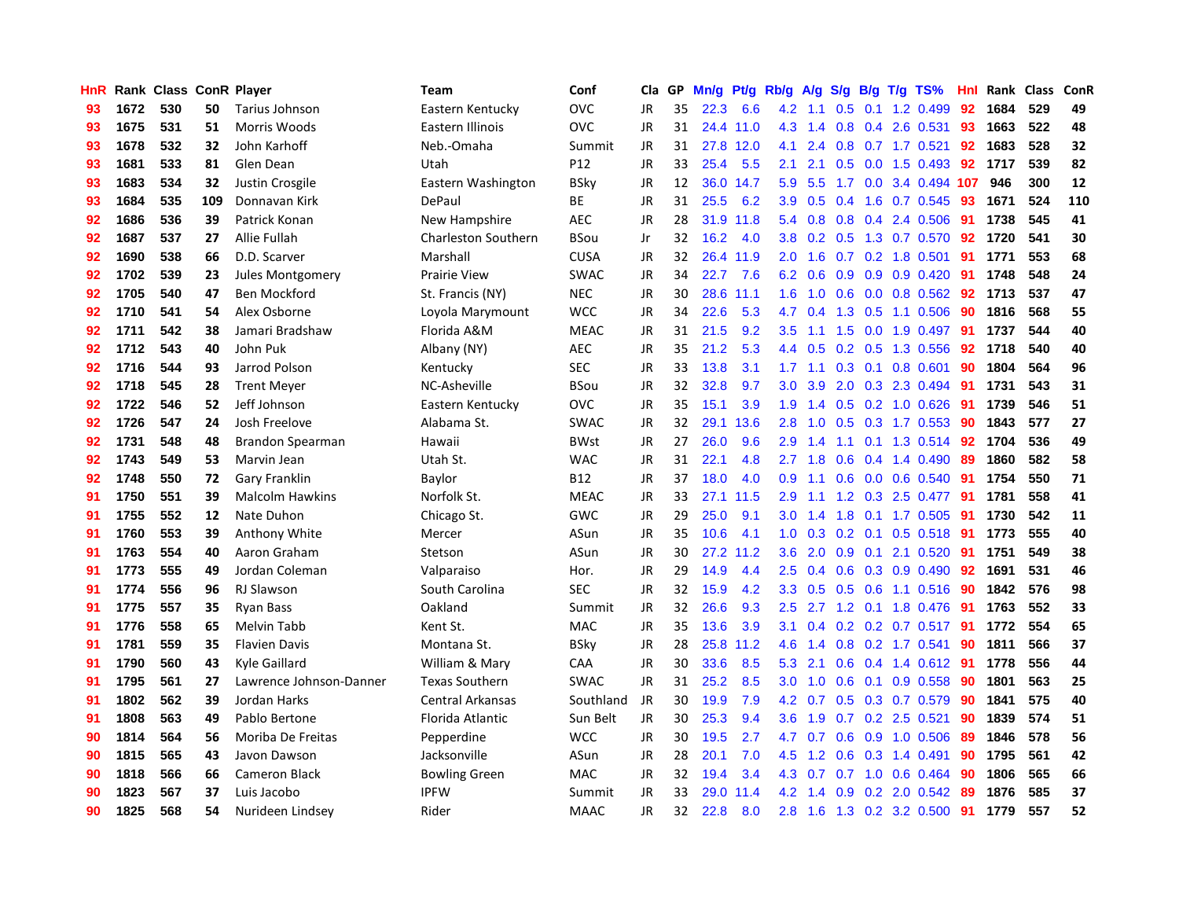| <b>HnR</b> |      | Rank Class ConR Player |     |                         | Team                       | Conf            | Cla       | GP | Mn/g | <b>Pt/g</b> | Rb/g             | A/g             |               |     | S/g B/g T/g TS%                   | Hnl | Rank | <b>Class</b> | ConR |
|------------|------|------------------------|-----|-------------------------|----------------------------|-----------------|-----------|----|------|-------------|------------------|-----------------|---------------|-----|-----------------------------------|-----|------|--------------|------|
| 93         | 1672 | 530                    | 50  | Tarius Johnson          | Eastern Kentucky           | <b>OVC</b>      | JR        | 35 | 22.3 | 6.6         | 4.2              | 1.1             | 0.5           | 0.1 | 1.2 0.499                         | 92  | 1684 | 529          | 49   |
| 93         | 1675 | 531                    | 51  | Morris Woods            | Eastern Illinois           | <b>OVC</b>      | JR        | 31 |      | 24.4 11.0   | 4.3              | 1.4             |               |     | 0.8 0.4 2.6 0.531                 | -93 | 1663 | 522          | 48   |
| 93         | 1678 | 532                    | 32  | John Karhoff            | Neb.-Omaha                 | Summit          | JR        | 31 | 27.8 | 12.0        | 4.1              | 2.4             |               |     | $0.8$ 0.7 1.7 0.521               | 92  | 1683 | 528          | 32   |
| 93         | 1681 | 533                    | 81  | Glen Dean               | Utah                       | P <sub>12</sub> | JR        | 33 | 25.4 | 5.5         | 2.1              | 2.1             |               |     | $0.5$ 0.0 1.5 0.493               | 92  | 1717 | 539          | 82   |
| 93         | 1683 | 534                    | 32  | Justin Crosgile         | Eastern Washington         | <b>BSky</b>     | JR        | 12 | 36.0 | 14.7        | 5.9              | 5.5             |               |     | 1.7 0.0 3.4 0.494 107             |     | 946  | 300          | 12   |
| 93         | 1684 | 535                    | 109 | Donnavan Kirk           | DePaul                     | ВE              | JR        | 31 | 25.5 | 6.2         | 3.9 <sup>°</sup> | 0.5             | $0.4^{\circ}$ |     | 1.6 0.7 0.545                     | 93  | 1671 | 524          | 110  |
| 92         | 1686 | 536                    | 39  | Patrick Konan           | New Hampshire              | <b>AEC</b>      | JR        | 28 | 31.9 | 11.8        | 5.4              | 0.8             |               |     | 0.8 0.4 2.4 0.506                 | -91 | 1738 | 545          | 41   |
| 92         | 1687 | 537                    | 27  | Allie Fullah            | <b>Charleston Southern</b> | <b>BSou</b>     | Jr        | 32 | 16.2 | 4.0         | 3.8 <sub>1</sub> | 0.2             |               |     | $0.5$ 1.3 0.7 0.570               | 92  | 1720 | 541          | 30   |
| 92         | 1690 | 538                    | 66  | D.D. Scarver            | Marshall                   | <b>CUSA</b>     | JR        | 32 | 26.4 | 11.9        | 2.0              | 1.6             |               |     | $0.7$ 0.2 1.8 0.501               | 91  | 1771 | 553          | 68   |
| 92         | 1702 | 539                    | 23  | Jules Montgomery        | <b>Prairie View</b>        | <b>SWAC</b>     | JR        | 34 | 22.7 | 7.6         | 6.2              | 0.6             |               |     | $0.9$ $0.9$ $0.9$ $0.420$         | -91 | 1748 | 548          | 24   |
| 92         | 1705 | 540                    | 47  | <b>Ben Mockford</b>     | St. Francis (NY)           | <b>NEC</b>      | JR        | 30 | 28.6 | 11.1        | 1.6              |                 |               |     | 1.0 0.6 0.0 0.8 0.562 92          |     | 1713 | 537          | 47   |
| 92         | 1710 | 541                    | 54  | Alex Osborne            | Loyola Marymount           | <b>WCC</b>      | JR        | 34 | 22.6 | 5.3         | 4.7              |                 |               |     | $0.4$ 1.3 0.5 1.1 0.506           | -90 | 1816 | 568          | 55   |
| 92         | 1711 | 542                    | 38  | Jamari Bradshaw         | Florida A&M                | <b>MEAC</b>     | <b>JR</b> | 31 | 21.5 | 9.2         | $3.5^{\circ}$    | 1.1             |               |     | 1.5 0.0 1.9 0.497                 | -91 | 1737 | 544          | 40   |
| 92         | 1712 | 543                    | 40  | John Puk                | Albany (NY)                | <b>AEC</b>      | JR        | 35 | 21.2 | 5.3         | $4.4^{\circ}$    | 0.5             |               |     | 0.2 0.5 1.3 0.556                 | 92  | 1718 | 540          | 40   |
| 92         | 1716 | 544                    | 93  | Jarrod Polson           | Kentucky                   | <b>SEC</b>      | JR        | 33 | 13.8 | 3.1         | 1.7              | 1.1             |               |     | 0.3 0.1 0.8 0.601                 | 90  | 1804 | 564          | 96   |
| 92         | 1718 | 545                    | 28  | <b>Trent Meyer</b>      | NC-Asheville               | <b>BSou</b>     | JR        | 32 | 32.8 | 9.7         | 3.0 <sub>2</sub> | 3.9             |               |     | 2.0 0.3 2.3 0.494                 | 91  | 1731 | 543          | 31   |
| 92         | 1722 | 546                    | 52  | Jeff Johnson            | Eastern Kentucky           | <b>OVC</b>      | JR        | 35 | 15.1 | 3.9         | 1.9              | 1.4             | 0.5           |     | $0.2$ 1.0 $0.626$                 | -91 | 1739 | 546          | 51   |
| 92         | 1726 | 547                    | 24  | Josh Freelove           | Alabama St.                | <b>SWAC</b>     | <b>JR</b> | 32 | 29.1 | 13.6        | 2.8              | 1.0             | 0.5           |     | 0.3 1.7 0.553                     | -90 | 1843 | 577          | 27   |
| 92         | 1731 | 548                    | 48  | Brandon Spearman        | Hawaii                     | <b>BWst</b>     | JR        | 27 | 26.0 | 9.6         | 2.9              | 1.4             |               |     | 1.1 0.1 1.3 0.514 92              |     | 1704 | 536          | 49   |
| 92         | 1743 | 549                    | 53  | Marvin Jean             | Utah St.                   | <b>WAC</b>      | <b>JR</b> | 31 | 22.1 | 4.8         | $2.7^{\circ}$    | 1.8             |               |     | $0.6$ 0.4 1.4 0.490               | -89 | 1860 | 582          | 58   |
| 92         | 1748 | 550                    | 72  | <b>Gary Franklin</b>    | Baylor                     | B12             | JR        | 37 | 18.0 | 4.0         | 0.9              | 1.1             |               |     | $0.6$ $0.0$ $0.6$ $0.540$         | -91 | 1754 | 550          | 71   |
| 91         | 1750 | 551                    | 39  | <b>Malcolm Hawkins</b>  | Norfolk St.                | <b>MEAC</b>     | <b>JR</b> | 33 | 27.1 | 11.5        | 2.9              | 1.1             |               |     | 1.2 0.3 2.5 0.477                 | 91  | 1781 | 558          | 41   |
| 91         | 1755 | 552                    | 12  | Nate Duhon              | Chicago St.                | GWC             | JR        | 29 | 25.0 | 9.1         | 3.0              | 1.4             | 1.8           |     | $0.1$ 1.7 0.505                   | 91  | 1730 | 542          | 11   |
| 91         | 1760 | 553                    | 39  | Anthony White           | Mercer                     | ASun            | JR        | 35 | 10.6 | 4.1         | 1.0              | 0.3             | 0.2           |     | $0.1$ 0.5 0.518                   | -91 | 1773 | 555          | 40   |
| 91         | 1763 | 554                    | 40  | Aaron Graham            | Stetson                    | ASun            | JR        | 30 | 27.2 | 11.2        | 3.6              | 2.0             | 0.9           |     | $0.1$ 2.1 $0.520$                 | -91 | 1751 | 549          | 38   |
| 91         | 1773 | 555                    | 49  | Jordan Coleman          | Valparaiso                 | Hor.            | JR        | 29 | 14.9 | 4.4         | 2.5              | 0.4             | 0.6           |     | 0.3 0.9 0.490                     | 92  | 1691 | 531          | 46   |
| 91         | 1774 | 556                    | 96  | <b>RJ Slawson</b>       | South Carolina             | <b>SEC</b>      | JR        | 32 | 15.9 | 4.2         | 3.3              | 0.5             |               |     | 0.5 0.6 1.1 0.516 90              |     | 1842 | 576          | 98   |
| 91         | 1775 | 557                    | 35  | Ryan Bass               | Oakland                    | Summit          | JR        | 32 | 26.6 | 9.3         | 2.5              |                 |               |     | 2.7 1.2 0.1 1.8 0.476 91          |     | 1763 | 552          | 33   |
| 91         | 1776 | 558                    | 65  | Melvin Tabb             | Kent St.                   | <b>MAC</b>      | JR        | 35 | 13.6 | 3.9         | 3.1              |                 |               |     | $0.4$ 0.2 0.2 0.7 0.517 <b>91</b> |     | 1772 | 554          | 65   |
| 91         | 1781 | 559                    | 35  | <b>Flavien Davis</b>    | Montana St.                | <b>BSky</b>     | JR        | 28 | 25.8 | 11.2        | 4.6              | 1.4             |               |     | $0.8$ 0.2 1.7 0.541               | -90 | 1811 | 566          | 37   |
| 91         | 1790 | 560                    | 43  | Kyle Gaillard           | William & Mary             | CAA             | JR        | 30 | 33.6 | 8.5         | 5.3              | 2.1             | 0.6           |     | 0.4 1.4 0.612 91                  |     | 1778 | 556          | 44   |
| 91         | 1795 | 561                    | 27  | Lawrence Johnson-Danner | <b>Texas Southern</b>      | <b>SWAC</b>     | JR        | 31 | 25.2 | 8.5         | 3.0 <sub>1</sub> | 1.0             | 0.6           |     | $0.1$ 0.9 0.558                   | -90 | 1801 | 563          | 25   |
| 91         | 1802 | 562                    | 39  | Jordan Harks            | <b>Central Arkansas</b>    | Southland       | JR        | 30 | 19.9 | 7.9         | 4.2              | 0.7             | 0.5           |     | $0.3$ 0.7 0.579                   | -90 | 1841 | 575          | 40   |
| 91         | 1808 | 563                    | 49  | Pablo Bertone           | Florida Atlantic           | Sun Belt        | JR        | 30 | 25.3 | 9.4         | 3.6 <sup>°</sup> | 1.9             |               |     | $0.7$ $0.2$ $2.5$ $0.521$         | 90  | 1839 | 574          | 51   |
| 90         | 1814 | 564                    | 56  | Moriba De Freitas       | Pepperdine                 | <b>WCC</b>      | JR        | 30 | 19.5 | 2.7         | 4.7              | 0.7             | 0.6           |     | 0.9 1.0 0.506                     | -89 | 1846 | 578          | 56   |
| 90         | 1815 | 565                    | 43  | Javon Dawson            | Jacksonville               | ASun            | JR        | 28 | 20.1 | 7.0         |                  |                 |               |     | 4.5 1.2 0.6 0.3 1.4 0.491         | -90 | 1795 | 561          | 42   |
| 90         | 1818 | 566                    | 66  | <b>Cameron Black</b>    | <b>Bowling Green</b>       | <b>MAC</b>      | JR        | 32 | 19.4 | 3.4         |                  | 4.3 0.7         |               |     | $0.7$ 1.0 0.6 0.464               | -90 | 1806 | 565          | 66   |
| 90         | 1823 | 567                    | 37  | Luis Jacobo             | <b>IPFW</b>                | Summit          | JR        | 33 | 29.0 | 11.4        |                  | $4.2 \quad 1.4$ |               |     | $0.9$ $0.2$ $2.0$ $0.542$         | -89 | 1876 | 585          | 37   |
| 90         | 1825 | 568                    | 54  | Nurideen Lindsey        | Rider                      | <b>MAAC</b>     | <b>JR</b> | 32 | 22.8 | 8.0         |                  | $2.8$ 1.6       |               |     | 1.3 0.2 3.2 0.500                 | 91  | 1779 | 557          | 52   |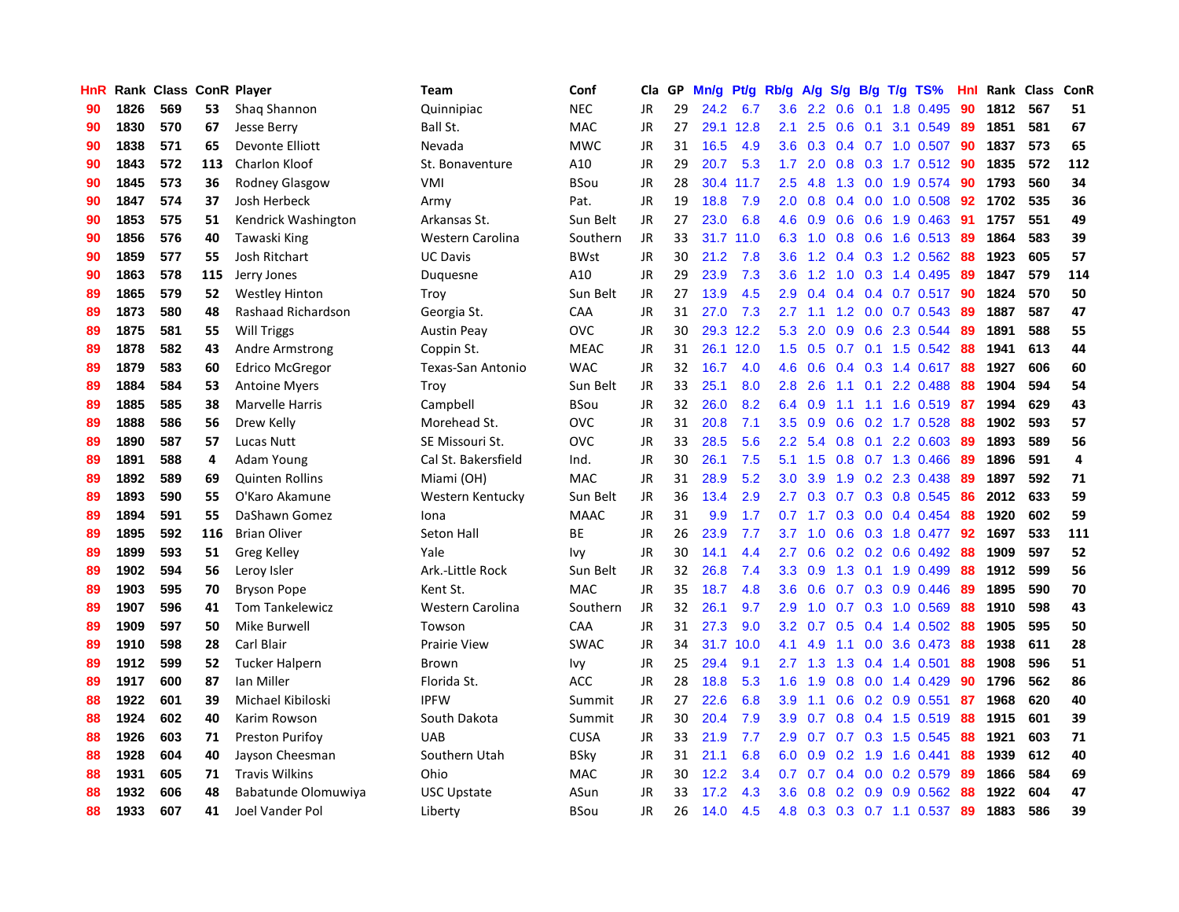| HnR |      | Rank Class ConR Player |     |                        | Team                | Conf        | Cla       | GP | Mn/g | Pt/g | Rb/g             | A/g |     |                 | $S/g$ B/g T/g TS%         | Hnl | Rank Class |     | ConR           |
|-----|------|------------------------|-----|------------------------|---------------------|-------------|-----------|----|------|------|------------------|-----|-----|-----------------|---------------------------|-----|------------|-----|----------------|
| 90  | 1826 | 569                    | 53  | Shaq Shannon           | Quinnipiac          | <b>NEC</b>  | <b>JR</b> | 29 | 24.2 | 6.7  | 3.6              | 2.2 | 0.6 | 0.1             | 1.8 0.495                 | 90  | 1812       | 567 | 51             |
| 90  | 1830 | 570                    | 67  | Jesse Berry            | Ball St.            | MAC         | JR        | 27 | 29.1 | 12.8 | 2.1              | 2.5 |     |                 | $0.6$ 0.1 3.1 0.549       | -89 | 1851       | 581 | 67             |
| 90  | 1838 | 571                    | 65  | Devonte Elliott        | Nevada              | <b>MWC</b>  | JR        | 31 | 16.5 | 4.9  | 3.6              | 0.3 |     |                 | 0.4 0.7 1.0 0.507 90      |     | 1837       | 573 | 65             |
| 90  | 1843 | 572                    | 113 | <b>Charlon Kloof</b>   | St. Bonaventure     | A10         | JR        | 29 | 20.7 | 5.3  | 1.7              | 2.0 |     |                 | $0.8$ 0.3 1.7 0.512       | -90 | 1835       | 572 | 112            |
| 90  | 1845 | 573                    | 36  | <b>Rodney Glasgow</b>  | <b>VMI</b>          | BSou        | JR        | 28 | 30.4 | 11.7 | 2.5              | 4.8 |     |                 | 1.3 0.0 1.9 0.574         | -90 | 1793       | 560 | 34             |
| 90  | 1847 | 574                    | 37  | <b>Josh Herbeck</b>    | Army                | Pat.        | JR        | 19 | 18.8 | 7.9  | 2.0              | 0.8 | 0.4 |                 | 0.0 1.0 0.508             | 92  | 1702       | 535 | 36             |
| 90  | 1853 | 575                    | 51  | Kendrick Washington    | Arkansas St.        | Sun Belt    | JR        | 27 | 23.0 | 6.8  | 4.6              | 0.9 |     |                 | $0.6$ $0.6$ 1.9 $0.463$   | -91 | 1757       | 551 | 49             |
| 90  | 1856 | 576                    | 40  | Tawaski King           | Western Carolina    | Southern    | JR        | 33 | 31.7 | 11.0 | 6.3              | 1.0 |     |                 | $0.8$ 0.6 1.6 0.513       | -89 | 1864       | 583 | 39             |
| 90  | 1859 | 577                    | 55  | Josh Ritchart          | <b>UC Davis</b>     | <b>BWst</b> | <b>JR</b> | 30 | 21.2 | 7.8  | 3.6              | 1.2 |     |                 | 0.4 0.3 1.2 0.562         | -88 | 1923       | 605 | 57             |
| 90  | 1863 | 578                    | 115 | Jerry Jones            | Duquesne            | A10         | JR        | 29 | 23.9 | 7.3  | 3.6              | 1.2 | 1.0 |                 | 0.3 1.4 0.495             | -89 | 1847       | 579 | 114            |
| 89  | 1865 | 579                    | 52  | <b>Westley Hinton</b>  | Troy                | Sun Belt    | JR        | 27 | 13.9 | 4.5  | 2.9              |     |     |                 | 0.4 0.4 0.4 0.7 0.517 90  |     | 1824       | 570 | 50             |
| 89  | 1873 | 580                    | 48  | Rashaad Richardson     | Georgia St.         | CAA         | JR        | 31 | 27.0 | 7.3  | 2.7              |     |     |                 | 1.1 1.2 0.0 0.7 0.543     | -89 | 1887       | 587 | 47             |
| 89  | 1875 | 581                    | 55  | <b>Will Triggs</b>     | <b>Austin Peay</b>  | <b>OVC</b>  | JR        | 30 | 29.3 | 12.2 | 5.3              | 2.0 |     |                 | 0.9 0.6 2.3 0.544         | -89 | 1891       | 588 | 55             |
| 89  | 1878 | 582                    | 43  | Andre Armstrong        | Coppin St.          | <b>MEAC</b> | JR        | 31 | 26.1 | 12.0 | 1.5              | 0.5 |     |                 | $0.7$ 0.1 1.5 0.542       | 88  | 1941       | 613 | 44             |
| 89  | 1879 | 583                    | 60  | <b>Edrico McGregor</b> | Texas-San Antonio   | <b>WAC</b>  | JR        | 32 | 16.7 | 4.0  | 4.6              | 0.6 |     |                 | $0.4$ 0.3 1.4 0.617       | -88 | 1927       | 606 | 60             |
| 89  | 1884 | 584                    | 53  | <b>Antoine Myers</b>   | Troy                | Sun Belt    | JR        | 33 | 25.1 | 8.0  | 2.8              | 2.6 |     | $1.1 \quad 0.1$ | 2.2 0.488                 | 88  | 1904       | 594 | 54             |
| 89  | 1885 | 585                    | 38  | <b>Marvelle Harris</b> | Campbell            | BSou        | JR        | 32 | 26.0 | 8.2  | 6.4              | 0.9 |     |                 | $1.1$ $1.1$ $1.6$ $0.519$ | -87 | 1994       | 629 | 43             |
| 89  | 1888 | 586                    | 56  | Drew Kelly             | Morehead St.        | <b>OVC</b>  | <b>JR</b> | 31 | 20.8 | 7.1  | 3.5              | 0.9 | 0.6 |                 | $0.2$ 1.7 $0.528$         | 88  | 1902       | 593 | 57             |
| 89  | 1890 | 587                    | 57  | <b>Lucas Nutt</b>      | SE Missouri St.     | <b>OVC</b>  | JR        | 33 | 28.5 | 5.6  | 2.2              | 5.4 |     |                 | $0.8$ 0.1 2.2 0.603       | -89 | 1893       | 589 | 56             |
| 89  | 1891 | 588                    | 4   | Adam Young             | Cal St. Bakersfield | Ind.        | JR        | 30 | 26.1 | 7.5  | 5.1              | 1.5 |     |                 | $0.8$ 0.7 1.3 0.466       | -89 | 1896       | 591 | $\overline{4}$ |
| 89  | 1892 | 589                    | 69  | <b>Quinten Rollins</b> | Miami (OH)          | <b>MAC</b>  | JR        | 31 | 28.9 | 5.2  | 3.0 <sub>2</sub> | 3.9 |     |                 | 1.9 0.2 2.3 0.438         | -89 | 1897       | 592 | 71             |
| 89  | 1893 | 590                    | 55  | O'Karo Akamune         | Western Kentucky    | Sun Belt    | JR        | 36 | 13.4 | 2.9  | 2.7              | 0.3 |     |                 | 0.7 0.3 0.8 0.545         | 86  | 2012       | 633 | 59             |
| 89  | 1894 | 591                    | 55  | DaShawn Gomez          | Iona                | <b>MAAC</b> | JR        | 31 | 9.9  | 1.7  | 0.7              | 1.7 |     |                 | $0.3$ 0.0 0.4 0.454       | 88  | 1920       | 602 | 59             |
| 89  | 1895 | 592                    | 116 | <b>Brian Oliver</b>    | Seton Hall          | <b>BE</b>   | JR        | 26 | 23.9 | 7.7  | 3.7              | 1.0 | 0.6 |                 | 0.3 1.8 0.477             | 92  | 1697       | 533 | 111            |
| 89  | 1899 | 593                    | 51  | Greg Kelley            | Yale                | Ivy         | JR        | 30 | 14.1 | 4.4  | 2.7              | 0.6 |     |                 | $0.2$ 0.2 0.6 0.492       | 88  | 1909       | 597 | 52             |
| 89  | 1902 | 594                    | 56  | Leroy Isler            | Ark.-Little Rock    | Sun Belt    | JR        | 32 | 26.8 | 7.4  | 3.3 <sub>2</sub> | 0.9 | 1.3 |                 | $0.1$ 1.9 0.499           | 88  | 1912       | 599 | 56             |
| 89  | 1903 | 595                    | 70  | <b>Bryson Pope</b>     | Kent St.            | <b>MAC</b>  | JR        | 35 | 18.7 | 4.8  | 3.6              | 0.6 |     |                 | $0.7$ $0.3$ $0.9$ $0.446$ | -89 | 1895       | 590 | 70             |
| 89  | 1907 | 596                    | 41  | <b>Tom Tankelewicz</b> | Western Carolina    | Southern    | JR        | 32 | 26.1 | 9.7  | 2.9              |     |     |                 | 1.0 0.7 0.3 1.0 0.569     | -88 | 1910       | 598 | 43             |
| 89  | 1909 | 597                    | 50  | Mike Burwell           | Towson              | CAA         | JR        | 31 | 27.3 | 9.0  | 3.2              | 0.7 |     |                 | 0.5 0.4 1.4 0.502 88      |     | 1905       | 595 | 50             |
| 89  | 1910 | 598                    | 28  | Carl Blair             | <b>Prairie View</b> | <b>SWAC</b> | JR        | 34 | 31.7 | 10.0 | 4.1              | 4.9 |     |                 | 1.1 0.0 3.6 0.473         | -88 | 1938       | 611 | 28             |
| 89  | 1912 | 599                    | 52  | <b>Tucker Halpern</b>  | Brown               | Ivy         | JR        | 25 | 29.4 | 9.1  | 2.7              | 1.3 | 1.3 |                 | $0.4$ 1.4 0.501           | 88  | 1908       | 596 | 51             |
| 89  | 1917 | 600                    | 87  | Ian Miller             | Florida St.         | <b>ACC</b>  | JR        | 28 | 18.8 | 5.3  | 1.6              | 1.9 |     |                 | $0.8$ 0.0 1.4 0.429       | 90  | 1796       | 562 | 86             |
| 88  | 1922 | 601                    | 39  | Michael Kibiloski      | <b>IPFW</b>         | Summit      | JR        | 27 | 22.6 | 6.8  | 3.9 <sup>°</sup> | 1.1 | 0.6 |                 | $0.2$ 0.9 0.551           | 87  | 1968       | 620 | 40             |
| 88  | 1924 | 602                    | 40  | Karim Rowson           | South Dakota        | Summit      | JR        | 30 | 20.4 | 7.9  | 3.9 <sup>°</sup> | 0.7 | 0.8 |                 | $0.4$ 1.5 $0.519$         | 88  | 1915       | 601 | 39             |
| 88  | 1926 | 603                    | 71  | <b>Preston Purifov</b> | <b>UAB</b>          | <b>CUSA</b> | JR        | 33 | 21.9 | 7.7  | 2.9              | 0.7 |     |                 | $0.7$ $0.3$ $1.5$ $0.545$ | 88  | 1921       | 603 | 71             |
| 88  | 1928 | 604                    | 40  | Jayson Cheesman        | Southern Utah       | BSky        | JR        | 31 | 21.1 | 6.8  | 6.0              | 0.9 |     |                 | 0.2 1.9 1.6 0.441         | 88  | 1939       | 612 | 40             |
| 88  | 1931 | 605                    | 71  | <b>Travis Wilkins</b>  | Ohio                | <b>MAC</b>  | JR        | 30 | 12.2 | 3.4  | 0.7              | 0.7 |     |                 | $0.4$ 0.0 0.2 0.579       | -89 | 1866       | 584 | 69             |
| 88  | 1932 | 606                    | 48  | Babatunde Olomuwiya    | USC Upstate         | ASun        | JR        | 33 | 17.2 | 4.3  | 3.6              | 0.8 |     |                 | $0.2$ 0.9 0.9 0.562       | -88 | 1922       | 604 | 47             |
| 88  | 1933 | 607                    | 41  | Joel Vander Pol        | Liberty             | BSou        | <b>JR</b> | 26 | 14.0 | 4.5  | 4.8              | 0.3 |     |                 | 0.3 0.7 1.1 0.537         | 89  | 1883       | 586 | 39             |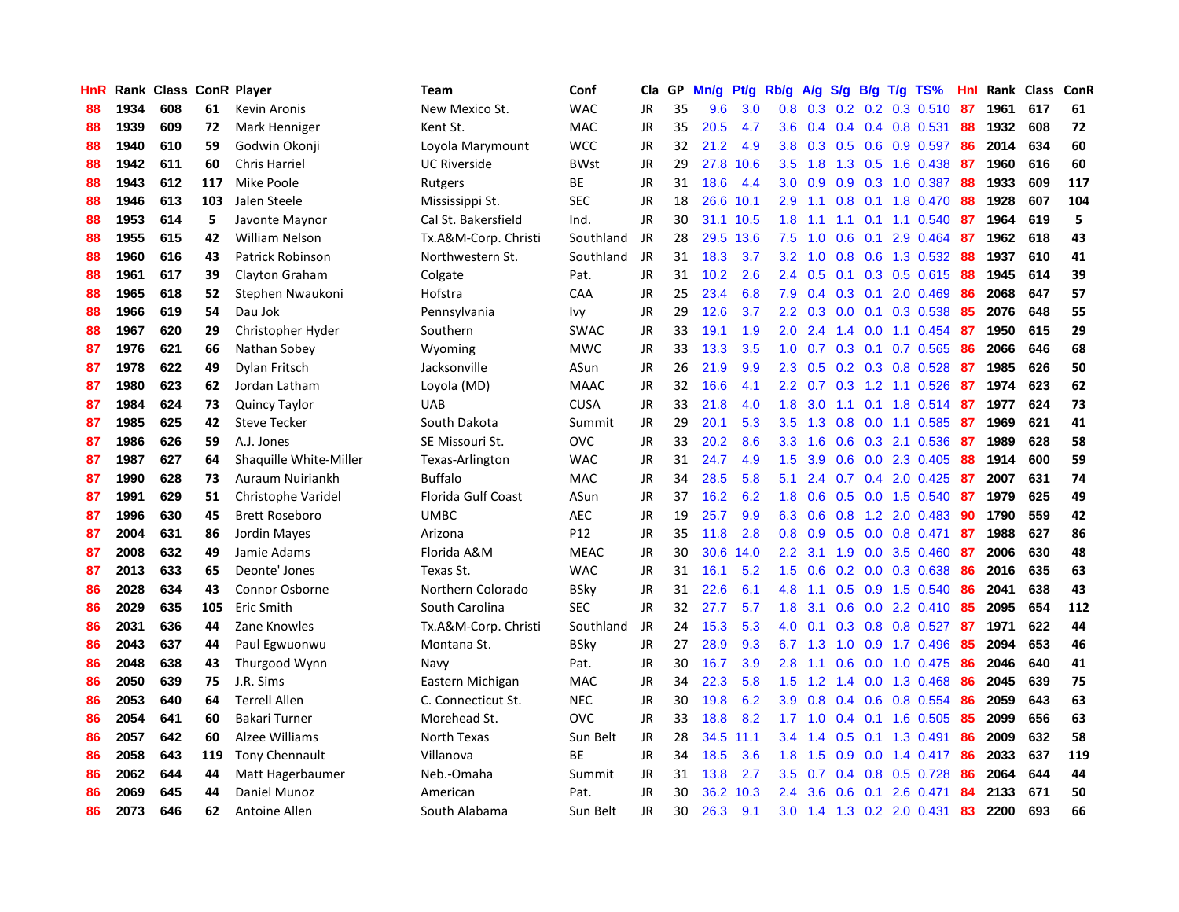| HnR |      | Rank Class ConR Player |     |                        | <b>Team</b>          | Conf        | Cla       | GP | Mn/g | <b>Pt/g</b> | Rb/g             | A/g           | S/g           |     | $B/g$ T/g TS%              | Hnl |      | Rank Class | ConR |
|-----|------|------------------------|-----|------------------------|----------------------|-------------|-----------|----|------|-------------|------------------|---------------|---------------|-----|----------------------------|-----|------|------------|------|
| 88  | 1934 | 608                    | 61  | Kevin Aronis           | New Mexico St.       | <b>WAC</b>  | <b>JR</b> | 35 | 9.6  | 3.0         | 0.8              | 0.3           | 0.2           |     | $0.2$ 0.3 0.510            | 87  | 1961 | 617        | 61   |
| 88  | 1939 | 609                    | 72  | Mark Henniger          | Kent St.             | <b>MAC</b>  | JR        | 35 | 20.5 | 4.7         | 3.6              | 0.4           |               |     | $0.4$ 0.4 0.8 0.531        | 88  | 1932 | 608        | 72   |
| 88  | 1940 | 610                    | 59  | Godwin Okonji          | Loyola Marymount     | <b>WCC</b>  | <b>JR</b> | 32 | 21.2 | 4.9         | 3.8              | 0.3           |               |     | $0.5$ 0.6 0.9 0.597        | -86 | 2014 | 634        | 60   |
| 88  | 1942 | 611                    | 60  | <b>Chris Harriel</b>   | <b>UC Riverside</b>  | <b>BWst</b> | JR        | 29 | 27.8 | 10.6        | 3.5              | 1.8           |               |     | 1.3 0.5 1.6 0.438          | -87 | 1960 | 616        | 60   |
| 88  | 1943 | 612                    | 117 | Mike Poole             | Rutgers              | BE          | JR        | 31 | 18.6 | 4.4         | 3.0 <sub>2</sub> | 0.9           |               |     | 0.9 0.3 1.0 0.387          | 88  | 1933 | 609        | 117  |
| 88  | 1946 | 613                    | 103 | Jalen Steele           | Mississippi St.      | <b>SEC</b>  | JR        | 18 | 26.6 | 10.1        | 2.9              | 1.1           | 0.8           |     | 0.1 1.8 0.470              | 88  | 1928 | 607        | 104  |
| 88  | 1953 | 614                    | 5   | Javonte Maynor         | Cal St. Bakersfield  | Ind.        | JR        | 30 | 31.1 | 10.5        | 1.8              | 1.1           |               |     | 1.1 0.1 1.1 0.540          | 87  | 1964 | 619        | 5    |
| 88  | 1955 | 615                    | 42  | William Nelson         | Tx.A&M-Corp. Christi | Southland   | JR        | 28 | 29.5 | 13.6        | 7.5              | 1.0           | 0.6           | 0.1 | 2.9 0.464                  | 87  | 1962 | 618        | 43   |
| 88  | 1960 | 616                    | 43  | Patrick Robinson       | Northwestern St.     | Southland   | JR        | 31 | 18.3 | 3.7         | 3.2              | 1.0           | 0.8           |     | 0.6 1.3 0.532              | -88 | 1937 | 610        | 41   |
| 88  | 1961 | 617                    | 39  | Clayton Graham         | Colgate              | Pat.        | JR        | 31 | 10.2 | 2.6         | 2.4              | 0.5           | 0.1           |     | 0.3 0.5 0.615              | -88 | 1945 | 614        | 39   |
| 88  | 1965 | 618                    | 52  | Stephen Nwaukoni       | Hofstra              | CAA         | JR        | 25 | 23.4 | 6.8         | 7.9              | $0.4^{\circ}$ |               |     | $0.3$ 0.1 2.0 0.469        | -86 | 2068 | 647        | 57   |
| 88  | 1966 | 619                    | 54  | Dau Jok                | Pennsylvania         | lvv         | JR        | 29 | 12.6 | 3.7         | $2.2^{\circ}$    | 0.3           |               |     | $0.0$ 0.1 0.3 0.538        | -85 | 2076 | 648        | 55   |
| 88  | 1967 | 620                    | 29  | Christopher Hyder      | Southern             | <b>SWAC</b> | JR        | 33 | 19.1 | 1.9         | 2.0              | 2.4           |               |     | 1.4 0.0 1.1 0.454          | -87 | 1950 | 615        | 29   |
| 87  | 1976 | 621                    | 66  | Nathan Sobey           | Wyoming              | <b>MWC</b>  | JR        | 33 | 13.3 | 3.5         | 1.0              | 0.7           | 0.3           |     | $0.1$ 0.7 0.565            | -86 | 2066 | 646        | 68   |
| 87  | 1978 | 622                    | 49  | Dylan Fritsch          | Jacksonville         | ASun        | JR        | 26 | 21.9 | 9.9         | 2.3              | 0.5           |               |     | 0.2 0.3 0.8 0.528          | -87 | 1985 | 626        | 50   |
| 87  | 1980 | 623                    | 62  | Jordan Latham          | Loyola (MD)          | <b>MAAC</b> | JR        | 32 | 16.6 | 4.1         | $2.2^{\circ}$    | 0.7           | 0.3           |     | 1.2 1.1 0.526              | 87  | 1974 | 623        | 62   |
| 87  | 1984 | 624                    | 73  | <b>Quincy Taylor</b>   | <b>UAB</b>           | <b>CUSA</b> | JR        | 33 | 21.8 | 4.0         | 1.8              | 3.0           | 1.1           |     | $0.1$ 1.8 $0.514$          | -87 | 1977 | 624        | 73   |
| 87  | 1985 | 625                    | 42  | <b>Steve Tecker</b>    | South Dakota         | Summit      | <b>JR</b> | 29 | 20.1 | 5.3         | 3.5              | 1.3           | 0.8           |     | $0.0$ 1.1 0.585            | 87  | 1969 | 621        | 41   |
| 87  | 1986 | 626                    | 59  | A.J. Jones             | SE Missouri St.      | <b>OVC</b>  | JR        | 33 | 20.2 | 8.6         | 3.3 <sub>2</sub> | 1.6           |               |     | $0.6$ $0.3$ 2.1 $0.536$    | -87 | 1989 | 628        | 58   |
| 87  | 1987 | 627                    | 64  | Shaquille White-Miller | Texas-Arlington      | <b>WAC</b>  | <b>JR</b> | 31 | 24.7 | 4.9         | 1.5              | 3.9           |               |     | $0.6$ $0.0$ 2.3 $0.405$    | -88 | 1914 | 600        | 59   |
| 87  | 1990 | 628                    | 73  | Auraum Nuiriankh       | Buffalo              | <b>MAC</b>  | JR        | 34 | 28.5 | 5.8         | 5.1              | 2.4           |               |     | $0.7$ $0.4$ 2.0 $0.425$    | -87 | 2007 | 631        | 74   |
| 87  | 1991 | 629                    | 51  | Christophe Varidel     | Florida Gulf Coast   | ASun        | <b>JR</b> | 37 | 16.2 | 6.2         | 1.8              | 0.6           | 0.5           |     | 0.0 1.5 0.540              | 87  | 1979 | 625        | 49   |
| 87  | 1996 | 630                    | 45  | <b>Brett Roseboro</b>  | <b>UMBC</b>          | <b>AEC</b>  | JR        | 19 | 25.7 | 9.9         | 6.3              | 0.6           | 0.8           |     | 1.2 2.0 0.483              | 90  | 1790 | 559        | 42   |
| 87  | 2004 | 631                    | 86  | <b>Jordin Mayes</b>    | Arizona              | P12         | JR        | 35 | 11.8 | 2.8         | 0.8              | 0.9           | 0.5           |     | $0.0$ 0.8 0.471            | 87  | 1988 | 627        | 86   |
| 87  | 2008 | 632                    | 49  | Jamie Adams            | Florida A&M          | <b>MEAC</b> | JR        | 30 | 30.6 | 14.0        | 2.2              | 3.1           | 1.9           |     | $0.0$ 3.5 $0.460$          | 87  | 2006 | 630        | 48   |
| 87  | 2013 | 633                    | 65  | Deonte' Jones          | Texas St.            | <b>WAC</b>  | JR        | 31 | 16.1 | 5.2         | 1.5              | 0.6           |               |     | $0.2$ 0.0 0.3 0.638        | 86  | 2016 | 635        | 63   |
| 86  | 2028 | 634                    | 43  | Connor Osborne         | Northern Colorado    | BSky        | JR        | 31 | 22.6 | 6.1         | 4.8              | $-1.1$        |               |     | $0.5$ 0.9 1.5 0.540        | 86  | 2041 | 638        | 43   |
| 86  | 2029 | 635                    | 105 | Eric Smith             | South Carolina       | <b>SEC</b>  | JR        | 32 | 27.7 | 5.7         | 1.8              | 3.1           |               |     | $0.6$ $0.0$ 2.2 $0.410$ 85 |     | 2095 | 654        | 112  |
| 86  | 2031 | 636                    | 44  | Zane Knowles           | Tx.A&M-Corp. Christi | Southland   | JR        | 24 | 15.3 | 5.3         | 4.0              | 0.1           |               |     | 0.3 0.8 0.8 0.527 87       |     | 1971 | 622        | 44   |
| 86  | 2043 | 637                    | 44  | Paul Egwuonwu          | Montana St.          | BSky        | JR        | 27 | 28.9 | 9.3         | 6.7              | 1.3           | 1.0           |     | 0.9 1.7 0.496              | -85 | 2094 | 653        | 46   |
| 86  | 2048 | 638                    | 43  | Thurgood Wynn          | Navy                 | Pat.        | JR        | 30 | 16.7 | 3.9         | 2.8              | 1.1           | 0.6           |     | $0.0$ 1.0 0.475            | -86 | 2046 | 640        | 41   |
| 86  | 2050 | 639                    | 75  | J.R. Sims              | Eastern Michigan     | <b>MAC</b>  | JR        | 34 | 22.3 | 5.8         | 1.5              | 1.2           |               |     | 1.4 0.0 1.3 0.468          | -86 | 2045 | 639        | 75   |
| 86  | 2053 | 640                    | 64  | <b>Terrell Allen</b>   | C. Connecticut St.   | <b>NEC</b>  | JR        | 30 | 19.8 | 6.2         | 3.9 <sup>°</sup> | 0.8           | $0.4^{\circ}$ |     | $0.6$ 0.8 0.554            | 86  | 2059 | 643        | 63   |
| 86  | 2054 | 641                    | 60  | Bakari Turner          | Morehead St.         | <b>OVC</b>  | JR        | 33 | 18.8 | 8.2         | 1.7              | 1.0           | $0.4^{\circ}$ |     | $0.1$ 1.6 0.505            | 85  | 2099 | 656        | 63   |
| 86  | 2057 | 642                    | 60  | Alzee Williams         | North Texas          | Sun Belt    | JR        | 28 | 34.5 | 11.1        | 3.4              | 1.4           | 0.5           | 0.1 | 1.3 0.491                  | 86  | 2009 | 632        | 58   |
| 86  | 2058 | 643                    | 119 | Tony Chennault         | Villanova            | <b>BE</b>   | <b>JR</b> | 34 | 18.5 | 3.6         | 1.8              | 1.5           | 0.9           |     | $0.0$ 1.4 $0.417$          | -86 | 2033 | 637        | 119  |
| 86  | 2062 | 644                    | 44  | Matt Hagerbaumer       | Neb.-Omaha           | Summit      | <b>JR</b> | 31 | 13.8 | 2.7         | 3.5              | 0.7           |               |     | $0.4$ 0.8 0.5 0.728        | 86  | 2064 | 644        | 44   |
| 86  | 2069 | 645                    | 44  | Daniel Munoz           | American             | Pat.        | JR        | 30 | 36.2 | 10.3        | $2.4^{\circ}$    | 3.6           | 0.6           | 0.1 | 2.6 0.471                  | 84  | 2133 | 671        | 50   |
| 86  | 2073 | 646                    | 62  | Antoine Allen          | South Alabama        | Sun Belt    | <b>JR</b> | 30 | 26.3 | 9.1         | 3.0              |               |               |     | 1.4 1.3 0.2 2.0 0.431      | 83  | 2200 | 693        | 66   |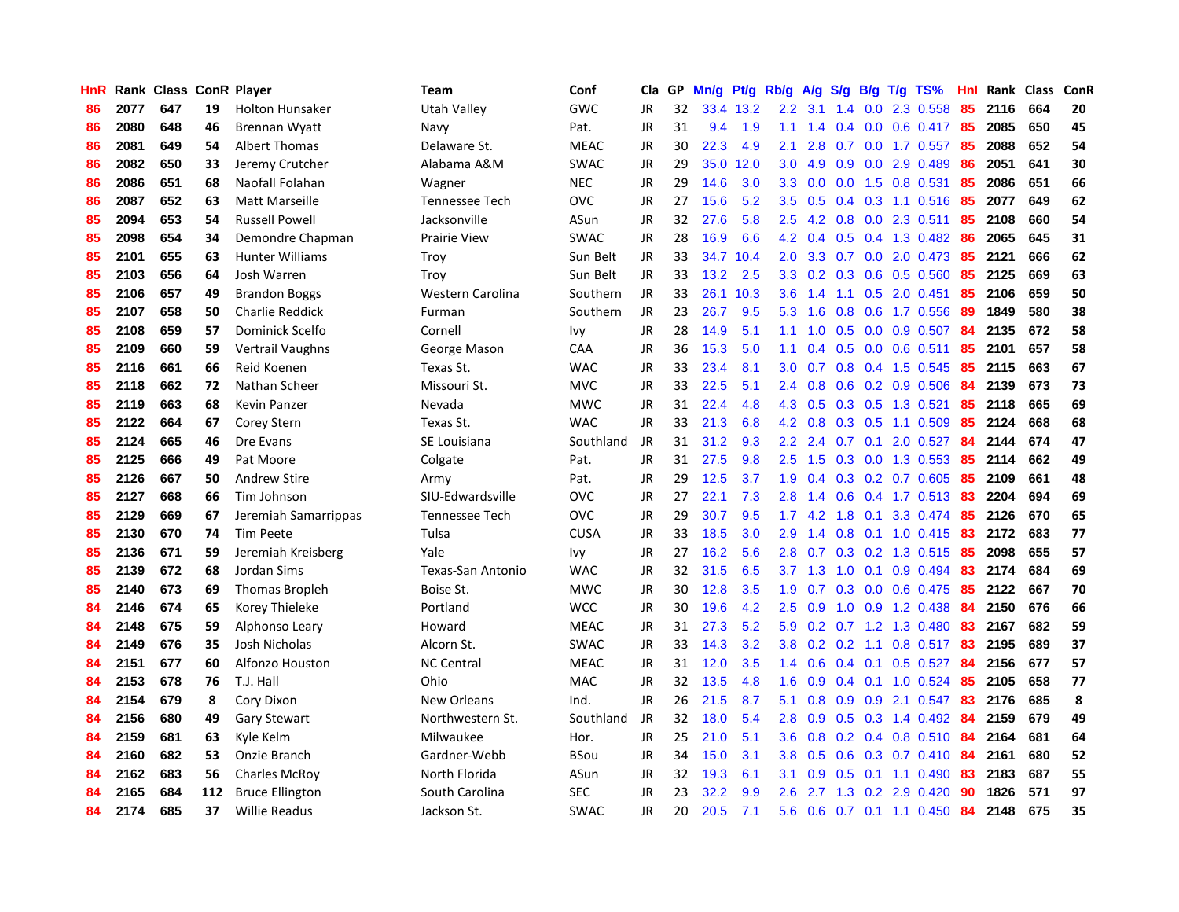| <b>HnR</b> |      | Rank Class ConR Player |     |                        | <b>Team</b>           | Conf        | Cla       | GP | Mn/g | Pt/g      | Rb/g             | A/g             |               |     | $S/g$ B/g T/g TS%               | Hnl  |      | Rank Class | ConR |
|------------|------|------------------------|-----|------------------------|-----------------------|-------------|-----------|----|------|-----------|------------------|-----------------|---------------|-----|---------------------------------|------|------|------------|------|
| 86         | 2077 | 647                    | 19  | <b>Holton Hunsaker</b> | Utah Valley           | GWC         | <b>JR</b> | 32 |      | 33.4 13.2 | $2.2\phantom{0}$ | 3.1             | 1.4           | 0.0 | 2.3 0.558                       | 85   | 2116 | 664        | 20   |
| 86         | 2080 | 648                    | 46  | <b>Brennan Wyatt</b>   | Navy                  | Pat.        | JR        | 31 | 9.4  | 1.9       | 1.1              | 1.4             |               |     | 0.4 0.0 0.6 0.417 85            |      | 2085 | 650        | 45   |
| 86         | 2081 | 649                    | 54  | <b>Albert Thomas</b>   | Delaware St.          | <b>MEAC</b> | JR        | 30 | 22.3 | 4.9       | 2.1              | 2.8             |               |     | 0.7 0.0 1.7 0.557 85            |      | 2088 | 652        | 54   |
| 86         | 2082 | 650                    | 33  | Jeremy Crutcher        | Alabama A&M           | <b>SWAC</b> | JR        | 29 | 35.0 | 12.0      | 3.0 <sub>1</sub> | 4.9             |               |     | $0.9$ $0.0$ 2.9 $0.489$         | 86   | 2051 | 641        | 30   |
| 86         | 2086 | 651                    | 68  | Naofall Folahan        | Wagner                | <b>NEC</b>  | JR        | 29 | 14.6 | 3.0       | 3.3 <sub>2</sub> | 0.0             |               |     | 0.0 1.5 0.8 0.531               | 85   | 2086 | 651        | 66   |
| 86         | 2087 | 652                    | 63  | Matt Marseille         | <b>Tennessee Tech</b> | <b>OVC</b>  | JR        | 27 | 15.6 | 5.2       | 3.5              | 0.5             |               |     | $0.4$ 0.3 1.1 0.516             | 85   | 2077 | 649        | 62   |
| 85         | 2094 | 653                    | 54  | <b>Russell Powell</b>  | Jacksonville          | ASun        | JR        | 32 | 27.6 | 5.8       | $2.5\,$          | 4.2             |               |     | 0.8 0.0 2.3 0.511               | 85   | 2108 | 660        | 54   |
| 85         | 2098 | 654                    | 34  | Demondre Chapman       | <b>Prairie View</b>   | <b>SWAC</b> | JR        | 28 | 16.9 | 6.6       |                  | 4.2 0.4         |               |     | 0.5 0.4 1.3 0.482               | -86  | 2065 | 645        | 31   |
| 85         | 2101 | 655                    | 63  | <b>Hunter Williams</b> | Troy                  | Sun Belt    | JR        | 33 | 34.7 | 10.4      | 2.0 <sub>1</sub> | 3.3             |               |     | 0.7 0.0 2.0 0.473               | 85   | 2121 | 666        | 62   |
| 85         | 2103 | 656                    | 64  | Josh Warren            | Troy                  | Sun Belt    | JR        | 33 | 13.2 | 2.5       | 3.3              | 0.2             |               |     | $0.3$ 0.6 0.5 0.560             | -85  | 2125 | 669        | 63   |
| 85         | 2106 | 657                    | 49  | <b>Brandon Boggs</b>   | Western Carolina      | Southern    | JR        | 33 | 26.1 | 10.3      | 3.6 <sub>2</sub> |                 |               |     | 1.4 1.1 0.5 2.0 0.451           | -85  | 2106 | 659        | 50   |
| 85         | 2107 | 658                    | 50  | <b>Charlie Reddick</b> | Furman                | Southern    | JR        | 23 | 26.7 | 9.5       | 5.3              | 1.6             |               |     | 0.8 0.6 1.7 0.556               | - 89 | 1849 | 580        | 38   |
| 85         | 2108 | 659                    | 57  | Dominick Scelfo        | Cornell               | Ivy         | JR        | 28 | 14.9 | 5.1       | 1.1              | 1.0             |               |     | 0.5 0.0 0.9 0.507 84            |      | 2135 | 672        | 58   |
| 85         | 2109 | 660                    | 59  | Vertrail Vaughns       | George Mason          | CAA         | JR        | 36 | 15.3 | 5.0       | 1.1              | 0.4             | 0.5           |     | $0.0$ 0.6 0.511                 | 85   | 2101 | 657        | 58   |
| 85         | 2116 | 661                    | 66  | Reid Koenen            | Texas St.             | <b>WAC</b>  | JR        | 33 | 23.4 | 8.1       | 3.0 <sub>1</sub> | 0.7             |               |     | 0.8 0.4 1.5 0.545               | 85   | 2115 | 663        | 67   |
| 85         | 2118 | 662                    | 72  | Nathan Scheer          | Missouri St.          | <b>MVC</b>  | JR        | 33 | 22.5 | 5.1       | $2.4^{\circ}$    | 0.8             |               |     | $0.6$ $0.2$ $0.9$ $0.506$       | -84  | 2139 | 673        | 73   |
| 85         | 2119 | 663                    | 68  | Kevin Panzer           | Nevada                | <b>MWC</b>  | JR        | 31 | 22.4 | 4.8       | 4.3              | 0.5             |               |     | $0.3$ $0.5$ 1.3 $0.521$         | 85   | 2118 | 665        | 69   |
| 85         | 2122 | 664                    | 67  | Corey Stern            | Texas St.             | <b>WAC</b>  | <b>JR</b> | 33 | 21.3 | 6.8       | 4.2              | 0.8             | 0.3           |     | $0.5$ 1.1 0.509                 | 85   | 2124 | 668        | 68   |
| 85         | 2124 | 665                    | 46  | Dre Evans              | SE Louisiana          | Southland   | JR        | 31 | 31.2 | 9.3       |                  |                 |               |     | 2.2 2.4 0.7 0.1 2.0 0.527       | -84  | 2144 | 674        | 47   |
| 85         | 2125 | 666                    | 49  | Pat Moore              | Colgate               | Pat.        | JR        | 31 | 27.5 | 9.8       | 2.5              | 1.5             |               |     | 0.3 0.0 1.3 0.553 85            |      | 2114 | 662        | 49   |
| 85         | 2126 | 667                    | 50  | <b>Andrew Stire</b>    | Army                  | Pat.        | JR        | 29 | 12.5 | 3.7       | 1.9              |                 |               |     | $0.4$ $0.3$ $0.2$ $0.7$ $0.605$ | -85  | 2109 | 661        | 48   |
| 85         | 2127 | 668                    | 66  | Tim Johnson            | SIU-Edwardsville      | <b>OVC</b>  | JR        | 27 | 22.1 | 7.3       | 2.8              | 1.4             |               |     | 0.6 0.4 1.7 0.513 83            |      | 2204 | 694        | 69   |
| 85         | 2129 | 669                    | 67  | Jeremiah Samarrippas   | Tennessee Tech        | <b>OVC</b>  | JR        | 29 | 30.7 | 9.5       | 1.7 <sub>2</sub> | 4.2             | 1.8           |     | $0.1$ 3.3 0.474                 | -85  | 2126 | 670        | 65   |
| 85         | 2130 | 670                    | 74  | <b>Tim Peete</b>       | Tulsa                 | <b>CUSA</b> | JR        | 33 | 18.5 | 3.0       | 2.9              | 1.4             |               |     | $0.8$ 0.1 1.0 0.415             | 83   | 2172 | 683        | 77   |
| 85         | 2136 | 671                    | 59  | Jeremiah Kreisberg     | Yale                  | Ivy         | JR        | 27 | 16.2 | 5.6       | 2.8              | 0.7             | 0.3           |     | $0.2$ 1.3 0.515                 | -85  | 2098 | 655        | 57   |
| 85         | 2139 | 672                    | 68  | Jordan Sims            | Texas-San Antonio     | <b>WAC</b>  | JR        | 32 | 31.5 | 6.5       |                  | $3.7 \quad 1.3$ | 1.0           |     | $0.1$ 0.9 0.494                 | 83   | 2174 | 684        | 69   |
| 85         | 2140 | 673                    | 69  | <b>Thomas Bropleh</b>  | Boise St.             | <b>MWC</b>  | JR        | 30 | 12.8 | 3.5       | 1.9 <sup>°</sup> | 0.7             |               |     | $0.3$ 0.0 0.6 0.475             | -85  | 2122 | 667        | 70   |
| 84         | 2146 | 674                    | 65  | Korey Thieleke         | Portland              | <b>WCC</b>  | JR        | 30 | 19.6 | 4.2       | 2.5              | 0.9             |               |     | 1.0 0.9 1.2 0.438 84            |      | 2150 | 676        | 66   |
| 84         | 2148 | 675                    | 59  | Alphonso Leary         | Howard                | <b>MEAC</b> | JR        | 31 | 27.3 | 5.2       | 5.9              |                 |               |     | 0.2 0.7 1.2 1.3 0.480           | -83  | 2167 | 682        | 59   |
| 84         | 2149 | 676                    | 35  | Josh Nicholas          | Alcorn St.            | <b>SWAC</b> | JR        | 33 | 14.3 | 3.2       | 3.8 <sub>1</sub> | 0.2             |               |     | 0.2 1.1 0.8 0.517 83            |      | 2195 | 689        | 37   |
| 84         | 2151 | 677                    | 60  | Alfonzo Houston        | <b>NC Central</b>     | <b>MEAC</b> | JR        | 31 | 12.0 | 3.5       | 1.4              | 0.6             | $0.4^{\circ}$ | 0.1 | $0.5$ 0.527                     | -84  | 2156 | 677        | 57   |
| 84         | 2153 | 678                    | 76  | T.J. Hall              | Ohio                  | MAC         | JR        | 32 | 13.5 | 4.8       | 1.6              | 0.9             |               |     | 0.4 0.1 1.0 0.524               | -85  | 2105 | 658        | 77   |
| 84         | 2154 | 679                    | 8   | Cory Dixon             | New Orleans           | Ind.        | JR        | 26 | 21.5 | 8.7       | 5.1              | 0.8             | 0.9           | 0.9 | 2.1 0.547                       | 83   | 2176 | 685        | 8    |
| 84         | 2156 | 680                    | 49  | <b>Gary Stewart</b>    | Northwestern St.      | Southland   | JR        | 32 | 18.0 | 5.4       | 2.8              | 0.9             | 0.5           |     | $0.3$ 1.4 0.492                 | -84  | 2159 | 679        | 49   |
| 84         | 2159 | 681                    | 63  | Kyle Kelm              | Milwaukee             | Hor.        | JR        | 25 | 21.0 | 5.1       | 3.6 <sup>°</sup> | 0.8             |               |     | $0.2$ 0.4 0.8 0.510             | -84  | 2164 | 681        | 64   |
| 84         | 2160 | 682                    | 53  | Onzie Branch           | Gardner-Webb          | BSou        | JR        | 34 | 15.0 | 3.1       | 3.8 <sub>1</sub> | 0.5             |               |     | 0.6 0.3 0.7 0.410 84            |      | 2161 | 680        | 52   |
| 84         | 2162 | 683                    | 56  | <b>Charles McRoy</b>   | North Florida         | ASun        | JR        | 32 | 19.3 | 6.1       | 3.1              | 0.9             |               |     | $0.5$ 0.1 1.1 0.490             | -83  | 2183 | 687        | 55   |
| 84         | 2165 | 684                    | 112 | <b>Bruce Ellington</b> | South Carolina        | <b>SEC</b>  | JR        | 23 | 32.2 | 9.9       | 2.6              | 2.7             |               |     | 1.3 0.2 2.9 0.420               | 90   | 1826 | 571        | 97   |
| 84         | 2174 | 685                    | 37  | <b>Willie Readus</b>   | Jackson St.           | <b>SWAC</b> | <b>JR</b> | 20 | 20.5 | 7.1       | 5.6              | 0.6             |               |     | $0.7$ 0.1 1.1 0.450             | 84   | 2148 | 675        | 35   |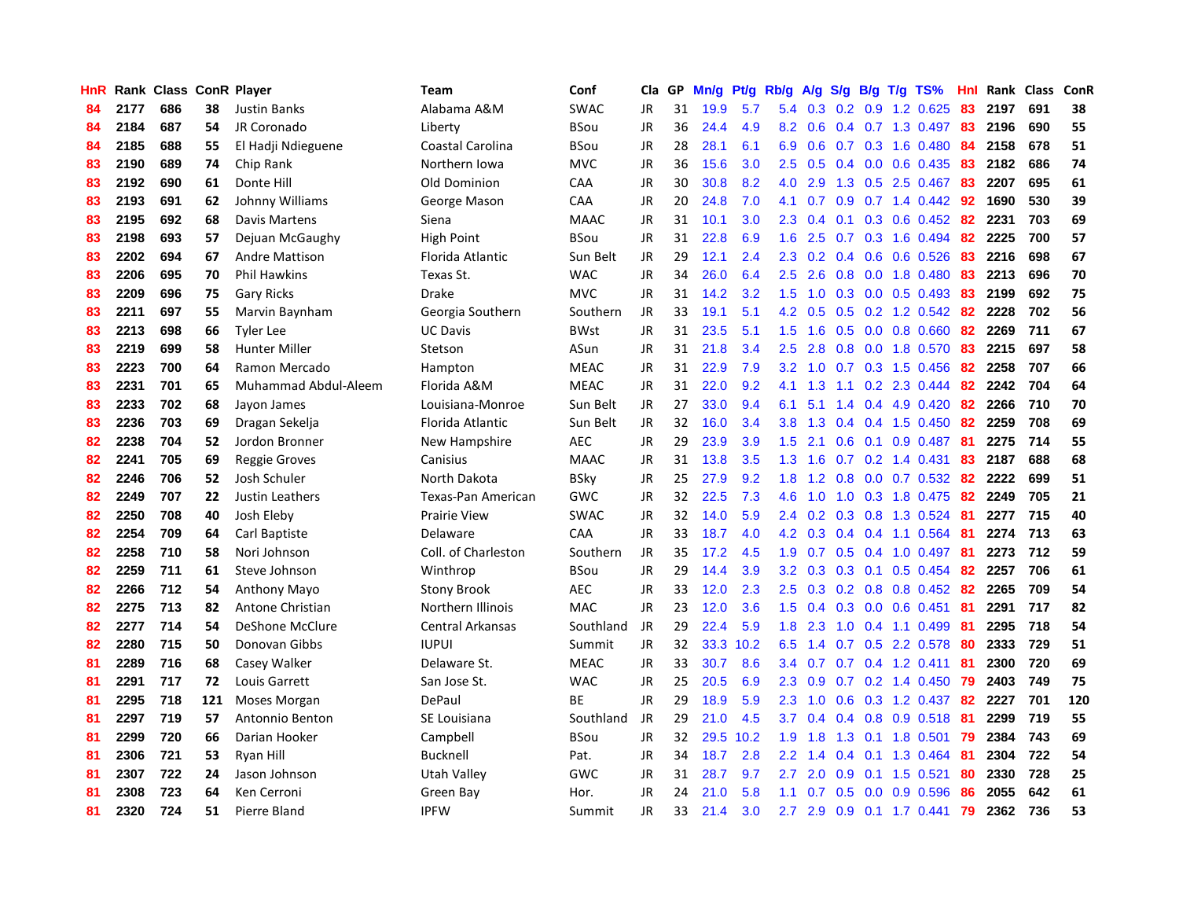| HnR |      | Rank Class ConR Player |     |                       | <b>Team</b>         | Conf        | Cla       | GP | Mn/g | <b>Pt/g</b> | Rb/g             | A/g             |               |     | $S/g$ B/g T/g TS%            | Hnl |      | Rank Class | ConR |
|-----|------|------------------------|-----|-----------------------|---------------------|-------------|-----------|----|------|-------------|------------------|-----------------|---------------|-----|------------------------------|-----|------|------------|------|
| 84  | 2177 | 686                    | 38  | <b>Justin Banks</b>   | Alabama A&M         | SWAC        | <b>JR</b> | 31 | 19.9 | 5.7         | 5.4              | 0.3             | 0.2           | 0.9 | 1.2 0.625                    | 83  | 2197 | 691        | 38   |
| 84  | 2184 | 687                    | 54  | JR Coronado           | Liberty             | <b>BSou</b> | JR        | 36 | 24.4 | 4.9         | 8.2              | 0.6             |               |     | 0.4 0.7 1.3 0.497 83         |     | 2196 | 690        | 55   |
| 84  | 2185 | 688                    | 55  | El Hadji Ndieguene    | Coastal Carolina    | <b>BSou</b> | JR        | 28 | 28.1 | 6.1         | 6.9              | 0.6             |               |     | 0.7 0.3 1.6 0.480            | -84 | 2158 | 678        | 51   |
| 83  | 2190 | 689                    | 74  | Chip Rank             | Northern Iowa       | <b>MVC</b>  | JR        | 36 | 15.6 | 3.0         | $2.5\,$          | 0.5             |               |     | $0.4$ 0.0 0.6 0.435          | -83 | 2182 | 686        | 74   |
| 83  | 2192 | 690                    | 61  | Donte Hill            | Old Dominion        | CAA         | JR        | 30 | 30.8 | 8.2         | 4.0              | 2.9             |               |     | 1.3 0.5 2.5 0.467            | 83  | 2207 | 695        | 61   |
| 83  | 2193 | 691                    | 62  | Johnny Williams       | George Mason        | CAA         | <b>JR</b> | 20 | 24.8 | 7.0         | 4.1              | 0.7             | 0.9           |     | $0.7$ 1.4 $0.442$            | -92 | 1690 | 530        | 39   |
| 83  | 2195 | 692                    | 68  | Davis Martens         | Siena               | <b>MAAC</b> | JR        | 31 | 10.1 | 3.0         | 2.3              | 0.4             |               |     | $0.1$ $0.3$ $0.6$ $0.452$    | 82  | 2231 | 703        | 69   |
| 83  | 2198 | 693                    | 57  | Dejuan McGaughy       | High Point          | <b>BSou</b> | JR        | 31 | 22.8 | 6.9         | 1.6              | 2.5             |               |     | 0.7 0.3 1.6 0.494            | 82  | 2225 | 700        | 57   |
| 83  | 2202 | 694                    | 67  | <b>Andre Mattison</b> | Florida Atlantic    | Sun Belt    | <b>JR</b> | 29 | 12.1 | 2.4         | 2.3              | 0.2             |               |     | 0.4 0.6 0.6 0.526            | 83  | 2216 | 698        | 67   |
| 83  | 2206 | 695                    | 70  | <b>Phil Hawkins</b>   | Texas St.           | <b>WAC</b>  | <b>JR</b> | 34 | 26.0 | 6.4         | 2.5              | 2.6             |               |     | 0.8 0.0 1.8 0.480            | 83  | 2213 | 696        | 70   |
| 83  | 2209 | 696                    | 75  | <b>Gary Ricks</b>     | Drake               | <b>MVC</b>  | JR        | 31 | 14.2 | 3.2         | 1.5              |                 |               |     | 1.0 0.3 0.0 0.5 0.493 83     |     | 2199 | 692        | 75   |
| 83  | 2211 | 697                    | 55  | Marvin Baynham        | Georgia Southern    | Southern    | JR        | 33 | 19.1 | 5.1         |                  | $4.2 \quad 0.5$ |               |     | 0.5 0.2 1.2 0.542 82         |     | 2228 | 702        | 56   |
| 83  | 2213 | 698                    | 66  | <b>Tyler Lee</b>      | <b>UC Davis</b>     | <b>BWst</b> | <b>JR</b> | 31 | 23.5 | 5.1         | 1.5              | 1.6             |               |     | $0.5$ 0.0 0.8 0.660          | 82  | 2269 | 711        | 67   |
| 83  | 2219 | 699                    | 58  | <b>Hunter Miller</b>  | Stetson             | ASun        | JR        | 31 | 21.8 | 3.4         | 2.5              | 2.8             |               |     | 0.8 0.0 1.8 0.570            | 83  | 2215 | 697        | 58   |
| 83  | 2223 | 700                    | 64  | Ramon Mercado         | Hampton             | <b>MEAC</b> | JR        | 31 | 22.9 | 7.9         | 3.2              | 1.0             |               |     | 0.7 0.3 1.5 0.456            | 82  | 2258 | 707        | 66   |
| 83  | 2231 | 701                    | 65  | Muhammad Abdul-Aleem  | Florida A&M         | <b>MEAC</b> | JR        | 31 | 22.0 | 9.2         | 4.1              | 1.3             | 1.1           |     | 0.2 2.3 0.444                | 82  | 2242 | 704        | 64   |
| 83  | 2233 | 702                    | 68  | Jayon James           | Louisiana-Monroe    | Sun Belt    | JR        | 27 | 33.0 | 9.4         | 6.1              | 5.1             | $1.4^{\circ}$ |     | 0.4 4.9 0.420                | 82  | 2266 | 710        | 70   |
| 83  | 2236 | 703                    | 69  | Dragan Sekelja        | Florida Atlantic    | Sun Belt    | <b>JR</b> | 32 | 16.0 | 3.4         | 3.8              | 1.3             | 0.4           |     | $0.4$ 1.5 0.450              | 82  | 2259 | 708        | 69   |
| 82  | 2238 | 704                    | 52  | Jordon Bronner        | New Hampshire       | <b>AEC</b>  | JR        | 29 | 23.9 | 3.9         | 1.5              | 2.1             |               |     | $0.6$ 0.1 0.9 0.487          | -81 | 2275 | 714        | 55   |
| 82  | 2241 | 705                    | 69  | <b>Reggie Groves</b>  | Canisius            | <b>MAAC</b> | JR        | 31 | 13.8 | 3.5         | 1.3              | 1.6             |               |     | $0.7$ $0.2$ 1.4 $0.431$      | -83 | 2187 | 688        | 68   |
| 82  | 2246 | 706                    | 52  | Josh Schuler          | North Dakota        | BSky        | JR        | 25 | 27.9 | 9.2         | 1.8              | 1.2             |               |     | 0.8 0.0 0.7 0.532            | 82  | 2222 | 699        | 51   |
| 82  | 2249 | 707                    | 22  | Justin Leathers       | Texas-Pan American  | GWC         | <b>JR</b> | 32 | 22.5 | 7.3         | 4.6              | 1.0             | 1.0           |     | 0.3 1.8 0.475                | 82  | 2249 | 705        | 21   |
| 82  | 2250 | 708                    | 40  | Josh Eleby            | <b>Prairie View</b> | <b>SWAC</b> | JR        | 32 | 14.0 | 5.9         | 2.4              | 0.2             |               |     | 0.3 0.8 1.3 0.524            | -81 | 2277 | 715        | 40   |
| 82  | 2254 | 709                    | 64  | Carl Baptiste         | Delaware            | CAA         | JR        | 33 | 18.7 | 4.0         | 4.2              | 0.3             |               |     | $0.4$ 0.4 1.1 0.564          | 81  | 2274 | 713        | 63   |
| 82  | 2258 | 710                    | 58  | Nori Johnson          | Coll. of Charleston | Southern    | JR        | 35 | 17.2 | 4.5         | 1.9              | 0.7             | 0.5           |     | 0.4 1.0 0.497                | 81  | 2273 | 712        | 59   |
| 82  | 2259 | 711                    | 61  | Steve Johnson         | Winthrop            | <b>BSou</b> | <b>JR</b> | 29 | 14.4 | 3.9         | 3.2              | 0.3             |               |     | 0.3 0.1 0.5 0.454            | 82  | 2257 | 706        | 61   |
| 82  | 2266 | 712                    | 54  | Anthony Mayo          | <b>Stony Brook</b>  | <b>AEC</b>  | JR        | 33 | 12.0 | 2.3         |                  |                 |               |     | 2.5 0.3 0.2 0.8 0.8 0.452 82 |     | 2265 | 709        | 54   |
| 82  | 2275 | 713                    | 82  | Antone Christian      | Northern Illinois   | <b>MAC</b>  | <b>JR</b> | 23 | 12.0 | 3.6         | 1.5              | 0.4             |               |     | 0.3 0.0 0.6 0.451 81         |     | 2291 | 717        | 82   |
| 82  | 2277 | 714                    | 54  | DeShone McClure       | Central Arkansas    | Southland   | <b>JR</b> | 29 | 22.4 | 5.9         | 1.8              | 2.3             |               |     | 1.0 0.4 1.1 0.499            | -81 | 2295 | 718        | 54   |
| 82  | 2280 | 715                    | 50  | Donovan Gibbs         | <b>IUPUI</b>        | Summit      | <b>JR</b> | 32 | 33.3 | 10.2        | 6.5              | 1.4             |               |     | 0.7 0.5 2.2 0.578            | -80 | 2333 | 729        | 51   |
| 81  | 2289 | 716                    | 68  | Casey Walker          | Delaware St.        | <b>MEAC</b> | <b>JR</b> | 33 | 30.7 | 8.6         | 3.4              | 0.7             |               |     | $0.7$ 0.4 1.2 0.411          | 81  | 2300 | 720        | 69   |
| 81  | 2291 | 717                    | 72  | Louis Garrett         | San Jose St.        | <b>WAC</b>  | <b>JR</b> | 25 | 20.5 | 6.9         | 2.3              | 0.9             |               |     | $0.7$ $0.2$ 1.4 $0.450$      | -79 | 2403 | 749        | 75   |
| 81  | 2295 | 718                    | 121 | Moses Morgan          | DePaul              | <b>BE</b>   | JR        | 29 | 18.9 | 5.9         | 2.3              | 1.0             | 0.6           |     | $0.3$ 1.2 0.437              | 82  | 2227 | 701        | 120  |
| 81  | 2297 | 719                    | 57  | Antonnio Benton       | SE Louisiana        | Southland   | <b>JR</b> | 29 | 21.0 | 4.5         | 3.7              | 0.4             | 0.4           |     | 0.8 0.9 0.518                | -81 | 2299 | 719        | 55   |
| 81  | 2299 | 720                    | 66  | Darian Hooker         | Campbell            | <b>BSou</b> | <b>JR</b> | 32 | 29.5 | 10.2        | 1.9              | 1.8             | 1.3           |     | $0.1$ 1.8 0.501              | 79  | 2384 | 743        | 69   |
| 81  | 2306 | 721                    | 53  | Ryan Hill             | <b>Bucknell</b>     | Pat.        | <b>JR</b> | 34 | 18.7 | 2.8         | $2.2^{\circ}$    | 1.4             |               |     | 0.4 0.1 1.3 0.464            | -81 | 2304 | 722        | 54   |
| 81  | 2307 | 722                    | 24  | Jason Johnson         | Utah Valley         | GWC         | JR        | 31 | 28.7 | 9.7         | 2.7 <sub>2</sub> | 2.0             | 0.9           |     | $0.1$ 1.5 0.521              | -80 | 2330 | 728        | 25   |
| 81  | 2308 | 723                    | 64  | Ken Cerroni           | Green Bay           | Hor.        | <b>JR</b> | 24 | 21.0 | 5.8         | 1.1              | 0.7             | 0.5           |     | 0.0 0.9 0.596                | 86  | 2055 | 642        | 61   |
| 81  | 2320 | 724                    | 51  | Pierre Bland          | <b>IPFW</b>         | Summit      | <b>JR</b> | 33 | 21.4 | 3.0         |                  | $2.7$ 2.9       |               |     | $0.9$ 0.1 1.7 0.441          | 79  | 2362 | 736        | 53   |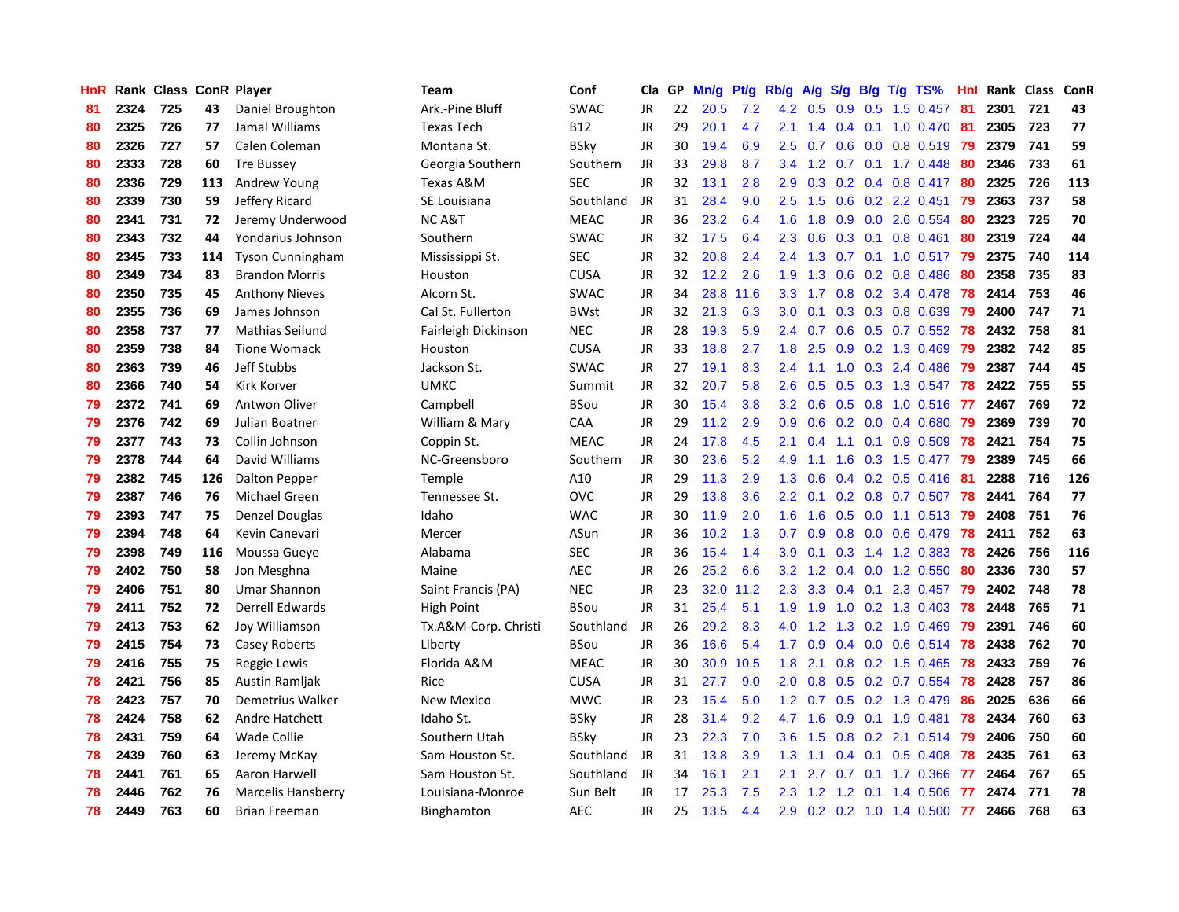| HnR |      | Rank Class ConR Player |     |                         | <b>Team</b>          | Conf        | Cla       | GP | Mn/g | <b>Pt/g</b> | Rb/g             | A/g    | S/g              |     | $B/g$ T/g TS%             | Hnl |      | Rank Class | ConR |
|-----|------|------------------------|-----|-------------------------|----------------------|-------------|-----------|----|------|-------------|------------------|--------|------------------|-----|---------------------------|-----|------|------------|------|
| 81  | 2324 | 725                    | 43  | Daniel Broughton        | Ark.-Pine Bluff      | SWAC        | <b>JR</b> | 22 | 20.5 | 7.2         | 4.2              | 0.5    | 0.9              | 0.5 | 1.5 0.457                 | 81  | 2301 | 721        | 43   |
| 80  | 2325 | 726                    | 77  | Jamal Williams          | <b>Texas Tech</b>    | <b>B12</b>  | JR        | 29 | 20.1 | 4.7         | 2.1              | 1.4    |                  |     | $0.4$ 0.1 1.0 0.470       | -81 | 2305 | 723        | 77   |
| 80  | 2326 | 727                    | 57  | Calen Coleman           | Montana St.          | <b>BSky</b> | JR        | 30 | 19.4 | 6.9         | 2.5              | 0.7    |                  |     | 0.6 0.0 0.8 0.519 79      |     | 2379 | 741        | 59   |
| 80  | 2333 | 728                    | 60  | <b>Tre Bussey</b>       | Georgia Southern     | Southern    | JR        | 33 | 29.8 | 8.7         | $3.4^{\circ}$    | 1.2    |                  |     | $0.7$ 0.1 1.7 0.448       | -80 | 2346 | 733        | 61   |
| 80  | 2336 | 729                    | 113 | Andrew Young            | Texas A&M            | <b>SEC</b>  | <b>JR</b> | 32 | 13.1 | 2.8         | 2.9              | 0.3    |                  |     | $0.2$ 0.4 0.8 0.417       | -80 | 2325 | 726        | 113  |
| 80  | 2339 | 730                    | 59  | Jeffery Ricard          | SE Louisiana         | Southland   | JR        | 31 | 28.4 | 9.0         | 2.5              | 1.5    | 0.6              |     | 0.2 2.2 0.451             | 79  | 2363 | 737        | 58   |
| 80  | 2341 | 731                    | 72  | Jeremy Underwood        | <b>NCA&amp;T</b>     | <b>MEAC</b> | JR        | 36 | 23.2 | 6.4         | 1.6              | 1.8    |                  |     | 0.9 0.0 2.6 0.554         | 80  | 2323 | 725        | 70   |
| 80  | 2343 | 732                    | 44  | Yondarius Johnson       | Southern             | <b>SWAC</b> | JR        | 32 | 17.5 | 6.4         | 2.3              | 0.6    | 0.3              |     | $0.1$ 0.8 0.461           | 80  | 2319 | 724        | 44   |
| 80  | 2345 | 733                    | 114 | <b>Tyson Cunningham</b> | Mississippi St.      | <b>SEC</b>  | <b>JR</b> | 32 | 20.8 | 2.4         | 2.4              | 1.3    |                  |     | $0.7$ 0.1 1.0 0.517       | -79 | 2375 | 740        | 114  |
| 80  | 2349 | 734                    | 83  | <b>Brandon Morris</b>   | Houston              | <b>CUSA</b> | JR        | 32 | 12.2 | 2.6         | 1.9              | 1.3    | 0.6              |     | $0.2$ 0.8 0.486           | -80 | 2358 | 735        | 83   |
| 80  | 2350 | 735                    | 45  | <b>Anthony Nieves</b>   | Alcorn St.           | SWAC        | JR        | 34 | 28.8 | 11.6        | 3.3 <sub>2</sub> | 1.7    |                  |     | 0.8 0.2 3.4 0.478 78      |     | 2414 | 753        | 46   |
| 80  | 2355 | 736                    | 69  | James Johnson           | Cal St. Fullerton    | <b>BWst</b> | JR        | 32 | 21.3 | 6.3         | 3.0 <sub>2</sub> | 0.1    |                  |     | $0.3$ $0.3$ $0.8$ $0.639$ | -79 | 2400 | 747        | 71   |
| 80  | 2358 | 737                    | 77  | <b>Mathias Seilund</b>  | Fairleigh Dickinson  | <b>NEC</b>  | JR        | 28 | 19.3 | 5.9         | $2.4^{\circ}$    | 0.7    |                  |     | 0.6 0.5 0.7 0.552 78      |     | 2432 | 758        | 81   |
| 80  | 2359 | 738                    | 84  | <b>Tione Womack</b>     | Houston              | <b>CUSA</b> | JR        | 33 | 18.8 | 2.7         | 1.8              | 2.5    | 0.9 <sub>0</sub> |     | 0.2 1.3 0.469             | 79  | 2382 | 742        | 85   |
| 80  | 2363 | 739                    | 46  | Jeff Stubbs             | Jackson St.          | <b>SWAC</b> | JR        | 27 | 19.1 | 8.3         | 2.4              | 1.1    | 1.0              |     | 0.3 2.4 0.486             | -79 | 2387 | 744        | 45   |
| 80  | 2366 | 740                    | 54  | Kirk Korver             | <b>UMKC</b>          | Summit      | JR        | 32 | 20.7 | 5.8         | 2.6              | 0.5    | 0.5              |     | 0.3 1.3 0.547             | 78  | 2422 | 755        | 55   |
| 79  | 2372 | 741                    | 69  | Antwon Oliver           | Campbell             | <b>BSou</b> | JR        | 30 | 15.4 | 3.8         | 3.2              | 0.6    | 0.5              |     | 0.8 1.0 0.516             | 77  | 2467 | 769        | 72   |
| 79  | 2376 | 742                    | 69  | Julian Boatner          | William & Mary       | CAA         | <b>JR</b> | 29 | 11.2 | 2.9         | 0.9 <sub>0</sub> | 0.6    | 0.2              |     | $0.0$ 0.4 0.680           | 79  | 2369 | 739        | 70   |
| 79  | 2377 | 743                    | 73  | Collin Johnson          | Coppin St.           | <b>MEAC</b> | JR        | 24 | 17.8 | 4.5         | 2.1              | 0.4    |                  |     | 1.1 0.1 0.9 0.509         | 78  | 2421 | 754        | 75   |
| 79  | 2378 | 744                    | 64  | David Williams          | NC-Greensboro        | Southern    | JR        | 30 | 23.6 | 5.2         | 4.9              | 1.1    |                  |     | 1.6 0.3 1.5 0.477 79      |     | 2389 | 745        | 66   |
| 79  | 2382 | 745                    | 126 | <b>Dalton Pepper</b>    | Temple               | A10         | JR        | 29 | 11.3 | 2.9         | 1.3              | 0.6    |                  |     | $0.4$ 0.2 0.5 0.416       | -81 | 2288 | 716        | 126  |
| 79  | 2387 | 746                    | 76  | Michael Green           | Tennessee St.        | OVC         | <b>JR</b> | 29 | 13.8 | 3.6         | 2.2              | 0.1    |                  |     | 0.2 0.8 0.7 0.507         | 78  | 2441 | 764        | 77   |
| 79  | 2393 | 747                    | 75  | Denzel Douglas          | Idaho                | <b>WAC</b>  | JR        | 30 | 11.9 | 2.0         | 1.6              | 1.6    | 0.5              |     | 0.0 1.1 0.513             | -79 | 2408 | 751        | 76   |
| 79  | 2394 | 748                    | 64  | Kevin Canevari          | Mercer               | ASun        | JR        | 36 | 10.2 | 1.3         | 0.7              | 0.9    | 0.8              |     | $0.0$ 0.6 0.479           | 78  | 2411 | 752        | 63   |
| 79  | 2398 | 749                    | 116 | Moussa Gueye            | Alabama              | <b>SEC</b>  | JR        | 36 | 15.4 | 1.4         | 3.9 <sup>°</sup> | 0.1    |                  |     | $0.3$ 1.4 1.2 0.383       | 78  | 2426 | 756        | 116  |
| 79  | 2402 | 750                    | 58  | Jon Mesghna             | Maine                | <b>AEC</b>  | JR        | 26 | 25.2 | 6.6         | 3.2              | 1.2    |                  |     | 0.4 0.0 1.2 0.550         | 80  | 2336 | 730        | 57   |
| 79  | 2406 | 751                    | 80  | Umar Shannon            | Saint Francis (PA)   | <b>NEC</b>  | JR        | 23 | 32.0 | 11.2        | 2.3              | 3.3    |                  |     | $0.4$ 0.1 2.3 0.457       | 79  | 2402 | 748        | 78   |
| 79  | 2411 | 752                    | 72  | Derrell Edwards         | High Point           | <b>BSou</b> | JR        | 31 | 25.4 | 5.1         | 1.9              | 1.9    |                  |     | 1.0 0.2 1.3 0.403 78      |     | 2448 | 765        | 71   |
| 79  | 2413 | 753                    | 62  | Joy Williamson          | Tx.A&M-Corp. Christi | Southland   | JR        | 26 | 29.2 | 8.3         | 4.0              | 1.2    |                  |     | 1.3 0.2 1.9 0.469         | -79 | 2391 | 746        | 60   |
| 79  | 2415 | 754                    | 73  | Casey Roberts           | Liberty              | BSou        | JR        | 36 | 16.6 | 5.4         | 1.7 <sub>z</sub> | 0.9    |                  |     | 0.4 0.0 0.6 0.514 78      |     | 2438 | 762        | 70   |
| 79  | 2416 | 755                    | 75  | Reggie Lewis            | Florida A&M          | <b>MEAC</b> | JR        | 30 | 30.9 | 10.5        | 1.8              | 2.1    | 0.8 <sub>0</sub> |     | $0.2$ 1.5 0.465           | 78  | 2433 | 759        | 76   |
| 78  | 2421 | 756                    | 85  | Austin Ramljak          | Rice                 | <b>CUSA</b> | JR        | 31 | 27.7 | 9.0         | 2.0              | 0.8    | 0.5              |     | $0.2$ 0.7 0.554           | 78  | 2428 | 757        | 86   |
| 78  | 2423 | 757                    | 70  | Demetrius Walker        | New Mexico           | <b>MWC</b>  | JR        | 23 | 15.4 | 5.0         | 1.2              | 0.7    | 0.5              |     | 0.2 1.3 0.479             | 86  | 2025 | 636        | 66   |
| 78  | 2424 | 758                    | 62  | Andre Hatchett          | Idaho St.            | BSky        | JR        | 28 | 31.4 | 9.2         | 4.7              | $-1.6$ | 0.9              |     | $0.1$ 1.9 0.481           | 78  | 2434 | 760        | 63   |
| 78  | 2431 | 759                    | 64  | <b>Wade Collie</b>      | Southern Utah        | <b>BSky</b> | JR        | 23 | 22.3 | 7.0         | 3.6              | 1.5    | 0.8 <sub>0</sub> |     | $0.2$ 2.1 $0.514$         | -79 | 2406 | 750        | 60   |
| 78  | 2439 | 760                    | 63  | Jeremy McKay            | Sam Houston St.      | Southland   | <b>JR</b> | 31 | 13.8 | 3.9         | 1.3              | 1.1    |                  |     | $0.4$ 0.1 0.5 0.408       | 78  | 2435 | 761        | 63   |
| 78  | 2441 | 761                    | 65  | Aaron Harwell           | Sam Houston St.      | Southland   | <b>JR</b> | 34 | 16.1 | 2.1         | 2.1              | 2.7    |                  |     | $0.7$ 0.1 1.7 0.366       | -77 | 2464 | 767        | 65   |
| 78  | 2446 | 762                    | 76  | Marcelis Hansberry      | Louisiana-Monroe     | Sun Belt    | JR        | 17 | 25.3 | 7.5         | $2.3^{\circ}$    |        | $1.2 \quad 1.2$  |     | 0.1 1.4 0.506             | -77 | 2474 | 771        | 78   |
| 78  | 2449 | 763                    | 60  | Brian Freeman           | Binghamton           | <b>AEC</b>  | <b>JR</b> | 25 | 13.5 | 4.4         | 2.9              |        |                  |     | $0.2$ 0.2 1.0 1.4 0.500   | 77  | 2466 | 768        | 63   |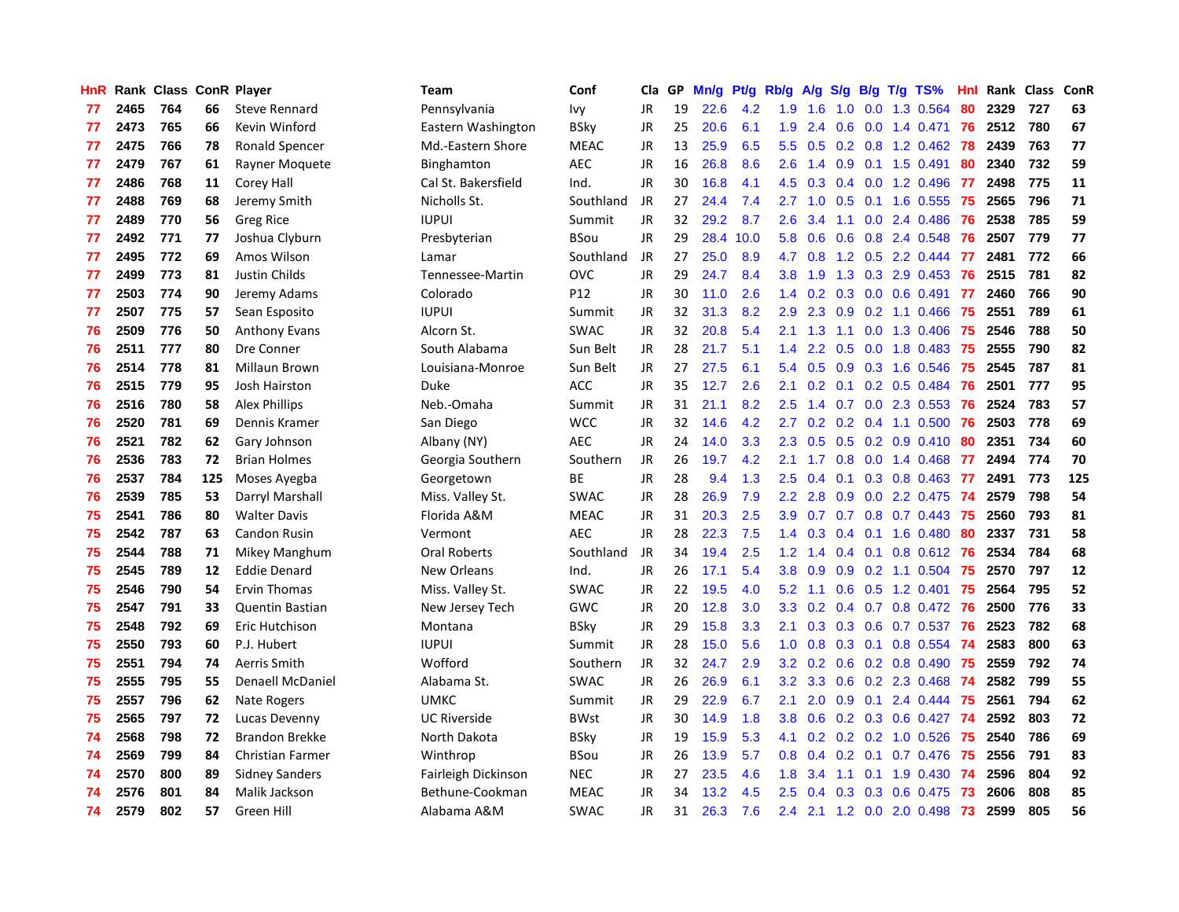| HnR |      | Rank Class ConR Player |     |                        | <b>Team</b>         | Conf        | Cla       | GP | Mn/g | <b>Pt/g</b> | Rb/g             | A/g | S/g              |     | $B/g$ T/g TS%                         | Hnl |      | Rank Class | ConR |
|-----|------|------------------------|-----|------------------------|---------------------|-------------|-----------|----|------|-------------|------------------|-----|------------------|-----|---------------------------------------|-----|------|------------|------|
| 77  | 2465 | 764                    | 66  | <b>Steve Rennard</b>   | Pennsylvania        | Ivy         | <b>JR</b> | 19 | 22.6 | 4.2         | 1.9              | 1.6 | 1.0              |     | 0.0 1.3 0.564                         | 80  | 2329 | 727        | 63   |
| 77  | 2473 | 765                    | 66  | Kevin Winford          | Eastern Washington  | BSky        | JR        | 25 | 20.6 | 6.1         | 1.9              | 2.4 |                  |     | $0.6$ $0.0$ 1.4 $0.471$               | -76 | 2512 | 780        | 67   |
| 77  | 2475 | 766                    | 78  | Ronald Spencer         | Md.-Eastern Shore   | <b>MEAC</b> | JR        | 13 | 25.9 | 6.5         | 5.5              |     |                  |     | 0.5 0.2 0.8 1.2 0.462 78              |     | 2439 | 763        | 77   |
| 77  | 2479 | 767                    | 61  | Rayner Moquete         | Binghamton          | <b>AEC</b>  | JR        | 16 | 26.8 | 8.6         | 2.6              | 1.4 |                  |     | $0.9$ 0.1 1.5 0.491                   | 80  | 2340 | 732        | 59   |
| 77  | 2486 | 768                    | 11  | Corey Hall             | Cal St. Bakersfield | Ind.        | JR        | 30 | 16.8 | 4.1         | 4.5              | 0.3 |                  |     | $0.4$ 0.0 1.2 0.496                   | -77 | 2498 | 775        | 11   |
| 77  | 2488 | 769                    | 68  | Jeremy Smith           | Nicholls St.        | Southland   | <b>JR</b> | 27 | 24.4 | 7.4         | 2.7              | 1.0 | 0.5              |     | 0.1 1.6 0.555                         | 75  | 2565 | 796        | 71   |
| 77  | 2489 | 770                    | 56  | Greg Rice              | <b>IUPUI</b>        | Summit      | JR        | 32 | 29.2 | 8.7         | 2.6              | 3.4 |                  |     | 1.1 0.0 2.4 0.486                     | 76  | 2538 | 785        | 59   |
| 77  | 2492 | 771                    | 77  | Joshua Clyburn         | Presbyterian        | BSou        | <b>JR</b> | 29 | 28.4 | 10.0        | 5.8              | 0.6 | 0.6              |     | 0.8 2.4 0.548                         | 76  | 2507 | 779        | 77   |
| 77  | 2495 | 772                    | 69  | Amos Wilson            | Lamar               | Southland   | <b>JR</b> | 27 | 25.0 | 8.9         | 4.7              | 0.8 | 1.2              |     | $0.5$ 2.2 0.444                       | 77  | 2481 | 772        | 66   |
| 77  | 2499 | 773                    | 81  | Justin Childs          | Tennessee-Martin    | <b>OVC</b>  | <b>JR</b> | 29 | 24.7 | 8.4         | 3.8              | 1.9 |                  |     | 1.3 0.3 2.9 0.453                     | -76 | 2515 | 781        | 82   |
| 77  | 2503 | 774                    | 90  | Jeremy Adams           | Colorado            | P12         | JR        | 30 | 11.0 | 2.6         | 1.4              |     |                  |     | 0.2 0.3 0.0 0.6 0.491 77              |     | 2460 | 766        | 90   |
| 77  | 2507 | 775                    | 57  | Sean Esposito          | <b>IUPUI</b>        | Summit      | JR        | 32 | 31.3 | 8.2         | 2.9              | 2.3 |                  |     | 0.9 0.2 1.1 0.466 75                  |     | 2551 | 789        | 61   |
| 76  | 2509 | 776                    | 50  | <b>Anthony Evans</b>   | Alcorn St.          | <b>SWAC</b> | JR        | 32 | 20.8 | 5.4         | 2.1              | 1.3 |                  |     | 1.1 0.0 1.3 0.406                     | -75 | 2546 | 788        | 50   |
| 76  | 2511 | 777                    | 80  | Dre Conner             | South Alabama       | Sun Belt    | JR        | 28 | 21.7 | 5.1         | 1.4              | 2.2 | 0.5              |     | $0.0$ 1.8 $0.483$                     | -75 | 2555 | 790        | 82   |
| 76  | 2514 | 778                    | 81  | Millaun Brown          | Louisiana-Monroe    | Sun Belt    | JR        | 27 | 27.5 | 6.1         | 5.4              | 0.5 | 0.9              |     | 0.3 1.6 0.546                         | 75  | 2545 | 787        | 81   |
| 76  | 2515 | 779                    | 95  | <b>Josh Hairston</b>   | Duke                | <b>ACC</b>  | JR        | 35 | 12.7 | 2.6         | 2.1              | 0.2 | 0.1              |     | $0.2$ 0.5 0.484                       | 76  | 2501 | 777        | 95   |
| 76  | 2516 | 780                    | 58  | Alex Phillips          | Neb.-Omaha          | Summit      | JR        | 31 | 21.1 | 8.2         | 2.5              | 1.4 | 0.7              |     | $0.0$ 2.3 0.553                       | 76  | 2524 | 783        | 57   |
| 76  | 2520 | 781                    | 69  | Dennis Kramer          | San Diego           | <b>WCC</b>  | <b>JR</b> | 32 | 14.6 | 4.2         | 2.7              | 0.2 | 0.2              |     | 0.4 1.1 0.500                         | 76  | 2503 | 778        | 69   |
| 76  | 2521 | 782                    | 62  | Gary Johnson           | Albany (NY)         | <b>AEC</b>  | JR        | 24 | 14.0 | 3.3         | 2.3              | 0.5 |                  |     | $0.5$ 0.2 0.9 0.410                   | -80 | 2351 | 734        | 60   |
| 76  | 2536 | 783                    | 72  | <b>Brian Holmes</b>    | Georgia Southern    | Southern    | JR        | 26 | 19.7 | 4.2         | 2.1              | 1.7 |                  |     | 0.8 0.0 1.4 0.468 77                  |     | 2494 | 774        | 70   |
| 76  | 2537 | 784                    | 125 | Moses Ayegba           | Georgetown          | <b>BE</b>   | JR        | 28 | 9.4  | 1.3         | 2.5              | 0.4 |                  |     | $0.1$ 0.3 0.8 0.463                   | -77 | 2491 | 773        | 125  |
| 76  | 2539 | 785                    | 53  | Darryl Marshall        | Miss. Valley St.    | <b>SWAC</b> | <b>JR</b> | 28 | 26.9 | 7.9         | 2.2              | 2.8 | 0.9              |     | $0.0$ 2.2 0.475                       | -74 | 2579 | 798        | 54   |
| 75  | 2541 | 786                    | 80  | <b>Walter Davis</b>    | Florida A&M         | <b>MEAC</b> | JR        | 31 | 20.3 | 2.5         | 3.9 <sup>°</sup> | 0.7 |                  |     | $0.7$ $0.8$ $0.7$ $0.443$             | -75 | 2560 | 793        | 81   |
| 75  | 2542 | 787                    | 63  | <b>Candon Rusin</b>    | Vermont             | <b>AEC</b>  | JR        | 28 | 22.3 | 7.5         | 1.4              | 0.3 |                  |     | $0.4$ 0.1 1.6 0.480                   | 80  | 2337 | 731        | 58   |
| 75  | 2544 | 788                    | 71  | Mikey Manghum          | <b>Oral Roberts</b> | Southland   | JR        | 34 | 19.4 | 2.5         | 1.2              | 1.4 |                  |     | $0.4$ 0.1 0.8 0.612                   | -76 | 2534 | 784        | 68   |
| 75  | 2545 | 789                    | 12  | <b>Eddie Denard</b>    | <b>New Orleans</b>  | Ind.        | <b>JR</b> | 26 | 17.1 | 5.4         | 3.8              | 0.9 | 0.9              |     | $0.2$ 1.1 0.504                       | -75 | 2570 | 797        | 12   |
| 75  | 2546 | 790                    | 54  | Ervin Thomas           | Miss. Valley St.    | <b>SWAC</b> | JR        | 22 | 19.5 | 4.0         | 5.2              | 1.1 |                  |     | $0.6$ $0.5$ 1.2 0.401                 | -75 | 2564 | 795        | 52   |
| 75  | 2547 | 791                    | 33  | <b>Quentin Bastian</b> | New Jersey Tech     | GWC         | JR        | 20 | 12.8 | 3.0         | 3.3 <sub>2</sub> |     |                  |     | 0.2 0.4 0.7 0.8 0.472 76              |     | 2500 | 776        | 33   |
| 75  | 2548 | 792                    | 69  | Eric Hutchison         | Montana             | BSky        | JR        | 29 | 15.8 | 3.3         | 2.1              | 0.3 |                  |     | 0.3 0.6 0.7 0.537 76                  |     | 2523 | 782        | 68   |
| 75  | 2550 | 793                    | 60  | P.J. Hubert            | <b>IUPUI</b>        | Summit      | JR        | 28 | 15.0 | 5.6         | 1.0              | 0.8 |                  |     | 0.3 0.1 0.8 0.554                     | -74 | 2583 | 800        | 63   |
| 75  | 2551 | 794                    | 74  | Aerris Smith           | Wofford             | Southern    | JR        | 32 | 24.7 | 2.9         | 3.2              | 0.2 | 0.6              |     | $0.2$ 0.8 0.490                       | -75 | 2559 | 792        | 74   |
| 75  | 2555 | 795                    | 55  | Denaell McDaniel       | Alabama St.         | <b>SWAC</b> | JR        | 26 | 26.9 | 6.1         | 3.2              | 3.3 | 0.6              |     | $0.2$ 2.3 0.468                       | -74 | 2582 | 799        | 55   |
| 75  | 2557 | 796                    | 62  | Nate Rogers            | <b>UMKC</b>         | Summit      | JR        | 29 | 22.9 | 6.7         | 2.1              | 2.0 | 0.9 <sub>0</sub> | 0.1 | 2.4 0.444                             | 75  | 2561 | 794        | 62   |
| 75  | 2565 | 797                    | 72  | Lucas Devenny          | <b>UC Riverside</b> | <b>BWst</b> | JR        | 30 | 14.9 | 1.8         | 3.8 <sub>2</sub> | 0.6 |                  |     | $0.2$ $0.3$ $0.6$ $0.427$             | -74 | 2592 | 803        | 72   |
| 74  | 2568 | 798                    | 72  | <b>Brandon Brekke</b>  | North Dakota        | <b>BSky</b> | JR        | 19 | 15.9 | 5.3         | 4.1              | 0.2 |                  |     | $0.2$ 0.2 1.0 0.526                   | -75 | 2540 | 786        | 69   |
| 74  | 2569 | 799                    | 84  | Christian Farmer       | Winthrop            | BSou        | JR        | 26 | 13.9 | 5.7         | 0.8              | 0.4 |                  |     | $0.2$ 0.1 0.7 0.476                   | -75 | 2556 | 791        | 83   |
| 74  | 2570 | 800                    | 89  | <b>Sidney Sanders</b>  | Fairleigh Dickinson | <b>NEC</b>  | JR        | 27 | 23.5 | 4.6         | 1.8              | 3.4 |                  |     | $1.1 \quad 0.1 \quad 1.9 \quad 0.430$ | -74 | 2596 | 804        | 92   |
| 74  | 2576 | 801                    | 84  | Malik Jackson          | Bethune-Cookman     | <b>MEAC</b> | JR        | 34 | 13.2 | 4.5         | $2.5^{\circ}$    | 0.4 | 0.3              |     | 0.3 0.6 0.475                         | -73 | 2606 | 808        | 85   |
| 74  | 2579 | 802                    | 57  | Green Hill             | Alabama A&M         | <b>SWAC</b> | <b>JR</b> | 31 | 26.3 | 7.6         | 2.4              |     |                  |     | 2.1 1.2 0.0 2.0 0.498                 | 73  | 2599 | 805        | 56   |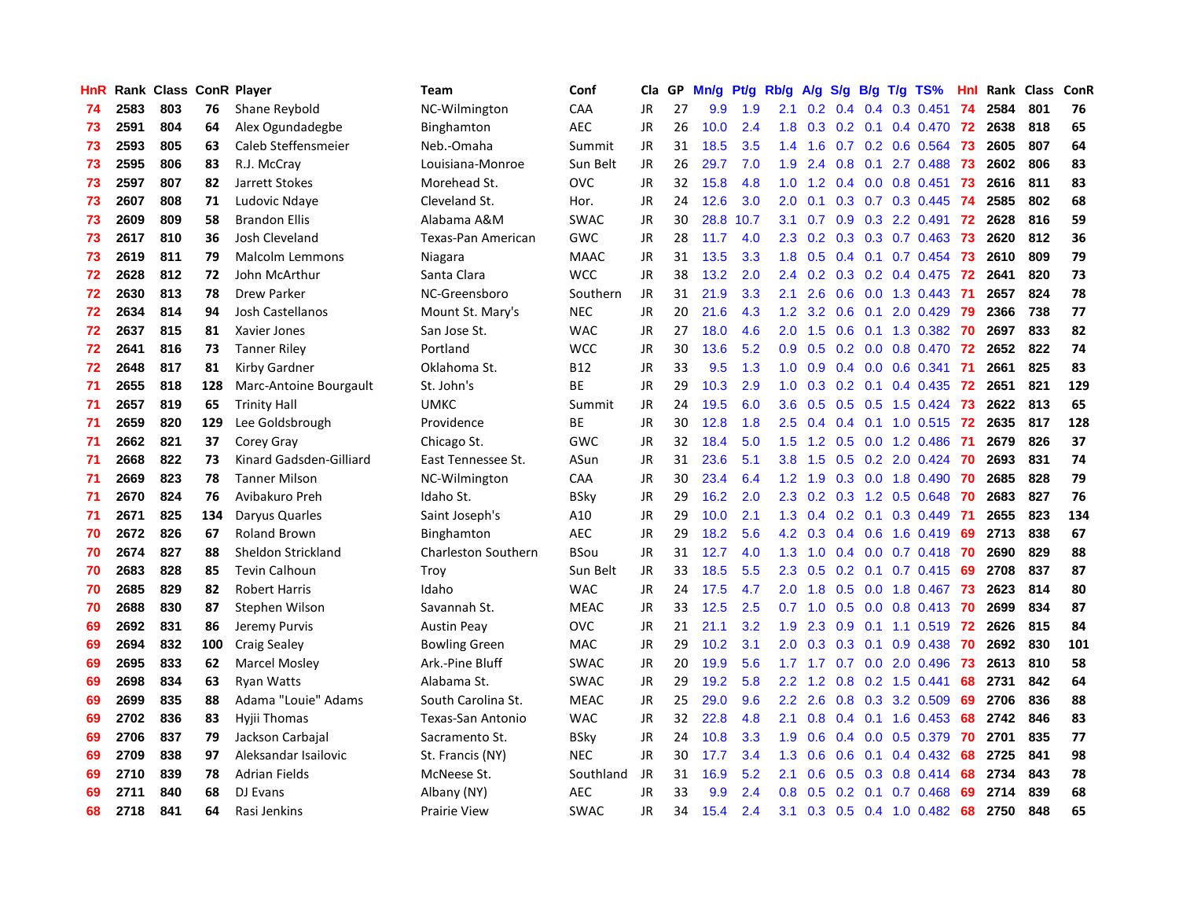| <b>HnR</b> |      | Rank Class ConR Player |     |                         | <b>Team</b>                | Conf        | Cla       | GP | Mn/g | Pf/g | Rb/g             | A/g |               |     | $S/g$ B/g T/g TS%         | Hnl |      | Rank Class | ConR |
|------------|------|------------------------|-----|-------------------------|----------------------------|-------------|-----------|----|------|------|------------------|-----|---------------|-----|---------------------------|-----|------|------------|------|
| 74         | 2583 | 803                    | 76  | Shane Reybold           | NC-Wilmington              | CAA         | <b>JR</b> | 27 | 9.9  | 1.9  | 2.1              | 0.2 | 0.4           | 0.4 | $0.3$ 0.451               | 74  | 2584 | 801        | 76   |
| 73         | 2591 | 804                    | 64  | Alex Ogundadegbe        | Binghamton                 | AEC         | JR        | 26 | 10.0 | 2.4  | 1.8              |     |               |     | 0.3 0.2 0.1 0.4 0.470 72  |     | 2638 | 818        | 65   |
| 73         | 2593 | 805                    | 63  | Caleb Steffensmeier     | Neb.-Omaha                 | Summit      | JR        | 31 | 18.5 | 3.5  | $1.4^{\circ}$    | 1.6 |               |     | $0.7$ 0.2 0.6 0.564       | -73 | 2605 | 807        | 64   |
| 73         | 2595 | 806                    | 83  | R.J. McCray             | Louisiana-Monroe           | Sun Belt    | JR        | 26 | 29.7 | 7.0  | 1.9              | 2.4 | 0.8           |     | $0.1$ 2.7 0.488           | -73 | 2602 | 806        | 83   |
| 73         | 2597 | 807                    | 82  | Jarrett Stokes          | Morehead St.               | <b>OVC</b>  | <b>JR</b> | 32 | 15.8 | 4.8  | 1.0              | 1.2 |               |     | $0.4$ 0.0 0.8 0.451       | -73 | 2616 | 811        | 83   |
| 73         | 2607 | 808                    | 71  | Ludovic Ndaye           | Cleveland St.              | Hor.        | JR        | 24 | 12.6 | 3.0  | 2.0 <sub>1</sub> | 0.1 |               |     | 0.3 0.7 0.3 0.445         | -74 | 2585 | 802        | 68   |
| 73         | 2609 | 809                    | 58  | <b>Brandon Ellis</b>    | Alabama A&M                | <b>SWAC</b> | JR        | 30 | 28.8 | 10.7 | 3.1              | 0.7 | 0.9           |     | 0.3 2.2 0.491             | 72  | 2628 | 816        | 59   |
| 73         | 2617 | 810                    | 36  | Josh Cleveland          | Texas-Pan American         | GWC         | JR        | 28 | 11.7 | 4.0  | 2.3              | 0.2 | 0.3           |     | $0.3$ 0.7 0.463           | 73  | 2620 | 812        | 36   |
| 73         | 2619 | 811                    | 79  | Malcolm Lemmons         | Niagara                    | <b>MAAC</b> | JR        | 31 | 13.5 | 3.3  | 1.8              | 0.5 |               |     | $0.4$ 0.1 0.7 0.454       | 73  | 2610 | 809        | 79   |
| 72         | 2628 | 812                    | 72  | John McArthur           | Santa Clara                | <b>WCC</b>  | <b>JR</b> | 38 | 13.2 | 2.0  | $2.4^{\circ}$    | 0.2 |               |     | $0.3$ 0.2 0.4 0.475       | -72 | 2641 | 820        | 73   |
| 72         | 2630 | 813                    | 78  | <b>Drew Parker</b>      | NC-Greensboro              | Southern    | JR        | 31 | 21.9 | 3.3  | 2.1              | 2.6 |               |     | 0.6 0.0 1.3 0.443 71      |     | 2657 | 824        | 78   |
| 72         | 2634 | 814                    | 94  | Josh Castellanos        | Mount St. Mary's           | <b>NEC</b>  | JR        | 20 | 21.6 | 4.3  | 1.2 <sub>1</sub> | 3.2 |               |     | 0.6 0.1 2.0 0.429 79      |     | 2366 | 738        | 77   |
| 72         | 2637 | 815                    | 81  | Xavier Jones            | San Jose St.               | <b>WAC</b>  | <b>JR</b> | 27 | 18.0 | 4.6  | 2.0 <sub>1</sub> | 1.5 |               |     | 0.6 0.1 1.3 0.382 70      |     | 2697 | 833        | 82   |
| 72         | 2641 | 816                    | 73  | <b>Tanner Riley</b>     | Portland                   | <b>WCC</b>  | JR        | 30 | 13.6 | 5.2  | 0.9 <sub>0</sub> | 0.5 |               |     | 0.2 0.0 0.8 0.470         | 72  | 2652 | 822        | 74   |
| 72         | 2648 | 817                    | 81  | Kirby Gardner           | Oklahoma St.               | <b>B12</b>  | JR        | 33 | 9.5  | 1.3  | 1.0              | 0.9 |               |     | $0.4$ 0.0 0.6 0.341       | -71 | 2661 | 825        | 83   |
| 71         | 2655 | 818                    | 128 | Marc-Antoine Bourgault  | St. John's                 | <b>BE</b>   | JR        | 29 | 10.3 | 2.9  | 1.0              | 0.3 | 0.2           |     | $0.1$ 0.4 0.435           | 72  | 2651 | 821        | 129  |
| 71         | 2657 | 819                    | 65  | <b>Trinity Hall</b>     | <b>UMKC</b>                | Summit      | <b>JR</b> | 24 | 19.5 | 6.0  | 3.6 <sup>°</sup> | 0.5 | 0.5           |     | $0.5$ 1.5 0.424           | 73  | 2622 | 813        | 65   |
| 71         | 2659 | 820                    | 129 | Lee Goldsbrough         | Providence                 | <b>BE</b>   | <b>JR</b> | 30 | 12.8 | 1.8  | 2.5              | 0.4 | 0.4           |     | $0.1$ 1.0 0.515           | 72  | 2635 | 817        | 128  |
| 71         | 2662 | 821                    | 37  | Corey Gray              | Chicago St.                | <b>GWC</b>  | JR        | 32 | 18.4 | 5.0  | 1.5              | 1.2 |               |     | 0.5 0.0 1.2 0.486         | -71 | 2679 | 826        | 37   |
| 71         | 2668 | 822                    | 73  | Kinard Gadsden-Gilliard | East Tennessee St.         | ASun        | JR        | 31 | 23.6 | 5.1  | 3.8 <sub>2</sub> | 1.5 |               |     | $0.5$ $0.2$ $2.0$ $0.424$ | -70 | 2693 | 831        | 74   |
| 71         | 2669 | 823                    | 78  | <b>Tanner Milson</b>    | NC-Wilmington              | <b>CAA</b>  | JR        | 30 | 23.4 | 6.4  | 1.2              | 1.9 |               |     | $0.3$ 0.0 1.8 0.490       | -70 | 2685 | 828        | 79   |
| 71         | 2670 | 824                    | 76  | Avibakuro Preh          | Idaho St.                  | <b>BSky</b> | JR        | 29 | 16.2 | 2.0  | 2.3              | 0.2 |               |     | 0.3 1.2 0.5 0.648         | -70 | 2683 | 827        | 76   |
| 71         | 2671 | 825                    | 134 | Daryus Quarles          | Saint Joseph's             | A10         | JR        | 29 | 10.0 | 2.1  | 1.3              | 0.4 |               |     | $0.2$ 0.1 0.3 0.449       | -71 | 2655 | 823        | 134  |
| 70         | 2672 | 826                    | 67  | <b>Roland Brown</b>     | Binghamton                 | <b>AEC</b>  | JR        | 29 | 18.2 | 5.6  | 4.2              | 0.3 |               |     | $0.4$ 0.6 1.6 0.419       | 69  | 2713 | 838        | 67   |
| 70         | 2674 | 827                    | 88  | Sheldon Strickland      | <b>Charleston Southern</b> | <b>BSou</b> | <b>JR</b> | 31 | 12.7 | 4.0  | 1.3              | 1.0 |               |     | $0.4$ 0.0 0.7 0.418       | -70 | 2690 | 829        | 88   |
| 70         | 2683 | 828                    | 85  | <b>Tevin Calhoun</b>    | Troy                       | Sun Belt    | <b>JR</b> | 33 | 18.5 | 5.5  | 2.3              | 0.5 | 0.2           |     | $0.1$ 0.7 0.415           | 69  | 2708 | 837        | 87   |
| 70         | 2685 | 829                    | 82  | <b>Robert Harris</b>    | Idaho                      | <b>WAC</b>  | <b>JR</b> | 24 | 17.5 | 4.7  | 2.0 <sub>1</sub> | 1.8 |               |     | 0.5 0.0 1.8 0.467 73      |     | 2623 | 814        | 80   |
| 70         | 2688 | 830                    | 87  | Stephen Wilson          | Savannah St.               | <b>MEAC</b> | <b>JR</b> | 33 | 12.5 | 2.5  | 0.7              | 1.0 |               |     | 0.5 0.0 0.8 0.413 70      |     | 2699 | 834        | 87   |
| 69         | 2692 | 831                    | 86  | Jeremy Purvis           | <b>Austin Peay</b>         | <b>OVC</b>  | JR        | 21 | 21.1 | 3.2  | 1.9 <sup>°</sup> | 2.3 |               |     | 0.9 0.1 1.1 0.519 72      |     | 2626 | 815        | 84   |
| 69         | 2694 | 832                    | 100 | <b>Craig Sealey</b>     | <b>Bowling Green</b>       | <b>MAC</b>  | JR        | 29 | 10.2 | 3.1  | 2.0 <sub>1</sub> | 0.3 |               |     | $0.3$ 0.1 0.9 0.438       | -70 | 2692 | 830        | 101  |
| 69         | 2695 | 833                    | 62  | <b>Marcel Mosley</b>    | Ark.-Pine Bluff            | <b>SWAC</b> | JR        | 20 | 19.9 | 5.6  | 1.7 <sub>2</sub> | 1.7 |               |     | $0.7$ $0.0$ $2.0$ $0.496$ | -73 | 2613 | 810        | 58   |
| 69         | 2698 | 834                    | 63  | <b>Ryan Watts</b>       | Alabama St.                | <b>SWAC</b> | JR        | 29 | 19.2 | 5.8  | $2.2^{\circ}$    | 1.2 | 0.8           |     | $0.2$ 1.5 0.441           | 68  | 2731 | 842        | 64   |
| 69         | 2699 | 835                    | 88  | Adama "Louie" Adams     | South Carolina St.         | <b>MEAC</b> | <b>JR</b> | 25 | 29.0 | 9.6  | $2.2^{\circ}$    | 2.6 | 0.8           |     | 0.3 3.2 0.509             | 69  | 2706 | 836        | 88   |
| 69         | 2702 | 836                    | 83  | Hyjii Thomas            | Texas-San Antonio          | <b>WAC</b>  | <b>JR</b> | 32 | 22.8 | 4.8  | 2.1              | 0.8 |               |     | $0.4$ 0.1 1.6 0.453       | 68  | 2742 | 846        | 83   |
| 69         | 2706 | 837                    | 79  | Jackson Carbajal        | Sacramento St.             | <b>BSky</b> | JR        | 24 | 10.8 | 3.3  | 1.9 <sup>°</sup> | 0.6 | $0.4^{\circ}$ |     | $0.0$ $0.5$ $0.379$       | 70  | 2701 | 835        | 77   |
| 69         | 2709 | 838                    | 97  | Aleksandar Isailovic    | St. Francis (NY)           | <b>NEC</b>  | JR        | 30 | 17.7 | 3.4  | 1.3              | 0.6 | 0.6           |     | $0.1$ 0.4 0.432           | 68  | 2725 | 841        | 98   |
| 69         | 2710 | 839                    | 78  | <b>Adrian Fields</b>    | McNeese St.                | Southland   | <b>JR</b> | 31 | 16.9 | 5.2  | 2.1              | 0.6 |               |     | $0.5$ $0.3$ $0.8$ $0.414$ | 68  | 2734 | 843        | 78   |
| 69         | 2711 | 840                    | 68  | DJ Evans                | Albany (NY)                | AEC         | JR        | 33 | 9.9  | 2.4  | 0.8              | 0.5 | 0.2           | 0.1 | $0.7$ 0.468               | 69  | 2714 | 839        | 68   |
| 68         | 2718 | 841                    | 64  | Rasi Jenkins            | <b>Prairie View</b>        | <b>SWAC</b> | <b>JR</b> | 34 | 15.4 | 2.4  | 3.1              |     |               |     | 0.3 0.5 0.4 1.0 0.482     | 68  | 2750 | 848        | 65   |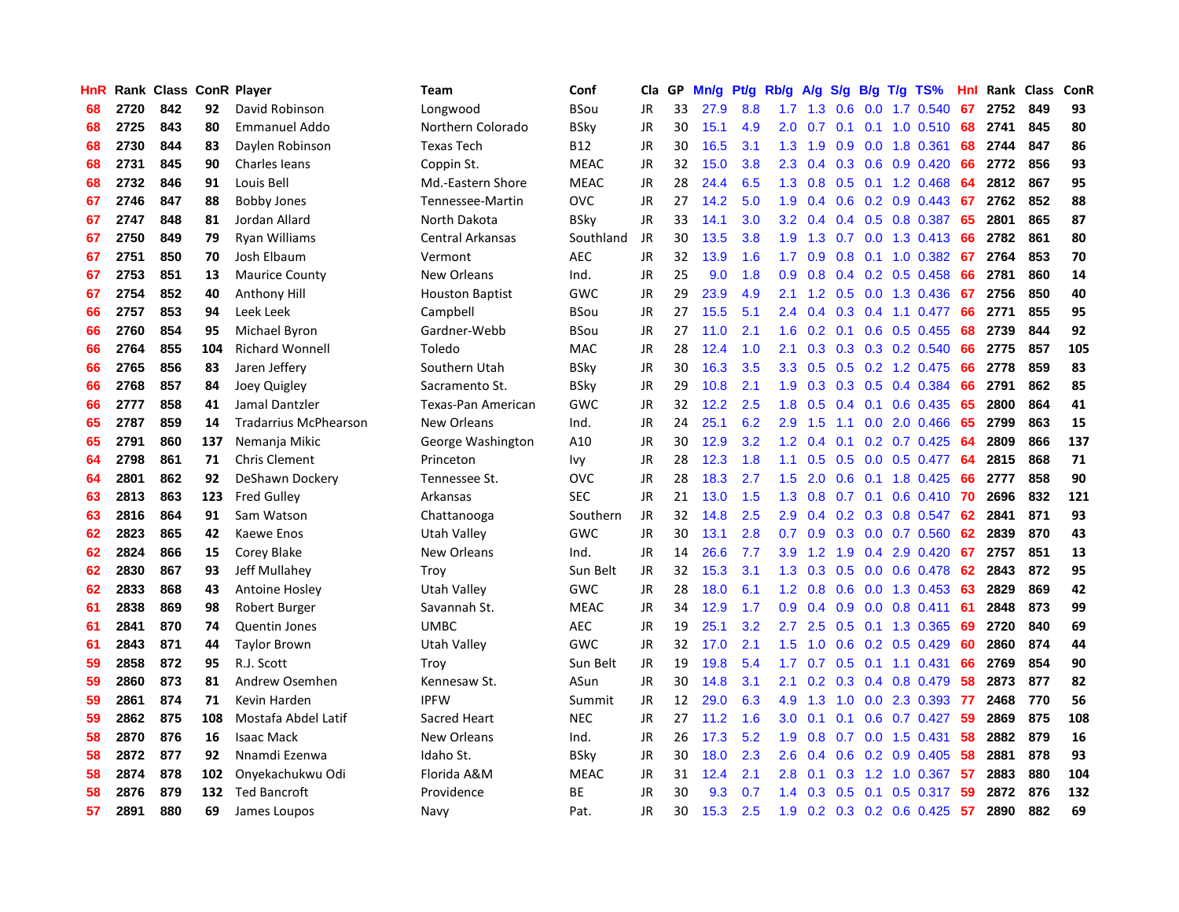| HnR |      | Rank Class ConR Player |     |                              | <b>Team</b>            | Conf        | Cla       | <b>GP</b> | Mn/g | <b>Pt/g</b> | Rb/g             | A/g             |     |     | S/g B/g T/g TS%                 | Hnl  | Rank | Class | ConR |
|-----|------|------------------------|-----|------------------------------|------------------------|-------------|-----------|-----------|------|-------------|------------------|-----------------|-----|-----|---------------------------------|------|------|-------|------|
| 68  | 2720 | 842                    | 92  | David Robinson               | Longwood               | BSou        | JR        | 33        | 27.9 | 8.8         | 1.7              | 1.3             | 0.6 |     | 0.0 1.7 0.540                   | 67   | 2752 | 849   | 93   |
| 68  | 2725 | 843                    | 80  | <b>Emmanuel Addo</b>         | Northern Colorado      | BSky        | JR        | 30        | 15.1 | 4.9         |                  | $2.0 \t 0.7$    |     |     | $0.1$ 0.1 1.0 0.510             | 68   | 2741 | 845   | 80   |
| 68  | 2730 | 844                    | 83  | Daylen Robinson              | <b>Texas Tech</b>      | B12         | JR        | 30        | 16.5 | 3.1         | 1.3              | 1.9             |     |     | $0.9$ 0.0 1.8 0.361             | 68   | 2744 | 847   | 86   |
| 68  | 2731 | 845                    | 90  | Charles leans                | Coppin St.             | <b>MEAC</b> | JR        | 32        | 15.0 | 3.8         | 2.3              | 0.4             |     |     | $0.3$ 0.6 0.9 0.420             | 66   | 2772 | 856   | 93   |
| 68  | 2732 | 846                    | 91  | Louis Bell                   | Md.-Eastern Shore      | <b>MEAC</b> | <b>JR</b> | 28        | 24.4 | 6.5         | 1.3              | 0.8             |     |     | $0.5$ 0.1 1.2 0.468             | 64   | 2812 | 867   | 95   |
| 67  | 2746 | 847                    | 88  | <b>Bobby Jones</b>           | Tennessee-Martin       | <b>OVC</b>  | JR        | 27        | 14.2 | 5.0         | 1.9              | 0.4             |     |     | $0.6$ $0.2$ $0.9$ $0.443$       | 67   | 2762 | 852   | 88   |
| 67  | 2747 | 848                    | 81  | Jordan Allard                | North Dakota           | <b>BSky</b> | JR        | 33        | 14.1 | 3.0         | 3.2              | 0.4             |     |     | 0.4 0.5 0.8 0.387               | 65   | 2801 | 865   | 87   |
| 67  | 2750 | 849                    | 79  | Ryan Williams                | Central Arkansas       | Southland   | JR        | 30        | 13.5 | 3.8         | 1.9              | 1.3             |     |     | 0.7 0.0 1.3 0.413               | 66   | 2782 | 861   | 80   |
| 67  | 2751 | 850                    | 70  | Josh Elbaum                  | Vermont                | <b>AEC</b>  | <b>JR</b> | 32        | 13.9 | 1.6         | 1.7 <sub>z</sub> | 0.9             | 0.8 |     | $0.1$ 1.0 $0.382$               | 67   | 2764 | 853   | 70   |
| 67  | 2753 | 851                    | 13  | <b>Maurice County</b>        | <b>New Orleans</b>     | Ind.        | JR        | 25        | 9.0  | 1.8         | 0.9              | 0.8             |     |     | $0.4$ 0.2 0.5 0.458             | 66   | 2781 | 860   | 14   |
| 67  | 2754 | 852                    | 40  | Anthony Hill                 | <b>Houston Baptist</b> | GWC         | <b>JR</b> | 29        | 23.9 | 4.9         | 2.1              | 1.2             |     |     | 0.5 0.0 1.3 0.436               | - 67 | 2756 | 850   | 40   |
| 66  | 2757 | 853                    | 94  | Leek Leek                    | Campbell               | BSou        | JR        | 27        | 15.5 | 5.1         | $2.4^{\circ}$    | 0.4             |     |     | $0.3$ 0.4 1.1 0.477             | -66  | 2771 | 855   | 95   |
| 66  | 2760 | 854                    | 95  | Michael Byron                | Gardner-Webb           | BSou        | <b>JR</b> | 27        | 11.0 | 2.1         | 1.6              | 0.2             |     |     | $0.1$ 0.6 0.5 0.455             | 68   | 2739 | 844   | 92   |
| 66  | 2764 | 855                    | 104 | <b>Richard Wonnell</b>       | Toledo                 | <b>MAC</b>  | JR        | 28        | 12.4 | 1.0         | 2.1              | 0.3             |     |     | $0.3$ $0.3$ $0.2$ $0.540$       | 66   | 2775 | 857   | 105  |
| 66  | 2765 | 856                    | 83  | Jaren Jeffery                | Southern Utah          | <b>BSky</b> | JR        | 30        | 16.3 | 3.5         | 3.3              | 0.5             |     |     | 0.5 0.2 1.2 0.475               | 66   | 2778 | 859   | 83   |
| 66  | 2768 | 857                    | 84  | Joey Quigley                 | Sacramento St.         | BSky        | JR        | 29        | 10.8 | 2.1         | 1.9              | 0.3             | 0.3 |     | $0.5$ 0.4 0.384                 | 66   | 2791 | 862   | 85   |
| 66  | 2777 | 858                    | 41  | Jamal Dantzler               | Texas-Pan American     | GWC         | <b>JR</b> | 32        | 12.2 | 2.5         | 1.8              | 0.5             | 0.4 | 0.1 | $0.6$ 0.435                     | 65   | 2800 | 864   | 41   |
| 65  | 2787 | 859                    | 14  | <b>Tradarrius McPhearson</b> | <b>New Orleans</b>     | Ind.        | JR        | 24        | 25.1 | 6.2         | 2.9              | 1.5             | 1.1 |     | $0.0$ 2.0 $0.466$               | 65   | 2799 | 863   | 15   |
| 65  | 2791 | 860                    | 137 | Nemanja Mikic                | George Washington      | A10         | JR        | 30        | 12.9 | 3.2         | 1.2              | 0.4             |     |     | $0.1$ $0.2$ $0.7$ $0.425$       | 64   | 2809 | 866   | 137  |
| 64  | 2798 | 861                    | 71  | <b>Chris Clement</b>         | Princeton              | Ivy         | JR        | 28        | 12.3 | 1.8         | 1.1              | 0.5             |     |     | 0.5 0.0 0.5 0.477               | -64  | 2815 | 868   | 71   |
| 64  | 2801 | 862                    | 92  | DeShawn Dockery              | Tennessee St.          | <b>OVC</b>  | JR        | 28        | 18.3 | 2.7         | 1.5              | 2.0             |     |     | $0.6$ 0.1 1.8 0.425             | 66   | 2777 | 858   | 90   |
| 63  | 2813 | 863                    | 123 | <b>Fred Gulley</b>           | Arkansas               | <b>SEC</b>  | <b>JR</b> | 21        | 13.0 | 1.5         | 1.3              | 0.8             | 0.7 |     | $0.1$ 0.6 0.410                 | 70   | 2696 | 832   | 121  |
| 63  | 2816 | 864                    | 91  | Sam Watson                   | Chattanooga            | Southern    | <b>JR</b> | 32        | 14.8 | 2.5         | 2.9              | 0.4             |     |     | 0.2 0.3 0.8 0.547               | 62   | 2841 | 871   | 93   |
| 62  | 2823 | 865                    | 42  | Kaewe Enos                   | <b>Utah Valley</b>     | GWC         | <b>JR</b> | 30        | 13.1 | 2.8         | 0.7              | 0.9             | 0.3 |     | 0.0 0.7 0.560                   | 62   | 2839 | 870   | 43   |
| 62  | 2824 | 866                    | 15  | Corey Blake                  | New Orleans            | Ind.        | JR        | 14        | 26.6 | 7.7         | 3.9 <sub>2</sub> | 1.2             | 1.9 |     | 0.4 2.9 0.420                   | 67   | 2757 | 851   | 13   |
| 62  | 2830 | 867                    | 93  | Jeff Mullahey                | Troy                   | Sun Belt    | JR        | 32        | 15.3 | 3.1         | 1.3              | 0.3             |     |     | 0.5 0.0 0.6 0.478               | 62   | 2843 | 872   | 95   |
| 62  | 2833 | 868                    | 43  | <b>Antoine Hosley</b>        | <b>Utah Valley</b>     | GWC         | JR        | 28        | 18.0 | 6.1         |                  | $1.2 \quad 0.8$ |     |     | 0.6 0.0 1.3 0.453 63            |      | 2829 | 869   | 42   |
| 61  | 2838 | 869                    | 98  | Robert Burger                | Savannah St.           | <b>MEAC</b> | JR        | 34        | 12.9 | 1.7         | 0.9 <sub>0</sub> | 0.4             |     |     | $0.9$ 0.0 0.8 0.411             | -61  | 2848 | 873   | 99   |
| 61  | 2841 | 870                    | 74  | <b>Quentin Jones</b>         | <b>UMBC</b>            | <b>AEC</b>  | <b>JR</b> | 19        | 25.1 | 3.2         | $2.7^{\circ}$    | 2.5             |     |     | $0.5$ 0.1 1.3 0.365             | 69   | 2720 | 840   | 69   |
| 61  | 2843 | 871                    | 44  | <b>Taylor Brown</b>          | Utah Valley            | GWC         | JR        | 32        | 17.0 | 2.1         | 1.5              | 1.0             | 0.6 |     | $0.2$ 0.5 0.429                 | 60   | 2860 | 874   | 44   |
| 59  | 2858 | 872                    | 95  | R.J. Scott                   | Troy                   | Sun Belt    | JR        | 19        | 19.8 | 5.4         | 1.7              | 0.7             | 0.5 |     | $0.1$ 1.1 0.431                 | 66   | 2769 | 854   | 90   |
| 59  | 2860 | 873                    | 81  | Andrew Osemhen               | Kennesaw St.           | ASun        | <b>JR</b> | 30        | 14.8 | 3.1         | 2.1              | 0.2             | 0.3 |     | 0.4 0.8 0.479                   | 58   | 2873 | 877   | 82   |
| 59  | 2861 | 874                    | 71  | Kevin Harden                 | <b>IPFW</b>            | Summit      | JR        | 12        | 29.0 | 6.3         | 4.9              | 1.3             | 1.0 |     | 0.0 2.3 0.393                   | 77   | 2468 | 770   | 56   |
| 59  | 2862 | 875                    | 108 | Mostafa Abdel Latif          | Sacred Heart           | <b>NEC</b>  | <b>JR</b> | 27        | 11.2 | 1.6         | 3.0 <sub>2</sub> | 0.1             | 0.1 |     | $0.6$ 0.7 0.427                 | 59   | 2869 | 875   | 108  |
| 58  | 2870 | 876                    | 16  | <b>Isaac Mack</b>            | New Orleans            | Ind.        | JR        | 26        | 17.3 | 5.2         | 1.9              | 0.8             |     |     | 0.7 0.0 1.5 0.431               | 58   | 2882 | 879   | 16   |
| 58  | 2872 | 877                    | 92  | Nnamdi Ezenwa                | Idaho St.              | BSky        | JR        | 30        | 18.0 | 2.3         | 2.6              | 0.4             |     |     | $0.6$ $0.2$ $0.9$ $0.405$       | -58  | 2881 | 878   | 93   |
| 58  | 2874 | 878                    | 102 | Onyekachukwu Odi             | Florida A&M            | <b>MEAC</b> | JR        | 31        | 12.4 | 2.1         | 2.8              | 0.1             | 0.3 |     | 1.2 1.0 0.367 57                |      | 2883 | 880   | 104  |
| 58  | 2876 | 879                    | 132 | <b>Ted Bancroft</b>          | Providence             | <b>BE</b>   | <b>JR</b> | 30        | 9.3  | 0.7         | 1.4              | 0.3             | 0.5 | 0.1 | $0.5$ 0.317                     | 59   | 2872 | 876   | 132  |
| 57  | 2891 | 880                    | 69  | James Loupos                 | Navy                   | Pat.        | JR        | 30        | 15.3 | 2.5         | 1.9              |                 |     |     | $0.2$ $0.3$ $0.2$ $0.6$ $0.425$ | 57   | 2890 | 882   | 69   |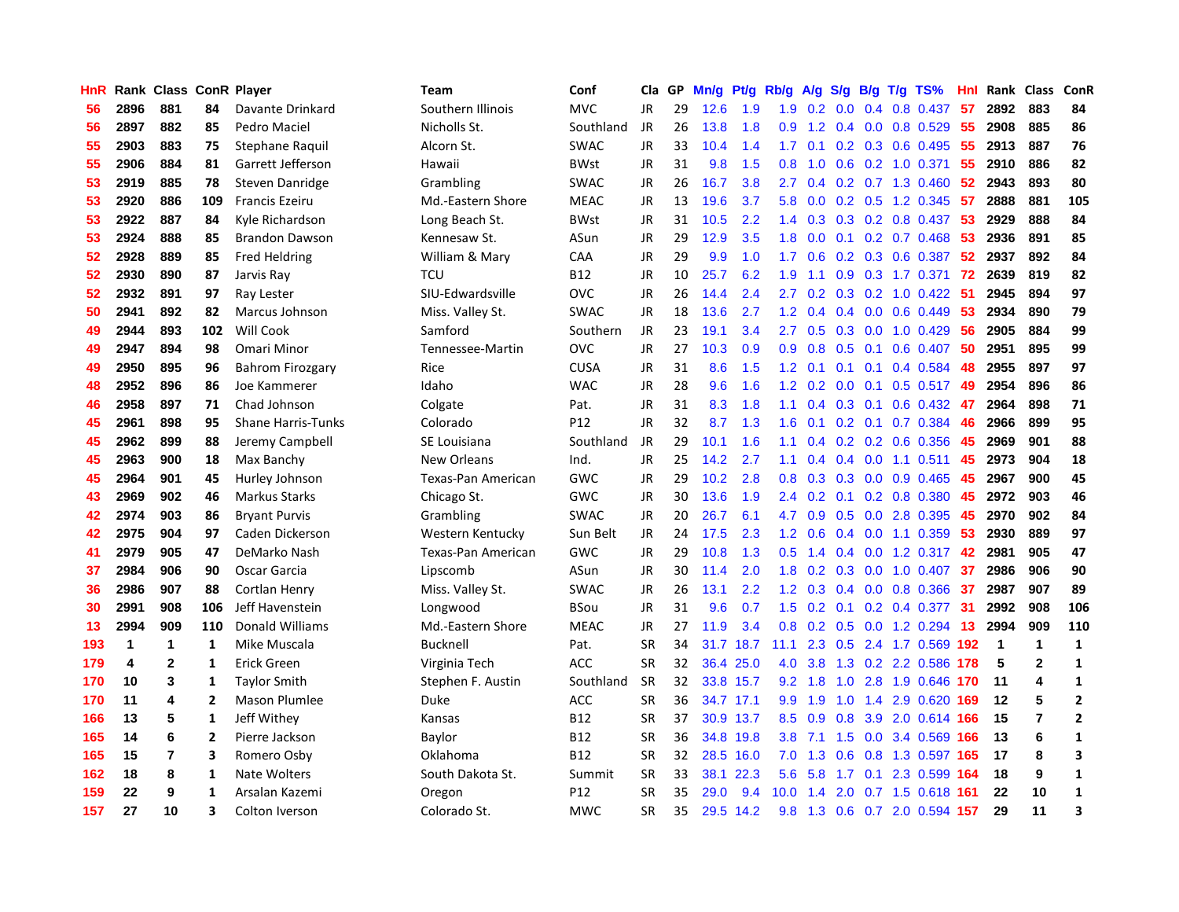| HnR |              | Rank Class ConR Player |                         |                           | <b>Team</b>        | Conf            | Cla       | GP | Mn/g | Pt/g      | Rb/g             | A/g | S/g |     | $B/g$ T/g TS%             | Hnl | Rank Class  |                | ConR                    |
|-----|--------------|------------------------|-------------------------|---------------------------|--------------------|-----------------|-----------|----|------|-----------|------------------|-----|-----|-----|---------------------------|-----|-------------|----------------|-------------------------|
| 56  | 2896         | 881                    | 84                      | Davante Drinkard          | Southern Illinois  | <b>MVC</b>      | <b>JR</b> | 29 | 12.6 | 1.9       | 1.9              | 0.2 | 0.0 | 0.4 | 0.8 0.437                 | 57  | 2892        | 883            | 84                      |
| 56  | 2897         | 882                    | 85                      | Pedro Maciel              | Nicholls St.       | Southland       | JR        | 26 | 13.8 | 1.8       | 0.9              | 1.2 |     |     | $0.4$ 0.0 0.8 0.529       | 55  | 2908        | 885            | 86                      |
| 55  | 2903         | 883                    | 75                      | Stephane Raquil           | Alcorn St.         | <b>SWAC</b>     | <b>JR</b> | 33 | 10.4 | 1.4       | 1.7              | 0.1 |     |     | 0.2 0.3 0.6 0.495         | -55 | 2913        | 887            | 76                      |
| 55  | 2906         | 884                    | 81                      | Garrett Jefferson         | Hawaii             | <b>BWst</b>     | JR        | 31 | 9.8  | 1.5       | 0.8              | 1.0 |     |     | $0.6$ $0.2$ $1.0$ $0.371$ | -55 | 2910        | 886            | 82                      |
| 53  | 2919         | 885                    | 78                      | Steven Danridge           | Grambling          | SWAC            | <b>JR</b> | 26 | 16.7 | 3.8       | $2.7^{\circ}$    | 0.4 |     |     | 0.2 0.7 1.3 0.460         | 52  | 2943        | 893            | 80                      |
| 53  | 2920         | 886                    | 109                     | <b>Francis Ezeiru</b>     | Md.-Eastern Shore  | <b>MEAC</b>     | JR        | 13 | 19.6 | 3.7       | 5.8              | 0.0 |     |     | $0.2$ $0.5$ 1.2 $0.345$   | 57  | 2888        | 881            | 105                     |
| 53  | 2922         | 887                    | 84                      | Kyle Richardson           | Long Beach St.     | BWst            | JR        | 31 | 10.5 | 2.2       | 1.4              | 0.3 |     |     | 0.3 0.2 0.8 0.437         | 53  | 2929        | 888            | 84                      |
| 53  | 2924         | 888                    | 85                      | <b>Brandon Dawson</b>     | Kennesaw St.       | ASun            | JR        | 29 | 12.9 | 3.5       | 1.8              | 0.0 |     |     | $0.1$ $0.2$ $0.7$ $0.468$ | 53  | 2936        | 891            | 85                      |
| 52  | 2928         | 889                    | 85                      | <b>Fred Heldring</b>      | William & Mary     | CAA             | JR        | 29 | 9.9  | 1.0       | 1.7              | 0.6 |     |     | 0.2 0.3 0.6 0.387         | 52  | 2937        | 892            | 84                      |
| 52  | 2930         | 890                    | 87                      | Jarvis Ray                | <b>TCU</b>         | <b>B12</b>      | JR        | 10 | 25.7 | 6.2       | 1.9              | 1.1 |     |     | 0.9 0.3 1.7 0.371         | 72  | 2639        | 819            | 82                      |
| 52  | 2932         | 891                    | 97                      | Ray Lester                | SIU-Edwardsville   | OVC             | JR        | 26 | 14.4 | 2.4       | 2.7              |     |     |     | 0.2 0.3 0.2 1.0 0.422 51  |     | 2945        | 894            | 97                      |
| 50  | 2941         | 892                    | 82                      | <b>Marcus Johnson</b>     | Miss. Valley St.   | <b>SWAC</b>     | JR        | 18 | 13.6 | 2.7       | 1.2              | 0.4 |     |     | $0.4$ 0.0 0.6 0.449       | -53 | 2934        | 890            | 79                      |
| 49  | 2944         | 893                    | 102                     | Will Cook                 | Samford            | Southern        | <b>JR</b> | 23 | 19.1 | 3.4       | $2.7^{\circ}$    | 0.5 |     |     | $0.3$ 0.0 1.0 0.429       | -56 | 2905        | 884            | 99                      |
| 49  | 2947         | 894                    | 98                      | Omari Minor               | Tennessee-Martin   | <b>OVC</b>      | JR        | 27 | 10.3 | 0.9       | 0.9              | 0.8 | 0.5 |     | $0.1$ 0.6 0.407           | 50  | 2951        | 895            | 99                      |
| 49  | 2950         | 895                    | 96                      | <b>Bahrom Firozgary</b>   | Rice               | <b>CUSA</b>     | JR        | 31 | 8.6  | 1.5       | 1.2              | 0.1 |     |     | $0.1$ 0.1 0.4 0.584       | 48  | 2955        | 897            | 97                      |
| 48  | 2952         | 896                    | 86                      | Joe Kammerer              | Idaho              | <b>WAC</b>      | JR        | 28 | 9.6  | 1.6       | 1.2              | 0.2 | 0.0 |     | $0.1$ 0.5 0.517           | 49  | 2954        | 896            | 86                      |
| 46  | 2958         | 897                    | 71                      | Chad Johnson              | Colgate            | Pat.            | JR        | 31 | 8.3  | 1.8       | 1.1              | 0.4 | 0.3 |     | $0.1$ 0.6 0.432           | 47  | 2964        | 898            | 71                      |
| 45  | 2961         | 898                    | 95                      | <b>Shane Harris-Tunks</b> | Colorado           | P <sub>12</sub> | <b>JR</b> | 32 | 8.7  | 1.3       | 1.6              | 0.1 | 0.2 | 0.1 | 0.7 0.384                 | 46  | 2966        | 899            | 95                      |
| 45  | 2962         | 899                    | 88                      | Jeremy Campbell           | SE Louisiana       | Southland       | JR        | 29 | 10.1 | 1.6       | 1.1              | 0.4 |     |     | $0.2$ $0.2$ $0.6$ $0.356$ | 45  | 2969        | 901            | 88                      |
| 45  | 2963         | 900                    | 18                      | Max Banchy                | New Orleans        | Ind.            | <b>JR</b> | 25 | 14.2 | 2.7       | 1.1              | 0.4 |     |     | $0.4$ 0.0 1.1 0.511       | 45  | 2973        | 904            | 18                      |
| 45  | 2964         | 901                    | 45                      | Hurley Johnson            | Texas-Pan American | <b>GWC</b>      | <b>JR</b> | 29 | 10.2 | 2.8       | 0.8              | 0.3 |     |     | $0.3$ 0.0 0.9 0.465       | 45  | 2967        | 900            | 45                      |
| 43  | 2969         | 902                    | 46                      | <b>Markus Starks</b>      | Chicago St.        | <b>GWC</b>      | <b>JR</b> | 30 | 13.6 | 1.9       | 2.4              | 0.2 |     |     | $0.1$ 0.2 0.8 0.380       | 45  | 2972        | 903            | 46                      |
| 42  | 2974         | 903                    | 86                      | <b>Bryant Purvis</b>      | Grambling          | <b>SWAC</b>     | JR        | 20 | 26.7 | 6.1       | 4.7              | 0.9 |     |     | $0.5$ 0.0 2.8 0.395       | 45  | 2970        | 902            | 84                      |
| 42  | 2975         | 904                    | 97                      | Caden Dickerson           | Western Kentucky   | Sun Belt        | JR        | 24 | 17.5 | 2.3       | 1.2              | 0.6 |     |     | $0.4$ 0.0 1.1 0.359       | 53  | 2930        | 889            | 97                      |
| 41  | 2979         | 905                    | 47                      | DeMarko Nash              | Texas-Pan American | GWC             | JR        | 29 | 10.8 | 1.3       | 0.5              | 1.4 |     |     | 0.4 0.0 1.2 0.317 42      |     | 2981        | 905            | 47                      |
| 37  | 2984         | 906                    | 90                      | Oscar Garcia              | Lipscomb           | ASun            | JR        | 30 | 11.4 | 2.0       | 1.8              | 0.2 | 0.3 |     | $0.0$ 1.0 0.407           | 37  | 2986        | 906            | 90                      |
| 36  | 2986         | 907                    | 88                      | Cortlan Henry             | Miss. Valley St.   | <b>SWAC</b>     | JR        | 26 | 13.1 | 2.2       | $1.2^{\circ}$    | 0.3 |     |     | $0.4$ 0.0 0.8 0.366       | -37 | 2987        | 907            | 89                      |
| 30  | 2991         | 908                    | 106                     | Jeff Havenstein           | Longwood           | BSou            | <b>JR</b> | 31 | 9.6  | 0.7       | 1.5              |     |     |     | $0.2$ 0.1 0.2 0.4 0.377   | -31 | 2992        | 908            | 106                     |
| 13  | 2994         | 909                    | 110                     | Donald Williams           | Md.-Eastern Shore  | <b>MEAC</b>     | <b>JR</b> | 27 | 11.9 | 3.4       | 0.8              |     |     |     | 0.2 0.5 0.0 1.2 0.294 13  |     | 2994        | 909            | 110                     |
| 193 | $\mathbf{1}$ | $\mathbf 1$            | 1                       | Mike Muscala              | <b>Bucknell</b>    | Pat.            | <b>SR</b> | 34 | 31.7 | 18.7      | 11.1             | 2.3 |     |     | 0.5 2.4 1.7 0.569 192     |     | $\mathbf 1$ | $\mathbf 1$    | 1                       |
| 179 | 4            | $\mathbf{2}$           | 1                       | Erick Green               | Virginia Tech      | <b>ACC</b>      | <b>SR</b> | 32 | 36.4 | 25.0      | 4.0              | 3.8 | 1.3 |     | 0.2 2.2 0.586             | 178 | 5           | $\overline{2}$ | 1                       |
| 170 | 10           | 3                      | 1                       | <b>Taylor Smith</b>       | Stephen F. Austin  | Southland       | <b>SR</b> | 32 |      | 33.8 15.7 | 9.2              | 1.8 | 1.0 |     | 2.8 1.9 0.646             | 170 | 11          | 4              | $\mathbf{1}$            |
| 170 | 11           | 4                      | $\overline{2}$          | Mason Plumlee             | Duke               | ACC             | <b>SR</b> | 36 | 34.7 | 17.1      | 9.9              | 1.9 | 1.0 |     | 1.4 2.9 0.620             | 169 | 12          | 5              | $\overline{2}$          |
| 166 | 13           | 5                      | 1                       | Jeff Withev               | Kansas             | <b>B12</b>      | <b>SR</b> | 37 | 30.9 | 13.7      | 8.5              | 0.9 | 0.8 |     | 3.9 2.0 0.614 166         |     | 15          | $\overline{7}$ | $\overline{2}$          |
| 165 | 14           | 6                      | $\overline{2}$          | Pierre Jackson            | Baylor             | <b>B12</b>      | <b>SR</b> | 36 | 34.8 | 19.8      | 3.8 <sub>2</sub> | 7.1 | 1.5 |     | $0.0$ 3.4 $0.569$         | 166 | 13          | 6              | 1                       |
| 165 | 15           | $\overline{7}$         | 3                       | Romero Osby               | Oklahoma           | <b>B12</b>      | <b>SR</b> | 32 |      | 28.5 16.0 | 7.0              | 1.3 |     |     | 0.6 0.8 1.3 0.597 165     |     | 17          | 8              | $\overline{\mathbf{3}}$ |
| 162 | 18           | 8                      | 1                       | <b>Nate Wolters</b>       | South Dakota St.   | Summit          | <b>SR</b> | 33 | 38.1 | 22.3      | 5.6              | 5.8 |     |     | 1.7 0.1 2.3 0.599 164     |     | 18          | 9              | $\mathbf{1}$            |
| 159 | 22           | 9                      | 1                       | Arsalan Kazemi            | Oregon             | P12             | SR        | 35 | 29.0 | 9.4       | 10.0             | 1.4 | 2.0 |     | 0.7 1.5 0.618 161         |     | 22          | 10             | $\mathbf{1}$            |
| 157 | 27           | 10                     | $\overline{\mathbf{3}}$ | Colton Iverson            | Colorado St.       | <b>MWC</b>      | <b>SR</b> | 35 |      | 29.5 14.2 | 9.8              | 1.3 |     |     | 0.6 0.7 2.0 0.594 157     |     | 29          | 11             | 3                       |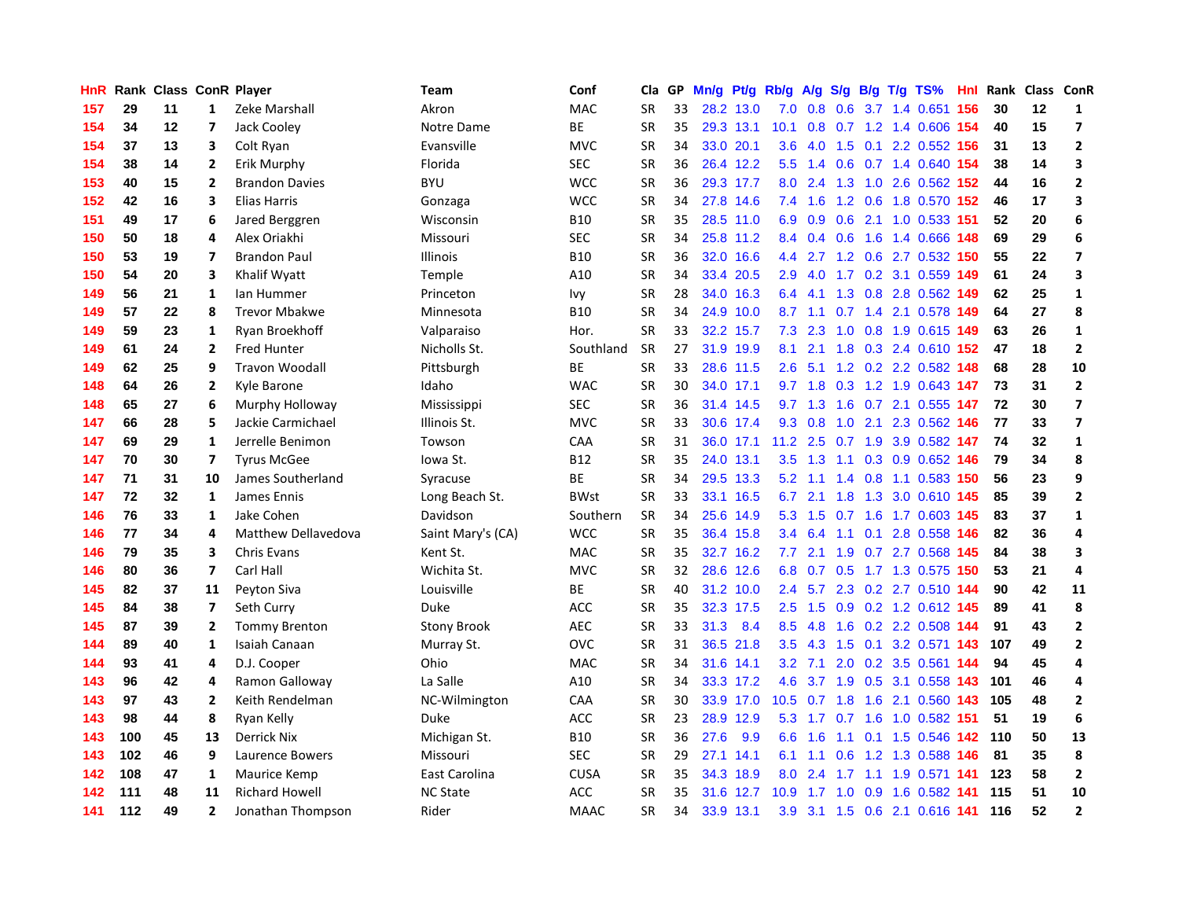| HnR |     |    |                         | Rank Class ConR Player | Team               | Conf        | Cla       | <b>GP</b> | Mn/g | Pt/g      | Rb/g             | A/g       |     |     | S/g B/g T/g TS%                | Hnl  | Rank | Class | <b>ConR</b>             |
|-----|-----|----|-------------------------|------------------------|--------------------|-------------|-----------|-----------|------|-----------|------------------|-----------|-----|-----|--------------------------------|------|------|-------|-------------------------|
| 157 | 29  | 11 | $\mathbf{1}$            | Zeke Marshall          | Akron              | <b>MAC</b>  | <b>SR</b> | 33        |      | 28.2 13.0 | 7.0              | 0.8       | 0.6 |     | 3.7 1.4 0.651                  | 156  | 30   | 12    | 1                       |
| 154 | 34  | 12 | $\overline{\mathbf{z}}$ | Jack Cooley            | Notre Dame         | ВE          | <b>SR</b> | 35        |      | 29.3 13.1 | 10.1             | 0.8       |     |     | 0.7 1.2 1.4 0.606 154          |      | 40   | 15    | $\overline{\mathbf{z}}$ |
| 154 | 37  | 13 | 3                       | Colt Ryan              | Evansville         | <b>MVC</b>  | <b>SR</b> | 34        |      | 33.0 20.1 | 3.6              |           |     |     | 4.0 1.5 0.1 2.2 0.552 156      |      | 31   | 13    | $\overline{2}$          |
| 154 | 38  | 14 | $\mathbf{2}$            | Erik Murphy            | Florida            | <b>SEC</b>  | <b>SR</b> | 36        |      | 26.4 12.2 | 5.5              | 1.4       |     |     | 0.6 0.7 1.4 0.640 154          |      | 38   | 14    | 3                       |
| 153 | 40  | 15 | $\overline{2}$          | <b>Brandon Davies</b>  | <b>BYU</b>         | <b>WCC</b>  | <b>SR</b> | 36        |      | 29.3 17.7 | 8.0              | 2.4       |     |     | 1.3 1.0 2.6 0.562 152          |      | 44   | 16    | $\overline{2}$          |
| 152 | 42  | 16 | 3                       | Elias Harris           | Gonzaga            | <b>WCC</b>  | <b>SR</b> | 34        |      | 27.8 14.6 | 7.4              | 1.6       |     |     | 1.2 0.6 1.8 0.570              | 152  | 46   | 17    | 3                       |
| 151 | 49  | 17 | 6                       | Jared Berggren         | Wisconsin          | <b>B10</b>  | <b>SR</b> | 35        | 28.5 | 11.0      | 6.9              | 0.9       | 0.6 |     | 2.1 1.0 0.533                  | 151  | 52   | 20    | 6                       |
| 150 | 50  | 18 | 4                       | Alex Oriakhi           | Missouri           | <b>SEC</b>  | <b>SR</b> | 34        | 25.8 | 11.2      | 8.4              | 0.4       |     |     | 0.6 1.6 1.4 0.666              | 148  | 69   | 29    | 6                       |
| 150 | 53  | 19 | $\overline{7}$          | <b>Brandon Paul</b>    | Illinois           | <b>B10</b>  | <b>SR</b> | 36        | 32.0 | 16.6      | 4.4              | 2.7       |     |     | 1.2 0.6 2.7 0.532 150          |      | 55   | 22    | $\overline{\mathbf{z}}$ |
| 150 | 54  | 20 | 3                       | Khalif Wyatt           | Temple             | A10         | <b>SR</b> | 34        |      | 33.4 20.5 | 2.9              |           |     |     | 4.0 1.7 0.2 3.1 0.559 149      |      | 61   | 24    | 3                       |
| 149 | 56  | 21 | 1                       | lan Hummer             | Princeton          | Ivy         | <b>SR</b> | 28        |      | 34.0 16.3 | 6.4              |           |     |     | 4.1 1.3 0.8 2.8 0.562 149      |      | 62   | 25    | $\mathbf{1}$            |
| 149 | 57  | 22 | 8                       | <b>Trevor Mbakwe</b>   | Minnesota          | <b>B10</b>  | <b>SR</b> | 34        |      | 24.9 10.0 | 8.7              | 1.1       |     |     | 0.7 1.4 2.1 0.578 149          |      | 64   | 27    | 8                       |
| 149 | 59  | 23 | 1                       | Ryan Broekhoff         | Valparaiso         | Hor.        | <b>SR</b> | 33        | 32.2 | 15.7      | 7.3              | 2.3       | 1.0 |     | 0.8 1.9 0.615 149              |      | 63   | 26    | $\mathbf{1}$            |
| 149 | 61  | 24 | $\overline{2}$          | <b>Fred Hunter</b>     | Nicholls St.       | Southland   | <b>SR</b> | 27        | 31.9 | 19.9      | 8.1              | 2.1       |     |     | 1.8 0.3 2.4 0.610 152          |      | 47   | 18    | $\overline{2}$          |
| 149 | 62  | 25 | 9                       | <b>Travon Woodall</b>  | Pittsburgh         | <b>BE</b>   | <b>SR</b> | 33        |      | 28.6 11.5 | 2.6              | 5.1       |     |     | 1.2 0.2 2.2 0.582              | 148  | 68   | 28    | 10                      |
| 148 | 64  | 26 | $\overline{2}$          | Kyle Barone            | Idaho              | <b>WAC</b>  | <b>SR</b> | 30        | 34.0 | 17.1      |                  | $9.7$ 1.8 |     |     | 0.3 1.2 1.9 0.643 147          |      | 73   | 31    | $\overline{2}$          |
| 148 | 65  | 27 | 6                       | Murphy Holloway        | Mississippi        | SEC         | <b>SR</b> | 36        |      | 31.4 14.5 |                  | $9.7$ 1.3 | 1.6 |     | 0.7 2.1 0.555 147              |      | 72   | 30    | $\overline{\mathbf{z}}$ |
| 147 | 66  | 28 | 5                       | Jackie Carmichael      | Illinois St.       | <b>MVC</b>  | <b>SR</b> | 33        |      | 30.6 17.4 | 9.3              | 0.8       |     |     | 1.0 2.1 2.3 0.562 146          |      | 77   | 33    | $\overline{\mathbf{z}}$ |
| 147 | 69  | 29 | $\mathbf{1}$            | Jerrelle Benimon       | Towson             | CAA         | <b>SR</b> | 31        |      | 36.0 17.1 |                  |           |     |     | 11.2 2.5 0.7 1.9 3.9 0.582 147 |      | 74   | 32    | $\mathbf{1}$            |
| 147 | 70  | 30 | $\overline{7}$          | <b>Tyrus McGee</b>     | lowa St.           | <b>B12</b>  | <b>SR</b> | 35        |      | 24.0 13.1 | 3.5              |           |     |     | 1.3 1.1 0.3 0.9 0.652 146      |      | 79   | 34    | 8                       |
| 147 | 71  | 31 | 10                      | James Southerland      | Syracuse           | BE          | <b>SR</b> | 34        |      | 29.5 13.3 | 5.2              | 1.1       |     |     | 1.4 0.8 1.1 0.583 150          |      | 56   | 23    | 9                       |
| 147 | 72  | 32 | 1                       | James Ennis            | Long Beach St.     | <b>BWst</b> | <b>SR</b> | 33        | 33.1 | 16.5      | 6.7              | 2.1       | 1.8 |     | 1.3 3.0 0.610                  | 145  | 85   | 39    | $\overline{2}$          |
| 146 | 76  | 33 | $\mathbf{1}$            | Jake Cohen             | Davidson           | Southern    | <b>SR</b> | 34        |      | 25.6 14.9 | 5.3              | 1.5       |     |     | 0.7 1.6 1.7 0.603 145          |      | 83   | 37    | $\mathbf{1}$            |
| 146 | 77  | 34 | 4                       | Matthew Dellavedova    | Saint Mary's (CA)  | <b>WCC</b>  | <b>SR</b> | 35        | 36.4 | 15.8      | 3.4              | 6.4       | 1.1 | 0.1 | 2.8 0.558                      | 146  | 82   | 36    | 4                       |
| 146 | 79  | 35 | 3                       | Chris Evans            | Kent St.           | MAC         | <b>SR</b> | 35        |      | 32.7 16.2 | 7.7              | 2.1       | 1.9 |     | 0.7 2.7 0.568 145              |      | 84   | 38    | 3                       |
| 146 | 80  | 36 | $\overline{7}$          | Carl Hall              | Wichita St.        | <b>MVC</b>  | <b>SR</b> | 32        |      | 28.6 12.6 | 6.8              | 0.7       |     |     | 0.5 1.7 1.3 0.575 150          |      | 53   | 21    | 4                       |
| 145 | 82  | 37 | 11                      | Peyton Siva            | Louisville         | <b>BE</b>   | <b>SR</b> | 40        |      | 31.2 10.0 | 2.4              |           |     |     | 5.7 2.3 0.2 2.7 0.510 144      |      | 90   | 42    | 11                      |
| 145 | 84  | 38 | 7                       | Seth Curry             | Duke               | <b>ACC</b>  | <b>SR</b> | 35        |      | 32.3 17.5 | 2.5              | 1.5       |     |     | 0.9 0.2 1.2 0.612 145          |      | 89   | 41    | 8                       |
| 145 | 87  | 39 | $\overline{2}$          | <b>Tommy Brenton</b>   | <b>Stony Brook</b> | <b>AEC</b>  | <b>SR</b> | 33        | 31.3 | 8.4       | 8.5              | 4.8       |     |     | 1.6 0.2 2.2 0.508 144          |      | 91   | 43    | $\overline{2}$          |
| 144 | 89  | 40 | 1                       | Isaiah Canaan          | Murray St.         | OVC         | <b>SR</b> | 31        | 36.5 | 21.8      | 3.5              | 4.3       | 1.5 |     | 0.1 3.2 0.571 143              |      | 107  | 49    | $\overline{2}$          |
| 144 | 93  | 41 | 4                       | D.J. Cooper            | Ohio               | MAC         | <b>SR</b> | 34        |      | 31.6 14.1 | 3.2              | 7.1       |     |     | 2.0 0.2 3.5 0.561 144          |      | 94   | 45    | 4                       |
| 143 | 96  | 42 | 4                       | Ramon Galloway         | La Salle           | A10         | <b>SR</b> | 34        |      | 33.3 17.2 | 4.6              | 3.7       | 1.9 |     | 0.5 3.1 0.558                  | 143  | 101  | 46    | $\overline{4}$          |
| 143 | 97  | 43 | $\overline{2}$          | Keith Rendelman        | NC-Wilmington      | CAA         | <b>SR</b> | 30        |      | 33.9 17.0 | 10.5             | 0.7       | 1.8 | 1.6 | 2.1 0.560                      | 143  | 105  | 48    | $\overline{2}$          |
| 143 | 98  | 44 | 8                       | Ryan Kelly             | Duke               | ACC         | <b>SR</b> | 23        | 28.9 | 12.9      | 5.3              | 1.7       | 0.7 |     | 1.6 1.0 0.582 151              |      | 51   | 19    | 6                       |
| 143 | 100 | 45 | 13                      | <b>Derrick Nix</b>     | Michigan St.       | <b>B10</b>  | <b>SR</b> | 36        | 27.6 | 9.9       | 6.6              | 1.6       |     |     | 1.1 0.1 1.5 0.546 142 110      |      |      | 50    | 13                      |
| 143 | 102 | 46 | 9                       | Laurence Bowers        | Missouri           | <b>SEC</b>  | <b>SR</b> | 29        |      | 27.1 14.1 | 6.1              | 1.1       | 0.6 |     | 1.2 1.3 0.588 146              |      | 81   | 35    | 8                       |
| 142 | 108 | 47 | 1                       | Maurice Kemp           | East Carolina      | <b>CUSA</b> | <b>SR</b> | 35        |      | 34.3 18.9 | 8.0              | 2.4       | 1.7 |     | 1.1 1.9 0.571 141              |      | 123  | 58    | $\overline{2}$          |
| 142 | 111 | 48 | 11                      | <b>Richard Howell</b>  | <b>NC State</b>    | <b>ACC</b>  | <b>SR</b> | 35        |      | 31.6 12.7 | 10.9             | $1.7$ 1.0 |     |     | 0.9 1.6 0.582                  | -141 | 115  | 51    | 10                      |
| 141 | 112 | 49 | $\overline{2}$          | Jonathan Thompson      | Rider              | <b>MAAC</b> | SR        | 34        |      | 33.9 13.1 | 3.9 <sup>°</sup> |           |     |     | 3.1 1.5 0.6 2.1 0.616 141      |      | 116  | 52    | $\overline{2}$          |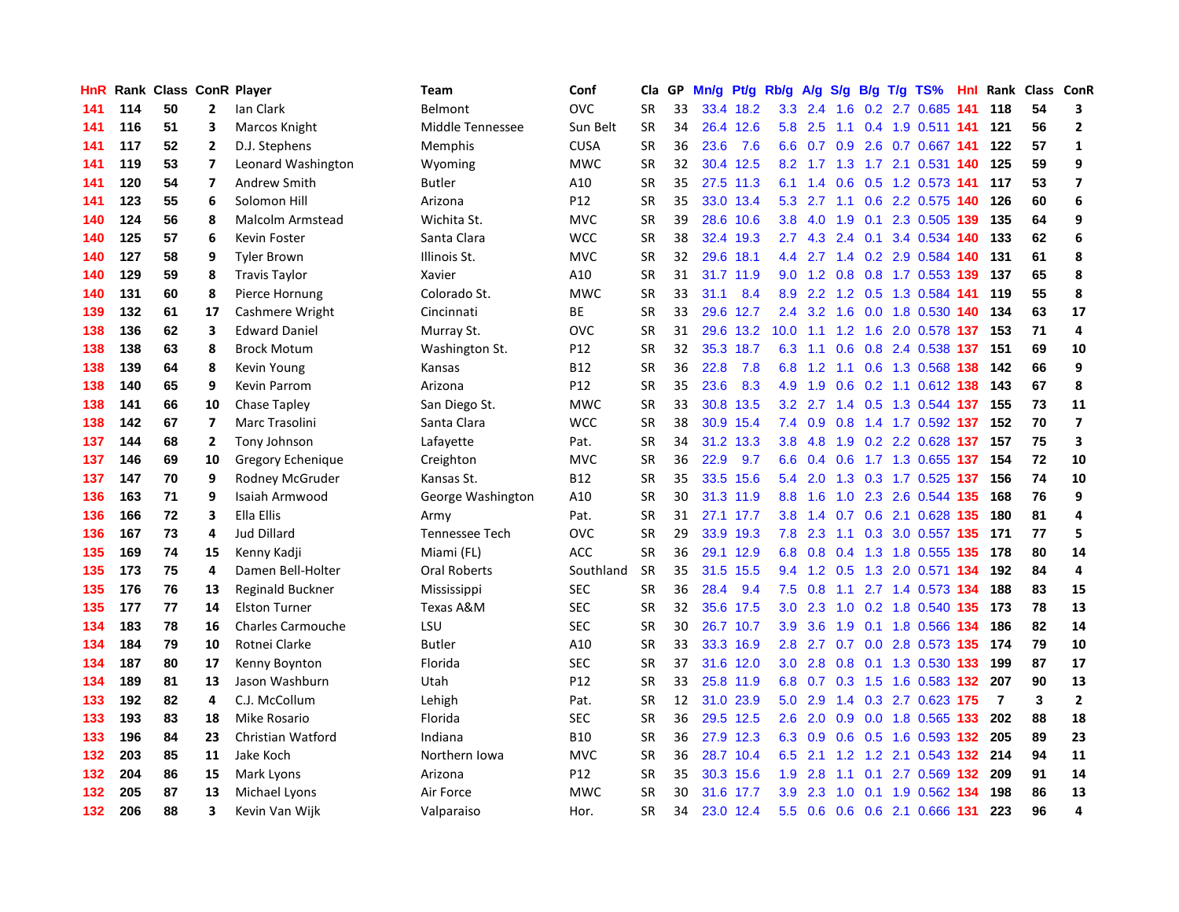| HnR              |     | Rank Class ConR Player |                         |                          | <b>Team</b>         | Conf            | Cla       | GP | Mn/g | Pt/g      | Rb/g             | A/g       |     |     | $S/g$ B/g T/g TS%             | Hnl | Rank           | Class ConR  |                         |
|------------------|-----|------------------------|-------------------------|--------------------------|---------------------|-----------------|-----------|----|------|-----------|------------------|-----------|-----|-----|-------------------------------|-----|----------------|-------------|-------------------------|
| 141              | 114 | 50                     | $\mathbf{2}$            | Ian Clark                | Belmont             | <b>OVC</b>      | <b>SR</b> | 33 |      | 33.4 18.2 | 3.3              | 2.4       | 1.6 |     | 0.2 2.7 0.685                 | 141 | 118            | 54          | 3                       |
| 141              | 116 | 51                     | 3                       | Marcos Knight            | Middle Tennessee    | Sun Belt        | <b>SR</b> | 34 |      | 26.4 12.6 | 5.8              | 2.5       |     |     | 1.1 0.4 1.9 0.511 141         |     | 121            | 56          | $\overline{2}$          |
| 141              | 117 | 52                     | $\mathbf{2}$            | D.J. Stephens            | <b>Memphis</b>      | <b>CUSA</b>     | <b>SR</b> | 36 | 23.6 | 7.6       |                  |           |     |     | 6.6 0.7 0.9 2.6 0.7 0.667 141 |     | 122            | 57          | $\mathbf{1}$            |
| 141              | 119 | 53                     | $\overline{7}$          | Leonard Washington       | Wyoming             | <b>MWC</b>      | <b>SR</b> | 32 |      | 30.4 12.5 |                  |           |     |     | 8.2 1.7 1.3 1.7 2.1 0.531 140 |     | 125            | 59          | 9                       |
| 141              | 120 | 54                     | $\overline{\mathbf{z}}$ | Andrew Smith             | <b>Butler</b>       | A10             | <b>SR</b> | 35 |      | 27.5 11.3 | 6.1              | 1.4       |     |     | 0.6 0.5 1.2 0.573 141         |     | 117            | 53          | $\overline{7}$          |
| 141              | 123 | 55                     | 6                       | Solomon Hill             | Arizona             | P12             | <b>SR</b> | 35 |      | 33.0 13.4 |                  | 5.3 2.7   | 1.1 |     | 0.6 2.2 0.575                 | 140 | 126            | 60          | 6                       |
| 140              | 124 | 56                     | 8                       | Malcolm Armstead         | Wichita St.         | <b>MVC</b>      | <b>SR</b> | 39 |      | 28.6 10.6 | 3.8              | 4.0       |     |     | 1.9 0.1 2.3 0.505 139         |     | 135            | 64          | 9                       |
| 140              | 125 | 57                     | 6                       | Kevin Foster             | Santa Clara         | <b>WCC</b>      | <b>SR</b> | 38 | 32.4 | 19.3      |                  | $2.7$ 4.3 |     |     | 2.4 0.1 3.4 0.534 140         |     | 133            | 62          | 6                       |
| 140              | 127 | 58                     | 9                       | <b>Tyler Brown</b>       | Illinois St.        | <b>MVC</b>      | <b>SR</b> | 32 | 29.6 | 18.1      | $4.4^{\circ}$    |           |     |     | 2.7 1.4 0.2 2.9 0.584 140     |     | 131            | 61          | 8                       |
| 140              | 129 | 59                     | 8                       | <b>Travis Taylor</b>     | Xavier              | A10             | <b>SR</b> | 31 |      | 31.7 11.9 | 9.0              | 1.2       |     |     | 0.8 0.8 1.7 0.553 139         |     | 137            | 65          | 8                       |
| 140              | 131 | 60                     | 8                       | Pierce Hornung           | Colorado St.        | <b>MWC</b>      | <b>SR</b> | 33 | 31.1 | 8.4       | 8.9              |           |     |     | 2.2 1.2 0.5 1.3 0.584 141     |     | 119            | 55          | 8                       |
| 139              | 132 | 61                     | 17                      | Cashmere Wright          | Cincinnati          | <b>BE</b>       | <b>SR</b> | 33 |      | 29.6 12.7 | $2.4^{\circ}$    |           |     |     | 3.2 1.6 0.0 1.8 0.530 140     |     | 134            | 63          | 17                      |
| 138              | 136 | 62                     | 3                       | <b>Edward Daniel</b>     | Murray St.          | <b>OVC</b>      | <b>SR</b> | 31 |      | 29.6 13.2 | 10.0             | 1.1       |     |     | 1.2 1.6 2.0 0.578 137         |     | 153            | 71          | $\overline{\mathbf{4}}$ |
| 138              | 138 | 63                     | 8                       | <b>Brock Motum</b>       | Washington St.      | P12             | <b>SR</b> | 32 |      | 35.3 18.7 | 6.3              | 1.1       | 0.6 |     | 0.8 2.4 0.538 137             |     | 151            | 69          | 10                      |
| 138              | 139 | 64                     | 8                       | Kevin Young              | Kansas              | <b>B12</b>      | <b>SR</b> | 36 | 22.8 | 7.8       | 6.8              | 1.2       |     |     | 1.1 0.6 1.3 0.568 138         |     | 142            | 66          | 9                       |
| 138              | 140 | 65                     | 9                       | Kevin Parrom             | Arizona             | P <sub>12</sub> | <b>SR</b> | 35 | 23.6 | 8.3       |                  | 4.9 1.9   | 0.6 |     | 0.2 1.1 0.612 138             |     | 143            | 67          | 8                       |
| 138              | 141 | 66                     | 10                      | Chase Tapley             | San Diego St.       | <b>MWC</b>      | <b>SR</b> | 33 | 30.8 | 13.5      | 3.2              | 2.7       |     |     | 1.4 0.5 1.3 0.544 137         |     | 155            | 73          | 11                      |
| 138              | 142 | 67                     | $\overline{ }$          | Marc Trasolini           | Santa Clara         | <b>WCC</b>      | <b>SR</b> | 38 |      | 30.9 15.4 | 7.4              | 0.9       | 0.8 |     | 1.4 1.7 0.592 137             |     | 152            | 70          | $\overline{\mathbf{z}}$ |
| 137              | 144 | 68                     | $\mathbf{2}$            | Tony Johnson             | Lafayette           | Pat.            | <b>SR</b> | 34 |      | 31.2 13.3 | 3.8 <sub>1</sub> | 4.8       |     |     | 1.9 0.2 2.2 0.628 137 157     |     |                | 75          | $\overline{\mathbf{3}}$ |
| 137              | 146 | 69                     | 10                      | Gregory Echenique        | Creighton           | <b>MVC</b>      | <b>SR</b> | 36 | 22.9 | 9.7       | 6.6              | 0.4       |     |     | 0.6 1.7 1.3 0.655 137 154     |     |                | 72          | 10                      |
| 137              | 147 | 70                     | 9                       | Rodney McGruder          | Kansas St.          | B12             | <b>SR</b> | 35 |      | 33.5 15.6 | 5.4              | 2.0       |     |     | 1.3 0.3 1.7 0.525 137         |     | 156            | 74          | 10                      |
| 136              | 163 | 71                     | 9                       | Isaiah Armwood           | George Washington   | A10             | <b>SR</b> | 30 |      | 31.3 11.9 | 8.8              | 1.6       | 1.0 |     | 2.3 2.6 0.544 135             |     | 168            | 76          | 9                       |
| 136              | 166 | 72                     | 3                       | Ella Ellis               | Army                | Pat.            | <b>SR</b> | 31 |      | 27.1 17.7 | 3.8              | 1.4       |     |     | 0.7 0.6 2.1 0.628 135         |     | 180            | 81          | $\overline{a}$          |
| 136              | 167 | 73                     | 4                       | <b>Jud Dillard</b>       | Tennessee Tech      | <b>OVC</b>      | <b>SR</b> | 29 | 33.9 | 19.3      | 7.8              | 2.3       | 1.1 |     | 0.3 3.0 0.557 135             |     | 171            | 77          | 5                       |
| 135              | 169 | 74                     | 15                      | Kenny Kadji              | Miami (FL)          | <b>ACC</b>      | <b>SR</b> | 36 |      | 29.1 12.9 | 6.8              | 0.8       |     |     | 0.4 1.3 1.8 0.555 135         |     | 178            | 80          | 14                      |
| 135              | 173 | 75                     | 4                       | Damen Bell-Holter        | <b>Oral Roberts</b> | Southland       | <b>SR</b> | 35 |      | 31.5 15.5 | 9.4              | 1.2       | 0.5 |     | 1.3 2.0 0.571 134             |     | 192            | 84          | $\overline{a}$          |
| 135              | 176 | 76                     | 13                      | <b>Reginald Buckner</b>  | Mississippi         | <b>SEC</b>      | <b>SR</b> | 36 | 28.4 | 9.4       | 7.5              | 0.8       |     |     | 1.1 2.7 1.4 0.573 134         |     | 188            | 83          | 15                      |
| 135              | 177 | 77                     | 14                      | <b>Elston Turner</b>     | Texas A&M           | <b>SEC</b>      | <b>SR</b> | 32 |      | 35.6 17.5 | 3.0 <sub>1</sub> | 2.3       |     |     | 1.0 0.2 1.8 0.540 135 173     |     |                | 78          | 13                      |
| 134              | 183 | 78                     | 16                      | <b>Charles Carmouche</b> | LSU                 | <b>SEC</b>      | <b>SR</b> | 30 |      | 26.7 10.7 | 3.9 <sub>2</sub> | 3.6       |     |     | 1.9 0.1 1.8 0.566 134         |     | 186            | 82          | 14                      |
| 134              | 184 | 79                     | 10                      | Rotnei Clarke            | <b>Butler</b>       | A10             | <b>SR</b> | 33 |      | 33.3 16.9 | 2.8              | 2.7       |     |     | 0.7 0.0 2.8 0.573 135         |     | 174            | 79          | 10                      |
| 134              | 187 | 80                     | 17                      | Kenny Boynton            | Florida             | <b>SEC</b>      | <b>SR</b> | 37 |      | 31.6 12.0 |                  | $3.0$ 2.8 | 0.8 |     | 0.1 1.3 0.530 133             |     | 199            | 87          | 17                      |
| 134              | 189 | 81                     | 13                      | Jason Washburn           | Utah                | P12             | <b>SR</b> | 33 |      | 25.8 11.9 |                  | 6.8 0.7   | 0.3 |     | 1.5 1.6 0.583 132             |     | 207            | 90          | 13                      |
| 133              | 192 | 82                     | 4                       | C.J. McCollum            | Lehigh              | Pat.            | <b>SR</b> | 12 | 31.0 | 23.9      | 5.0              | 2.9       |     |     | 1.4 0.3 2.7 0.623 175         |     | $\overline{7}$ | $\mathbf 3$ | $\overline{2}$          |
| 133              | 193 | 83                     | 18                      | Mike Rosario             | Florida             | <b>SEC</b>      | <b>SR</b> | 36 |      | 29.5 12.5 | 2.6              | 2.0       | 0.9 |     | 0.0 1.8 0.565 133             |     | 202            | 88          | 18                      |
| 133              | 196 | 84                     | 23                      | Christian Watford        | Indiana             | <b>B10</b>      | <b>SR</b> | 36 |      | 27.9 12.3 | 6.3              | 0.9       |     |     | 0.6 0.5 1.6 0.593 132 205     |     |                | 89          | 23                      |
| 132              | 203 | 85                     | 11                      | Jake Koch                | Northern Iowa       | <b>MVC</b>      | <b>SR</b> | 36 |      | 28.7 10.4 | 6.5              | 2.1       |     |     | 1.2 1.2 2.1 0.543 132 214     |     |                | 94          | 11                      |
| 132              | 204 | 86                     | 15                      | Mark Lyons               | Arizona             | P12             | <b>SR</b> | 35 |      | 30.3 15.6 | 1.9              | 2.8       | 1.1 |     | 0.1 2.7 0.569 132 209         |     |                | 91          | 14                      |
| 132              | 205 | 87                     | 13                      | Michael Lyons            | Air Force           | <b>MWC</b>      | <b>SR</b> | 30 | 31.6 | 17.7      | 3.9              | 2.3       | 1.0 | 0.1 | 1.9 0.562 134                 |     | 198            | 86          | 13                      |
| 132 <sub>2</sub> | 206 | 88                     | $\overline{\mathbf{3}}$ | Kevin Van Wijk           | Valparaiso          | Hor.            | <b>SR</b> | 34 |      | 23.0 12.4 | 5.5              | 0.6       |     |     | 0.6 0.6 2.1 0.666 131         |     | 223            | 96          | $\overline{\mathbf{A}}$ |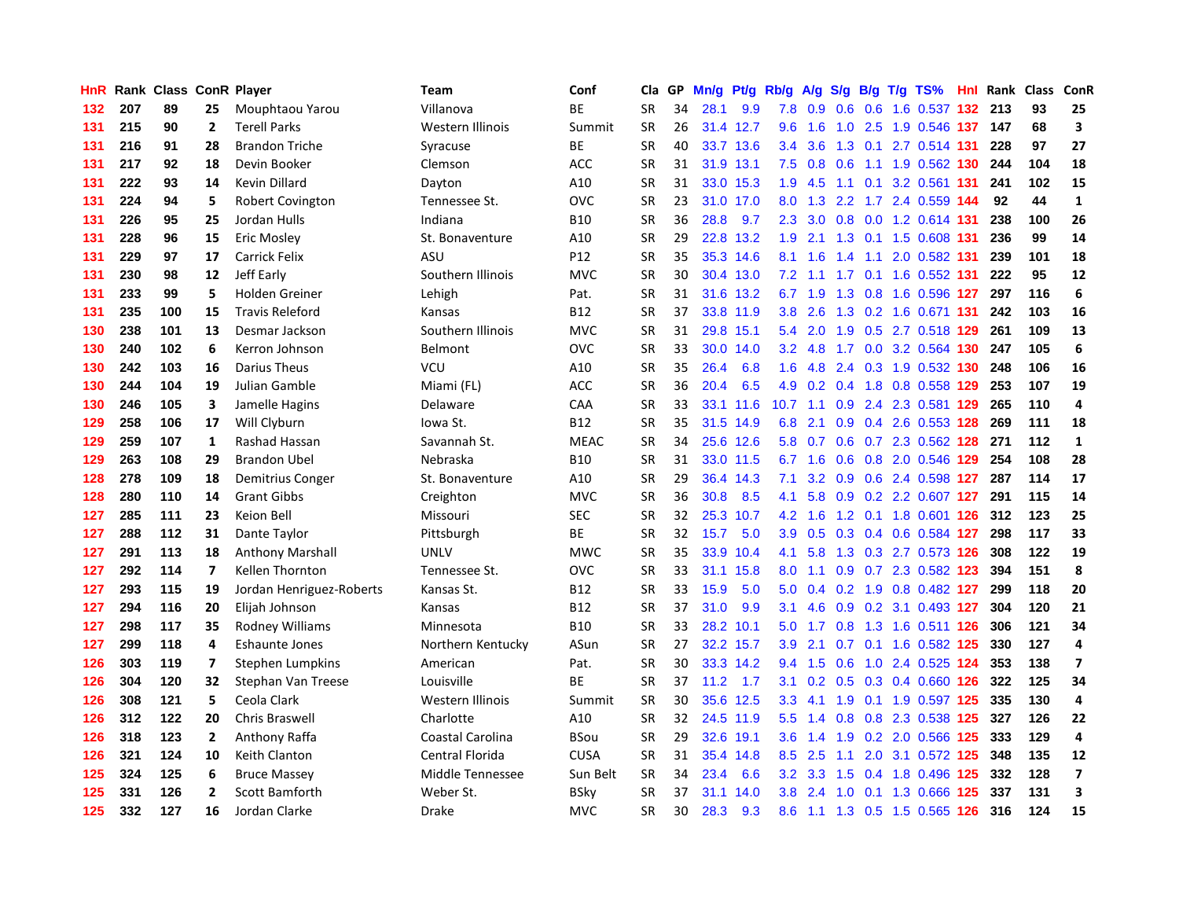| HnR |     | Rank Class ConR Player |                |                          | Team              | Conf        | Cla       | <b>GP</b> | Mn/g | <b>Pt/g</b> | Rb/g             | A/g            |                  |     | S/g B/g T/g TS%           | Hnl | Rank | Class | <b>ConR</b>             |
|-----|-----|------------------------|----------------|--------------------------|-------------------|-------------|-----------|-----------|------|-------------|------------------|----------------|------------------|-----|---------------------------|-----|------|-------|-------------------------|
| 132 | 207 | 89                     | 25             | Mouphtaou Yarou          | Villanova         | <b>BE</b>   | <b>SR</b> | 34        | 28.1 | 9.9         | 7.8              | 0.9            | 0.6              | 0.6 | 1.6 0.537 132 213         |     |      | 93    | 25                      |
| 131 | 215 | 90                     | $\overline{2}$ | <b>Terell Parks</b>      | Western Illinois  | Summit      | <b>SR</b> | 26        |      | 31.4 12.7   | 9.6              | 1.6            |                  |     | 1.0 2.5 1.9 0.546 137     |     | 147  | 68    | 3                       |
| 131 | 216 | 91                     | 28             | <b>Brandon Triche</b>    | Syracuse          | BE          | <b>SR</b> | 40        |      | 33.7 13.6   | $3.4^{\circ}$    | 3.6            |                  |     | 1.3 0.1 2.7 0.514 131     |     | 228  | 97    | 27                      |
| 131 | 217 | 92                     | 18             | Devin Booker             | Clemson           | <b>ACC</b>  | <b>SR</b> | 31        |      | 31.9 13.1   | 7.5              | 0.8            | 0.6              |     | 1.1 1.9 0.562 130         |     | 244  | 104   | 18                      |
| 131 | 222 | 93                     | 14             | Kevin Dillard            | Dayton            | A10         | <b>SR</b> | 31        |      | 33.0 15.3   | 1.9              | 4.5            |                  |     | 1.1 0.1 3.2 0.561 131     |     | 241  | 102   | 15                      |
| 131 | 224 | 94                     | 5              | <b>Robert Covington</b>  | Tennessee St.     | OVC         | <b>SR</b> | 23        | 31.0 | 17.0        | 8.0              | 1.3            |                  |     | 2.2 1.7 2.4 0.559 144     |     | 92   | 44    | $\mathbf{1}$            |
| 131 | 226 | 95                     | 25             | Jordan Hulls             | Indiana           | <b>B10</b>  | <b>SR</b> | 36        | 28.8 | 9.7         | 2.3              | 3.0            | 0.8              |     | 0.0 1.2 0.614 131         |     | 238  | 100   | 26                      |
| 131 | 228 | 96                     | 15             | <b>Eric Mosley</b>       | St. Bonaventure   | A10         | <b>SR</b> | 29        | 22.8 | 13.2        | 1.9              | 2.1            | 1.3              |     | 0.1 1.5 0.608 131         |     | 236  | 99    | 14                      |
| 131 | 229 | 97                     | 17             | <b>Carrick Felix</b>     | ASU               | P12         | <b>SR</b> | 35        |      | 35.3 14.6   | 8.1              | 1.6            | $1.4^{\circ}$    | 1.1 | 2.0 0.582 131             |     | 239  | 101   | 18                      |
| 131 | 230 | 98                     | 12             | Jeff Early               | Southern Illinois | <b>MVC</b>  | <b>SR</b> | 30        |      | 30.4 13.0   | 7.2              | $-1.1$         |                  |     | 1.7 0.1 1.6 0.552 131     |     | 222  | 95    | 12                      |
| 131 | 233 | 99                     | 5              | Holden Greiner           | Lehigh            | Pat.        | <b>SR</b> | 31        |      | 31.6 13.2   |                  | 6.7 1.9        |                  |     | 1.3 0.8 1.6 0.596 127     |     | 297  | 116   | 6                       |
| 131 | 235 | 100                    | 15             | <b>Travis Releford</b>   | Kansas            | <b>B12</b>  | <b>SR</b> | 37        |      | 33.8 11.9   | 3.8 <sub>2</sub> | 2.6            |                  |     | 1.3 0.2 1.6 0.671 131     |     | 242  | 103   | 16                      |
| 130 | 238 | 101                    | 13             | Desmar Jackson           | Southern Illinois | <b>MVC</b>  | <b>SR</b> | 31        | 29.8 | 15.1        | 5.4              | 2.0            | 1.9              |     | 0.5 2.7 0.518 129         |     | 261  | 109   | 13                      |
| 130 | 240 | 102                    | 6              | Kerron Johnson           | Belmont           | OVC         | <b>SR</b> | 33        | 30.0 | 14.0        | 3.2 <sub>2</sub> | 4.8            |                  |     | 1.7 0.0 3.2 0.564 130     |     | 247  | 105   | $6\phantom{a}$          |
| 130 | 242 | 103                    | 16             | <b>Darius Theus</b>      | VCU               | A10         | <b>SR</b> | 35        | 26.4 | 6.8         | 1.6              | 4.8            |                  |     | 2.4 0.3 1.9 0.532 130     |     | 248  | 106   | 16                      |
| 130 | 244 | 104                    | 19             | Julian Gamble            | Miami (FL)        | <b>ACC</b>  | <b>SR</b> | 36        | 20.4 | 6.5         | 4.9              | 0.2            | 0.4              | 1.8 | 0.8 0.558 129             |     | 253  | 107   | 19                      |
| 130 | 246 | 105                    | 3              | Jamelle Hagins           | Delaware          | CAA         | <b>SR</b> | 33        |      | 33.1 11.6   | 10.7             | $-1.1$         | 0.9              |     | 2.4 2.3 0.581 129         |     | 265  | 110   | $\overline{a}$          |
| 129 | 258 | 106                    | 17             | Will Clyburn             | lowa St.          | <b>B12</b>  | <b>SR</b> | 35        |      | 31.5 14.9   | 6.8              | 2.1            | 0.9              |     | $0.4$ 2.6 0.553 128       |     | 269  | 111   | 18                      |
| 129 | 259 | 107                    | 1              | Rashad Hassan            | Savannah St.      | <b>MEAC</b> | <b>SR</b> | 34        |      | 25.6 12.6   |                  | $5.8\quad 0.7$ |                  |     | 0.6 0.7 2.3 0.562 128 271 |     |      | 112   | $\mathbf{1}$            |
| 129 | 263 | 108                    | 29             | <b>Brandon Ubel</b>      | Nebraska          | <b>B10</b>  | <b>SR</b> | 31        |      | 33.0 11.5   |                  | 6.7 1.6        |                  |     | 0.6 0.8 2.0 0.546 129     |     | 254  | 108   | 28                      |
| 128 | 278 | 109                    | 18             | Demitrius Conger         | St. Bonaventure   | A10         | <b>SR</b> | 29        |      | 36.4 14.3   | 7.1              | 3.2            |                  |     | 0.9 0.6 2.4 0.598 127     |     | 287  | 114   | 17                      |
| 128 | 280 | 110                    | 14             | <b>Grant Gibbs</b>       | Creighton         | <b>MVC</b>  | <b>SR</b> | 36        | 30.8 | 8.5         | 4.1              | 5.8            | 0.9 <sub>0</sub> |     | 0.2 2.2 0.607 127         |     | 291  | 115   | 14                      |
| 127 | 285 | 111                    | 23             | Keion Bell               | Missouri          | <b>SEC</b>  | <b>SR</b> | 32        | 25.3 | 10.7        | 4.2              | 1.6            |                  |     | 1.2 0.1 1.8 0.601 126     |     | 312  | 123   | 25                      |
| 127 | 288 | 112                    | 31             | Dante Taylor             | Pittsburgh        | <b>BE</b>   | <b>SR</b> | 32        | 15.7 | 5.0         | 3.9 <sup>°</sup> | 0.5            | 0.3              |     | 0.4 0.6 0.584 127         |     | 298  | 117   | 33                      |
| 127 | 291 | 113                    | 18             | <b>Anthony Marshall</b>  | <b>UNLV</b>       | <b>MWC</b>  | <b>SR</b> | 35        | 33.9 | 10.4        | 4.1              | 5.8            | 1.3              |     | 0.3 2.7 0.573 126         |     | 308  | 122   | 19                      |
| 127 | 292 | 114                    | $\overline{7}$ | <b>Kellen Thornton</b>   | Tennessee St.     | OVC         | <b>SR</b> | 33        | 31.1 | 15.8        | 8.0              | 1.1            | 0.9 <sub>0</sub> |     | 0.7 2.3 0.582 123         |     | 394  | 151   | 8                       |
| 127 | 293 | 115                    | 19             | Jordan Henriguez-Roberts | Kansas St.        | <b>B12</b>  | <b>SR</b> | 33        | 15.9 | 5.0         | 5.0              |                |                  |     | 0.4 0.2 1.9 0.8 0.482 127 |     | 299  | 118   | 20                      |
| 127 | 294 | 116                    | 20             | Elijah Johnson           | Kansas            | <b>B12</b>  | <b>SR</b> | 37        | 31.0 | 9.9         | 3.1              | 4.6            |                  |     | 0.9 0.2 3.1 0.493 127     |     | 304  | 120   | 21                      |
| 127 | 298 | 117                    | 35             | Rodney Williams          | Minnesota         | <b>B10</b>  | <b>SR</b> | 33        | 28.2 | 10.1        | 5.0              | 1.7            |                  |     | 0.8 1.3 1.6 0.511 126     |     | 306  | 121   | 34                      |
| 127 | 299 | 118                    | 4              | <b>Eshaunte Jones</b>    | Northern Kentucky | ASun        | <b>SR</b> | 27        | 32.2 | 15.7        | 3.9              | 2.1            |                  |     | 0.7 0.1 1.6 0.582 125     |     | 330  | 127   | $\overline{a}$          |
| 126 | 303 | 119                    | $\overline{7}$ | Stephen Lumpkins         | American          | Pat.        | <b>SR</b> | 30        | 33.3 | 14.2        | 9.4              | 1.5            | 0.6              |     | 1.0 2.4 0.525 124         |     | 353  | 138   | $\overline{\mathbf{z}}$ |
| 126 | 304 | 120                    | 32             | Stephan Van Treese       | Louisville        | <b>BE</b>   | <b>SR</b> | 37        | 11.2 | 1.7         | 3.1              | 0.2            | 0.5              |     | 0.3 0.4 0.660 126         |     | 322  | 125   | 34                      |
| 126 | 308 | 121                    | 5              | Ceola Clark              | Western Illinois  | Summit      | <b>SR</b> | 30        | 35.6 | 12.5        | 3.3 <sub>2</sub> | 4.1            | 1.9              |     | 0.1 1.9 0.597 125         |     | 335  | 130   | $\overline{a}$          |
| 126 | 312 | 122                    | 20             | Chris Braswell           | Charlotte         | A10         | SR        | 32        |      | 24.5 11.9   | 5.5              | 1.4            | 0.8              |     | 0.8 2.3 0.538 125         |     | 327  | 126   | 22                      |
| 126 | 318 | 123                    | $\overline{2}$ | Anthony Raffa            | Coastal Carolina  | <b>BSou</b> | <b>SR</b> | 29        |      | 32.6 19.1   | 3.6 <sup>°</sup> | 1.4            | 1.9              |     | 0.2 2.0 0.566 125         |     | 333  | 129   | $\pmb{4}$               |
| 126 | 321 | 124                    | 10             | Keith Clanton            | Central Florida   | <b>CUSA</b> | <b>SR</b> | 31        | 35.4 | 14.8        | 8.5              | 2.5            | $1.1 -$          |     | 2.0 3.1 0.572 125         |     | 348  | 135   | 12                      |
| 125 | 324 | 125                    | 6              | <b>Bruce Massey</b>      | Middle Tennessee  | Sun Belt    | <b>SR</b> | 34        | 23.4 | 6.6         | 3.2              | 3.3            | 1.5              |     | 0.4 1.8 0.496 125         |     | 332  | 128   | $\overline{\mathbf{z}}$ |
| 125 | 331 | 126                    | $\overline{2}$ | Scott Bamforth           | Weber St.         | <b>BSky</b> | <b>SR</b> | 37        | 31.1 | 14.0        | 3.8              | 2.4            | 1.0              |     | 0.1 1.3 0.666 125         |     | 337  | 131   | $\overline{\mathbf{3}}$ |
| 125 | 332 | 127                    | 16             | Jordan Clarke            | Drake             | <b>MVC</b>  | <b>SR</b> | 30        | 28.3 | 9.3         | 8.6              |                |                  |     | 1.1 1.3 0.5 1.5 0.565 126 |     | 316  | 124   | 15                      |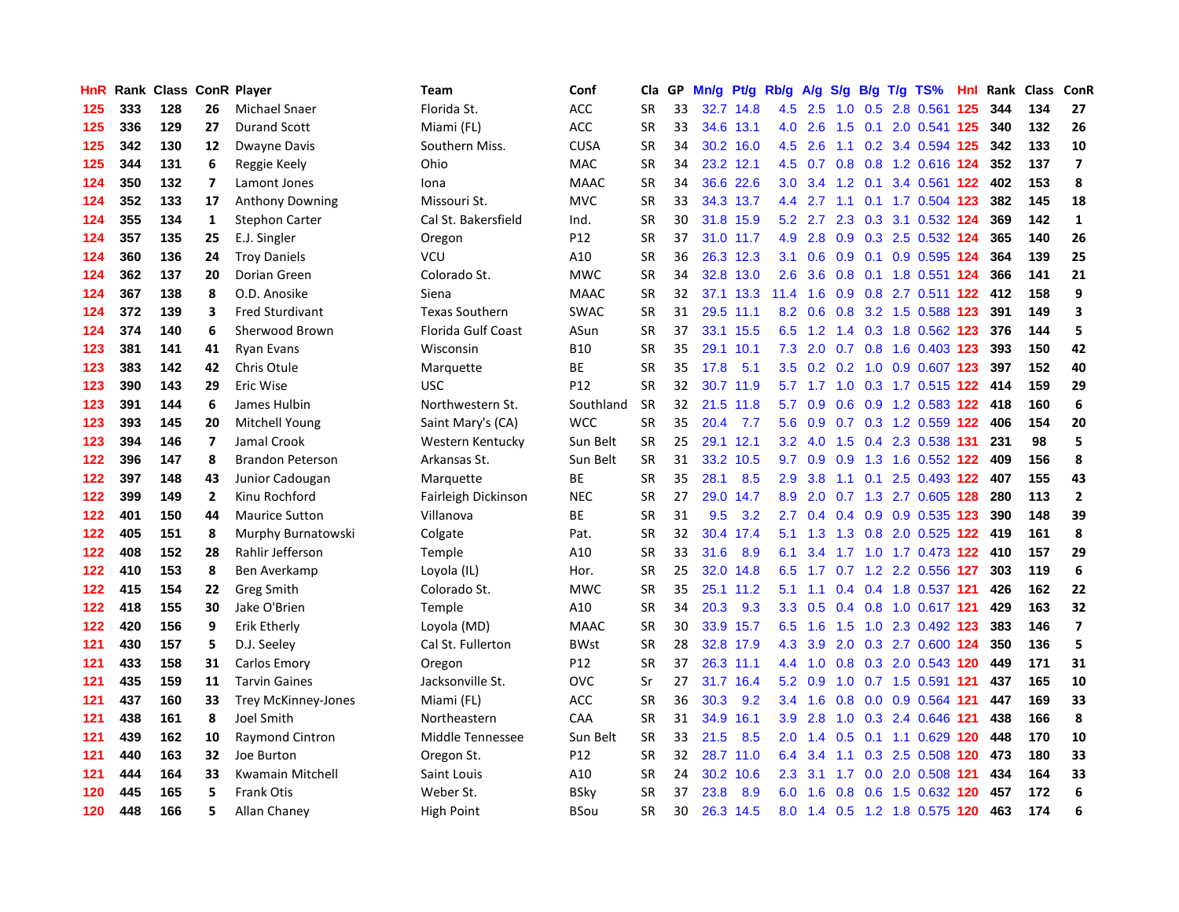| HnR | Rank |     |                         | <b>Class ConR Player</b>   | <b>Team</b>           | Conf        | Cla       | GP | Mn/g |           | Pt/g Rb/g        | A/g           |     |  | S/g B/g T/g TS%               | Hnl | Rank | <b>Class</b> | ConR             |
|-----|------|-----|-------------------------|----------------------------|-----------------------|-------------|-----------|----|------|-----------|------------------|---------------|-----|--|-------------------------------|-----|------|--------------|------------------|
| 125 | 333  | 128 | 26                      | Michael Snaer              | Florida St.           | ACC         | <b>SR</b> | 33 |      | 32.7 14.8 | 4.5              | 2.5           | 1.0 |  | 0.5 2.8 0.561                 | 125 | 344  | 134          | 27               |
| 125 | 336  | 129 | 27                      | <b>Durand Scott</b>        | Miami (FL)            | ACC         | <b>SR</b> | 33 |      | 34.6 13.1 | 4.0              | 2.6           |     |  | 1.5 0.1 2.0 0.541 125         |     | 340  | 132          | 26               |
| 125 | 342  | 130 | 12                      | Dwayne Davis               | Southern Miss.        | <b>CUSA</b> | <b>SR</b> | 34 |      | 30.2 16.0 | 4.5              | 2.6           |     |  | 1.1 0.2 3.4 0.594 125         |     | 342  | 133          | 10               |
| 125 | 344  | 131 | 6                       | Reggie Keely               | Ohio                  | MAC         | SR        | 34 |      | 23.2 12.1 |                  |               |     |  | 4.5 0.7 0.8 0.8 1.2 0.616 124 |     | 352  | 137          | $\overline{7}$   |
| 124 | 350  | 132 | $\overline{\mathbf{z}}$ | Lamont Jones               | Iona                  | <b>MAAC</b> | <b>SR</b> | 34 |      | 36.6 22.6 | 3.0              | 3.4           | 1.2 |  | 0.1 3.4 0.561 122             |     | 402  | 153          | 8                |
| 124 | 352  | 133 | 17                      | <b>Anthony Downing</b>     | Missouri St.          | MVC         | <b>SR</b> | 33 |      | 34.3 13.7 | 4.4              | 2.7           |     |  | 1.1 0.1 1.7 0.504 123         |     | 382  | 145          | 18               |
| 124 | 355  | 134 | $\mathbf{1}$            | <b>Stephon Carter</b>      | Cal St. Bakersfield   | Ind.        | <b>SR</b> | 30 | 31.8 | 15.9      | 5.2              | 2.7           | 2.3 |  | 0.3 3.1 0.532 124             |     | 369  | 142          | $\mathbf{1}$     |
| 124 | 357  | 135 | 25                      | E.J. Singler               | Oregon                | P12         | <b>SR</b> | 37 | 31.0 | 11.7      | 4.9              | 2.8           | 0.9 |  | 0.3 2.5 0.532 124             |     | 365  | 140          | 26               |
| 124 | 360  | 136 | 24                      | <b>Troy Daniels</b>        | VCU                   | A10         | <b>SR</b> | 36 |      | 26.3 12.3 | 3.1              | 0.6           | 0.9 |  | 0.1 0.9 0.595 124             |     | 364  | 139          | 25               |
| 124 | 362  | 137 | 20                      | Dorian Green               | Colorado St.          | <b>MWC</b>  | <b>SR</b> | 34 |      | 32.8 13.0 | 2.6              | 3.6           |     |  | 0.8 0.1 1.8 0.551 124         |     | 366  | 141          | 21               |
| 124 | 367  | 138 | 8                       | O.D. Anosike               | Siena                 | <b>MAAC</b> | <b>SR</b> | 32 |      | 37.1 13.3 | 11.4             |               |     |  | 1.6 0.9 0.8 2.7 0.511 122 412 |     |      | 158          | 9                |
| 124 | 372  | 139 | 3                       | <b>Fred Sturdivant</b>     | <b>Texas Southern</b> | SWAC        | <b>SR</b> | 31 |      | 29.5 11.1 | 8.2              | 0.6           |     |  | 0.8 3.2 1.5 0.588 123         |     | 391  | 149          | 3                |
| 124 | 374  | 140 | 6                       | Sherwood Brown             | Florida Gulf Coast    | ASun        | <b>SR</b> | 37 |      | 33.1 15.5 | 6.5              | 1.2           |     |  | 1.4 0.3 1.8 0.562 123         |     | 376  | 144          | 5                |
| 123 | 381  | 141 | 41                      | <b>Ryan Evans</b>          | Wisconsin             | <b>B10</b>  | <b>SR</b> | 35 | 29.1 | 10.1      | 7.3              | 2.0           |     |  | 0.7 0.8 1.6 0.403 123         |     | 393  | 150          | 42               |
| 123 | 383  | 142 | 42                      | Chris Otule                | Marquette             | ВE          | <b>SR</b> | 35 | 17.8 | 5.1       | 3.5              | 0.2           |     |  | 0.2 1.0 0.9 0.607 123         |     | 397  | 152          | 40               |
| 123 | 390  | 143 | 29                      | Eric Wise                  | <b>USC</b>            | P12         | <b>SR</b> | 32 |      | 30.7 11.9 |                  | $5.7$ 1.7 1.0 |     |  | 0.3 1.7 0.515 122             |     | 414  | 159          | 29               |
| 123 | 391  | 144 | 6                       | James Hulbin               | Northwestern St.      | Southland   | SR        | 32 |      | 21.5 11.8 | 5.7              | 0.9           | 0.6 |  | 0.9 1.2 0.583 122 418         |     |      | 160          | $\boldsymbol{6}$ |
| 123 | 393  | 145 | 20                      | Mitchell Young             | Saint Mary's (CA)     | <b>WCC</b>  | <b>SR</b> | 35 | 20.4 | 7.7       | 5.6              | 0.9           |     |  | $0.7$ $0.3$ 1.2 $0.559$ 122   |     | 406  | 154          | 20               |
| 123 | 394  | 146 | $\overline{\mathbf{z}}$ | Jamal Crook                | Western Kentucky      | Sun Belt    | <b>SR</b> | 25 |      | 29.1 12.1 |                  |               |     |  | 3.2 4.0 1.5 0.4 2.3 0.538 131 |     | 231  | 98           | 5                |
| 122 | 396  | 147 | 8                       | <b>Brandon Peterson</b>    | Arkansas St.          | Sun Belt    | <b>SR</b> | 31 |      | 33.2 10.5 | 9.7              | 0.9           |     |  | 0.9 1.3 1.6 0.552 122         |     | 409  | 156          | 8                |
| 122 | 397  | 148 | 43                      | Junior Cadougan            | Marquette             | ВE          | <b>SR</b> | 35 | 28.1 | 8.5       | 2.9              | 3.8           |     |  | 1.1 0.1 2.5 0.493 122         |     | 407  | 155          | 43               |
| 122 | 399  | 149 | $\overline{2}$          | Kinu Rochford              | Fairleigh Dickinson   | <b>NEC</b>  | <b>SR</b> | 27 |      | 29.0 14.7 | 8.9              | 2.0           |     |  | 0.7 1.3 2.7 0.605 128         |     | 280  | 113          | $\overline{2}$   |
| 122 | 401  | 150 | 44                      | <b>Maurice Sutton</b>      | Villanova             | ВE          | <b>SR</b> | 31 | 9.5  | 3.2       | 2.7              | 0.4           |     |  | 0.4 0.9 0.9 0.535 123         |     | 390  | 148          | 39               |
| 122 | 405  | 151 | 8                       | Murphy Burnatowski         | Colgate               | Pat.        | <b>SR</b> | 32 |      | 30.4 17.4 | 5.1              | 1.3           | 1.3 |  | 0.8 2.0 0.525 122             |     | 419  | 161          | 8                |
| 122 | 408  | 152 | 28                      | Rahlir Jefferson           | Temple                | A10         | <b>SR</b> | 33 | 31.6 | 8.9       | 6.1              | 3.4           |     |  | 1.7 1.0 1.7 0.473 122         |     | 410  | 157          | 29               |
| 122 | 410  | 153 | 8                       | Ben Averkamp               | Loyola (IL)           | Hor.        | <b>SR</b> | 25 |      | 32.0 14.8 | 6.5              | 1.7           |     |  | 0.7 1.2 2.2 0.556 127         |     | 303  | 119          | 6                |
| 122 | 415  | 154 | 22                      | Greg Smith                 | Colorado St.          | <b>MWC</b>  | <b>SR</b> | 35 |      | 25.1 11.2 | 5.1              |               |     |  | 1.1 0.4 0.4 1.8 0.537 121     |     | 426  | 162          | 22               |
| 122 | 418  | 155 | 30                      | Jake O'Brien               | Temple                | A10         | <b>SR</b> | 34 | 20.3 | 9.3       | 3.3 <sub>2</sub> | 0.5           |     |  | 0.4 0.8 1.0 0.617 121         |     | 429  | 163          | 32               |
| 122 | 420  | 156 | 9                       | Erik Etherly               | Loyola (MD)           | <b>MAAC</b> | <b>SR</b> | 30 |      | 33.9 15.7 | 6.5              | 1.6           |     |  | 1.5 1.0 2.3 0.492 123         |     | 383  | 146          | $\overline{7}$   |
| 121 | 430  | 157 | 5                       | D.J. Seeley                | Cal St. Fullerton     | <b>BWst</b> | <b>SR</b> | 28 | 32.8 | 17.9      | 4.3              | 3.9           | 2.0 |  | 0.3 2.7 0.600 124             |     | 350  | 136          | 5                |
| 121 | 433  | 158 | 31                      | Carlos Emory               | Oregon                | P12         | <b>SR</b> | 37 |      | 26.3 11.1 | 4.4              | 1.0           |     |  | 0.8 0.3 2.0 0.543 120         |     | 449  | 171          | 31               |
| 121 | 435  | 159 | 11                      | <b>Tarvin Gaines</b>       | Jacksonville St.      | OVC         | Sr        | 27 | 31.7 | 16.4      | 5.2              | 0.9           | 1.0 |  | 0.7 1.5 0.591 121             |     | 437  | 165          | 10               |
| 121 | 437  | 160 | 33                      | <b>Trey McKinney-Jones</b> | Miami (FL)            | ACC         | <b>SR</b> | 36 | 30.3 | 9.2       |                  | $3.4$ 1.6     | 0.8 |  | 0.0 0.9 0.564 121             |     | 447  | 169          | 33               |
| 121 | 438  | 161 | 8                       | Joel Smith                 | Northeastern          | CAA         | <b>SR</b> | 31 | 34.9 | 16.1      | 3.9              | 2.8           | 1.0 |  | 0.3 2.4 0.646 121             |     | 438  | 166          | 8                |
| 121 | 439  | 162 | 10                      | <b>Raymond Cintron</b>     | Middle Tennessee      | Sun Belt    | <b>SR</b> | 33 | 21.5 | 8.5       | 2.0              | 1.4           |     |  | 0.5 0.1 1.1 0.629 120         |     | 448  | 170          | 10               |
| 121 | 440  | 163 | 32                      | Joe Burton                 | Oregon St.            | P12         | <b>SR</b> | 32 |      | 28.7 11.0 | 6.4              | 3.4           |     |  | 1.1 0.3 2.5 0.508 120 473     |     |      | 180          | 33               |
| 121 | 444  | 164 | 33                      | Kwamain Mitchell           | Saint Louis           | A10         | <b>SR</b> | 24 | 30.2 | 10.6      | 2.3              | 3.1           |     |  | 1.7 0.0 2.0 0.508 121         |     | 434  | 164          | 33               |
| 120 | 445  | 165 | 5                       | <b>Frank Otis</b>          | Weber St.             | <b>BSky</b> | <b>SR</b> | 37 | 23.8 | 8.9       | 6.0              | 1.6           | 0.8 |  | 0.6 1.5 0.632 120             |     | 457  | 172          | 6                |
| 120 | 448  | 166 | 5                       | Allan Chaney               | High Point            | <b>BSou</b> | <b>SR</b> | 30 |      | 26.3 14.5 | 8.0              |               |     |  | 1.4 0.5 1.2 1.8 0.575 120     |     | 463  | 174          | 6                |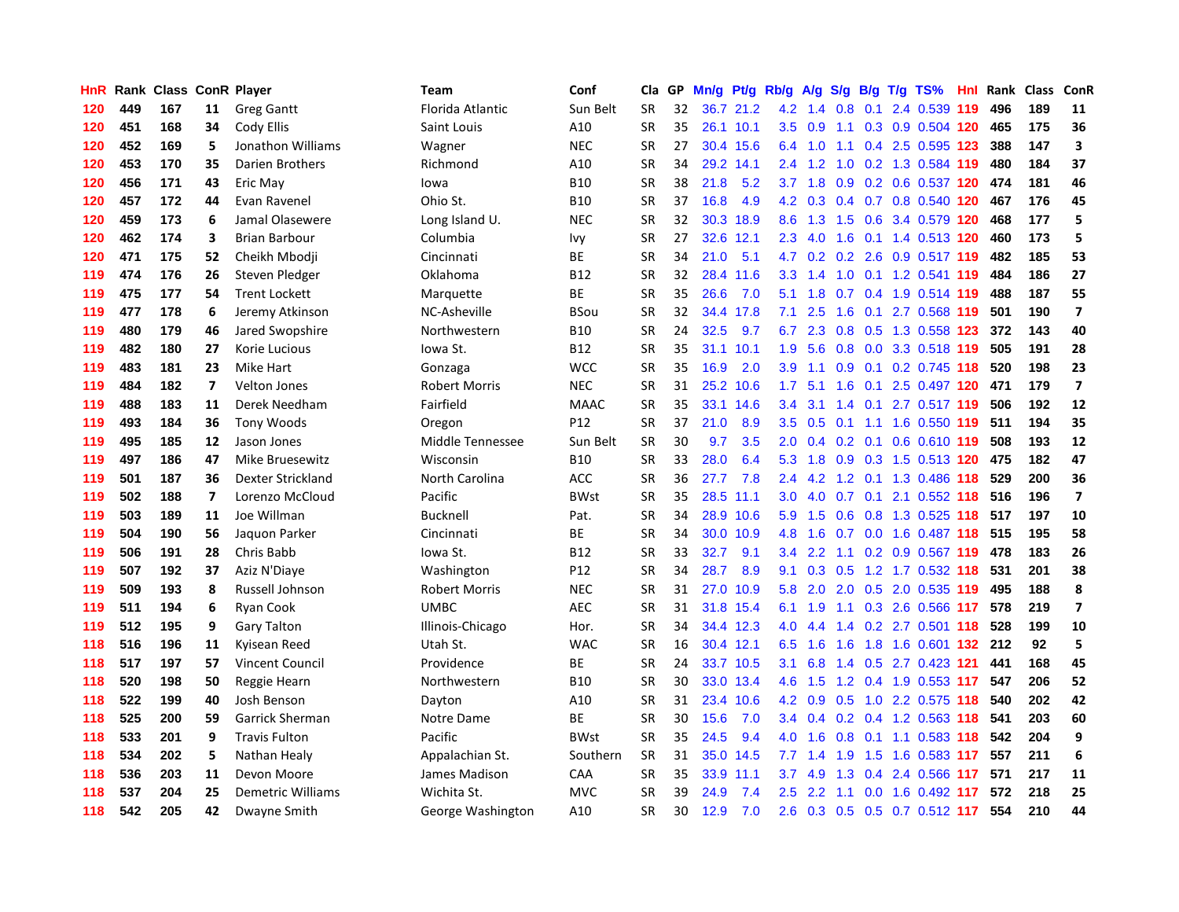| HnR | Rank |     |                         | <b>Class ConR Player</b> | <b>Team</b>          | Conf        | Cla       | GP. | Mn/g | Pt/g Rb/g |                  | A/g       |                  |     | S/g B/g T/g TS%           | Hnl | Rank | <b>Class</b> | ConR                    |
|-----|------|-----|-------------------------|--------------------------|----------------------|-------------|-----------|-----|------|-----------|------------------|-----------|------------------|-----|---------------------------|-----|------|--------------|-------------------------|
| 120 | 449  | 167 | 11                      | <b>Greg Gantt</b>        | Florida Atlantic     | Sun Belt    | <b>SR</b> | 32  |      | 36.7 21.2 | 4.2              | 1.4       | 0.8              | 0.1 | 2.4 0.539 119             |     | 496  | 189          | 11                      |
| 120 | 451  | 168 | 34                      | Cody Ellis               | Saint Louis          | A10         | <b>SR</b> | 35  |      | 26.1 10.1 | 3.5              | 0.9       |                  |     | 1.1 0.3 0.9 0.504 120     |     | 465  | 175          | 36                      |
| 120 | 452  | 169 | 5                       | Jonathon Williams        | Wagner               | <b>NEC</b>  | <b>SR</b> | 27  |      | 30.4 15.6 | 6.4              |           |                  |     | 1.0 1.1 0.4 2.5 0.595 123 |     | 388  | 147          | 3                       |
| 120 | 453  | 170 | 35                      | Darien Brothers          | Richmond             | A10         | <b>SR</b> | 34  | 29.2 | 14.1      | $2.4^{\circ}$    | 1.2       | 1.0              |     | 0.2 1.3 0.584 119         |     | 480  | 184          | 37                      |
| 120 | 456  | 171 | 43                      | Eric May                 | lowa                 | <b>B10</b>  | <b>SR</b> | 38  | 21.8 | 5.2       |                  | $3.7$ 1.8 | 0.9              |     | 0.2 0.6 0.537 120         |     | 474  | 181          | 46                      |
| 120 | 457  | 172 | 44                      | Evan Ravenel             | Ohio St.             | <b>B10</b>  | <b>SR</b> | 37  | 16.8 | 4.9       | 4.2              | 0.3       |                  |     | $0.4$ 0.7 0.8 0.540 120   |     | 467  | 176          | 45                      |
| 120 | 459  | 173 | 6                       | Jamal Olasewere          | Long Island U.       | <b>NEC</b>  | <b>SR</b> | 32  | 30.3 | 18.9      | 8.6              | 1.3       | 1.5              |     | 0.6 3.4 0.579 120         |     | 468  | 177          | 5                       |
| 120 | 462  | 174 | 3                       | <b>Brian Barbour</b>     | Columbia             | lvy         | <b>SR</b> | 27  | 32.6 | 12.1      | 2.3              | 4.0       | 1.6              |     | 0.1 1.4 0.513 120         |     | 460  | 173          | 5                       |
| 120 | 471  | 175 | 52                      | Cheikh Mbodji            | Cincinnati           | <b>BE</b>   | <b>SR</b> | 34  | 21.0 | 5.1       | 4.7              | 0.2       | 0.2              |     | 2.6 0.9 0.517 119         |     | 482  | 185          | 53                      |
| 119 | 474  | 176 | 26                      | Steven Pledger           | Oklahoma             | <b>B12</b>  | <b>SR</b> | 32  | 28.4 | 11.6      | 3.3 <sub>2</sub> | 1.4       |                  |     | 1.0 0.1 1.2 0.541 119     |     | 484  | 186          | 27                      |
| 119 | 475  | 177 | 54                      | <b>Trent Lockett</b>     | Marquette            | <b>BE</b>   | <b>SR</b> | 35  | 26.6 | 7.0       | 5.1              | 1.8       |                  |     | 0.7 0.4 1.9 0.514 119     |     | 488  | 187          | 55                      |
| 119 | 477  | 178 | 6                       | Jeremy Atkinson          | NC-Asheville         | <b>BSou</b> | <b>SR</b> | 32  |      | 34.4 17.8 | 7.1              | 2.5       |                  |     | 1.6 0.1 2.7 0.568 119     |     | 501  | 190          | $\overline{\mathbf{z}}$ |
| 119 | 480  | 179 | 46                      | Jared Swopshire          | Northwestern         | <b>B10</b>  | <b>SR</b> | 24  | 32.5 | 9.7       | 6.7              | 2.3       | 0.8              |     | 0.5 1.3 0.558 123         |     | 372  | 143          | 40                      |
| 119 | 482  | 180 | 27                      | Korie Lucious            | Iowa St.             | <b>B12</b>  | <b>SR</b> | 35  | 31.1 | 10.1      | 1.9              | 5.6       | 0.8              |     | 0.0 3.3 0.518 119         |     | 505  | 191          | 28                      |
| 119 | 483  | 181 | 23                      | Mike Hart                | Gonzaga              | <b>WCC</b>  | <b>SR</b> | 35  | 16.9 | 2.0       | 3.9              | 1.1       | 0.9 <sub>0</sub> |     | 0.1 0.2 0.745 118         |     | 520  | 198          | 23                      |
| 119 | 484  | 182 | $\overline{7}$          | <b>Velton Jones</b>      | <b>Robert Morris</b> | <b>NEC</b>  | <b>SR</b> | 31  | 25.2 | 10.6      | 1.7 <sub>2</sub> | 5.1       | 1.6              |     | 0.1 2.5 0.497 120         |     | 471  | 179          | $\overline{\mathbf{z}}$ |
| 119 | 488  | 183 | 11                      | Derek Needham            | Fairfield            | <b>MAAC</b> | <b>SR</b> | 35  | 33.1 | 14.6      | 3.4              | 3.1       | $1.4^{\circ}$    | 0.1 | 2.7 0.517 119             |     | 506  | 192          | 12                      |
| 119 | 493  | 184 | 36                      | <b>Tony Woods</b>        | Oregon               | P12         | <b>SR</b> | 37  | 21.0 | 8.9       | 3.5              | 0.5       | 0.1              |     | 1.1 1.6 0.550 119 511     |     |      | 194          | 35                      |
| 119 | 495  | 185 | 12                      | Jason Jones              | Middle Tennessee     | Sun Belt    | <b>SR</b> | 30  | 9.7  | 3.5       | 2.0              | 0.4       |                  |     | 0.2 0.1 0.6 0.610 119     |     | 508  | 193          | 12                      |
| 119 | 497  | 186 | 47                      | <b>Mike Bruesewitz</b>   | Wisconsin            | <b>B10</b>  | <b>SR</b> | 33  | 28.0 | 6.4       | 5.3              | 1.8       |                  |     | 0.9 0.3 1.5 0.513 120 475 |     |      | 182          | 47                      |
| 119 | 501  | 187 | 36                      | Dexter Strickland        | North Carolina       | ACC         | SR        | 36  | 27.7 | 7.8       | 2.4              |           |                  |     | 4.2 1.2 0.1 1.3 0.486 118 |     | 529  | 200          | 36                      |
| 119 | 502  | 188 | $\overline{\mathbf{z}}$ | Lorenzo McCloud          | Pacific              | <b>BWst</b> | <b>SR</b> | 35  | 28.5 | 11.1      | 3.0              | 4.0       |                  |     | 0.7 0.1 2.1 0.552 118     |     | 516  | 196          | $\overline{\mathbf{z}}$ |
| 119 | 503  | 189 | 11                      | Joe Willman              | <b>Bucknell</b>      | Pat.        | <b>SR</b> | 34  | 28.9 | 10.6      | 5.9              | 1.5       | 0.6              |     | 0.8 1.3 0.525 118         |     | 517  | 197          | 10                      |
| 119 | 504  | 190 | 56                      | Jaquon Parker            | Cincinnati           | ВE          | <b>SR</b> | 34  | 30.0 | 10.9      | 4.8              | 1.6       |                  |     | 0.7 0.0 1.6 0.487 118     |     | 515  | 195          | 58                      |
| 119 | 506  | 191 | 28                      | Chris Babb               | Iowa St.             | <b>B12</b>  | <b>SR</b> | 33  | 32.7 | 9.1       | 3.4              | 2.2       |                  |     | 1.1 0.2 0.9 0.567 119     |     | 478  | 183          | 26                      |
| 119 | 507  | 192 | 37                      | Aziz N'Diaye             | Washington           | P12         | <b>SR</b> | 34  | 28.7 | 8.9       | 9.1              | 0.3       | 0.5              |     | 1.2 1.7 0.532 118         |     | 531  | 201          | 38                      |
| 119 | 509  | 193 | 8                       | Russell Johnson          | <b>Robert Morris</b> | <b>NEC</b>  | <b>SR</b> | 31  | 27.0 | 10.9      | 5.8              | 2.0       |                  |     | 2.0 0.5 2.0 0.535 119     |     | 495  | 188          | $\pmb{8}$               |
| 119 | 511  | 194 | 6                       | Ryan Cook                | <b>UMBC</b>          | <b>AEC</b>  | <b>SR</b> | 31  |      | 31.8 15.4 | 6.1              |           |                  |     | 1.9 1.1 0.3 2.6 0.566 117 |     | 578  | 219          | $\overline{7}$          |
| 119 | 512  | 195 | 9                       | <b>Gary Talton</b>       | Illinois-Chicago     | Hor.        | <b>SR</b> | 34  |      | 34.4 12.3 | 4.0              | 4.4       |                  |     | 1.4 0.2 2.7 0.501 118     |     | 528  | 199          | 10                      |
| 118 | 516  | 196 | 11                      | Kvisean Reed             | Utah St.             | <b>WAC</b>  | <b>SR</b> | 16  |      | 30.4 12.1 | 6.5              | 1.6       | 1.6              |     | 1.8 1.6 0.601 132 212     |     |      | 92           | 5                       |
| 118 | 517  | 197 | 57                      | <b>Vincent Council</b>   | Providence           | <b>BE</b>   | <b>SR</b> | 24  | 33.7 | 10.5      | 3.1              | 6.8       | 1.4              |     | 0.5 2.7 0.423 121         |     | 441  | 168          | 45                      |
| 118 | 520  | 198 | 50                      | Reggie Hearn             | Northwestern         | <b>B10</b>  | <b>SR</b> | 30  | 33.0 | 13.4      | 4.6              | 1.5       |                  |     | 1.2 0.4 1.9 0.553 117     |     | 547  | 206          | 52                      |
| 118 | 522  | 199 | 40                      | Josh Benson              | Dayton               | A10         | <b>SR</b> | 31  | 23.4 | 10.6      | 4.2              | 0.9       | 0.5              |     | 1.0 2.2 0.575 118         |     | 540  | 202          | 42                      |
| 118 | 525  | 200 | 59                      | <b>Garrick Sherman</b>   | Notre Dame           | <b>BE</b>   | <b>SR</b> | 30  | 15.6 | 7.0       | $3.4^{\circ}$    | 0.4       |                  |     | 0.2 0.4 1.2 0.563 118     |     | 541  | 203          | 60                      |
| 118 | 533  | 201 | 9                       | <b>Travis Fulton</b>     | Pacific              | <b>BWst</b> | <b>SR</b> | 35  | 24.5 | 9.4       | 4.0              | 1.6       | 0.8              |     | $0.1$ 1.1 0.583 118       |     | 542  | 204          | 9                       |
| 118 | 534  | 202 | 5                       | Nathan Healy             | Appalachian St.      | Southern    | <b>SR</b> | 31  |      | 35.0 14.5 | 7.7              | 1.4       | 1.9              |     | 1.5 1.6 0.583 117         |     | 557  | 211          | $\boldsymbol{6}$        |
| 118 | 536  | 203 | 11                      | Devon Moore              | James Madison        | CAA         | <b>SR</b> | 35  |      | 33.9 11.1 | 3.7              | 4.9       | 1.3              |     | 0.4 2.4 0.566 117         |     | 571  | 217          | 11                      |
| 118 | 537  | 204 | 25                      | <b>Demetric Williams</b> | Wichita St.          | <b>MVC</b>  | SR        | 39  | 24.9 | 7.4       | $2.5^{\circ}$    |           |                  |     | 2.2 1.1 0.0 1.6 0.492 117 |     | 572  | 218          | 25                      |
| 118 | 542  | 205 | 42                      | Dwayne Smith             | George Washington    | A10         | <b>SR</b> | 30  | 12.9 | 7.0       | 2.6              | 0.3       |                  |     | 0.5 0.5 0.7 0.512 117     |     | 554  | 210          | 44                      |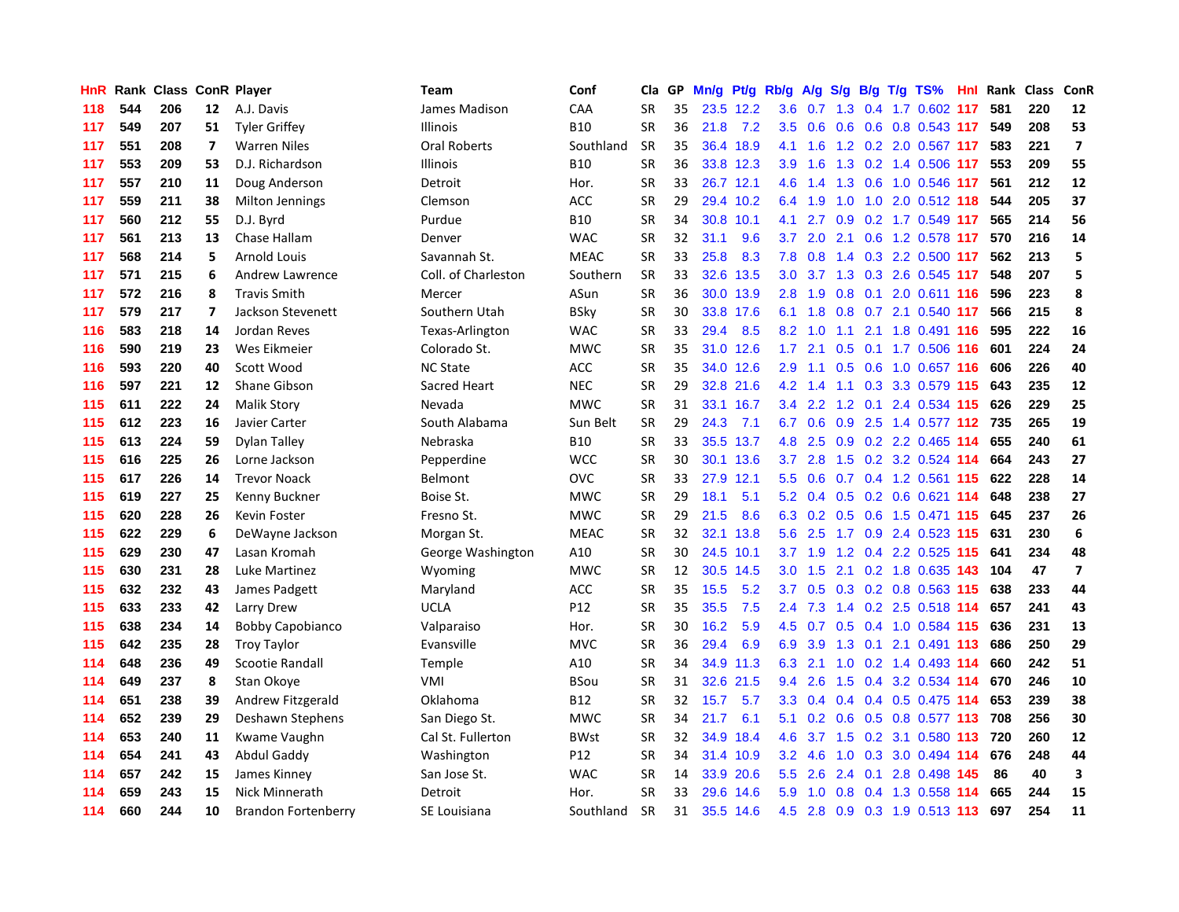| HnR. |     | Rank Class ConR Player |                          |                            | <b>Team</b>         | Conf        | Cla       | GP | Mn/g | Pt/g Rb/g |                  | A/g     | S/g             |  | $B/g$ T/g TS%             | Hnl Rank | Class | ConR                    |
|------|-----|------------------------|--------------------------|----------------------------|---------------------|-------------|-----------|----|------|-----------|------------------|---------|-----------------|--|---------------------------|----------|-------|-------------------------|
| 118  | 544 | 206                    | 12                       | A.J. Davis                 | James Madison       | CAA         | <b>SR</b> | 35 |      | 23.5 12.2 | 3.6              | 0.7     | 1.3             |  | 0.4 1.7 0.602 117         | 581      | 220   | 12                      |
| 117  | 549 | 207                    | 51                       | <b>Tyler Griffey</b>       | Illinois            | <b>B10</b>  | SR        | 36 | 21.8 | 7.2       | 3.5              | 0.6     | 0.6             |  | 0.6 0.8 0.543 117         | 549      | 208   | 53                      |
| 117  | 551 | 208                    | 7                        | <b>Warren Niles</b>        | <b>Oral Roberts</b> | Southland   | <b>SR</b> | 35 |      | 36.4 18.9 | 4.1              | 1.6     |                 |  | 1.2 0.2 2.0 0.567 117     | 583      | 221   | $\overline{\mathbf{z}}$ |
| 117  | 553 | 209                    | 53                       | D.J. Richardson            | Illinois            | <b>B10</b>  | SR        | 36 |      | 33.8 12.3 | 3.9              | 1.6     |                 |  | 1.3 0.2 1.4 0.506 117     | 553      | 209   | 55                      |
| 117  | 557 | 210                    | 11                       | Doug Anderson              | Detroit             | Hor.        | <b>SR</b> | 33 |      | 26.7 12.1 | 4.6              | 1.4     | 1.3             |  | 0.6 1.0 0.546 117         | 561      | 212   | 12                      |
| 117  | 559 | 211                    | 38                       | <b>Milton Jennings</b>     | Clemson             | ACC         | <b>SR</b> | 29 |      | 29.4 10.2 | 6.4              | 1.9     | 1.0             |  | 1.0 2.0 0.512 118         | 544      | 205   | 37                      |
| 117  | 560 | 212                    | 55                       | D.J. Byrd                  | Purdue              | <b>B10</b>  | SR        | 34 | 30.8 | 10.1      | 4.1              | 2.7     | 0.9             |  | 0.2 1.7 0.549 117         | 565      | 214   | 56                      |
| 117  | 561 | 213                    | 13                       | Chase Hallam               | Denver              | <b>WAC</b>  | <b>SR</b> | 32 | 31.1 | 9.6       | 3.7              | 2.0     | 2.1             |  | 0.6 1.2 0.578 117         | 570      | 216   | 14                      |
| 117  | 568 | 214                    | 5                        | <b>Arnold Louis</b>        | Savannah St.        | <b>MEAC</b> | SR        | 33 | 25.8 | 8.3       | 7.8              | 0.8     | 1.4             |  | 0.3 2.2 0.500 117         | 562      | 213   | 5                       |
| 117  | 571 | 215                    | 6                        | Andrew Lawrence            | Coll. of Charleston | Southern    | <b>SR</b> | 33 | 32.6 | 13.5      | 3.0              | 3.7     |                 |  | 1.3 0.3 2.6 0.545 117     | 548      | 207   | 5                       |
| 117  | 572 | 216                    | 8                        | <b>Travis Smith</b>        | Mercer              | ASun        | <b>SR</b> | 36 |      | 30.0 13.9 | 2.8              |         |                 |  | 1.9 0.8 0.1 2.0 0.611 116 | 596      | 223   | 8                       |
| 117  | 579 | 217                    | $\overline{\phantom{a}}$ | Jackson Stevenett          | Southern Utah       | <b>BSky</b> | <b>SR</b> | 30 |      | 33.8 17.6 | 6.1              | 1.8     |                 |  | 0.8 0.7 2.1 0.540 117     | 566      | 215   | 8                       |
| 116  | 583 | 218                    | 14                       | Jordan Reves               | Texas-Arlington     | <b>WAC</b>  | <b>SR</b> | 33 | 29.4 | 8.5       | 8.2              | 1.0     | 1.1             |  | 2.1 1.8 0.491 116         | 595      | 222   | 16                      |
| 116  | 590 | 219                    | 23                       | Wes Eikmeier               | Colorado St.        | <b>MWC</b>  | <b>SR</b> | 35 | 31.0 | 12.6      | 1.7              | 2.1     | 0.5             |  | $0.1$ 1.7 0.506 116       | 601      | 224   | 24                      |
| 116  | 593 | 220                    | 40                       | Scott Wood                 | <b>NC State</b>     | <b>ACC</b>  | <b>SR</b> | 35 | 34.0 | 12.6      | 2.9              | 1.1     | 0.5             |  | 0.6 1.0 0.657 116         | 606      | 226   | 40                      |
| 116  | 597 | 221                    | 12                       | Shane Gibson               | Sacred Heart        | <b>NEC</b>  | <b>SR</b> | 29 | 32.8 | 21.6      | 4.2              | 1.4     | 1.1             |  | $0.3$ 3.3 0.579 115       | 643      | 235   | 12                      |
| 115  | 611 | 222                    | 24                       | <b>Malik Story</b>         | Nevada              | <b>MWC</b>  | <b>SR</b> | 31 |      | 33.1 16.7 | $3.4^{\circ}$    | 2.2     | 1.2             |  | $0.1$ 2.4 0.534 115       | 626      | 229   | 25                      |
| 115  | 612 | 223                    | 16                       | Javier Carter              | South Alabama       | Sun Belt    | <b>SR</b> | 29 | 24.3 | 7.1       | 6.7              | 0.6     | 0.9             |  | 2.5 1.4 0.577 112         | 735      | 265   | 19                      |
| 115  | 613 | 224                    | 59                       | Dylan Talley               | Nebraska            | <b>B10</b>  | <b>SR</b> | 33 |      | 35.5 13.7 |                  | 4.8 2.5 |                 |  | 0.9 0.2 2.2 0.465 114     | 655      | 240   | 61                      |
| 115  | 616 | 225                    | 26                       | Lorne Jackson              | Pepperdine          | <b>WCC</b>  | <b>SR</b> | 30 |      | 30.1 13.6 | 3.7              | 2.8     |                 |  | 1.5 0.2 3.2 0.524 114     | 664      | 243   | 27                      |
| 115  | 617 | 226                    | 14                       | <b>Trevor Noack</b>        | Belmont             | <b>OVC</b>  | <b>SR</b> | 33 | 27.9 | 12.1      | 5.5              | 0.6     |                 |  | 0.7 0.4 1.2 0.561 115     | 622      | 228   | 14                      |
| 115  | 619 | 227                    | 25                       | Kenny Buckner              | Boise St.           | <b>MWC</b>  | <b>SR</b> | 29 | 18.1 | 5.1       | 5.2              |         | $0.4 \quad 0.5$ |  | 0.2 0.6 0.621 114         | 648      | 238   | 27                      |
| 115  | 620 | 228                    | 26                       | Kevin Foster               | Fresno St.          | <b>MWC</b>  | <b>SR</b> | 29 | 21.5 | 8.6       | 6.3              | 0.2     | 0.5             |  | 0.6 1.5 0.471 115         | 645      | 237   | 26                      |
| 115  | 622 | 229                    | 6                        | DeWayne Jackson            | Morgan St.          | <b>MEAC</b> | <b>SR</b> | 32 | 32.1 | 13.8      | 5.6              | 2.5     | 1.7             |  | 0.9 2.4 0.523 115         | 631      | 230   | 6                       |
| 115  | 629 | 230                    | 47                       | Lasan Kromah               | George Washington   | A10         | <b>SR</b> | 30 | 24.5 | 10.1      | 3.7              | 1.9     | 1.2             |  | $0.4$ 2.2 0.525 115       | 641      | 234   | 48                      |
| 115  | 630 | 231                    | 28                       | Luke Martinez              | Wyoming             | <b>MWC</b>  | <b>SR</b> | 12 | 30.5 | 14.5      | 3.0              | 1.5     | 2.1             |  | 0.2 1.8 0.635 143         | 104      | 47    | $\overline{7}$          |
| 115  | 632 | 232                    | 43                       | James Padgett              | Maryland            | ACC         | <b>SR</b> | 35 | 15.5 | 5.2       | 3.7              | 0.5     |                 |  | $0.3$ 0.2 0.8 0.563 115   | 638      | 233   | 44                      |
| 115  | 633 | 233                    | 42                       | Larry Drew                 | <b>UCLA</b>         | P12         | <b>SR</b> | 35 | 35.5 | 7.5       | $2.4^{\circ}$    |         |                 |  | 7.3 1.4 0.2 2.5 0.518 114 | 657      | 241   | 43                      |
| 115  | 638 | 234                    | 14                       | <b>Bobby Capobianco</b>    | Valparaiso          | Hor.        | <b>SR</b> | 30 | 16.2 | 5.9       | 4.5              | 0.7     |                 |  | 0.5 0.4 1.0 0.584 115     | 636      | 231   | 13                      |
| 115  | 642 | 235                    | 28                       | <b>Troy Taylor</b>         | Evansville          | <b>MVC</b>  | SR        | 36 | 29.4 | 6.9       | 6.9              | 3.9     |                 |  | 1.3 0.1 2.1 0.491 113     | 686      | 250   | 29                      |
| 114  | 648 | 236                    | 49                       | Scootie Randall            | Temple              | A10         | <b>SR</b> | 34 | 34.9 | 11.3      | 6.3              | 2.1     | 1.0             |  | 0.2 1.4 0.493 114         | 660      | 242   | 51                      |
| 114  | 649 | 237                    | 8                        | Stan Okove                 | VMI                 | <b>BSou</b> | <b>SR</b> | 31 | 32.6 | 21.5      | 9.4              | 2.6     | 1.5             |  | $0.4$ 3.2 0.534 114       | 670      | 246   | 10                      |
| 114  | 651 | 238                    | 39                       | Andrew Fitzgerald          | Oklahoma            | <b>B12</b>  | <b>SR</b> | 32 | 15.7 | 5.7       | 3.3              | 0.4     | 0.4             |  | $0.4$ 0.5 0.475 114       | 653      | 239   | 38                      |
| 114  | 652 | 239                    | 29                       | Deshawn Stephens           | San Diego St.       | <b>MWC</b>  | SR        | 34 | 21.7 | 6.1       | 5.1              | 0.2     | 0.6             |  | 0.5 0.8 0.577 113         | 708      | 256   | 30                      |
| 114  | 653 | 240                    | 11                       | Kwame Vaughn               | Cal St. Fullerton   | <b>BWst</b> | <b>SR</b> | 32 | 34.9 | 18.4      | 4.6              | 3.7     | 1.5             |  | 0.2 3.1 0.580 113         | 720      | 260   | 12                      |
| 114  | 654 | 241                    | 43                       | Abdul Gaddy                | Washington          | P12         | <b>SR</b> | 34 |      | 31.4 10.9 | 3.2 <sub>2</sub> | 4.6     |                 |  | 1.0 0.3 3.0 0.494 114     | 676      | 248   | 44                      |
| 114  | 657 | 242                    | 15                       | James Kinney               | San Jose St.        | <b>WAC</b>  | <b>SR</b> | 14 | 33.9 | 20.6      | $5.5^{\circ}$    | 2.6     | 2.4             |  | 0.1 2.8 0.498 145         | 86       | 40    | $\overline{\mathbf{3}}$ |
| 114  | 659 | 243                    | 15                       | Nick Minnerath             | Detroit             | Hor.        | SR        | 33 | 29.6 | 14.6      | 5.9              | 1.0     |                 |  | 0.8 0.4 1.3 0.558 114     | 665      | 244   | 15                      |
| 114  | 660 | 244                    | 10                       | <b>Brandon Fortenberry</b> | SE Louisiana        | Southland   | <b>SR</b> | 31 |      | 35.5 14.6 | 4.5              |         |                 |  | 2.8 0.9 0.3 1.9 0.513 113 | 697      | 254   | 11                      |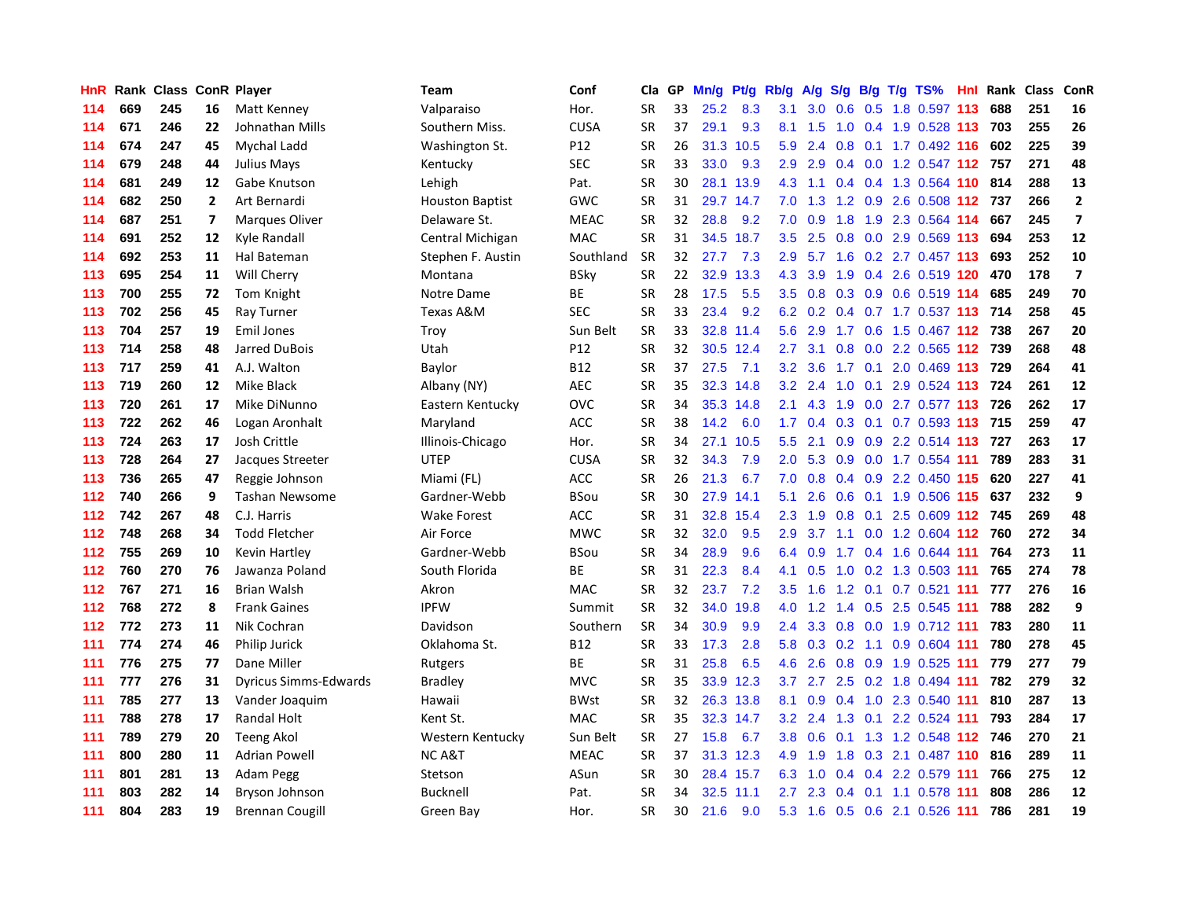| HnR | Rank |     |                | <b>Class ConR Player</b>     | Team                   | Conf        | Cla       | GP | Mn/g | <b>Pt/g</b> | Rb/g             | A/g |                 |     | S/g B/g T/g TS%           | Hnl  | Rank | <b>Class</b> | <b>ConR</b>             |
|-----|------|-----|----------------|------------------------------|------------------------|-------------|-----------|----|------|-------------|------------------|-----|-----------------|-----|---------------------------|------|------|--------------|-------------------------|
| 114 | 669  | 245 | 16             | Matt Kenney                  | Valparaiso             | Hor.        | <b>SR</b> | 33 | 25.2 | 8.3         | 3.1              | 3.0 | 0.6             |     | 0.5 1.8 0.597 113         |      | 688  | 251          | 16                      |
| 114 | 671  | 246 | 22             | Johnathan Mills              | Southern Miss.         | <b>CUSA</b> | <b>SR</b> | 37 | 29.1 | 9.3         | 8.1              | 1.5 |                 |     | 1.0 0.4 1.9 0.528 113 703 |      |      | 255          | 26                      |
| 114 | 674  | 247 | 45             | Mychal Ladd                  | Washington St.         | P12         | <b>SR</b> | 26 |      | 31.3 10.5   | 5.9              | 2.4 |                 |     | 0.8 0.1 1.7 0.492 116 602 |      |      | 225          | 39                      |
| 114 | 679  | 248 | 44             | Julius Mays                  | Kentucky               | SEC         | <b>SR</b> | 33 | 33.0 | 9.3         | 2.9              | 2.9 |                 |     | 0.4 0.0 1.2 0.547 112 757 |      |      | 271          | 48                      |
| 114 | 681  | 249 | 12             | Gabe Knutson                 | Lehigh                 | Pat.        | <b>SR</b> | 30 | 28.1 | 13.9        | 4.3              | 1.1 |                 |     | 0.4 0.4 1.3 0.564 110     |      | 814  | 288          | 13                      |
| 114 | 682  | 250 | $\overline{2}$ | Art Bernardi                 | <b>Houston Baptist</b> | GWC         | <b>SR</b> | 31 | 29.7 | 14.7        | 7.0              | 1.3 |                 |     | 1.2 0.9 2.6 0.508 112     |      | 737  | 266          | $\overline{2}$          |
| 114 | 687  | 251 | $\overline{ }$ | <b>Marques Oliver</b>        | Delaware St.           | <b>MEAC</b> | <b>SR</b> | 32 | 28.8 | 9.2         | 7.0              | 0.9 | 1.8             |     | 1.9 2.3 0.564 114         |      | 667  | 245          | $\overline{\mathbf{z}}$ |
| 114 | 691  | 252 | 12             | Kyle Randall                 | Central Michigan       | <b>MAC</b>  | <b>SR</b> | 31 | 34.5 | 18.7        | 3.5              | 2.5 | 0.8             |     | $0.0$ 2.9 $0.569$ 113     |      | 694  | 253          | 12                      |
| 114 | 692  | 253 | 11             | Hal Bateman                  | Stephen F. Austin      | Southland   | <b>SR</b> | 32 | 27.7 | 7.3         | 2.9              |     | $5.7 \quad 1.6$ |     | 0.2 2.7 0.457 113         |      | 693  | 252          | 10                      |
| 113 | 695  | 254 | 11             | Will Cherry                  | Montana                | <b>BSky</b> | <b>SR</b> | 22 | 32.9 | 13.3        | 4.3              | 3.9 | 1.9             |     | 0.4 2.6 0.519 120         |      | 470  | 178          | $\overline{\mathbf{z}}$ |
| 113 | 700  | 255 | 72             | Tom Knight                   | Notre Dame             | <b>BE</b>   | <b>SR</b> | 28 | 17.5 | 5.5         | 3.5              |     |                 |     | 0.8 0.3 0.9 0.6 0.519 114 |      | 685  | 249          | 70                      |
| 113 | 702  | 256 | 45             | Ray Turner                   | Texas A&M              | <b>SEC</b>  | <b>SR</b> | 33 | 23.4 | 9.2         | 6.2              | 0.2 |                 |     | 0.4 0.7 1.7 0.537 113 714 |      |      | 258          | 45                      |
| 113 | 704  | 257 | 19             | Emil Jones                   | Troy                   | Sun Belt    | <b>SR</b> | 33 |      | 32.8 11.4   | 5.6              | 2.9 |                 |     | 1.7 0.6 1.5 0.467 112 738 |      |      | 267          | 20                      |
| 113 | 714  | 258 | 48             | Jarred DuBois                | Utah                   | P12         | <b>SR</b> | 32 |      | 30.5 12.4   | 2.7              | 3.1 | 0.8             |     | 0.0 2.2 0.565 112 739     |      |      | 268          | 48                      |
| 113 | 717  | 259 | 41             | A.J. Walton                  | Baylor                 | <b>B12</b>  | <b>SR</b> | 37 | 27.5 | 7.1         | 3.2              | 3.6 |                 |     | 1.7 0.1 2.0 0.469 113     |      | 729  | 264          | 41                      |
| 113 | 719  | 260 | 12             | Mike Black                   | Albany (NY)            | <b>AEC</b>  | <b>SR</b> | 35 | 32.3 | 14.8        | 3.2              | 2.4 | 1.0             |     | $0.1$ 2.9 0.524 113       |      | 724  | 261          | 12                      |
| 113 | 720  | 261 | 17             | Mike DiNunno                 | Eastern Kentucky       | OVC         | <b>SR</b> | 34 | 35.3 | 14.8        | 2.1              | 4.3 | 1.9             |     | 0.0 2.7 0.577 113         |      | 726  | 262          | 17                      |
| 113 | 722  | 262 | 46             | Logan Aronhalt               | Maryland               | ACC         | <b>SR</b> | 38 | 14.2 | 6.0         | 1.7              | 0.4 | 0.3             |     | 0.1 0.7 0.593 113 715     |      |      | 259          | 47                      |
| 113 | 724  | 263 | 17             | Josh Crittle                 | Illinois-Chicago       | Hor.        | <b>SR</b> | 34 | 27.1 | 10.5        | 5.5              | 2.1 |                 |     | 0.9 0.9 2.2 0.514 113 727 |      |      | 263          | 17                      |
| 113 | 728  | 264 | 27             | Jacques Streeter             | <b>UTEP</b>            | <b>CUSA</b> | <b>SR</b> | 32 | 34.3 | 7.9         | 2.0              | 5.3 |                 |     | 0.9 0.0 1.7 0.554 111     |      | 789  | 283          | 31                      |
| 113 | 736  | 265 | 47             | Reggie Johnson               | Miami (FL)             | ACC         | SR        | 26 | 21.3 | 6.7         | 7.0              | 0.8 |                 |     | $0.4$ 0.9 2.2 0.450 115   |      | 620  | 227          | 41                      |
| 112 | 740  | 266 | 9              | Tashan Newsome               | Gardner-Webb           | <b>BSou</b> | <b>SR</b> | 30 | 27.9 | 14.1        | 5.1              | 2.6 | 0.6             |     | 0.1 1.9 0.506 115         |      | 637  | 232          | 9                       |
| 112 | 742  | 267 | 48             | C.J. Harris                  | <b>Wake Forest</b>     | ACC         | <b>SR</b> | 31 | 32.8 | 15.4        | 2.3              | 1.9 | 0.8             |     | 0.1 2.5 0.609 112 745     |      |      | 269          | 48                      |
| 112 | 748  | 268 | 34             | <b>Todd Fletcher</b>         | Air Force              | <b>MWC</b>  | <b>SR</b> | 32 | 32.0 | 9.5         | 2.9              | 3.7 |                 |     | 1.1 0.0 1.2 0.604 112     |      | 760  | 272          | 34                      |
| 112 | 755  | 269 | 10             | Kevin Hartley                | Gardner-Webb           | <b>BSou</b> | <b>SR</b> | 34 | 28.9 | 9.6         | 6.4              | 0.9 |                 |     | 1.7 0.4 1.6 0.644 111     |      | 764  | 273          | 11                      |
| 112 | 760  | 270 | 76             | Jawanza Poland               | South Florida          | ВE          | <b>SR</b> | 31 | 22.3 | 8.4         | 4.1              | 0.5 | 1.0             |     | 0.2 1.3 0.503 111         |      | 765  | 274          | 78                      |
| 112 | 767  | 271 | 16             | <b>Brian Walsh</b>           | Akron                  | <b>MAC</b>  | <b>SR</b> | 32 | 23.7 | 7.2         | 3.5              | 1.6 |                 |     | 1.2 0.1 0.7 0.521 111     |      | 777  | 276          | 16                      |
| 112 | 768  | 272 | 8              | <b>Frank Gaines</b>          | <b>IPFW</b>            | Summit      | <b>SR</b> | 32 | 34.0 | 19.8        | 4.0              |     |                 |     | 1.2 1.4 0.5 2.5 0.545 111 |      | 788  | 282          | 9                       |
| 112 | 772  | 273 | 11             | Nik Cochran                  | Davidson               | Southern    | <b>SR</b> | 34 | 30.9 | 9.9         | $2.4^{\circ}$    | 3.3 |                 |     | 0.8 0.0 1.9 0.712 111     |      | 783  | 280          | 11                      |
| 111 | 774  | 274 | 46             | Philip Jurick                | Oklahoma St.           | B12         | <b>SR</b> | 33 | 17.3 | 2.8         | 5.8              | 0.3 |                 |     | $0.2$ 1.1 0.9 0.604 111   |      | 780  | 278          | 45                      |
| 111 | 776  | 275 | 77             | Dane Miller                  | Rutgers                | <b>BE</b>   | <b>SR</b> | 31 | 25.8 | 6.5         | 4.6              | 2.6 | 0.8             |     | 0.9 1.9 0.525 111         |      | 779  | 277          | 79                      |
| 111 | 777  | 276 | 31             | <b>Dyricus Simms-Edwards</b> | <b>Bradley</b>         | <b>MVC</b>  | <b>SR</b> | 35 |      | 33.9 12.3   | 3.7              | 2.7 | 2.5             |     | 0.2 1.8 0.494 111         |      | 782  | 279          | 32                      |
| 111 | 785  | 277 | 13             | Vander Joaquim               | Hawaii                 | <b>BWst</b> | <b>SR</b> | 32 | 26.3 | 13.8        | 8.1              | 0.9 | 0.4             |     | 1.0 2.3 0.540             | -111 | 810  | 287          | 13                      |
| 111 | 788  | 278 | 17             | Randal Holt                  | Kent St.               | <b>MAC</b>  | <b>SR</b> | 35 | 32.3 | 14.7        | 3.2              | 2.4 | 1.3             | 0.1 | 2.2 0.524 111             |      | 793  | 284          | 17                      |
| 111 | 789  | 279 | 20             | <b>Teeng Akol</b>            | Western Kentucky       | Sun Belt    | <b>SR</b> | 27 | 15.8 | 6.7         | 3.8 <sub>2</sub> | 0.6 | 0.1             |     | 1.3 1.2 0.548 112 746     |      |      | 270          | 21                      |
| 111 | 800  | 280 | 11             | <b>Adrian Powell</b>         | <b>NC A&amp;T</b>      | <b>MEAC</b> | <b>SR</b> | 37 |      | 31.3 12.3   | 4.9              | 1.9 |                 |     | 1.8 0.3 2.1 0.487 110 816 |      |      | 289          | 11                      |
| 111 | 801  | 281 | 13             | Adam Pegg                    | Stetson                | ASun        | <b>SR</b> | 30 |      | 28.4 15.7   | 6.3              | 1.0 |                 |     | $0.4$ 0.4 2.2 0.579 111   |      | 766  | 275          | 12                      |
| 111 | 803  | 282 | 14             | Bryson Johnson               | <b>Bucknell</b>        | Pat.        | SR        | 34 | 32.5 | 11.1        | $2.7^{\circ}$    | 2.3 |                 |     | 0.4 0.1 1.1 0.578 111     |      | 808  | 286          | 12                      |
| 111 | 804  | 283 | 19             | <b>Brennan Cougill</b>       | Green Bay              | Hor.        | <b>SR</b> | 30 | 21.6 | 9.0         | 5.3              |     |                 |     | 1.6 0.5 0.6 2.1 0.526 111 |      | 786  | 281          | 19                      |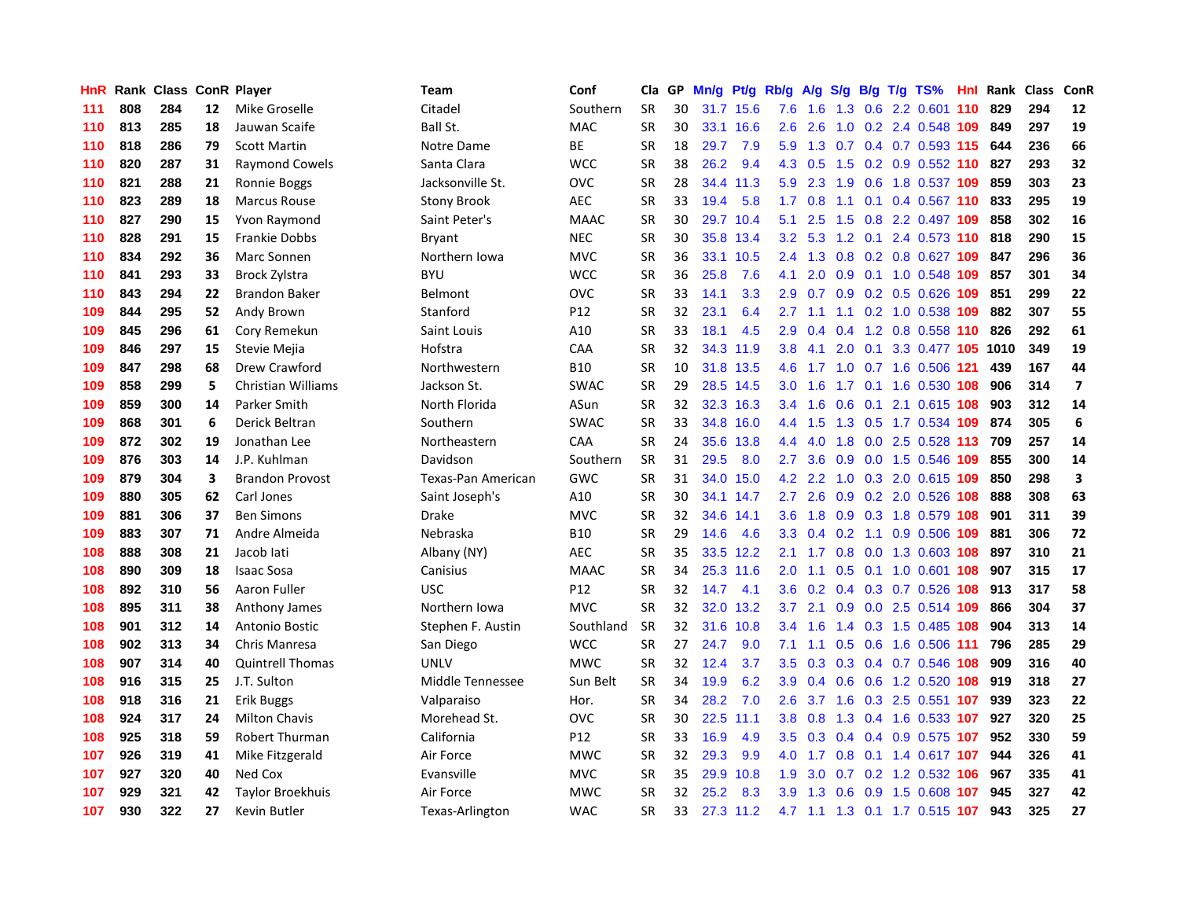| HnR | Rank |     |    | <b>Class ConR Player</b>  | Team               | Conf            | Cla       | GP. | Mn/g | Pt/g Rb/g |                  | A/g         |     |  | S/g B/g T/g TS%               | Hnl | Rank | <b>Class</b> | ConR                    |
|-----|------|-----|----|---------------------------|--------------------|-----------------|-----------|-----|------|-----------|------------------|-------------|-----|--|-------------------------------|-----|------|--------------|-------------------------|
| 111 | 808  | 284 | 12 | Mike Groselle             | Citadel            | Southern        | <b>SR</b> | 30  | 31.7 | 15.6      | 7.6              | 1.6         | 1.3 |  | $0.6$ 2.2 0.601               | 110 | 829  | 294          | 12                      |
| 110 | 813  | 285 | 18 | Jauwan Scaife             | Ball St.           | <b>MAC</b>      | <b>SR</b> | 30  |      | 33.1 16.6 | 2.6              | 2.6         |     |  | 1.0 0.2 2.4 0.548 109         |     | 849  | 297          | 19                      |
| 110 | 818  | 286 | 79 | <b>Scott Martin</b>       | Notre Dame         | <b>BE</b>       | <b>SR</b> | 18  | 29.7 | 7.9       | 5.9              |             |     |  | 1.3 0.7 0.4 0.7 0.593 115 644 |     |      | 236          | 66                      |
| 110 | 820  | 287 | 31 | <b>Raymond Cowels</b>     | Santa Clara        | <b>WCC</b>      | <b>SR</b> | 38  | 26.2 | 9.4       |                  | 4.3 0.5     |     |  | 1.5 0.2 0.9 0.552 110         |     | 827  | 293          | 32                      |
| 110 | 821  | 288 | 21 | Ronnie Boggs              | Jacksonville St.   | OVC             | <b>SR</b> | 28  | 34.4 | 11.3      | 5.9              | 2.3         | 1.9 |  | 0.6 1.8 0.537 109             |     | 859  | 303          | 23                      |
| 110 | 823  | 289 | 18 | <b>Marcus Rouse</b>       | <b>Stony Brook</b> | <b>AEC</b>      | <b>SR</b> | 33  | 19.4 | 5.8       | 1.7 <sub>z</sub> | 0.8         |     |  | 1.1 0.1 0.4 0.567 110         |     | 833  | 295          | 19                      |
| 110 | 827  | 290 | 15 | Yvon Raymond              | Saint Peter's      | <b>MAAC</b>     | <b>SR</b> | 30  | 29.7 | 10.4      | 5.1              | 2.5         |     |  | 1.5 0.8 2.2 0.497 109         |     | 858  | 302          | 16                      |
| 110 | 828  | 291 | 15 | <b>Frankie Dobbs</b>      | <b>Bryant</b>      | <b>NEC</b>      | <b>SR</b> | 30  | 35.8 | 13.4      | 3.2              | 5.3         |     |  | 1.2 0.1 2.4 0.573 110         |     | 818  | 290          | 15                      |
| 110 | 834  | 292 | 36 | Marc Sonnen               | Northern Iowa      | <b>MVC</b>      | <b>SR</b> | 36  | 33.1 | 10.5      | $2.4^{\circ}$    | 1.3         | 0.8 |  | 0.2 0.8 0.627 109             |     | 847  | 296          | 36                      |
| 110 | 841  | 293 | 33 | <b>Brock Zylstra</b>      | <b>BYU</b>         | <b>WCC</b>      | <b>SR</b> | 36  | 25.8 | 7.6       | 4.1              | 2.0         |     |  | 0.9 0.1 1.0 0.548 109         |     | 857  | 301          | 34                      |
| 110 | 843  | 294 | 22 | <b>Brandon Baker</b>      | Belmont            | OVC             | <b>SR</b> | 33  | 14.1 | 3.3       | 2.9 <sup>°</sup> |             |     |  | 0.7 0.9 0.2 0.5 0.626 109     |     | 851  | 299          | 22                      |
| 109 | 844  | 295 | 52 | Andy Brown                | Stanford           | P12             | <b>SR</b> | 32  | 23.1 | 6.4       | 2.7              |             |     |  | 1.1 1.1 0.2 1.0 0.538 109     |     | 882  | 307          | 55                      |
| 109 | 845  | 296 | 61 | Cory Remekun              | Saint Louis        | A10             | <b>SR</b> | 33  | 18.1 | 4.5       | 2.9              | 0.4         |     |  | 0.4 1.2 0.8 0.558 110         |     | 826  | 292          | 61                      |
| 109 | 846  | 297 | 15 | Stevie Mejia              | Hofstra            | CAA             | <b>SR</b> | 32  | 34.3 | 11.9      | 3.8              | 4.1         | 2.0 |  | 0.1 3.3 0.477 105 1010        |     |      | 349          | 19                      |
| 109 | 847  | 298 | 68 | Drew Crawford             | Northwestern       | <b>B10</b>      | <b>SR</b> | 10  |      | 31.8 13.5 | 4.6              | 1.7         |     |  | 1.0 0.7 1.6 0.506 121         |     | 439  | 167          | 44                      |
| 109 | 858  | 299 | 5  | <b>Christian Williams</b> | Jackson St.        | <b>SWAC</b>     | <b>SR</b> | 29  | 28.5 | 14.5      | 3.0 <sub>2</sub> | 1.6         |     |  | 1.7 0.1 1.6 0.530 108         |     | 906  | 314          | $\overline{\mathbf{z}}$ |
| 109 | 859  | 300 | 14 | Parker Smith              | North Florida      | ASun            | <b>SR</b> | 32  | 32.3 | 16.3      | 3.4              | 1.6         | 0.6 |  | 0.1 2.1 0.615 108             |     | 903  | 312          | 14                      |
| 109 | 868  | 301 | 6  | Derick Beltran            | Southern           | <b>SWAC</b>     | <b>SR</b> | 33  | 34.8 | 16.0      | 4.4              | 1.5         | 1.3 |  | 0.5 1.7 0.534 109             |     | 874  | 305          | $\boldsymbol{6}$        |
| 109 | 872  | 302 | 19 | Jonathan Lee              | Northeastern       | CAA             | <b>SR</b> | 24  | 35.6 | 13.8      | 4.4              | 4.0         |     |  | 1.8 0.0 2.5 0.528 113 709     |     |      | 257          | 14                      |
| 109 | 876  | 303 | 14 | J.P. Kuhlman              | Davidson           | Southern        | <b>SR</b> | 31  | 29.5 | 8.0       | $2.7^{\circ}$    | 3.6         |     |  | 0.9 0.0 1.5 0.546 109         |     | 855  | 300          | 14                      |
| 109 | 879  | 304 | 3  | <b>Brandon Provost</b>    | Texas-Pan American | GWC             | <b>SR</b> | 31  | 34.0 | 15.0      | 4.2              | 2.2         |     |  | 1.0 0.3 2.0 0.615 109         |     | 850  | 298          | 3                       |
| 109 | 880  | 305 | 62 | Carl Jones                | Saint Joseph's     | A10             | <b>SR</b> | 30  | 34.1 | 14.7      | $2.7^{\circ}$    | 2.6         |     |  | 0.9 0.2 2.0 0.526 108         |     | 888  | 308          | 63                      |
| 109 | 881  | 306 | 37 | <b>Ben Simons</b>         | Drake              | <b>MVC</b>      | <b>SR</b> | 32  | 34.6 | 14.1      | 3.6              | 1.8         |     |  | 0.9 0.3 1.8 0.579 108         |     | 901  | 311          | 39                      |
| 109 | 883  | 307 | 71 | Andre Almeida             | Nebraska           | <b>B10</b>      | <b>SR</b> | 29  | 14.6 | 4.6       | 3.3              | 0.4         | 0.2 |  | 1.1 0.9 0.506 109             |     | 881  | 306          | 72                      |
| 108 | 888  | 308 | 21 | Jacob lati                | Albany (NY)        | <b>AEC</b>      | <b>SR</b> | 35  | 33.5 | 12.2      | 2.1              | 1.7         | 0.8 |  | 0.0 1.3 0.603 108             |     | 897  | 310          | 21                      |
| 108 | 890  | 309 | 18 | <b>Isaac Sosa</b>         | Canisius           | <b>MAAC</b>     | <b>SR</b> | 34  | 25.3 | 11.6      | 2.0              | 1.1         | 0.5 |  | 0.1 1.0 0.601 108             |     | 907  | 315          | 17                      |
| 108 | 892  | 310 | 56 | Aaron Fuller              | <b>USC</b>         | P12             | <b>SR</b> | 32  | 14.7 | 4.1       | 3.6              | 0.2         |     |  | 0.4 0.3 0.7 0.526 108         |     | 913  | 317          | 58                      |
| 108 | 895  | 311 | 38 | Anthony James             | Northern Iowa      | <b>MVC</b>      | <b>SR</b> | 32  |      | 32.0 13.2 | 3.7              | 2.1         |     |  | 0.9 0.0 2.5 0.514 109         |     | 866  | 304          | 37                      |
| 108 | 901  | 312 | 14 | Antonio Bostic            | Stephen F. Austin  | Southland       | <b>SR</b> | 32  | 31.6 | 10.8      | $3.4^{\circ}$    | 1.6         |     |  | 1.4 0.3 1.5 0.485 108         |     | 904  | 313          | 14                      |
| 108 | 902  | 313 | 34 | Chris Manresa             | San Diego          | <b>WCC</b>      | <b>SR</b> | 27  | 24.7 | 9.0       | 7.1              | 1.1         |     |  | 0.5 0.6 1.6 0.506 111         |     | 796  | 285          | 29                      |
| 108 | 907  | 314 | 40 | <b>Quintrell Thomas</b>   | <b>UNLV</b>        | <b>MWC</b>      | <b>SR</b> | 32  | 12.4 | 3.7       | 3.5              | 0.3         |     |  | 0.3 0.4 0.7 0.546 108         |     | 909  | 316          | 40                      |
| 108 | 916  | 315 | 25 | J.T. Sulton               | Middle Tennessee   | Sun Belt        | <b>SR</b> | 34  | 19.9 | 6.2       | 3.9 <sup>°</sup> | 0.4         |     |  | 0.6 0.6 1.2 0.520 108         |     | 919  | 318          | 27                      |
| 108 | 918  | 316 | 21 | <b>Erik Buggs</b>         | Valparaiso         | Hor.            | <b>SR</b> | 34  | 28.2 | 7.0       | 2.6              | 3.7         | 1.6 |  | 0.3 2.5 0.551 107             |     | 939  | 323          | 22                      |
| 108 | 924  | 317 | 24 | <b>Milton Chavis</b>      | Morehead St.       | OVC             | <b>SR</b> | 30  | 22.5 | 11.1      | 3.8 <sub>2</sub> | 0.8         | 1.3 |  | 0.4 1.6 0.533 107             |     | 927  | 320          | 25                      |
| 108 | 925  | 318 | 59 | <b>Robert Thurman</b>     | California         | P <sub>12</sub> | <b>SR</b> | 33  | 16.9 | 4.9       | 3.5              | 0.3         | 0.4 |  | 0.4 0.9 0.575 107             |     | 952  | 330          | 59                      |
| 107 | 926  | 319 | 41 | Mike Fitzgerald           | Air Force          | <b>MWC</b>      | <b>SR</b> | 32  | 29.3 | 9.9       |                  | $4.0 \t1.7$ |     |  | 0.8 0.1 1.4 0.617 107         |     | 944  | 326          | 41                      |
| 107 | 927  | 320 | 40 | Ned Cox                   | Evansville         | <b>MVC</b>      | <b>SR</b> | 35  | 29.9 | 10.8      | 1.9              | 3.0         |     |  | $0.7$ 0.2 1.2 0.532 106       |     | 967  | 335          | 41                      |
| 107 | 929  | 321 | 42 | <b>Taylor Broekhuis</b>   | Air Force          | <b>MWC</b>      | <b>SR</b> | 32  | 25.2 | 8.3       | 3.9 <sup>°</sup> | 1.3         |     |  | 0.6 0.9 1.5 0.608 107         |     | 945  | 327          | 42                      |
| 107 | 930  | 322 | 27 | Kevin Butler              | Texas-Arlington    | <b>WAC</b>      | <b>SR</b> | 33  |      | 27.3 11.2 |                  |             |     |  | 4.7 1.1 1.3 0.1 1.7 0.515 107 |     | 943  | 325          | 27                      |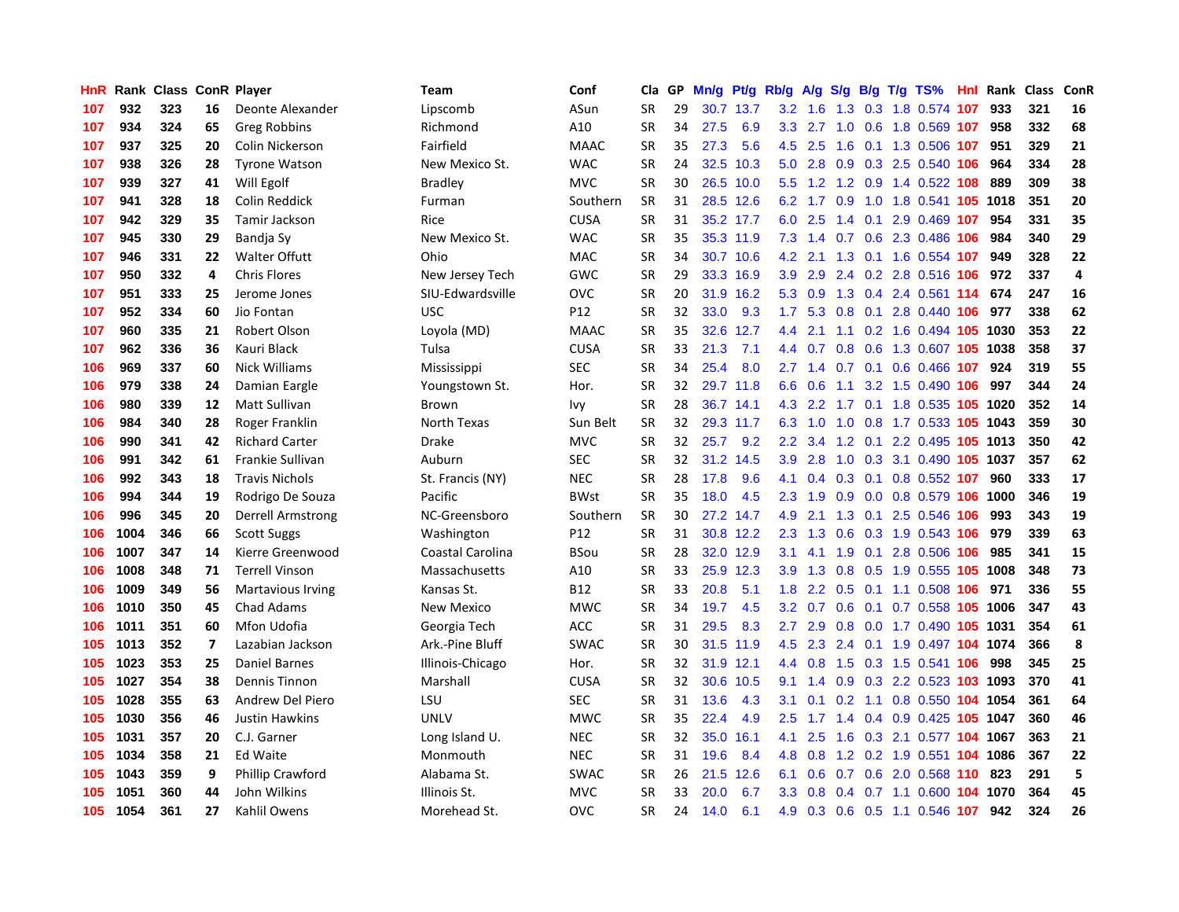| HnR | Rank |     |                          | <b>Class ConR Player</b> | <b>Team</b>      | Conf        | Cla       | GP. | Mn/g | Pt/g Rb/g |                  | A/g           |     |  | S/g B/g T/g TS%                   | Hnl | Rank | <b>Class</b> | ConR           |
|-----|------|-----|--------------------------|--------------------------|------------------|-------------|-----------|-----|------|-----------|------------------|---------------|-----|--|-----------------------------------|-----|------|--------------|----------------|
| 107 | 932  | 323 | 16                       | Deonte Alexander         | Lipscomb         | ASun        | <b>SR</b> | 29  | 30.7 | 13.7      | 3.2              | 1.6           | 1.3 |  | 0.3 1.8 0.574 107                 |     | 933  | 321          | 16             |
| 107 | 934  | 324 | 65                       | <b>Greg Robbins</b>      | Richmond         | A10         | <b>SR</b> | 34  | 27.5 | 6.9       |                  |               |     |  | 3.3 2.7 1.0 0.6 1.8 0.569 107     |     | 958  | 332          | 68             |
| 107 | 937  | 325 | 20                       | Colin Nickerson          | Fairfield        | <b>MAAC</b> | <b>SR</b> | 35  | 27.3 | 5.6       | 4.5              | 2.5           |     |  | 1.6 0.1 1.3 0.506 107             |     | 951  | 329          | 21             |
| 107 | 938  | 326 | 28                       | <b>Tyrone Watson</b>     | New Mexico St.   | <b>WAC</b>  | <b>SR</b> | 24  | 32.5 | 10.3      | 5.0              | 2.8           |     |  | $0.9$ $0.3$ $2.5$ $0.540$ 106     |     | 964  | 334          | 28             |
| 107 | 939  | 327 | 41                       | Will Egolf               | <b>Bradley</b>   | <b>MVC</b>  | <b>SR</b> | 30  |      | 26.5 10.0 | 5.5              | 1.2           |     |  | 1.2 0.9 1.4 0.522 108             |     | 889  | 309          | 38             |
| 107 | 941  | 328 | 18                       | Colin Reddick            | Furman           | Southern    | <b>SR</b> | 31  |      | 28.5 12.6 | 6.2              | 1.7           | 0.9 |  | 1.0 1.8 0.541 <b>105 1018</b>     |     |      | 351          | 20             |
| 107 | 942  | 329 | 35                       | Tamir Jackson            | Rice             | <b>CUSA</b> | <b>SR</b> | 31  |      | 35.2 17.7 | 6.0              | 2.5           |     |  | 1.4 0.1 2.9 0.469 107             |     | 954  | 331          | 35             |
| 107 | 945  | 330 | 29                       | Bandia Sy                | New Mexico St.   | <b>WAC</b>  | <b>SR</b> | 35  |      | 35.3 11.9 | 7.3              | 1.4           | 0.7 |  | 0.6 2.3 0.486 106                 |     | 984  | 340          | 29             |
| 107 | 946  | 331 | 22                       | <b>Walter Offutt</b>     | Ohio             | <b>MAC</b>  | <b>SR</b> | 34  |      | 30.7 10.6 | 4.2              | 2.1           | 1.3 |  | 0.1 1.6 0.554 107                 |     | 949  | 328          | 22             |
| 107 | 950  | 332 | 4                        | <b>Chris Flores</b>      | New Jersey Tech  | GWC         | <b>SR</b> | 29  |      | 33.3 16.9 |                  | $3.9$ $2.9$   |     |  | 2.4 0.2 2.8 0.516 106 972         |     |      | 337          | $\overline{4}$ |
| 107 | 951  | 333 | 25                       | Jerome Jones             | SIU-Edwardsville | <b>OVC</b>  | <b>SR</b> | 20  |      | 31.9 16.2 |                  |               |     |  | 5.3 0.9 1.3 0.4 2.4 0.561 114 674 |     |      | 247          | 16             |
| 107 | 952  | 334 | 60                       | Jio Fontan               | <b>USC</b>       | P12         | <b>SR</b> | 32  | 33.0 | 9.3       | 1.7              | 5.3           |     |  | 0.8 0.1 2.8 0.440 106             |     | 977  | 338          | 62             |
| 107 | 960  | 335 | 21                       | <b>Robert Olson</b>      | Loyola (MD)      | <b>MAAC</b> | <b>SR</b> | 35  | 32.6 | 12.7      | 4.4              | 2.1           |     |  | 1.1 0.2 1.6 0.494 105 1030        |     |      | 353          | 22             |
| 107 | 962  | 336 | 36                       | Kauri Black              | Tulsa            | <b>CUSA</b> | <b>SR</b> | 33  | 21.3 | 7.1       | 4.4              | 0.7           | 0.8 |  | 0.6 1.3 0.607 105 1038            |     |      | 358          | 37             |
| 106 | 969  | 337 | 60                       | Nick Williams            | Mississippi      | <b>SEC</b>  | <b>SR</b> | 34  | 25.4 | 8.0       | 2.7              | 1.4           |     |  | 0.7 0.1 0.6 0.466 107             |     | 924  | 319          | 55             |
| 106 | 979  | 338 | 24                       | Damian Eargle            | Youngstown St.   | Hor.        | <b>SR</b> | 32  |      | 29.7 11.8 | 6.6              | 0.6           | 1.1 |  | 3.2 1.5 0.490 106                 |     | 997  | 344          | 24             |
| 106 | 980  | 339 | 12                       | Matt Sullivan            | Brown            | lvy         | <b>SR</b> | 28  |      | 36.7 14.1 | 4.3              | $2.2^{\circ}$ | 1.7 |  | 0.1 1.8 0.535 105 1020            |     |      | 352          | 14             |
| 106 | 984  | 340 | 28                       | Roger Franklin           | North Texas      | Sun Belt    | <b>SR</b> | 32  |      | 29.3 11.7 | 6.3              | 1.0           | 1.0 |  | 0.8 1.7 0.533 105 1043            |     |      | 359          | 30             |
| 106 | 990  | 341 | 42                       | <b>Richard Carter</b>    | Drake            | MVC         | <b>SR</b> | 32  | 25.7 | 9.2       | $2.2\phantom{0}$ | 3.4           |     |  | 1.2 0.1 2.2 0.495 105 1013        |     |      | 350          | 42             |
| 106 | 991  | 342 | 61                       | Frankie Sullivan         | Auburn           | SEC         | <b>SR</b> | 32  |      | 31.2 14.5 | 3.9              | 2.8           |     |  | 1.0 0.3 3.1 0.490 105 1037        |     |      | 357          | 62             |
| 106 | 992  | 343 | 18                       | <b>Travis Nichols</b>    | St. Francis (NY) | <b>NEC</b>  | SR        | 28  | 17.8 | 9.6       | 4.1              | 0.4           |     |  | $0.3$ 0.1 0.8 0.552 107           |     | 960  | 333          | 17             |
| 106 | 994  | 344 | 19                       | Rodrigo De Souza         | Pacific          | <b>BWst</b> | <b>SR</b> | 35  | 18.0 | 4.5       | 2.3              | 1.9           | 0.9 |  | 0.0 0.8 0.579 106 1000            |     |      | 346          | 19             |
| 106 | 996  | 345 | 20                       | <b>Derrell Armstrong</b> | NC-Greensboro    | Southern    | <b>SR</b> | 30  | 27.2 | 14.7      | 4.9              | 2.1           | 1.3 |  | 0.1 2.5 0.546 106                 |     | 993  | 343          | 19             |
| 106 | 1004 | 346 | 66                       | <b>Scott Suggs</b>       | Washington       | P12         | <b>SR</b> | 31  |      | 30.8 12.2 | 2.3              | 1.3           | 0.6 |  | 0.3 1.9 0.543 106                 |     | 979  | 339          | 63             |
| 106 | 1007 | 347 | 14                       | Kierre Greenwood         | Coastal Carolina | BSou        | <b>SR</b> | 28  | 32.0 | 12.9      | 3.1              | 4.1           | 1.9 |  | 0.1 2.8 0.506 106                 |     | 985  | 341          | 15             |
| 106 | 1008 | 348 | 71                       | <b>Terrell Vinson</b>    | Massachusetts    | A10         | <b>SR</b> | 33  | 25.9 | 12.3      | 3.9              | 1.3           | 0.8 |  | 0.5 1.9 0.555 105 1008            |     |      | 348          | 73             |
| 106 | 1009 | 349 | 56                       | <b>Martavious Irving</b> | Kansas St.       | B12         | <b>SR</b> | 33  | 20.8 | 5.1       | 1.8              | $2.2^{\circ}$ |     |  | 0.5 0.1 1.1 0.508 106 971         |     |      | 336          | 55             |
| 106 | 1010 | 350 | 45                       | <b>Chad Adams</b>        | New Mexico       | <b>MWC</b>  | <b>SR</b> | 34  | 19.7 | 4.5       | 3.2              |               |     |  | 0.7 0.6 0.1 0.7 0.558 105 1006    |     |      | 347          | 43             |
| 106 | 1011 | 351 | 60                       | Mfon Udofia              | Georgia Tech     | ACC         | <b>SR</b> | 31  | 29.5 | 8.3       | $2.7^{\circ}$    | 2.9           |     |  | 0.8 0.0 1.7 0.490 105 1031        |     |      | 354          | 61             |
| 105 | 1013 | 352 | $\overline{\phantom{a}}$ | Lazabian Jackson         | Ark.-Pine Bluff  | <b>SWAC</b> | <b>SR</b> | 30  | 31.5 | 11.9      | 4.5              | 2.3           |     |  | 2.4 0.1 1.9 0.497 104 1074        |     |      | 366          | 8              |
| 105 | 1023 | 353 | 25                       | <b>Daniel Barnes</b>     | Illinois-Chicago | Hor.        | <b>SR</b> | 32  | 31.9 | 12.1      | 4.4              | 0.8           | 1.5 |  | 0.3 1.5 0.541 106                 |     | 998  | 345          | 25             |
| 105 | 1027 | 354 | 38                       | <b>Dennis Tinnon</b>     | Marshall         | <b>CUSA</b> | <b>SR</b> | 32  | 30.6 | 10.5      | 9.1              | 1.4           | 0.9 |  | 0.3 2.2 0.523 103 1093            |     |      | 370          | 41             |
| 105 | 1028 | 355 | 63                       | Andrew Del Piero         | LSU              | <b>SEC</b>  | <b>SR</b> | 31  | 13.6 | 4.3       | 3.1              | 0.1           |     |  | 0.2 1.1 0.8 0.550 104 1054        |     |      | 361          | 64             |
| 105 | 1030 | 356 | 46                       | <b>Justin Hawkins</b>    | <b>UNLV</b>      | <b>MWC</b>  | <b>SR</b> | 35  | 22.4 | 4.9       | $2.5^{\circ}$    | 1.7           | 1.4 |  | 0.4 0.9 0.425 105 1047            |     |      | 360          | 46             |
| 105 | 1031 | 357 | 20                       | C.J. Garner              | Long Island U.   | <b>NEC</b>  | <b>SR</b> | 32  | 35.0 | 16.1      | 4.1              | 2.5           | 1.6 |  | 0.3 2.1 0.577 104 1067            |     |      | 363          | 21             |
| 105 | 1034 | 358 | 21                       | Ed Waite                 | Monmouth         | <b>NEC</b>  | <b>SR</b> | 31  | 19.6 | 8.4       | 4.8              | 0.8           |     |  | 1.2 0.2 1.9 0.551 104 1086        |     |      | 367          | 22             |
| 105 | 1043 | 359 | 9                        | Phillip Crawford         | Alabama St.      | <b>SWAC</b> | <b>SR</b> | 26  |      | 21.5 12.6 | 6.1              | 0.6           |     |  | 0.7 0.6 2.0 0.568 110             |     | 823  | 291          | 5              |
| 105 | 1051 | 360 | 44                       | John Wilkins             | Illinois St.     | MVC         | SR        | 33  | 20.0 | 6.7       | 3.3 <sub>2</sub> | 0.8           |     |  | 0.4 0.7 1.1 0.600 104 1070        |     |      | 364          | 45             |
| 105 | 1054 | 361 | 27                       | Kahlil Owens             | Morehead St.     | OVC         | <b>SR</b> | 24  | 14.0 | 6.1       | 4.9              |               |     |  | 0.3 0.6 0.5 1.1 0.546 107         |     | 942  | 324          | 26             |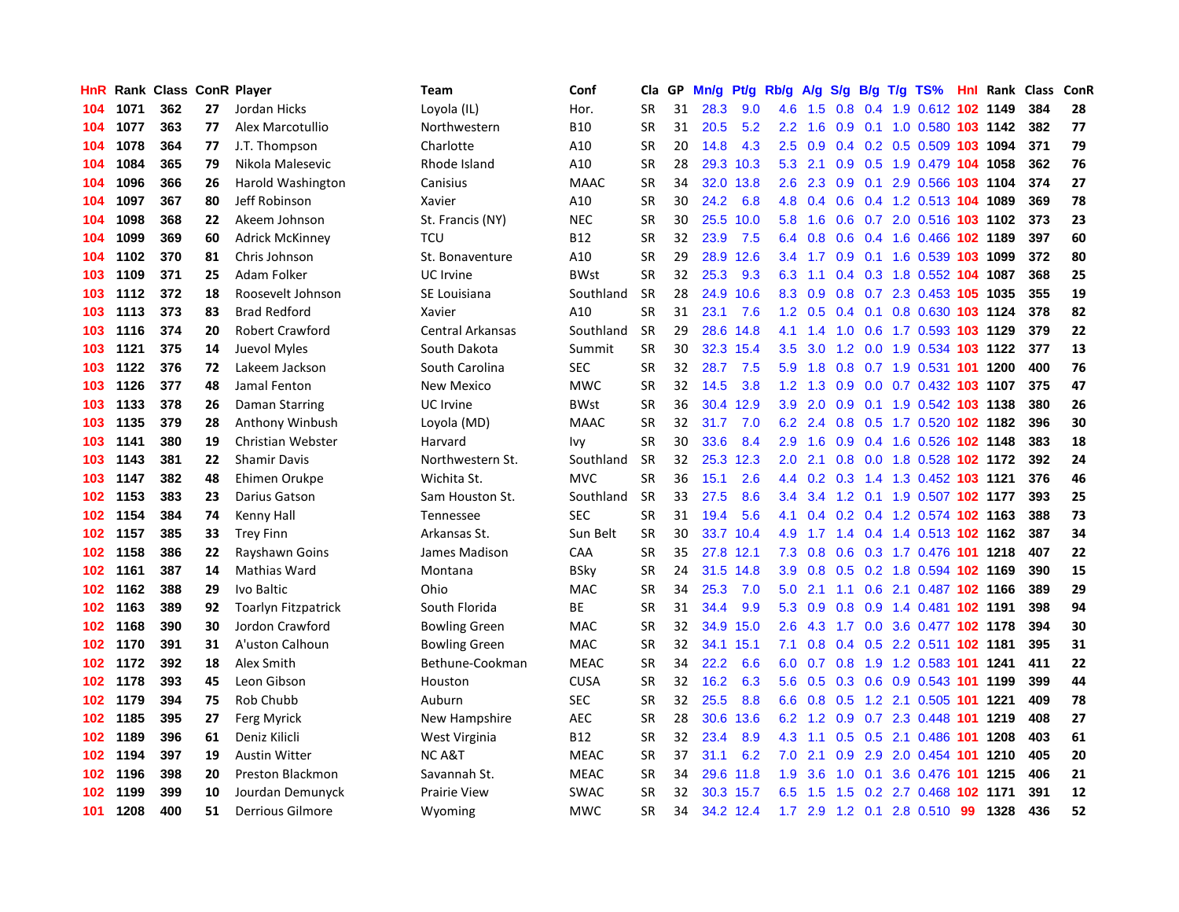| HnR |      | Rank Class ConR Player |    |                        | Team                 | Conf        | Cla       | GP | Mn/g | <b>Pt/g</b> | Rb/g             | A/g |                  |  | $S/g$ B/g T/g TS%              |    | <b>Hnl</b> Rank | <b>Class</b> | <b>ConR</b> |
|-----|------|------------------------|----|------------------------|----------------------|-------------|-----------|----|------|-------------|------------------|-----|------------------|--|--------------------------------|----|-----------------|--------------|-------------|
| 104 | 1071 | 362                    | 27 | Jordan Hicks           | Loyola (IL)          | Hor.        | <b>SR</b> | 31 | 28.3 | 9.0         | 4.6              | 1.5 | 0.8              |  | 0.4 1.9 0.612 102 1149         |    |                 | 384          | 28          |
| 104 | 1077 | 363                    | 77 | Alex Marcotullio       | Northwestern         | <b>B10</b>  | <b>SR</b> | 31 | 20.5 | 5.2         | $2.2^{\circ}$    | 1.6 |                  |  | 0.9 0.1 1.0 0.580 103 1142     |    |                 | 382          | 77          |
| 104 | 1078 | 364                    | 77 | J.T. Thompson          | Charlotte            | A10         | <b>SR</b> | 20 | 14.8 | 4.3         | $2.5^{\circ}$    | 0.9 |                  |  | 0.4 0.2 0.5 0.509 103 1094     |    |                 | 371          | 79          |
| 104 | 1084 | 365                    | 79 | Nikola Malesevic       | Rhode Island         | A10         | SR        | 28 | 29.3 | 10.3        | 5.3              | 2.1 |                  |  | 0.9 0.5 1.9 0.479 104 1058     |    |                 | 362          | 76          |
| 104 | 1096 | 366                    | 26 | Harold Washington      | Canisius             | <b>MAAC</b> | <b>SR</b> | 34 | 32.0 | 13.8        | 2.6              | 2.3 | 0.9              |  | 0.1 2.9 0.566 103 1104         |    |                 | 374          | 27          |
| 104 | 1097 | 367                    | 80 | Jeff Robinson          | Xavier               | A10         | <b>SR</b> | 30 | 24.2 | 6.8         | 4.8              | 0.4 |                  |  | 0.6 0.4 1.2 0.513 104 1089     |    |                 | 369          | 78          |
| 104 | 1098 | 368                    | 22 | Akeem Johnson          | St. Francis (NY)     | <b>NEC</b>  | <b>SR</b> | 30 | 25.5 | 10.0        | 5.8              | 1.6 |                  |  | 0.6 0.7 2.0 0.516 103 1102     |    |                 | 373          | 23          |
| 104 | 1099 | 369                    | 60 | <b>Adrick McKinney</b> | TCU                  | B12         | <b>SR</b> | 32 | 23.9 | 7.5         | 6.4              | 0.8 | 0.6              |  | 0.4 1.6 0.466 102 1189         |    |                 | 397          | 60          |
| 104 | 1102 | 370                    | 81 | Chris Johnson          | St. Bonaventure      | A10         | <b>SR</b> | 29 | 28.9 | 12.6        | $3.4^{\circ}$    | 1.7 | 0.9              |  | 0.1 1.6 0.539 103 1099         |    |                 | 372          | 80          |
| 103 | 1109 | 371                    | 25 | Adam Folker            | <b>UC</b> Irvine     | <b>BWst</b> | <b>SR</b> | 32 | 25.3 | 9.3         | 6.3              | 1.1 |                  |  | 0.4 0.3 1.8 0.552 104 1087     |    |                 | 368          | 25          |
| 103 | 1112 | 372                    | 18 | Roosevelt Johnson      | SE Louisiana         | Southland   | <b>SR</b> | 28 | 24.9 | 10.6        | 8.3              | 0.9 |                  |  | 0.8 0.7 2.3 0.453 105 1035     |    |                 | 355          | 19          |
| 103 | 1113 | 373                    | 83 | <b>Brad Redford</b>    | Xavier               | A10         | <b>SR</b> | 31 | 23.1 | 7.6         | 1.2 <sub>1</sub> | 0.5 |                  |  | 0.4 0.1 0.8 0.630 103 1124     |    |                 | 378          | 82          |
| 103 | 1116 | 374                    | 20 | <b>Robert Crawford</b> | Central Arkansas     | Southland   | SR        | 29 | 28.6 | 14.8        | 4.1              | 1.4 | 1.0 <sub>1</sub> |  | 0.6 1.7 0.593 103 1129         |    |                 | 379          | 22          |
| 103 | 1121 | 375                    | 14 | Juevol Myles           | South Dakota         | Summit      | <b>SR</b> | 30 | 32.3 | 15.4        | 3.5              | 3.0 | 1.2              |  | 0.0 1.9 0.534 103 1122         |    |                 | 377          | 13          |
| 103 | 1122 | 376                    | 72 | Lakeem Jackson         | South Carolina       | <b>SEC</b>  | <b>SR</b> | 32 | 28.7 | 7.5         | 5.9              | 1.8 |                  |  | 0.8 0.7 1.9 0.531 101 1200     |    |                 | 400          | 76          |
| 103 | 1126 | 377                    | 48 | Jamal Fenton           | <b>New Mexico</b>    | <b>MWC</b>  | <b>SR</b> | 32 | 14.5 | 3.8         | 1.2              | 1.3 | 0.9              |  | 0.0 0.7 0.432 103 1107         |    |                 | 375          | 47          |
| 103 | 1133 | 378                    | 26 | Daman Starring         | <b>UC</b> Irvine     | <b>BWst</b> | <b>SR</b> | 36 | 30.4 | 12.9        | 3.9              | 2.0 | 0.9 <sub>0</sub> |  | 0.1 1.9 0.542 103 1138         |    |                 | 380          | 26          |
| 103 | 1135 | 379                    | 28 | Anthony Winbush        | Loyola (MD)          | <b>MAAC</b> | <b>SR</b> | 32 | 31.7 | 7.0         | 6.2              | 2.4 | 0.8              |  | 0.5 1.7 0.520 102 1182         |    |                 | 396          | 30          |
| 103 | 1141 | 380                    | 19 | Christian Webster      | Harvard              | Ivy         | <b>SR</b> | 30 | 33.6 | 8.4         | 2.9              | 1.6 |                  |  | 0.9 0.4 1.6 0.526 102 1148     |    |                 | 383          | 18          |
| 103 | 1143 | 381                    | 22 | <b>Shamir Davis</b>    | Northwestern St.     | Southland   | <b>SR</b> | 32 |      | 25.3 12.3   | 2.0              | 2.1 |                  |  | 0.8 0.0 1.8 0.528 102 1172     |    |                 | 392          | 24          |
| 103 | 1147 | 382                    | 48 | Ehimen Orukpe          | Wichita St.          | <b>MVC</b>  | <b>SR</b> | 36 | 15.1 | 2.6         | 4.4              | 0.2 |                  |  | 0.3 1.4 1.3 0.452 103 1121     |    |                 | 376          | 46          |
| 102 | 1153 | 383                    | 23 | Darius Gatson          | Sam Houston St.      | Southland   | <b>SR</b> | 33 | 27.5 | 8.6         | 3.4              | 3.4 |                  |  | 1.2 0.1 1.9 0.507 102 1177     |    |                 | 393          | 25          |
| 102 | 1154 | 384                    | 74 | Kenny Hall             | Tennessee            | <b>SEC</b>  | <b>SR</b> | 31 | 19.4 | 5.6         | 4.1              | 0.4 |                  |  | 0.2 0.4 1.2 0.574 102 1163     |    |                 | 388          | 73          |
| 102 | 1157 | 385                    | 33 | <b>Trey Finn</b>       | Arkansas St.         | Sun Belt    | <b>SR</b> | 30 | 33.7 | 10.4        | 4.9              | 1.7 |                  |  | 1.4 0.4 1.4 0.513 102 1162     |    |                 | 387          | 34          |
| 102 | 1158 | 386                    | 22 | Rayshawn Goins         | James Madison        | CAA         | <b>SR</b> | 35 | 27.8 | 12.1        | 7.3              | 0.8 | 0.6              |  | 0.3 1.7 0.476 101 1218         |    |                 | 407          | 22          |
| 102 | 1161 | 387                    | 14 | Mathias Ward           | Montana              | <b>BSky</b> | <b>SR</b> | 24 | 31.5 | 14.8        | 3.9              | 0.8 |                  |  | 0.5 0.2 1.8 0.594 102 1169     |    |                 | 390          | 15          |
| 102 | 1162 | 388                    | 29 | Ivo Baltic             | Ohio                 | MAC         | SR        | 34 | 25.3 | 7.0         | 5.0              | 2.1 |                  |  | 1.1 0.6 2.1 0.487 102 1166     |    |                 | 389          | 29          |
| 102 | 1163 | 389                    | 92 | Toarlyn Fitzpatrick    | South Florida        | <b>BE</b>   | <b>SR</b> | 31 | 34.4 | 9.9         | 5.3              | 0.9 |                  |  | 0.8 0.9 1.4 0.481 102 1191     |    |                 | 398          | 94          |
| 102 | 1168 | 390                    | 30 | Jordon Crawford        | <b>Bowling Green</b> | <b>MAC</b>  | <b>SR</b> | 32 | 34.9 | 15.0        | 2.6              |     |                  |  | 4.3 1.7 0.0 3.6 0.477 102 1178 |    |                 | 394          | 30          |
| 102 | 1170 | 391                    | 31 | A'uston Calhoun        | <b>Bowling Green</b> | <b>MAC</b>  | <b>SR</b> | 32 | 34.1 | 15.1        | 7.1              | 0.8 |                  |  | 0.4 0.5 2.2 0.511 102 1181     |    |                 | 395          | 31          |
| 102 | 1172 | 392                    | 18 | Alex Smith             | Bethune-Cookman      | <b>MEAC</b> | <b>SR</b> | 34 | 22.2 | 6.6         | 6.0              | 0.7 | 0.8              |  | 1.9 1.2 0.583 101 1241         |    |                 | 411          | 22          |
| 102 | 1178 | 393                    | 45 | Leon Gibson            | Houston              | <b>CUSA</b> | <b>SR</b> | 32 | 16.2 | 6.3         | 5.6              | 0.5 |                  |  | 0.3 0.6 0.9 0.543 101 1199     |    |                 | 399          | 44          |
| 102 | 1179 | 394                    | 75 | Rob Chubb              | Auburn               | <b>SEC</b>  | <b>SR</b> | 32 | 25.5 | 8.8         | 6.6              | 0.8 | 0.5              |  | 1.2 2.1 0.505 101 1221         |    |                 | 409          | 78          |
| 102 | 1185 | 395                    | 27 | Ferg Myrick            | New Hampshire        | AEC         | <b>SR</b> | 28 | 30.6 | 13.6        | 6.2              | 1.2 | 0.9              |  | 0.7 2.3 0.448 101 1219         |    |                 | 408          | 27          |
| 102 | 1189 | 396                    | 61 | Deniz Kilicli          | West Virginia        | <b>B12</b>  | <b>SR</b> | 32 | 23.4 | 8.9         | 4.3              | 1.1 | 0.5              |  | 0.5 2.1 0.486 101 1208         |    |                 | 403          | 61          |
| 102 | 1194 | 397                    | 19 | <b>Austin Witter</b>   | <b>NC A&amp;T</b>    | <b>MEAC</b> | <b>SR</b> | 37 | 31.1 | 6.2         | 7.0              | 2.1 |                  |  | 0.9 2.9 2.0 0.454 101 1210     |    |                 | 405          | 20          |
| 102 | 1196 | 398                    | 20 | Preston Blackmon       | Savannah St.         | <b>MEAC</b> | <b>SR</b> | 34 |      | 29.6 11.8   | 1.9              | 3.6 | 1.0              |  | 0.1 3.6 0.476 101 1215         |    |                 | 406          | 21          |
| 102 | 1199 | 399                    | 10 | Jourdan Demunyck       | <b>Prairie View</b>  | SWAC        | SR        | 32 |      | 30.3 15.7   | 6.5              | 1.5 |                  |  | 1.5 0.2 2.7 0.468 102 1171     |    |                 | 391          | 12          |
| 101 | 1208 | 400                    | 51 | Derrious Gilmore       | Wyoming              | <b>MWC</b>  | <b>SR</b> | 34 |      | 34.2 12.4   |                  |     |                  |  | 1.7 2.9 1.2 0.1 2.8 0.510      | 99 | 1328            | 436          | 52          |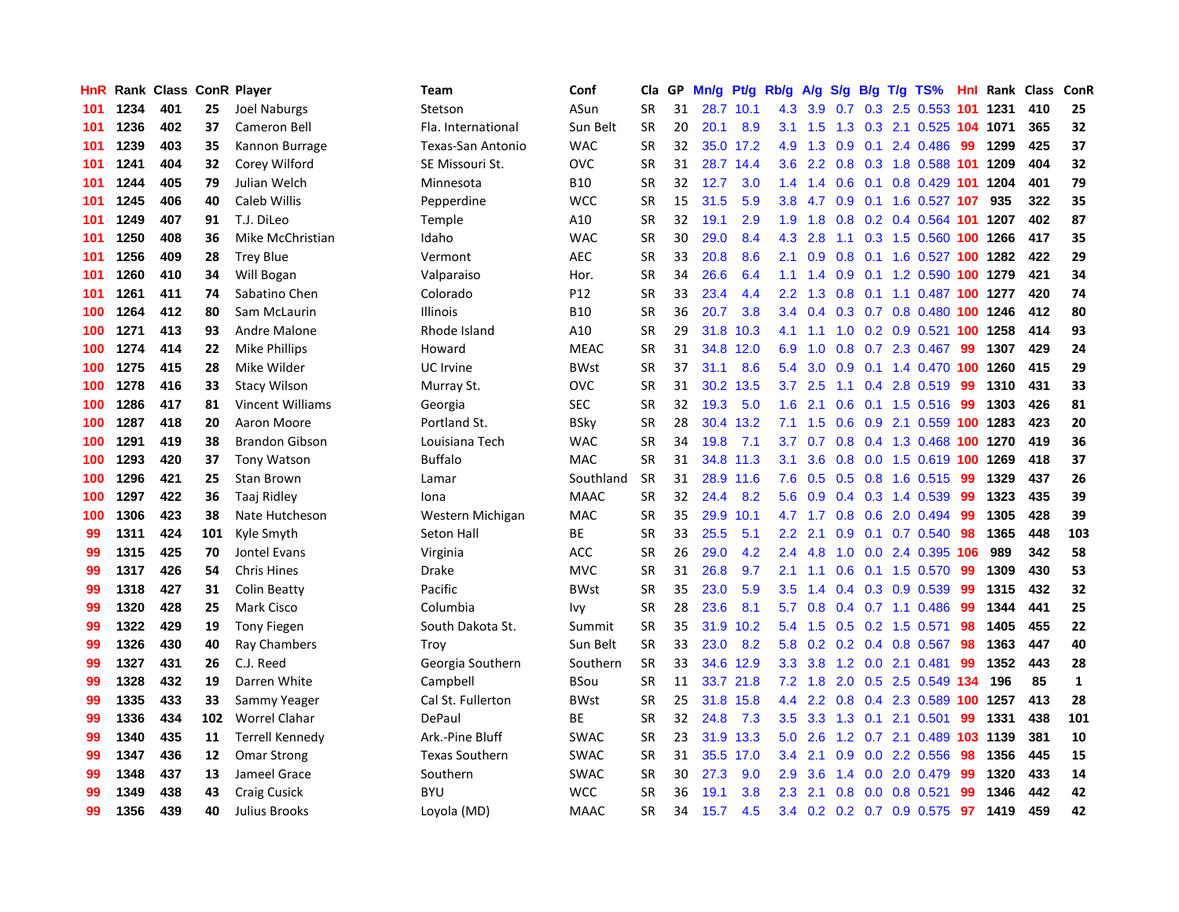| HnR |      | Rank Class ConR Player |     |                         | Team                  | Conf        | Cla       | <b>GP</b> | Mn/g | <b>Pt/g</b> | Rb/g             | A/g           |     |     | S/g B/g T/g TS%            | Hnl | Rank     | Class | ConR         |
|-----|------|------------------------|-----|-------------------------|-----------------------|-------------|-----------|-----------|------|-------------|------------------|---------------|-----|-----|----------------------------|-----|----------|-------|--------------|
| 101 | 1234 | 401                    | 25  | <b>Joel Naburgs</b>     | Stetson               | ASun        | <b>SR</b> | 31        | 28.7 | 10.1        | 4.3              | 3.9           | 0.7 |     | 0.3 2.5 0.553 101 1231     |     |          | 410   | 25           |
| 101 | 1236 | 402                    | 37  | Cameron Bell            | Fla. International    | Sun Belt    | <b>SR</b> | 20        | 20.1 | 8.9         | 3.1              | 1.5           |     |     | 1.3 0.3 2.1 0.525 104 1071 |     |          | 365   | 32           |
| 101 | 1239 | 403                    | 35  | Kannon Burrage          | Texas-San Antonio     | <b>WAC</b>  | <b>SR</b> | 32        |      | 35.0 17.2   | 4.9              | 1.3           |     |     | $0.9$ 0.1 2.4 0.486        | -99 | 1299     | 425   | 37           |
| 101 | 1241 | 404                    | 32  | Corey Wilford           | SE Missouri St.       | OVC         | <b>SR</b> | 31        | 28.7 | 14.4        | 3.6 <sup>°</sup> | 2.2           |     |     | 0.8 0.3 1.8 0.588 101 1209 |     |          | 404   | 32           |
| 101 | 1244 | 405                    | 79  | Julian Welch            | Minnesota             | <b>B10</b>  | <b>SR</b> | 32        | 12.7 | 3.0         | 1.4              | 1.4           | 0.6 |     | 0.1 0.8 0.429 101 1204     |     |          | 401   | 79           |
| 101 | 1245 | 406                    | 40  | Caleb Willis            | Pepperdine            | <b>WCC</b>  | <b>SR</b> | 15        | 31.5 | 5.9         | 3.8 <sub>2</sub> | 4.7           | 0.9 |     | 0.1 1.6 0.527 107          |     | 935      | 322   | 35           |
| 101 | 1249 | 407                    | 91  | T.J. DiLeo              | Temple                | A10         | <b>SR</b> | 32        | 19.1 | 2.9         | 1.9              | 1.8           |     |     | 0.8 0.2 0.4 0.564 101 1207 |     |          | 402   | 87           |
| 101 | 1250 | 408                    | 36  | Mike McChristian        | Idaho                 | <b>WAC</b>  | <b>SR</b> | 30        | 29.0 | 8.4         | 4.3              | 2.8           |     |     | 1.1 0.3 1.5 0.560 100 1266 |     |          | 417   | 35           |
| 101 | 1256 | 409                    | 28  | <b>Trey Blue</b>        | Vermont               | <b>AEC</b>  | <b>SR</b> | 33        | 20.8 | 8.6         | 2.1              | 0.9           | 0.8 |     | 0.1 1.6 0.527 100 1282     |     |          | 422   | 29           |
| 101 | 1260 | 410                    | 34  | Will Bogan              | Valparaiso            | Hor.        | <b>SR</b> | 34        | 26.6 | 6.4         | 1.1              | 1.4           |     |     | 0.9 0.1 1.2 0.590 100 1279 |     |          | 421   | 34           |
| 101 | 1261 | 411                    | 74  | Sabatino Chen           | Colorado              | P12         | <b>SR</b> | 33        | 23.4 | 4.4         | $2.2^{\circ}$    | 1.3           |     |     | 0.8 0.1 1.1 0.487 100 1277 |     |          | 420   | 74           |
| 100 | 1264 | 412                    | 80  | Sam McLaurin            | <b>Illinois</b>       | <b>B10</b>  | <b>SR</b> | 36        | 20.7 | 3.8         | $3.4^{\circ}$    | $0.4^{\circ}$ |     |     | 0.3 0.7 0.8 0.480 100 1246 |     |          | 412   | 80           |
| 100 | 1271 | 413                    | 93  | Andre Malone            | Rhode Island          | A10         | <b>SR</b> | 29        | 31.8 | 10.3        | 4.1              | 1.1           |     |     | 1.0 0.2 0.9 0.521 100 1258 |     |          | 414   | 93           |
| 100 | 1274 | 414                    | 22  | <b>Mike Phillips</b>    | Howard                | <b>MEAC</b> | <b>SR</b> | 31        | 34.8 | 12.0        | 6.9              | 1.0           | 0.8 |     | $0.7$ 2.3 0.467            | -99 | 1307     | 429   | 24           |
| 100 | 1275 | 415                    | 28  | Mike Wilder             | UC Irvine             | <b>BWst</b> | <b>SR</b> | 37        | 31.1 | 8.6         | 5.4              | 3.0           | 0.9 |     | 0.1 1.4 0.470 100 1260     |     |          | 415   | 29           |
| 100 | 1278 | 416                    | 33  | <b>Stacy Wilson</b>     | Murray St.            | OVC         | <b>SR</b> | 31        | 30.2 | 13.5        | 3.7              | 2.5           |     |     | 1.1 0.4 2.8 0.519          | 99  | 1310     | 431   | 33           |
| 100 | 1286 | 417                    | 81  | <b>Vincent Williams</b> | Georgia               | SEC         | <b>SR</b> | 32        | 19.3 | 5.0         | 1.6              | 2.1           | 0.6 |     | $0.1$ 1.5 0.516            | -99 | 1303     | 426   | 81           |
| 100 | 1287 | 418                    | 20  | Aaron Moore             | Portland St.          | <b>BSky</b> | <b>SR</b> | 28        | 30.4 | 13.2        | 7.1              | 1.5           | 0.6 |     | 0.9 2.1 0.559 100 1283     |     |          | 423   | 20           |
| 100 | 1291 | 419                    | 38  | <b>Brandon Gibson</b>   | Louisiana Tech        | <b>WAC</b>  | <b>SR</b> | 34        | 19.8 | 7.1         | 3.7              | 0.7           |     |     | 0.8 0.4 1.3 0.468 100 1270 |     |          | 419   | 36           |
| 100 | 1293 | 420                    | 37  | <b>Tony Watson</b>      | <b>Buffalo</b>        | <b>MAC</b>  | <b>SR</b> | 31        |      | 34.8 11.3   | 3.1              | 3.6           |     |     | 0.8 0.0 1.5 0.619 100 1269 |     |          | 418   | 37           |
| 100 | 1296 | 421                    | 25  | Stan Brown              | Lamar                 | Southland   | <b>SR</b> | 31        |      | 28.9 11.6   | 7.6              | 0.5           |     |     | $0.5$ 0.8 1.6 0.515        | -99 | 1329     | 437   | 26           |
| 100 | 1297 | 422                    | 36  | Taaj Ridley             | Iona                  | <b>MAAC</b> | <b>SR</b> | 32        | 24.4 | 8.2         | 5.6              | 0.9           |     |     | 0.4 0.3 1.4 0.539          | 99  | 1323     | 435   | 39           |
| 100 | 1306 | 423                    | 38  | Nate Hutcheson          | Western Michigan      | MAC         | <b>SR</b> | 35        | 29.9 | 10.1        | 4.7              | 1.7           |     |     | $0.8$ 0.6 2.0 0.494        | -99 | 1305     | 428   | 39           |
| 99  | 1311 | 424                    | 101 | Kyle Smyth              | Seton Hall            | ВE          | <b>SR</b> | 33        | 25.5 | 5.1         | 2.2              | 2.1           | 0.9 |     | $0.1$ 0.7 0.540            | 98  | 1365     | 448   | 103          |
| 99  | 1315 | 425                    | 70  | Jontel Evans            | Virginia              | ACC         | <b>SR</b> | 26        | 29.0 | 4.2         | $2.4^{\circ}$    | 4.8           | 1.0 |     | 0.0 2.4 0.395 106          |     | 989      | 342   | 58           |
| 99  | 1317 | 426                    | 54  | <b>Chris Hines</b>      | Drake                 | <b>MVC</b>  | <b>SR</b> | 31        | 26.8 | 9.7         | 2.1              | 1.1           | 0.6 |     | $0.1$ 1.5 0.570            | -99 | 1309     | 430   | 53           |
| 99  | 1318 | 427                    | 31  | <b>Colin Beatty</b>     | Pacific               | <b>BWst</b> | <b>SR</b> | 35        | 23.0 | 5.9         | 3.5              | 1.4           |     |     | $0.4$ 0.3 0.9 0.539        | -99 | 1315     | 432   | 32           |
| 99  | 1320 | 428                    | 25  | <b>Mark Cisco</b>       | Columbia              | Ivv         | <b>SR</b> | 28        | 23.6 | 8.1         | 5.7              | 0.8           |     |     | $0.4$ 0.7 1.1 0.486        | -99 | 1344     | 441   | 25           |
| 99  | 1322 | 429                    | 19  | <b>Tony Fiegen</b>      | South Dakota St.      | Summit      | <b>SR</b> | 35        | 31.9 | 10.2        | 5.4              | 1.5           |     |     | $0.5$ 0.2 1.5 0.571        | 98  | 1405     | 455   | 22           |
| 99  | 1326 | 430                    | 40  | Ray Chambers            | Troy                  | Sun Belt    | <b>SR</b> | 33        | 23.0 | 8.2         | 5.8              | 0.2           |     |     | 0.2 0.4 0.8 0.567 98       |     | 1363     | 447   | 40           |
| 99  | 1327 | 431                    | 26  | C.J. Reed               | Georgia Southern      | Southern    | <b>SR</b> | 33        | 34.6 | 12.9        | 3.3 <sub>2</sub> | 3.8           | 1.2 |     | $0.0$ 2.1 0.481            | 99  | 1352     | 443   | 28           |
| 99  | 1328 | 432                    | 19  | Darren White            | Campbell              | BSou        | <b>SR</b> | 11        |      | 33.7 21.8   | 7.2              | 1.8           |     |     | 2.0 0.5 2.5 0.549 134      |     | 196      | 85    | $\mathbf{1}$ |
| 99  | 1335 | 433                    | 33  | Sammy Yeager            | Cal St. Fullerton     | <b>BWst</b> | <b>SR</b> | 25        | 31.8 | 15.8        | 4.4              | $2.2^{\circ}$ | 0.8 |     | 0.4 2.3 0.589              |     | 100 1257 | 413   | 28           |
| 99  | 1336 | 434                    | 102 | Worrel Clahar           | DePaul                | ВE          | <b>SR</b> | 32        | 24.8 | 7.3         | 3.5              | 3.3           | 1.3 | 0.1 | 2.1 0.501                  | 99  | 1331     | 438   | 101          |
| 99  | 1340 | 435                    | 11  | <b>Terrell Kennedy</b>  | Ark.-Pine Bluff       | <b>SWAC</b> | <b>SR</b> | 23        | 31.9 | 13.3        | 5.0              | 2.6           | 1.2 |     | 0.7 2.1 0.489 103 1139     |     |          | 381   | 10           |
| 99  | 1347 | 436                    | 12  | <b>Omar Strong</b>      | <b>Texas Southern</b> | <b>SWAC</b> | <b>SR</b> | 31        |      | 35.5 17.0   | $3.4^{\circ}$    | 2.1           |     |     | $0.9$ 0.0 2.2 0.556        | -98 | 1356     | 445   | 15           |
| 99  | 1348 | 437                    | 13  | Jameel Grace            | Southern              | <b>SWAC</b> | <b>SR</b> | 30        | 27.3 | 9.0         | 2.9              | 3.6           |     |     | 1.4 0.0 2.0 0.479          | -99 | 1320     | 433   | 14           |
| 99  | 1349 | 438                    | 43  | <b>Craig Cusick</b>     | BYU                   | <b>WCC</b>  | SR        | 36        | 19.1 | 3.8         | $2.3^{\circ}$    | 2.1           |     |     | 0.8 0.0 0.8 0.521          | 99  | 1346     | 442   | 42           |
| 99  | 1356 | 439                    | 40  | <b>Julius Brooks</b>    | Loyola (MD)           | <b>MAAC</b> | <b>SR</b> | 34        | 15.7 | 4.5         | $3.4^{\circ}$    |               |     |     | 0.2 0.2 0.7 0.9 0.575      | 97  | 1419     | 459   | 42           |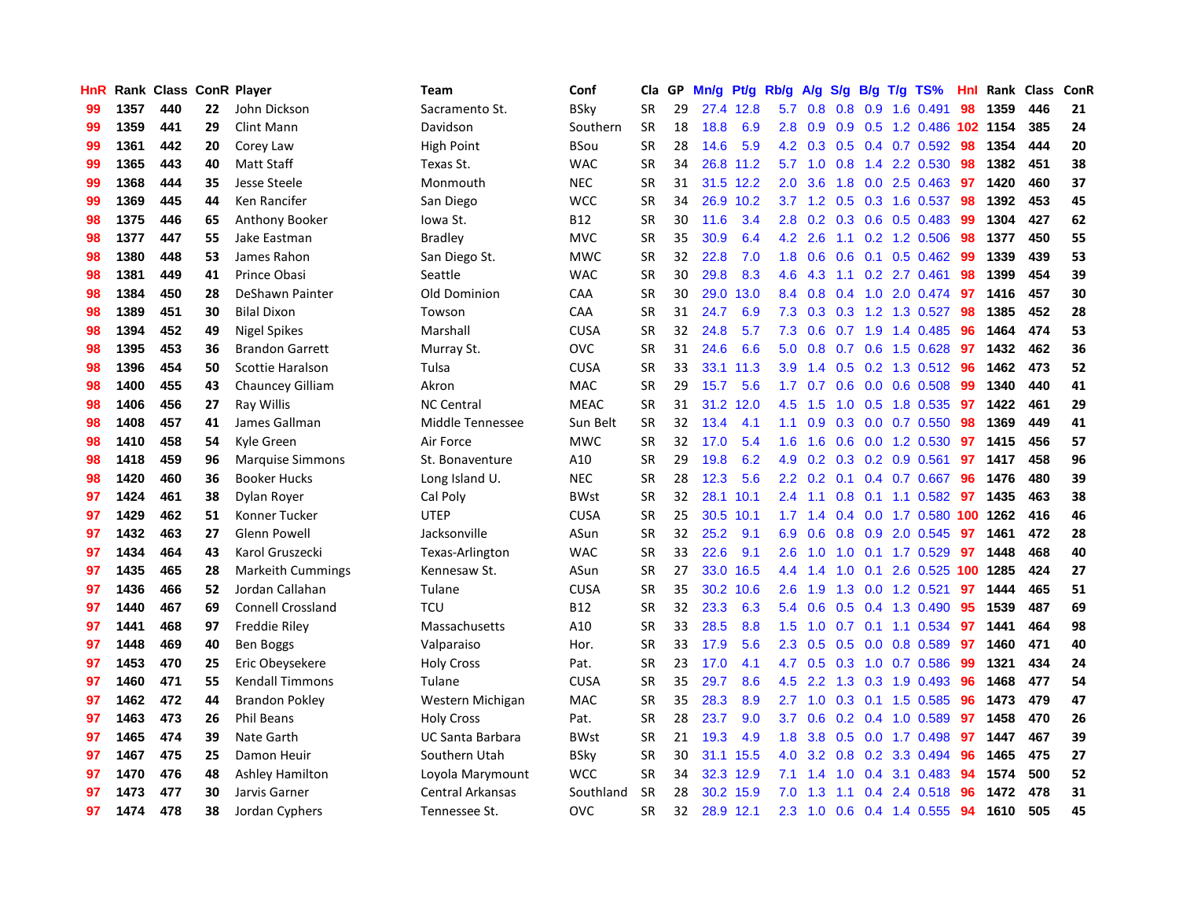| <b>HnR</b> |      | Rank Class ConR Player |    |                          | Team                    | Conf        | Cla       | GP | Mn/g | Pt/g      | Rb/g             | A/g             |     |     | S/g B/g T/g TS%            | Hnl | Rank | Class | ConR |
|------------|------|------------------------|----|--------------------------|-------------------------|-------------|-----------|----|------|-----------|------------------|-----------------|-----|-----|----------------------------|-----|------|-------|------|
| 99         | 1357 | 440                    | 22 | John Dickson             | Sacramento St.          | <b>BSky</b> | <b>SR</b> | 29 |      | 27.4 12.8 | 5.7              | 0.8             | 0.8 |     | 0.9 1.6 0.491              | 98  | 1359 | 446   | 21   |
| 99         | 1359 | 441                    | 29 | <b>Clint Mann</b>        | Davidson                | Southern    | <b>SR</b> | 18 | 18.8 | 6.9       |                  | $2.8\quad 0.9$  |     |     | 0.9 0.5 1.2 0.486 102 1154 |     |      | 385   | 24   |
| 99         | 1361 | 442                    | 20 | Corey Law                | <b>High Point</b>       | <b>BSou</b> | <b>SR</b> | 28 | 14.6 | 5.9       |                  | $4.2 \quad 0.3$ |     |     | $0.5$ 0.4 0.7 0.592        | -98 | 1354 | 444   | 20   |
| 99         | 1365 | 443                    | 40 | <b>Matt Staff</b>        | Texas St.               | <b>WAC</b>  | <b>SR</b> | 34 | 26.8 | 11.2      |                  | $5.7 \quad 1.0$ |     |     | 0.8 1.4 2.2 0.530          | 98  | 1382 | 451   | 38   |
| 99         | 1368 | 444                    | 35 | Jesse Steele             | Monmouth                | <b>NEC</b>  | <b>SR</b> | 31 |      | 31.5 12.2 | 2.0 <sub>1</sub> | 3.6             | 1.8 |     | $0.0$ 2.5 0.463            | 97  | 1420 | 460   | 37   |
| 99         | 1369 | 445                    | 44 | Ken Rancifer             | San Diego               | <b>WCC</b>  | <b>SR</b> | 34 |      | 26.9 10.2 |                  | $3.7 \quad 1.2$ |     |     | $0.5$ 0.3 1.6 0.537        | 98  | 1392 | 453   | 45   |
| 98         | 1375 | 446                    | 65 | Anthony Booker           | lowa St.                | <b>B12</b>  | <b>SR</b> | 30 | 11.6 | 3.4       | 2.8              | 0.2             |     |     | 0.3 0.6 0.5 0.483          | -99 | 1304 | 427   | 62   |
| 98         | 1377 | 447                    | 55 | Jake Eastman             | <b>Bradley</b>          | <b>MVC</b>  | <b>SR</b> | 35 | 30.9 | 6.4       | 4.2              | 2.6             |     |     | 1.1 0.2 1.2 0.506          | -98 | 1377 | 450   | 55   |
| 98         | 1380 | 448                    | 53 | James Rahon              | San Diego St.           | <b>MWC</b>  | <b>SR</b> | 32 | 22.8 | 7.0       | 1.8              | 0.6             | 0.6 |     | 0.1 0.5 0.462 99           |     | 1339 | 439   | 53   |
| 98         | 1381 | 449                    | 41 | Prince Obasi             | Seattle                 | <b>WAC</b>  | <b>SR</b> | 30 | 29.8 | 8.3       | 4.6              | 4.3             |     |     | 1.1 0.2 2.7 0.461          | -98 | 1399 | 454   | 39   |
| 98         | 1384 | 450                    | 28 | DeShawn Painter          | Old Dominion            | CAA         | <b>SR</b> | 30 | 29.0 | 13.0      | 8.4              | 0.8             |     |     | 0.4 1.0 2.0 0.474 97       |     | 1416 | 457   | 30   |
| 98         | 1389 | 451                    | 30 | <b>Bilal Dixon</b>       | Towson                  | CAA         | <b>SR</b> | 31 | 24.7 | 6.9       | 7.3              | 0.3             |     |     | $0.3$ 1.2 1.3 0.527        | -98 | 1385 | 452   | 28   |
| 98         | 1394 | 452                    | 49 | <b>Nigel Spikes</b>      | Marshall                | CUSA        | <b>SR</b> | 32 | 24.8 | 5.7       | 7.3              | 0.6             |     |     | 0.7 1.9 1.4 0.485          | -96 | 1464 | 474   | 53   |
| 98         | 1395 | 453                    | 36 | <b>Brandon Garrett</b>   | Murray St.              | <b>OVC</b>  | <b>SR</b> | 31 | 24.6 | 6.6       | 5.0              | 0.8             |     |     | 0.7 0.6 1.5 0.628          | 97  | 1432 | 462   | 36   |
| 98         | 1396 | 454                    | 50 | Scottie Haralson         | Tulsa                   | CUSA        | <b>SR</b> | 33 | 33.1 | 11.3      | 3.9              | 1.4             |     |     | 0.5 0.2 1.3 0.512 96       |     | 1462 | 473   | 52   |
| 98         | 1400 | 455                    | 43 | <b>Chauncey Gilliam</b>  | Akron                   | <b>MAC</b>  | <b>SR</b> | 29 | 15.7 | 5.6       | 1.7 <sub>z</sub> | 0.7             | 0.6 |     | $0.0$ 0.6 0.508            | 99  | 1340 | 440   | 41   |
| 98         | 1406 | 456                    | 27 | Ray Willis               | <b>NC Central</b>       | <b>MEAC</b> | <b>SR</b> | 31 | 31.2 | 12.0      | 4.5              | 1.5             | 1.0 |     | 0.5 1.8 0.535              | 97  | 1422 | 461   | 29   |
| 98         | 1408 | 457                    | 41 | James Gallman            | Middle Tennessee        | Sun Belt    | <b>SR</b> | 32 | 13.4 | 4.1       | 1.1              | 0.9             | 0.3 |     | $0.0$ 0.7 0.550            | 98  | 1369 | 449   | 41   |
| 98         | 1410 | 458                    | 54 | Kyle Green               | Air Force               | <b>MWC</b>  | <b>SR</b> | 32 | 17.0 | 5.4       | 1.6              | 1.6             |     |     | 0.6 0.0 1.2 0.530 97       |     | 1415 | 456   | 57   |
| 98         | 1418 | 459                    | 96 | <b>Marquise Simmons</b>  | St. Bonaventure         | A10         | <b>SR</b> | 29 | 19.8 | 6.2       | 4.9              | 0.2             |     |     | $0.3$ 0.2 0.9 0.561        | 97  | 1417 | 458   | 96   |
| 98         | 1420 | 460                    | 36 | <b>Booker Hucks</b>      | Long Island U.          | <b>NEC</b>  | <b>SR</b> | 28 | 12.3 | 5.6       | $2.2\phantom{0}$ | 0.2             |     |     | $0.1$ 0.4 0.7 0.667        | -96 | 1476 | 480   | 39   |
| 97         | 1424 | 461                    | 38 | Dylan Royer              | Cal Poly                | <b>BWst</b> | <b>SR</b> | 32 | 28.1 | 10.1      | $2.4^{\circ}$    | 1.1             | 0.8 |     | $0.1$ 1.1 0.582            | 97  | 1435 | 463   | 38   |
| 97         | 1429 | 462                    | 51 | Konner Tucker            | <b>UTEP</b>             | <b>CUSA</b> | <b>SR</b> | 25 | 30.5 | 10.1      | 1.7              | 1.4             |     |     | 0.4 0.0 1.7 0.580 100 1262 |     |      | 416   | 46   |
| 97         | 1432 | 463                    | 27 | <b>Glenn Powell</b>      | Jacksonville            | ASun        | <b>SR</b> | 32 | 25.2 | 9.1       | 6.9              | 0.6             | 0.8 |     | 0.9 2.0 0.545              | 97  | 1461 | 472   | 28   |
| 97         | 1434 | 464                    | 43 | Karol Gruszecki          | Texas-Arlington         | <b>WAC</b>  | <b>SR</b> | 33 | 22.6 | 9.1       | 2.6              | 1.0             | 1.0 |     | $0.1$ 1.7 0.529            | 97  | 1448 | 468   | 40   |
| 97         | 1435 | 465                    | 28 | <b>Markeith Cummings</b> | Kennesaw St.            | ASun        | <b>SR</b> | 27 | 33.0 | 16.5      | 4.4              | 1.4             | 1.0 | 0.1 | 2.6 0.525 100 1285         |     |      | 424   | 27   |
| 97         | 1436 | 466                    | 52 | Jordan Callahan          | Tulane                  | <b>CUSA</b> | <b>SR</b> | 35 |      | 30.2 10.6 | 2.6              | 1.9             |     |     | 1.3 0.0 1.2 0.521          | 97  | 1444 | 465   | 51   |
| 97         | 1440 | 467                    | 69 | Connell Crossland        | <b>TCU</b>              | <b>B12</b>  | <b>SR</b> | 32 | 23.3 | 6.3       | 5.4              | 0.6             |     |     | 0.5 0.4 1.3 0.490          | 95  | 1539 | 487   | 69   |
| 97         | 1441 | 468                    | 97 | Freddie Riley            | Massachusetts           | A10         | <b>SR</b> | 33 | 28.5 | 8.8       | 1.5              | 1.0             |     |     | 0.7 0.1 1.1 0.534 97       |     | 1441 | 464   | 98   |
| 97         | 1448 | 469                    | 40 | Ben Boggs                | Valparaiso              | Hor.        | <b>SR</b> | 33 | 17.9 | 5.6       | $2.3^{\circ}$    | 0.5             |     |     | $0.5$ 0.0 0.8 0.589        | 97  | 1460 | 471   | 40   |
| 97         | 1453 | 470                    | 25 | Eric Obeysekere          | <b>Holy Cross</b>       | Pat.        | <b>SR</b> | 23 | 17.0 | 4.1       | 4.7              | 0.5             | 0.3 |     | 1.0 0.7 0.586              | -99 | 1321 | 434   | 24   |
| 97         | 1460 | 471                    | 55 | <b>Kendall Timmons</b>   | Tulane                  | <b>CUSA</b> | <b>SR</b> | 35 | 29.7 | 8.6       | 4.5              | 2.2             |     |     | 1.3 0.3 1.9 0.493          | -96 | 1468 | 477   | 54   |
| 97         | 1462 | 472                    | 44 | <b>Brandon Pokley</b>    | Western Michigan        | <b>MAC</b>  | <b>SR</b> | 35 | 28.3 | 8.9       | 2.7              | 1.0             | 0.3 |     | $0.1$ 1.5 0.585            | 96  | 1473 | 479   | 47   |
| 97         | 1463 | 473                    | 26 | <b>Phil Beans</b>        | <b>Holy Cross</b>       | Pat.        | <b>SR</b> | 28 | 23.7 | 9.0       | 3.7              | 0.6             | 0.2 |     | $0.4$ 1.0 0.589            | 97  | 1458 | 470   | 26   |
| 97         | 1465 | 474                    | 39 | Nate Garth               | <b>UC Santa Barbara</b> | <b>BWst</b> | <b>SR</b> | 21 | 19.3 | 4.9       | 1.8              | 3.8             | 0.5 |     | $0.0$ 1.7 0.498            | 97  | 1447 | 467   | 39   |
| 97         | 1467 | 475                    | 25 | Damon Heuir              | Southern Utah           | <b>BSky</b> | <b>SR</b> | 30 |      | 31.1 15.5 |                  | 4.0 3.2         |     |     | $0.8$ 0.2 3.3 0.494        | -96 | 1465 | 475   | 27   |
| 97         | 1470 | 476                    | 48 | Ashley Hamilton          | Loyola Marymount        | <b>WCC</b>  | <b>SR</b> | 34 |      | 32.3 12.9 | 7.1              | 1.4             |     |     | $1.0$ 0.4 3.1 0.483        | -94 | 1574 | 500   | 52   |
| 97         | 1473 | 477                    | 30 | Jarvis Garner            | Central Arkansas        | Southland   | <b>SR</b> | 28 |      | 30.2 15.9 | 7.0              | 1.3             | 1.1 |     | 0.4 2.4 0.518              | 96  | 1472 | 478   | 31   |
| 97         | 1474 | 478                    | 38 | Jordan Cyphers           | Tennessee St.           | <b>OVC</b>  | <b>SR</b> | 32 |      | 28.9 12.1 | 2.3              | 1.0             |     |     | $0.6$ $0.4$ 1.4 $0.555$    | 94  | 1610 | 505   | 45   |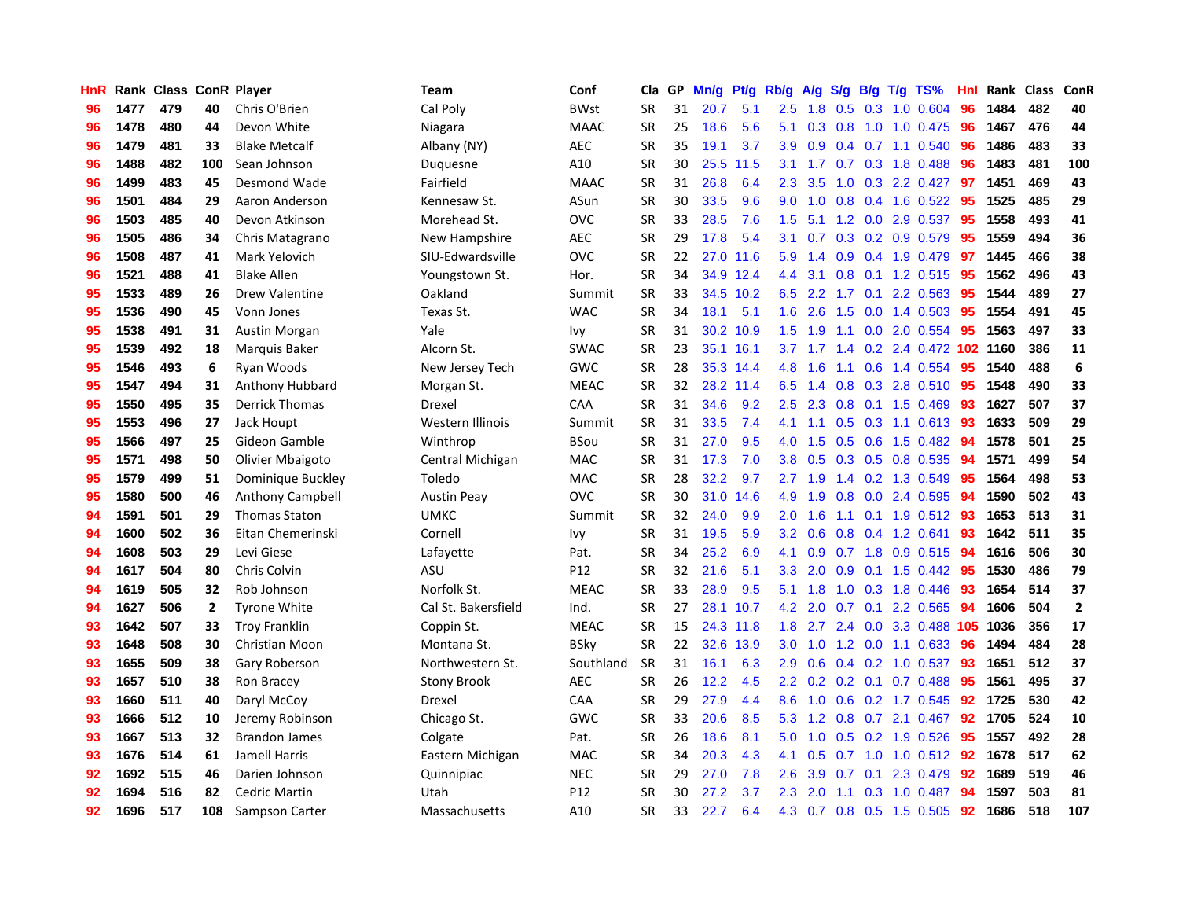| <b>HnR</b> |      | Rank Class ConR Player |              |                        | Team                | Conf            | Cla       | GP | Mn/g | <b>Pt/g</b> | Rb/g             | A/g |               |     | $S/g$ B/g T/g TS%         | Hnl | Rank | <b>Class</b> | ConR         |
|------------|------|------------------------|--------------|------------------------|---------------------|-----------------|-----------|----|------|-------------|------------------|-----|---------------|-----|---------------------------|-----|------|--------------|--------------|
| 96         | 1477 | 479                    | 40           | Chris O'Brien          | Cal Poly            | <b>BWst</b>     | <b>SR</b> | 31 | 20.7 | 5.1         | 2.5              | 1.8 | 0.5           |     | 0.3 1.0 0.604             | 96  | 1484 | 482          | 40           |
| 96         | 1478 | 480                    | 44           | Devon White            | Niagara             | <b>MAAC</b>     | <b>SR</b> | 25 | 18.6 | 5.6         | 5.1              | 0.3 |               |     | 0.8 1.0 1.0 0.475 96      |     | 1467 | 476          | 44           |
| 96         | 1479 | 481                    | 33           | <b>Blake Metcalf</b>   | Albany (NY)         | <b>AEC</b>      | <b>SR</b> | 35 | 19.1 | 3.7         | 3.9 <sup>°</sup> | 0.9 |               |     | $0.4$ 0.7 1.1 0.540       | 96  | 1486 | 483          | 33           |
| 96         | 1488 | 482                    | 100          | Sean Johnson           | Duquesne            | A10             | <b>SR</b> | 30 | 25.5 | 11.5        | 3.1              | 1.7 |               |     | 0.7 0.3 1.8 0.488         | 96  | 1483 | 481          | 100          |
| 96         | 1499 | 483                    | 45           | Desmond Wade           | Fairfield           | <b>MAAC</b>     | <b>SR</b> | 31 | 26.8 | 6.4         | 2.3              | 3.5 | 1.0           |     | 0.3 2.2 0.427             | 97  | 1451 | 469          | 43           |
| 96         | 1501 | 484                    | 29           | Aaron Anderson         | Kennesaw St.        | ASun            | <b>SR</b> | 30 | 33.5 | 9.6         | 9.0              | 1.0 |               |     | $0.8$ 0.4 1.6 0.522       | -95 | 1525 | 485          | 29           |
| 96         | 1503 | 485                    | 40           | Devon Atkinson         | Morehead St.        | <b>OVC</b>      | <b>SR</b> | 33 | 28.5 | 7.6         | 1.5              | 5.1 |               |     | 1.2 0.0 2.9 0.537         | 95  | 1558 | 493          | 41           |
| 96         | 1505 | 486                    | 34           | Chris Matagrano        | New Hampshire       | <b>AEC</b>      | <b>SR</b> | 29 | 17.8 | 5.4         | 3.1              | 0.7 | 0.3           |     | $0.2$ 0.9 0.579           | 95  | 1559 | 494          | 36           |
| 96         | 1508 | 487                    | 41           | Mark Yelovich          | SIU-Edwardsville    | <b>OVC</b>      | <b>SR</b> | 22 | 27.0 | 11.6        | 5.9              | 1.4 | 0.9           |     | 0.4 1.9 0.479             | 97  | 1445 | 466          | 38           |
| 96         | 1521 | 488                    | 41           | <b>Blake Allen</b>     | Youngstown St.      | Hor.            | <b>SR</b> | 34 |      | 34.9 12.4   | $4.4^{\circ}$    | 3.1 |               |     | 0.8 0.1 1.2 0.515 95      |     | 1562 | 496          | 43           |
| 95         | 1533 | 489                    | 26           | Drew Valentine         | Oakland             | Summit          | <b>SR</b> | 33 |      | 34.5 10.2   | 6.5              | 2.2 |               |     | 1.7 0.1 2.2 0.563 95      |     | 1544 | 489          | 27           |
| 95         | 1536 | 490                    | 45           | Vonn Jones             | Texas St.           | <b>WAC</b>      | <b>SR</b> | 34 | 18.1 | 5.1         | 1.6              | 2.6 |               |     | 1.5 0.0 1.4 0.503         | -95 | 1554 | 491          | 45           |
| 95         | 1538 | 491                    | 31           | <b>Austin Morgan</b>   | Yale                | Ivy             | <b>SR</b> | 31 | 30.2 | 10.9        | 1.5              | 1.9 | 1.1           |     | 0.0 2.0 0.554             | -95 | 1563 | 497          | 33           |
| 95         | 1539 | 492                    | 18           | Marquis Baker          | Alcorn St.          | SWAC            | <b>SR</b> | 23 |      | 35.1 16.1   | 3.7              | 1.7 | $1.4^{\circ}$ |     | 0.2 2.4 0.472 102 1160    |     |      | 386          | 11           |
| 95         | 1546 | 493                    | 6            | Ryan Woods             | New Jersey Tech     | <b>GWC</b>      | <b>SR</b> | 28 |      | 35.3 14.4   | 4.8              | 1.6 | 1.1           |     | 0.6 1.4 0.554             | 95  | 1540 | 488          | 6            |
| 95         | 1547 | 494                    | 31           | <b>Anthony Hubbard</b> | Morgan St.          | <b>MEAC</b>     | <b>SR</b> | 32 |      | 28.2 11.4   | 6.5              | 1.4 | 0.8           |     | 0.3 2.8 0.510             | 95  | 1548 | 490          | 33           |
| 95         | 1550 | 495                    | 35           | <b>Derrick Thomas</b>  | Drexel              | CAA             | <b>SR</b> | 31 | 34.6 | 9.2         | 2.5              | 2.3 | 0.8           |     | $0.1$ 1.5 0.469           | 93  | 1627 | 507          | 37           |
| 95         | 1553 | 496                    | 27           | Jack Houpt             | Western Illinois    | Summit          | <b>SR</b> | 31 | 33.5 | 7.4         | 4.1              | 1.1 | 0.5           |     | $0.3$ 1.1 0.613           | -93 | 1633 | 509          | 29           |
| 95         | 1566 | 497                    | 25           | Gideon Gamble          | Winthrop            | <b>BSou</b>     | <b>SR</b> | 31 | 27.0 | 9.5         | 4.0              | 1.5 |               |     | 0.5 0.6 1.5 0.482 94      |     | 1578 | 501          | 25           |
| 95         | 1571 | 498                    | 50           | Olivier Mbaigoto       | Central Michigan    | <b>MAC</b>      | <b>SR</b> | 31 | 17.3 | 7.0         | 3.8 <sub>2</sub> | 0.5 |               |     | $0.3$ $0.5$ $0.8$ $0.535$ | 94  | 1571 | 499          | 54           |
| 95         | 1579 | 499                    | 51           | Dominique Buckley      | Toledo              | MAC             | <b>SR</b> | 28 | 32.2 | 9.7         | $2.7^{\circ}$    | 1.9 |               |     | 1.4 0.2 1.3 0.549         | 95  | 1564 | 498          | 53           |
| 95         | 1580 | 500                    | 46           | Anthony Campbell       | <b>Austin Peay</b>  | <b>OVC</b>      | <b>SR</b> | 30 | 31.0 | 14.6        | 4.9              | 1.9 | 0.8           |     | 0.0 2.4 0.595             | 94  | 1590 | 502          | 43           |
| 94         | 1591 | 501                    | 29           | <b>Thomas Staton</b>   | <b>UMKC</b>         | Summit          | <b>SR</b> | 32 | 24.0 | 9.9         | 2.0              | 1.6 | 1.1           |     | 0.1 1.9 0.512 93          |     | 1653 | 513          | 31           |
| 94         | 1600 | 502                    | 36           | Eitan Chemerinski      | Cornell             | Ivy             | <b>SR</b> | 31 | 19.5 | 5.9         | 3.2              | 0.6 | 0.8           |     | 0.4 1.2 0.641             | 93  | 1642 | 511          | 35           |
| 94         | 1608 | 503                    | 29           | Levi Giese             | Lafayette           | Pat.            | <b>SR</b> | 34 | 25.2 | 6.9         | 4.1              | 0.9 |               |     | $0.7$ 1.8 0.9 0.515       | -94 | 1616 | 506          | 30           |
| 94         | 1617 | 504                    | 80           | Chris Colvin           | ASU                 | P <sub>12</sub> | <b>SR</b> | 32 | 21.6 | 5.1         | 3.3              | 2.0 | 0.9           |     | $0.1$ 1.5 0.442           | -95 | 1530 | 486          | 79           |
| 94         | 1619 | 505                    | 32           | Rob Johnson            | Norfolk St.         | <b>MEAC</b>     | <b>SR</b> | 33 | 28.9 | 9.5         | 5.1              | 1.8 |               |     | 1.0 0.3 1.8 0.446         | -93 | 1654 | 514          | 37           |
| 94         | 1627 | 506                    | $\mathbf{2}$ | <b>Tyrone White</b>    | Cal St. Bakersfield | Ind.            | <b>SR</b> | 27 |      | 28.1 10.7   | 4.2              | 2.0 |               |     | 0.7 0.1 2.2 0.565 94      |     | 1606 | 504          | $\mathbf{2}$ |
| 93         | 1642 | 507                    | 33           | <b>Troy Franklin</b>   | Coppin St.          | <b>MEAC</b>     | <b>SR</b> | 15 |      | 24.3 11.8   | 1.8              | 2.7 |               |     | 2.4 0.0 3.3 0.488 105     |     | 1036 | 356          | 17           |
| 93         | 1648 | 508                    | 30           | Christian Moon         | Montana St.         | <b>BSky</b>     | <b>SR</b> | 22 | 32.6 | 13.9        | 3.0 <sub>1</sub> | 1.0 |               |     | 1.2 0.0 1.1 0.633         | -96 | 1494 | 484          | 28           |
| 93         | 1655 | 509                    | 38           | Gary Roberson          | Northwestern St.    | Southland       | <b>SR</b> | 31 | 16.1 | 6.3         | 2.9 <sup>°</sup> | 0.6 | $0.4^{\circ}$ |     | 0.2 1.0 0.537             | 93  | 1651 | 512          | 37           |
| 93         | 1657 | 510                    | 38           | Ron Bracey             | <b>Stony Brook</b>  | <b>AEC</b>      | <b>SR</b> | 26 | 12.2 | 4.5         | $2.2^{\circ}$    | 0.2 |               |     | $0.2$ 0.1 0.7 0.488       | -95 | 1561 | 495          | 37           |
| 93         | 1660 | 511                    | 40           | Daryl McCoy            | Drexel              | CAA             | <b>SR</b> | 29 | 27.9 | 4.4         | 8.6              | 1.0 | 0.6           |     | 0.2 1.7 0.545             | 92  | 1725 | 530          | 42           |
| 93         | 1666 | 512                    | 10           | Jeremy Robinson        | Chicago St.         | GWC             | <b>SR</b> | 33 | 20.6 | 8.5         | 5.3              | 1.2 | 0.8           |     | $0.7$ 2.1 $0.467$         | 92  | 1705 | 524          | ${\bf 10}$   |
| 93         | 1667 | 513                    | 32           | <b>Brandon James</b>   | Colgate             | Pat.            | <b>SR</b> | 26 | 18.6 | 8.1         | 5.0              | 1.0 | 0.5           |     | 0.2 1.9 0.526             | 95  | 1557 | 492          | 28           |
| 93         | 1676 | 514                    | 61           | <b>Jamell Harris</b>   | Eastern Michigan    | <b>MAC</b>      | <b>SR</b> | 34 | 20.3 | 4.3         | 4.1              | 0.5 |               |     | 0.7 1.0 1.0 0.512 92      |     | 1678 | 517          | 62           |
| 92         | 1692 | 515                    | 46           | Darien Johnson         | Quinnipiac          | <b>NEC</b>      | <b>SR</b> | 29 | 27.0 | 7.8         | $2.6^{\circ}$    | 3.9 | 0.7           | 0.1 | 2.3 0.479                 | -92 | 1689 | 519          | 46           |
| 92         | 1694 | 516                    | 82           | Cedric Martin          | Utah                | P <sub>12</sub> | <b>SR</b> | 30 | 27.2 | 3.7         | 2.3              | 2.0 | 1.1           |     | $0.3$ 1.0 0.487           | 94  | 1597 | 503          | 81           |
| 92         | 1696 | 517                    | 108          | Sampson Carter         | Massachusetts       | A10             | <b>SR</b> | 33 | 22.7 | 6.4         | 4.3              | 0.7 |               |     | 0.8 0.5 1.5 0.505         | 92  | 1686 | 518          | 107          |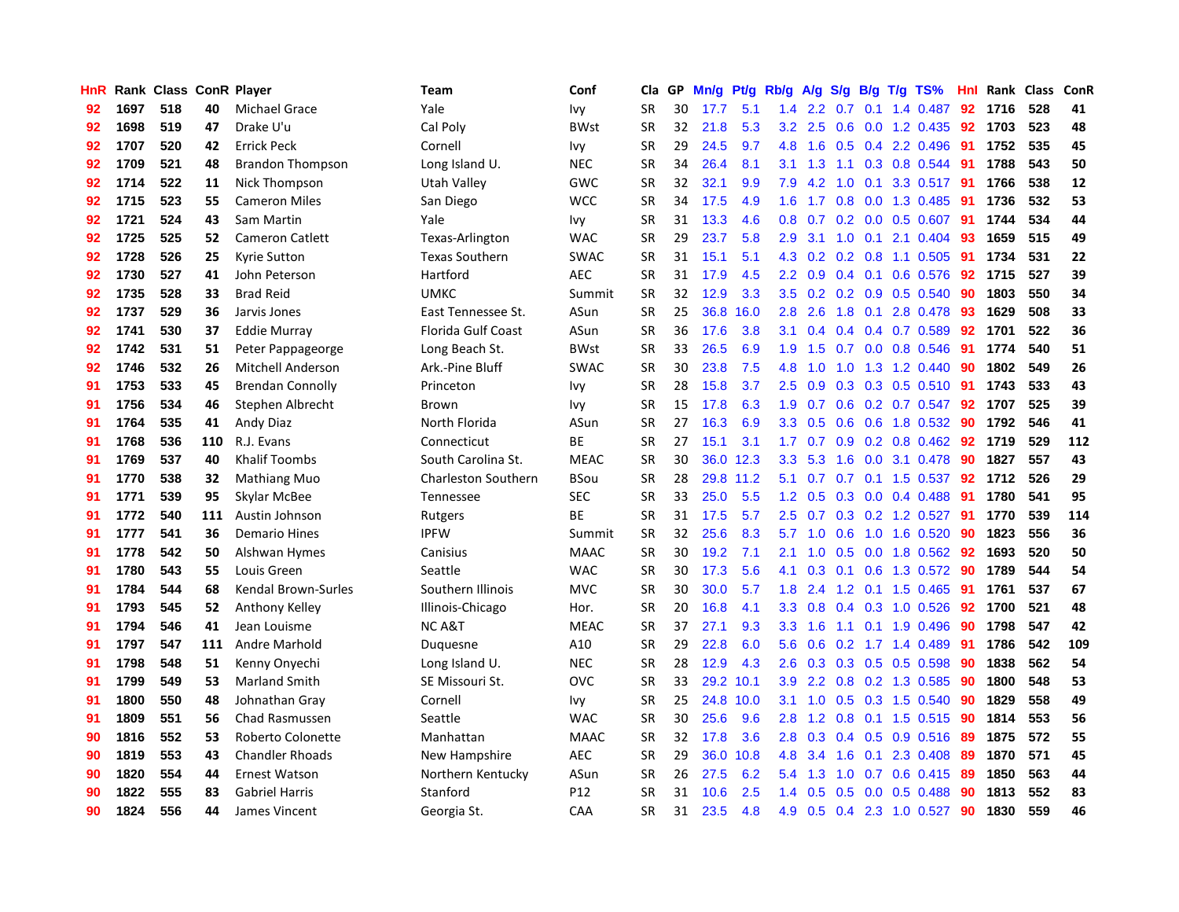| <b>HnR</b> |      | Rank Class ConR Player |     |                         | Team                       | Conf            | Cla       | GP | Mn/g | Pt/g      | Rb/g             | A/g             |               |     | $S/g$ B/g T/g TS%         | Hnl  | Rank Class |     | ConR |
|------------|------|------------------------|-----|-------------------------|----------------------------|-----------------|-----------|----|------|-----------|------------------|-----------------|---------------|-----|---------------------------|------|------------|-----|------|
| 92         | 1697 | 518                    | 40  | <b>Michael Grace</b>    | Yale                       | Ivy             | <b>SR</b> | 30 | 17.7 | 5.1       | 1.4              | 2.2             | 0.7           | 0.1 | 1.4 0.487                 | 92   | 1716       | 528 | 41   |
| 92         | 1698 | 519                    | 47  | Drake U'u               | Cal Poly                   | <b>BWst</b>     | <b>SR</b> | 32 | 21.8 | 5.3       |                  | $3.2$ $2.5$     |               |     | 0.6 0.0 1.2 0.435 92      |      | 1703       | 523 | 48   |
| 92         | 1707 | 520                    | 42  | <b>Errick Peck</b>      | Cornell                    | Ivy             | <b>SR</b> | 29 | 24.5 | 9.7       | 4.8              | 1.6             |               |     | $0.5$ 0.4 2.2 0.496       | -91  | 1752       | 535 | 45   |
| 92         | 1709 | 521                    | 48  | <b>Brandon Thompson</b> | Long Island U.             | <b>NEC</b>      | <b>SR</b> | 34 | 26.4 | 8.1       | 3.1              | 1.3             |               |     | 1.1 0.3 0.8 0.544         | -91  | 1788       | 543 | 50   |
| 92         | 1714 | 522                    | 11  | Nick Thompson           | Utah Valley                | GWC             | SR        | 32 | 32.1 | 9.9       | 7.9              | 4.2             | 1.0           |     | 0.1 3.3 0.517             | -91  | 1766       | 538 | 12   |
| 92         | 1715 | 523                    | 55  | <b>Cameron Miles</b>    | San Diego                  | <b>WCC</b>      | <b>SR</b> | 34 | 17.5 | 4.9       | 1.6              | 1.7             | 0.8           |     | 0.0 1.3 0.485             | 91   | 1736       | 532 | 53   |
| 92         | 1721 | 524                    | 43  | Sam Martin              | Yale                       | Ivy             | <b>SR</b> | 31 | 13.3 | 4.6       | 0.8 <sub>0</sub> | 0.7             |               |     | $0.2$ 0.0 0.5 0.607       | -91  | 1744       | 534 | 44   |
| 92         | 1725 | 525                    | 52  | <b>Cameron Catlett</b>  | Texas-Arlington            | <b>WAC</b>      | <b>SR</b> | 29 | 23.7 | 5.8       | 2.9 <sup>°</sup> | 3.1             | 1.0           | 0.1 | 2.1 0.404                 | -93  | 1659       | 515 | 49   |
| 92         | 1728 | 526                    | 25  | <b>Kyrie Sutton</b>     | <b>Texas Southern</b>      | <b>SWAC</b>     | <b>SR</b> | 31 | 15.1 | 5.1       | 4.3              | 0.2             | 0.2           |     | 0.8 1.1 0.505             | -91  | 1734       | 531 | 22   |
| 92         | 1730 | 527                    | 41  | John Peterson           | Hartford                   | <b>AEC</b>      | <b>SR</b> | 31 | 17.9 | 4.5       | $2.2^{\circ}$    | 0.9             |               |     | $0.4$ 0.1 0.6 0.576       | - 92 | 1715       | 527 | 39   |
| 92         | 1735 | 528                    | 33  | <b>Brad Reid</b>        | <b>UMKC</b>                | Summit          | <b>SR</b> | 32 | 12.9 | 3.3       |                  |                 |               |     | 3.5 0.2 0.2 0.9 0.5 0.540 | -90  | 1803       | 550 | 34   |
| 92         | 1737 | 529                    | 36  | Jarvis Jones            | East Tennessee St.         | ASun            | <b>SR</b> | 25 | 36.8 | 16.0      | 2.8              | 2.6             |               |     | 1.8 0.1 2.8 0.478         | -93  | 1629       | 508 | 33   |
| 92         | 1741 | 530                    | 37  | Eddie Murray            | <b>Florida Gulf Coast</b>  | ASun            | <b>SR</b> | 36 | 17.6 | 3.8       | 3.1              | 0.4             |               |     | $0.4$ 0.4 0.7 0.589       | 92   | 1701       | 522 | 36   |
| 92         | 1742 | 531                    | 51  | Peter Pappageorge       | Long Beach St.             | <b>BWst</b>     | <b>SR</b> | 33 | 26.5 | 6.9       | 1.9              | 1.5             |               |     | 0.7 0.0 0.8 0.546         | 91   | 1774       | 540 | 51   |
| 92         | 1746 | 532                    | 26  | Mitchell Anderson       | Ark.-Pine Bluff            | <b>SWAC</b>     | <b>SR</b> | 30 | 23.8 | 7.5       | 4.8              | 1.0             | 1.0           |     | 1.3 1.2 0.440             | 90   | 1802       | 549 | 26   |
| 91         | 1753 | 533                    | 45  | <b>Brendan Connolly</b> | Princeton                  | <b>Ivy</b>      | <b>SR</b> | 28 | 15.8 | 3.7       | 2.5              | 0.9             | 0.3           |     | $0.3$ 0.5 0.510           | 91   | 1743       | 533 | 43   |
| 91         | 1756 | 534                    | 46  | Stephen Albrecht        | Brown                      | Ivy             | <b>SR</b> | 15 | 17.8 | 6.3       | 1.9              | 0.7             | 0.6           |     | $0.2$ 0.7 0.547           | 92   | 1707       | 525 | 39   |
| 91         | 1764 | 535                    | 41  | Andy Diaz               | North Florida              | ASun            | <b>SR</b> | 27 | 16.3 | 6.9       | 3.3 <sub>2</sub> | 0.5             | 0.6           |     | 0.6 1.8 0.532             | 90   | 1792       | 546 | 41   |
| 91         | 1768 | 536                    | 110 | R.J. Evans              | Connecticut                | <b>BE</b>       | <b>SR</b> | 27 | 15.1 | 3.1       | 1.7 <sub>z</sub> | 0.7             |               |     | 0.9 0.2 0.8 0.462 92      |      | 1719       | 529 | 112  |
| 91         | 1769 | 537                    | 40  | <b>Khalif Toombs</b>    | South Carolina St.         | <b>MEAC</b>     | <b>SR</b> | 30 |      | 36.0 12.3 | 3.3 <sub>2</sub> | 5.3             |               |     | 1.6 0.0 3.1 0.478 90      |      | 1827       | 557 | 43   |
| 91         | 1770 | 538                    | 32  | <b>Mathiang Muo</b>     | <b>Charleston Southern</b> | <b>BSou</b>     | <b>SR</b> | 28 | 29.8 | 11.2      | 5.1              | 0.7             |               |     | $0.7$ 0.1 1.5 0.537       | 92   | 1712       | 526 | 29   |
| 91         | 1771 | 539                    | 95  | Skylar McBee            | Tennessee                  | <b>SEC</b>      | <b>SR</b> | 33 | 25.0 | 5.5       | 1.2              | 0.5             |               |     | 0.3 0.0 0.4 0.488         | 91   | 1780       | 541 | 95   |
| 91         | 1772 | 540                    | 111 | Austin Johnson          | Rutgers                    | BE              | <b>SR</b> | 31 | 17.5 | 5.7       | $2.5\,$          | 0.7             |               |     | 0.3 0.2 1.2 0.527         | 91   | 1770       | 539 | 114  |
| 91         | 1777 | 541                    | 36  | <b>Demario Hines</b>    | <b>IPFW</b>                | Summit          | <b>SR</b> | 32 | 25.6 | 8.3       | 5.7              | 1.0             | 0.6           |     | 1.0 1.6 0.520             | 90   | 1823       | 556 | 36   |
| 91         | 1778 | 542                    | 50  | Alshwan Hymes           | Canisius                   | <b>MAAC</b>     | <b>SR</b> | 30 | 19.2 | 7.1       | 2.1              | 1.0             | 0.5           |     | $0.0$ 1.8 $0.562$         | 92   | 1693       | 520 | 50   |
| 91         | 1780 | 543                    | 55  | Louis Green             | Seattle                    | <b>WAC</b>      | <b>SR</b> | 30 | 17.3 | 5.6       | 4.1              | 0.3             |               |     | 0.1 0.6 1.3 0.572 90      |      | 1789       | 544 | 54   |
| 91         | 1784 | 544                    | 68  | Kendal Brown-Surles     | Southern Illinois          | <b>MVC</b>      | <b>SR</b> | 30 | 30.0 | 5.7       | 1.8              | 2.4             |               |     | 1.2 0.1 1.5 0.465 91      |      | 1761       | 537 | 67   |
| 91         | 1793 | 545                    | 52  | Anthony Kelley          | Illinois-Chicago           | Hor.            | <b>SR</b> | 20 | 16.8 | 4.1       |                  | $3.3 \quad 0.8$ |               |     | 0.4 0.3 1.0 0.526 92      |      | 1700       | 521 | 48   |
| 91         | 1794 | 546                    | 41  | Jean Louisme            | NC A&T                     | <b>MEAC</b>     | <b>SR</b> | 37 | 27.1 | 9.3       | 3.3 <sub>2</sub> | 1.6             |               |     | 1.1 0.1 1.9 0.496         | -90  | 1798       | 547 | 42   |
| 91         | 1797 | 547                    | 111 | Andre Marhold           | Duquesne                   | A10             | <b>SR</b> | 29 | 22.8 | 6.0       | 5.6              | 0.6             |               |     | $0.2$ 1.7 1.4 0.489       | -91  | 1786       | 542 | 109  |
| 91         | 1798 | 548                    | 51  | Kenny Onyechi           | Long Island U.             | <b>NEC</b>      | <b>SR</b> | 28 | 12.9 | 4.3       | 2.6              | 0.3             |               |     | 0.3 0.5 0.5 0.598         | 90   | 1838       | 562 | 54   |
| 91         | 1799 | 549                    | 53  | <b>Marland Smith</b>    | SE Missouri St.            | <b>OVC</b>      | <b>SR</b> | 33 |      | 29.2 10.1 | 3.9 <sup>°</sup> | 2.2             |               |     | 0.8 0.2 1.3 0.585         | -90  | 1800       | 548 | 53   |
| 91         | 1800 | 550                    | 48  | Johnathan Gray          | Cornell                    | lvy             | <b>SR</b> | 25 | 24.8 | 10.0      | 3.1              | 1.0             | 0.5           |     | $0.3$ 1.5 $0.540$         | 90   | 1829       | 558 | 49   |
| 91         | 1809 | 551                    | 56  | <b>Chad Rasmussen</b>   | Seattle                    | <b>WAC</b>      | <b>SR</b> | 30 | 25.6 | 9.6       | 2.8 <sub>1</sub> | 1.2             | 0.8           |     | $0.1$ 1.5 0.515           | -90  | 1814       | 553 | 56   |
| 90         | 1816 | 552                    | 53  | Roberto Colonette       | Manhattan                  | <b>MAAC</b>     | <b>SR</b> | 32 | 17.8 | 3.6       | 2.8 <sub>1</sub> | 0.3             | $0.4^{\circ}$ |     | 0.5 0.9 0.516             | -89  | 1875       | 572 | 55   |
| 90         | 1819 | 553                    | 43  | <b>Chandler Rhoads</b>  | New Hampshire              | <b>AEC</b>      | <b>SR</b> | 29 | 36.0 | 10.8      | 4.8              | 3.4             | 1.6           |     | 0.1 2.3 0.408 89          |      | 1870       | 571 | 45   |
| 90         | 1820 | 554                    | 44  | <b>Ernest Watson</b>    | Northern Kentucky          | ASun            | <b>SR</b> | 26 | 27.5 | 6.2       | $5.4^{\circ}$    | 1.3             | 1.0           |     | 0.7 0.6 0.415 89          |      | 1850       | 563 | 44   |
| 90         | 1822 | 555                    | 83  | <b>Gabriel Harris</b>   | Stanford                   | P <sub>12</sub> | <b>SR</b> | 31 | 10.6 | 2.5       | $1.4^{\circ}$    | 0.5             |               |     | $0.5$ 0.0 0.5 0.488       | -90  | 1813       | 552 | 83   |
| 90         | 1824 | 556                    | 44  | James Vincent           | Georgia St.                | CAA             | <b>SR</b> | 31 | 23.5 | 4.8       | 4.9              | 0.5             |               |     | 0.4 2.3 1.0 0.527         | 90   | 1830       | 559 | 46   |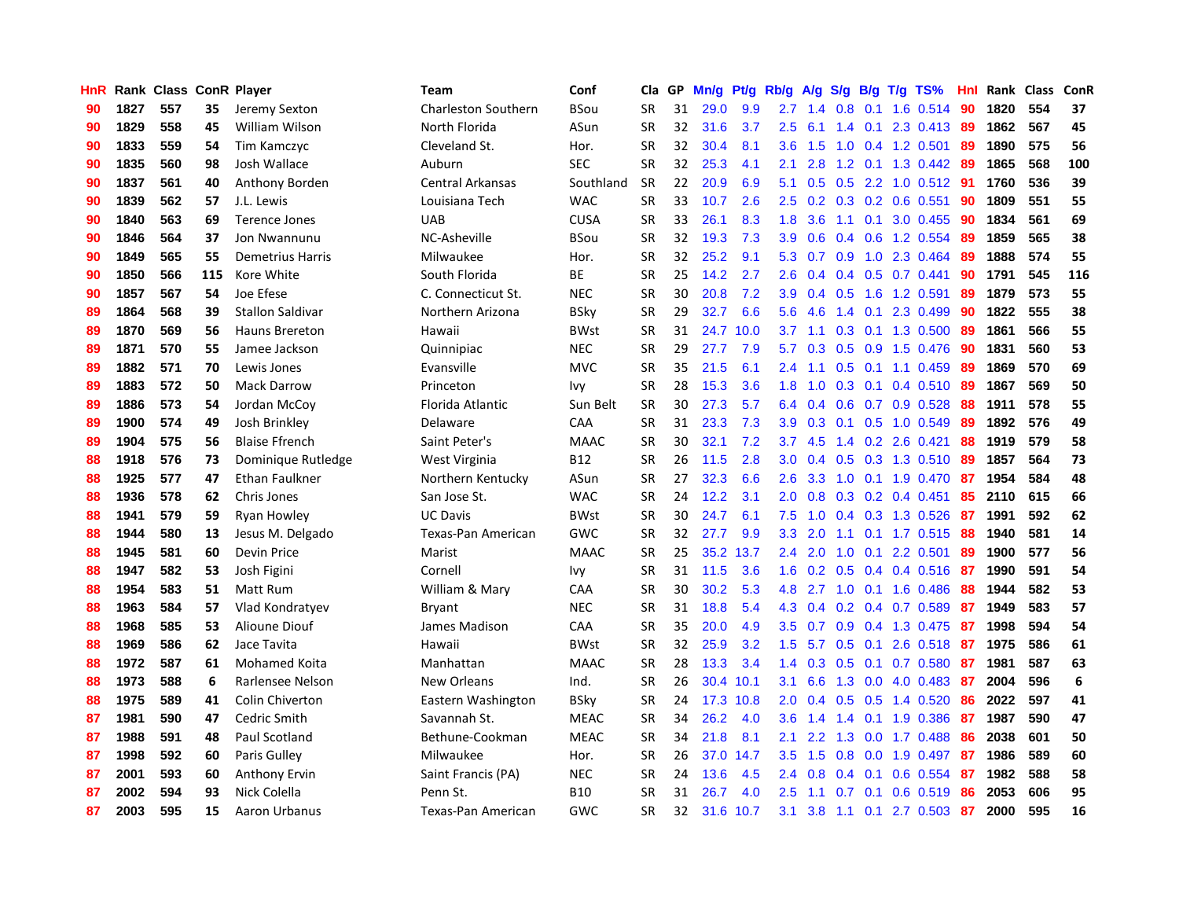| HnR |      | Rank Class ConR Player |     |                         | <b>Team</b>                | Conf        | Cla       | <b>GP</b> | Mn/g | <b>Pt/g</b> | Rb/g             | A/g | S/g           |                 | B/g T/g TS%               | Hnl | Rank | <b>Class</b> | ConR |
|-----|------|------------------------|-----|-------------------------|----------------------------|-------------|-----------|-----------|------|-------------|------------------|-----|---------------|-----------------|---------------------------|-----|------|--------------|------|
| 90  | 1827 | 557                    | 35  | Jeremy Sexton           | <b>Charleston Southern</b> | BSou        | <b>SR</b> | 31        | 29.0 | 9.9         | 2.7              | 1.4 | 0.8           | 0.1             | 1.6 0.514                 | -90 | 1820 | 554          | 37   |
| 90  | 1829 | 558                    | 45  | <b>William Wilson</b>   | North Florida              | ASun        | <b>SR</b> | 32        | 31.6 | 3.7         | 2.5              | 6.1 |               |                 | 1.4 0.1 2.3 0.413 89      |     | 1862 | 567          | 45   |
| 90  | 1833 | 559                    | 54  | Tim Kamczyc             | Cleveland St.              | Hor.        | <b>SR</b> | 32        | 30.4 | 8.1         | 3.6              | 1.5 |               |                 | 1.0 0.4 1.2 0.501 89      |     | 1890 | 575          | 56   |
| 90  | 1835 | 560                    | 98  | Josh Wallace            | Auburn                     | <b>SEC</b>  | <b>SR</b> | 32        | 25.3 | 4.1         | 2.1              | 2.8 |               |                 | 1.2 0.1 1.3 0.442         | -89 | 1865 | 568          | 100  |
| 90  | 1837 | 561                    | 40  | Anthony Borden          | <b>Central Arkansas</b>    | Southland   | <b>SR</b> | 22        | 20.9 | 6.9         | 5.1              | 0.5 | 0.5           |                 | 2.2 1.0 0.512 91          |     | 1760 | 536          | 39   |
| 90  | 1839 | 562                    | 57  | J.L. Lewis              | Louisiana Tech             | <b>WAC</b>  | <b>SR</b> | 33        | 10.7 | 2.6         | $2.5^{\circ}$    | 0.2 |               |                 | $0.3$ 0.2 0.6 0.551       | 90  | 1809 | 551          | 55   |
| 90  | 1840 | 563                    | 69  | Terence Jones           | <b>UAB</b>                 | <b>CUSA</b> | <b>SR</b> | 33        | 26.1 | 8.3         | 1.8              | 3.6 |               | $1.1 \quad 0.1$ | 3.0 0.455                 | 90  | 1834 | 561          | 69   |
| 90  | 1846 | 564                    | 37  | <b>Jon Nwannunu</b>     | NC-Asheville               | BSou        | <b>SR</b> | 32        | 19.3 | 7.3         | 3.9 <sup>°</sup> | 0.6 |               |                 | $0.4$ 0.6 1.2 0.554       | -89 | 1859 | 565          | 38   |
| 90  | 1849 | 565                    | 55  | <b>Demetrius Harris</b> | Milwaukee                  | Hor.        | <b>SR</b> | 32        | 25.2 | 9.1         | 5.3              | 0.7 | 0.9           |                 | 1.0 2.3 0.464             | -89 | 1888 | 574          | 55   |
| 90  | 1850 | 566                    | 115 | Kore White              | South Florida              | ВE          | <b>SR</b> | 25        | 14.2 | 2.7         | 2.6              | 0.4 |               |                 | $0.4$ 0.5 0.7 0.441       | 90  | 1791 | 545          | 116  |
| 90  | 1857 | 567                    | 54  | Joe Efese               | C. Connecticut St.         | <b>NEC</b>  | <b>SR</b> | 30        | 20.8 | 7.2         |                  |     |               |                 | 3.9 0.4 0.5 1.6 1.2 0.591 | -89 | 1879 | 573          | 55   |
| 89  | 1864 | 568                    | 39  | <b>Stallon Saldivar</b> | Northern Arizona           | <b>BSky</b> | <b>SR</b> | 29        | 32.7 | 6.6         | 5.6              | 4.6 |               |                 | 1.4 0.1 2.3 0.499         | -90 | 1822 | 555          | 38   |
| 89  | 1870 | 569                    | 56  | <b>Hauns Brereton</b>   | Hawaii                     | BWst        | <b>SR</b> | 31        | 24.7 | 10.0        | 3.7              | 1.1 |               |                 | 0.3 0.1 1.3 0.500         | -89 | 1861 | 566          | 55   |
| 89  | 1871 | 570                    | 55  | Jamee Jackson           | Quinnipiac                 | <b>NEC</b>  | <b>SR</b> | 29        | 27.7 | 7.9         | 5.7              | 0.3 | 0.5           |                 | 0.9 1.5 0.476             | 90  | 1831 | 560          | 53   |
| 89  | 1882 | 571                    | 70  | Lewis Jones             | Evansville                 | <b>MVC</b>  | <b>SR</b> | 35        | 21.5 | 6.1         | 2.4              | 1.1 |               |                 | $0.5$ 0.1 1.1 0.459       | 89  | 1869 | 570          | 69   |
| 89  | 1883 | 572                    | 50  | <b>Mack Darrow</b>      | Princeton                  | Ivy         | <b>SR</b> | 28        | 15.3 | 3.6         | 1.8              | 1.0 | 0.3           | 0.1             | 0.4 0.510                 | -89 | 1867 | 569          | 50   |
| 89  | 1886 | 573                    | 54  | Jordan McCov            | Florida Atlantic           | Sun Belt    | <b>SR</b> | 30        | 27.3 | 5.7         | 6.4              | 0.4 | 0.6           |                 | $0.7$ 0.9 0.528           | 88  | 1911 | 578          | 55   |
| 89  | 1900 | 574                    | 49  | Josh Brinkley           | Delaware                   | CAA         | <b>SR</b> | 31        | 23.3 | 7.3         | 3.9              | 0.3 | 0.1           |                 | 0.5 1.0 0.549             | 89  | 1892 | 576          | 49   |
| 89  | 1904 | 575                    | 56  | <b>Blaise Ffrench</b>   | Saint Peter's              | <b>MAAC</b> | <b>SR</b> | 30        | 32.1 | 7.2         | 3.7              | 4.5 |               |                 | 1.4 0.2 2.6 0.421         | 88  | 1919 | 579          | 58   |
| 88  | 1918 | 576                    | 73  | Dominique Rutledge      | West Virginia              | <b>B12</b>  | <b>SR</b> | 26        | 11.5 | 2.8         | 3.0 <sub>2</sub> | 0.4 |               |                 | 0.5 0.3 1.3 0.510 89      |     | 1857 | 564          | 73   |
| 88  | 1925 | 577                    | 47  | Ethan Faulkner          | Northern Kentucky          | ASun        | <b>SR</b> | 27        | 32.3 | 6.6         | 2.6              | 3.3 |               |                 | 1.0 0.1 1.9 0.470         | -87 | 1954 | 584          | 48   |
| 88  | 1936 | 578                    | 62  | Chris Jones             | San Jose St.               | <b>WAC</b>  | <b>SR</b> | 24        | 12.2 | 3.1         | 2.0              | 0.8 |               |                 | $0.3$ 0.2 0.4 0.451       | 85  | 2110 | 615          | 66   |
| 88  | 1941 | 579                    | 59  | Ryan Howley             | <b>UC Davis</b>            | <b>BWst</b> | <b>SR</b> | 30        | 24.7 | 6.1         | 7.5              | 1.0 |               |                 | $0.4$ 0.3 1.3 0.526       | 87  | 1991 | 592          | 62   |
| 88  | 1944 | 580                    | 13  | Jesus M. Delgado        | Texas-Pan American         | <b>GWC</b>  | <b>SR</b> | 32        | 27.7 | 9.9         | 3.3              | 2.0 |               |                 | 1.1 0.1 1.7 0.515         | 88  | 1940 | 581          | 14   |
| 88  | 1945 | 581                    | 60  | Devin Price             | Marist                     | <b>MAAC</b> | <b>SR</b> | 25        | 35.2 | 13.7        | 2.4              | 2.0 | 1.0           | 0.1             | 2.2 0.501                 | 89  | 1900 | 577          | 56   |
| 88  | 1947 | 582                    | 53  | Josh Figini             | Cornell                    | Ivy         | <b>SR</b> | 31        | 11.5 | 3.6         | 1.6              | 0.2 | 0.5           |                 | 0.4 0.4 0.516             | -87 | 1990 | 591          | 54   |
| 88  | 1954 | 583                    | 51  | Matt Rum                | William & Mary             | CAA         | <b>SR</b> | 30        | 30.2 | 5.3         | 4.8              | 2.7 |               |                 | 1.0 0.1 1.6 0.486         | -88 | 1944 | 582          | 53   |
| 88  | 1963 | 584                    | 57  | Vlad Kondratyev         | Bryant                     | <b>NEC</b>  | <b>SR</b> | 31        | 18.8 | 5.4         | 4.3              |     |               |                 | $0.4$ 0.2 0.4 0.7 0.589   | -87 | 1949 | 583          | 57   |
| 88  | 1968 | 585                    | 53  | Alioune Diouf           | James Madison              | CAA         | <b>SR</b> | 35        | 20.0 | 4.9         | 3.5              | 0.7 |               |                 | 0.9 0.4 1.3 0.475 87      |     | 1998 | 594          | 54   |
| 88  | 1969 | 586                    | 62  | Jace Tavita             | Hawaii                     | <b>BWst</b> | <b>SR</b> | 32        | 25.9 | 3.2         | $1.5^{\circ}$    | 5.7 |               | $0.5 \quad 0.1$ | 2.6 0.518 87              |     | 1975 | 586          | 61   |
| 88  | 1972 | 587                    | 61  | <b>Mohamed Koita</b>    | Manhattan                  | <b>MAAC</b> | <b>SR</b> | 28        | 13.3 | 3.4         | 1.4              | 0.3 | 0.5           | 0.1             | 0.7 0.580                 | -87 | 1981 | 587          | 63   |
| 88  | 1973 | 588                    | 6   | Rarlensee Nelson        | New Orleans                | Ind.        | <b>SR</b> | 26        | 30.4 | 10.1        | 3.1              | 6.6 | 1.3           |                 | $0.0$ 4.0 0.483           | -87 | 2004 | 596          | 6    |
| 88  | 1975 | 589                    | 41  | <b>Colin Chiverton</b>  | Eastern Washington         | BSky        | <b>SR</b> | 24        | 17.3 | 10.8        | 2.0              | 0.4 | 0.5           |                 | $0.5$ 1.4 0.520           | 86  | 2022 | 597          | 41   |
| 87  | 1981 | 590                    | 47  | Cedric Smith            | Savannah St.               | <b>MEAC</b> | <b>SR</b> | 34        | 26.2 | 4.0         | 3.6              | 1.4 | $1.4^{\circ}$ |                 | $0.1$ 1.9 0.386           | -87 | 1987 | 590          | 47   |
| 87  | 1988 | 591                    | 48  | Paul Scotland           | Bethune-Cookman            | <b>MEAC</b> | <b>SR</b> | 34        | 21.8 | 8.1         | 2.1              | 2.2 | 1.3           |                 | $0.0$ 1.7 $0.488$         | -86 | 2038 | 601          | 50   |
| 87  | 1998 | 592                    | 60  | Paris Gulley            | Milwaukee                  | Hor.        | SR        | 26        | 37.0 | 14.7        | 3.5              | 1.5 |               |                 | $0.8$ 0.0 1.9 0.497       | -87 | 1986 | 589          | 60   |
| 87  | 2001 | 593                    | 60  | <b>Anthony Ervin</b>    | Saint Francis (PA)         | <b>NEC</b>  | <b>SR</b> | 24        | 13.6 | 4.5         | 2.4              | 0.8 |               |                 | $0.4$ 0.1 0.6 0.554       | -87 | 1982 | 588          | 58   |
| 87  | 2002 | 594                    | 93  | Nick Colella            | Penn St.                   | B10         | SR        | 31        | 26.7 | 4.0         | $2.5\,$          | 1.1 |               | $0.7 \quad 0.1$ | $0.6$ $0.519$             | 86  | 2053 | 606          | 95   |
| 87  | 2003 | 595                    | 15  | Aaron Urbanus           | Texas-Pan American         | GWC         | <b>SR</b> | 32        | 31.6 | 10.7        | 3.1              | 3.8 |               |                 | 1.1 0.1 2.7 0.503         | 87  | 2000 | 595          | 16   |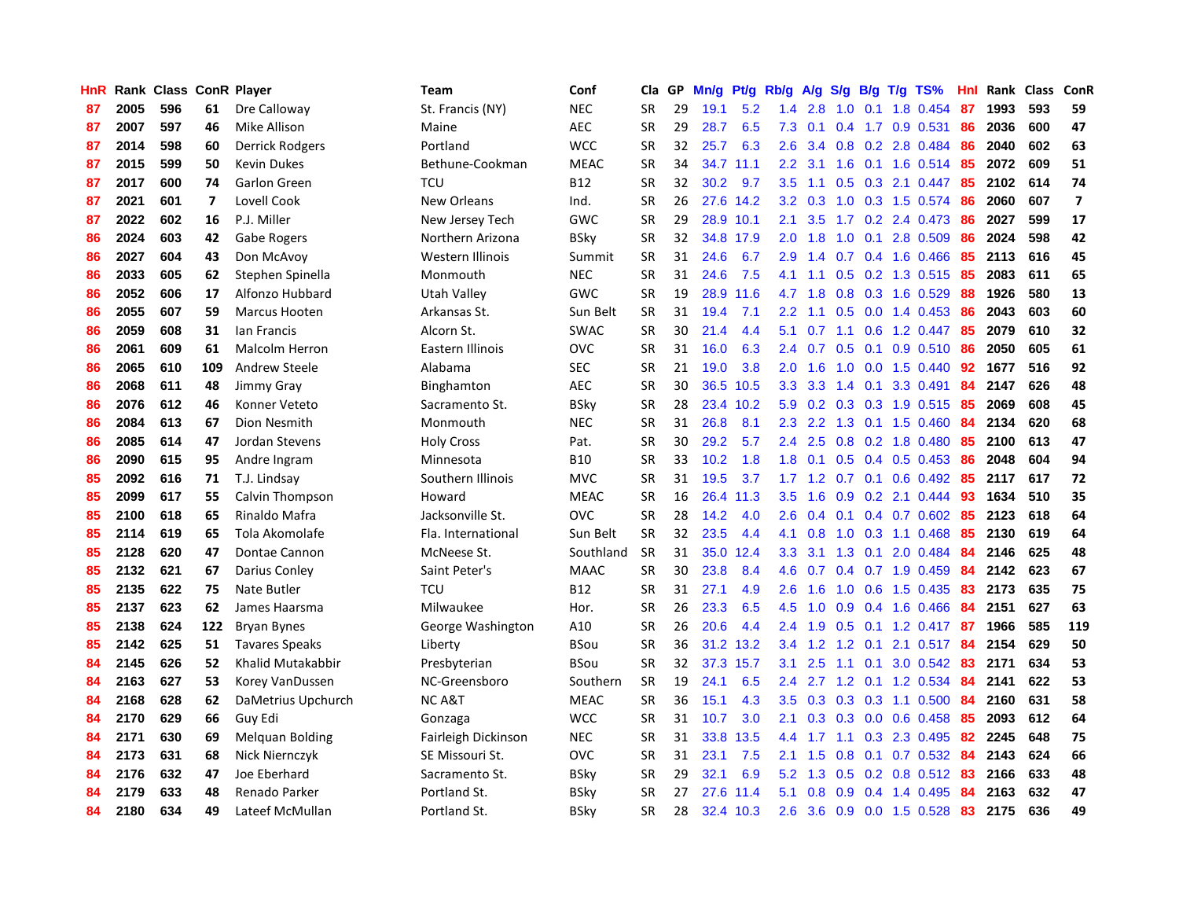| HnR |      | Rank Class ConR Player |     |                        | Team                | Conf        | Cla       | GP | Mn/g | <b>Pt/g</b> | Rb/g             | A/g             | S/g              |     | $B/g$ T/g TS%           | Hnl | Rank Class |     | ConR                    |
|-----|------|------------------------|-----|------------------------|---------------------|-------------|-----------|----|------|-------------|------------------|-----------------|------------------|-----|-------------------------|-----|------------|-----|-------------------------|
| 87  | 2005 | 596                    | 61  | Dre Calloway           | St. Francis (NY)    | <b>NEC</b>  | <b>SR</b> | 29 | 19.1 | 5.2         | 1.4              | 2.8             | 1.0              | 0.1 | 1.8 0.454               | 87  | 1993       | 593 | 59                      |
| 87  | 2007 | 597                    | 46  | Mike Allison           | Maine               | <b>AEC</b>  | SR        | 29 | 28.7 | 6.5         | 7.3              | 0.1             |                  |     | $0.4$ 1.7 0.9 0.531     | 86  | 2036       | 600 | 47                      |
| 87  | 2014 | 598                    | 60  | Derrick Rodgers        | Portland            | <b>WCC</b>  | <b>SR</b> | 32 | 25.7 | 6.3         | 2.6              | 3.4             |                  |     | 0.8 0.2 2.8 0.484       | -86 | 2040       | 602 | 63                      |
| 87  | 2015 | 599                    | 50  | <b>Kevin Dukes</b>     | Bethune-Cookman     | <b>MEAC</b> | <b>SR</b> | 34 | 34.7 | 11.1        | 2.2              | 3.1             |                  |     | 1.6 0.1 1.6 0.514 85    |     | 2072       | 609 | 51                      |
| 87  | 2017 | 600                    | 74  | Garlon Green           | TCU                 | <b>B12</b>  | <b>SR</b> | 32 | 30.2 | 9.7         | 3.5              | 1.1             |                  |     | $0.5$ $0.3$ 2.1 $0.447$ | 85  | 2102       | 614 | 74                      |
| 87  | 2021 | 601                    | 7   | Lovell Cook            | New Orleans         | Ind.        | <b>SR</b> | 26 | 27.6 | 14.2        | 3.2              | 0.3             | 1.0              |     | 0.3 1.5 0.574           | 86  | 2060       | 607 | $\overline{\mathbf{z}}$ |
| 87  | 2022 | 602                    | 16  | P.J. Miller            | New Jersey Tech     | GWC         | <b>SR</b> | 29 |      | 28.9 10.1   | 2.1              | 3.5             |                  |     | 1.7 0.2 2.4 0.473       | 86  | 2027       | 599 | 17                      |
| 86  | 2024 | 603                    | 42  | Gabe Rogers            | Northern Arizona    | BSky        | <b>SR</b> | 32 | 34.8 | 17.9        | 2.0              | 1.8             | 1.0              | 0.1 | 2.8 0.509               | 86  | 2024       | 598 | 42                      |
| 86  | 2027 | 604                    | 43  | Don McAvoy             | Western Illinois    | Summit      | <b>SR</b> | 31 | 24.6 | 6.7         | 2.9              | 1.4             |                  |     | 0.7 0.4 1.6 0.466       | 85  | 2113       | 616 | 45                      |
| 86  | 2033 | 605                    | 62  | Stephen Spinella       | Monmouth            | <b>NEC</b>  | <b>SR</b> | 31 | 24.6 | 7.5         | 4.1              | 1.1             |                  |     | $0.5$ 0.2 1.3 0.515     | -85 | 2083       | 611 | 65                      |
| 86  | 2052 | 606                    | 17  | Alfonzo Hubbard        | Utah Valley         | <b>GWC</b>  | SR        | 19 |      | 28.9 11.6   | 4.7              | 1.8             |                  |     | 0.8 0.3 1.6 0.529       | -88 | 1926       | 580 | 13                      |
| 86  | 2055 | 607                    | 59  | Marcus Hooten          | Arkansas St.        | Sun Belt    | <b>SR</b> | 31 | 19.4 | 7.1         | 2.2              | 1.1             |                  |     | $0.5$ $0.0$ 1.4 $0.453$ | -86 | 2043       | 603 | 60                      |
| 86  | 2059 | 608                    | 31  | lan Francis            | Alcorn St.          | <b>SWAC</b> | <b>SR</b> | 30 | 21.4 | 4.4         | 5.1              | 0.7             |                  |     | 1.1 0.6 1.2 0.447       | -85 | 2079       | 610 | 32                      |
| 86  | 2061 | 609                    | 61  | <b>Malcolm Herron</b>  | Eastern Illinois    | <b>OVC</b>  | <b>SR</b> | 31 | 16.0 | 6.3         | 2.4              | 0.7             | 0.5              |     | $0.1$ 0.9 0.510         | 86  | 2050       | 605 | 61                      |
| 86  | 2065 | 610                    | 109 | Andrew Steele          | Alabama             | <b>SEC</b>  | <b>SR</b> | 21 | 19.0 | 3.8         | 2.0              | 1.6             | 1.0              |     | $0.0$ 1.5 $0.440$       | 92  | 1677       | 516 | 92                      |
| 86  | 2068 | 611                    | 48  | Jimmy Gray             | Binghamton          | <b>AEC</b>  | <b>SR</b> | 30 | 36.5 | 10.5        | 3.3 <sub>2</sub> | 3.3             | $1.4^{\circ}$    | 0.1 | 3.3 0.491               | 84  | 2147       | 626 | 48                      |
| 86  | 2076 | 612                    | 46  | Konner Veteto          | Sacramento St.      | BSky        | <b>SR</b> | 28 | 23.4 | 10.2        | 5.9              | 0.2             | 0.3              |     | $0.3$ 1.9 $0.515$       | -85 | 2069       | 608 | 45                      |
| 86  | 2084 | 613                    | 67  | Dion Nesmith           | Monmouth            | <b>NEC</b>  | <b>SR</b> | 31 | 26.8 | 8.1         | 2.3              | 2.2             | 1.3              |     | $0.1$ 1.5 0.460         | 84  | 2134       | 620 | 68                      |
| 86  | 2085 | 614                    | 47  | Jordan Stevens         | <b>Holy Cross</b>   | Pat.        | <b>SR</b> | 30 | 29.2 | 5.7         | $2.4^{\circ}$    | 2.5             |                  |     | $0.8$ 0.2 1.8 0.480     | -85 | 2100       | 613 | 47                      |
| 86  | 2090 | 615                    | 95  | Andre Ingram           | Minnesota           | <b>B10</b>  | <b>SR</b> | 33 | 10.2 | 1.8         | 1.8              | 0.1             |                  |     | 0.5 0.4 0.5 0.453 86    |     | 2048       | 604 | 94                      |
| 85  | 2092 | 616                    | 71  | T.J. Lindsay           | Southern Illinois   | <b>MVC</b>  | <b>SR</b> | 31 | 19.5 | 3.7         |                  | $1.7 \quad 1.2$ |                  |     | $0.7$ 0.1 0.6 0.492     | -85 | 2117       | 617 | 72                      |
| 85  | 2099 | 617                    | 55  | Calvin Thompson        | Howard              | <b>MEAC</b> | SR        | 16 | 26.4 | 11.3        | 3.5              | 1.6             | 0.9              |     | $0.2$ 2.1 $0.444$       | 93  | 1634       | 510 | 35                      |
| 85  | 2100 | 618                    | 65  | Rinaldo Mafra          | Jacksonville St.    | <b>OVC</b>  | <b>SR</b> | 28 | 14.2 | 4.0         | 2.6              | 0.4             |                  |     | $0.1$ 0.4 0.7 0.602 85  |     | 2123       | 618 | 64                      |
| 85  | 2114 | 619                    | 65  | Tola Akomolafe         | Fla. International  | Sun Belt    | <b>SR</b> | 32 | 23.5 | 4.4         | 4.1              | 0.8             | 1.0              |     | $0.3$ 1.1 0.468         | 85  | 2130       | 619 | 64                      |
| 85  | 2128 | 620                    | 47  | Dontae Cannon          | McNeese St.         | Southland   | <b>SR</b> | 31 | 35.0 | 12.4        | 3.3 <sub>2</sub> | 3.1             | 1.3              | 0.1 | 2.0 0.484               | 84  | 2146       | 625 | 48                      |
| 85  | 2132 | 621                    | 67  | Darius Conley          | Saint Peter's       | <b>MAAC</b> | <b>SR</b> | 30 | 23.8 | 8.4         | 4.6              | 0.7             |                  |     | $0.4$ 0.7 1.9 0.459     | 84  | 2142       | 623 | 67                      |
| 85  | 2135 | 622                    | 75  | Nate Butler            | TCU                 | B12         | <b>SR</b> | 31 | 27.1 | 4.9         | 2.6              | 1.6             |                  |     | 1.0 0.6 1.5 0.435       | 83  | 2173       | 635 | 75                      |
| 85  | 2137 | 623                    | 62  | James Haarsma          | Milwaukee           | Hor.        | <b>SR</b> | 26 | 23.3 | 6.5         | 4.5              | 1.0             |                  |     | $0.9$ 0.4 1.6 0.466     | -84 | 2151       | 627 | 63                      |
| 85  | 2138 | 624                    | 122 | <b>Bryan Bynes</b>     | George Washington   | A10         | <b>SR</b> | 26 | 20.6 | 4.4         | $2.4^{\circ}$    | 1.9             |                  |     | 0.5 0.1 1.2 0.417 87    |     | 1966       | 585 | 119                     |
| 85  | 2142 | 625                    | 51  | <b>Tavares Speaks</b>  | Liberty             | BSou        | <b>SR</b> | 36 | 31.2 | 13.2        | $3.4^{\circ}$    | 1.2             | 1.2              | 0.1 | 2.1 0.517 84            |     | 2154       | 629 | 50                      |
| 84  | 2145 | 626                    | 52  | Khalid Mutakabbir      | Presbyterian        | BSou        | <b>SR</b> | 32 | 37.3 | 15.7        | 3.1              | 2.5             | 1.1              | 0.1 | 3.0 0.542               | 83  | 2171       | 634 | 53                      |
| 84  | 2163 | 627                    | 53  | Korey VanDussen        | NC-Greensboro       | Southern    | SR        | 19 | 24.1 | 6.5         | 2.4              | 2.7             | 1.2              |     | $0.1$ 1.2 0.534         | -84 | 2141       | 622 | 53                      |
| 84  | 2168 | 628                    | 62  | DaMetrius Upchurch     | NC A&T              | <b>MEAC</b> | <b>SR</b> | 36 | 15.1 | 4.3         | 3.5              | 0.3             | 0.3              |     | $0.3$ 1.1 0.500         | -84 | 2160       | 631 | 58                      |
| 84  | 2170 | 629                    | 66  | Guy Edi                | Gonzaga             | <b>WCC</b>  | <b>SR</b> | 31 | 10.7 | 3.0         | 2.1              | 0.3             | 0.3 <sub>0</sub> |     | $0.0$ 0.6 0.458         | 85  | 2093       | 612 | 64                      |
| 84  | 2171 | 630                    | 69  | <b>Melquan Bolding</b> | Fairleigh Dickinson | <b>NEC</b>  | <b>SR</b> | 31 | 33.8 | 13.5        | 4.4              | 1.7             | 1.1              |     | 0.3 2.3 0.495           | -82 | 2245       | 648 | 75                      |
| 84  | 2173 | 631                    | 68  | <b>Nick Niernczyk</b>  | SE Missouri St.     | <b>OVC</b>  | SR        | 31 | 23.1 | 7.5         | 2.1              | 1.5             | 0.8              |     | $0.1$ 0.7 0.532         | -84 | 2143       | 624 | 66                      |
| 84  | 2176 | 632                    | 47  | Joe Eberhard           | Sacramento St.      | <b>BSky</b> | SR        | 29 | 32.1 | 6.9         | 5.2              | 1.3             |                  |     | 0.5 0.2 0.8 0.512 83    |     | 2166       | 633 | 48                      |
| 84  | 2179 | 633                    | 48  | Renado Parker          | Portland St.        | BSkv        | SR        | 27 | 27.6 | 11.4        | 5.1              | 0.8             | 0.9              |     | $0.4$ 1.4 0.495         | 84  | 2163       | 632 | 47                      |
| 84  | 2180 | 634                    | 49  | Lateef McMullan        | Portland St.        | <b>BSkv</b> | <b>SR</b> | 28 |      | 32.4 10.3   | 2.6              | 3.6             |                  |     | 0.9 0.0 1.5 0.528       | 83  | 2175       | 636 | 49                      |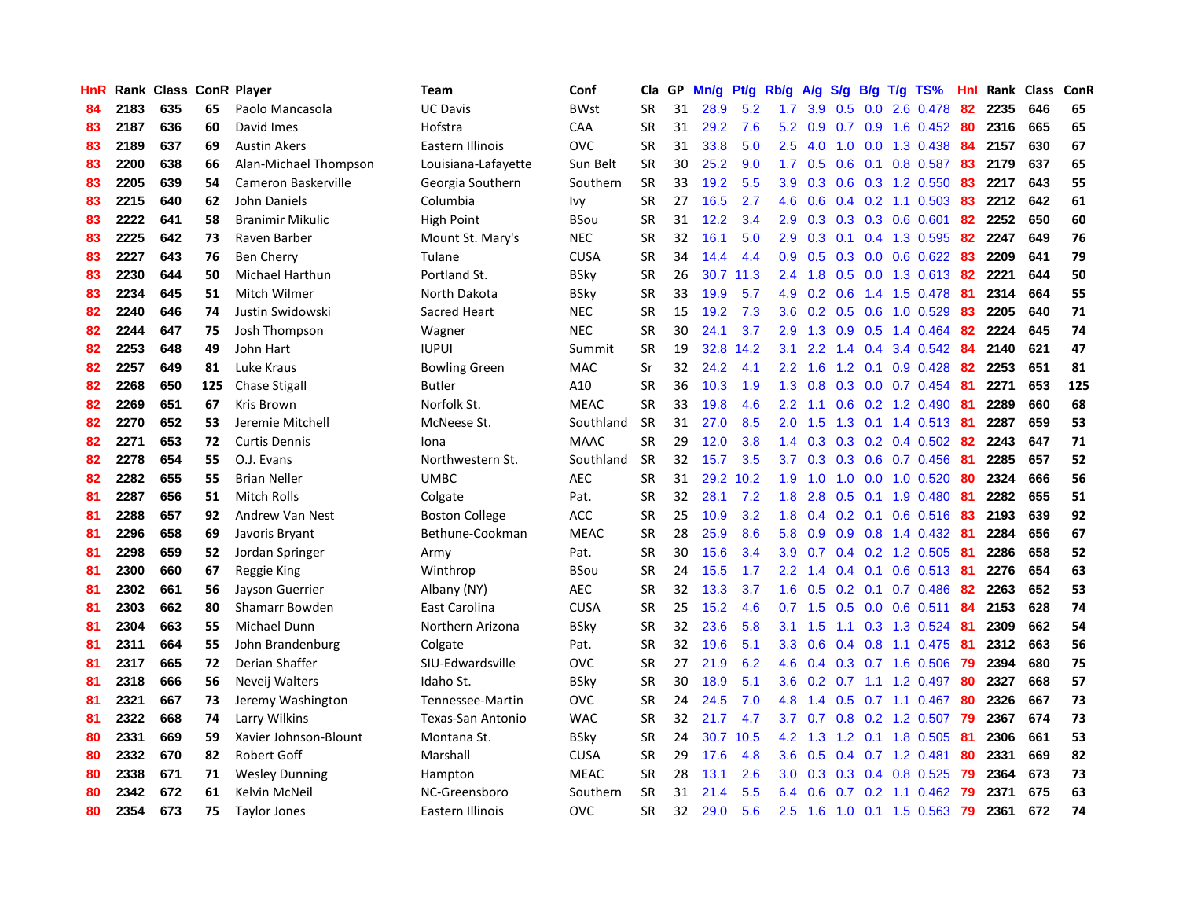| HnR |      | Rank Class ConR Player |     |                         | <b>Team</b>           | Conf        | Cla       | <b>GP</b> | Mn/g | <b>Pt/g</b> | Rb/g             | A/g             |               |                 | S/g B/g T/g TS%           | Hnl | Rank | <b>Class</b> | <b>ConR</b> |
|-----|------|------------------------|-----|-------------------------|-----------------------|-------------|-----------|-----------|------|-------------|------------------|-----------------|---------------|-----------------|---------------------------|-----|------|--------------|-------------|
| 84  | 2183 | 635                    | 65  | Paolo Mancasola         | <b>UC Davis</b>       | <b>BWst</b> | <b>SR</b> | 31        | 28.9 | 5.2         | 1.7              | 3.9             | 0.5           |                 | $0.0$ 2.6 $0.478$         | -82 | 2235 | 646          | 65          |
| 83  | 2187 | 636                    | 60  | David Imes              | Hofstra               | CAA         | <b>SR</b> | 31        | 29.2 | 7.6         |                  | $5.2 \quad 0.9$ |               |                 | 0.7 0.9 1.6 0.452 80      |     | 2316 | 665          | 65          |
| 83  | 2189 | 637                    | 69  | <b>Austin Akers</b>     | Eastern Illinois      | OVC         | <b>SR</b> | 31        | 33.8 | 5.0         | 2.5              | 4.0             |               |                 | 1.0 0.0 1.3 0.438         | -84 | 2157 | 630          | 67          |
| 83  | 2200 | 638                    | 66  | Alan-Michael Thompson   | Louisiana-Lafayette   | Sun Belt    | <b>SR</b> | 30        | 25.2 | 9.0         | 1.7              | 0.5             |               |                 | $0.6$ 0.1 0.8 0.587       | 83  | 2179 | 637          | 65          |
| 83  | 2205 | 639                    | 54  | Cameron Baskerville     | Georgia Southern      | Southern    | <b>SR</b> | 33        | 19.2 | 5.5         | 3.9 <sup>°</sup> | 0.3             | 0.6           |                 | 0.3 1.2 0.550             | 83  | 2217 | 643          | 55          |
| 83  | 2215 | 640                    | 62  | John Daniels            | Columbia              | Ivy         | <b>SR</b> | 27        | 16.5 | 2.7         | 4.6              | 0.6             |               |                 | $0.4$ 0.2 1.1 0.503       | 83  | 2212 | 642          | 61          |
| 83  | 2222 | 641                    | 58  | <b>Branimir Mikulic</b> | High Point            | BSou        | <b>SR</b> | 31        | 12.2 | 3.4         | 2.9              | 0.3             |               |                 | $0.3$ $0.3$ $0.6$ $0.601$ | 82  | 2252 | 650          | 60          |
| 83  | 2225 | 642                    | 73  | Raven Barber            | Mount St. Mary's      | <b>NEC</b>  | <b>SR</b> | 32        | 16.1 | 5.0         | 2.9              | 0.3             |               |                 | $0.1$ 0.4 1.3 0.595       | 82  | 2247 | 649          | 76          |
| 83  | 2227 | 643                    | 76  | <b>Ben Cherry</b>       | Tulane                | <b>CUSA</b> | <b>SR</b> | 34        | 14.4 | 4.4         | 0.9 <sub>0</sub> | 0.5             | 0.3           |                 | $0.0\, 0.6\, 0.622$       | -83 | 2209 | 641          | 79          |
| 83  | 2230 | 644                    | 50  | Michael Harthun         | Portland St.          | BSky        | <b>SR</b> | 26        | 30.7 | 11.3        | $2.4^{\circ}$    | 1.8             |               |                 | 0.5 0.0 1.3 0.613 82      |     | 2221 | 644          | 50          |
| 83  | 2234 | 645                    | 51  | Mitch Wilmer            | North Dakota          | <b>BSky</b> | <b>SR</b> | 33        | 19.9 | 5.7         | 4.9              |                 |               |                 | 0.2 0.6 1.4 1.5 0.478 81  |     | 2314 | 664          | 55          |
| 82  | 2240 | 646                    | 74  | Justin Swidowski        | Sacred Heart          | <b>NEC</b>  | <b>SR</b> | 15        | 19.2 | 7.3         | 3.6              | 0.2             |               |                 | $0.5$ 0.6 1.0 0.529       | -83 | 2205 | 640          | 71          |
| 82  | 2244 | 647                    | 75  | Josh Thompson           | Wagner                | <b>NEC</b>  | <b>SR</b> | 30        | 24.1 | 3.7         | 2.9              | 1.3             |               |                 | 0.9 0.5 1.4 0.464         | 82  | 2224 | 645          | 74          |
| 82  | 2253 | 648                    | 49  | John Hart               | <b>IUPUI</b>          | Summit      | <b>SR</b> | 19        | 32.8 | 14.2        | 3.1              | 2.2             | $1.4^{\circ}$ |                 | 0.4 3.4 0.542 84          |     | 2140 | 621          | 47          |
| 82  | 2257 | 649                    | 81  | Luke Kraus              | <b>Bowling Green</b>  | <b>MAC</b>  | Sr        | 32        | 24.2 | 4.1         | 2.2              | 1.6             |               |                 | 1.2 0.1 0.9 0.428         | 82  | 2253 | 651          | 81          |
| 82  | 2268 | 650                    | 125 | <b>Chase Stigall</b>    | <b>Butler</b>         | A10         | <b>SR</b> | 36        | 10.3 | 1.9         | 1.3              | 0.8             | 0.3           |                 | $0.0$ 0.7 0.454           | 81  | 2271 | 653          | 125         |
| 82  | 2269 | 651                    | 67  | <b>Kris Brown</b>       | Norfolk St.           | <b>MEAC</b> | <b>SR</b> | 33        | 19.8 | 4.6         | 2.2              | 1.1             | 0.6           |                 | $0.2$ 1.2 0.490           | -81 | 2289 | 660          | 68          |
| 82  | 2270 | 652                    | 53  | Jeremie Mitchell        | McNeese St.           | Southland   | <b>SR</b> | 31        | 27.0 | 8.5         | 2.0              | 1.5             | 1.3           |                 | 0.1 1.4 0.513 81          |     | 2287 | 659          | 53          |
| 82  | 2271 | 653                    | 72  | <b>Curtis Dennis</b>    | Iona                  | <b>MAAC</b> | <b>SR</b> | 29        | 12.0 | 3.8         | 1.4              | 0.3             |               |                 | 0.3 0.2 0.4 0.502 82      |     | 2243 | 647          | 71          |
| 82  | 2278 | 654                    | 55  | O.J. Evans              | Northwestern St.      | Southland   | <b>SR</b> | 32        | 15.7 | 3.5         | 3.7              | 0.3             |               |                 | $0.3$ 0.6 0.7 0.456       | -81 | 2285 | 657          | 52          |
| 82  | 2282 | 655                    | 55  | <b>Brian Neller</b>     | <b>UMBC</b>           | <b>AEC</b>  | <b>SR</b> | 31        | 29.2 | 10.2        | 1.9              | 1.0             |               |                 | 1.0 0.0 1.0 0.520         | -80 | 2324 | 666          | 56          |
| 81  | 2287 | 656                    | 51  | <b>Mitch Rolls</b>      | Colgate               | Pat.        | <b>SR</b> | 32        | 28.1 | 7.2         | 1.8              | 2.8             | 0.5           |                 | $0.1$ 1.9 0.480           | 81  | 2282 | 655          | 51          |
| 81  | 2288 | 657                    | 92  | Andrew Van Nest         | <b>Boston College</b> | <b>ACC</b>  | <b>SR</b> | 25        | 10.9 | 3.2         | 1.8              | 0.4             |               |                 | $0.2$ 0.1 0.6 0.516       | -83 | 2193 | 639          | 92          |
| 81  | 2296 | 658                    | 69  | Javoris Bryant          | Bethune-Cookman       | <b>MEAC</b> | <b>SR</b> | 28        | 25.9 | 8.6         | 5.8              | 0.9             |               |                 | 0.9 0.8 1.4 0.432         | -81 | 2284 | 656          | 67          |
| 81  | 2298 | 659                    | 52  | Jordan Springer         | Army                  | Pat.        | <b>SR</b> | 30        | 15.6 | 3.4         | 3.9              | 0.7             |               |                 | $0.4$ 0.2 1.2 0.505       | -81 | 2286 | 658          | 52          |
| 81  | 2300 | 660                    | 67  | Reggie King             | Winthrop              | BSou        | <b>SR</b> | 24        | 15.5 | 1.7         | 2.2              | 1.4             |               | $0.4 \quad 0.1$ | $0.6$ 0.513               | -81 | 2276 | 654          | 63          |
| 81  | 2302 | 661                    | 56  | Jayson Guerrier         | Albany (NY)           | <b>AEC</b>  | <b>SR</b> | 32        | 13.3 | 3.7         | 1.6              | 0.5             |               |                 | $0.2$ 0.1 0.7 0.486       | -82 | 2263 | 652          | 53          |
| 81  | 2303 | 662                    | 80  | <b>Shamarr Bowden</b>   | East Carolina         | <b>CUSA</b> | <b>SR</b> | 25        | 15.2 | 4.6         |                  | $0.7$ 1.5       |               |                 | 0.5 0.0 0.6 0.511 84      |     | 2153 | 628          | 74          |
| 81  | 2304 | 663                    | 55  | Michael Dunn            | Northern Arizona      | BSky        | <b>SR</b> | 32        | 23.6 | 5.8         | 3.1              | 1.5             |               |                 | 1.1 0.3 1.3 0.524 81      |     | 2309 | 662          | 54          |
| 81  | 2311 | 664                    | 55  | John Brandenburg        | Colgate               | Pat.        | <b>SR</b> | 32        | 19.6 | 5.1         | 3.3 <sub>2</sub> | 0.6             |               |                 | $0.4$ 0.8 1.1 0.475       | -81 | 2312 | 663          | 56          |
| 81  | 2317 | 665                    | 72  | Derian Shaffer          | SIU-Edwardsville      | <b>OVC</b>  | <b>SR</b> | 27        | 21.9 | 6.2         | 4.6              | 0.4             |               |                 | 0.3 0.7 1.6 0.506         | 79  | 2394 | 680          | 75          |
| 81  | 2318 | 666                    | 56  | Neveij Walters          | Idaho St.             | BSky        | <b>SR</b> | 30        | 18.9 | 5.1         | 3.6              | 0.2             | 0.7           |                 | 1.1 1.2 0.497             | -80 | 2327 | 668          | 57          |
| 81  | 2321 | 667                    | 73  | Jeremy Washington       | Tennessee-Martin      | <b>OVC</b>  | <b>SR</b> | 24        | 24.5 | 7.0         | 4.8              | 1.4             |               |                 | $0.5$ 0.7 1.1 0.467       | -80 | 2326 | 667          | 73          |
| 81  | 2322 | 668                    | 74  | Larry Wilkins           | Texas-San Antonio     | <b>WAC</b>  | <b>SR</b> | 32        | 21.7 | 4.7         | 3.7              | 0.7             | 0.8           |                 | 0.2 1.2 0.507             | -79 | 2367 | 674          | 73          |
| 80  | 2331 | 669                    | 59  | Xavier Johnson-Blount   | Montana St.           | BSky        | <b>SR</b> | 24        | 30.7 | 10.5        | 4.2              | 1.3             |               |                 | 1.2 0.1 1.8 0.505         | -81 | 2306 | 661          | 53          |
| 80  | 2332 | 670                    | 82  | <b>Robert Goff</b>      | Marshall              | CUSA        | <b>SR</b> | 29        | 17.6 | 4.8         | 3.6              | 0.5             |               |                 | $0.4$ 0.7 1.2 0.481       | 80  | 2331 | 669          | 82          |
| 80  | 2338 | 671                    | 71  | <b>Wesley Dunning</b>   | Hampton               | <b>MEAC</b> | <b>SR</b> | 28        | 13.1 | 2.6         | 3.0 <sub>2</sub> | 0.3             |               |                 | $0.3$ 0.4 0.8 0.525       | -79 | 2364 | 673          | 73          |
| 80  | 2342 | 672                    | 61  | Kelvin McNeil           | NC-Greensboro         | Southern    | SR        | 31        | 21.4 | 5.5         | 6.4              | 0.6             |               |                 | $0.7$ $0.2$ 1.1 $0.462$   | -79 | 2371 | 675          | 63          |
| 80  | 2354 | 673                    | 75  | <b>Taylor Jones</b>     | Eastern Illinois      | OVC         | <b>SR</b> | 32        | 29.0 | 5.6         | 2.5              | 1.6             |               |                 | 1.0 0.1 1.5 0.563         | 79  | 2361 | 672          | 74          |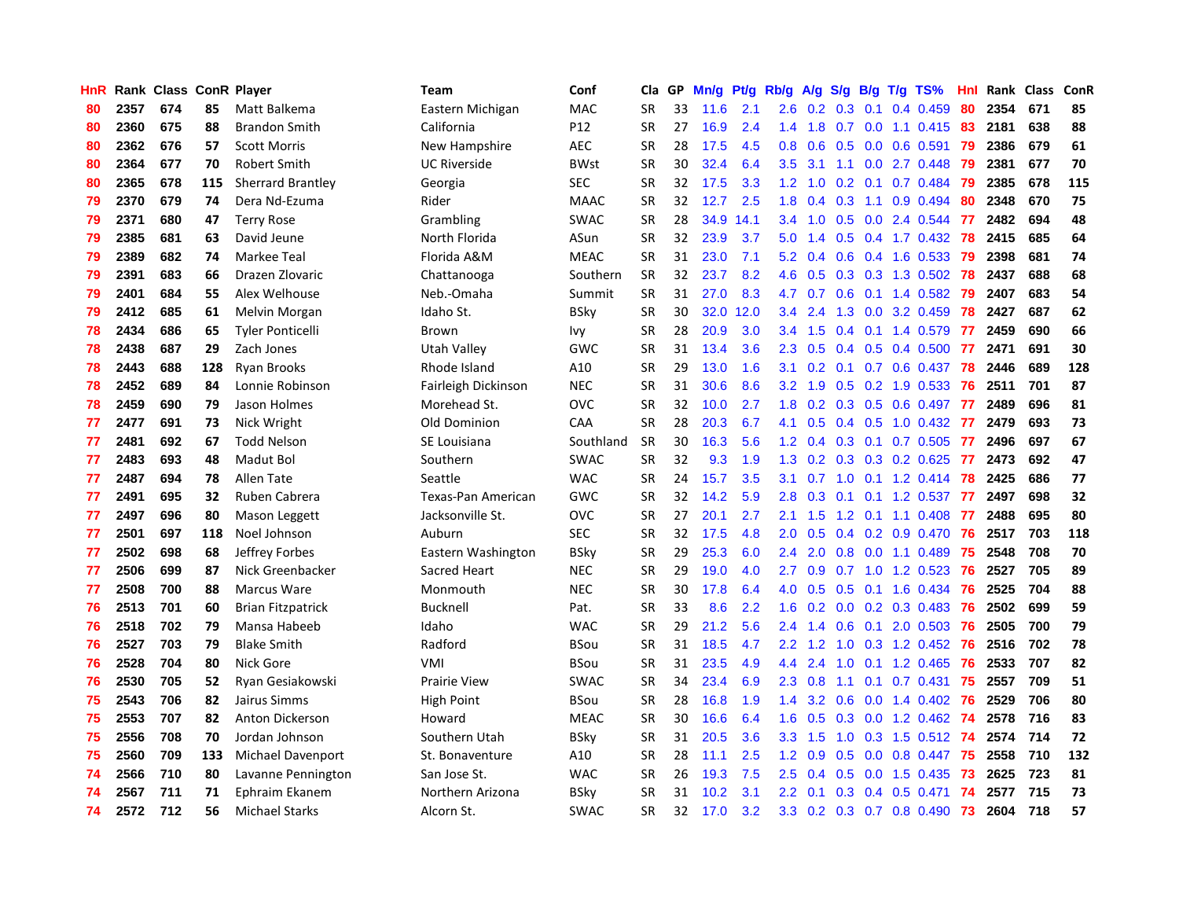| HnR |      | Rank Class ConR Player |     |                          | <b>Team</b>         | Conf        | Cla       | <b>GP</b> | Mn/g | <b>Pt/g</b> | Rb/g             | A/g |     |     | S/g B/g T/g TS%                       | Hnl | Rank | Class | <b>ConR</b> |
|-----|------|------------------------|-----|--------------------------|---------------------|-------------|-----------|-----------|------|-------------|------------------|-----|-----|-----|---------------------------------------|-----|------|-------|-------------|
| 80  | 2357 | 674                    | 85  | Matt Balkema             | Eastern Michigan    | <b>MAC</b>  | <b>SR</b> | 33        | 11.6 | 2.1         | 2.6              | 0.2 | 0.3 | 0.1 | $0.4$ 0.459                           | 80  | 2354 | 671   | 85          |
| 80  | 2360 | 675                    | 88  | <b>Brandon Smith</b>     | California          | P12         | <b>SR</b> | 27        | 16.9 | 2.4         | 1.4              |     |     |     | 1.8 0.7 0.0 1.1 0.415 83              |     | 2181 | 638   | 88          |
| 80  | 2362 | 676                    | 57  | <b>Scott Morris</b>      | New Hampshire       | <b>AEC</b>  | <b>SR</b> | 28        | 17.5 | 4.5         | 0.8              | 0.6 |     |     | $0.5$ 0.0 0.6 0.591                   | -79 | 2386 | 679   | 61          |
| 80  | 2364 | 677                    | 70  | <b>Robert Smith</b>      | <b>UC Riverside</b> | <b>BWst</b> | <b>SR</b> | 30        | 32.4 | 6.4         | 3.5              | 3.1 |     |     | $1.1 \quad 0.0 \quad 2.7 \quad 0.448$ | 79  | 2381 | 677   | 70          |
| 80  | 2365 | 678                    | 115 | Sherrard Brantley        | Georgia             | <b>SEC</b>  | <b>SR</b> | 32        | 17.5 | 3.3         | 1.2              | 1.0 | 0.2 |     | 0.1 0.7 0.484 79                      |     | 2385 | 678   | 115         |
| 79  | 2370 | 679                    | 74  | Dera Nd-Ezuma            | Rider               | <b>MAAC</b> | <b>SR</b> | 32        | 12.7 | 2.5         | 1.8              | 0.4 | 0.3 |     | 1.1 0.9 0.494                         | 80  | 2348 | 670   | 75          |
| 79  | 2371 | 680                    | 47  | <b>Terry Rose</b>        | Grambling           | <b>SWAC</b> | <b>SR</b> | 28        | 34.9 | 14.1        | 3.4              | 1.0 | 0.5 |     | 0.0 2.4 0.544                         | 77  | 2482 | 694   | 48          |
| 79  | 2385 | 681                    | 63  | David Jeune              | North Florida       | ASun        | <b>SR</b> | 32        | 23.9 | 3.7         | 5.0              | 1.4 | 0.5 |     | $0.4$ 1.7 0.432                       | 78  | 2415 | 685   | 64          |
| 79  | 2389 | 682                    | 74  | Markee Teal              | Florida A&M         | <b>MEAC</b> | <b>SR</b> | 31        | 23.0 | 7.1         | 5.2              | 0.4 | 0.6 |     | $0.4$ 1.6 0.533                       | -79 | 2398 | 681   | 74          |
| 79  | 2391 | 683                    | 66  | Drazen Zlovaric          | Chattanooga         | Southern    | <b>SR</b> | 32        | 23.7 | 8.2         | 4.6              | 0.5 |     |     | 0.3 0.3 1.3 0.502 78                  |     | 2437 | 688   | 68          |
| 79  | 2401 | 684                    | 55  | Alex Welhouse            | Neb.-Omaha          | Summit      | <b>SR</b> | 31        | 27.0 | 8.3         | 4.7              | 0.7 |     |     | 0.6 0.1 1.4 0.582 79                  |     | 2407 | 683   | 54          |
| 79  | 2412 | 685                    | 61  | Melvin Morgan            | Idaho St.           | <b>BSky</b> | <b>SR</b> | 30        | 32.0 | 12.0        | $3.4^{\circ}$    | 2.4 |     |     | 1.3 0.0 3.2 0.459                     | 78  | 2427 | 687   | 62          |
| 78  | 2434 | 686                    | 65  | <b>Tyler Ponticelli</b>  | Brown               | lvy         | <b>SR</b> | 28        | 20.9 | 3.0         | $3.4^{\circ}$    | 1.5 |     |     | $0.4$ 0.1 1.4 0.579                   | 77  | 2459 | 690   | 66          |
| 78  | 2438 | 687                    | 29  | Zach Jones               | <b>Utah Valley</b>  | GWC         | <b>SR</b> | 31        | 13.4 | 3.6         | 2.3              | 0.5 |     |     | $0.4$ 0.5 0.4 0.500                   | 77  | 2471 | 691   | 30          |
| 78  | 2443 | 688                    | 128 | <b>Ryan Brooks</b>       | Rhode Island        | A10         | <b>SR</b> | 29        | 13.0 | 1.6         | 3.1              | 0.2 |     |     | $0.1$ 0.7 0.6 0.437                   | 78  | 2446 | 689   | 128         |
| 78  | 2452 | 689                    | 84  | Lonnie Robinson          | Fairleigh Dickinson | <b>NEC</b>  | <b>SR</b> | 31        | 30.6 | 8.6         | 3.2              | 1.9 |     |     | $0.5$ 0.2 1.9 0.533                   | -76 | 2511 | 701   | 87          |
| 78  | 2459 | 690                    | 79  | Jason Holmes             | Morehead St.        | OVC         | <b>SR</b> | 32        | 10.0 | 2.7         | 1.8              | 0.2 | 0.3 |     | $0.5$ 0.6 0.497                       | -77 | 2489 | 696   | 81          |
| 77  | 2477 | 691                    | 73  | Nick Wright              | Old Dominion        | CAA         | <b>SR</b> | 28        | 20.3 | 6.7         | 4.1              | 0.5 | 0.4 |     | $0.5$ 1.0 0.432                       | 77  | 2479 | 693   | 73          |
| 77  | 2481 | 692                    | 67  | <b>Todd Nelson</b>       | SE Louisiana        | Southland   | <b>SR</b> | 30        | 16.3 | 5.6         | 1.2              | 0.4 |     |     | 0.3 0.1 0.7 0.505 77                  |     | 2496 | 697   | 67          |
| 77  | 2483 | 693                    | 48  | Madut Bol                | Southern            | <b>SWAC</b> | <b>SR</b> | 32        | 9.3  | 1.9         | 1.3              | 0.2 |     |     | 0.3 0.3 0.2 0.625 77                  |     | 2473 | 692   | 47          |
| 77  | 2487 | 694                    | 78  | Allen Tate               | Seattle             | <b>WAC</b>  | <b>SR</b> | 24        | 15.7 | 3.5         | 3.1              |     |     |     | 0.7 1.0 0.1 1.2 0.414 78              |     | 2425 | 686   | 77          |
| 77  | 2491 | 695                    | 32  | Ruben Cabrera            | Texas-Pan American  | GWC         | <b>SR</b> | 32        | 14.2 | 5.9         | 2.8              | 0.3 | 0.1 |     | $0.1$ 1.2 0.537                       | -77 | 2497 | 698   | 32          |
| 77  | 2497 | 696                    | 80  | Mason Leggett            | Jacksonville St.    | OVC         | <b>SR</b> | 27        | 20.1 | 2.7         | 2.1              | 1.5 |     |     | 1.2 0.1 1.1 0.408                     | -77 | 2488 | 695   | 80          |
| 77  | 2501 | 697                    | 118 | Noel Johnson             | Auburn              | <b>SEC</b>  | <b>SR</b> | 32        | 17.5 | 4.8         | 2.0              | 0.5 |     |     | 0.4 0.2 0.9 0.470                     | 76  | 2517 | 703   | 118         |
| 77  | 2502 | 698                    | 68  | Jeffrey Forbes           | Eastern Washington  | <b>BSky</b> | <b>SR</b> | 29        | 25.3 | 6.0         | $2.4^{\circ}$    | 2.0 | 0.8 |     | $0.0$ 1.1 $0.489$                     | 75  | 2548 | 708   | 70          |
| 77  | 2506 | 699                    | 87  | Nick Greenbacker         | Sacred Heart        | <b>NEC</b>  | <b>SR</b> | 29        | 19.0 | 4.0         | 2.7              | 0.9 |     |     | 0.7 1.0 1.2 0.523                     | -76 | 2527 | 705   | 89          |
| 77  | 2508 | 700                    | 88  | Marcus Ware              | Monmouth            | <b>NEC</b>  | <b>SR</b> | 30        | 17.8 | 6.4         | 4.0              | 0.5 |     |     | 0.5 0.1 1.6 0.434 76                  |     | 2525 | 704   | 88          |
| 76  | 2513 | 701                    | 60  | <b>Brian Fitzpatrick</b> | <b>Bucknell</b>     | Pat.        | <b>SR</b> | 33        | 8.6  | 2.2         | 1.6              |     |     |     | 0.2 0.0 0.2 0.3 0.483 76              |     | 2502 | 699   | 59          |
| 76  | 2518 | 702                    | 79  | Mansa Habeeb             | Idaho               | <b>WAC</b>  | <b>SR</b> | 29        | 21.2 | 5.6         | $2.4^{\circ}$    | 1.4 |     |     | 0.6 0.1 2.0 0.503 76                  |     | 2505 | 700   | 79          |
| 76  | 2527 | 703                    | 79  | <b>Blake Smith</b>       | Radford             | <b>BSou</b> | <b>SR</b> | 31        | 18.5 | 4.7         | $2.2^{\circ}$    | 1.2 | 1.0 |     | 0.3 1.2 0.452 76                      |     | 2516 | 702   | 78          |
| 76  | 2528 | 704                    | 80  | Nick Gore                | <b>VMI</b>          | <b>BSou</b> | <b>SR</b> | 31        | 23.5 | 4.9         | 4.4              | 2.4 | 1.0 |     | 0.1 1.2 0.465                         | -76 | 2533 | 707   | 82          |
| 76  | 2530 | 705                    | 52  | Ryan Gesiakowski         | <b>Prairie View</b> | <b>SWAC</b> | <b>SR</b> | 34        | 23.4 | 6.9         | 2.3              | 0.8 | 1.1 |     | $0.1$ 0.7 0.431                       | 75  | 2557 | 709   | 51          |
| 75  | 2543 | 706                    | 82  | Jairus Simms             | <b>High Point</b>   | <b>BSou</b> | <b>SR</b> | 28        | 16.8 | 1.9         | 1.4              | 3.2 | 0.6 |     | $0.0 \quad 1.4 \quad 0.402$           | -76 | 2529 | 706   | 80          |
| 75  | 2553 | 707                    | 82  | Anton Dickerson          | Howard              | <b>MEAC</b> | <b>SR</b> | 30        | 16.6 | 6.4         | 1.6              | 0.5 | 0.3 |     | 0.0 1.2 0.462                         | 74  | 2578 | 716   | 83          |
| 75  | 2556 | 708                    | 70  | Jordan Johnson           | Southern Utah       | <b>BSky</b> | <b>SR</b> | 31        | 20.5 | 3.6         | 3.3 <sub>2</sub> | 1.5 | 1.0 |     | 0.3 1.5 0.512 74                      |     | 2574 | 714   | 72          |
| 75  | 2560 | 709                    | 133 | Michael Davenport        | St. Bonaventure     | A10         | <b>SR</b> | 28        | 11.1 | 2.5         | 1.2              | 0.9 |     |     | 0.5 0.0 0.8 0.447 75                  |     | 2558 | 710   | 132         |
| 74  | 2566 | 710                    | 80  | Lavanne Pennington       | San Jose St.        | <b>WAC</b>  | <b>SR</b> | 26        | 19.3 | 7.5         | $2.5^{\circ}$    | 0.4 |     |     | $0.5$ 0.0 1.5 0.435                   | -73 | 2625 | 723   | 81          |
| 74  | 2567 | 711                    | 71  | Ephraim Ekanem           | Northern Arizona    | BSky        | <b>SR</b> | 31        | 10.2 | 3.1         | $2.2^{\circ}$    | 0.1 |     |     | $0.3$ 0.4 0.5 0.471                   | -74 | 2577 | 715   | 73          |
| 74  | 2572 | 712                    | 56  | <b>Michael Starks</b>    | Alcorn St.          | <b>SWAC</b> | <b>SR</b> | 32        | 17.0 | 3.2         | 3.3 <sub>2</sub> |     |     |     | 0.2 0.3 0.7 0.8 0.490                 | 73  | 2604 | 718   | 57          |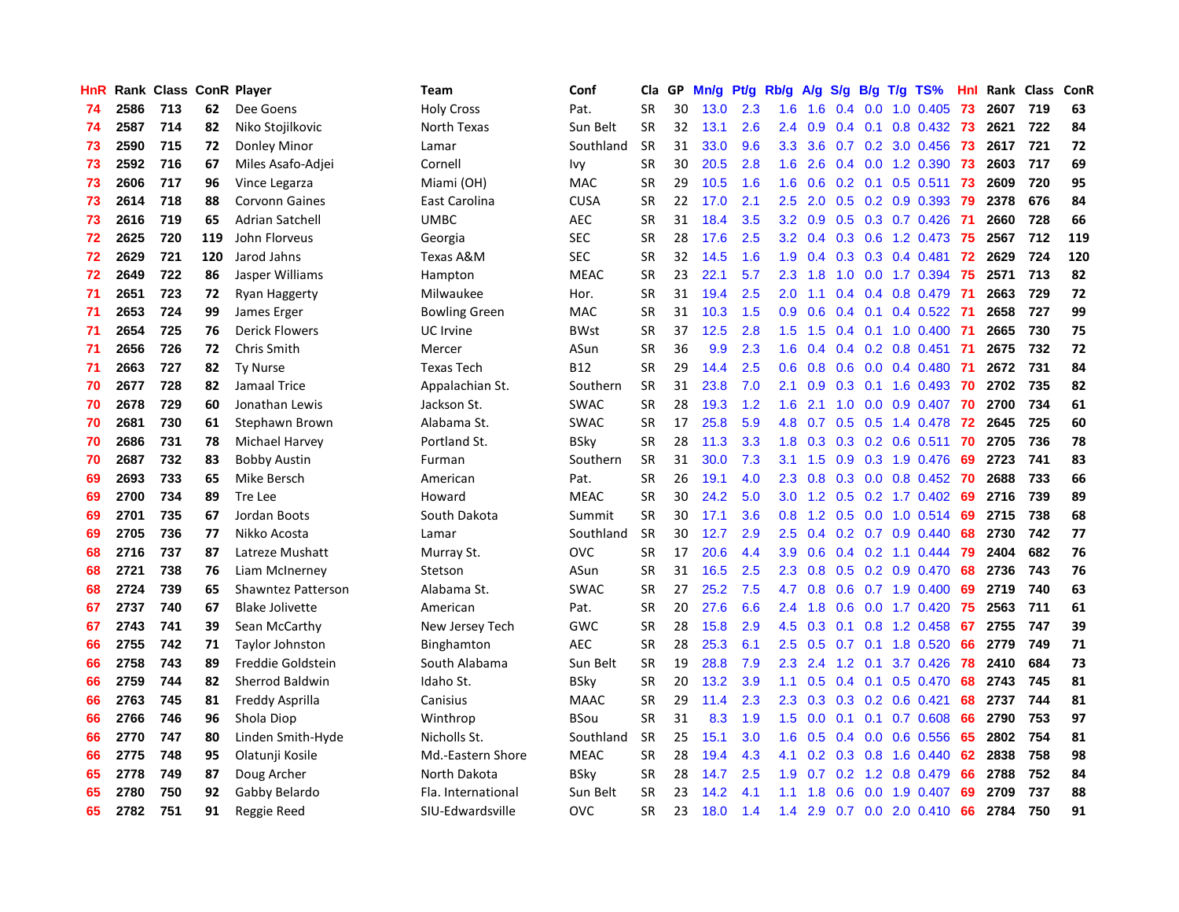| HnR |      | Rank Class ConR Player |     |                           | <b>Team</b>          | Conf        | Cla       | GP | Mn/g | Pt/g | Rb/g             | A/g | S/g |     | $B/g$ T/g TS%             | Hnl |      | Rank Class | ConR |
|-----|------|------------------------|-----|---------------------------|----------------------|-------------|-----------|----|------|------|------------------|-----|-----|-----|---------------------------|-----|------|------------|------|
| 74  | 2586 | 713                    | 62  | Dee Goens                 | <b>Holy Cross</b>    | Pat.        | <b>SR</b> | 30 | 13.0 | 2.3  | 1.6              | 1.6 |     |     | $0.4$ 0.0 1.0 0.405       | 73  | 2607 | 719        | 63   |
| 74  | 2587 | 714                    | 82  | Niko Stojilkovic          | North Texas          | Sun Belt    | SR        | 32 | 13.1 | 2.6  | $2.4^{\circ}$    | 0.9 |     |     | 0.4 0.1 0.8 0.432 73      |     | 2621 | 722        | 84   |
| 73  | 2590 | 715                    | 72  | Donley Minor              | Lamar                | Southland   | <b>SR</b> | 31 | 33.0 | 9.6  | 3.3              | 3.6 |     |     | 0.7 0.2 3.0 0.456 73      |     | 2617 | 721        | 72   |
| 73  | 2592 | 716                    | 67  | Miles Asafo-Adjei         | Cornell              | Ivy         | <b>SR</b> | 30 | 20.5 | 2.8  | 1.6              | 2.6 |     |     | $0.4$ 0.0 1.2 0.390       | 73  | 2603 | 717        | 69   |
| 73  | 2606 | 717                    | 96  | Vince Legarza             | Miami (OH)           | <b>MAC</b>  | <b>SR</b> | 29 | 10.5 | 1.6  | 1.6              | 0.6 |     |     | $0.2$ 0.1 0.5 0.511       | -73 | 2609 | 720        | 95   |
| 73  | 2614 | 718                    | 88  | <b>Corvonn Gaines</b>     | East Carolina        | <b>CUSA</b> | <b>SR</b> | 22 | 17.0 | 2.1  | 2.5              | 2.0 | 0.5 |     | 0.2 0.9 0.393             | 79  | 2378 | 676        | 84   |
| 73  | 2616 | 719                    | 65  | <b>Adrian Satchell</b>    | <b>UMBC</b>          | <b>AEC</b>  | <b>SR</b> | 31 | 18.4 | 3.5  | 3.2              | 0.9 |     |     | 0.5 0.3 0.7 0.426         | -71 | 2660 | 728        | 66   |
| 72  | 2625 | 720                    | 119 | John Florveus             | Georgia              | <b>SEC</b>  | <b>SR</b> | 28 | 17.6 | 2.5  | 3.2              | 0.4 | 0.3 |     | 0.6 1.2 0.473             | 75  | 2567 | 712        | 119  |
| 72  | 2629 | 721                    | 120 | Jarod Jahns               | Texas A&M            | <b>SEC</b>  | <b>SR</b> | 32 | 14.5 | 1.6  | 1.9              | 0.4 | 0.3 |     | $0.3$ 0.4 0.481           | 72  | 2629 | 724        | 120  |
| 72  | 2649 | 722                    | 86  | Jasper Williams           | Hampton              | <b>MEAC</b> | <b>SR</b> | 23 | 22.1 | 5.7  | 2.3              | 1.8 | 1.0 |     | 0.0 1.7 0.394 75          |     | 2571 | 713        | 82   |
| 71  | 2651 | 723                    | 72  | <b>Ryan Haggerty</b>      | Milwaukee            | Hor.        | SR        | 31 | 19.4 | 2.5  | 2.0              | 1.1 |     |     | 0.4 0.4 0.8 0.479 71      |     | 2663 | 729        | 72   |
| 71  | 2653 | 724                    | 99  | James Erger               | <b>Bowling Green</b> | <b>MAC</b>  | <b>SR</b> | 31 | 10.3 | 1.5  | 0.9 <sup>°</sup> | 0.6 |     |     | 0.4 0.1 0.4 0.522 71      |     | 2658 | 727        | 99   |
| 71  | 2654 | 725                    | 76  | <b>Derick Flowers</b>     | UC Irvine            | <b>BWst</b> | <b>SR</b> | 37 | 12.5 | 2.8  | $1.5^{\circ}$    | 1.5 |     |     | 0.4 0.1 1.0 0.400 71      |     | 2665 | 730        | 75   |
| 71  | 2656 | 726                    | 72  | Chris Smith               | Mercer               | ASun        | <b>SR</b> | 36 | 9.9  | 2.3  | 1.6              | 0.4 |     |     | $0.4$ 0.2 0.8 0.451       | -71 | 2675 | 732        | 72   |
| 71  | 2663 | 727                    | 82  | <b>Ty Nurse</b>           | <b>Texas Tech</b>    | <b>B12</b>  | <b>SR</b> | 29 | 14.4 | 2.5  | 0.6              | 0.8 | 0.6 |     | $0.0$ 0.4 0.480           | -71 | 2672 | 731        | 84   |
| 70  | 2677 | 728                    | 82  | Jamaal Trice              | Appalachian St.      | Southern    | <b>SR</b> | 31 | 23.8 | 7.0  | 2.1              | 0.9 | 0.3 |     | $0.1$ 1.6 0.493           | -70 | 2702 | 735        | 82   |
| 70  | 2678 | 729                    | 60  | Jonathan Lewis            | Jackson St.          | <b>SWAC</b> | <b>SR</b> | 28 | 19.3 | 1.2  | 1.6              | 2.1 | 1.0 |     | $0.0$ 0.9 0.407           | 70  | 2700 | 734        | 61   |
| 70  | 2681 | 730                    | 61  | Stephawn Brown            | Alabama St.          | <b>SWAC</b> | <b>SR</b> | 17 | 25.8 | 5.9  | 4.8              | 0.7 | 0.5 |     | 0.5 1.4 0.478             | 72  | 2645 | 725        | 60   |
| 70  | 2686 | 731                    | 78  | Michael Harvey            | Portland St.         | BSky        | <b>SR</b> | 28 | 11.3 | 3.3  | 1.8              | 0.3 |     |     | $0.3$ 0.2 0.6 0.511       | 70  | 2705 | 736        | 78   |
| 70  | 2687 | 732                    | 83  | <b>Bobby Austin</b>       | Furman               | Southern    | <b>SR</b> | 31 | 30.0 | 7.3  | 3.1              | 1.5 |     |     | 0.9 0.3 1.9 0.476 69      |     | 2723 | 741        | 83   |
| 69  | 2693 | 733                    | 65  | Mike Bersch               | American             | Pat.        | <b>SR</b> | 26 | 19.1 | 4.0  | 2.3              | 0.8 |     |     | $0.3$ 0.0 0.8 0.452       | -70 | 2688 | 733        | 66   |
| 69  | 2700 | 734                    | 89  | Tre Lee                   | Howard               | <b>MEAC</b> | SR        | 30 | 24.2 | 5.0  | 3.0 <sub>2</sub> | 1.2 | 0.5 |     | $0.2$ 1.7 0.402           | -69 | 2716 | 739        | 89   |
| 69  | 2701 | 735                    | 67  | Jordan Boots              | South Dakota         | Summit      | <b>SR</b> | 30 | 17.1 | 3.6  | 0.8              | 1.2 | 0.5 |     | $0.0$ 1.0 0.514           | -69 | 2715 | 738        | 68   |
| 69  | 2705 | 736                    | 77  | Nikko Acosta              | Lamar                | Southland   | <b>SR</b> | 30 | 12.7 | 2.9  | 2.5              | 0.4 |     |     | $0.2$ 0.7 0.9 0.440       | 68  | 2730 | 742        | 77   |
| 68  | 2716 | 737                    | 87  | Latreze Mushatt           | Murray St.           | <b>OVC</b>  | <b>SR</b> | 17 | 20.6 | 4.4  | 3.9 <sup>°</sup> | 0.6 |     |     | $0.4$ 0.2 1.1 0.444       | 79  | 2404 | 682        | 76   |
| 68  | 2721 | 738                    | 76  | Liam McInerney            | Stetson              | ASun        | <b>SR</b> | 31 | 16.5 | 2.5  | 2.3              | 0.8 | 0.5 |     | 0.2 0.9 0.470             | 68  | 2736 | 743        | 76   |
| 68  | 2724 | 739                    | 65  | <b>Shawntez Patterson</b> | Alabama St.          | <b>SWAC</b> | <b>SR</b> | 27 | 25.2 | 7.5  | 4.7              | 0.8 |     |     | $0.6$ 0.7 1.9 0.400       | 69  | 2719 | 740        | 63   |
| 67  | 2737 | 740                    | 67  | <b>Blake Jolivette</b>    | American             | Pat.        | <b>SR</b> | 20 | 27.6 | 6.6  | $2.4^{\circ}$    | 1.8 |     |     | 0.6 0.0 1.7 0.420 75      |     | 2563 | 711        | 61   |
| 67  | 2743 | 741                    | 39  | Sean McCarthy             | New Jersey Tech      | <b>GWC</b>  | <b>SR</b> | 28 | 15.8 | 2.9  | 4.5              | 0.3 |     |     | $0.1$ $0.8$ $1.2$ $0.458$ | -67 | 2755 | 747        | 39   |
| 66  | 2755 | 742                    | 71  | Taylor Johnston           | <b>Binghamton</b>    | <b>AEC</b>  | SR        | 28 | 25.3 | 6.1  | $2.5^{\circ}$    | 0.5 |     |     | $0.7$ 0.1 1.8 0.520       | 66  | 2779 | 749        | 71   |
| 66  | 2758 | 743                    | 89  | Freddie Goldstein         | South Alabama        | Sun Belt    | <b>SR</b> | 19 | 28.8 | 7.9  | 2.3              | 2.4 | 1.2 | 0.1 | 3.7 0.426                 | 78  | 2410 | 684        | 73   |
| 66  | 2759 | 744                    | 82  | Sherrod Baldwin           | Idaho St.            | BSky        | SR        | 20 | 13.2 | 3.9  | 1.1              | 0.5 |     |     | $0.4$ 0.1 0.5 0.470       | 68  | 2743 | 745        | 81   |
| 66  | 2763 | 745                    | 81  | Freddy Asprilla           | Canisius             | <b>MAAC</b> | <b>SR</b> | 29 | 11.4 | 2.3  | 2.3              | 0.3 | 0.3 |     | $0.2\quad 0.6\quad 0.421$ | 68  | 2737 | 744        | 81   |
| 66  | 2766 | 746                    | 96  | Shola Diop                | Winthrop             | BSou        | <b>SR</b> | 31 | 8.3  | 1.9  | $1.5^{\circ}$    | 0.0 | 0.1 | 0.1 | $0.7$ 0.608               | 66  | 2790 | 753        | 97   |
| 66  | 2770 | 747                    | 80  | Linden Smith-Hyde         | Nicholls St.         | Southland   | <b>SR</b> | 25 | 15.1 | 3.0  | 1.6              | 0.5 | 0.4 |     | $0.0$ 0.6 0.556           | 65  | 2802 | 754        | 81   |
| 66  | 2775 | 748                    | 95  | Olatunji Kosile           | Md.-Eastern Shore    | <b>MEAC</b> | <b>SR</b> | 28 | 19.4 | 4.3  | 4.1              | 0.2 |     |     | 0.3 0.8 1.6 0.440         | 62  | 2838 | 758        | 98   |
| 65  | 2778 | 749                    | 87  | Doug Archer               | North Dakota         | BSkv        | <b>SR</b> | 28 | 14.7 | 2.5  | 1.9              | 0.7 |     |     | 0.2 1.2 0.8 0.479         | 66  | 2788 | 752        | 84   |
| 65  | 2780 | 750                    | 92  | Gabby Belardo             | Fla. International   | Sun Belt    | SR        | 23 | 14.2 | 4.1  | 1.1              | 1.8 | 0.6 |     | $0.0$ 1.9 0.407           | 69  | 2709 | 737        | 88   |
| 65  | 2782 | 751                    | 91  | Reggie Reed               | SIU-Edwardsville     | OVC         | <b>SR</b> | 23 | 18.0 | 1.4  | 1.4              | 2.9 |     |     | $0.7$ $0.0$ $2.0$ $0.410$ | 66  | 2784 | 750        | 91   |